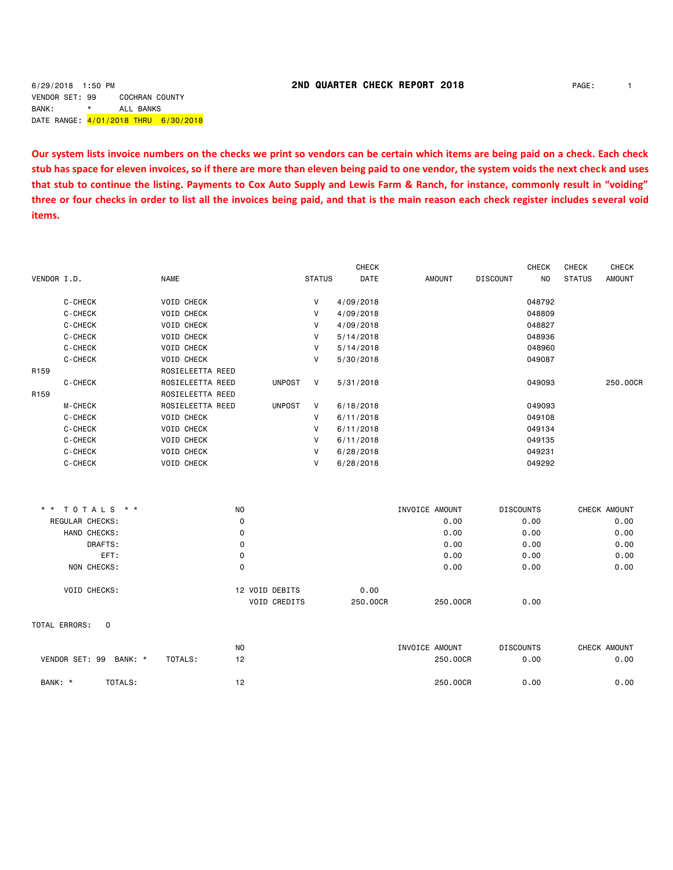### 6/29/2018 1:50 PM **2ND QUARTER CHECK REPORT 2018** PAGE: 1

VENDOR SET: 99 COCHRAN COUNTY BANK: \* ALL BANKS DATE RANGE: 4/01/2018 THRU 6/30/2018

**Our system lists invoice numbers on the checks we print so vendors can be certain which items are being paid on a check. Each check stub has space for eleven invoices, so if there are more than eleven being paid to one vendor, the system voids the next check and uses that stub to continue the listing. Payments to Cox Auto Supply and Lewis Farm & Ranch, for instance, commonly result in "voiding" three or four checks in order to list all the invoices being paid, and that is the main reason each check register includes several void items.**

|                  |                        |                   |                |                     |               | <b>CHECK</b> |                |                  | <b>CHECK</b>   | <b>CHECK</b>  | CHECK         |
|------------------|------------------------|-------------------|----------------|---------------------|---------------|--------------|----------------|------------------|----------------|---------------|---------------|
| VENDOR I.D.      |                        | <b>NAME</b>       |                |                     | <b>STATUS</b> | DATE         | <b>AMOUNT</b>  | <b>DISCOUNT</b>  | N <sub>O</sub> | <b>STATUS</b> | <b>AMOUNT</b> |
|                  | C-CHECK                | VOID CHECK        |                |                     | V             | 4/09/2018    |                |                  | 048792         |               |               |
|                  | C-CHECK                | VOID CHECK        |                |                     | V             | 4/09/2018    |                |                  | 048809         |               |               |
|                  | C-CHECK                | VOID CHECK        |                |                     | V             | 4/09/2018    |                |                  | 048827         |               |               |
|                  | C-CHECK                | VOID CHECK        |                |                     | V             | 5/14/2018    |                |                  | 048936         |               |               |
|                  | C-CHECK                | <b>VOID CHECK</b> |                |                     | V             | 5/14/2018    |                |                  | 048960         |               |               |
|                  | C-CHECK                | <b>VOID CHECK</b> |                |                     | V             | 5/30/2018    |                |                  | 049087         |               |               |
| R <sub>159</sub> |                        | ROSIELEETTA REED  |                |                     |               |              |                |                  |                |               |               |
|                  | C-CHECK                | ROSIELEETTA REED  |                | <b>UNPOST</b>       | V             | 5/31/2018    |                |                  | 049093         |               | 250.00CR      |
| R <sub>159</sub> |                        | ROSIELEETTA REED  |                |                     |               |              |                |                  |                |               |               |
|                  | M-CHECK                | ROSIELEETTA REED  |                | <b>UNPOST</b>       | V             | 6/18/2018    |                |                  | 049093         |               |               |
|                  | C-CHECK                | <b>VOID CHECK</b> |                |                     | V             | 6/11/2018    |                |                  | 049108         |               |               |
|                  | C-CHECK                | VOID CHECK        |                |                     | V             | 6/11/2018    |                |                  | 049134         |               |               |
|                  | C-CHECK                | VOID CHECK        |                |                     | V             | 6/11/2018    |                |                  | 049135         |               |               |
|                  | C-CHECK                | VOID CHECK        |                |                     | V             | 6/28/2018    |                |                  | 049231         |               |               |
|                  | C-CHECK                | VOID CHECK        |                |                     | $\mathsf{V}$  | 6/28/2018    |                |                  | 049292         |               |               |
|                  |                        |                   |                |                     |               |              |                |                  |                |               |               |
|                  | * * TOTALS * *         |                   | NO             |                     |               |              | INVOICE AMOUNT | <b>DISCOUNTS</b> |                |               | CHECK AMOUNT  |
|                  | REGULAR CHECKS:        |                   | $\mathbf 0$    |                     |               |              | 0.00           |                  | 0.00           |               | 0.00          |
|                  | HAND CHECKS:           |                   | $\mathbf 0$    |                     |               |              | 0.00           |                  | 0.00           |               | 0.00          |
|                  | DRAFTS:                |                   | 0              |                     |               |              | 0.00           |                  | 0.00           |               | 0.00          |
|                  | EFT:                   |                   | $\mathbf 0$    |                     |               |              | 0.00           |                  | 0.00           |               | 0.00          |
|                  | NON CHECKS:            |                   | $\mathbf 0$    |                     |               |              | 0.00           |                  | 0.00           |               | 0.00          |
|                  | VOID CHECKS:           |                   |                | 12 VOID DEBITS      |               | 0.00         |                |                  |                |               |               |
|                  |                        |                   |                | <b>VOID CREDITS</b> |               | 250,00CR     | 250,00CR       |                  | 0.00           |               |               |
|                  | TOTAL ERRORS:<br>0     |                   |                |                     |               |              |                |                  |                |               |               |
|                  |                        |                   | N <sub>O</sub> |                     |               |              | INVOICE AMOUNT | <b>DISCOUNTS</b> |                |               | CHECK AMOUNT  |
|                  | VENDOR SET: 99 BANK: * | TOTALS:           | 12             |                     |               |              | 250,00CR       |                  | 0.00           |               | 0.00          |
| BANK: *          | TOTALS:                |                   | 12             |                     |               |              | 250.00CR       |                  | 0.00           |               | 0.00          |
|                  |                        |                   |                |                     |               |              |                |                  |                |               |               |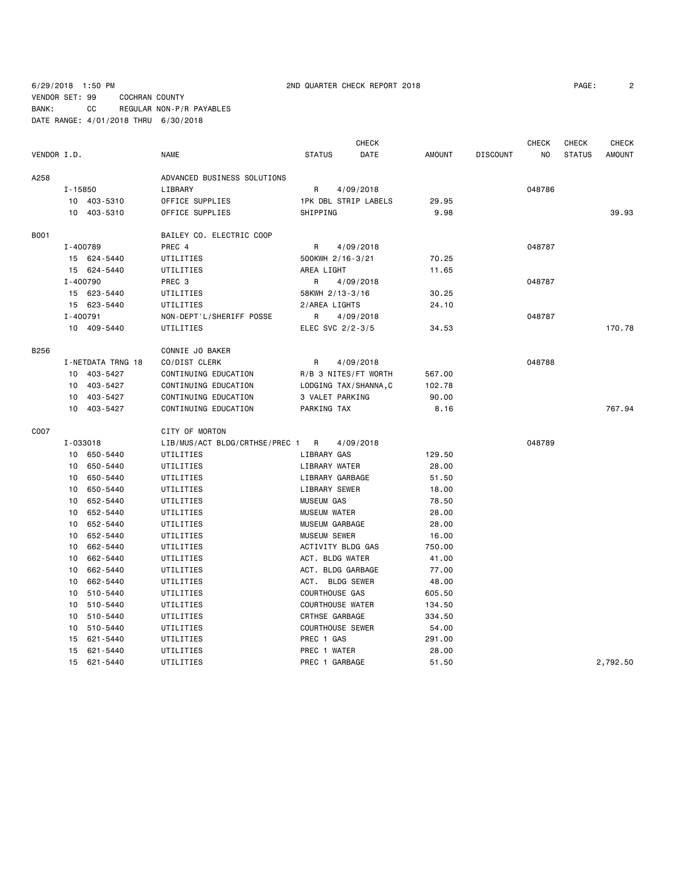## 6/29/2018 1:50 PM 2ND QUARTER CHECK REPORT 2018 PAGE: 2 VENDOR SET: 99 COCHRAN COUNTY BANK: CC REGULAR NON-P/R PAYABLES DATE RANGE: 4/01/2018 THRU 6/30/2018

| PAGE: |  |
|-------|--|
|       |  |

|             |                 |                   |                                |                       | <b>CHECK</b>            |               |                 | <b>CHECK</b> | <b>CHECK</b>  | <b>CHECK</b>  |
|-------------|-----------------|-------------------|--------------------------------|-----------------------|-------------------------|---------------|-----------------|--------------|---------------|---------------|
| VENDOR I.D. |                 |                   | <b>NAME</b>                    | <b>STATUS</b>         | DATE                    | <b>AMOUNT</b> | <b>DISCOUNT</b> | NO           | <b>STATUS</b> | <b>AMOUNT</b> |
| A258        |                 |                   | ADVANCED BUSINESS SOLUTIONS    |                       |                         |               |                 |              |               |               |
|             | $I - 15850$     |                   | LIBRARY                        | R                     | 4/09/2018               |               |                 | 048786       |               |               |
|             |                 | 10 403-5310       | OFFICE SUPPLIES                |                       | 1PK DBL STRIP LABELS    | 29.95         |                 |              |               |               |
|             |                 | 10 403-5310       | OFFICE SUPPLIES                | SHIPPING              |                         | 9.98          |                 |              |               | 39.93         |
| <b>B001</b> |                 |                   | BAILEY CO. ELECTRIC COOP       |                       |                         |               |                 |              |               |               |
|             | I-400789        |                   | PREC 4                         | R                     | 4/09/2018               |               |                 | 048787       |               |               |
|             |                 | 15 624-5440       | UTILITIES                      |                       | 500KWH 2/16-3/21        | 70.25         |                 |              |               |               |
|             |                 | 15 624-5440       | UTILITIES                      | AREA LIGHT            |                         | 11.65         |                 |              |               |               |
|             | I-400790        |                   | PREC 3                         | R                     | 4/09/2018               |               |                 | 048787       |               |               |
|             |                 | 15 623-5440       | UTILITIES                      |                       | 58KWH 2/13-3/16         | 30.25         |                 |              |               |               |
|             |                 | 15 623-5440       | UTILITIES                      | 2/AREA LIGHTS         |                         | 24.10         |                 |              |               |               |
|             | I-400791        |                   | NON-DEPT'L/SHERIFF POSSE       | R                     | 4/09/2018               |               |                 | 048787       |               |               |
|             |                 | 10 409-5440       | UTILITIES                      |                       | ELEC SVC 2/2-3/5        | 34.53         |                 |              |               | 170.78        |
| B256        |                 |                   | CONNIE JO BAKER                |                       |                         |               |                 |              |               |               |
|             |                 | I-NETDATA TRNG 18 | CO/DIST CLERK                  | R                     | 4/09/2018               |               |                 | 048788       |               |               |
|             |                 | 10 403-5427       | CONTINUING EDUCATION           |                       | R/B 3 NITES/FT WORTH    | 567.00        |                 |              |               |               |
|             |                 | 10 403-5427       | CONTINUING EDUCATION           |                       | LODGING TAX/SHANNA, C   | 102.78        |                 |              |               |               |
|             |                 | 10 403-5427       | CONTINUING EDUCATION           |                       | 3 VALET PARKING         | 90.00         |                 |              |               |               |
|             |                 | 10 403-5427       | CONTINUING EDUCATION           | PARKING TAX           |                         | 8.16          |                 |              |               | 767.94        |
| C007        |                 |                   | CITY OF MORTON                 |                       |                         |               |                 |              |               |               |
|             | I-033018        |                   | LIB/MUS/ACT BLDG/CRTHSE/PREC 1 | R                     | 4/09/2018               |               |                 | 048789       |               |               |
|             |                 | 10 650-5440       | UTILITIES                      | LIBRARY GAS           |                         | 129.50        |                 |              |               |               |
|             |                 | 10 650-5440       | UTILITIES                      | LIBRARY WATER         |                         | 28.00         |                 |              |               |               |
|             | 10              | 650-5440          | UTILITIES                      |                       | LIBRARY GARBAGE         | 51.50         |                 |              |               |               |
|             | 10              | 650-5440          | UTILITIES                      | LIBRARY SEWER         |                         | 18.00         |                 |              |               |               |
|             | 10              | 652-5440          | UTILITIES                      | <b>MUSEUM GAS</b>     |                         | 78.50         |                 |              |               |               |
|             | 10              | 652-5440          | UTILITIES                      | <b>MUSEUM WATER</b>   |                         | 28.00         |                 |              |               |               |
|             | 10              | 652-5440          | UTILITIES                      | MUSEUM GARBAGE        |                         | 28.00         |                 |              |               |               |
|             | 10              | 652-5440          | UTILITIES                      | MUSEUM SEWER          |                         | 16.00         |                 |              |               |               |
|             | 10 <sup>1</sup> | 662-5440          | UTILITIES                      |                       | ACTIVITY BLDG GAS       | 750.00        |                 |              |               |               |
|             | 10              | 662-5440          | UTILITIES                      |                       | ACT. BLDG WATER         | 41.00         |                 |              |               |               |
|             | 10              | 662-5440          | UTILITIES                      |                       | ACT. BLDG GARBAGE       | 77.00         |                 |              |               |               |
|             | 10              | 662-5440          | UTILITIES                      |                       | ACT. BLDG SEWER         | 48.00         |                 |              |               |               |
|             | 10              | 510-5440          | UTILITIES                      | <b>COURTHOUSE GAS</b> |                         | 605.50        |                 |              |               |               |
|             | 10              | 510-5440          | UTILITIES                      |                       | <b>COURTHOUSE WATER</b> | 134.50        |                 |              |               |               |
|             | 10              | 510-5440          | UTILITIES                      | CRTHSE GARBAGE        |                         | 334.50        |                 |              |               |               |
|             | 10              | 510-5440          | UTILITIES                      |                       | <b>COURTHOUSE SEWER</b> | 54.00         |                 |              |               |               |
|             | 15              | 621-5440          | UTILITIES                      | PREC 1 GAS            |                         | 291.00        |                 |              |               |               |
|             | 15              | 621-5440          | UTILITIES                      | PREC 1 WATER          |                         | 28.00         |                 |              |               |               |
|             |                 | 15 621-5440       | UTILITIES                      |                       | PREC 1 GARBAGE          | 51.50         |                 |              |               | 2,792.50      |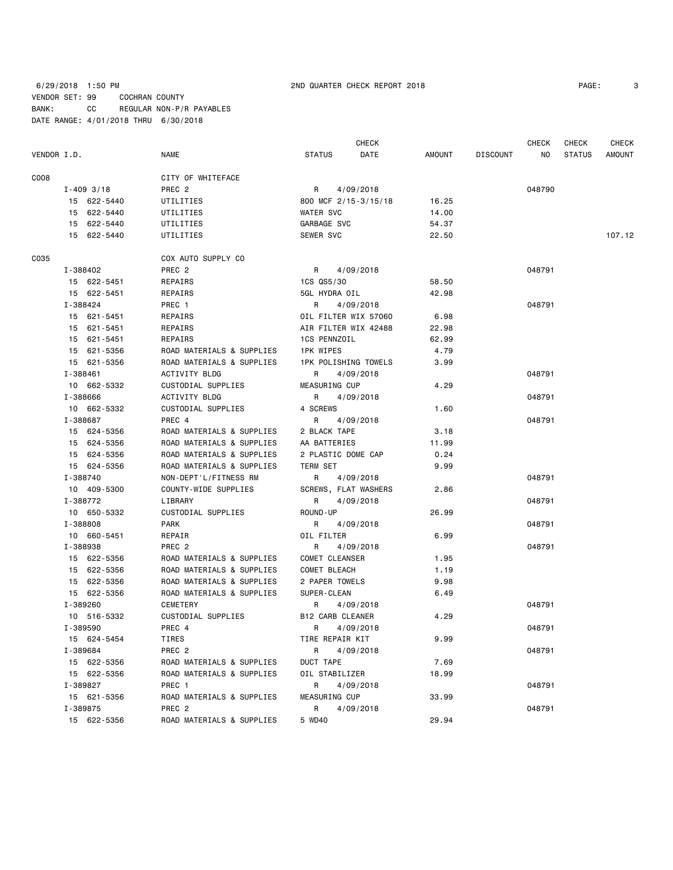6/29/2018 1:50 PM 2ND QUARTER CHECK REPORT 2018 PAGE: 3 VENDOR SET: 99 COCHRAN COUNTY BANK: CC REGULAR NON-P/R PAYABLES DATE RANGE: 4/01/2018 THRU 6/30/2018

| PAGE: |  |
|-------|--|
|       |  |

|             |                |                           |                         | <b>CHECK</b>   |                 | CHECK  | CHECK         | <b>CHECK</b>  |
|-------------|----------------|---------------------------|-------------------------|----------------|-----------------|--------|---------------|---------------|
| VENDOR I.D. |                | NAME                      | <b>STATUS</b>           | DATE<br>AMOUNT | <b>DISCOUNT</b> | NO.    | <b>STATUS</b> | <b>AMOUNT</b> |
| C008        |                | CITY OF WHITEFACE         |                         |                |                 |        |               |               |
|             | $I - 409$ 3/18 | PREC <sub>2</sub>         | R<br>4/09/2018          |                |                 | 048790 |               |               |
|             | 15 622-5440    | UTILITIES                 | 800 MCF 2/15-3/15/18    | 16.25          |                 |        |               |               |
|             | 15 622-5440    | UTILITIES                 | WATER SVC               | 14.00          |                 |        |               |               |
|             | 15 622-5440    | UTILITIES                 | GARBAGE SVC             | 54.37          |                 |        |               |               |
|             | 15 622-5440    | UTILITIES                 | SEWER SVC               | 22.50          |                 |        |               | 107.12        |
| C035        |                | COX AUTO SUPPLY CO        |                         |                |                 |        |               |               |
|             | I-388402       | PREC 2                    | R<br>4/09/2018          |                |                 | 048791 |               |               |
|             | 15 622-5451    | REPAIRS                   | 1CS QS5/30              | 58.50          |                 |        |               |               |
|             | 15 622-5451    | REPAIRS                   | 5GL HYDRA OIL           | 42.98          |                 |        |               |               |
|             | I-388424       | PREC 1                    | R<br>4/09/2018          |                |                 | 048791 |               |               |
|             | 15 621-5451    | REPAIRS                   | OIL FILTER WIX 57060    | 6.98           |                 |        |               |               |
|             | 15 621-5451    | REPAIRS                   | AIR FILTER WIX 42488    | 22.98          |                 |        |               |               |
|             | 15 621-5451    | REPAIRS                   | 1CS PENNZOIL            | 62.99          |                 |        |               |               |
|             | 15 621-5356    | ROAD MATERIALS & SUPPLIES | <b>1PK WIPES</b>        | 4.79           |                 |        |               |               |
|             | 15 621-5356    | ROAD MATERIALS & SUPPLIES | 1PK POLISHING TOWELS    | 3.99           |                 |        |               |               |
|             | I-388461       | ACTIVITY BLDG             | R<br>4/09/2018          |                |                 | 048791 |               |               |
|             | 10 662-5332    | CUSTODIAL SUPPLIES        | MEASURING CUP           | 4.29           |                 |        |               |               |
|             | I-388666       | <b>ACTIVITY BLDG</b>      | R<br>4/09/2018          |                |                 | 048791 |               |               |
|             | 10 662-5332    | CUSTODIAL SUPPLIES        | 4 SCREWS                | 1.60           |                 |        |               |               |
|             | I-388687       | PREC 4                    | R<br>4/09/2018          |                |                 | 048791 |               |               |
|             | 15 624-5356    | ROAD MATERIALS & SUPPLIES | 2 BLACK TAPE            | 3.18           |                 |        |               |               |
|             | 15 624-5356    | ROAD MATERIALS & SUPPLIES | AA BATTERIES            | 11.99          |                 |        |               |               |
|             | 15 624-5356    | ROAD MATERIALS & SUPPLIES | 2 PLASTIC DOME CAP      | 0.24           |                 |        |               |               |
|             | 15 624-5356    | ROAD MATERIALS & SUPPLIES | TERM SET                | 9.99           |                 |        |               |               |
|             | I-388740       | NON-DEPT'L/FITNESS RM     | R<br>4/09/2018          |                |                 | 048791 |               |               |
|             | 10 409-5300    | COUNTY-WIDE SUPPLIES      | SCREWS, FLAT WASHERS    | 2.86           |                 |        |               |               |
|             | I-388772       | LIBRARY                   | R<br>4/09/2018          |                |                 | 048791 |               |               |
|             | 10 650-5332    | CUSTODIAL SUPPLIES        | ROUND-UP                | 26.99          |                 |        |               |               |
|             | I-388808       | PARK                      | R<br>4/09/2018          |                |                 | 048791 |               |               |
|             | 10 660-5451    | REPAIR                    | OIL FILTER              | 6.99           |                 |        |               |               |
|             | I-388938       | PREC <sub>2</sub>         | R<br>4/09/2018          |                |                 | 048791 |               |               |
|             | 15 622-5356    | ROAD MATERIALS & SUPPLIES | <b>COMET CLEANSER</b>   | 1.95           |                 |        |               |               |
|             | 15 622-5356    | ROAD MATERIALS & SUPPLIES | COMET BLEACH            | 1.19           |                 |        |               |               |
|             | 15 622-5356    | ROAD MATERIALS & SUPPLIES | 2 PAPER TOWELS          | 9.98           |                 |        |               |               |
|             | 15 622-5356    | ROAD MATERIALS & SUPPLIES | SUPER-CLEAN             | 6.49           |                 |        |               |               |
|             | I-389260       | <b>CEMETERY</b>           | R<br>4/09/2018          |                |                 | 048791 |               |               |
|             | 10 516-5332    | CUSTODIAL SUPPLIES        | <b>B12 CARB CLEANER</b> | 4.29           |                 |        |               |               |
|             | I-389590       | PREC 4                    | R<br>4/09/2018          |                |                 | 048791 |               |               |
|             | 15 624-5454    | TIRES                     | TIRE REPAIR KIT         | 9.99           |                 |        |               |               |
|             | I-389684       | PREC <sub>2</sub>         | R<br>4/09/2018          |                |                 | 048791 |               |               |
|             | 15 622-5356    | ROAD MATERIALS & SUPPLIES | DUCT TAPE               | 7.69           |                 |        |               |               |
|             | 15 622-5356    | ROAD MATERIALS & SUPPLIES | OIL STABILIZER          | 18.99          |                 |        |               |               |
|             | I-389827       | PREC 1                    | R<br>4/09/2018          |                |                 | 048791 |               |               |
|             | 15 621-5356    | ROAD MATERIALS & SUPPLIES | <b>MEASURING CUP</b>    | 33.99          |                 |        |               |               |
|             | I-389875       | PREC <sub>2</sub>         | R<br>4/09/2018          |                |                 | 048791 |               |               |
|             | 15 622-5356    | ROAD MATERIALS & SUPPLIES | 5 WD40                  | 29.94          |                 |        |               |               |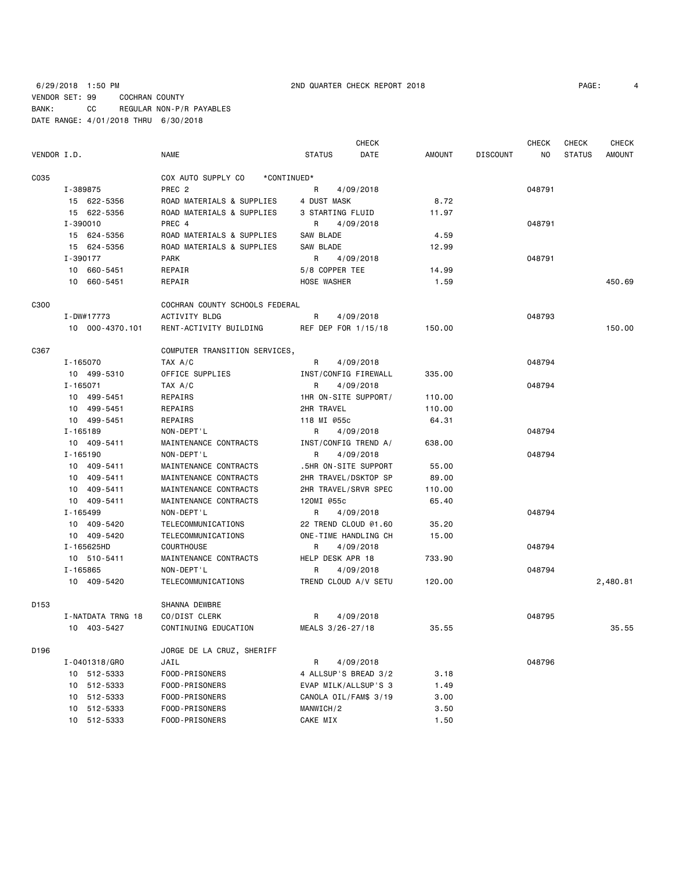6/29/2018 1:50 PM 2ND QUARTER CHECK REPORT 2018 PAGE: 4 VENDOR SET: 99 COCHRAN COUNTY BANK: CC REGULAR NON-P/R PAYABLES DATE RANGE: 4/01/2018 THRU 6/30/2018

|             |                   |                                   |                       | CHECK     |        |                 | <b>CHECK</b> | CHECK         | <b>CHECK</b>  |
|-------------|-------------------|-----------------------------------|-----------------------|-----------|--------|-----------------|--------------|---------------|---------------|
| VENDOR I.D. |                   | <b>NAME</b>                       | <b>STATUS</b>         | DATE      | AMOUNT | <b>DISCOUNT</b> | NO.          | <b>STATUS</b> | <b>AMOUNT</b> |
| C035        |                   | COX AUTO SUPPLY CO<br>*CONTINUED* |                       |           |        |                 |              |               |               |
|             | I-389875          | PREC <sub>2</sub>                 | R                     | 4/09/2018 |        |                 | 048791       |               |               |
|             | 15 622-5356       | ROAD MATERIALS & SUPPLIES         | 4 DUST MASK           |           | 8.72   |                 |              |               |               |
|             | 15 622-5356       | ROAD MATERIALS & SUPPLIES         | 3 STARTING FLUID      |           | 11.97  |                 |              |               |               |
|             | I-390010          | PREC 4                            | R                     | 4/09/2018 |        |                 | 048791       |               |               |
|             | 15 624-5356       | ROAD MATERIALS & SUPPLIES         | SAW BLADE             |           | 4.59   |                 |              |               |               |
|             | 15 624-5356       | ROAD MATERIALS & SUPPLIES         | SAW BLADE             |           | 12.99  |                 |              |               |               |
|             | I-390177          | <b>PARK</b>                       | R                     | 4/09/2018 |        |                 | 048791       |               |               |
|             | 10 660-5451       | REPAIR                            | 5/8 COPPER TEE        |           | 14.99  |                 |              |               |               |
|             | 10 660-5451       | REPAIR                            | HOSE WASHER           |           | 1.59   |                 |              |               | 450.69        |
| C300        |                   | COCHRAN COUNTY SCHOOLS FEDERAL    |                       |           |        |                 |              |               |               |
|             | I-DW#17773        | ACTIVITY BLDG                     | R                     | 4/09/2018 |        |                 | 048793       |               |               |
|             | 10 000-4370.101   | RENT-ACTIVITY BUILDING            | REF DEP FOR 1/15/18   |           | 150.00 |                 |              |               | 150.00        |
| C367        |                   | COMPUTER TRANSITION SERVICES,     |                       |           |        |                 |              |               |               |
|             | I-165070          | TAX A/C                           | R                     | 4/09/2018 |        |                 | 048794       |               |               |
|             | 10 499-5310       | OFFICE SUPPLIES                   | INST/CONFIG FIREWALL  |           | 335.00 |                 |              |               |               |
|             | I-165071          | TAX A/C                           | R                     | 4/09/2018 |        |                 | 048794       |               |               |
|             | 10 499-5451       | REPAIRS                           | 1HR ON-SITE SUPPORT/  |           | 110.00 |                 |              |               |               |
|             | 10 499-5451       | REPAIRS                           | 2HR TRAVEL            |           | 110.00 |                 |              |               |               |
|             | 10 499-5451       | REPAIRS                           | 118 MI @55c           |           | 64.31  |                 |              |               |               |
|             | I-165189          | NON-DEPT'L                        | R                     | 4/09/2018 |        |                 | 048794       |               |               |
|             | 10 409-5411       | MAINTENANCE CONTRACTS             | INST/CONFIG TREND A/  |           | 638.00 |                 |              |               |               |
|             | I-165190          | NON-DEPT'L                        | R                     | 4/09/2018 |        |                 | 048794       |               |               |
|             | 10 409-5411       | MAINTENANCE CONTRACTS             | .5HR ON-SITE SUPPORT  |           | 55.00  |                 |              |               |               |
|             | 10 409-5411       | MAINTENANCE CONTRACTS             | 2HR TRAVEL/DSKTOP SP  |           | 89.00  |                 |              |               |               |
|             | 10 409-5411       | MAINTENANCE CONTRACTS             | 2HR TRAVEL/SRVR SPEC  |           | 110.00 |                 |              |               |               |
|             | 10 409-5411       | MAINTENANCE CONTRACTS             | 120MI @55c            |           | 65.40  |                 |              |               |               |
|             | I-165499          | NON-DEPT'L                        | R                     | 4/09/2018 |        |                 | 048794       |               |               |
|             | 10 409-5420       | TELECOMMUNICATIONS                | 22 TREND CLOUD @1.60  |           | 35.20  |                 |              |               |               |
|             | 10 409-5420       | TELECOMMUNICATIONS                | ONE-TIME HANDLING CH  |           | 15.00  |                 |              |               |               |
|             | I-165625HD        | <b>COURTHOUSE</b>                 | R                     | 4/09/2018 |        |                 | 048794       |               |               |
|             | 10 510-5411       | MAINTENANCE CONTRACTS             | HELP DESK APR 18      |           | 733.90 |                 |              |               |               |
|             | I-165865          | NON-DEPT'L                        | R                     | 4/09/2018 |        |                 | 048794       |               |               |
|             | 10 409-5420       | TELECOMMUNICATIONS                | TREND CLOUD A/V SETU  |           | 120.00 |                 |              |               | 2,480.81      |
| D153        |                   | SHANNA DEWBRE                     |                       |           |        |                 |              |               |               |
|             | I-NATDATA TRNG 18 | CO/DIST CLERK                     | R                     | 4/09/2018 |        |                 | 048795       |               |               |
|             | 10 403-5427       | CONTINUING EDUCATION              | MEALS 3/26-27/18      |           | 35.55  |                 |              |               | 35.55         |
| D196        |                   | JORGE DE LA CRUZ, SHERIFF         |                       |           |        |                 |              |               |               |
|             | I-0401318/GRO     | JAIL                              | R                     | 4/09/2018 |        |                 | 048796       |               |               |
|             | 10 512-5333       | FOOD-PRISONERS                    | 4 ALLSUP'S BREAD 3/2  |           | 3.18   |                 |              |               |               |
|             | 512-5333<br>10    | FOOD-PRISONERS                    | EVAP MILK/ALLSUP'S 3  |           | 1.49   |                 |              |               |               |
|             | 10 512-5333       | FOOD-PRISONERS                    | CANOLA OIL/FAM\$ 3/19 |           | 3.00   |                 |              |               |               |
|             | 10 512-5333       | FOOD-PRISONERS                    | MANWICH/2             |           | 3.50   |                 |              |               |               |
|             | 10 512-5333       | FOOD-PRISONERS                    | CAKE MIX              |           | 1.50   |                 |              |               |               |
|             |                   |                                   |                       |           |        |                 |              |               |               |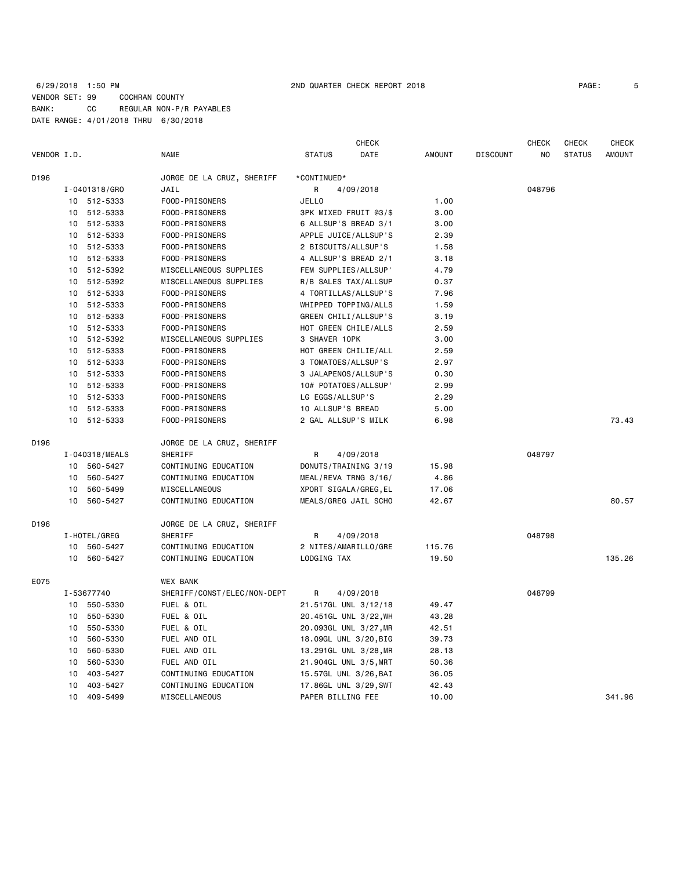## 6/29/2018 1:50 PM 2ND QUARTER CHECK REPORT 2018 PAGE: 5 VENDOR SET: 99 COCHRAN COUNTY BANK: CC REGULAR NON-P/R PAYABLES DATE RANGE: 4/01/2018 THRU 6/30/2018

|             |                 |                |                             |                   | <b>CHECK</b>          |               |                 | <b>CHECK</b>   | <b>CHECK</b>  | <b>CHECK</b>  |
|-------------|-----------------|----------------|-----------------------------|-------------------|-----------------------|---------------|-----------------|----------------|---------------|---------------|
| VENDOR I.D. |                 |                | <b>NAME</b>                 | <b>STATUS</b>     | <b>DATE</b>           | <b>AMOUNT</b> | <b>DISCOUNT</b> | N <sub>O</sub> | <b>STATUS</b> | <b>AMOUNT</b> |
| D196        |                 |                | JORGE DE LA CRUZ, SHERIFF   | *CONTINUED*       |                       |               |                 |                |               |               |
|             |                 | I-0401318/GRO  | JAIL                        | R                 | 4/09/2018             |               |                 | 048796         |               |               |
|             |                 | 10 512-5333    | FOOD-PRISONERS              | <b>JELLO</b>      |                       | 1.00          |                 |                |               |               |
|             | 10              | 512-5333       | FOOD-PRISONERS              |                   | 3PK MIXED FRUIT @3/\$ | 3.00          |                 |                |               |               |
|             | 10              | 512-5333       | FOOD-PRISONERS              |                   | 6 ALLSUP'S BREAD 3/1  | 3.00          |                 |                |               |               |
|             |                 | 10 512-5333    | FOOD-PRISONERS              |                   | APPLE JUICE/ALLSUP'S  | 2.39          |                 |                |               |               |
|             | 10              | 512-5333       | FOOD-PRISONERS              |                   | 2 BISCUITS/ALLSUP'S   | 1.58          |                 |                |               |               |
|             | 10              | 512-5333       | FOOD-PRISONERS              |                   | 4 ALLSUP'S BREAD 2/1  | 3.18          |                 |                |               |               |
|             | 10              | 512-5392       | MISCELLANEOUS SUPPLIES      |                   | FEM SUPPLIES/ALLSUP'  | 4.79          |                 |                |               |               |
|             | 10              | 512-5392       | MISCELLANEOUS SUPPLIES      |                   | R/B SALES TAX/ALLSUP  | 0.37          |                 |                |               |               |
|             | 10 <sup>1</sup> | 512-5333       | FOOD-PRISONERS              |                   | 4 TORTILLAS/ALLSUP'S  | 7.96          |                 |                |               |               |
|             | 10              | 512-5333       | FOOD-PRISONERS              |                   | WHIPPED TOPPING/ALLS  | 1.59          |                 |                |               |               |
|             | 10              | 512-5333       | FOOD-PRISONERS              |                   | GREEN CHILI/ALLSUP'S  | 3.19          |                 |                |               |               |
|             | 10              | 512-5333       | FOOD-PRISONERS              |                   | HOT GREEN CHILE/ALLS  | 2.59          |                 |                |               |               |
|             | 10              | 512-5392       | MISCELLANEOUS SUPPLIES      | 3 SHAVER 10PK     |                       | 3.00          |                 |                |               |               |
|             | 10              | 512-5333       | FOOD-PRISONERS              |                   | HOT GREEN CHILIE/ALL  | 2.59          |                 |                |               |               |
|             | 10              | 512-5333       | FOOD-PRISONERS              |                   | 3 TOMATOES/ALLSUP'S   | 2.97          |                 |                |               |               |
|             | 10              | 512-5333       | FOOD-PRISONERS              |                   | 3 JALAPENOS/ALLSUP'S  | 0.30          |                 |                |               |               |
|             | 10              | 512-5333       | FOOD-PRISONERS              |                   | 10# POTATOES/ALLSUP'  | 2.99          |                 |                |               |               |
|             | 10              | 512-5333       | FOOD-PRISONERS              | LG EGGS/ALLSUP'S  |                       | 2.29          |                 |                |               |               |
|             | 10              | 512-5333       | FOOD-PRISONERS              | 10 ALLSUP'S BREAD |                       | 5.00          |                 |                |               |               |
|             | 10              | 512-5333       | FOOD-PRISONERS              |                   | 2 GAL ALLSUP'S MILK   | 6.98          |                 |                |               | 73.43         |
| D196        |                 |                | JORGE DE LA CRUZ, SHERIFF   |                   |                       |               |                 |                |               |               |
|             |                 | I-040318/MEALS | SHERIFF                     | R                 | 4/09/2018             |               |                 | 048797         |               |               |
|             |                 | 10 560-5427    | CONTINUING EDUCATION        |                   | DONUTS/TRAINING 3/19  | 15.98         |                 |                |               |               |
|             | 10              | 560-5427       | CONTINUING EDUCATION        |                   | MEAL/REVA TRNG 3/16/  | 4.86          |                 |                |               |               |
|             | 10              | 560-5499       | MISCELLANEOUS               |                   | XPORT SIGALA/GREG, EL | 17.06         |                 |                |               |               |
|             | 10              | 560-5427       | CONTINUING EDUCATION        |                   | MEALS/GREG JAIL SCHO  | 42.67         |                 |                |               | 80.57         |
| D196        |                 |                | JORGE DE LA CRUZ, SHERIFF   |                   |                       |               |                 |                |               |               |
|             |                 | I-HOTEL/GREG   | SHERIFF                     | R                 | 4/09/2018             |               |                 | 048798         |               |               |
|             |                 | 10 560-5427    | CONTINUING EDUCATION        |                   | 2 NITES/AMARILLO/GRE  | 115.76        |                 |                |               |               |
|             |                 | 10 560-5427    | CONTINUING EDUCATION        | LODGING TAX       |                       | 19.50         |                 |                |               | 135.26        |
| E075        |                 |                | <b>WEX BANK</b>             |                   |                       |               |                 |                |               |               |
|             |                 | I-53677740     | SHERIFF/CONST/ELEC/NON-DEPT | R                 | 4/09/2018             |               |                 | 048799         |               |               |
|             |                 | 10 550-5330    | FUEL & OIL                  |                   | 21.517GL UNL 3/12/18  | 49.47         |                 |                |               |               |
|             | 10              | 550-5330       | FUEL & OIL                  |                   | 20.451GL UNL 3/22, WH | 43.28         |                 |                |               |               |
|             | 10              | 550-5330       | FUEL & OIL                  |                   | 20.093GL UNL 3/27, MR | 42.51         |                 |                |               |               |
|             | 10              | 560-5330       | FUEL AND OIL                |                   | 18.09GL UNL 3/20, BIG | 39.73         |                 |                |               |               |
|             | 10              | 560-5330       | FUEL AND OIL                |                   | 13.291GL UNL 3/28, MR | 28.13         |                 |                |               |               |
|             | 10              | 560-5330       | FUEL AND OIL                |                   | 21.904GL UNL 3/5, MRT | 50.36         |                 |                |               |               |
|             | 10              | 403-5427       | CONTINUING EDUCATION        |                   | 15.57GL UNL 3/26, BAI | 36.05         |                 |                |               |               |
|             | 10              | 403-5427       | CONTINUING EDUCATION        |                   | 17.86GL UNL 3/29, SWT | 42.43         |                 |                |               |               |
|             | 10              | 409-5499       | MISCELLANEOUS               | PAPER BILLING FEE |                       | 10.00         |                 |                |               | 341.96        |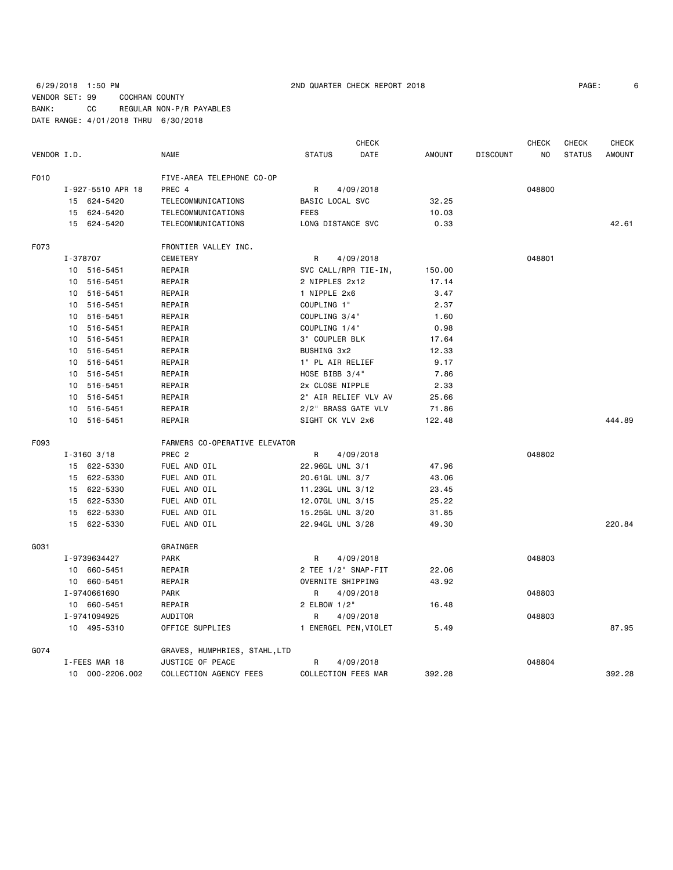## 6/29/2018 1:50 PM 2ND QUARTER CHECK REPORT 2018 PAGE: 6 VENDOR SET: 99 COCHRAN COUNTY BANK: CC REGULAR NON-P/R PAYABLES DATE RANGE: 4/01/2018 THRU 6/30/2018

| VENDOR I.D. |    |                   | <b>NAME</b>                   | <b>STATUS</b>     | DATE                  | <b>AMOUNT</b> | <b>DISCOUNT</b> | NO.    | <b>STATUS</b> | <b>AMOUNT</b> |
|-------------|----|-------------------|-------------------------------|-------------------|-----------------------|---------------|-----------------|--------|---------------|---------------|
| F010        |    |                   | FIVE-AREA TELEPHONE CO-OP     |                   |                       |               |                 |        |               |               |
|             |    | I-927-5510 APR 18 | PREC 4                        | R                 | 4/09/2018             |               |                 | 048800 |               |               |
|             |    | 15 624-5420       | TELECOMMUNICATIONS            | BASIC LOCAL SVC   |                       | 32.25         |                 |        |               |               |
|             |    | 15 624-5420       | TELECOMMUNICATIONS            | <b>FEES</b>       |                       | 10.03         |                 |        |               |               |
|             |    | 15 624-5420       | TELECOMMUNICATIONS            | LONG DISTANCE SVC |                       | 0.33          |                 |        |               | 42.61         |
| F073        |    |                   | FRONTIER VALLEY INC.          |                   |                       |               |                 |        |               |               |
|             |    | I-378707          | <b>CEMETERY</b>               | R                 | 4/09/2018             |               |                 | 048801 |               |               |
|             |    | 10 516-5451       | REPAIR                        |                   | SVC CALL/RPR TIE-IN,  | 150.00        |                 |        |               |               |
|             |    | 10 516-5451       | REPAIR                        | 2 NIPPLES 2x12    |                       | 17.14         |                 |        |               |               |
|             |    | 10 516-5451       | REPAIR                        | 1 NIPPLE 2x6      |                       | 3.47          |                 |        |               |               |
|             |    | 10 516-5451       | REPAIR                        | COUPLING 1"       |                       | 2.37          |                 |        |               |               |
|             |    | 10 516-5451       | REPAIR                        | COUPLING 3/4"     |                       | 1.60          |                 |        |               |               |
|             |    | 10 516-5451       | REPAIR                        | COUPLING 1/4"     |                       | 0.98          |                 |        |               |               |
|             |    | 10 516-5451       | REPAIR                        | 3" COUPLER BLK    |                       | 17.64         |                 |        |               |               |
|             |    | 10 516-5451       | REPAIR                        | BUSHING 3x2       |                       | 12.33         |                 |        |               |               |
|             |    | 10 516-5451       | REPAIR                        | 1" PL AIR RELIEF  |                       | 9.17          |                 |        |               |               |
|             |    | 10 516-5451       | REPAIR                        | HOSE BIBB 3/4"    |                       | 7.86          |                 |        |               |               |
|             |    | 10 516-5451       | REPAIR                        | 2x CLOSE NIPPLE   |                       | 2.33          |                 |        |               |               |
|             |    | 10 516-5451       | REPAIR                        |                   | 2" AIR RELIEF VLV AV  | 25.66         |                 |        |               |               |
|             |    | 10 516-5451       | REPAIR                        |                   | 2/2" BRASS GATE VLV   | 71.86         |                 |        |               |               |
|             |    | 10 516-5451       | REPAIR                        | SIGHT CK VLV 2x6  |                       | 122.48        |                 |        |               | 444.89        |
| F093        |    |                   | FARMERS CO-OPERATIVE ELEVATOR |                   |                       |               |                 |        |               |               |
|             |    | $I - 3160$ 3/18   | PREC <sub>2</sub>             | R                 | 4/09/2018             |               |                 | 048802 |               |               |
|             |    | 15 622-5330       | FUEL AND OIL                  | 22.96GL UNL 3/1   |                       | 47.96         |                 |        |               |               |
|             |    | 15 622-5330       | FUEL AND OIL                  | 20.61GL UNL 3/7   |                       | 43.06         |                 |        |               |               |
|             |    | 15 622-5330       | FUEL AND OIL                  | 11.23GL UNL 3/12  |                       | 23.45         |                 |        |               |               |
|             |    | 15 622-5330       | FUEL AND OIL                  | 12.07GL UNL 3/15  |                       | 25.22         |                 |        |               |               |
|             |    | 15 622-5330       | FUEL AND OIL                  | 15.25GL UNL 3/20  |                       | 31.85         |                 |        |               |               |
|             | 15 | 622-5330          | FUEL AND OIL                  | 22.94GL UNL 3/28  |                       | 49.30         |                 |        |               | 220.84        |
| GO31        |    |                   | GRAINGER                      |                   |                       |               |                 |        |               |               |
|             |    | I-9739634427      | <b>PARK</b>                   | R                 | 4/09/2018             |               |                 | 048803 |               |               |
|             |    | 10 660-5451       | REPAIR                        |                   | 2 TEE 1/2" SNAP-FIT   | 22.06         |                 |        |               |               |
|             |    | 10 660-5451       | REPAIR                        | OVERNITE SHIPPING |                       | 43.92         |                 |        |               |               |
|             |    | I-9740661690      | <b>PARK</b>                   | R                 | 4/09/2018             |               |                 | 048803 |               |               |
|             |    | 10 660-5451       | REPAIR                        | 2 ELBOW 1/2"      |                       | 16.48         |                 |        |               |               |
|             |    | I-9741094925      | AUDITOR                       | R                 | 4/09/2018             |               |                 | 048803 |               |               |
|             |    | 10 495-5310       | OFFICE SUPPLIES               |                   | 1 ENERGEL PEN, VIOLET | 5.49          |                 |        |               | 87.95         |
| G074        |    |                   | GRAVES, HUMPHRIES, STAHL, LTD |                   |                       |               |                 |        |               |               |
|             |    | I-FEES MAR 18     | JUSTICE OF PEACE              | R                 | 4/09/2018             |               |                 | 048804 |               |               |

10 000-2206.002 COLLECTION AGENCY FEES COLLECTION FEES MAR 392.28 392.28

CHECK CHECK CHECK CHECK CHECK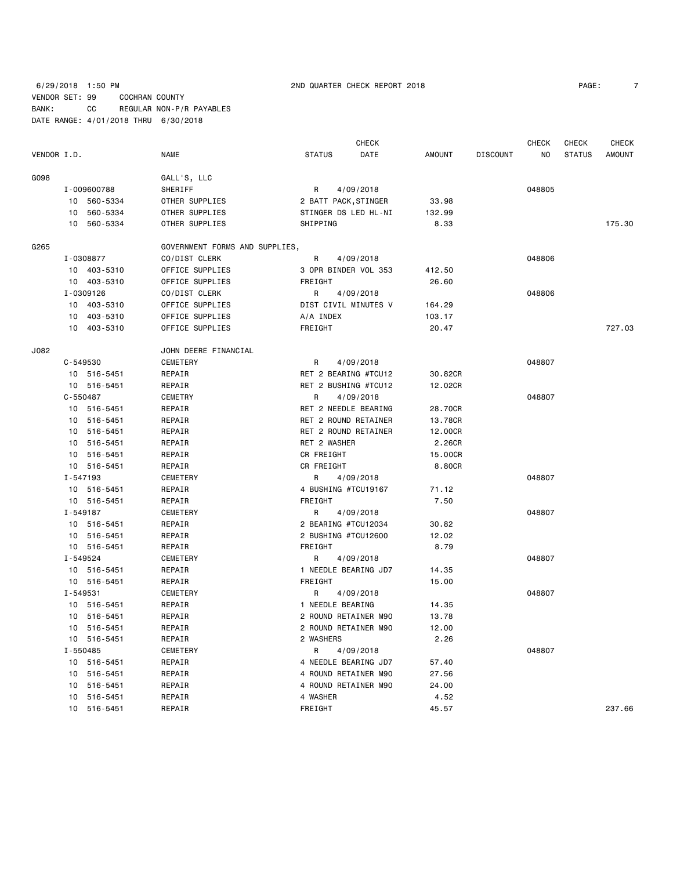## 6/29/2018 1:50 PM 2ND QUARTER CHECK REPORT 2018 PAGE: 7 VENDOR SET: 99 COCHRAN COUNTY BANK: CC REGULAR NON-P/R PAYABLES DATE RANGE: 4/01/2018 THRU 6/30/2018

| PAGE: |  |  |  |
|-------|--|--|--|
|       |  |  |  |
|       |  |  |  |
|       |  |  |  |

|             |              |             |                                |                      | <b>CHECK</b>         |               |                 | <b>CHECK</b> | <b>CHECK</b>  | <b>CHECK</b>  |
|-------------|--------------|-------------|--------------------------------|----------------------|----------------------|---------------|-----------------|--------------|---------------|---------------|
| VENDOR I.D. |              |             | <b>NAME</b>                    | <b>STATUS</b>        | DATE                 | <b>AMOUNT</b> | <b>DISCOUNT</b> | NO.          | <b>STATUS</b> | <b>AMOUNT</b> |
| G098        |              |             | GALL'S, LLC                    |                      |                      |               |                 |              |               |               |
|             |              | I-009600788 | SHERIFF                        | R                    | 4/09/2018            |               |                 | 048805       |               |               |
|             |              | 10 560-5334 | OTHER SUPPLIES                 | 2 BATT PACK, STINGER |                      | 33.98         |                 |              |               |               |
|             | 10           | 560-5334    | OTHER SUPPLIES                 | STINGER DS LED HL-NI |                      | 132.99        |                 |              |               |               |
|             |              | 10 560-5334 | OTHER SUPPLIES                 | SHIPPING             |                      | 8.33          |                 |              |               | 175.30        |
| G265        |              |             | GOVERNMENT FORMS AND SUPPLIES, |                      |                      |               |                 |              |               |               |
|             |              | I-0308877   | CO/DIST CLERK                  | R                    | 4/09/2018            |               |                 | 048806       |               |               |
|             |              | 10 403-5310 | OFFICE SUPPLIES                | 3 OPR BINDER VOL 353 |                      | 412.50        |                 |              |               |               |
|             |              | 10 403-5310 | OFFICE SUPPLIES                | FREIGHT              |                      | 26.60         |                 |              |               |               |
|             |              | I-0309126   | CO/DIST CLERK                  | R                    | 4/09/2018            |               |                 | 048806       |               |               |
|             |              | 10 403-5310 | OFFICE SUPPLIES                | DIST CIVIL MINUTES V |                      | 164.29        |                 |              |               |               |
|             |              | 10 403-5310 | OFFICE SUPPLIES                | A/A INDEX            |                      | 103.17        |                 |              |               |               |
|             |              | 10 403-5310 | OFFICE SUPPLIES                | FREIGHT              |                      | 20.47         |                 |              |               | 727.03        |
| J082        |              |             | JOHN DEERE FINANCIAL           |                      |                      |               |                 |              |               |               |
|             | $C - 549530$ |             | CEMETERY                       | R                    | 4/09/2018            |               |                 | 048807       |               |               |
|             |              | 10 516-5451 | REPAIR                         |                      | RET 2 BEARING #TCU12 | 30.82CR       |                 |              |               |               |
|             |              | 10 516-5451 | REPAIR                         | RET 2 BUSHING #TCU12 |                      | 12.02CR       |                 |              |               |               |
|             | $C - 550487$ |             | <b>CEMETRY</b>                 | R                    | 4/09/2018            |               |                 | 048807       |               |               |
|             |              | 10 516-5451 | REPAIR                         | RET 2 NEEDLE BEARING |                      | 28.70CR       |                 |              |               |               |
|             |              | 10 516-5451 | REPAIR                         | RET 2 ROUND RETAINER |                      | 13.78CR       |                 |              |               |               |
|             |              | 10 516-5451 | REPAIR                         | RET 2 ROUND RETAINER |                      | 12.00CR       |                 |              |               |               |
|             |              | 10 516-5451 | REPAIR                         | RET 2 WASHER         |                      | 2.26CR        |                 |              |               |               |
|             |              | 10 516-5451 | REPAIR                         | CR FREIGHT           |                      | 15.00CR       |                 |              |               |               |
|             |              | 10 516-5451 | REPAIR                         | CR FREIGHT           |                      | 8.80CR        |                 |              |               |               |
|             | I-547193     |             | CEMETERY                       | R                    | 4/09/2018            |               |                 | 048807       |               |               |
|             |              | 10 516-5451 | REPAIR                         | 4 BUSHING #TCU19167  |                      | 71.12         |                 |              |               |               |
|             |              | 10 516-5451 | REPAIR                         | FREIGHT              |                      | 7.50          |                 |              |               |               |
|             | I-549187     |             | CEMETERY                       | R                    | 4/09/2018            |               |                 | 048807       |               |               |
|             |              | 10 516-5451 | REPAIR                         | 2 BEARING #TCU12034  |                      | 30.82         |                 |              |               |               |
|             |              | 10 516-5451 | REPAIR                         | 2 BUSHING #TCU12600  |                      | 12.02         |                 |              |               |               |
|             |              | 10 516-5451 | REPAIR                         | FREIGHT              |                      | 8.79          |                 |              |               |               |
|             | I-549524     |             | CEMETERY                       | R                    | 4/09/2018            |               |                 | 048807       |               |               |
|             |              | 10 516-5451 | REPAIR                         | 1 NEEDLE BEARING JD7 |                      | 14.35         |                 |              |               |               |
|             |              | 10 516-5451 | REPAIR                         | FREIGHT              |                      | 15.00         |                 |              |               |               |
|             | I-549531     |             | CEMETERY                       | R                    | 4/09/2018            |               |                 | 048807       |               |               |
|             |              | 10 516-5451 | REPAIR                         | 1 NEEDLE BEARING     |                      | 14.35         |                 |              |               |               |
|             |              | 10 516-5451 | REPAIR                         | 2 ROUND RETAINER M90 |                      | 13.78         |                 |              |               |               |
|             |              | 10 516-5451 | REPAIR                         |                      | 2 ROUND RETAINER M90 | 12.00         |                 |              |               |               |
|             |              | 10 516-5451 | REPAIR                         | 2 WASHERS            |                      | 2.26          |                 |              |               |               |
|             |              | I-550485    | CEMETERY                       | R                    | 4/09/2018            |               |                 | 048807       |               |               |
|             |              | 10 516-5451 | REPAIR                         |                      | 4 NEEDLE BEARING JD7 | 57.40         |                 |              |               |               |
|             |              | 10 516-5451 | REPAIR                         | 4 ROUND RETAINER M90 |                      | 27.56         |                 |              |               |               |
|             |              | 10 516-5451 | REPAIR                         | 4 ROUND RETAINER M90 |                      | 24.00         |                 |              |               |               |
|             |              | 10 516-5451 | REPAIR                         | 4 WASHER             |                      | 4.52          |                 |              |               |               |
|             |              | 10 516-5451 | REPAIR                         | FREIGHT              |                      | 45.57         |                 |              |               | 237.66        |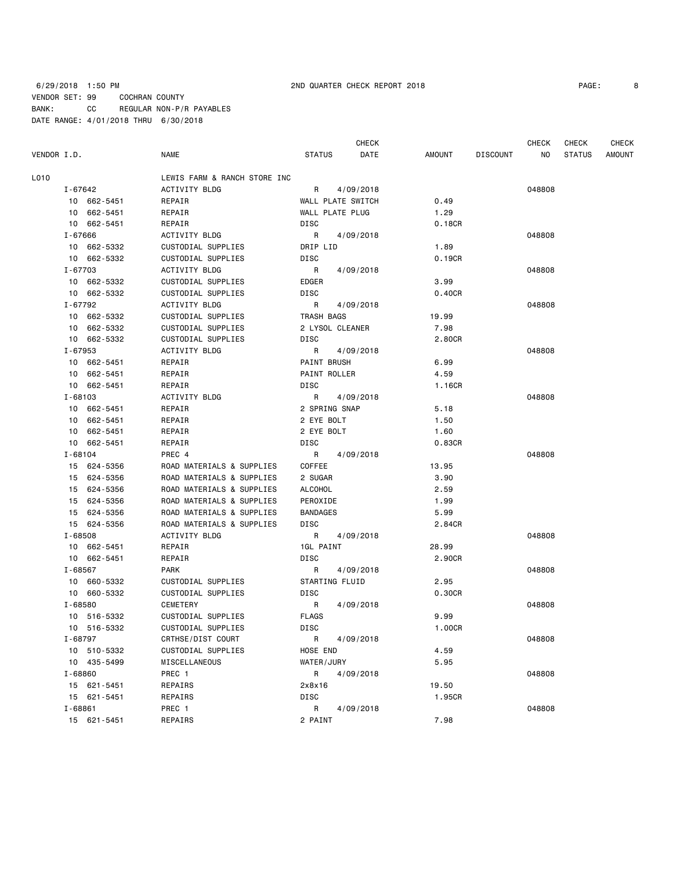CHECK CHECK CHECK CHECK VENDOR I.D. NAME STATUS DATE AMOUNT DISCOUNT NO STATUS AMOUNT L010 LEWIS FARM & RANCH STORE INC I-67642 ACTIVITY BLDG R 4/09/2018 048808 10 662-5451 REPAIR WALL PLATE SWITCH 0.49 10 662-5451 REPAIR WALL PLATE PLUG 1.29 10 662-5451 REPAIR DISC 0.18CR I-67666 ACTIVITY BLDG R 4/09/2018 048808 10 662-5332 CUSTODIAL SUPPLIES DRIP LID 1.89 10 662-5332 CUSTODIAL SUPPLIES DISC 0.19CR I-67703 ACTIVITY BLDG R 4/09/2018 048808 10 662-5332 CUSTODIAL SUPPLIES EDGER 3.99 10 662-5332 CUSTODIAL SUPPLIES DISC 0.40CR I-67792 ACTIVITY BLDG R 4/09/2018 048808 10 662-5332 CUSTODIAL SUPPLIES TRASH BAGS 19.99 10 662-5332 CUSTODIAL SUPPLIES 2 LYSOL CLEANER 7.98 10 662-5332 CUSTODIAL SUPPLIES DISC 2.80CR I-67953 ACTIVITY BLDG R 4/09/2018 048808 10 662-5451 REPAIR PAINT BRUSH 6.99 10 662-5451 REPAIR PAINT ROLLER 4.59 10 662-5451 REPAIR DISC 1.16CR I-68103 ACTIVITY BLDG R 4/09/2018 048808 10 662-5451 REPAIR 2 SPRING SNAP 5.18 10 662-5451 REPAIR 2 EYE BOLT 1.50 10 662-5451 REPAIR 2 EYE BOLT 1.60 10 662-5451 REPAIR DISC 0.83CR I-68104 PREC 4 R 4/09/2018 048808 15 624-5356 ROAD MATERIALS & SUPPLIES COFFEE 13.95 15 624-5356 ROAD MATERIALS & SUPPLIES 2 SUGAR 3.90 15 624-5356 ROAD MATERIALS & SUPPLIES ALCOHOL 2.59 15 624-5356 ROAD MATERIALS & SUPPLIES PEROXIDE 1.99 15 624-5356 ROAD MATERIALS & SUPPLIES BANDAGES 5.99 15 624-5356 ROAD MATERIALS & SUPPLIES DISC 2.84CR I-68508 ACTIVITY BLDG R 4/09/2018 048808 10 662-5451 REPAIR 1GL PAINT 28.99 10 662-5451 REPAIR DISC 2.90CR I-68567 PARK R 4/09/2018 048808 10 660-5332 CUSTODIAL SUPPLIES STARTING FLUID 2.95 10 660-5332 CUSTODIAL SUPPLIES DISC 0.30CR I-68580 CEMETERY R 4/09/2018 048808 10 516-5332 CUSTODIAL SUPPLIES FLAGS 9.99 10 516-5332 CUSTODIAL SUPPLIES DISC 1.00CR I-68797 CRTHSE/DIST COURT R 4/09/2018 COURT R 409/2018 10 510-5332 CUSTODIAL SUPPLIES HOSE END 4.59 10 435-5499 MISCELLANEOUS WATER/JURY 5.95 I-68860 PREC 1 R 4/09/2018 048808 15 621-5451 REPAIRS 2x8x16 19.50 15 621-5451 REPAIRS DISC 1.95CR I-68861 PREC 1 R 4/09/2018 048808 15 621-5451 REPAIRS 2 PAINT 7.98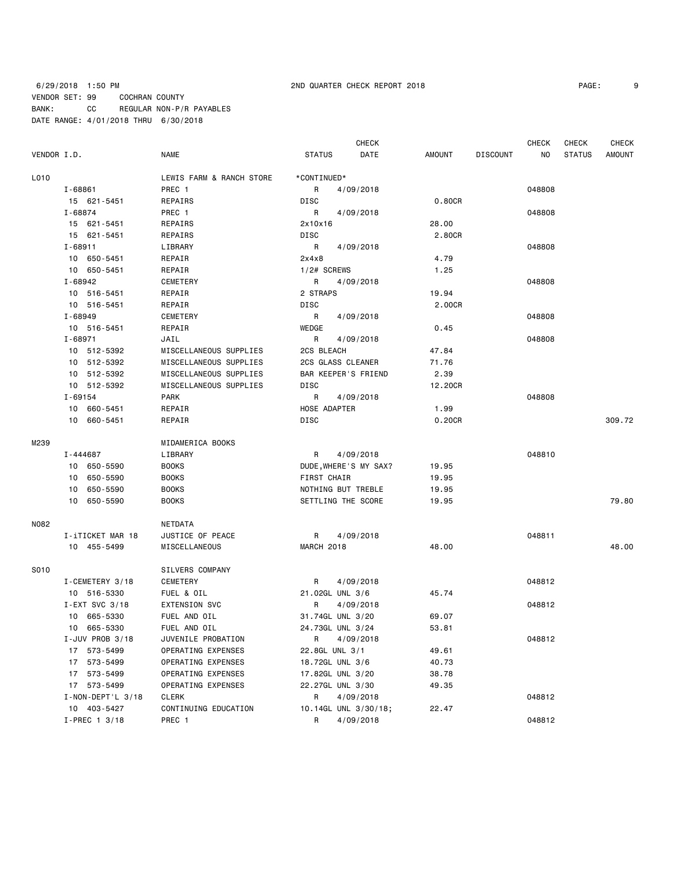## 6/29/2018 1:50 PM 2ND QUARTER CHECK REPORT 2018 PAGE: 9 VENDOR SET: 99 COCHRAN COUNTY BANK: CC REGULAR NON-P/R PAYABLES DATE RANGE: 4/01/2018 THRU 6/30/2018

CHECK CHECK CHECK CHECK

| VENDOR I.D. |             |             | NAME                     | <b>STATUS</b> | DATE                  | AMOUNT  | DISCOUNT | NO .   | STATUS | AMOUNT |
|-------------|-------------|-------------|--------------------------|---------------|-----------------------|---------|----------|--------|--------|--------|
| L010        |             |             | LEWIS FARM & RANCH STORE | *CONTINUED*   |                       |         |          |        |        |        |
|             | I-68861     |             | PREC 1                   | $\mathsf{R}$  | 4/09/2018             |         |          | 048808 |        |        |
|             |             | 15 621-5451 | REPAIRS                  | DISC          |                       | 0.80CR  |          |        |        |        |
|             | I-68874     |             | PREC 1                   | $\mathsf{R}$  | 4/09/2018             |         |          | 048808 |        |        |
|             |             | 15 621-5451 | REPAIRS                  | 2x10x16       |                       | 28.00   |          |        |        |        |
|             |             | 15 621-5451 | REPAIRS                  | DISC          |                       | 2.80CR  |          |        |        |        |
|             | I-68911     |             | LIBRARY                  | $\mathsf{R}$  | 4/09/2018             |         |          | 048808 |        |        |
|             |             | 10 650-5451 | REPAIR                   | 2x4x8         |                       | 4.79    |          |        |        |        |
|             |             | 10 650-5451 | REPAIR                   |               | 1/2# SCREWS           | 1.25    |          |        |        |        |
|             | I-68942     |             | CEMETERY                 | $\mathsf{R}$  | 4/09/2018             |         |          | 048808 |        |        |
|             |             | 10 516-5451 | REPAIR                   | 2 STRAPS      |                       | 19.94   |          |        |        |        |
|             |             | 10 516-5451 | REPAIR                   | DISC          |                       | 2.00CR  |          |        |        |        |
|             | I-68949     |             | CEMETERY                 | R             | 4/09/2018             |         |          | 048808 |        |        |
|             |             | 10 516-5451 | REPAIR                   | WEDGE         |                       | 0.45    |          |        |        |        |
|             | $I - 68971$ |             | JAIL                     | $\mathsf{R}$  | 4/09/2018             |         |          | 048808 |        |        |
|             |             | 10 512-5392 | MISCELLANEOUS SUPPLIES   | 2CS BLEACH    |                       | 47.84   |          |        |        |        |
|             |             | 10 512-5392 | MISCELLANEOUS SUPPLIES   |               | 2CS GLASS CLEANER     | 71.76   |          |        |        |        |
|             |             | 10 512-5392 | MISCELLANEOUS SUPPLIES   |               | BAR KEEPER'S FRIEND   | 2.39    |          |        |        |        |
|             |             | 10 512-5392 | MISCELLANEOUS SUPPLIES   | DISC          |                       | 12.20CR |          |        |        |        |
|             | I-69154     |             | PARK                     |               | R 4/09/2018           |         |          | 048808 |        |        |
|             |             | 10 660-5451 | REPAIR                   |               | HOSE ADAPTER          | 1.99    |          |        |        |        |
|             |             | 10 660-5451 | REPAIR                   | DISC          |                       | 0.20CR  |          |        |        | 309.72 |
| M239        |             |             | MIDAMERICA BOOKS         |               |                       |         |          |        |        |        |
|             |             | I-444687    | LIBRARY                  | R.            | 4/09/2018             |         |          | 048810 |        |        |
|             |             | 10 650-5590 | <b>BOOKS</b>             |               | DUDE, WHERE'S MY SAX? | 19.95   |          |        |        |        |
|             |             | 10 650-5590 | <b>BOOKS</b>             |               | FIRST CHAIR           | 19.95   |          |        |        |        |
|             |             | 10 650-5590 | <b>BOOKS</b>             |               | NOTHING BUT TREBLE    | 19.95   |          |        |        |        |

|      | 10 650-5590             | <b>BOOKS</b>              | SETTLING THE SCORE        | 19.95 |        | 79.80 |
|------|-------------------------|---------------------------|---------------------------|-------|--------|-------|
| N082 |                         | NETDATA                   |                           |       |        |       |
|      | I-iTICKET MAR 18        | JUSTICE OF PEACE          | $\mathsf{R}$<br>4/09/2018 |       | 048811 |       |
|      | 10 455-5499             | MISCELLANEOUS             | MARCH 2018                | 48.00 |        | 48.00 |
| S010 |                         | <b>SILVERS COMPANY</b>    |                           |       |        |       |
|      | I-CEMETERY 3/18         | CEMETERY                  | R<br>4/09/2018            |       | 048812 |       |
|      | 10 516-5330             | FUEL & OIL                | 21.02GL UNL 3/6           | 45.74 |        |       |
|      | $I-EXT$ SVC 3/18        | <b>EXTENSION SVC</b>      | $\mathsf{R}$<br>4/09/2018 |       | 048812 |       |
|      | 665-5330<br>10          | FUEL AND OIL              | 31.74GL UNL 3/20          | 69.07 |        |       |
|      | 665-5330<br>10          | FUEL AND OIL              | 24.73GL UNL 3/24          | 53.81 |        |       |
|      | I-JUV PROB 3/18         | JUVENILE PROBATION        | $\mathsf{R}$<br>4/09/2018 |       | 048812 |       |
|      | 573-5499<br>17          | <b>OPERATING EXPENSES</b> | 22.8GL UNL 3/1            | 49.61 |        |       |
|      | 573-5499<br>17          | OPERATING EXPENSES        | 18.72GL UNL 3/6           | 40.73 |        |       |
|      | 573-5499<br>17          | OPERATING EXPENSES        | 17.82GL UNL 3/20          | 38.78 |        |       |
|      | 573-5499<br>17          | OPERATING EXPENSES        | 22.27GL UNL 3/30          | 49.35 |        |       |
|      | $I - NON - DEPT'L 3/18$ | CLERK                     | $\mathsf{R}$<br>4/09/2018 |       | 048812 |       |
|      | 10 403-5427             | CONTINUING EDUCATION      | 10.14GL UNL 3/30/18;      | 22.47 |        |       |
|      | $I-PREC$ 1 3/18         | PREC <sub>1</sub>         | $\mathsf{R}$<br>4/09/2018 |       | 048812 |       |
|      |                         |                           |                           |       |        |       |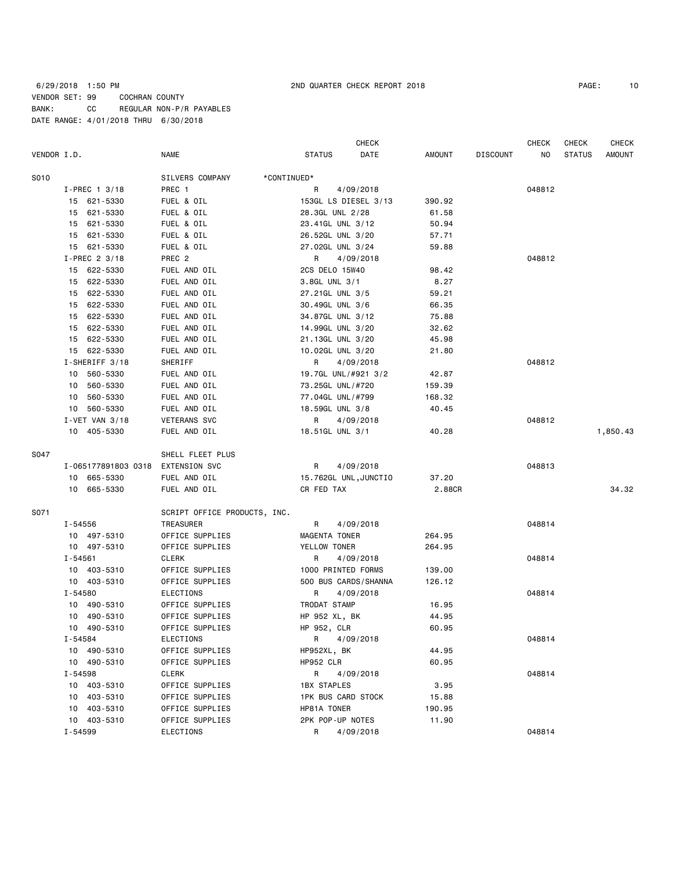|             |           |                     |                              |                           | <b>CHECK</b> |        |                 | <b>CHECK</b> | <b>CHECK</b>  | CHECK         |
|-------------|-----------|---------------------|------------------------------|---------------------------|--------------|--------|-----------------|--------------|---------------|---------------|
| VENDOR I.D. |           |                     | <b>NAME</b>                  | <b>STATUS</b>             | DATE         | AMOUNT | <b>DISCOUNT</b> | NO           | <b>STATUS</b> | <b>AMOUNT</b> |
| S010        |           |                     | SILVERS COMPANY              | *CONTINUED*               |              |        |                 |              |               |               |
|             |           | $I-PREC$ 1 3/18     | PREC 1                       | R                         | 4/09/2018    |        |                 | 048812       |               |               |
|             |           | 15 621-5330         | FUEL & OIL                   | 153GL LS DIESEL 3/13      |              | 390.92 |                 |              |               |               |
|             |           | 15 621-5330         | FUEL & OIL                   | 28.3GL UNL 2/28           |              | 61.58  |                 |              |               |               |
|             |           | 15 621-5330         | FUEL & OIL                   | 23.41GL UNL 3/12          |              | 50.94  |                 |              |               |               |
|             |           | 15 621-5330         | FUEL & OIL                   | 26.52GL UNL 3/20          |              | 57.71  |                 |              |               |               |
|             |           | 15 621-5330         | FUEL & OIL                   | 27.02GL UNL 3/24          |              | 59.88  |                 |              |               |               |
|             |           | I-PREC 2 3/18       | PREC 2                       | R                         | 4/09/2018    |        |                 | 048812       |               |               |
|             |           | 15 622-5330         | FUEL AND OIL                 | 2CS DELO 15W40            |              | 98.42  |                 |              |               |               |
|             |           | 15 622-5330         | FUEL AND OIL                 | 3.8GL UNL 3/1             |              | 8.27   |                 |              |               |               |
|             |           | 15 622-5330         | FUEL AND OIL                 | 27.21GL UNL 3/5           |              | 59.21  |                 |              |               |               |
|             |           | 15 622-5330         | FUEL AND OIL                 | 30.49GL UNL 3/6           |              | 66.35  |                 |              |               |               |
|             |           | 15 622-5330         | FUEL AND OIL                 | 34.87GL UNL 3/12          |              | 75.88  |                 |              |               |               |
|             |           | 15 622-5330         | FUEL AND OIL                 | 14.99GL UNL 3/20          |              | 32.62  |                 |              |               |               |
|             |           | 15 622-5330         | FUEL AND OIL                 | 21.13GL UNL 3/20          |              | 45.98  |                 |              |               |               |
|             |           | 15 622-5330         | FUEL AND OIL                 | 10.02GL UNL 3/20          |              | 21.80  |                 |              |               |               |
|             |           | I-SHERIFF 3/18      | SHERIFF                      | R                         | 4/09/2018    |        |                 | 048812       |               |               |
|             | 10        | 560-5330            | FUEL AND OIL                 | 19.7GL UNL/#921 3/2       |              | 42.87  |                 |              |               |               |
|             | 10        | 560-5330            | FUEL AND OIL                 | 73.25GL UNL/#720          |              | 159.39 |                 |              |               |               |
|             | 10        | 560-5330            | FUEL AND OIL                 | 77.04GL UNL/#799          |              | 168.32 |                 |              |               |               |
|             |           | 10 560-5330         | FUEL AND OIL                 | 18.59GL UNL 3/8           |              | 40.45  |                 |              |               |               |
|             |           | $I - VET$ VAN 3/18  | <b>VETERANS SVC</b>          | R                         | 4/09/2018    |        |                 | 048812       |               |               |
|             |           | 10 405-5330         | FUEL AND OIL                 | 18.51GL UNL 3/1           |              | 40.28  |                 |              |               | 1,850.43      |
| S047        |           |                     | SHELL FLEET PLUS             |                           |              |        |                 |              |               |               |
|             |           | I-065177891803 0318 | <b>EXTENSION SVC</b>         | R                         | 4/09/2018    |        |                 | 048813       |               |               |
|             |           | 10 665-5330         | FUEL AND OIL                 | 15.762GL UNL, JUNCTIO     |              | 37.20  |                 |              |               |               |
|             |           | 10 665-5330         | FUEL AND OIL                 | CR FED TAX                |              | 2.88CR |                 |              |               | 34.32         |
| S071        |           |                     | SCRIPT OFFICE PRODUCTS, INC. |                           |              |        |                 |              |               |               |
|             | I-54556   |                     | TREASURER                    | R                         | 4/09/2018    |        |                 | 048814       |               |               |
|             |           | 10 497-5310         | OFFICE SUPPLIES              | MAGENTA TONER             |              | 264.95 |                 |              |               |               |
|             |           | 10 497-5310         | OFFICE SUPPLIES              | YELLOW TONER              |              | 264.95 |                 |              |               |               |
|             | I-54561   |                     | <b>CLERK</b>                 | R                         | 4/09/2018    |        |                 | 048814       |               |               |
|             |           | 10 403-5310         | OFFICE SUPPLIES              | 1000 PRINTED FORMS        |              | 139.00 |                 |              |               |               |
|             |           | 10 403-5310         | OFFICE SUPPLIES              | 500 BUS CARDS/SHANNA      |              | 126.12 |                 |              |               |               |
|             | I-54580   |                     | ELECTIONS                    | R                         | 4/09/2018    |        |                 | 048814       |               |               |
|             |           | 10 490-5310         | OFFICE SUPPLIES              | TRODAT STAMP              |              | 16.95  |                 |              |               |               |
|             |           | 10 490-5310         | OFFICE SUPPLIES              | HP 952 XL, BK             |              | 44.95  |                 |              |               |               |
|             |           | 10 490-5310         | OFFICE SUPPLIES              | HP 952, CLR               |              | 60.95  |                 |              |               |               |
|             | I - 54584 |                     | ELECTIONS                    | R 4/09/2018               |              |        |                 | 048814       |               |               |
|             |           | 10 490-5310         | OFFICE SUPPLIES              | HP952XL, BK               |              | 44.95  |                 |              |               |               |
|             |           | 10 490-5310         | OFFICE SUPPLIES              | HP952 CLR                 |              | 60.95  |                 |              |               |               |
|             | I-54598   |                     | CLERK                        | R                         | 4/09/2018    |        |                 | 048814       |               |               |
|             |           | 10 403-5310         | OFFICE SUPPLIES              | 1BX STAPLES               |              | 3.95   |                 |              |               |               |
|             |           | 10 403-5310         | OFFICE SUPPLIES              | <b>1PK BUS CARD STOCK</b> |              | 15.88  |                 |              |               |               |
|             |           | 10 403-5310         | OFFICE SUPPLIES              | HP81A TONER               |              | 190.95 |                 |              |               |               |
|             |           | 10 403-5310         | OFFICE SUPPLIES              | 2PK POP-UP NOTES          |              | 11.90  |                 |              |               |               |
|             | I-54599   |                     | ELECTIONS                    |                           | R 4/09/2018  |        |                 | 048814       |               |               |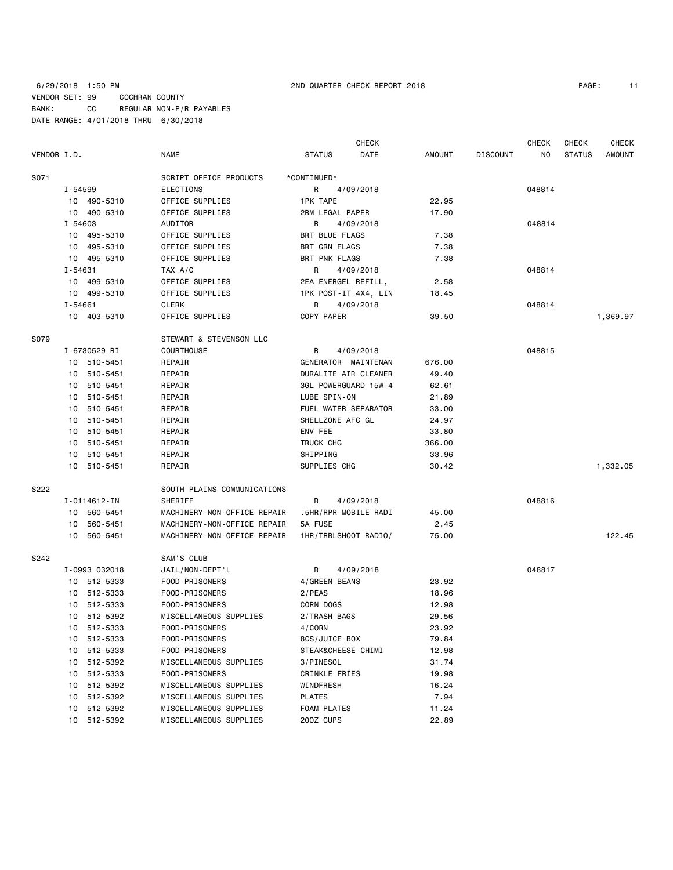|             |               |                             | <b>CHECK</b>          |               |                 | <b>CHECK</b> | CHECK         | <b>CHECK</b>  |
|-------------|---------------|-----------------------------|-----------------------|---------------|-----------------|--------------|---------------|---------------|
| VENDOR I.D. |               | <b>NAME</b>                 | <b>STATUS</b><br>DATE | <b>AMOUNT</b> | <b>DISCOUNT</b> | NO           | <b>STATUS</b> | <b>AMOUNT</b> |
| S071        |               | SCRIPT OFFICE PRODUCTS      | *CONTINUED*           |               |                 |              |               |               |
|             | I-54599       | <b>ELECTIONS</b>            | 4/09/2018<br>R        |               |                 | 048814       |               |               |
|             | 10 490-5310   | OFFICE SUPPLIES             | <b>1PK TAPE</b>       | 22.95         |                 |              |               |               |
|             | 10 490-5310   | OFFICE SUPPLIES             | 2RM LEGAL PAPER       | 17.90         |                 |              |               |               |
|             | $I - 54603$   | <b>AUDITOR</b>              | R<br>4/09/2018        |               |                 | 048814       |               |               |
|             | 10 495-5310   | OFFICE SUPPLIES             | <b>BRT BLUE FLAGS</b> | 7.38          |                 |              |               |               |
|             | 10 495-5310   | OFFICE SUPPLIES             | <b>BRT GRN FLAGS</b>  | 7.38          |                 |              |               |               |
|             | 10 495-5310   | OFFICE SUPPLIES             | <b>BRT PNK FLAGS</b>  | 7.38          |                 |              |               |               |
|             | I-54631       | TAX A/C                     | R<br>4/09/2018        |               |                 | 048814       |               |               |
|             | 10 499-5310   | OFFICE SUPPLIES             | 2EA ENERGEL REFILL,   | 2.58          |                 |              |               |               |
|             | 10 499-5310   | OFFICE SUPPLIES             | 1PK POST-IT 4X4, LIN  | 18.45         |                 |              |               |               |
|             | $I - 54661$   | <b>CLERK</b>                | 4/09/2018<br>R        |               |                 | 048814       |               |               |
|             | 10 403-5310   | OFFICE SUPPLIES             | COPY PAPER            | 39.50         |                 |              |               | 1,369.97      |
| S079        |               | STEWART & STEVENSON LLC     |                       |               |                 |              |               |               |
|             | I-6730529 RI  | COURTHOUSE                  | 4/09/2018<br>R        |               |                 | 048815       |               |               |
|             | 10 510-5451   | REPAIR                      | GENERATOR MAINTENAN   | 676.00        |                 |              |               |               |
| 10          | 510-5451      | REPAIR                      | DURALITE AIR CLEANER  | 49.40         |                 |              |               |               |
| 10          | 510-5451      | REPAIR                      | 3GL POWERGUARD 15W-4  | 62.61         |                 |              |               |               |
| 10          | 510-5451      | REPAIR                      | LUBE SPIN-ON          | 21.89         |                 |              |               |               |
| 10          | 510-5451      | REPAIR                      | FUEL WATER SEPARATOR  | 33.00         |                 |              |               |               |
| 10          | 510-5451      | REPAIR                      | SHELLZONE AFC GL      | 24.97         |                 |              |               |               |
| 10          | 510-5451      | REPAIR                      | ENV FEE               | 33.80         |                 |              |               |               |
| 10          | 510-5451      | REPAIR                      | TRUCK CHG             | 366.00        |                 |              |               |               |
| 10          | 510-5451      | REPAIR                      | SHIPPING              | 33.96         |                 |              |               |               |
| 10          | 510-5451      | REPAIR                      | SUPPLIES CHG          | 30.42         |                 |              |               | 1,332.05      |
| S222        |               | SOUTH PLAINS COMMUNICATIONS |                       |               |                 |              |               |               |
|             | I-0114612-IN  | SHERIFF                     | R<br>4/09/2018        |               |                 | 048816       |               |               |
|             | 10 560-5451   | MACHINERY-NON-OFFICE REPAIR | .5HR/RPR MOBILE RADI  | 45.00         |                 |              |               |               |
| 10          | 560-5451      | MACHINERY-NON-OFFICE REPAIR | 5A FUSE               | 2.45          |                 |              |               |               |
|             | 10 560-5451   | MACHINERY-NON-OFFICE REPAIR | 1HR/TRBLSHOOT RADIO/  | 75.00         |                 |              |               | 122.45        |
| S242        |               | SAM'S CLUB                  |                       |               |                 |              |               |               |
|             | I-0993 032018 | JAIL/NON-DEPT'L             | R<br>4/09/2018        |               |                 | 048817       |               |               |
|             | 10 512-5333   | FOOD-PRISONERS              | 4/GREEN BEANS         | 23.92         |                 |              |               |               |
|             | 10 512-5333   | FOOD-PRISONERS              | $2$ /PEAS             | 18.96         |                 |              |               |               |
|             | 10 512-5333   | FOOD-PRISONERS              | CORN DOGS             | 12.98         |                 |              |               |               |
|             | 10 512-5392   | MISCELLANEOUS SUPPLIES      | 2/TRASH BAGS          | 29.56         |                 |              |               |               |
|             | 10 512-5333   | FOOD-PRISONERS              | 4/CORN                | 23.92         |                 |              |               |               |
|             | 10 512-5333   | FOOD-PRISONERS              | 8CS/JUICE BOX         | 79.84         |                 |              |               |               |
|             | 10 512-5333   | FOOD-PRISONERS              | STEAK&CHEESE CHIMI    | 12.98         |                 |              |               |               |
| 10          | 512-5392      | MISCELLANEOUS SUPPLIES      | 3/PINESOL             | 31.74         |                 |              |               |               |
| 10          | 512-5333      | FOOD-PRISONERS              | <b>CRINKLE FRIES</b>  | 19.98         |                 |              |               |               |
| 10          | 512-5392      | MISCELLANEOUS SUPPLIES      | WINDFRESH             | 16.24         |                 |              |               |               |
| 10          | 512-5392      | MISCELLANEOUS SUPPLIES      | <b>PLATES</b>         | 7.94          |                 |              |               |               |
|             | 10 512-5392   | MISCELLANEOUS SUPPLIES      | <b>FOAM PLATES</b>    | 11.24         |                 |              |               |               |

10 512-5392 MISCELLANEOUS SUPPLIES 20OZ CUPS 22.89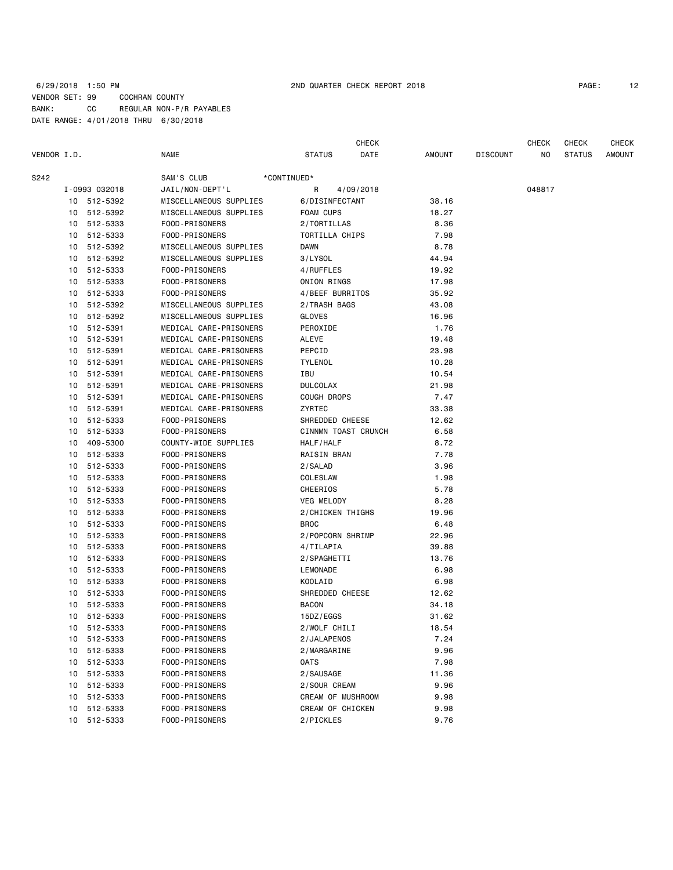## 6/29/2018 1:50 PM 2ND QUARTER CHECK REPORT 2018 PAGE: 12 VENDOR SET: 99 COCHRAN COUNTY BANK: CC REGULAR NON-P/R PAYABLES DATE RANGE: 4/01/2018 THRU 6/30/2018

|             |    |               |                        |             |                     | CHECK     |        |                 | <b>CHECK</b> | <b>CHECK</b>  | <b>CHECK</b>  |
|-------------|----|---------------|------------------------|-------------|---------------------|-----------|--------|-----------------|--------------|---------------|---------------|
| VENDOR I.D. |    |               | NAME                   |             | <b>STATUS</b>       | DATE      | AMOUNT | <b>DISCOUNT</b> | NO           | <b>STATUS</b> | <b>AMOUNT</b> |
| S242        |    |               | SAM'S CLUB             | *CONTINUED* |                     |           |        |                 |              |               |               |
|             |    | I-0993 032018 | JAIL/NON-DEPT'L        |             | R                   | 4/09/2018 |        |                 | 048817       |               |               |
|             |    | 10 512-5392   | MISCELLANEOUS SUPPLIES |             | 6/DISINFECTANT      |           | 38.16  |                 |              |               |               |
|             | 10 | 512-5392      | MISCELLANEOUS SUPPLIES |             | FOAM CUPS           |           | 18.27  |                 |              |               |               |
|             | 10 | 512-5333      | FOOD-PRISONERS         |             | 2/TORTILLAS         |           | 8.36   |                 |              |               |               |
|             | 10 | 512-5333      | FOOD-PRISONERS         |             | TORTILLA CHIPS      |           | 7.98   |                 |              |               |               |
|             | 10 | 512-5392      | MISCELLANEOUS SUPPLIES |             | Dawn                |           | 8.78   |                 |              |               |               |
|             | 10 | 512-5392      | MISCELLANEOUS SUPPLIES |             | 3/LYSOL             |           | 44.94  |                 |              |               |               |
|             | 10 | 512-5333      | FOOD-PRISONERS         |             | 4/RUFFLES           |           | 19.92  |                 |              |               |               |
|             | 10 | 512-5333      | FOOD-PRISONERS         |             | ONION RINGS         |           | 17.98  |                 |              |               |               |
|             | 10 | 512-5333      | FOOD-PRISONERS         |             | 4/BEEF BURRITOS     |           | 35.92  |                 |              |               |               |
|             | 10 | 512-5392      | MISCELLANEOUS SUPPLIES |             | 2/TRASH BAGS        |           | 43.08  |                 |              |               |               |
|             | 10 | 512-5392      | MISCELLANEOUS SUPPLIES |             | GLOVES              |           | 16.96  |                 |              |               |               |
|             | 10 | 512-5391      | MEDICAL CARE-PRISONERS |             | PEROXIDE            |           | 1.76   |                 |              |               |               |
|             | 10 | 512-5391      | MEDICAL CARE-PRISONERS |             | ALEVE               |           | 19.48  |                 |              |               |               |
|             | 10 | 512-5391      | MEDICAL CARE-PRISONERS |             | PEPCID              |           | 23.98  |                 |              |               |               |
|             | 10 | 512-5391      | MEDICAL CARE-PRISONERS |             | <b>TYLENOL</b>      |           | 10.28  |                 |              |               |               |
|             | 10 | 512-5391      | MEDICAL CARE-PRISONERS |             | IBU                 |           | 10.54  |                 |              |               |               |
|             | 10 | 512-5391      | MEDICAL CARE-PRISONERS |             | <b>DULCOLAX</b>     |           | 21.98  |                 |              |               |               |
|             | 10 | 512-5391      | MEDICAL CARE-PRISONERS |             | COUGH DROPS         |           | 7.47   |                 |              |               |               |
|             | 10 | 512-5391      | MEDICAL CARE-PRISONERS |             | ZYRTEC              |           | 33.38  |                 |              |               |               |
|             | 10 | 512-5333      | FOOD-PRISONERS         |             | SHREDDED CHEESE     |           | 12.62  |                 |              |               |               |
|             | 10 | 512-5333      | FOOD-PRISONERS         |             | CINNMN TOAST CRUNCH |           | 6.58   |                 |              |               |               |
|             | 10 | 409-5300      | COUNTY-WIDE SUPPLIES   |             | HALF/HALF           |           | 8.72   |                 |              |               |               |
|             | 10 | 512-5333      | FOOD-PRISONERS         |             | RAISIN BRAN         |           | 7.78   |                 |              |               |               |
|             | 10 | 512-5333      | FOOD-PRISONERS         |             | 2/SALAD             |           | 3.96   |                 |              |               |               |
|             | 10 | 512-5333      | FOOD-PRISONERS         |             | COLESLAW            |           | 1.98   |                 |              |               |               |
|             | 10 | 512-5333      | FOOD-PRISONERS         |             | CHEERIOS            |           | 5.78   |                 |              |               |               |
|             | 10 | 512-5333      | FOOD-PRISONERS         |             | <b>VEG MELODY</b>   |           | 8.28   |                 |              |               |               |
|             | 10 | 512-5333      | FOOD-PRISONERS         |             | 2/CHICKEN THIGHS    |           | 19.96  |                 |              |               |               |
|             | 10 | 512-5333      | FOOD-PRISONERS         |             | BROC                |           | 6.48   |                 |              |               |               |
|             | 10 | 512-5333      | FOOD-PRISONERS         |             | 2/POPCORN SHRIMP    |           | 22.96  |                 |              |               |               |
|             | 10 | 512-5333      | FOOD-PRISONERS         |             | 4/TILAPIA           |           | 39.88  |                 |              |               |               |
|             | 10 | 512-5333      | FOOD-PRISONERS         |             | 2/SPAGHETTI         |           | 13.76  |                 |              |               |               |
|             | 10 | 512-5333      | FOOD-PRISONERS         |             | LEMONADE            |           | 6.98   |                 |              |               |               |
|             | 10 | 512-5333      | FOOD-PRISONERS         |             | <b>KOOLAID</b>      |           | 6.98   |                 |              |               |               |
|             | 10 | 512-5333      | FOOD-PRISONERS         |             | SHREDDED CHEESE     |           | 12.62  |                 |              |               |               |
|             | 10 | 512-5333      | FOOD-PRISONERS         |             | <b>BACON</b>        |           | 34.18  |                 |              |               |               |
|             | 10 | 512-5333      | FOOD-PRISONERS         |             | 15DZ/EGGS           |           | 31.62  |                 |              |               |               |
|             | 10 | 512-5333      | FOOD-PRISONERS         |             | 2/WOLF CHILI        |           | 18.54  |                 |              |               |               |
|             | 10 | 512-5333      | FOOD-PRISONERS         |             | 2/JALAPENOS         |           | 7.24   |                 |              |               |               |
|             | 10 | 512-5333      | FOOD-PRISONERS         |             | 2/MARGARINE         |           | 9.96   |                 |              |               |               |
|             | 10 | 512-5333      | FOOD-PRISONERS         |             | 0ATS                |           | 7.98   |                 |              |               |               |
|             | 10 | 512-5333      | FOOD-PRISONERS         |             | 2/SAUSAGE           |           | 11.36  |                 |              |               |               |
|             | 10 | 512-5333      | FOOD-PRISONERS         |             | 2/SOUR CREAM        |           | 9.96   |                 |              |               |               |
|             | 10 | 512-5333      | FOOD-PRISONERS         |             | CREAM OF MUSHROOM   |           | 9.98   |                 |              |               |               |
|             | 10 | 512-5333      | FOOD-PRISONERS         |             | CREAM OF CHICKEN    |           | 9.98   |                 |              |               |               |
|             | 10 | 512-5333      | FOOD-PRISONERS         |             | 2/PICKLES           |           | 9.76   |                 |              |               |               |
|             |    |               |                        |             |                     |           |        |                 |              |               |               |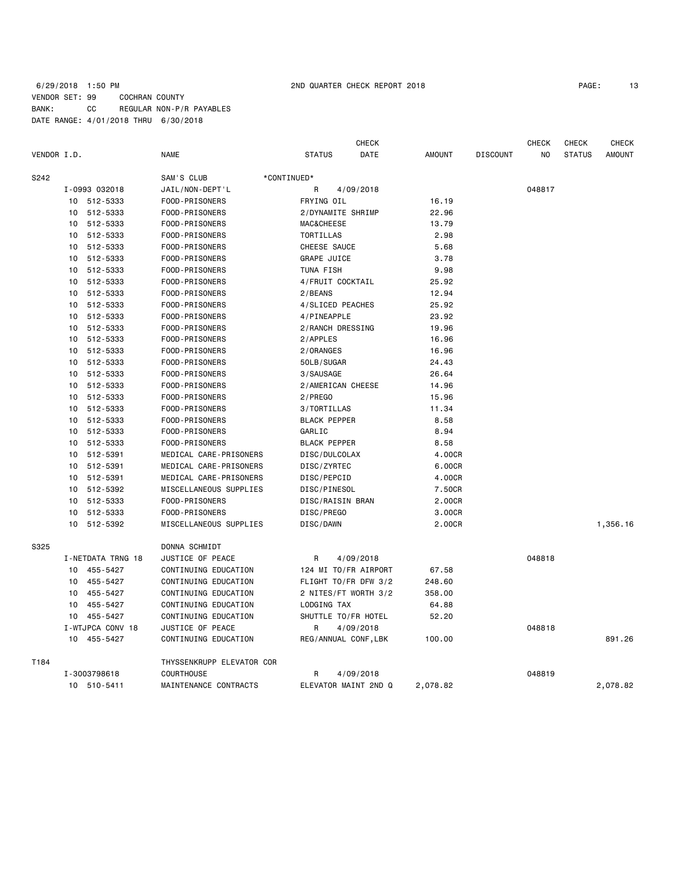# 6/29/2018 1:50 PM 2ND QUARTER CHECK REPORT 2018 PAGE: 13 VENDOR SET: 99 COCHRAN COUNTY BANK: CC REGULAR NON-P/R PAYABLES DATE RANGE: 4/01/2018 THRU 6/30/2018

| PAGE: | × |
|-------|---|
|-------|---|

|             |                   |                           | <b>CHECK</b>          |               |                 | <b>CHECK</b> | <b>CHECK</b>  | <b>CHECK</b>  |
|-------------|-------------------|---------------------------|-----------------------|---------------|-----------------|--------------|---------------|---------------|
| VENDOR I.D. |                   | <b>NAME</b>               | <b>STATUS</b><br>DATE | <b>AMOUNT</b> | <b>DISCOUNT</b> | NO.          | <b>STATUS</b> | <b>AMOUNT</b> |
| S242        |                   | SAM'S CLUB                | *CONTINUED*           |               |                 |              |               |               |
|             | I-0993 032018     | JAIL/NON-DEPT'L           | R<br>4/09/2018        |               |                 | 048817       |               |               |
|             | 10 512-5333       | FOOD-PRISONERS            | FRYING OIL            | 16.19         |                 |              |               |               |
|             | 512-5333<br>10    | FOOD-PRISONERS            | 2/DYNAMITE SHRIMP     | 22.96         |                 |              |               |               |
|             | 512-5333<br>10    | FOOD-PRISONERS            | <b>MAC&amp;CHEESE</b> | 13.79         |                 |              |               |               |
|             | 512-5333<br>10    | FOOD-PRISONERS            | TORTILLAS             | 2.98          |                 |              |               |               |
|             | 512-5333<br>10    | FOOD-PRISONERS            | CHEESE SAUCE          | 5.68          |                 |              |               |               |
|             | 10<br>512-5333    | FOOD-PRISONERS            | GRAPE JUICE           | 3.78          |                 |              |               |               |
|             | 512-5333<br>10    | FOOD-PRISONERS            | TUNA FISH             | 9.98          |                 |              |               |               |
|             | 512-5333<br>10    | FOOD-PRISONERS            | 4/FRUIT COCKTAIL      | 25.92         |                 |              |               |               |
|             | 512-5333<br>10    | FOOD-PRISONERS            | 2/BEANS               | 12.94         |                 |              |               |               |
|             | 512-5333<br>10    | FOOD-PRISONERS            | 4/SLICED PEACHES      | 25.92         |                 |              |               |               |
|             | 512-5333<br>10    | FOOD-PRISONERS            | 4/PINEAPPLE           | 23.92         |                 |              |               |               |
|             | 10<br>512-5333    | FOOD-PRISONERS            | 2/RANCH DRESSING      | 19.96         |                 |              |               |               |
|             | 512-5333<br>10    | FOOD-PRISONERS            | 2/APPLES              | 16.96         |                 |              |               |               |
|             | 512-5333<br>10    | FOOD-PRISONERS            | 2/ORANGES             | 16.96         |                 |              |               |               |
|             | 512-5333<br>10    | FOOD-PRISONERS            | 50LB/SUGAR            | 24.43         |                 |              |               |               |
|             | 512-5333<br>10    | FOOD-PRISONERS            | 3/SAUSAGE             | 26.64         |                 |              |               |               |
|             | 512-5333<br>10    | FOOD-PRISONERS            | 2/AMERICAN CHEESE     | 14.96         |                 |              |               |               |
|             | 512-5333<br>10    | FOOD-PRISONERS            | 2/PREGO               | 15.96         |                 |              |               |               |
|             | 512-5333<br>10    | FOOD-PRISONERS            | 3/TORTILLAS           | 11.34         |                 |              |               |               |
|             | 512-5333<br>10    | FOOD-PRISONERS            | <b>BLACK PEPPER</b>   | 8.58          |                 |              |               |               |
|             | 512-5333<br>10    | FOOD-PRISONERS            | GARLIC                | 8.94          |                 |              |               |               |
|             | 512-5333<br>10    | FOOD-PRISONERS            | <b>BLACK PEPPER</b>   | 8.58          |                 |              |               |               |
|             | 10<br>512-5391    | MEDICAL CARE-PRISONERS    | DISC/DULCOLAX         | 4.00CR        |                 |              |               |               |
|             | 512-5391<br>10    | MEDICAL CARE-PRISONERS    | DISC/ZYRTEC           | 6.00CR        |                 |              |               |               |
|             | 512-5391<br>10    | MEDICAL CARE-PRISONERS    | DISC/PEPCID           | 4.00CR        |                 |              |               |               |
|             | 512-5392<br>10    | MISCELLANEOUS SUPPLIES    | DISC/PINESOL          | 7.50CR        |                 |              |               |               |
|             | 512-5333<br>10    | FOOD-PRISONERS            | DISC/RAISIN BRAN      | 2.00CR        |                 |              |               |               |
|             | 512-5333<br>10    | FOOD-PRISONERS            | DISC/PREGO            | 3.00CR        |                 |              |               |               |
|             | 512-5392<br>10    | MISCELLANEOUS SUPPLIES    | DISC/DAWN             | 2.00CR        |                 |              |               | 1,356.16      |
| S325        |                   | DONNA SCHMIDT             |                       |               |                 |              |               |               |
|             | I-NETDATA TRNG 18 | JUSTICE OF PEACE          | 4/09/2018<br>R        |               |                 | 048818       |               |               |
|             | 10 455-5427       | CONTINUING EDUCATION      | 124 MI TO/FR AIRPORT  | 67.58         |                 |              |               |               |
|             | 10<br>455-5427    | CONTINUING EDUCATION      | FLIGHT TO/FR DFW 3/2  | 248.60        |                 |              |               |               |
|             | 455-5427<br>10    | CONTINUING EDUCATION      | 2 NITES/FT WORTH 3/2  | 358.00        |                 |              |               |               |
|             | 455-5427<br>10    | CONTINUING EDUCATION      | LODGING TAX           | 64.88         |                 |              |               |               |
|             | 455-5427<br>10    | CONTINUING EDUCATION      | SHUTTLE TO/FR HOTEL   | 52.20         |                 |              |               |               |
|             | I-WTJPCA CONV 18  | JUSTICE OF PEACE          | 4/09/2018<br>R        |               |                 | 048818       |               |               |
|             | 10 455-5427       | CONTINUING EDUCATION      | REG/ANNUAL CONF, LBK  | 100.00        |                 |              |               | 891.26        |
| T184        |                   | THYSSENKRUPP ELEVATOR COR |                       |               |                 |              |               |               |
|             | I-3003798618      | <b>COURTHOUSE</b>         | 4/09/2018<br>R        |               |                 | 048819       |               |               |
|             | 10 510-5411       | MAINTENANCE CONTRACTS     | ELEVATOR MAINT 2ND Q  | 2,078.82      |                 |              |               | 2.078.82      |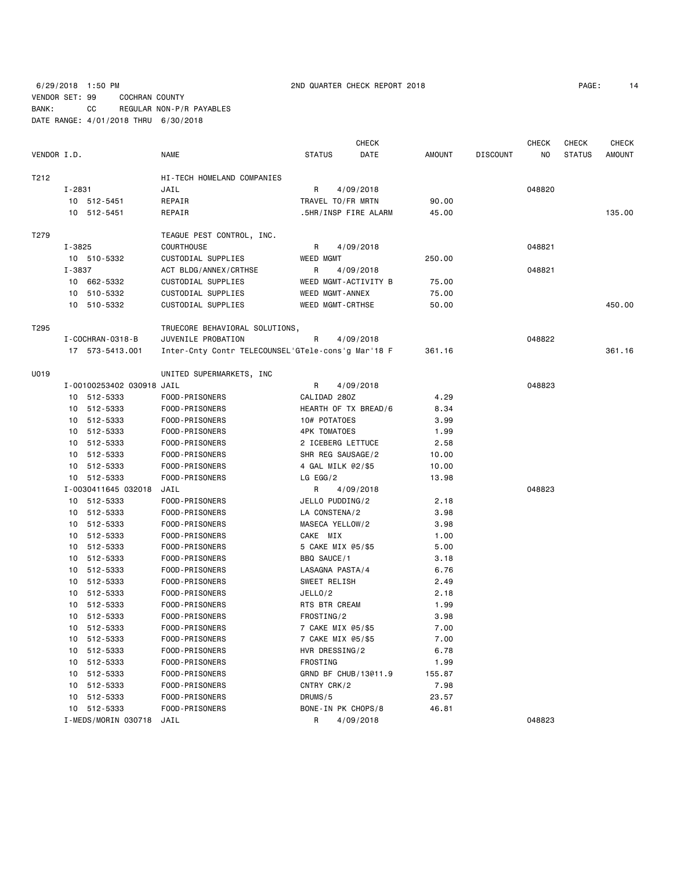6/29/2018 1:50 PM 2ND QUARTER CHECK REPORT 2018 VENDOR SET: 99 COCHRAN COUNTY BANK: CC REGULAR NON-P/R PAYABLES DATE RANGE: 4/01/2018 THRU 6/30/2018

| PAGE: | 14 |
|-------|----|
|-------|----|

|             |        |                           |                                                    |                         | <b>CHECK</b>         |        |                 | <b>CHECK</b> | <b>CHECK</b>  | <b>CHECK</b>  |
|-------------|--------|---------------------------|----------------------------------------------------|-------------------------|----------------------|--------|-----------------|--------------|---------------|---------------|
| VENDOR I.D. |        |                           | <b>NAME</b>                                        | <b>STATUS</b>           | DATE                 | AMOUNT | <b>DISCOUNT</b> | NO.          | <b>STATUS</b> | <b>AMOUNT</b> |
| T212        |        |                           | HI-TECH HOMELAND COMPANIES                         |                         |                      |        |                 |              |               |               |
|             | I-2831 |                           | JAIL                                               | R                       | 4/09/2018            |        |                 | 048820       |               |               |
|             |        | 10 512-5451               | REPAIR                                             | TRAVEL TO/FR MRTN       |                      | 90.00  |                 |              |               |               |
|             |        | 10 512-5451               | REPAIR                                             |                         | .5HR/INSP FIRE ALARM | 45.00  |                 |              |               | 135.00        |
| T279        |        |                           | TEAGUE PEST CONTROL, INC.                          |                         |                      |        |                 |              |               |               |
|             | I-3825 |                           | COURTHOUSE                                         | R                       | 4/09/2018            |        |                 | 048821       |               |               |
|             |        | 10 510-5332               | CUSTODIAL SUPPLIES                                 | WEED MGMT               |                      | 250.00 |                 |              |               |               |
|             | I-3837 |                           | ACT BLDG/ANNEX/CRTHSE                              | R                       | 4/09/2018            |        |                 | 048821       |               |               |
|             |        | 10 662-5332               | CUSTODIAL SUPPLIES                                 |                         | WEED MGMT-ACTIVITY B | 75.00  |                 |              |               |               |
|             |        | 10 510-5332               | CUSTODIAL SUPPLIES                                 | WEED MGMT-ANNEX         |                      | 75.00  |                 |              |               |               |
|             |        | 10 510-5332               | CUSTODIAL SUPPLIES                                 | <b>WEED MGMT-CRTHSE</b> |                      | 50.00  |                 |              |               | 450.00        |
| T295        |        |                           | TRUECORE BEHAVIORAL SOLUTIONS,                     |                         |                      |        |                 |              |               |               |
|             |        | I - COCHRAN - 0318 - B    | JUVENILE PROBATION                                 | R                       | 4/09/2018            |        |                 | 048822       |               |               |
|             |        | 17 573-5413.001           | Inter-Cnty Contr TELECOUNSEL'GTele-cons'g Mar'18 F |                         |                      | 361.16 |                 |              |               | 361.16        |
| U019        |        |                           | UNITED SUPERMARKETS, INC                           |                         |                      |        |                 |              |               |               |
|             |        | I-00100253402 030918 JAIL |                                                    | R                       | 4/09/2018            |        |                 | 048823       |               |               |
|             |        | 10 512-5333               | FOOD-PRISONERS                                     | CALIDAD 280Z            |                      | 4.29   |                 |              |               |               |
|             |        | 10 512-5333               | FOOD-PRISONERS                                     |                         | HEARTH OF TX BREAD/6 | 8.34   |                 |              |               |               |
|             |        | 10 512-5333               | FOOD-PRISONERS                                     | 10# POTATOES            |                      | 3.99   |                 |              |               |               |
|             |        | 10 512-5333               | FOOD-PRISONERS                                     | 4PK TOMATOES            |                      | 1.99   |                 |              |               |               |
|             |        | 10 512-5333               | FOOD-PRISONERS                                     | 2 ICEBERG LETTUCE       |                      | 2.58   |                 |              |               |               |
|             |        | 10 512-5333               | FOOD-PRISONERS                                     | SHR REG SAUSAGE/2       |                      | 10.00  |                 |              |               |               |
|             |        | 10 512-5333               | FOOD-PRISONERS                                     | 4 GAL MILK @2/\$5       |                      | 10.00  |                 |              |               |               |
|             |        | 10 512-5333               | FOOD-PRISONERS                                     | $LG$ EGG/2              |                      | 13.98  |                 |              |               |               |
|             |        | I-0030411645 032018       | JAIL                                               | R                       | 4/09/2018            |        |                 | 048823       |               |               |
|             |        | 10 512-5333               | FOOD-PRISONERS                                     | JELLO PUDDING/2         |                      | 2.18   |                 |              |               |               |
|             |        | 10 512-5333               | FOOD-PRISONERS                                     | LA CONSTENA/2           |                      | 3.98   |                 |              |               |               |
|             |        | 10 512-5333               | FOOD-PRISONERS                                     | MASECA YELLOW/2         |                      | 3.98   |                 |              |               |               |
|             |        | 10 512-5333               | FOOD-PRISONERS                                     | CAKE MIX                |                      | 1.00   |                 |              |               |               |
|             |        | 10 512-5333               | FOOD-PRISONERS                                     | 5 CAKE MIX @5/\$5       |                      | 5.00   |                 |              |               |               |
|             |        | 10 512-5333               | FOOD-PRISONERS                                     | BBQ SAUCE/1             |                      | 3.18   |                 |              |               |               |
|             |        | 10 512-5333               | FOOD-PRISONERS                                     | LASAGNA PASTA/4         |                      | 6.76   |                 |              |               |               |
|             |        | 10 512-5333               | FOOD-PRISONERS                                     | SWEET RELISH            |                      | 2.49   |                 |              |               |               |
|             |        | 10 512-5333               | FOOD-PRISONERS                                     | JELLO/2                 |                      | 2.18   |                 |              |               |               |
|             | 10     | 512-5333                  | FOOD-PRISONERS                                     | RTS BTR CREAM           |                      | 1.99   |                 |              |               |               |
|             | 10     | 512-5333                  | FOOD-PRISONERS                                     | FROSTING/2              |                      | 3.98   |                 |              |               |               |
|             |        | 10 512-5333               | FOOD-PRISONERS                                     | 7 CAKE MIX @5/\$5       |                      | 7.00   |                 |              |               |               |
|             |        | 10 512-5333               | FOOD-PRISONERS                                     | 7 CAKE MIX @5/\$5       |                      | 7.00   |                 |              |               |               |
|             | 10     | 512-5333                  | FOOD-PRISONERS                                     | HVR DRESSING/2          |                      | 6.78   |                 |              |               |               |
|             | 10     | 512-5333                  | FOOD-PRISONERS                                     | FROSTING                |                      | 1.99   |                 |              |               |               |
|             | 10     | 512-5333                  | FOOD-PRISONERS                                     |                         | GRND BF CHUB/13@11.9 | 155.87 |                 |              |               |               |
|             | 10     | 512-5333                  | FOOD-PRISONERS                                     | CNTRY CRK/2             |                      | 7.98   |                 |              |               |               |
|             | 10     | 512-5333                  | FOOD-PRISONERS                                     | DRUMS/5                 |                      | 23.57  |                 |              |               |               |
|             |        | 10 512-5333               | FOOD-PRISONERS                                     | BONE-IN PK CHOPS/8      |                      | 46.81  |                 |              |               |               |
|             |        | I-MEDS/MORIN 030718       | JAIL                                               | R                       | 4/09/2018            |        |                 | 048823       |               |               |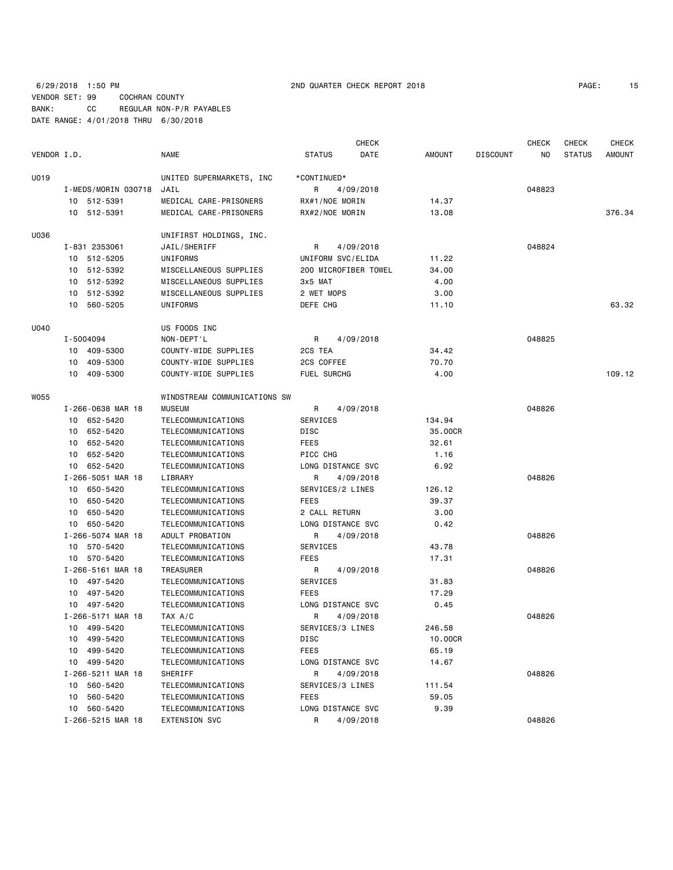# 6/29/2018 1:50 PM 2ND QUARTER CHECK REPORT 2018 PAGE: 15 VENDOR SET: 99 COCHRAN COUNTY BANK: CC REGULAR NON-P/R PAYABLES DATE RANGE: 4/01/2018 THRU 6/30/2018

|             |                     |                              |                      | <b>CHECK</b> |         |                 | <b>CHECK</b> | <b>CHECK</b>  | <b>CHECK</b>  |
|-------------|---------------------|------------------------------|----------------------|--------------|---------|-----------------|--------------|---------------|---------------|
| VENDOR I.D. |                     | <b>NAME</b>                  | <b>STATUS</b>        | DATE         | AMOUNT  | <b>DISCOUNT</b> | NO           | <b>STATUS</b> | <b>AMOUNT</b> |
| U019        |                     | UNITED SUPERMARKETS, INC     | *CONTINUED*          |              |         |                 |              |               |               |
|             | I-MEDS/MORIN 030718 | JAIL                         | R                    | 4/09/2018    |         |                 | 048823       |               |               |
|             | 10 512-5391         | MEDICAL CARE-PRISONERS       | RX#1/NOE MORIN       |              | 14.37   |                 |              |               |               |
|             | 10 512-5391         | MEDICAL CARE-PRISONERS       | RX#2/NOE MORIN       |              | 13.08   |                 |              |               | 376.34        |
|             |                     |                              |                      |              |         |                 |              |               |               |
| U036        |                     | UNIFIRST HOLDINGS, INC.      |                      |              |         |                 |              |               |               |
|             | I-831 2353061       | JAIL/SHERIFF                 | R                    | 4/09/2018    |         |                 | 048824       |               |               |
|             | 10 512-5205         | UNIFORMS                     | UNIFORM SVC/ELIDA    |              | 11.22   |                 |              |               |               |
|             | 10 512-5392         | MISCELLANEOUS SUPPLIES       | 200 MICROFIBER TOWEL |              | 34.00   |                 |              |               |               |
|             | 10 512-5392         | MISCELLANEOUS SUPPLIES       | 3x5 MAT              |              | 4.00    |                 |              |               |               |
|             | 10 512-5392         | MISCELLANEOUS SUPPLIES       | 2 WET MOPS           |              | 3.00    |                 |              |               |               |
|             | 10 560-5205         | UNIFORMS                     | DEFE CHG             |              | 11.10   |                 |              |               | 63.32         |
| U040        |                     | US FOODS INC                 |                      |              |         |                 |              |               |               |
|             | I-5004094           | NON-DEPT'L                   | R                    | 4/09/2018    |         |                 | 048825       |               |               |
|             | 10 409-5300         | COUNTY-WIDE SUPPLIES         | 2CS TEA              |              | 34.42   |                 |              |               |               |
|             | 409-5300<br>10      | COUNTY-WIDE SUPPLIES         | 2CS COFFEE           |              | 70.70   |                 |              |               |               |
|             | 10 409-5300         | COUNTY-WIDE SUPPLIES         | FUEL SURCHG          |              | 4.00    |                 |              |               | 109.12        |
|             |                     |                              |                      |              |         |                 |              |               |               |
| W055        |                     | WINDSTREAM COMMUNICATIONS SW |                      |              |         |                 |              |               |               |
|             | I-266-0638 MAR 18   | <b>MUSEUM</b>                | R                    | 4/09/2018    |         |                 | 048826       |               |               |
|             | 10 652-5420         | TELECOMMUNICATIONS           | <b>SERVICES</b>      |              | 134.94  |                 |              |               |               |
|             | 10 652-5420         | TELECOMMUNICATIONS           | DISC                 |              | 35,00CR |                 |              |               |               |
|             | 10 652-5420         | TELECOMMUNICATIONS           | FEES                 |              | 32.61   |                 |              |               |               |
|             | 652-5420<br>10      | TELECOMMUNICATIONS           | PICC CHG             |              | 1.16    |                 |              |               |               |
|             | 10 652-5420         | TELECOMMUNICATIONS           | LONG DISTANCE SVC    |              | 6.92    |                 |              |               |               |
|             | I-266-5051 MAR 18   | LIBRARY                      | R                    | 4/09/2018    |         |                 | 048826       |               |               |
|             | 10 650-5420         | TELECOMMUNICATIONS           | SERVICES/2 LINES     |              | 126.12  |                 |              |               |               |
|             | 650-5420<br>10      | TELECOMMUNICATIONS           | FEES                 |              | 39.37   |                 |              |               |               |
|             | 10 650-5420         | TELECOMMUNICATIONS           | 2 CALL RETURN        |              | 3.00    |                 |              |               |               |
|             | 10 650-5420         | TELECOMMUNICATIONS           | LONG DISTANCE SVC    |              | 0.42    |                 |              |               |               |
|             | I-266-5074 MAR 18   | ADULT PROBATION              | R                    | 4/09/2018    |         |                 | 048826       |               |               |
|             | 10 570-5420         | TELECOMMUNICATIONS           | SERVICES             |              | 43.78   |                 |              |               |               |
|             | 10 570-5420         | TELECOMMUNICATIONS           | FEES                 |              | 17.31   |                 |              |               |               |
|             | I-266-5161 MAR 18   | TREASURER                    | R                    | 4/09/2018    |         |                 | 048826       |               |               |
|             | 10 497-5420         | TELECOMMUNICATIONS           | SERVICES             |              | 31.83   |                 |              |               |               |
|             | 10 497-5420         | TELECOMMUNICATIONS           | FEES                 |              | 17.29   |                 |              |               |               |
|             | 10 497-5420         | TELECOMMUNICATIONS           | LONG DISTANCE SVC    |              | 0.45    |                 |              |               |               |
|             | I-266-5171 MAR 18   | TAX A/C                      | R                    | 4/09/2018    |         |                 | 048826       |               |               |
|             | 10 499-5420         | TELECOMMUNICATIONS           | SERVICES/3 LINES     |              | 246.58  |                 |              |               |               |
|             | 499-5420<br>10      | TELECOMMUNICATIONS           | DISC                 |              | 10.00CR |                 |              |               |               |
|             | 499-5420<br>10      | TELECOMMUNICATIONS           | <b>FEES</b>          |              | 65.19   |                 |              |               |               |
|             | 10 499-5420         | TELECOMMUNICATIONS           | LONG DISTANCE SVC    |              | 14.67   |                 |              |               |               |
|             | I-266-5211 MAR 18   | SHERIFF                      | R                    | 4/09/2018    |         |                 | 048826       |               |               |
|             | 560-5420<br>10      | TELECOMMUNICATIONS           | SERVICES/3 LINES     |              | 111.54  |                 |              |               |               |
|             | 560-5420<br>10      | TELECOMMUNICATIONS           | FEES                 |              | 59.05   |                 |              |               |               |
|             | 10 560-5420         | TELECOMMUNICATIONS           | LONG DISTANCE SVC    |              | 9.39    |                 |              |               |               |
|             | I-266-5215 MAR 18   | <b>EXTENSION SVC</b>         | R                    | 4/09/2018    |         |                 | 048826       |               |               |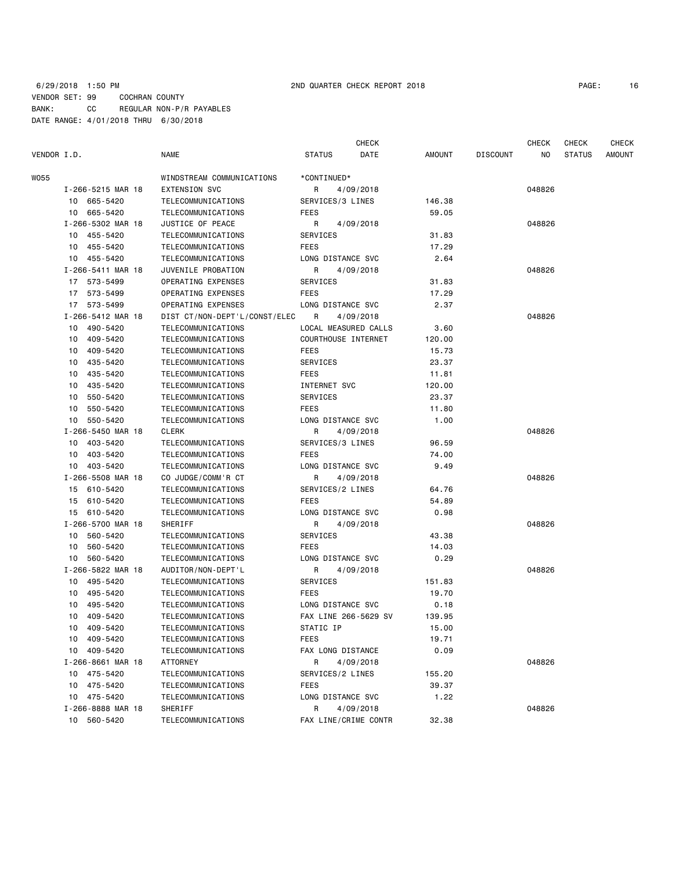|             |                            |                                          |                     | CHECK                |               |                 | <b>CHECK</b> | <b>CHECK</b>  | <b>CHECK</b> |
|-------------|----------------------------|------------------------------------------|---------------------|----------------------|---------------|-----------------|--------------|---------------|--------------|
| VENDOR I.D. |                            | <b>NAME</b>                              | <b>STATUS</b>       | DATE                 | <b>AMOUNT</b> | <b>DISCOUNT</b> | NO.          | <b>STATUS</b> | AMOUNT       |
| WO55        |                            | WINDSTREAM COMMUNICATIONS                | *CONTINUED*         |                      |               |                 |              |               |              |
|             | I-266-5215 MAR 18          | <b>EXTENSION SVC</b>                     | R                   | 4/09/2018            |               |                 | 048826       |               |              |
|             | 10 665-5420                | TELECOMMUNICATIONS                       | SERVICES/3 LINES    |                      | 146.38        |                 |              |               |              |
|             | 10 665-5420                | TELECOMMUNICATIONS                       | FEES                |                      | 59.05         |                 |              |               |              |
|             | I-266-5302 MAR 18          | JUSTICE OF PEACE                         | R                   | 4/09/2018            |               |                 | 048826       |               |              |
|             | 10 455-5420                | TELECOMMUNICATIONS                       | SERVICES            |                      | 31.83         |                 |              |               |              |
|             | 10 455-5420                | TELECOMMUNICATIONS                       | FEES                |                      | 17.29         |                 |              |               |              |
|             | 10 455-5420                | TELECOMMUNICATIONS                       | LONG DISTANCE SVC   |                      | 2.64          |                 |              |               |              |
|             | I-266-5411 MAR 18          | JUVENILE PROBATION                       | R                   | 4/09/2018            |               |                 | 048826       |               |              |
|             | 17 573-5499                | OPERATING EXPENSES                       | SERVICES            |                      | 31.83         |                 |              |               |              |
|             | 17 573-5499                | OPERATING EXPENSES                       | FEES                |                      | 17.29         |                 |              |               |              |
|             | 17 573-5499                | OPERATING EXPENSES                       | LONG DISTANCE SVC   |                      | 2.37          |                 |              |               |              |
|             | I-266-5412 MAR 18          | DIST CT/NON-DEPT'L/CONST/ELEC            | R                   | 4/09/2018            |               |                 | 048826       |               |              |
|             | 10 490-5420                | TELECOMMUNICATIONS                       |                     | LOCAL MEASURED CALLS | 3.60          |                 |              |               |              |
|             | 409-5420                   | TELECOMMUNICATIONS                       | COURTHOUSE INTERNET |                      |               |                 |              |               |              |
|             | 10                         |                                          |                     |                      | 120.00        |                 |              |               |              |
|             | 409-5420<br>10             | TELECOMMUNICATIONS                       | FEES                |                      | 15.73         |                 |              |               |              |
|             | 435-5420<br>10             | TELECOMMUNICATIONS                       | SERVICES            |                      | 23.37         |                 |              |               |              |
|             | 435-5420<br>10             | TELECOMMUNICATIONS                       | FEES                |                      | 11.81         |                 |              |               |              |
|             | 435-5420<br>10             | TELECOMMUNICATIONS                       | INTERNET SVC        |                      | 120.00        |                 |              |               |              |
|             | 550-5420<br>10             | TELECOMMUNICATIONS                       | SERVICES            |                      | 23.37         |                 |              |               |              |
|             | 550-5420<br>10<br>550-5420 | TELECOMMUNICATIONS<br>TELECOMMUNICATIONS | FEES                |                      | 11.80         |                 |              |               |              |
|             | 10                         |                                          | LONG DISTANCE SVC   |                      | 1.00          |                 | 048826       |               |              |
|             | I-266-5450 MAR 18          | CLERK                                    | R                   | 4/09/2018            |               |                 |              |               |              |
|             | 10 403-5420                | TELECOMMUNICATIONS                       | SERVICES/3 LINES    |                      | 96.59         |                 |              |               |              |
|             | 403-5420<br>10             | TELECOMMUNICATIONS                       | FEES                |                      | 74.00         |                 |              |               |              |
|             | 10 403-5420                | TELECOMMUNICATIONS                       | LONG DISTANCE SVC   |                      | 9.49          |                 |              |               |              |
|             | I-266-5508 MAR 18          | CO JUDGE/COMM'R CT                       | R                   | 4/09/2018            |               |                 | 048826       |               |              |
|             | 15 610-5420                | TELECOMMUNICATIONS                       | SERVICES/2 LINES    |                      | 64.76         |                 |              |               |              |
|             | 15 610-5420                | TELECOMMUNICATIONS                       | FEES                |                      | 54.89         |                 |              |               |              |
|             | 15 610-5420                | TELECOMMUNICATIONS                       | LONG DISTANCE SVC   |                      | 0.98          |                 |              |               |              |
|             | I-266-5700 MAR 18          | SHERIFF                                  | R                   | 4/09/2018            |               |                 | 048826       |               |              |
|             | 10 560-5420                | TELECOMMUNICATIONS                       | SERVICES            |                      | 43.38         |                 |              |               |              |
|             | 560-5420<br>10             | TELECOMMUNICATIONS                       | FEES                |                      | 14.03         |                 |              |               |              |
|             | 560-5420<br>10             | TELECOMMUNICATIONS                       | LONG DISTANCE SVC   |                      | 0.29          |                 |              |               |              |
|             | I-266-5822 MAR 18          | AUDITOR/NON-DEPT'L                       | R.                  | 4/09/2018            |               |                 | 048826       |               |              |
|             | 10 495-5420                | TELECOMMUNICATIONS                       | SERVICES            |                      | 151.83        |                 |              |               |              |
|             | 495-5420<br>10             | TELECOMMUNICATIONS                       | FEES                |                      | 19.70         |                 |              |               |              |
|             | 495-5420<br>10             | TELECOMMUNICATIONS                       | LONG DISTANCE SVC   |                      | 0.18          |                 |              |               |              |
|             | 409-5420<br>10             | TELECOMMUNICATIONS                       |                     | FAX LINE 266-5629 SV | 139.95        |                 |              |               |              |
|             | 10 409-5420                | TELECOMMUNICATIONS                       | STATIC IP           |                      | 15.00         |                 |              |               |              |
|             | 10 409-5420                | TELECOMMUNICATIONS                       | FEES                |                      | 19.71         |                 |              |               |              |
|             | 10 409-5420                | TELECOMMUNICATIONS                       | FAX LONG DISTANCE   |                      | 0.09          |                 |              |               |              |
|             | I-266-8661 MAR 18          | ATTORNEY                                 | R                   | 4/09/2018            |               |                 | 048826       |               |              |
|             | 10 475-5420                | TELECOMMUNICATIONS                       | SERVICES/2 LINES    |                      | 155.20        |                 |              |               |              |
|             | 10 475-5420                | TELECOMMUNICATIONS                       | FEES                |                      | 39.37         |                 |              |               |              |
|             | 10 475-5420                | TELECOMMUNICATIONS                       | LONG DISTANCE SVC   |                      | 1.22          |                 |              |               |              |
|             | I-266-8888 MAR 18          | SHERIFF                                  | R                   | 4/09/2018            |               |                 | 048826       |               |              |
|             | 10 560-5420                | TELECOMMUNICATIONS                       |                     | FAX LINE/CRIME CONTR | 32.38         |                 |              |               |              |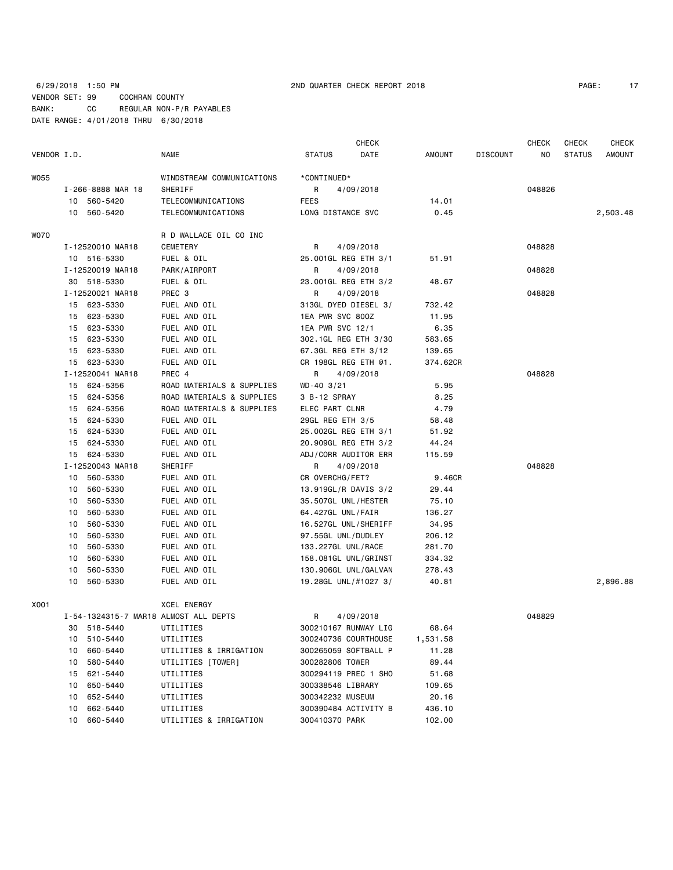### 6/29/2018 1:50 PM 2ND QUARTER CHECK REPORT 2018 2019 2019 VENDOR SET: 99 COCHRAN COUNTY BANK: CC REGULAR NON-P/R PAYABLES DATE RANGE: 4/01/2018 THRU 6/30/2018

10 560-5420 TELECOMMUNICATIONS

10 560-5420 TELECOMMUNICATIONS LONG DISTANCE SVC 0.45 2,503.48

|                   |                           |               | CHECK     |        |          | <b>CHECK</b> | CHECK         | <b>CHECK</b> |
|-------------------|---------------------------|---------------|-----------|--------|----------|--------------|---------------|--------------|
| VENDOR I.D.       | <b>NAME</b>               | <b>STATUS</b> | DATE      | AMOUNT | DISCOUNT | NO.          | <b>STATUS</b> | AMOUNT       |
| <b>W055</b>       | WINDSTREAM COMMUNICATIONS | *CONTINUED*   |           |        |          |              |               |              |
| I-266-8888 MAR 18 | SHERIFF                   |               | 4/09/2018 |        |          | 048826       |               |              |
| 560-5420<br>10.   | TEL FCOMMUNICATIONS       | FFFS          |           | 14.01  |          |              |               |              |

| WO70 |    |                  | R D WALLACE OIL CO INC                |                      |          |        |          |
|------|----|------------------|---------------------------------------|----------------------|----------|--------|----------|
|      |    | I-12520010 MAR18 | CEMETERY                              | R<br>4/09/2018       |          | 048828 |          |
|      |    | 10 516-5330      | FUEL & OIL                            | 25.001GL REG ETH 3/1 | 51.91    |        |          |
|      |    | I-12520019 MAR18 | PARK/AIRPORT                          | R<br>4/09/2018       |          | 048828 |          |
|      |    | 30 518-5330      | FUEL & OIL                            | 23.001GL REG ETH 3/2 | 48.67    |        |          |
|      |    | I-12520021 MAR18 | PREC 3                                | R<br>4/09/2018       |          | 048828 |          |
|      |    | 15 623-5330      | FUEL AND OIL                          | 313GL DYED DIESEL 3/ | 732.42   |        |          |
|      |    | 15 623-5330      | FUEL AND OIL                          | 1EA PWR SVC 800Z     | 11.95    |        |          |
|      | 15 | 623-5330         | FUEL AND OIL                          | 1EA PWR SVC 12/1     | 6.35     |        |          |
|      | 15 | 623-5330         | FUEL AND OIL                          | 302.1GL REG ETH 3/30 | 583.65   |        |          |
|      | 15 | 623-5330         | FUEL AND OIL                          | 67.3GL REG ETH 3/12  | 139.65   |        |          |
|      |    | 15 623-5330      | FUEL AND OIL                          | CR 198GL REG ETH @1. | 374.62CR |        |          |
|      |    | I-12520041 MAR18 | PREC 4                                | R<br>4/09/2018       |          | 048828 |          |
|      |    | 15 624-5356      | ROAD MATERIALS & SUPPLIES             | $WD - 40$ 3/21       | 5.95     |        |          |
|      |    | 15 624-5356      | ROAD MATERIALS & SUPPLIES             | 3 B-12 SPRAY         | 8.25     |        |          |
|      |    | 15 624-5356      | ROAD MATERIALS & SUPPLIES             | ELEC PART CLNR       | 4.79     |        |          |
|      |    | 15 624-5330      | FUEL AND OIL                          | 29GL REG ETH 3/5     | 58.48    |        |          |
|      | 15 | 624-5330         | FUEL AND OIL                          | 25.002GL REG ETH 3/1 | 51.92    |        |          |
|      | 15 | 624-5330         | FUEL AND OIL                          | 20.909GL REG ETH 3/2 | 44.24    |        |          |
|      | 15 | 624-5330         | FUEL AND OIL                          | ADJ/CORR AUDITOR ERR | 115.59   |        |          |
|      |    | I-12520043 MAR18 | SHERIFF                               | R<br>4/09/2018       |          | 048828 |          |
|      | 10 | 560-5330         | FUEL AND OIL                          | CR OVERCHG/FET?      | 9.46CR   |        |          |
|      | 10 | 560-5330         | FUEL AND OIL                          | 13.919GL/R DAVIS 3/2 | 29.44    |        |          |
|      | 10 | 560-5330         | FUEL AND OIL                          | 35.507GL UNL/HESTER  | 75.10    |        |          |
|      | 10 | 560-5330         | FUEL AND OIL                          | 64.427GL UNL/FAIR    | 136.27   |        |          |
|      | 10 | 560-5330         | FUEL AND OIL                          | 16.527GL UNL/SHERIFF | 34.95    |        |          |
|      | 10 | 560-5330         | FUEL AND OIL                          | 97.55GL UNL/DUDLEY   | 206.12   |        |          |
|      | 10 | 560-5330         | FUEL AND OIL                          | 133.227GL UNL/RACE   | 281.70   |        |          |
|      | 10 | 560-5330         | FUEL AND OIL                          | 158.081GL UNL/GRINST | 334.32   |        |          |
|      | 10 | 560-5330         | FUEL AND OIL                          | 130.906GL UNL/GALVAN | 278.43   |        |          |
|      | 10 | 560-5330         | FUEL AND OIL                          | 19.28GL UNL/#1027 3/ | 40.81    |        | 2,896.88 |
| X001 |    |                  | XCEL ENERGY                           |                      |          |        |          |
|      |    |                  | I-54-1324315-7 MAR18 ALMOST ALL DEPTS | 4/09/2018<br>R       |          | 048829 |          |
|      |    | 30 518-5440      | UTILITIES                             | 300210167 RUNWAY LIG | 68.64    |        |          |
|      |    | 10 510-5440      | UTILITIES                             | 300240736 COURTHOUSE | 1,531.58 |        |          |

10 660-5440 UTILITIES & IRRIGATION 300265059 SOFTBALL P 11.28<br>10 580-5440 UTILITIES [TOWER] 300282806 TOWER 89.44

 15 621-5440 UTILITIES 300294119 PREC 1 SHO 51.68 10 650-5440 UTILITIES 300338546 LIBRARY 109.65 10 652-5440 UTILITIES 300342232 MUSEUM 20.16 10 662-5440 UTILITIES 300390484 ACTIVITY B 436.10 10 660-5440 UTILITIES & IRRIGATION 300410370 PARK 102.00

UTILITIES [TOWER] 300282806 TOWER 89.44

| с |  |
|---|--|
|   |  |
|   |  |
|   |  |

| AGE : |  |
|-------|--|
|-------|--|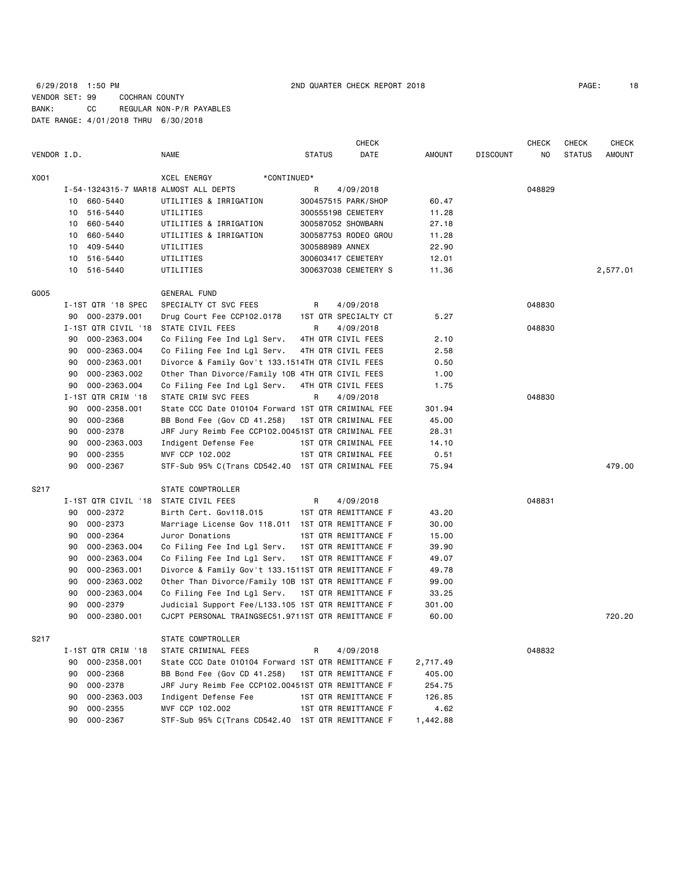## 6/29/2018 1:50 PM 2ND QUARTER CHECK REPORT 2018 PAGE: 18 VENDOR SET: 99 COCHRAN COUNTY BANK: CC REGULAR NON-P/R PAYABLES DATE RANGE: 4/01/2018 THRU 6/30/2018

|             |                                       |                                                    |                 | <b>CHECK</b>         |          |                 | <b>CHECK</b> | <b>CHECK</b>  | <b>CHECK</b> |
|-------------|---------------------------------------|----------------------------------------------------|-----------------|----------------------|----------|-----------------|--------------|---------------|--------------|
| VENDOR I.D. |                                       | NAME                                               | <b>STATUS</b>   | DATE                 | AMOUNT   | <b>DISCOUNT</b> | NO.          | <b>STATUS</b> | AMOUNT       |
| X001        |                                       | XCEL ENERGY<br>*CONTINUED*                         |                 |                      |          |                 |              |               |              |
|             | I-54-1324315-7 MAR18 ALMOST ALL DEPTS |                                                    | R               | 4/09/2018            |          |                 | 048829       |               |              |
|             | 660-5440<br>10                        | UTILITIES & IRRIGATION                             |                 | 300457515 PARK/SHOP  | 60.47    |                 |              |               |              |
|             | 10 516-5440                           | UTILITIES                                          |                 | 300555198 CEMETERY   | 11.28    |                 |              |               |              |
|             | 660-5440<br>10                        | UTILITIES & IRRIGATION                             |                 | 300587052 SHOWBARN   | 27.18    |                 |              |               |              |
|             | 660-5440<br>10                        | UTILITIES & IRRIGATION                             |                 | 300587753 RODEO GROU | 11.28    |                 |              |               |              |
|             | 409-5440<br>10                        | UTILITIES                                          | 300588989 ANNEX |                      | 22.90    |                 |              |               |              |
|             | 10 516-5440                           | UTILITIES                                          |                 | 300603417 CEMETERY   | 12.01    |                 |              |               |              |
|             | 10<br>516-5440                        | UTILITIES                                          |                 | 300637038 CEMETERY S | 11.36    |                 |              |               | 2,577.01     |
| G005        |                                       | GENERAL FUND                                       |                 |                      |          |                 |              |               |              |
|             | I-1ST QTR '18 SPEC                    | SPECIALTY CT SVC FEES                              | R               | 4/09/2018            |          |                 | 048830       |               |              |
|             | 90 000-2379.001                       | Drug Court Fee CCP102.0178                         |                 | 1ST QTR SPECIALTY CT | 5.27     |                 |              |               |              |
|             | I-1ST QTR CIVIL '18 STATE CIVIL FEES  |                                                    | R               | 4/09/2018            |          |                 | 048830       |               |              |
|             | 000-2363.004<br>90                    | Co Filing Fee Ind Lgl Serv.                        |                 | 4TH QTR CIVIL FEES   | 2.10     |                 |              |               |              |
|             | 90<br>000-2363.004                    | Co Filing Fee Ind Lgl Serv.                        |                 | 4TH QTR CIVIL FEES   | 2.58     |                 |              |               |              |
|             | 90<br>000-2363.001                    | Divorce & Family Gov't 133.1514TH QTR CIVIL FEES   |                 |                      | 0.50     |                 |              |               |              |
|             | 90<br>000-2363.002                    | Other Than Divorce/Family 10B 4TH QTR CIVIL FEES   |                 |                      | 1.00     |                 |              |               |              |
|             | 000-2363.004<br>90                    | Co Filing Fee Ind Lgl Serv.                        |                 | 4TH QTR CIVIL FEES   | 1.75     |                 |              |               |              |
|             | I-1ST QTR CRIM '18                    | STATE CRIM SVC FEES                                | R               | 4/09/2018            |          |                 | 048830       |               |              |
|             | 000-2358.001<br>90                    | State CCC Date 010104 Forward 1ST QTR CRIMINAL FEE |                 |                      | 301.94   |                 |              |               |              |
|             | 000-2368<br>90                        | BB Bond Fee (Gov CD 41.258)                        |                 | 1ST QTR CRIMINAL FEE | 45.00    |                 |              |               |              |
|             | 000-2378<br>90                        | JRF Jury Reimb Fee CCP102.00451ST QTR CRIMINAL FEE |                 |                      | 28.31    |                 |              |               |              |
|             | 000-2363.003<br>90                    | Indigent Defense Fee                               |                 | 1ST QTR CRIMINAL FEE | 14.10    |                 |              |               |              |
|             | 000-2355<br>90                        | MVF CCP 102.002                                    |                 | 1ST QTR CRIMINAL FEE | 0.51     |                 |              |               |              |
|             | 000-2367<br>90                        | STF-Sub 95% C(Trans CD542.40 1ST QTR CRIMINAL FEE  |                 |                      | 75.94    |                 |              |               | 479.00       |
| S217        |                                       | STATE COMPTROLLER                                  |                 |                      |          |                 |              |               |              |
|             | I-1ST QTR CIVIL '18                   | STATE CIVIL FEES                                   | R               | 4/09/2018            |          |                 | 048831       |               |              |
|             | 90<br>000-2372                        | Birth Cert. Gov118.015                             |                 | 1ST QTR REMITTANCE F | 43.20    |                 |              |               |              |
|             | 000-2373<br>90                        | Marriage License Gov 118.011 1ST QTR REMITTANCE F  |                 |                      | 30.00    |                 |              |               |              |
|             | 90<br>000-2364                        | Juror Donations                                    |                 | 1ST QTR REMITTANCE F | 15.00    |                 |              |               |              |
|             | 90<br>000-2363.004                    | Co Filing Fee Ind Lgl Serv.                        |                 | 1ST QTR REMITTANCE F | 39.90    |                 |              |               |              |
|             | 90<br>000-2363.004                    | Co Filing Fee Ind Lgl Serv.                        |                 | 1ST QTR REMITTANCE F | 49.07    |                 |              |               |              |
|             | 90<br>000-2363.001                    | Divorce & Family Gov't 133.1511ST QTR REMITTANCE F |                 |                      | 49.78    |                 |              |               |              |
|             | 90<br>000-2363.002                    | Other Than Divorce/Family 10B 1ST QTR REMITTANCE F |                 |                      | 99.00    |                 |              |               |              |
|             | 90<br>000-2363.004                    | Co Filing Fee Ind Lgl Serv.                        |                 | 1ST QTR REMITTANCE F | 33.25    |                 |              |               |              |
|             | 000-2379<br>90                        | Judicial Support Fee/L133.105 1ST QTR REMITTANCE F |                 |                      | 301.00   |                 |              |               |              |
|             | 90<br>000-2380.001                    | CJCPT PERSONAL TRAINGSEC51.9711ST QTR REMITTANCE F |                 |                      | 60.00    |                 |              |               | 720.20       |
| S217        |                                       | STATE COMPTROLLER                                  |                 |                      |          |                 |              |               |              |
|             | I-1ST QTR CRIM '18                    | STATE CRIMINAL FEES                                | R               | 4/09/2018            |          |                 | 048832       |               |              |
|             | 000-2358.001<br>90                    | State CCC Date 010104 Forward 1ST QTR REMITTANCE F |                 |                      | 2,717.49 |                 |              |               |              |
|             | 90<br>000-2368                        | BB Bond Fee (Gov CD 41.258)                        |                 | 1ST QTR REMITTANCE F | 405.00   |                 |              |               |              |
|             | 000-2378<br>90                        | JRF Jury Reimb Fee CCP102.00451ST QTR REMITTANCE F |                 |                      | 254.75   |                 |              |               |              |
|             | 90<br>000-2363.003                    | Indigent Defense Fee                               |                 | 1ST QTR REMITTANCE F | 126.85   |                 |              |               |              |
|             | 000-2355<br>90                        | MVF CCP 102.002                                    |                 | 1ST QTR REMITTANCE F | 4.62     |                 |              |               |              |
|             | 000-2367<br>90                        | STF-Sub 95% C(Trans CD542.40 1ST QTR REMITTANCE F  |                 |                      | 1,442.88 |                 |              |               |              |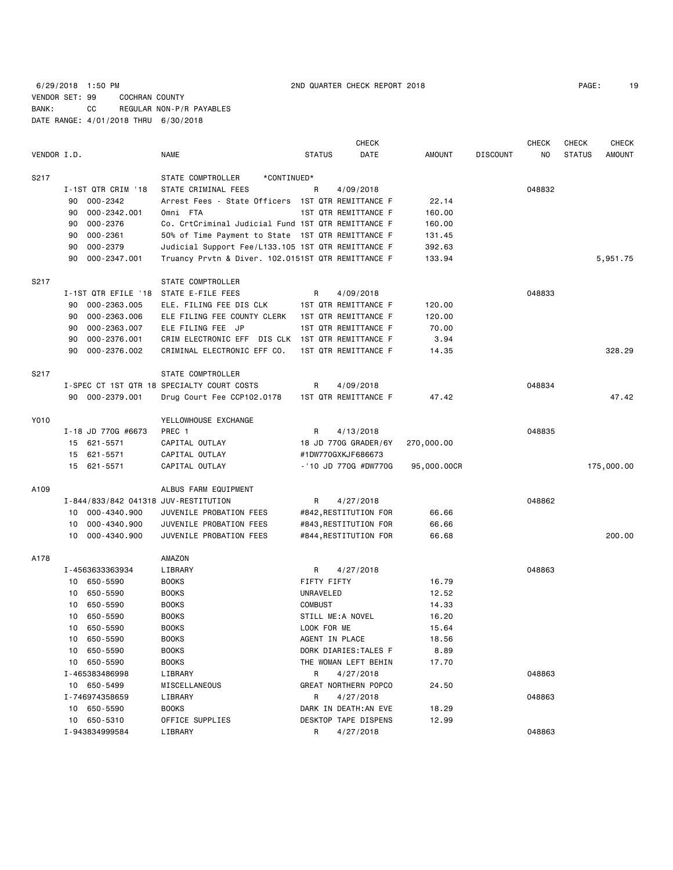6/29/2018 1:50 PM 2ND QUARTER CHECK REPORT 2018 PAGE: 19 VENDOR SET: 99 COCHRAN COUNTY BANK: CC REGULAR NON-P/R PAYABLES DATE RANGE: 4/01/2018 THRU 6/30/2018

| 19 |
|----|
|    |

|             |    |                                      |                                                    |                | CHECK                 |             |                 | <b>CHECK</b> | <b>CHECK</b>  | <b>CHECK</b>  |
|-------------|----|--------------------------------------|----------------------------------------------------|----------------|-----------------------|-------------|-----------------|--------------|---------------|---------------|
| VENDOR I.D. |    |                                      | <b>NAME</b>                                        | <b>STATUS</b>  | DATE                  | AMOUNT      | <b>DISCOUNT</b> | NO.          | <b>STATUS</b> | <b>AMOUNT</b> |
| S217        |    |                                      | STATE COMPTROLLER<br>*CONTINUED*                   |                |                       |             |                 |              |               |               |
|             |    | I-1ST QTR CRIM '18                   | STATE CRIMINAL FEES                                | R              | 4/09/2018             |             |                 | 048832       |               |               |
|             | 90 | 000-2342                             | Arrest Fees - State Officers                       |                | 1ST QTR REMITTANCE F  | 22.14       |                 |              |               |               |
|             | 90 | 000-2342.001                         | Omni FTA                                           |                | 1ST QTR REMITTANCE F  | 160.00      |                 |              |               |               |
|             | 90 | 000-2376                             | Co. CrtCriminal Judicial Fund 1ST QTR REMITTANCE F |                |                       | 160.00      |                 |              |               |               |
|             | 90 | 000-2361                             | 50% of Time Payment to State 1ST QTR REMITTANCE F  |                |                       | 131.45      |                 |              |               |               |
|             | 90 | 000-2379                             | Judicial Support Fee/L133.105 1ST QTR REMITTANCE F |                |                       | 392.63      |                 |              |               |               |
|             | 90 | 000-2347.001                         | Truancy Prvtn & Diver. 102.0151ST QTR REMITTANCE F |                |                       | 133.94      |                 |              |               | 5,951.75      |
| S217        |    |                                      | STATE COMPTROLLER                                  |                |                       |             |                 |              |               |               |
|             |    | I-1ST QTR EFILE '18                  | STATE E-FILE FEES                                  | R              | 4/09/2018             |             |                 | 048833       |               |               |
|             | 90 | 000-2363.005                         | ELE. FILING FEE DIS CLK                            |                | 1ST QTR REMITTANCE F  | 120.00      |                 |              |               |               |
|             | 90 | 000-2363.006                         | ELE FILING FEE COUNTY CLERK                        |                | 1ST QTR REMITTANCE F  | 120.00      |                 |              |               |               |
|             | 90 | 000-2363.007                         | ELE FILING FEE JP                                  |                | 1ST QTR REMITTANCE F  | 70.00       |                 |              |               |               |
|             | 90 | 000-2376.001                         | CRIM ELECTRONIC EFF DIS CLK 1ST QTR REMITTANCE F   |                |                       | 3.94        |                 |              |               |               |
|             | 90 | 000-2376.002                         | CRIMINAL ELECTRONIC EFF CO.                        |                | 1ST QTR REMITTANCE F  | 14.35       |                 |              |               | 328.29        |
| S217        |    |                                      | STATE COMPTROLLER                                  |                |                       |             |                 |              |               |               |
|             |    |                                      | I-SPEC CT 1ST QTR 18 SPECIALTY COURT COSTS         | R              | 4/09/2018             |             |                 | 048834       |               |               |
|             |    | 90 000-2379.001                      | Drug Court Fee CCP102.0178                         |                | 1ST QTR REMITTANCE F  | 47.42       |                 |              |               | 47.42         |
| Y010        |    |                                      | YELLOWHOUSE EXCHANGE                               |                |                       |             |                 |              |               |               |
|             |    | I-18 JD 770G #6673                   | PREC 1                                             | R              | 4/13/2018             |             |                 | 048835       |               |               |
|             |    | 15 621-5571                          | CAPITAL OUTLAY                                     |                | 18 JD 770G GRADER/6Y  | 270,000.00  |                 |              |               |               |
|             | 15 | 621-5571                             | CAPITAL OUTLAY                                     |                | #1DW770GXKJF686673    |             |                 |              |               |               |
|             |    | 15 621-5571                          | CAPITAL OUTLAY                                     |                | -'10 JD 770G #DW770G  | 95,000.00CR |                 |              |               | 175,000.00    |
| A109        |    |                                      | ALBUS FARM EQUIPMENT                               |                |                       |             |                 |              |               |               |
|             |    | I-844/833/842 041318 JUV-RESTITUTION |                                                    | R              | 4/27/2018             |             |                 | 048862       |               |               |
|             |    | 10 000-4340.900                      | JUVENILE PROBATION FEES                            |                | #842, RESTITUTION FOR | 66.66       |                 |              |               |               |
|             | 10 | 000-4340.900                         | JUVENILE PROBATION FEES                            |                | #843, RESTITUTION FOR | 66.66       |                 |              |               |               |
|             | 10 | 000-4340.900                         | JUVENILE PROBATION FEES                            |                | #844, RESTITUTION FOR | 66.68       |                 |              |               | 200,00        |
| A178        |    |                                      | AMAZON                                             |                |                       |             |                 |              |               |               |
|             |    | I-4563633363934                      | LIBRARY                                            | R              | 4/27/2018             |             |                 | 048863       |               |               |
|             |    | 10 650-5590                          | <b>BOOKS</b>                                       | FIFTY FIFTY    |                       | 16.79       |                 |              |               |               |
|             | 10 | 650-5590                             | <b>BOOKS</b>                                       | UNRAVELED      |                       | 12.52       |                 |              |               |               |
|             | 10 | 650-5590                             | <b>BOOKS</b>                                       | <b>COMBUST</b> |                       | 14.33       |                 |              |               |               |
|             | 10 | 650-5590                             | <b>BOOKS</b>                                       |                | STILL ME:A NOVEL      | 16.20       |                 |              |               |               |
|             | 10 | 650-5590                             | <b>BOOKS</b>                                       | LOOK FOR ME    |                       | 15.64       |                 |              |               |               |
|             |    | 10 650-5590                          | <b>BOOKS</b>                                       | AGENT IN PLACE |                       | 18.56       |                 |              |               |               |
|             |    | 10 650-5590                          | <b>BOOKS</b>                                       |                | DORK DIARIES: TALES F | 8.89        |                 |              |               |               |
|             |    | 10 650-5590                          | <b>BOOKS</b>                                       |                | THE WOMAN LEFT BEHIN  | 17.70       |                 |              |               |               |
|             |    | I-465383486998                       | LIBRARY                                            | R              | 4/27/2018             |             |                 | 048863       |               |               |
|             |    | 10 650-5499                          | MISCELLANEOUS                                      |                | GREAT NORTHERN POPCO  | 24.50       |                 |              |               |               |
|             |    | I-746974358659                       | LIBRARY                                            | R              | 4/27/2018             |             |                 | 048863       |               |               |
|             |    | 10 650-5590                          | <b>BOOKS</b>                                       |                | DARK IN DEATH: AN EVE | 18.29       |                 |              |               |               |
|             |    | 10 650-5310                          | OFFICE SUPPLIES                                    |                | DESKTOP TAPE DISPENS  | 12.99       |                 |              |               |               |
|             |    | I-943834999584                       | LIBRARY                                            | R              | 4/27/2018             |             |                 | 048863       |               |               |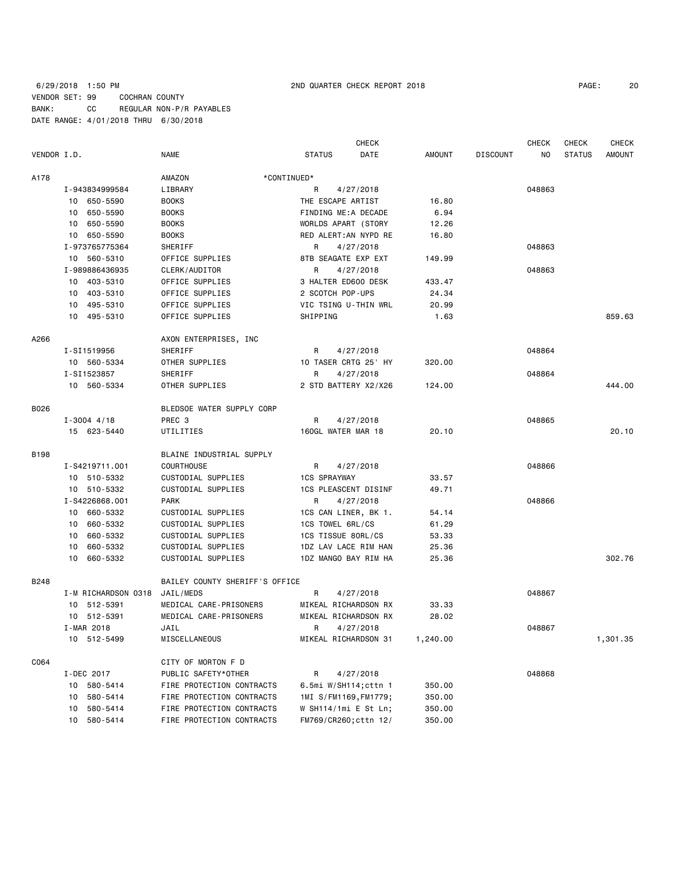# 6/29/2018 1:50 PM 2ND QUARTER CHECK REPORT 2018 PAGE: 20 VENDOR SET: 99 COCHRAN COUNTY BANK: CC REGULAR NON-P/R PAYABLES DATE RANGE: 4/01/2018 THRU 6/30/2018

|             |                     |                                |                       | <b>CHECK</b> |               |                 | <b>CHECK</b> | CHECK         | <b>CHECK</b>  |
|-------------|---------------------|--------------------------------|-----------------------|--------------|---------------|-----------------|--------------|---------------|---------------|
| VENDOR I.D. |                     | <b>NAME</b>                    | <b>STATUS</b>         | DATE         | <b>AMOUNT</b> | <b>DISCOUNT</b> | NO.          | <b>STATUS</b> | <b>AMOUNT</b> |
| A178        |                     | AMAZON                         | *CONTINUED*           |              |               |                 |              |               |               |
|             | I-943834999584      | LIBRARY                        | R<br>4/27/2018        |              |               |                 | 048863       |               |               |
|             | 10 650-5590         | <b>BOOKS</b>                   | THE ESCAPE ARTIST     |              | 16.80         |                 |              |               |               |
|             | 10 650-5590         | <b>BOOKS</b>                   | FINDING ME:A DECADE   |              | 6.94          |                 |              |               |               |
|             | 650-5590<br>10      | <b>BOOKS</b>                   | WORLDS APART (STORY   |              | 12.26         |                 |              |               |               |
|             | 10 650-5590         | <b>BOOKS</b>                   | RED ALERT: AN NYPD RE |              | 16.80         |                 |              |               |               |
|             | I-973765775364      | SHERIFF                        | 4/27/2018<br>R        |              |               |                 | 048863       |               |               |
|             | 10 560-5310         | OFFICE SUPPLIES                | 8TB SEAGATE EXP EXT   |              | 149.99        |                 |              |               |               |
|             | I-989886436935      | CLERK/AUDITOR                  | R<br>4/27/2018        |              |               |                 | 048863       |               |               |
|             | 10 403-5310         | OFFICE SUPPLIES                | 3 HALTER ED600 DESK   |              | 433.47        |                 |              |               |               |
|             | 10 403-5310         | OFFICE SUPPLIES                | 2 SCOTCH POP-UPS      |              | 24.34         |                 |              |               |               |
|             | 10 495-5310         | OFFICE SUPPLIES                | VIC TSING U-THIN WRL  |              | 20.99         |                 |              |               |               |
|             | 10 495-5310         | OFFICE SUPPLIES                | SHIPPING              |              | 1.63          |                 |              |               | 859.63        |
|             |                     |                                |                       |              |               |                 |              |               |               |
| A266        |                     | AXON ENTERPRISES, INC          |                       |              |               |                 |              |               |               |
|             | I-SI1519956         | SHERIFF                        | R<br>4/27/2018        |              |               |                 | 048864       |               |               |
|             | 10 560-5334         | OTHER SUPPLIES                 | 10 TASER CRTG 25' HY  |              | 320.00        |                 |              |               |               |
|             | I-SI1523857         | SHERIFF                        | 4/27/2018<br>R        |              |               |                 | 048864       |               |               |
|             | 10 560-5334         | OTHER SUPPLIES                 | 2 STD BATTERY X2/X26  |              | 124.00        |                 |              |               | 444.00        |
| B026        |                     | BLEDSOE WATER SUPPLY CORP      |                       |              |               |                 |              |               |               |
|             | $I - 3004$ 4/18     | PREC 3                         | R<br>4/27/2018        |              |               |                 | 048865       |               |               |
|             | 15 623-5440         | UTILITIES                      | 160GL WATER MAR 18    |              | 20.10         |                 |              |               | 20.10         |
| B198        |                     | BLAINE INDUSTRIAL SUPPLY       |                       |              |               |                 |              |               |               |
|             | I-S4219711.001      | <b>COURTHOUSE</b>              | 4/27/2018<br>R        |              |               |                 | 048866       |               |               |
|             | 10 510-5332         | CUSTODIAL SUPPLIES             | <b>1CS SPRAYWAY</b>   |              | 33.57         |                 |              |               |               |
|             | 10 510-5332         | CUSTODIAL SUPPLIES             | 1CS PLEASCENT DISINF  |              | 49.71         |                 |              |               |               |
|             | I-S4226868.001      | PARK                           | R<br>4/27/2018        |              |               |                 | 048866       |               |               |
|             | 10 660-5332         | CUSTODIAL SUPPLIES             | 1CS CAN LINER, BK 1.  |              | 54.14         |                 |              |               |               |
|             | 660-5332<br>10      | CUSTODIAL SUPPLIES             | 1CS TOWEL 6RL/CS      |              | 61.29         |                 |              |               |               |
|             | 10 660-5332         | CUSTODIAL SUPPLIES             | 1CS TISSUE 80RL/CS    |              | 53.33         |                 |              |               |               |
|             | 660-5332<br>10      | CUSTODIAL SUPPLIES             | 1DZ LAV LACE RIM HAN  |              | 25.36         |                 |              |               |               |
|             | 10 660-5332         | CUSTODIAL SUPPLIES             | 1DZ MANGO BAY RIM HA  |              | 25.36         |                 |              |               | 302.76        |
|             |                     |                                |                       |              |               |                 |              |               |               |
| <b>B248</b> |                     | BAILEY COUNTY SHERIFF'S OFFICE |                       |              |               |                 |              |               |               |
|             | I-M RICHARDSON 0318 | JAIL/MEDS                      | R<br>4/27/2018        |              |               |                 | 048867       |               |               |
|             | 10 512-5391         | MEDICAL CARE-PRISONERS         | MIKEAL RICHARDSON RX  |              | 33.33         |                 |              |               |               |
|             | 10 512-5391         | MEDICAL CARE-PRISONERS         | MIKEAL RICHARDSON RX  |              | 28.02         |                 |              |               |               |
|             | JAIL<br>I-MAR 2018  |                                | R<br>4/27/2018        |              |               |                 | 048867       |               |               |
|             | 10 512-5499         | MISCELLANEOUS                  | MIKEAL RICHARDSON 31  |              | 1,240.00      |                 |              |               | 1,301.35      |
| C064        |                     | CITY OF MORTON F D             |                       |              |               |                 |              |               |               |
|             | I-DEC 2017          | PUBLIC SAFETY*OTHER            | R<br>4/27/2018        |              |               |                 | 048868       |               |               |
|             | 580-5414<br>10      | FIRE PROTECTION CONTRACTS      | 6.5mi W/SH114;cttn 1  |              | 350.00        |                 |              |               |               |
|             | 580-5414<br>10      | FIRE PROTECTION CONTRACTS      | 1MI S/FM1169, FM1779; |              | 350.00        |                 |              |               |               |
|             | 580-5414<br>10      | FIRE PROTECTION CONTRACTS      | W SH114/1mi E St Ln;  |              | 350.00        |                 |              |               |               |
|             | 10<br>580-5414      | FIRE PROTECTION CONTRACTS      | FM769/CR260; cttn 12/ |              | 350.00        |                 |              |               |               |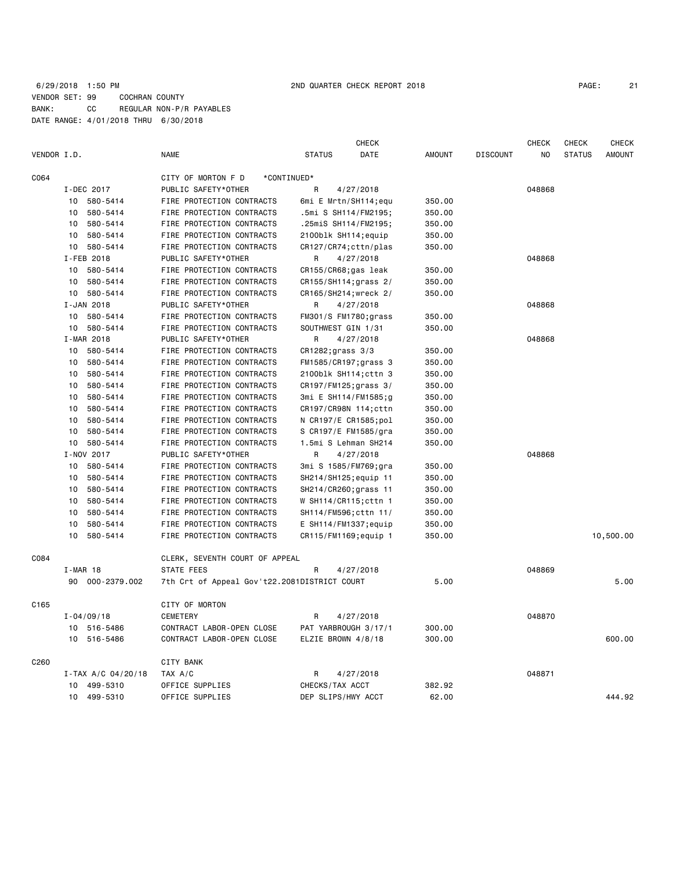|             |                    |                                              |                         | CHECK     |               |                 | <b>CHECK</b> | CHECK         | CHECK         |
|-------------|--------------------|----------------------------------------------|-------------------------|-----------|---------------|-----------------|--------------|---------------|---------------|
| VENDOR I.D. |                    | <b>NAME</b>                                  | <b>STATUS</b>           | DATE      | <b>AMOUNT</b> | <b>DISCOUNT</b> | NO           | <b>STATUS</b> | <b>AMOUNT</b> |
| C064        |                    | CITY OF MORTON F D                           | *CONTINUED*             |           |               |                 |              |               |               |
|             | I-DEC 2017         | PUBLIC SAFETY*OTHER                          | R                       | 4/27/2018 |               |                 | 048868       |               |               |
|             | 10 580-5414        | FIRE PROTECTION CONTRACTS                    | 6mi E Mrtn/SH114;equ    |           | 350.00        |                 |              |               |               |
|             | 580-5414<br>10     | FIRE PROTECTION CONTRACTS                    | .5mi S SH114/FM2195;    |           | 350.00        |                 |              |               |               |
|             | 580-5414<br>10     | FIRE PROTECTION CONTRACTS                    | .25miS SH114/FM2195;    |           | 350.00        |                 |              |               |               |
|             | 580-5414<br>10     | FIRE PROTECTION CONTRACTS                    | 2100blk SH114; equip    |           | 350.00        |                 |              |               |               |
|             | 10 580-5414        | FIRE PROTECTION CONTRACTS                    | CR127/CR74; cttn/plas   |           | 350.00        |                 |              |               |               |
|             | I-FEB 2018         | PUBLIC SAFETY*OTHER                          | R                       | 4/27/2018 |               |                 | 048868       |               |               |
|             | 580-5414<br>10     | FIRE PROTECTION CONTRACTS                    | CR155/CR68;gas leak     |           | 350.00        |                 |              |               |               |
|             | 580-5414<br>10     | FIRE PROTECTION CONTRACTS                    | CR155/SH114; grass 2/   |           | 350.00        |                 |              |               |               |
|             | 580-5414<br>10     | FIRE PROTECTION CONTRACTS                    | CR165/SH214; wreck 2/   |           | 350.00        |                 |              |               |               |
|             | I-JAN 2018         | PUBLIC SAFETY*OTHER                          | R                       | 4/27/2018 |               |                 | 048868       |               |               |
|             | 580-5414<br>10     | FIRE PROTECTION CONTRACTS                    | FM301/S FM1780;grass    |           | 350.00        |                 |              |               |               |
|             | 580-5414<br>10     | FIRE PROTECTION CONTRACTS                    | SOUTHWEST GIN 1/31      |           | 350.00        |                 |              |               |               |
|             | I-MAR 2018         | PUBLIC SAFETY*OTHER                          | R                       | 4/27/2018 |               |                 | 048868       |               |               |
|             | 10 580-5414        | FIRE PROTECTION CONTRACTS                    | CR1282; grass 3/3       |           | 350.00        |                 |              |               |               |
|             | 10<br>580-5414     | FIRE PROTECTION CONTRACTS                    | FM1585/CR197;grass 3    |           | 350.00        |                 |              |               |               |
|             | 580-5414<br>10     | FIRE PROTECTION CONTRACTS                    | 2100blk SH114; cttn 3   |           | 350.00        |                 |              |               |               |
|             | 580-5414<br>10     | FIRE PROTECTION CONTRACTS                    | CR197/FM125;grass 3/    |           | 350.00        |                 |              |               |               |
|             | 580-5414<br>10     | FIRE PROTECTION CONTRACTS                    | 3mi E SH114/FM1585;g    |           | 350.00        |                 |              |               |               |
|             | 580-5414<br>10     | FIRE PROTECTION CONTRACTS                    | CR197/CR98N 114; cttn   |           | 350.00        |                 |              |               |               |
|             | 580-5414<br>10     | FIRE PROTECTION CONTRACTS                    | N CR197/E CR1585;pol    |           | 350.00        |                 |              |               |               |
|             | 580-5414<br>10     | FIRE PROTECTION CONTRACTS                    | S CR197/E FM1585/gra    |           | 350.00        |                 |              |               |               |
|             | 580-5414<br>10     | FIRE PROTECTION CONTRACTS                    | 1.5mi S Lehman SH214    |           | 350.00        |                 |              |               |               |
|             | I-NOV 2017         | PUBLIC SAFETY*OTHER                          | R                       | 4/27/2018 |               |                 | 048868       |               |               |
|             | 580-5414<br>10     | FIRE PROTECTION CONTRACTS                    | 3mi S 1585/FM769;gra    |           | 350.00        |                 |              |               |               |
|             | 10<br>580-5414     | FIRE PROTECTION CONTRACTS                    | SH214/SH125; equip 11   |           | 350.00        |                 |              |               |               |
|             | 580-5414<br>10     | FIRE PROTECTION CONTRACTS                    | SH214/CR260; grass 11   |           | 350.00        |                 |              |               |               |
|             | 580-5414<br>10     | FIRE PROTECTION CONTRACTS                    | W SH114/CR115; cttn 1   |           | 350.00        |                 |              |               |               |
|             | 580-5414<br>10     | FIRE PROTECTION CONTRACTS                    | SH114/FM596; cttn 11/   |           | 350.00        |                 |              |               |               |
|             | 580-5414<br>10     | FIRE PROTECTION CONTRACTS                    | $E$ SH114/FM1337; equip |           | 350.00        |                 |              |               |               |
|             | 10<br>580-5414     | FIRE PROTECTION CONTRACTS                    | CR115/FM1169; equip 1   |           | 350.00        |                 |              |               | 10,500.00     |
| C084        |                    | CLERK, SEVENTH COURT OF APPEAL               |                         |           |               |                 |              |               |               |
|             | $I-MAR$ 18         | STATE FEES                                   | R                       | 4/27/2018 |               |                 | 048869       |               |               |
|             | 90 000-2379.002    | 7th Crt of Appeal Gov't22.2081DISTRICT COURT |                         |           | 5.00          |                 |              |               | 5.00          |
| C165        |                    | CITY OF MORTON                               |                         |           |               |                 |              |               |               |
|             | $I - 04/09/18$     | <b>CEMETERY</b>                              | R                       | 4/27/2018 |               |                 | 048870       |               |               |
|             | 10 516-5486        | CONTRACT LABOR-OPEN CLOSE                    | PAT YARBROUGH 3/17/1    |           | 300.00        |                 |              |               |               |
|             | 10 516-5486        | CONTRACT LABOR-OPEN CLOSE                    | ELZIE BROWN 4/8/18      |           | 300.00        |                 |              |               | 600.00        |
| C260        |                    | CITY BANK                                    |                         |           |               |                 |              |               |               |
|             | I-TAX A/C 04/20/18 | TAX A/C                                      | R                       | 4/27/2018 |               |                 | 048871       |               |               |
|             | 499-5310<br>10     | OFFICE SUPPLIES                              | CHECKS/TAX ACCT         |           | 382.92        |                 |              |               |               |
|             | 10 499-5310        | OFFICE SUPPLIES                              | DEP SLIPS/HWY ACCT      |           | 62.00         |                 |              |               | 444.92        |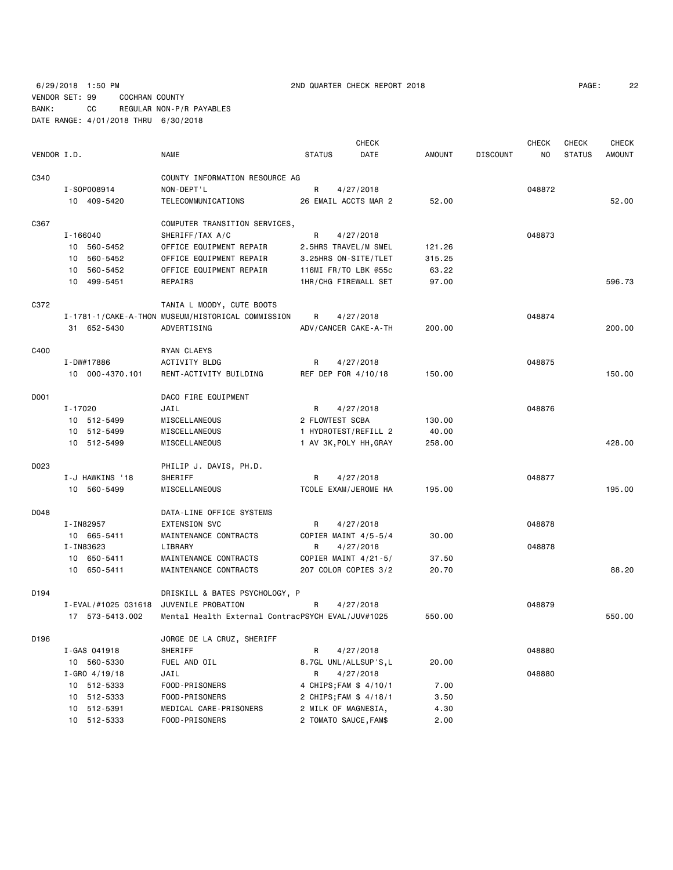6/29/2018 1:50 PM 2ND QUARTER CHECK REPORT 2018 PAGE: 22 VENDOR SET: 99 COCHRAN COUNTY BANK: CC REGULAR NON-P/R PAYABLES DATE RANGE: 4/01/2018 THRU 6/30/2018

| PAGE: | 22 |
|-------|----|
|-------|----|

|             |                                        |                                                   |                          | <b>CHECK</b> |               |                 | <b>CHECK</b> | <b>CHECK</b>  | <b>CHECK</b>  |
|-------------|----------------------------------------|---------------------------------------------------|--------------------------|--------------|---------------|-----------------|--------------|---------------|---------------|
| VENDOR I.D. |                                        | NAME                                              | <b>STATUS</b>            | DATE         | <b>AMOUNT</b> | <b>DISCOUNT</b> | NO.          | <b>STATUS</b> | <b>AMOUNT</b> |
| C340        |                                        | COUNTY INFORMATION RESOURCE AG                    |                          |              |               |                 |              |               |               |
|             | I-S0P008914                            | NON-DEPT'L                                        | R                        | 4/27/2018    |               |                 | 048872       |               |               |
|             | 10 409-5420                            | TELECOMMUNICATIONS                                | 26 EMAIL ACCTS MAR 2     |              | 52.00         |                 |              |               | 52.00         |
|             |                                        |                                                   |                          |              |               |                 |              |               |               |
| C367        |                                        | COMPUTER TRANSITION SERVICES,                     |                          |              |               |                 |              |               |               |
|             | $I - 166040$                           | SHERIFF/TAX A/C                                   | R                        | 4/27/2018    |               |                 | 048873       |               |               |
|             | 10 560-5452                            | OFFICE EQUIPMENT REPAIR                           | 2.5HRS TRAVEL/M SMEL     |              | 121.26        |                 |              |               |               |
|             | 10 560-5452                            | OFFICE EQUIPMENT REPAIR                           | 3.25HRS ON-SITE/TLET     |              | 315.25        |                 |              |               |               |
|             | 10 560-5452                            | OFFICE EQUIPMENT REPAIR                           | 116MI FR/TO LBK @55c     |              | 63.22         |                 |              |               |               |
|             | 10 499-5451                            | REPAIRS                                           | 1HR/CHG FIREWALL SET     |              | 97.00         |                 |              |               | 596.73        |
| C372        |                                        | TANIA L MOODY, CUTE BOOTS                         |                          |              |               |                 |              |               |               |
|             |                                        | I-1781-1/CAKE-A-THON MUSEUM/HISTORICAL COMMISSION | R                        | 4/27/2018    |               |                 | 048874       |               |               |
|             | 31 652-5430                            | ADVERTISING                                       | ADV/CANCER CAKE-A-TH     |              | 200.00        |                 |              |               | 200.00        |
| C400        |                                        | RYAN CLAEYS                                       |                          |              |               |                 |              |               |               |
|             | I-DW#17886                             | ACTIVITY BLDG                                     | R                        | 4/27/2018    |               |                 | 048875       |               |               |
|             | 10 000-4370.101                        | RENT-ACTIVITY BUILDING                            | REF DEP FOR 4/10/18      |              | 150.00        |                 |              |               | 150.00        |
|             |                                        |                                                   |                          |              |               |                 |              |               |               |
| D001        |                                        | DACO FIRE EQUIPMENT                               |                          |              |               |                 |              |               |               |
|             | I-17020                                | JAIL                                              | R                        | 4/27/2018    |               |                 | 048876       |               |               |
|             | 10 512-5499                            | MISCELLANEOUS                                     | 2 FLOWTEST SCBA          |              | 130.00        |                 |              |               |               |
|             | 10 512-5499                            | MISCELLANEOUS                                     | 1 HYDROTEST/REFILL 2     |              | 40.00         |                 |              |               |               |
|             | 10 512-5499                            | MISCELLANEOUS                                     | 1 AV 3K, POLY HH, GRAY   |              | 258.00        |                 |              |               | 428.00        |
| D023        |                                        | PHILIP J. DAVIS, PH.D.                            |                          |              |               |                 |              |               |               |
|             | I-J HAWKINS '18                        | SHERIFF                                           | R                        | 4/27/2018    |               |                 | 048877       |               |               |
|             | 10 560-5499                            | MISCELLANEOUS                                     | TCOLE EXAM/JEROME HA     |              | 195.00        |                 |              |               | 195.00        |
| D048        |                                        | DATA-LINE OFFICE SYSTEMS                          |                          |              |               |                 |              |               |               |
|             | I-IN82957                              | <b>EXTENSION SVC</b>                              | R                        | 4/27/2018    |               |                 | 048878       |               |               |
|             | 10 665-5411                            | MAINTENANCE CONTRACTS                             | COPIER MAINT 4/5-5/4     |              | 30.00         |                 |              |               |               |
|             | I-IN83623                              | LIBRARY                                           | R                        | 4/27/2018    |               |                 | 048878       |               |               |
|             | 10 650-5411                            | MAINTENANCE CONTRACTS                             | COPIER MAINT $4/21 - 5/$ |              | 37.50         |                 |              |               |               |
|             | 10 650-5411                            | MAINTENANCE CONTRACTS                             | 207 COLOR COPIES 3/2     |              | 20.70         |                 |              |               | 88.20         |
|             |                                        |                                                   |                          |              |               |                 |              |               |               |
| D194        |                                        | DRISKILL & BATES PSYCHOLOGY, P                    |                          |              |               |                 |              |               |               |
|             | I-EVAL/#1025 031618 JUVENILE PROBATION |                                                   | R                        | 4/27/2018    |               |                 | 048879       |               |               |
|             | 17 573-5413.002                        | Mental Health External ContracPSYCH EVAL/JUV#1025 |                          |              | 550.00        |                 |              |               | 550.00        |
| D196        |                                        | JORGE DE LA CRUZ, SHERIFF                         |                          |              |               |                 |              |               |               |
|             | I-GAS 041918                           | SHERIFF                                           | R                        | 4/27/2018    |               |                 | 048880       |               |               |
|             | 10 560-5330                            | FUEL AND OIL                                      | 8.7GL UNL/ALLSUP'S,L     |              | 20.00         |                 |              |               |               |
|             | $I - GRO$ 4/19/18                      | JAIL                                              | R                        | 4/27/2018    |               |                 | 048880       |               |               |
|             | 10 512-5333                            | FOOD-PRISONERS                                    | 4 CHIPS; FAM \$ 4/10/1   |              | 7.00          |                 |              |               |               |
|             | 10 512-5333                            | FOOD-PRISONERS                                    | 2 CHIPS; FAM \$ 4/18/1   |              | 3.50          |                 |              |               |               |
|             | 10 512-5391                            | MEDICAL CARE-PRISONERS                            | 2 MILK OF MAGNESIA,      |              | 4.30          |                 |              |               |               |
|             | 10 512-5333                            | FOOD-PRISONERS                                    | 2 TOMATO SAUCE, FAM\$    |              | 2.00          |                 |              |               |               |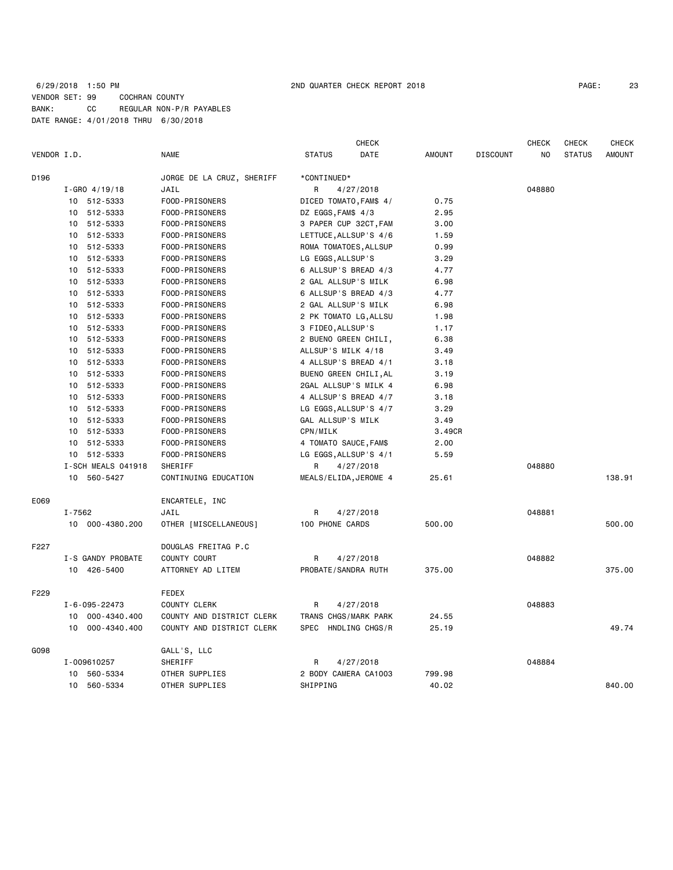## 6/29/2018 1:50 PM 2ND QUARTER CHECK REPORT 2018 PAGE: 23 VENDOR SET: 99 COCHRAN COUNTY BANK: CC REGULAR NON-P/R PAYABLES DATE RANGE: 4/01/2018 THRU 6/30/2018

| VENDOR I.D. |                                  | <b>NAME</b>               | <b>STATUS</b>               | <b>CHECK</b><br>DATE         | <b>AMOUNT</b> | <b>DISCOUNT</b> | <b>CHECK</b><br>NO | CHECK<br><b>STATUS</b> | <b>CHECK</b><br><b>AMOUNT</b> |
|-------------|----------------------------------|---------------------------|-----------------------------|------------------------------|---------------|-----------------|--------------------|------------------------|-------------------------------|
| D196        |                                  | JORGE DE LA CRUZ, SHERIFF | *CONTINUED*                 |                              |               |                 |                    |                        |                               |
|             |                                  |                           |                             |                              |               |                 | 048880             |                        |                               |
|             | $I - GRO$ 4/19/18<br>10 512-5333 | JAIL<br>FOOD-PRISONERS    | R<br>DICED TOMATO, FAM\$ 4/ | 4/27/2018                    | 0.75          |                 |                    |                        |                               |
|             |                                  |                           |                             |                              |               |                 |                    |                        |                               |
|             | 512-5333<br>10                   | FOOD-PRISONERS            | DZ EGGS, FAM\$ 4/3          |                              | 2.95          |                 |                    |                        |                               |
|             | 512-5333<br>10                   | FOOD-PRISONERS            | 3 PAPER CUP 32CT, FAM       |                              | 3.00          |                 |                    |                        |                               |
|             | 512-5333<br>10                   | FOOD-PRISONERS            | LETTUCE, ALLSUP'S 4/6       |                              | 1.59          |                 |                    |                        |                               |
|             | 512-5333<br>10                   | FOOD-PRISONERS            | ROMA TOMATOES, ALLSUP       |                              | 0.99          |                 |                    |                        |                               |
|             | 512-5333<br>10                   | FOOD-PRISONERS            | LG EGGS, ALLSUP'S           |                              | 3.29          |                 |                    |                        |                               |
|             | 512-5333<br>10                   | FOOD-PRISONERS            | 6 ALLSUP'S BREAD 4/3        |                              | 4.77          |                 |                    |                        |                               |
|             | 512-5333<br>10                   | FOOD-PRISONERS            | 2 GAL ALLSUP'S MILK         |                              | 6.98          |                 |                    |                        |                               |
|             | 512-5333<br>10                   | FOOD-PRISONERS            | 6 ALLSUP'S BREAD 4/3        |                              | 4.77          |                 |                    |                        |                               |
|             | 512-5333<br>10                   | FOOD-PRISONERS            | 2 GAL ALLSUP'S MILK         |                              | 6.98          |                 |                    |                        |                               |
|             | 512-5333<br>10                   | FOOD-PRISONERS            | 2 PK TOMATO LG, ALLSU       |                              | 1.98          |                 |                    |                        |                               |
|             | 10<br>512-5333                   | FOOD-PRISONERS            | 3 FIDEO, ALLSUP'S           |                              | 1.17          |                 |                    |                        |                               |
|             | 512-5333<br>10                   | FOOD-PRISONERS            | 2 BUENO GREEN CHILI,        |                              | 6.38          |                 |                    |                        |                               |
|             | 512-5333<br>10                   | FOOD-PRISONERS            | ALLSUP'S MILK 4/18          |                              | 3.49          |                 |                    |                        |                               |
|             | 512-5333<br>10                   | FOOD-PRISONERS            | 4 ALLSUP'S BREAD 4/1        |                              | 3.18          |                 |                    |                        |                               |
|             | 512-5333<br>10                   | FOOD-PRISONERS            | BUENO GREEN CHILI, AL       |                              | 3.19          |                 |                    |                        |                               |
|             | 512-5333<br>10                   | FOOD-PRISONERS            |                             | 2GAL ALLSUP'S MILK 4<br>6.98 |               |                 |                    |                        |                               |
|             | 512-5333<br>10                   | FOOD-PRISONERS            | 4 ALLSUP'S BREAD 4/7        |                              | 3.18          |                 |                    |                        |                               |
|             | 512-5333<br>10                   | FOOD-PRISONERS            | LG EGGS, ALLSUP'S 4/7       |                              | 3.29          |                 |                    |                        |                               |
|             | 512-5333<br>10                   | FOOD-PRISONERS            | GAL ALLSUP'S MILK           |                              | 3.49          |                 |                    |                        |                               |
|             | 10<br>512-5333                   | FOOD-PRISONERS            | CPN/MILK                    |                              | 3.49CR        |                 |                    |                        |                               |
|             | 10<br>512-5333                   | FOOD-PRISONERS            | 4 TOMATO SAUCE, FAM\$       |                              | 2.00          |                 |                    |                        |                               |
|             | 10 512-5333                      | FOOD-PRISONERS            | LG EGGS, ALLSUP'S 4/1       |                              | 5.59          |                 |                    |                        |                               |
|             | I-SCH MEALS 041918               | SHERIFF                   | R                           | 4/27/2018                    |               |                 | 048880             |                        |                               |
|             | 10 560-5427                      | CONTINUING EDUCATION      | MEALS/ELIDA, JEROME 4       |                              | 25.61         |                 |                    |                        | 138.91                        |
| E069        |                                  | ENCARTELE, INC            |                             |                              |               |                 |                    |                        |                               |
|             | I-7562                           | JAIL                      | R                           | 4/27/2018                    |               |                 | 048881             |                        |                               |
|             | 10 000-4380.200                  | OTHER [MISCELLANEOUS]     | 100 PHONE CARDS             |                              | 500.00        |                 |                    |                        | 500.00                        |
| F227        |                                  | DOUGLAS FREITAG P.C       |                             |                              |               |                 |                    |                        |                               |
|             | I-S GANDY PROBATE                | COUNTY COURT              | R                           | 4/27/2018                    |               |                 | 048882             |                        |                               |
|             | 10 426-5400                      | ATTORNEY AD LITEM         | PROBATE/SANDRA RUTH         |                              | 375.00        |                 |                    |                        | 375.00                        |
| F229        |                                  | FEDEX                     |                             |                              |               |                 |                    |                        |                               |
|             | I-6-095-22473                    | COUNTY CLERK              | R                           | 4/27/2018                    |               |                 | 048883             |                        |                               |
|             | 10 000-4340.400                  | COUNTY AND DISTRICT CLERK | TRANS CHGS/MARK PARK        |                              | 24.55         |                 |                    |                        |                               |
|             | 000-4340.400<br>10               | COUNTY AND DISTRICT CLERK | SPEC                        | HNDLING CHGS/R               | 25.19         |                 |                    |                        | 49.74                         |
| G098        |                                  | GALL'S, LLC               |                             |                              |               |                 |                    |                        |                               |
|             | I-009610257                      | SHERIFF                   | R                           | 4/27/2018                    |               |                 | 048884             |                        |                               |
|             | 10 560-5334                      | OTHER SUPPLIES            | 2 BODY CAMERA CA1003        |                              | 799.98        |                 |                    |                        |                               |
|             | 560-5334<br>10                   | OTHER SUPPLIES            | SHIPPING                    |                              | 40.02         |                 |                    |                        | 840.00                        |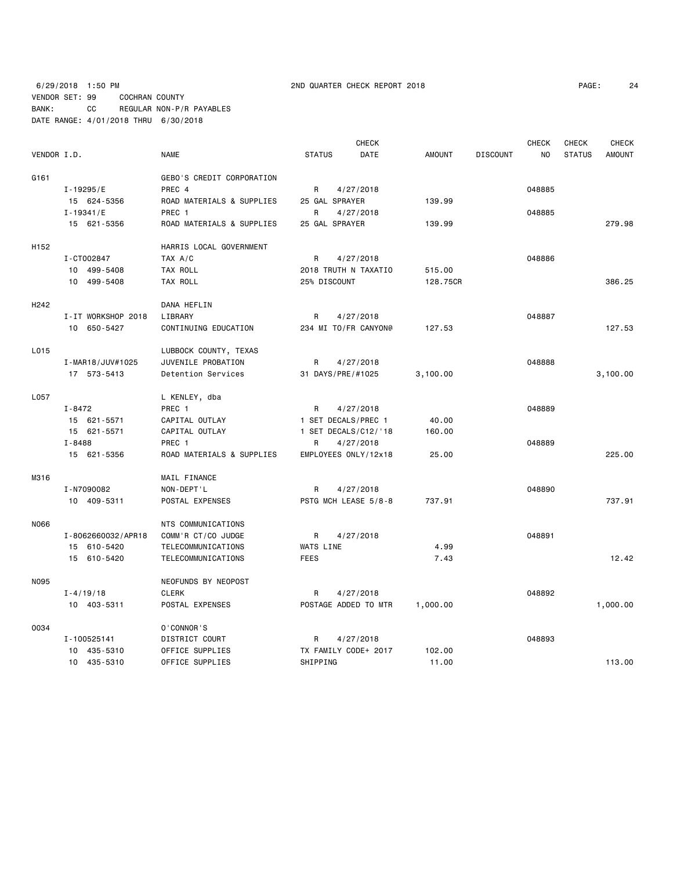|                  |                    |                           |                      | <b>CHECK</b> |               |                 | <b>CHECK</b> | CHECK         | <b>CHECK</b>  |
|------------------|--------------------|---------------------------|----------------------|--------------|---------------|-----------------|--------------|---------------|---------------|
| VENDOR I.D.      |                    | <b>NAME</b>               | <b>STATUS</b>        | DATE         | <b>AMOUNT</b> | <b>DISCOUNT</b> | <b>NO</b>    | <b>STATUS</b> | <b>AMOUNT</b> |
| G161             |                    | GEBO'S CREDIT CORPORATION |                      |              |               |                 |              |               |               |
|                  | I-19295/E          | PREC 4                    | R                    | 4/27/2018    |               |                 | 048885       |               |               |
|                  | 15 624-5356        | ROAD MATERIALS & SUPPLIES | 25 GAL SPRAYER       |              | 139.99        |                 |              |               |               |
|                  | $I - 19341/E$      | PREC 1                    | R                    | 4/27/2018    |               |                 | 048885       |               |               |
|                  | 15 621-5356        | ROAD MATERIALS & SUPPLIES | 25 GAL SPRAYER       |              | 139.99        |                 |              |               | 279.98        |
| H <sub>152</sub> |                    | HARRIS LOCAL GOVERNMENT   |                      |              |               |                 |              |               |               |
|                  | I-CT002847         | TAX A/C                   | R                    | 4/27/2018    |               |                 | 048886       |               |               |
|                  | 10 499-5408        | TAX ROLL                  | 2018 TRUTH N TAXATIO |              | 515.00        |                 |              |               |               |
|                  | 10 499-5408        | TAX ROLL                  | 25% DISCOUNT         |              | 128.75CR      |                 |              |               | 386.25        |
| H <sub>242</sub> |                    | DANA HEFLIN               |                      |              |               |                 |              |               |               |
|                  | I-IT WORKSHOP 2018 | LIBRARY                   | R                    | 4/27/2018    |               |                 | 048887       |               |               |
|                  | 10 650-5427        | CONTINUING EDUCATION      | 234 MI TO/FR CANYON@ |              | 127.53        |                 |              |               | 127.53        |
| L015             |                    | LUBBOCK COUNTY, TEXAS     |                      |              |               |                 |              |               |               |
|                  | I-MAR18/JUV#1025   | JUVENILE PROBATION        | R                    | 4/27/2018    |               |                 | 048888       |               |               |
|                  | 17 573-5413        | Detention Services        | 31 DAYS/PRE/#1025    |              | 3,100.00      |                 |              |               | 3,100.00      |
| L057             |                    | L KENLEY, dba             |                      |              |               |                 |              |               |               |
|                  | I-8472             | PREC 1                    | R                    | 4/27/2018    |               |                 | 048889       |               |               |
|                  | 15 621-5571        | CAPITAL OUTLAY            | 1 SET DECALS/PREC 1  |              | 40.00         |                 |              |               |               |
|                  | 15 621-5571        | CAPITAL OUTLAY            | 1 SET DECALS/C12/'18 |              | 160.00        |                 |              |               |               |
|                  | I-8488             | PREC 1                    | R                    | 4/27/2018    |               |                 | 048889       |               |               |
|                  | 15 621-5356        | ROAD MATERIALS & SUPPLIES | EMPLOYEES ONLY/12x18 |              | 25.00         |                 |              |               | 225,00        |
| M316             |                    | MAIL FINANCE              |                      |              |               |                 |              |               |               |
|                  | I-N7090082         | NON-DEPT'L                | R                    | 4/27/2018    |               |                 | 048890       |               |               |
|                  | 10 409-5311        | POSTAL EXPENSES           | PSTG MCH LEASE 5/8-8 |              | 737.91        |                 |              |               | 737.91        |
| N066             |                    | NTS COMMUNICATIONS        |                      |              |               |                 |              |               |               |
|                  | I-8062660032/APR18 | COMM'R CT/CO JUDGE        | R                    | 4/27/2018    |               |                 | 048891       |               |               |
|                  | 15 610-5420        | TELECOMMUNICATIONS        | WATS LINE            |              | 4.99          |                 |              |               |               |
|                  | 15 610-5420        | TELECOMMUNICATIONS        | <b>FEES</b>          |              | 7.43          |                 |              |               | 12.42         |
| N095             |                    | NEOFUNDS BY NEOPOST       |                      |              |               |                 |              |               |               |
|                  | $I - 4/19/18$      | <b>CLERK</b>              | R                    | 4/27/2018    |               |                 | 048892       |               |               |
|                  | 10 403-5311        | POSTAL EXPENSES           | POSTAGE ADDED TO MTR |              | 1,000.00      |                 |              |               | 1,000.00      |
| 0034             |                    | 0'CONNOR'S                |                      |              |               |                 |              |               |               |
|                  | I-100525141        | DISTRICT COURT            | R                    | 4/27/2018    |               |                 | 048893       |               |               |
|                  | 10 435-5310        | OFFICE SUPPLIES           | TX FAMILY CODE+ 2017 |              | 102.00        |                 |              |               |               |
|                  | 10 435-5310        | OFFICE SUPPLIES           | SHIPPING             |              | 11.00         |                 |              |               | 113.00        |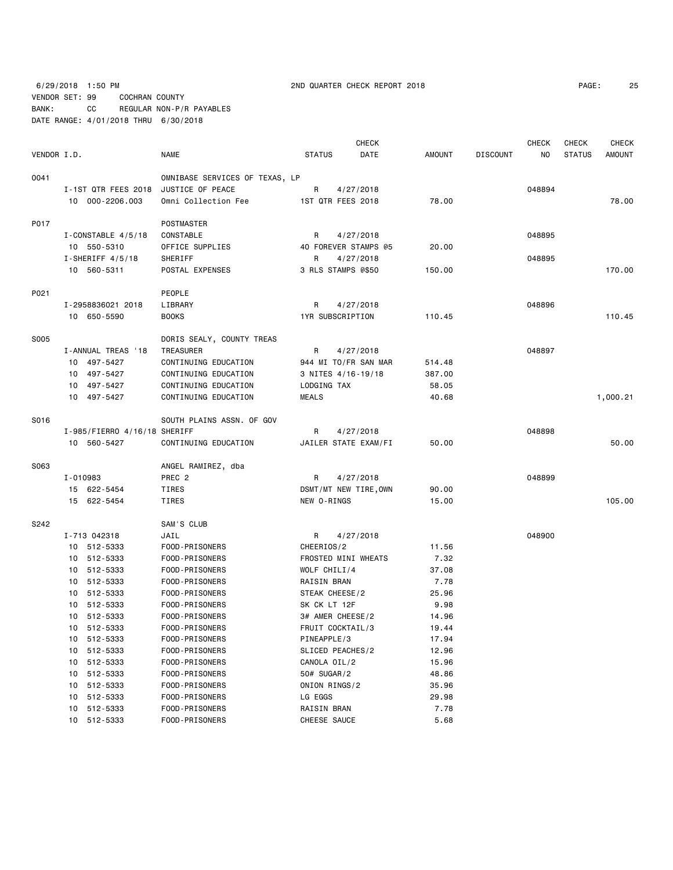6/29/2018 1:50 PM 2ND QUARTER CHECK REPORT 2018 PAGE: 25 VENDOR SET: 99 COCHRAN COUNTY BANK: CC REGULAR NON-P/R PAYABLES DATE RANGE: 4/01/2018 THRU 6/30/2018

| PAGE: | 25 |
|-------|----|
|-------|----|

|             |          |                              |                                         |                         | <b>CHECK</b> |                |                 | <b>CHECK</b> | CHECK         | <b>CHECK</b>  |
|-------------|----------|------------------------------|-----------------------------------------|-------------------------|--------------|----------------|-----------------|--------------|---------------|---------------|
| VENDOR I.D. |          |                              | <b>NAME</b>                             | <b>STATUS</b>           | DATE         | AMOUNT         | <b>DISCOUNT</b> | NO.          | <b>STATUS</b> | <b>AMOUNT</b> |
| 0041        |          |                              | OMNIBASE SERVICES OF TEXAS, LP          |                         |              |                |                 |              |               |               |
|             |          | I-1ST QTR FEES 2018          | JUSTICE OF PEACE                        | R                       | 4/27/2018    |                |                 | 048894       |               |               |
|             |          | 10 000-2206.003              | Omni Collection Fee                     | 1ST QTR FEES 2018       |              | 78.00          |                 |              |               | 78.00         |
|             |          |                              |                                         |                         |              |                |                 |              |               |               |
| P017        |          |                              | POSTMASTER                              |                         |              |                |                 |              |               |               |
|             |          | I-CONSTABLE 4/5/18           | CONSTABLE                               | R                       | 4/27/2018    |                |                 | 048895       |               |               |
|             |          | 10 550-5310                  | OFFICE SUPPLIES                         | 40 FOREVER STAMPS @5    |              | 20.00          |                 |              |               |               |
|             |          | $I-SHERIFF 4/5/18$           | <b>SHERIFF</b>                          | R                       | 4/27/2018    |                |                 | 048895       |               |               |
|             |          | 10 560-5311                  | POSTAL EXPENSES                         | 3 RLS STAMPS @\$50      |              | 150.00         |                 |              |               | 170.00        |
| P021        |          |                              | PEOPLE                                  |                         |              |                |                 |              |               |               |
|             |          | I-2958836021 2018            | LIBRARY                                 | R                       | 4/27/2018    |                |                 | 048896       |               |               |
|             |          | 10 650-5590                  | <b>BOOKS</b>                            | <b>1YR SUBSCRIPTION</b> |              | 110.45         |                 |              |               | 110.45        |
|             |          |                              |                                         |                         |              |                |                 |              |               |               |
| S005        |          |                              | DORIS SEALY, COUNTY TREAS               |                         |              |                |                 |              |               |               |
|             |          | I-ANNUAL TREAS '18           | TREASURER                               | R                       | 4/27/2018    |                |                 | 048897       |               |               |
|             |          | 10 497-5427                  | CONTINUING EDUCATION                    | 944 MI TO/FR SAN MAR    |              | 514.48         |                 |              |               |               |
|             |          | 10 497-5427                  | CONTINUING EDUCATION                    | 3 NITES 4/16-19/18      |              | 387.00         |                 |              |               |               |
|             |          | 10 497-5427                  | CONTINUING EDUCATION                    | LODGING TAX             |              | 58.05          |                 |              |               |               |
|             |          | 10 497-5427                  | CONTINUING EDUCATION                    | <b>MEALS</b>            |              | 40.68          |                 |              |               | 1,000.21      |
| S016        |          |                              | SOUTH PLAINS ASSN, OF GOV               |                         |              |                |                 |              |               |               |
|             |          | I-985/FIERRO 4/16/18 SHERIFF |                                         | R                       | 4/27/2018    |                |                 | 048898       |               |               |
|             |          | 10 560-5427                  | CONTINUING EDUCATION                    | JAILER STATE EXAM/FI    |              | 50.00          |                 |              |               | 50.00         |
|             |          |                              |                                         |                         |              |                |                 |              |               |               |
| S063        | I-010983 |                              | ANGEL RAMIREZ, dba<br>PREC <sub>2</sub> | R                       | 4/27/2018    |                |                 | 048899       |               |               |
|             |          |                              | TIRES                                   |                         |              |                |                 |              |               |               |
|             |          | 15 622-5454<br>15 622-5454   | TIRES                                   | DSMT/MT NEW TIRE, OWN   |              | 90.00<br>15.00 |                 |              |               | 105.00        |
|             |          |                              |                                         | NEW O-RINGS             |              |                |                 |              |               |               |
| S242        |          |                              | SAM'S CLUB                              |                         |              |                |                 |              |               |               |
|             |          | I-713 042318                 | JAIL                                    | R                       | 4/27/2018    |                |                 | 048900       |               |               |
|             |          | 10 512-5333                  | FOOD-PRISONERS                          | CHEERIOS/2              |              | 11.56          |                 |              |               |               |
|             |          | 10 512-5333                  | FOOD-PRISONERS                          | FROSTED MINI WHEATS     |              | 7.32           |                 |              |               |               |
|             |          | 10 512-5333                  | FOOD-PRISONERS                          | WOLF CHILI/4            |              | 37.08          |                 |              |               |               |
|             |          | 10 512-5333                  | FOOD-PRISONERS                          | RAISIN BRAN             |              | 7.78           |                 |              |               |               |
|             |          | 10 512-5333                  | FOOD-PRISONERS                          | STEAK CHEESE/2          |              | 25.96          |                 |              |               |               |
|             |          | 10 512-5333                  | FOOD-PRISONERS                          | SK CK LT 12F            |              | 9.98           |                 |              |               |               |
|             |          | 10 512-5333                  | FOOD-PRISONERS                          | 3# AMER CHEESE/2        |              | 14.96          |                 |              |               |               |
|             |          | 10 512-5333                  | FOOD-PRISONERS                          | FRUIT COCKTAIL/3        |              | 19.44          |                 |              |               |               |
|             | 10       | 512-5333                     | FOOD-PRISONERS                          | PINEAPPLE/3             |              | 17.94          |                 |              |               |               |
|             | 10       | 512-5333                     | FOOD-PRISONERS                          | SLICED PEACHES/2        |              | 12.96          |                 |              |               |               |
|             | 10       | 512-5333                     | FOOD-PRISONERS                          | CANOLA OIL/2            |              | 15.96          |                 |              |               |               |
|             | 10       | 512-5333                     | FOOD-PRISONERS                          | 50# SUGAR/2             |              | 48.86          |                 |              |               |               |
|             | 10       | 512-5333                     | FOOD-PRISONERS                          | ONION RINGS/2           |              | 35.96          |                 |              |               |               |
|             | 10       | 512-5333                     | FOOD-PRISONERS                          | LG EGGS                 |              | 29.98          |                 |              |               |               |
|             | 10       | 512-5333                     | FOOD-PRISONERS                          | RAISIN BRAN             |              | 7.78           |                 |              |               |               |
|             | 10       | 512-5333                     | FOOD-PRISONERS                          | CHEESE SAUCE            |              | 5.68           |                 |              |               |               |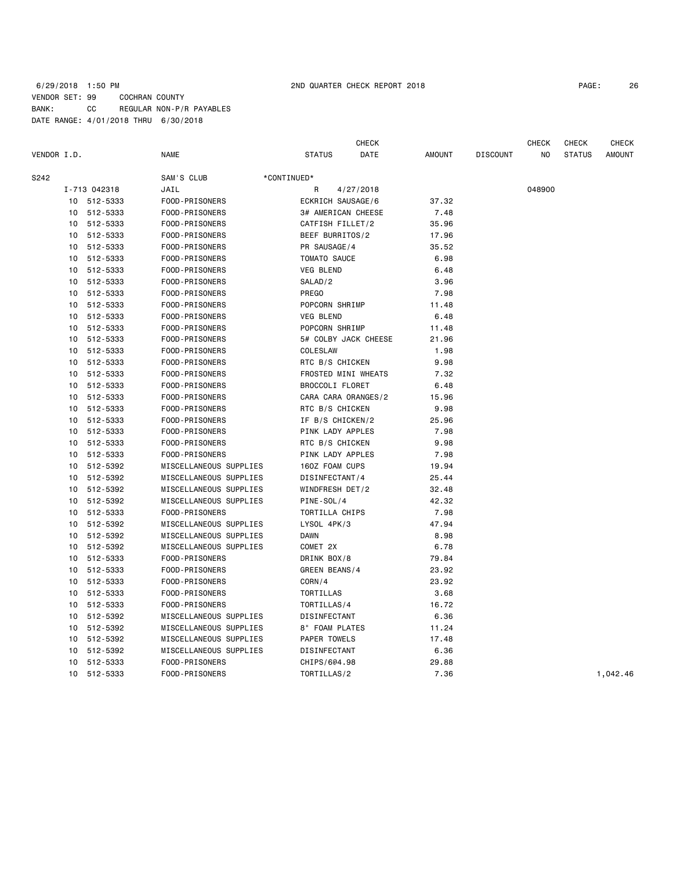## 6/29/2018 1:50 PM 2ND QUARTER CHECK REPORT 2018 PAGE: 26 VENDOR SET: 99 COCHRAN COUNTY BANK: CC REGULAR NON-P/R PAYABLES DATE RANGE: 4/01/2018 THRU 6/30/2018

| PAGE: | 26 |
|-------|----|
|-------|----|

|             |              |                        |                      | <b>CHECK</b> |               |                 | <b>CHECK</b> | <b>CHECK</b>  | <b>CHECK</b>  |
|-------------|--------------|------------------------|----------------------|--------------|---------------|-----------------|--------------|---------------|---------------|
| VENDOR I.D. |              | <b>NAME</b>            | <b>STATUS</b>        | DATE         | <b>AMOUNT</b> | <b>DISCOUNT</b> | NO           | <b>STATUS</b> | <b>AMOUNT</b> |
| S242        |              | SAM'S CLUB             | *CONTINUED*          |              |               |                 |              |               |               |
|             | I-713 042318 | JAIL                   | R                    | 4/27/2018    |               |                 | 048900       |               |               |
| 10          | 512-5333     | FOOD-PRISONERS         | ECKRICH SAUSAGE/6    |              | 37.32         |                 |              |               |               |
| 10          | 512-5333     | FOOD-PRISONERS         | 3# AMERICAN CHEESE   |              | 7.48          |                 |              |               |               |
| 10          | 512-5333     | FOOD-PRISONERS         | CATFISH FILLET/2     |              | 35.96         |                 |              |               |               |
| 10          | 512-5333     | FOOD-PRISONERS         | BEEF BURRITOS/2      |              | 17.96         |                 |              |               |               |
| 10          | 512-5333     | FOOD-PRISONERS         | PR SAUSAGE/4         |              | 35.52         |                 |              |               |               |
| 10          | 512-5333     | FOOD-PRISONERS         | TOMATO SAUCE         |              | 6.98          |                 |              |               |               |
| 10          | 512-5333     | FOOD-PRISONERS         | <b>VEG BLEND</b>     |              | 6.48          |                 |              |               |               |
| 10          | 512-5333     | FOOD-PRISONERS         | SALAD/2              |              | 3.96          |                 |              |               |               |
| 10          | 512-5333     | FOOD-PRISONERS         | PREGO                |              | 7.98          |                 |              |               |               |
| 10          | 512-5333     | FOOD-PRISONERS         | POPCORN SHRIMP       |              | 11.48         |                 |              |               |               |
| 10          | 512-5333     | FOOD-PRISONERS         | <b>VEG BLEND</b>     |              | 6.48          |                 |              |               |               |
| 10          | 512-5333     | FOOD-PRISONERS         | POPCORN SHRIMP       |              | 11.48         |                 |              |               |               |
| 10          | 512-5333     | FOOD-PRISONERS         | 5# COLBY JACK CHEESE |              | 21.96         |                 |              |               |               |
| 10          | 512-5333     | FOOD-PRISONERS         | COLESLAW             |              | 1.98          |                 |              |               |               |
| 10          | 512-5333     | FOOD-PRISONERS         | RTC B/S CHICKEN      |              | 9.98          |                 |              |               |               |
| 10          | 512-5333     | FOOD-PRISONERS         | FROSTED MINI WHEATS  |              | 7.32          |                 |              |               |               |
| 10          | 512-5333     | FOOD-PRISONERS         | BROCCOLI FLORET      |              | 6.48          |                 |              |               |               |
| 10          | 512-5333     | FOOD-PRISONERS         | CARA CARA ORANGES/2  |              | 15.96         |                 |              |               |               |
| 10          | 512-5333     | FOOD-PRISONERS         | RTC B/S CHICKEN      |              | 9.98          |                 |              |               |               |
| 10          | 512-5333     | FOOD-PRISONERS         | IF B/S CHICKEN/2     |              | 25.96         |                 |              |               |               |
| 10          | 512-5333     | FOOD-PRISONERS         | PINK LADY APPLES     |              | 7.98          |                 |              |               |               |
| 10          | 512-5333     | FOOD-PRISONERS         | RTC B/S CHICKEN      |              | 9.98          |                 |              |               |               |
| 10          | 512-5333     | FOOD-PRISONERS         | PINK LADY APPLES     |              | 7.98          |                 |              |               |               |
| 10          | 512-5392     | MISCELLANEOUS SUPPLIES | 160Z FOAM CUPS       |              | 19.94         |                 |              |               |               |
| 10          | 512-5392     | MISCELLANEOUS SUPPLIES | DISINFECTANT/4       |              | 25.44         |                 |              |               |               |
| 10          | 512-5392     | MISCELLANEOUS SUPPLIES | WINDFRESH DET/2      |              | 32.48         |                 |              |               |               |
| 10          | 512-5392     | MISCELLANEOUS SUPPLIES | PINE-SOL/4           |              | 42.32         |                 |              |               |               |
| 10          | 512-5333     | FOOD-PRISONERS         | TORTILLA CHIPS       |              | 7.98          |                 |              |               |               |
| 10          | 512-5392     | MISCELLANEOUS SUPPLIES | LYSOL 4PK/3          |              | 47.94         |                 |              |               |               |
| 10          | 512-5392     | MISCELLANEOUS SUPPLIES | <b>DAWN</b>          |              | 8.98          |                 |              |               |               |
| 10          | 512-5392     | MISCELLANEOUS SUPPLIES | COMET 2X             |              | 6.78          |                 |              |               |               |
| 10          | 512-5333     | FOOD-PRISONERS         | DRINK BOX/8          |              | 79.84         |                 |              |               |               |
| 10          | 512-5333     | FOOD-PRISONERS         | GREEN BEANS/4        |              | 23.92         |                 |              |               |               |
| 10          | 512-5333     | FOOD-PRISONERS         | CORN/4               |              | 23.92         |                 |              |               |               |
| 10          | 512-5333     | FOOD-PRISONERS         | TORTILLAS            |              | 3.68          |                 |              |               |               |
| 10          | 512-5333     | FOOD-PRISONERS         | TORTILLAS/4          |              | 16.72         |                 |              |               |               |
| 10          | 512-5392     | MISCELLANEOUS SUPPLIES | DISINFECTANT         |              | 6.36          |                 |              |               |               |
| 10          | 512-5392     | MISCELLANEOUS SUPPLIES | 8" FOAM PLATES       |              | 11.24         |                 |              |               |               |
| 10          | 512-5392     | MISCELLANEOUS SUPPLIES | PAPER TOWELS         |              | 17.48         |                 |              |               |               |
| 10          | 512-5392     | MISCELLANEOUS SUPPLIES | DISINFECTANT         |              | 6.36          |                 |              |               |               |
| 10          | 512-5333     | FOOD-PRISONERS         | CHIPS/604.98         |              | 29.88         |                 |              |               |               |
| 10          | 512-5333     | FOOD-PRISONERS         | TORTILLAS/2          |              | 7.36          |                 |              |               | 1,042.46      |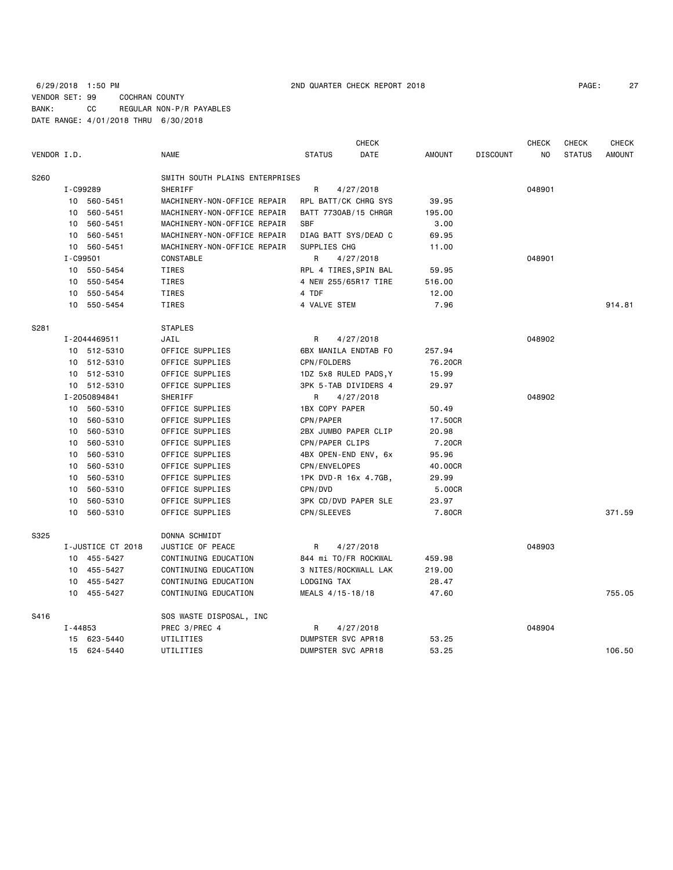## 6/29/2018 1:50 PM 2ND QUARTER CHECK REPORT 2018 VENDOR SET: 99 COCHRAN COUNTY BANK: CC REGULAR NON-P/R PAYABLES DATE RANGE: 4/01/2018 THRU 6/30/2018

| PAGE: | 27 |
|-------|----|
|-------|----|

| VENDOR I.D. |          |                   | <b>NAME</b>                    | <b>STATUS</b>         | <b>CHECK</b><br>DATE | <b>AMOUNT</b> | <b>DISCOUNT</b> | <b>CHECK</b><br>NO | CHECK<br><b>STATUS</b> | <b>CHECK</b><br><b>AMOUNT</b> |
|-------------|----------|-------------------|--------------------------------|-----------------------|----------------------|---------------|-----------------|--------------------|------------------------|-------------------------------|
| S260        |          |                   | SMITH SOUTH PLAINS ENTERPRISES |                       |                      |               |                 |                    |                        |                               |
|             | I-C99289 |                   | SHERIFF                        | R                     | 4/27/2018            |               |                 | 048901             |                        |                               |
|             |          | 10 560-5451       | MACHINERY-NON-OFFICE REPAIR    | RPL BATT/CK CHRG SYS  |                      | 39.95         |                 |                    |                        |                               |
|             | 10       | 560-5451          | MACHINERY-NON-OFFICE REPAIR    | BATT 7730AB/15 CHRGR  |                      | 195.00        |                 |                    |                        |                               |
|             | 10       | 560-5451          | MACHINERY-NON-OFFICE REPAIR    | <b>SBF</b>            |                      | 3.00          |                 |                    |                        |                               |
|             | 10       | 560-5451          | MACHINERY-NON-OFFICE REPAIR    | DIAG BATT SYS/DEAD C  |                      | 69.95         |                 |                    |                        |                               |
|             | 10       | 560-5451          | MACHINERY-NON-OFFICE REPAIR    | SUPPLIES CHG          |                      | 11.00         |                 |                    |                        |                               |
|             | I-C99501 |                   | CONSTABLE                      | R                     | 4/27/2018            |               |                 | 048901             |                        |                               |
|             |          | 10 550-5454       | TIRES                          | RPL 4 TIRES, SPIN BAL |                      | 59.95         |                 |                    |                        |                               |
|             | 10       | 550-5454          | TIRES                          | 4 NEW 255/65R17 TIRE  |                      | 516.00        |                 |                    |                        |                               |
|             | 10       | 550-5454          | TIRES                          | 4 TDF                 |                      | 12.00         |                 |                    |                        |                               |
|             |          | 10 550-5454       | <b>TIRES</b>                   | 4 VALVE STEM          |                      | 7.96          |                 |                    |                        | 914.81                        |
| S281        |          |                   | <b>STAPLES</b>                 |                       |                      |               |                 |                    |                        |                               |
|             |          | I-2044469511      | JAIL                           | R                     | 4/27/2018            |               |                 | 048902             |                        |                               |
|             |          | 10 512-5310       | OFFICE SUPPLIES                | 6BX MANILA ENDTAB FO  |                      | 257.94        |                 |                    |                        |                               |
|             |          | 10 512-5310       | OFFICE SUPPLIES                | CPN/FOLDERS           |                      | 76.20CR       |                 |                    |                        |                               |
|             |          | 10 512-5310       | OFFICE SUPPLIES                | 1DZ 5x8 RULED PADS, Y |                      | 15.99         |                 |                    |                        |                               |
|             |          | 10 512-5310       | OFFICE SUPPLIES                | 3PK 5-TAB DIVIDERS 4  |                      | 29.97         |                 |                    |                        |                               |
|             |          | I-2050894841      | SHERIFF                        | R.                    | 4/27/2018            |               |                 | 048902             |                        |                               |
|             |          | 10 560-5310       | OFFICE SUPPLIES                | 1BX COPY PAPER        |                      | 50.49         |                 |                    |                        |                               |
|             | 10       | 560-5310          | OFFICE SUPPLIES                | CPN/PAPER             |                      | 17.50CR       |                 |                    |                        |                               |
|             |          | 10 560-5310       | OFFICE SUPPLIES                | 2BX JUMBO PAPER CLIP  |                      | 20.98         |                 |                    |                        |                               |
|             | 10       | 560-5310          | OFFICE SUPPLIES                | CPN/PAPER CLIPS       |                      | 7.20CR        |                 |                    |                        |                               |
|             | 10       | 560-5310          | OFFICE SUPPLIES                | 4BX OPEN-END ENV, 6x  |                      | 95.96         |                 |                    |                        |                               |
|             | 10       | 560-5310          | OFFICE SUPPLIES                | CPN/ENVELOPES         |                      | 40.00CR       |                 |                    |                        |                               |
|             | 10       | 560-5310          | OFFICE SUPPLIES                | 1PK DVD-R 16x 4.7GB,  |                      | 29.99         |                 |                    |                        |                               |
|             | 10       | 560-5310          | OFFICE SUPPLIES                | CPN/DVD               |                      | 5.00CR        |                 |                    |                        |                               |
|             | 10       | 560-5310          | OFFICE SUPPLIES                | 3PK CD/DVD PAPER SLE  |                      | 23.97         |                 |                    |                        |                               |
|             | 10       | 560-5310          | OFFICE SUPPLIES                | CPN/SLEEVES           |                      | 7.80CR        |                 |                    |                        | 371.59                        |
| S325        |          |                   | DONNA SCHMIDT                  |                       |                      |               |                 |                    |                        |                               |
|             |          | I-JUSTICE CT 2018 | JUSTICE OF PEACE               | R                     | 4/27/2018            |               |                 | 048903             |                        |                               |
|             |          | 10 455-5427       | CONTINUING EDUCATION           | 844 mi TO/FR ROCKWAL  |                      | 459.98        |                 |                    |                        |                               |
|             |          | 10 455-5427       | CONTINUING EDUCATION           | 3 NITES/ROCKWALL LAK  |                      | 219.00        |                 |                    |                        |                               |
|             |          | 10 455-5427       | CONTINUING EDUCATION           | LODGING TAX           |                      | 28.47         |                 |                    |                        |                               |
|             |          | 10 455-5427       | CONTINUING EDUCATION           | MEALS 4/15-18/18      |                      | 47.60         |                 |                    |                        | 755.05                        |
| S416        |          |                   | SOS WASTE DISPOSAL, INC        |                       |                      |               |                 |                    |                        |                               |
|             | I-44853  |                   | PREC 3/PREC 4                  | R                     | 4/27/2018            |               |                 | 048904             |                        |                               |
|             |          | 15 623-5440       | UTILITIES                      | DUMPSTER SVC APR18    |                      | 53.25         |                 |                    |                        |                               |
|             |          | 15 624-5440       | UTILITIES                      | DUMPSTER SVC APR18    |                      | 53.25         |                 |                    |                        | 106.50                        |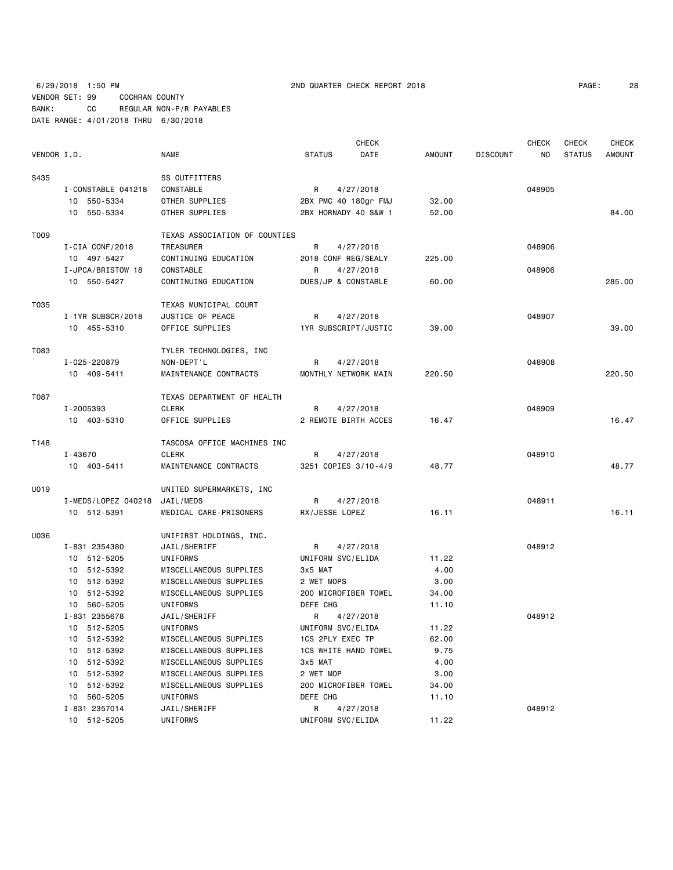# 6/29/2018 1:50 PM 2ND QUARTER CHECK REPORT 2018 PAGE: 28 VENDOR SET: 99 COCHRAN COUNTY BANK: CC REGULAR NON-P/R PAYABLES DATE RANGE: 4/01/2018 THRU 6/30/2018

| PAGE: | 2٤ |
|-------|----|
|-------|----|

|             |                     |                               |                      | <b>CHECK</b> |               |                 | <b>CHECK</b> | <b>CHECK</b>  | <b>CHECK</b>  |
|-------------|---------------------|-------------------------------|----------------------|--------------|---------------|-----------------|--------------|---------------|---------------|
| VENDOR I.D. |                     | NAME                          | <b>STATUS</b>        | DATE         | <b>AMOUNT</b> | <b>DISCOUNT</b> | NO.          | <b>STATUS</b> | <b>AMOUNT</b> |
| S435        |                     | SS OUTFITTERS                 |                      |              |               |                 |              |               |               |
|             | I-CONSTABLE 041218  | CONSTABLE                     | R                    | 4/27/2018    |               |                 | 048905       |               |               |
|             | 10 550-5334         | OTHER SUPPLIES                | 2BX PMC 40 180gr FMJ |              | 32.00         |                 |              |               |               |
|             | 10 550-5334         | OTHER SUPPLIES                | 2BX HORNADY 40 S&W 1 |              | 52.00         |                 |              |               | 84.00         |
| T009        |                     | TEXAS ASSOCIATION OF COUNTIES |                      |              |               |                 |              |               |               |
|             | I-CIA CONF/2018     | TREASURER                     | R                    | 4/27/2018    |               |                 | 048906       |               |               |
|             | 10 497-5427         | CONTINUING EDUCATION          | 2018 CONF REG/SEALY  |              | 225.00        |                 |              |               |               |
|             | I-JPCA/BRISTOW 18   | <b>CONSTABLE</b>              | R                    | 4/27/2018    |               |                 | 048906       |               |               |
|             | 10 550-5427         | CONTINUING EDUCATION          | DUES/JP & CONSTABLE  |              | 60.00         |                 |              |               | 285.00        |
| T035        |                     | TEXAS MUNICIPAL COURT         |                      |              |               |                 |              |               |               |
|             | I-1YR SUBSCR/2018   | JUSTICE OF PEACE              | R                    | 4/27/2018    |               |                 | 048907       |               |               |
|             | 10 455-5310         | OFFICE SUPPLIES               | 1YR SUBSCRIPT/JUSTIC |              | 39.00         |                 |              |               | 39,00         |
| T083        |                     | TYLER TECHNOLOGIES, INC       |                      |              |               |                 |              |               |               |
|             | I-025-220879        | NON-DEPT'L                    | R                    | 4/27/2018    |               |                 | 048908       |               |               |
|             | 10 409-5411         | MAINTENANCE CONTRACTS         | MONTHLY NETWORK MAIN |              | 220.50        |                 |              |               | 220.50        |
| T087        |                     | TEXAS DEPARTMENT OF HEALTH    |                      |              |               |                 |              |               |               |
|             | I-2005393           | <b>CLERK</b>                  | R                    | 4/27/2018    |               |                 | 048909       |               |               |
|             | 10 403-5310         | OFFICE SUPPLIES               | 2 REMOTE BIRTH ACCES |              | 16.47         |                 |              |               | 16.47         |
| T148        |                     | TASCOSA OFFICE MACHINES INC   |                      |              |               |                 |              |               |               |
|             | I-43670             | <b>CLERK</b>                  | R                    | 4/27/2018    |               |                 | 048910       |               |               |
|             | 10 403-5411         | MAINTENANCE CONTRACTS         | 3251 COPIES 3/10-4/9 |              | 48.77         |                 |              |               | 48.77         |
| U019        |                     | UNITED SUPERMARKETS, INC      |                      |              |               |                 |              |               |               |
|             | I-MEDS/LOPEZ 040218 | JAIL/MEDS                     | R                    | 4/27/2018    |               |                 | 048911       |               |               |
|             | 10 512-5391         | MEDICAL CARE-PRISONERS        | RX/JESSE LOPEZ       |              | 16.11         |                 |              |               | 16.11         |
| U036        |                     | UNIFIRST HOLDINGS, INC.       |                      |              |               |                 |              |               |               |
|             | I-831 2354380       | JAIL/SHERIFF                  | R                    | 4/27/2018    |               |                 | 048912       |               |               |
|             | 10 512-5205         | UNIFORMS                      | UNIFORM SVC/ELIDA    |              | 11.22         |                 |              |               |               |
|             | 10 512-5392         | MISCELLANEOUS SUPPLIES        | 3x5 MAT              |              | 4.00          |                 |              |               |               |
|             | 10 512-5392         | MISCELLANEOUS SUPPLIES        | 2 WET MOPS           |              | 3.00          |                 |              |               |               |
|             | 10 512-5392         | MISCELLANEOUS SUPPLIES        | 200 MICROFIBER TOWEL |              | 34.00         |                 |              |               |               |
|             | 10 560-5205         | <b>UNIFORMS</b>               | DEFE CHG             |              | 11.10         |                 |              |               |               |
|             | I-831 2355678       | JAIL/SHERIFF                  | R                    | 4/27/2018    |               |                 | 048912       |               |               |
|             | 10 512-5205         | UNIFORMS                      | UNIFORM SVC/ELIDA    |              | 11.22         |                 |              |               |               |
|             | 10 512-5392         | MISCELLANEOUS SUPPLIES        | 1CS 2PLY EXEC TP     |              | 62.00         |                 |              |               |               |
|             | 10 512-5392         | MISCELLANEOUS SUPPLIES        | 1CS WHITE HAND TOWEL |              | 9.75          |                 |              |               |               |
|             | 10 512-5392         | MISCELLANEOUS SUPPLIES        | 3x5 MAT              |              | 4.00          |                 |              |               |               |
|             | 10 512-5392         | MISCELLANEOUS SUPPLIES        | 2 WET MOP            |              | 3.00          |                 |              |               |               |
|             | 10 512-5392         | MISCELLANEOUS SUPPLIES        | 200 MICROFIBER TOWEL |              | 34.00         |                 |              |               |               |
|             | 10 560-5205         | UNIFORMS                      | DEFE CHG             |              | 11.10         |                 |              |               |               |
|             | I-831 2357014       | JAIL/SHERIFF                  | R                    | 4/27/2018    |               |                 | 048912       |               |               |
|             | 10 512-5205         | UNIFORMS                      | UNIFORM SVC/ELIDA    |              | 11.22         |                 |              |               |               |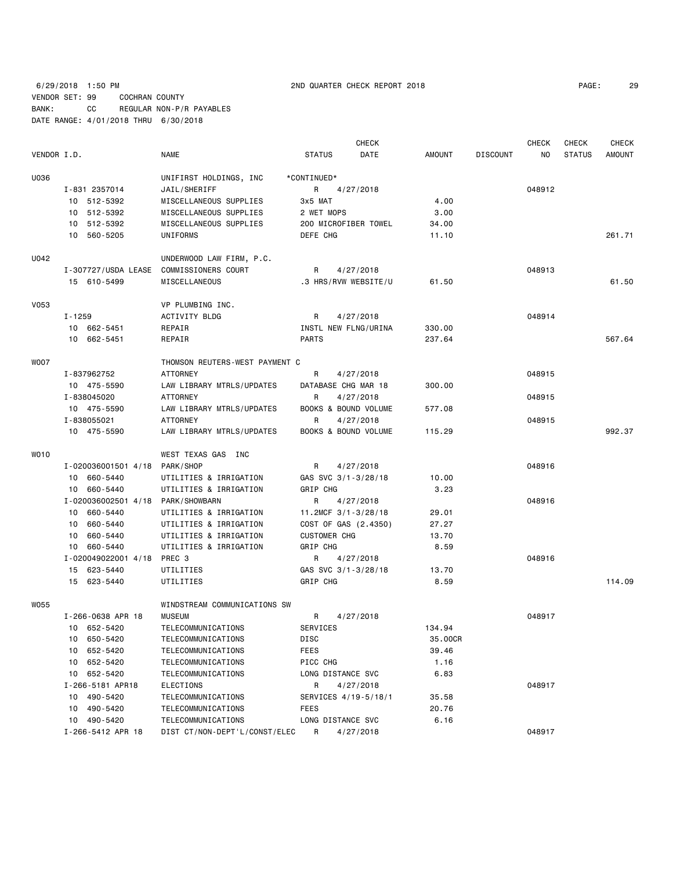## 6/29/2018 1:50 PM 2ND QUARTER CHECK REPORT 2018 PAGE: 29 VENDOR SET: 99 COCHRAN COUNTY BANK: CC REGULAR NON-P/R PAYABLES DATE RANGE: 4/01/2018 THRU 6/30/2018

|             |                                   |                                |                      | <b>CHECK</b> |               |                 | <b>CHECK</b> | <b>CHECK</b>  | <b>CHECK</b>  |
|-------------|-----------------------------------|--------------------------------|----------------------|--------------|---------------|-----------------|--------------|---------------|---------------|
| VENDOR I.D. |                                   | <b>NAME</b>                    | <b>STATUS</b>        | DATE         | <b>AMOUNT</b> | <b>DISCOUNT</b> | NO.          | <b>STATUS</b> | <b>AMOUNT</b> |
| U036        |                                   | UNIFIRST HOLDINGS, INC         | *CONTINUED*          |              |               |                 |              |               |               |
|             | I-831 2357014                     | JAIL/SHERIFF                   | R                    | 4/27/2018    |               |                 | 048912       |               |               |
|             | 10 512-5392                       | MISCELLANEOUS SUPPLIES         | 3x5 MAT              |              | 4.00          |                 |              |               |               |
|             | 10 512-5392                       | MISCELLANEOUS SUPPLIES         | 2 WET MOPS           |              | 3.00          |                 |              |               |               |
|             | 10 512-5392                       | MISCELLANEOUS SUPPLIES         | 200 MICROFIBER TOWEL |              | 34.00         |                 |              |               |               |
|             | 10 560-5205                       | UNIFORMS                       | DEFE CHG             |              | 11.10         |                 |              |               | 261.71        |
| U042        |                                   | UNDERWOOD LAW FIRM, P.C.       |                      |              |               |                 |              |               |               |
|             | I-307727/USDA LEASE               | COMMISSIONERS COURT            | R                    | 4/27/2018    |               |                 | 048913       |               |               |
|             | 15 610-5499                       | MISCELLANEOUS                  | .3 HRS/RVW WEBSITE/U |              | 61.50         |                 |              |               | 61.50         |
| <b>V053</b> |                                   | VP PLUMBING INC.               |                      |              |               |                 |              |               |               |
|             | I-1259                            | ACTIVITY BLDG                  | R                    | 4/27/2018    |               |                 | 048914       |               |               |
|             | 10 662-5451                       | REPAIR                         | INSTL NEW FLNG/URINA |              | 330.00        |                 |              |               |               |
|             | 10 662-5451                       | REPAIR                         | <b>PARTS</b>         |              | 237.64        |                 |              |               | 567.64        |
| <b>WOO7</b> |                                   | THOMSON REUTERS-WEST PAYMENT C |                      |              |               |                 |              |               |               |
|             | I-837962752                       | <b>ATTORNEY</b>                | R                    | 4/27/2018    |               |                 | 048915       |               |               |
|             | 10 475-5590                       | LAW LIBRARY MTRLS/UPDATES      | DATABASE CHG MAR 18  |              | 300.00        |                 |              |               |               |
|             | I-838045020                       | ATTORNEY                       | R                    | 4/27/2018    |               |                 | 048915       |               |               |
|             | 10 475-5590                       | LAW LIBRARY MTRLS/UPDATES      | BOOKS & BOUND VOLUME |              | 577.08        |                 |              |               |               |
|             | I-838055021                       | <b>ATTORNEY</b>                | R                    | 4/27/2018    |               |                 | 048915       |               |               |
|             | 10 475-5590                       | LAW LIBRARY MTRLS/UPDATES      | BOOKS & BOUND VOLUME |              | 115.29        |                 |              |               | 992.37        |
| WO10        |                                   | WEST TEXAS GAS INC             |                      |              |               |                 |              |               |               |
|             | I-020036001501 4/18 PARK/SHOP     |                                | R                    | 4/27/2018    |               |                 | 048916       |               |               |
|             | 10 660-5440                       | UTILITIES & IRRIGATION         | GAS SVC 3/1-3/28/18  |              | 10.00         |                 |              |               |               |
|             | 10 660-5440                       | UTILITIES & IRRIGATION         | GRIP CHG             |              | 3.23          |                 |              |               |               |
|             | I-020036002501 4/18 PARK/SHOWBARN |                                | R                    | 4/27/2018    |               |                 | 048916       |               |               |
|             | 10 660-5440                       | UTILITIES & IRRIGATION         | 11.2MCF 3/1-3/28/18  |              | 29.01         |                 |              |               |               |
|             | 10 660-5440                       | UTILITIES & IRRIGATION         | COST OF GAS (2.4350) |              | 27.27         |                 |              |               |               |
|             | 10 660-5440                       | UTILITIES & IRRIGATION         | <b>CUSTOMER CHG</b>  |              | 13.70         |                 |              |               |               |
|             | 10 660-5440                       | UTILITIES & IRRIGATION         | GRIP CHG             |              | 8.59          |                 |              |               |               |
|             | I-020049022001 4/18 PREC 3        |                                | R                    | 4/27/2018    |               |                 | 048916       |               |               |
|             | 15 623-5440                       | UTILITIES                      | GAS SVC 3/1-3/28/18  |              | 13.70         |                 |              |               |               |
|             | 15 623-5440                       | UTILITIES                      | GRIP CHG             |              | 8.59          |                 |              |               | 114.09        |
| W055        |                                   | WINDSTREAM COMMUNICATIONS SW   |                      |              |               |                 |              |               |               |
|             | I-266-0638 APR 18                 | <b>MUSEUM</b>                  | R                    | 4/27/2018    |               |                 | 048917       |               |               |
|             | 10 652-5420                       | TELECOMMUNICATIONS             | SERVICES             |              | 134.94        |                 |              |               |               |
|             | 10 650-5420                       | TELECOMMUNICATIONS             | DISC                 |              | 35.00CR       |                 |              |               |               |
|             | 10 652-5420                       | TELECOMMUNICATIONS             | <b>FEES</b>          |              | 39.46         |                 |              |               |               |
|             | 10 652-5420                       | TELECOMMUNICATIONS             | PICC CHG             |              | 1.16          |                 |              |               |               |
|             | 10 652-5420                       | TELECOMMUNICATIONS             | LONG DISTANCE SVC    |              | 6.83          |                 |              |               |               |
|             | I-266-5181 APR18                  | ELECTIONS                      | R                    | 4/27/2018    |               |                 | 048917       |               |               |
|             | 10 490-5420                       | TELECOMMUNICATIONS             | SERVICES 4/19-5/18/1 |              | 35.58         |                 |              |               |               |
|             | 490-5420<br>10                    | TELECOMMUNICATIONS             | FEES                 |              | 20.76         |                 |              |               |               |
|             | 10 490-5420                       | TELECOMMUNICATIONS             | LONG DISTANCE SVC    |              | 6.16          |                 |              |               |               |
|             | I-266-5412 APR 18                 | DIST CT/NON-DEPT'L/CONST/ELEC  | R                    | 4/27/2018    |               |                 | 048917       |               |               |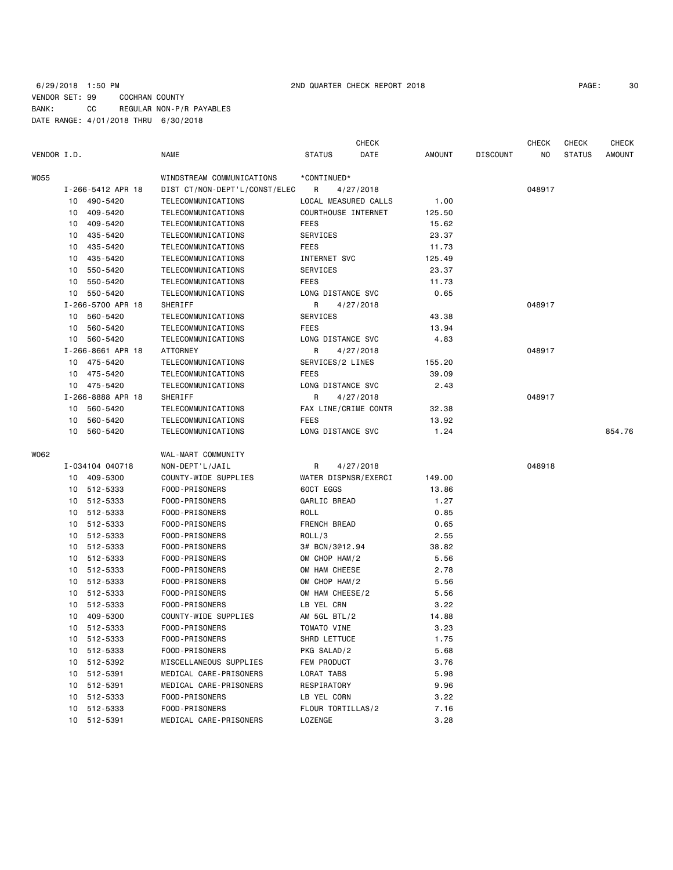## 6/29/2018 1:50 PM 2ND QUARTER CHECK REPORT 2018 PAGE: 30 VENDOR SET: 99 COCHRAN COUNTY BANK: CC REGULAR NON-P/R PAYABLES DATE RANGE: 4/01/2018 THRU 6/30/2018

| PAGE: | 30 |
|-------|----|
|-------|----|

| VENDOR I.D. |    |                                  | <b>NAME</b>                                         | <b>STATUS</b>     | <b>CHECK</b><br>DATE | <b>AMOUNT</b> | <b>DISCOUNT</b> | <b>CHECK</b><br>NO. | <b>CHECK</b><br><b>STATUS</b> | <b>CHECK</b><br><b>AMOUNT</b> |
|-------------|----|----------------------------------|-----------------------------------------------------|-------------------|----------------------|---------------|-----------------|---------------------|-------------------------------|-------------------------------|
|             |    |                                  |                                                     |                   |                      |               |                 |                     |                               |                               |
| W055        |    |                                  | WINDSTREAM COMMUNICATIONS                           | *CONTINUED*       |                      |               |                 |                     |                               |                               |
|             |    | I-266-5412 APR 18<br>10 490-5420 | DIST CT/NON-DEPT'L/CONST/ELEC<br>TELECOMMUNICATIONS | R                 | 4/27/2018            | 1.00          |                 | 048917              |                               |                               |
|             |    |                                  |                                                     |                   | LOCAL MEASURED CALLS |               |                 |                     |                               |                               |
|             |    | 10 409-5420                      | TELECOMMUNICATIONS                                  |                   | COURTHOUSE INTERNET  | 125.50        |                 |                     |                               |                               |
|             | 10 | 409-5420                         | TELECOMMUNICATIONS                                  | FEES              |                      | 15.62         |                 |                     |                               |                               |
|             | 10 | 435-5420                         | TELECOMMUNICATIONS<br>TELECOMMUNICATIONS            | SERVICES          |                      | 23.37         |                 |                     |                               |                               |
|             | 10 | 435-5420                         |                                                     | <b>FEES</b>       |                      | 11.73         |                 |                     |                               |                               |
|             | 10 | 435-5420                         | TELECOMMUNICATIONS                                  | INTERNET SVC      |                      | 125.49        |                 |                     |                               |                               |
|             | 10 | 550-5420                         | TELECOMMUNICATIONS                                  | SERVICES          |                      | 23.37         |                 |                     |                               |                               |
|             | 10 | 550-5420                         | TELECOMMUNICATIONS                                  | FEES              |                      | 11.73         |                 |                     |                               |                               |
|             |    | 10 550-5420                      | TELECOMMUNICATIONS                                  | LONG DISTANCE SVC |                      | 0.65          |                 |                     |                               |                               |
|             |    | I-266-5700 APR 18                | SHERIFF                                             | R                 | 4/27/2018            |               |                 | 048917              |                               |                               |
|             |    | 10 560-5420                      | TELECOMMUNICATIONS                                  | SERVICES          |                      | 43.38         |                 |                     |                               |                               |
|             | 10 | 560-5420                         | TELECOMMUNICATIONS                                  | FEES              |                      | 13.94         |                 |                     |                               |                               |
|             |    | 10 560-5420                      | TELECOMMUNICATIONS                                  | LONG DISTANCE SVC |                      | 4.83          |                 |                     |                               |                               |
|             |    | I-266-8661 APR 18                | <b>ATTORNEY</b>                                     | R                 | 4/27/2018            |               |                 | 048917              |                               |                               |
|             |    | 10 475-5420                      | TELECOMMUNICATIONS                                  | SERVICES/2 LINES  |                      | 155.20        |                 |                     |                               |                               |
|             |    | 10 475-5420                      | TELECOMMUNICATIONS                                  | FEES              |                      | 39.09         |                 |                     |                               |                               |
|             |    | 10 475-5420                      | TELECOMMUNICATIONS                                  | LONG DISTANCE SVC |                      | 2.43          |                 |                     |                               |                               |
|             |    | I-266-8888 APR 18                | SHERIFF                                             | R                 | 4/27/2018            |               |                 | 048917              |                               |                               |
|             |    | 10 560-5420                      | TELECOMMUNICATIONS                                  |                   | FAX LINE/CRIME CONTR | 32.38         |                 |                     |                               |                               |
|             | 10 | 560-5420                         | TELECOMMUNICATIONS                                  | FEES              |                      | 13.92         |                 |                     |                               |                               |
|             |    | 10 560-5420                      | TELECOMMUNICATIONS                                  | LONG DISTANCE SVC |                      | 1.24          |                 |                     |                               | 854.76                        |
| W062        |    |                                  | WAL-MART COMMUNITY                                  |                   |                      |               |                 |                     |                               |                               |
|             |    | I-034104 040718                  | NON-DEPT'L/JAIL                                     | R                 | 4/27/2018            |               |                 | 048918              |                               |                               |
|             |    | 10 409-5300                      | COUNTY-WIDE SUPPLIES                                |                   | WATER DISPNSR/EXERCI | 149.00        |                 |                     |                               |                               |
|             | 10 | 512-5333                         | FOOD-PRISONERS                                      | 60CT EGGS         |                      | 13.86         |                 |                     |                               |                               |
|             | 10 | 512-5333                         | FOOD-PRISONERS                                      | GARLIC BREAD      |                      | 1.27          |                 |                     |                               |                               |
|             | 10 | 512-5333                         | FOOD-PRISONERS                                      | ROLL              |                      | 0.85          |                 |                     |                               |                               |
|             | 10 | 512-5333                         | FOOD-PRISONERS                                      | FRENCH BREAD      |                      | 0.65          |                 |                     |                               |                               |
|             | 10 | 512-5333                         | FOOD-PRISONERS                                      | ROLL/3            |                      | 2.55          |                 |                     |                               |                               |
|             | 10 | 512-5333                         | FOOD-PRISONERS                                      | 3# BCN/3@12.94    |                      | 38.82         |                 |                     |                               |                               |
|             | 10 | 512-5333                         | FOOD-PRISONERS                                      | OM CHOP HAM/2     |                      | 5.56          |                 |                     |                               |                               |
|             | 10 | 512-5333                         | FOOD-PRISONERS                                      | OM HAM CHEESE     |                      | 2.78          |                 |                     |                               |                               |
|             | 10 | 512-5333                         | FOOD-PRISONERS                                      | OM CHOP HAM/2     |                      | 5.56          |                 |                     |                               |                               |
|             | 10 | 512-5333                         | FOOD-PRISONERS                                      | OM HAM CHEESE/2   |                      | 5.56          |                 |                     |                               |                               |
|             | 10 | 512-5333                         | FOOD-PRISONERS                                      | LB YEL CRN        |                      | 3.22          |                 |                     |                               |                               |
|             |    | 10 409-5300                      | COUNTY-WIDE SUPPLIES                                | AM 5GL BTL/2      |                      | 14.88         |                 |                     |                               |                               |
|             |    | 10 512-5333                      | FOOD-PRISONERS                                      | TOMATO VINE       |                      | 3.23          |                 |                     |                               |                               |
|             |    | 10 512-5333                      | FOOD-PRISONERS                                      | SHRD LETTUCE      |                      | 1.75          |                 |                     |                               |                               |
|             |    | 10 512-5333                      | FOOD-PRISONERS                                      | PKG SALAD/2       |                      | 5.68          |                 |                     |                               |                               |
|             |    | 10 512-5392                      | MISCELLANEOUS SUPPLIES                              | FEM PRODUCT       |                      | 3.76          |                 |                     |                               |                               |
|             |    | 10 512-5391                      | MEDICAL CARE-PRISONERS                              | LORAT TABS        |                      | 5.98          |                 |                     |                               |                               |
|             |    | 10 512-5391                      | MEDICAL CARE-PRISONERS                              | RESPIRATORY       |                      | 9.96          |                 |                     |                               |                               |
|             |    | 10 512-5333                      | FOOD-PRISONERS                                      | LB YEL CORN       |                      | 3.22          |                 |                     |                               |                               |
|             |    | 10 512-5333                      | FOOD-PRISONERS                                      | FLOUR TORTILLAS/2 |                      | 7.16          |                 |                     |                               |                               |
|             |    | 10 512-5391                      | MEDICAL CARE-PRISONERS                              | LOZENGE           |                      | 3.28          |                 |                     |                               |                               |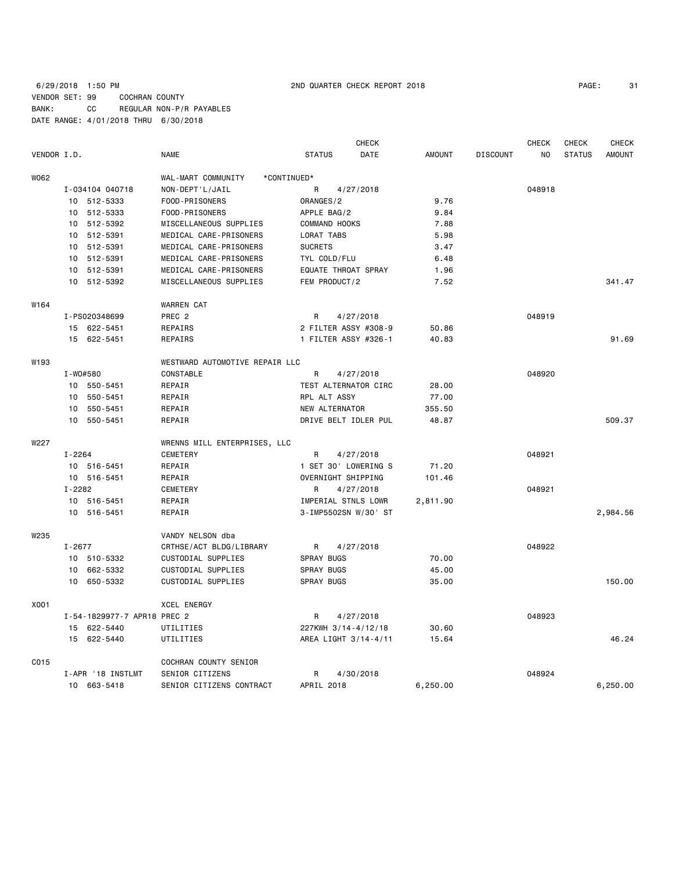## 6/29/2018 1:50 PM 2ND QUARTER CHECK REPORT 2018 PAGE: 31 VENDOR SET: 99 COCHRAN COUNTY BANK: CC REGULAR NON-P/R PAYABLES DATE RANGE: 4/01/2018 THRU 6/30/2018

| PAGE: | 3. |
|-------|----|
|-------|----|

|             |          |                             |                                   |                      | <b>CHECK</b> |               |                 | <b>CHECK</b> | <b>CHECK</b>  | <b>CHECK</b>  |
|-------------|----------|-----------------------------|-----------------------------------|----------------------|--------------|---------------|-----------------|--------------|---------------|---------------|
| VENDOR I.D. |          |                             | <b>NAME</b>                       | <b>STATUS</b>        | DATE         | <b>AMOUNT</b> | <b>DISCOUNT</b> | NO.          | <b>STATUS</b> | <b>AMOUNT</b> |
| W062        |          |                             | WAL-MART COMMUNITY<br>*CONTINUED* |                      |              |               |                 |              |               |               |
|             |          | I-034104 040718             | NON-DEPT'L/JAIL                   | R                    | 4/27/2018    |               |                 | 048918       |               |               |
|             |          | 10 512-5333                 | FOOD-PRISONERS                    | ORANGES/2            |              | 9.76          |                 |              |               |               |
|             |          | 10 512-5333                 | FOOD-PRISONERS                    | APPLE BAG/2          |              | 9.84          |                 |              |               |               |
|             |          | 10 512-5392                 | MISCELLANEOUS SUPPLIES            | COMMAND HOOKS        |              | 7.88          |                 |              |               |               |
|             |          | 10 512-5391                 | MEDICAL CARE-PRISONERS            | LORAT TABS           |              | 5.98          |                 |              |               |               |
|             |          | 10 512-5391                 | MEDICAL CARE-PRISONERS            | <b>SUCRETS</b>       |              | 3.47          |                 |              |               |               |
|             |          | 10 512-5391                 | MEDICAL CARE-PRISONERS            | TYL COLD/FLU         |              | 6.48          |                 |              |               |               |
|             |          | 10 512-5391                 | MEDICAL CARE-PRISONERS            | EQUATE THROAT SPRAY  |              | 1.96          |                 |              |               |               |
|             |          | 10 512-5392                 | MISCELLANEOUS SUPPLIES            | FEM PRODUCT/2        |              | 7.52          |                 |              |               | 341.47        |
| W164        |          |                             | <b>WARREN CAT</b>                 |                      |              |               |                 |              |               |               |
|             |          | I-PS020348699               | PREC <sub>2</sub>                 | R                    | 4/27/2018    |               |                 | 048919       |               |               |
|             |          | 15 622-5451                 | REPAIRS                           | 2 FILTER ASSY #308-9 |              | 50.86         |                 |              |               |               |
|             |          | 15 622-5451                 | REPAIRS                           | 1 FILTER ASSY #326-1 |              | 40.83         |                 |              |               | 91.69         |
| W193        |          |                             | WESTWARD AUTOMOTIVE REPAIR LLC    |                      |              |               |                 |              |               |               |
|             | I-W0#580 |                             | CONSTABLE                         | $\mathsf{R}$         | 4/27/2018    |               |                 | 048920       |               |               |
|             |          | 10 550-5451                 | REPAIR                            | TEST ALTERNATOR CIRC |              | 28.00         |                 |              |               |               |
|             |          | 10 550-5451                 | REPAIR                            | RPL ALT ASSY         |              | 77.00         |                 |              |               |               |
|             |          | 10 550-5451                 | REPAIR                            | NEW ALTERNATOR       |              | 355.50        |                 |              |               |               |
|             |          | 10 550-5451                 | REPAIR                            | DRIVE BELT IDLER PUL |              | 48.87         |                 |              |               | 509.37        |
| W227        |          |                             | WRENNS MILL ENTERPRISES, LLC      |                      |              |               |                 |              |               |               |
|             | I-2264   |                             | <b>CEMETERY</b>                   | R                    | 4/27/2018    |               |                 | 048921       |               |               |
|             |          | 10 516-5451                 | REPAIR                            | 1 SET 30' LOWERING S |              | 71.20         |                 |              |               |               |
|             |          | 10 516-5451                 | REPAIR                            | OVERNIGHT SHIPPING   |              | 101.46        |                 |              |               |               |
|             | I-2282   |                             | <b>CEMETERY</b>                   | R                    | 4/27/2018    |               |                 | 048921       |               |               |
|             |          | 10 516-5451                 | REPAIR                            | IMPERIAL STNLS LOWR  |              | 2,811.90      |                 |              |               |               |
|             |          | 10 516-5451                 | REPAIR                            | 3-IMP5502SN W/30' ST |              |               |                 |              |               | 2,984.56      |
| W235        |          |                             | VANDY NELSON dba                  |                      |              |               |                 |              |               |               |
|             | I-2677   |                             | CRTHSE/ACT BLDG/LIBRARY           | R                    | 4/27/2018    |               |                 | 048922       |               |               |
|             |          | 10 510-5332                 | CUSTODIAL SUPPLIES                | <b>SPRAY BUGS</b>    |              | 70.00         |                 |              |               |               |
|             |          | 10 662-5332                 | CUSTODIAL SUPPLIES                | <b>SPRAY BUGS</b>    |              | 45.00         |                 |              |               |               |
|             |          | 10 650-5332                 | CUSTODIAL SUPPLIES                | <b>SPRAY BUGS</b>    |              | 35.00         |                 |              |               | 150.00        |
| X001        |          |                             | <b>XCEL ENERGY</b>                |                      |              |               |                 |              |               |               |
|             |          | I-54-1829977-7 APR18 PREC 2 |                                   | R                    | 4/27/2018    |               |                 | 048923       |               |               |
|             |          | 15 622-5440                 | UTILITIES                         | 227KWH 3/14-4/12/18  |              | 30.60         |                 |              |               |               |
|             |          | 15 622-5440                 | UTILITIES                         | AREA LIGHT 3/14-4/11 |              | 15.64         |                 |              |               | 46.24         |
| C015        |          |                             | COCHRAN COUNTY SENIOR             |                      |              |               |                 |              |               |               |
|             |          | I-APR '18 INSTLMT           | SENIOR CITIZENS                   | R                    | 4/30/2018    |               |                 | 048924       |               |               |
|             |          | 10 663-5418                 | SENIOR CITIZENS CONTRACT          | APRIL 2018           |              | 6,250.00      |                 |              |               | 6,250.00      |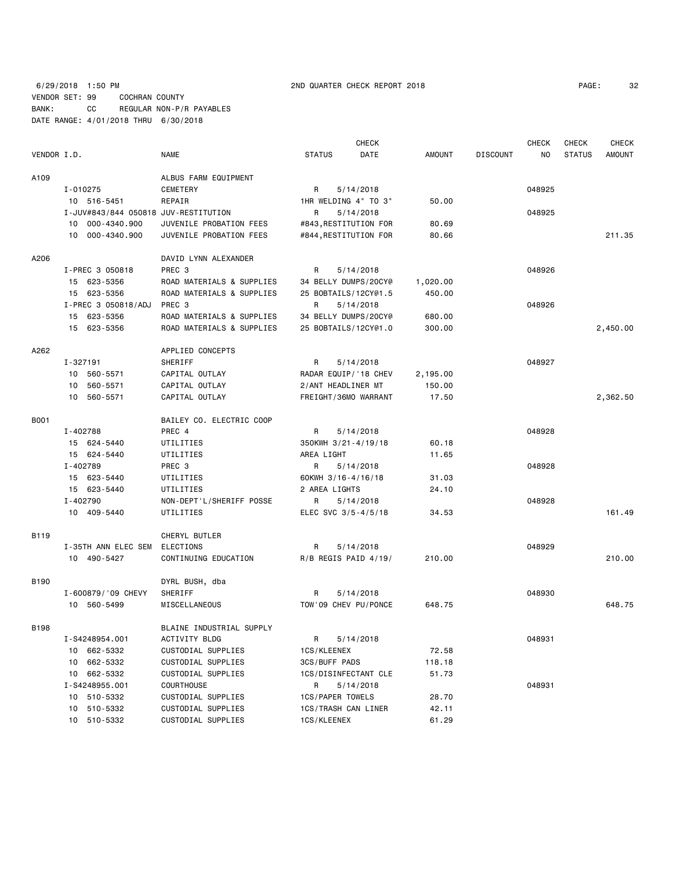6/29/2018 1:50 PM 2ND QUARTER CHECK REPORT 2018 PAGE: 32 VENDOR SET: 99 COCHRAN COUNTY BANK: CC REGULAR NON-P/R PAYABLES DATE RANGE: 4/01/2018 THRU 6/30/2018

|             |                                      |                           |                       | <b>CHECK</b> |          |                 | <b>CHECK</b> | CHECK         | <b>CHECK</b>  |
|-------------|--------------------------------------|---------------------------|-----------------------|--------------|----------|-----------------|--------------|---------------|---------------|
| VENDOR I.D. |                                      | <b>NAME</b>               | <b>STATUS</b>         | DATE         | AMOUNT   | <b>DISCOUNT</b> | NO           | <b>STATUS</b> | <b>AMOUNT</b> |
| A109        |                                      | ALBUS FARM EQUIPMENT      |                       |              |          |                 |              |               |               |
|             | I-010275                             | CEMETERY                  | R                     | 5/14/2018    |          |                 | 048925       |               |               |
|             | 10 516-5451                          | REPAIR                    | 1HR WELDING 4" TO 3"  |              | 50.00    |                 |              |               |               |
|             | I-JUV#843/844 050818 JUV-RESTITUTION |                           | R                     | 5/14/2018    |          |                 | 048925       |               |               |
|             | 10 000-4340.900                      | JUVENILE PROBATION FEES   | #843, RESTITUTION FOR |              | 80.69    |                 |              |               |               |
|             | 000-4340.900<br>10                   | JUVENILE PROBATION FEES   | #844, RESTITUTION FOR |              | 80.66    |                 |              |               | 211.35        |
| A206        |                                      | DAVID LYNN ALEXANDER      |                       |              |          |                 |              |               |               |
|             | I-PREC 3 050818                      | PREC <sub>3</sub>         | R                     | 5/14/2018    |          |                 | 048926       |               |               |
|             | 15 623-5356                          | ROAD MATERIALS & SUPPLIES | 34 BELLY DUMPS/20CY@  |              | 1,020.00 |                 |              |               |               |
|             | 15 623-5356                          | ROAD MATERIALS & SUPPLIES | 25 BOBTAILS/12CY@1.5  |              | 450.00   |                 |              |               |               |
|             | I-PREC 3 050818/ADJ                  | PREC 3                    | R                     | 5/14/2018    |          |                 | 048926       |               |               |
|             | 15 623-5356                          | ROAD MATERIALS & SUPPLIES | 34 BELLY DUMPS/20CY@  |              | 680.00   |                 |              |               |               |
|             | 15<br>623-5356                       | ROAD MATERIALS & SUPPLIES | 25 BOBTAILS/12CY@1.0  |              | 300.00   |                 |              |               | 2,450.00      |
|             |                                      |                           |                       |              |          |                 |              |               |               |
| A262        |                                      | APPLIED CONCEPTS          |                       |              |          |                 |              |               |               |
|             | I-327191                             | SHERIFF                   | R                     | 5/14/2018    |          |                 | 048927       |               |               |
|             | 10 560-5571                          | CAPITAL OUTLAY            | RADAR EQUIP/'18 CHEV  |              | 2,195.00 |                 |              |               |               |
|             | 560-5571<br>10                       | CAPITAL OUTLAY            | 2/ANT HEADLINER MT    |              | 150.00   |                 |              |               |               |
|             | 10 560-5571                          | CAPITAL OUTLAY            | FREIGHT/36MO WARRANT  |              | 17.50    |                 |              |               | 2,362.50      |
| B001        |                                      | BAILEY CO. ELECTRIC COOP  |                       |              |          |                 |              |               |               |
|             | I-402788                             | PREC 4                    | R                     | 5/14/2018    |          |                 | 048928       |               |               |
|             | 15 624-5440                          | UTILITIES                 | 350KWH 3/21-4/19/18   |              | 60.18    |                 |              |               |               |
|             | 15 624-5440                          | UTILITIES                 | AREA LIGHT            |              | 11.65    |                 |              |               |               |
|             | I-402789                             | PREC 3                    | R                     | 5/14/2018    |          |                 | 048928       |               |               |
|             | 15 623-5440                          | UTILITIES                 | 60KWH 3/16-4/16/18    |              | 31.03    |                 |              |               |               |
|             | 15 623-5440                          | UTILITIES                 | 2 AREA LIGHTS         |              | 24.10    |                 |              |               |               |
|             | I-402790                             | NON-DEPT'L/SHERIFF POSSE  | R                     | 5/14/2018    |          |                 | 048928       |               |               |
|             | 10 409-5440                          | UTILITIES                 | ELEC SVC 3/5-4/5/18   |              | 34.53    |                 |              |               | 161.49        |
| B119        |                                      | CHERYL BUTLER             |                       |              |          |                 |              |               |               |
|             | I-35TH ANN ELEC SEM                  | <b>ELECTIONS</b>          | R                     | 5/14/2018    |          |                 | 048929       |               |               |
|             | 10 490-5427                          | CONTINUING EDUCATION      | R/B REGIS PAID 4/19/  |              | 210.00   |                 |              |               | 210.00        |
| <b>B190</b> |                                      | DYRL BUSH, dba            |                       |              |          |                 |              |               |               |
|             | I-600879/'09 CHEVY                   | SHERIFF                   | R                     | 5/14/2018    |          |                 | 048930       |               |               |
|             | 10 560-5499                          | MISCELLANEOUS             | TOW'09 CHEV PU/PONCE  |              | 648.75   |                 |              |               | 648.75        |
|             |                                      |                           |                       |              |          |                 |              |               |               |
| B198        |                                      | BLAINE INDUSTRIAL SUPPLY  |                       |              |          |                 |              |               |               |
|             | I-S4248954.001                       | ACTIVITY BLDG             | R                     | 5/14/2018    |          |                 | 048931       |               |               |
|             | 10 662-5332                          | CUSTODIAL SUPPLIES        | 1CS/KLEENEX           |              | 72.58    |                 |              |               |               |
|             | 10 662-5332                          | CUSTODIAL SUPPLIES        | 3CS/BUFF PADS         |              | 118.18   |                 |              |               |               |
|             | 10 662-5332                          | CUSTODIAL SUPPLIES        | 1CS/DISINFECTANT CLE  |              | 51.73    |                 |              |               |               |
|             | I-S4248955.001                       | COURTHOUSE                | R                     | 5/14/2018    |          |                 | 048931       |               |               |
|             | 10 510-5332                          | CUSTODIAL SUPPLIES        | 1CS/PAPER TOWELS      |              | 28.70    |                 |              |               |               |
|             | 10 510-5332                          | CUSTODIAL SUPPLIES        | 1CS/TRASH CAN LINER   |              | 42.11    |                 |              |               |               |
|             | 10 510-5332                          | CUSTODIAL SUPPLIES        | 1CS/KLEENEX           |              | 61.29    |                 |              |               |               |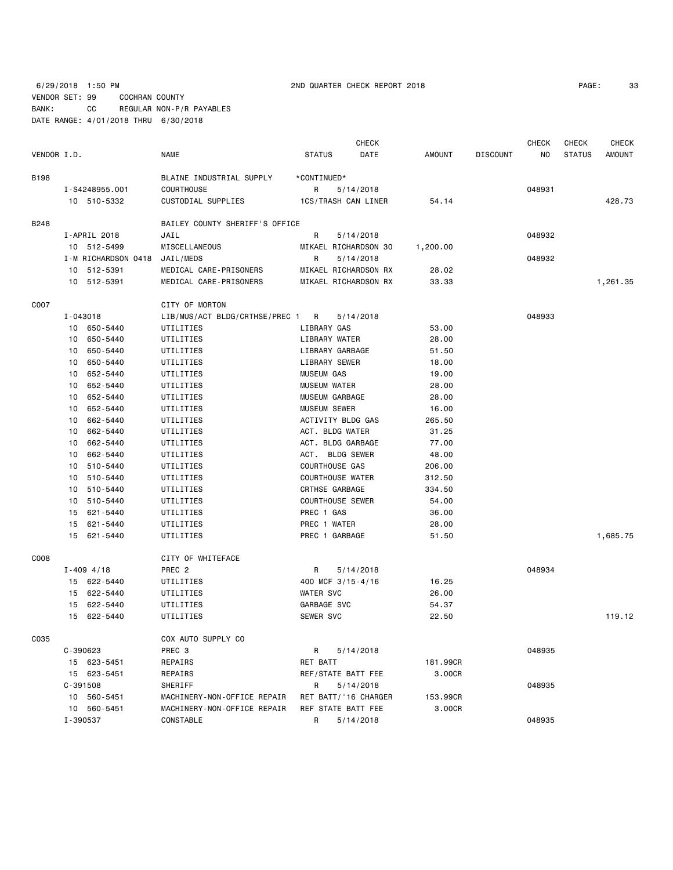6/29/2018 1:50 PM 2ND QUARTER CHECK REPORT 2018 PAGE: 33 VENDOR SET: 99 COCHRAN COUNTY BANK: CC REGULAR NON-P/R PAYABLES DATE RANGE: 4/01/2018 THRU 6/30/2018

| PAGE: | 33 |
|-------|----|
|-------|----|

|             |              |                     |                                |                   |                         | <b>CHECK</b> |               | <b>CHECK</b>    | <b>CHECK</b> | <b>CHECK</b>  |               |
|-------------|--------------|---------------------|--------------------------------|-------------------|-------------------------|--------------|---------------|-----------------|--------------|---------------|---------------|
| VENDOR I.D. |              |                     | NAME                           | <b>STATUS</b>     |                         | DATE         | <b>AMOUNT</b> | <b>DISCOUNT</b> | ΝO           | <b>STATUS</b> | <b>AMOUNT</b> |
| B198        |              |                     | BLAINE INDUSTRIAL SUPPLY       | *CONTINUED*       |                         |              |               |                 |              |               |               |
|             |              | I-S4248955.001      | COURTHOUSE                     | R                 | 5/14/2018               |              |               |                 | 048931       |               |               |
|             |              | 10 510-5332         | CUSTODIAL SUPPLIES             |                   | 1CS/TRASH CAN LINER     |              | 54.14         |                 |              |               | 428.73        |
| B248        |              |                     | BAILEY COUNTY SHERIFF'S OFFICE |                   |                         |              |               |                 |              |               |               |
|             |              | I-APRIL 2018        | JAIL                           | R                 | 5/14/2018               |              |               |                 | 048932       |               |               |
|             |              | 10 512-5499         | MISCELLANEOUS                  |                   | MIKAEL RICHARDSON 30    |              | 1,200.00      |                 |              |               |               |
|             |              | I-M RICHARDSON 0418 | JAIL/MEDS                      | R                 | 5/14/2018               |              |               |                 | 048932       |               |               |
|             | 10           | 512-5391            | MEDICAL CARE-PRISONERS         |                   | MIKAEL RICHARDSON RX    |              | 28.02         |                 |              |               |               |
|             |              | 10 512-5391         | MEDICAL CARE-PRISONERS         |                   | MIKAEL RICHARDSON RX    |              | 33.33         |                 |              |               | 1,261.35      |
| C007        |              |                     | CITY OF MORTON                 |                   |                         |              |               |                 |              |               |               |
|             | I-043018     |                     | LIB/MUS/ACT BLDG/CRTHSE/PREC 1 | R                 | 5/14/2018               |              |               |                 | 048933       |               |               |
|             |              | 10 650-5440         | UTILITIES                      | LIBRARY GAS       |                         |              | 53.00         |                 |              |               |               |
|             | 10           | 650-5440            | UTILITIES                      |                   | LIBRARY WATER           |              | 28.00         |                 |              |               |               |
|             | 10           | 650-5440            | UTILITIES                      |                   | LIBRARY GARBAGE         |              | 51.50         |                 |              |               |               |
|             | 10           | 650-5440            | UTILITIES                      |                   | LIBRARY SEWER           |              | 18.00         |                 |              |               |               |
|             | 10           | 652-5440            | UTILITIES                      | <b>MUSEUM GAS</b> |                         |              | 19.00         |                 |              |               |               |
|             | 10           | 652-5440            | UTILITIES                      | MUSEUM WATER      |                         |              | 28.00         |                 |              |               |               |
|             | 10           | 652-5440            | UTILITIES                      |                   | MUSEUM GARBAGE          |              | 28.00         |                 |              |               |               |
|             | 10           | 652-5440            | UTILITIES                      | MUSEUM SEWER      |                         |              | 16.00         |                 |              |               |               |
|             | 10           | 662-5440            | UTILITIES                      |                   | ACTIVITY BLDG GAS       |              | 265.50        |                 |              |               |               |
|             | 10           | 662-5440            | UTILITIES                      |                   | ACT. BLDG WATER         |              | 31.25         |                 |              |               |               |
|             | 10           | 662-5440            | UTILITIES                      |                   | ACT. BLDG GARBAGE       |              | 77.00         |                 |              |               |               |
|             | 10           | 662-5440            | UTILITIES                      |                   | ACT. BLDG SEWER         |              | 48.00         |                 |              |               |               |
|             | 10           | 510-5440            | UTILITIES                      |                   | <b>COURTHOUSE GAS</b>   |              | 206.00        |                 |              |               |               |
|             | 10           | 510-5440            | UTILITIES                      |                   | <b>COURTHOUSE WATER</b> |              | 312.50        |                 |              |               |               |
|             | 10           | 510-5440            | UTILITIES                      |                   | CRTHSE GARBAGE          |              | 334.50        |                 |              |               |               |
|             | 10           | 510-5440            | UTILITIES                      |                   | <b>COURTHOUSE SEWER</b> |              | 54.00         |                 |              |               |               |
|             | 15           | 621-5440            | UTILITIES                      | PREC 1 GAS        |                         |              | 36.00         |                 |              |               |               |
|             | 15           | 621-5440            | UTILITIES                      | PREC 1 WATER      |                         |              | 28.00         |                 |              |               |               |
|             | 15           | 621-5440            | UTILITIES                      |                   | PREC 1 GARBAGE          |              | 51.50         |                 |              |               | 1,685.75      |
| C008        |              |                     | CITY OF WHITEFACE              |                   |                         |              |               |                 |              |               |               |
|             |              | $I - 409$ 4/18      | PREC <sub>2</sub>              | R                 | 5/14/2018               |              |               |                 | 048934       |               |               |
|             |              | 15 622-5440         | UTILITIES                      |                   | 400 MCF 3/15-4/16       |              | 16.25         |                 |              |               |               |
|             | 15           | 622-5440            | UTILITIES                      | WATER SVC         |                         |              | 26.00         |                 |              |               |               |
|             | 15           | 622-5440            | UTILITIES                      | GARBAGE SVC       |                         |              | 54.37         |                 |              |               |               |
|             |              | 15 622-5440         | UTILITIES                      | SEWER SVC         |                         |              | 22.50         |                 |              |               | 119.12        |
| C035        |              |                     | COX AUTO SUPPLY CO             |                   |                         |              |               |                 |              |               |               |
|             | $C - 390623$ |                     | PREC 3                         | R                 | 5/14/2018               |              |               |                 | 048935       |               |               |
|             |              | 15 623-5451         | REPAIRS                        | RET BATT          |                         |              | 181.99CR      |                 |              |               |               |
|             |              | 15 623-5451         | REPAIRS                        |                   | REF/STATE BATT FEE      |              | 3.00CR        |                 |              |               |               |
|             | $C-391508$   |                     | SHERIFF                        | R                 | 5/14/2018               |              |               |                 | 048935       |               |               |
|             |              | 10 560-5451         | MACHINERY-NON-OFFICE REPAIR    |                   | RET BATT/'16 CHARGER    |              | 153.99CR      |                 |              |               |               |
|             |              | 10 560-5451         | MACHINERY-NON-OFFICE REPAIR    |                   | REF STATE BATT FEE      |              | 3.00CR        |                 |              |               |               |
|             | I-390537     |                     | CONSTABLE                      | R                 | 5/14/2018               |              |               |                 | 048935       |               |               |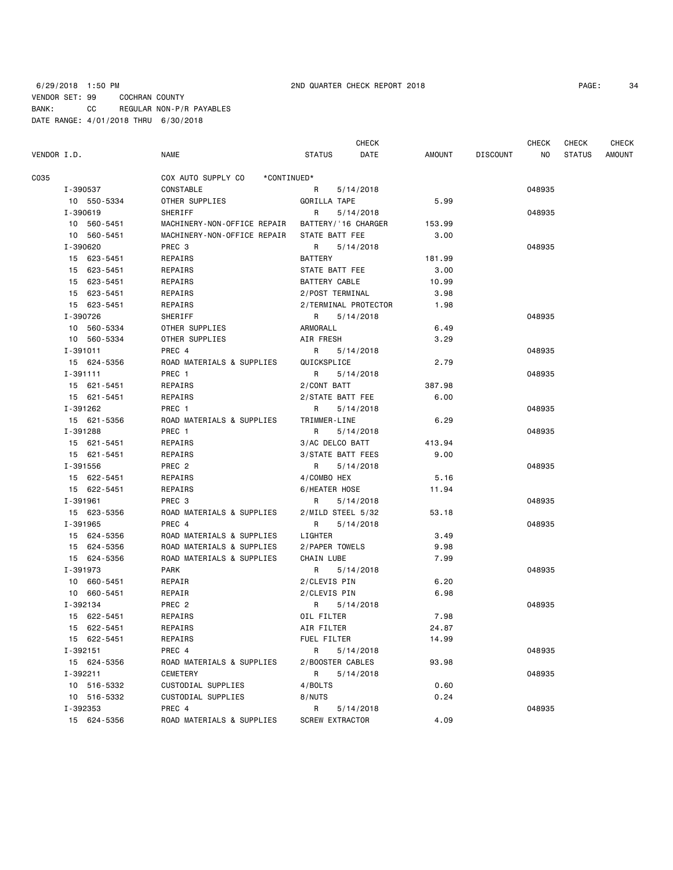| PAGE: |  |
|-------|--|
|       |  |

|             |             |                                   |                        | CHECK     |        |                 | <b>CHECK</b> | <b>CHECK</b>  | <b>CHECK</b> |
|-------------|-------------|-----------------------------------|------------------------|-----------|--------|-----------------|--------------|---------------|--------------|
| VENDOR I.D. |             | NAME                              | <b>STATUS</b>          | DATE      | AMOUNT | <b>DISCOUNT</b> | ΝO           | <b>STATUS</b> | AMOUNT       |
| C035        |             | COX AUTO SUPPLY CO<br>*CONTINUED* |                        |           |        |                 |              |               |              |
|             | I-390537    | CONSTABLE                         | R                      | 5/14/2018 |        |                 | 048935       |               |              |
|             | 10 550-5334 | OTHER SUPPLIES                    | GORILLA TAPE           |           | 5.99   |                 |              |               |              |
|             | I-390619    | SHERIFF                           | R                      | 5/14/2018 |        |                 | 048935       |               |              |
|             | 10 560-5451 | MACHINERY-NON-OFFICE REPAIR       | BATTERY/'16 CHARGER    |           | 153.99 |                 |              |               |              |
|             | 10 560-5451 | MACHINERY-NON-OFFICE REPAIR       | STATE BATT FEE         |           | 3.00   |                 |              |               |              |
|             | I-390620    | PREC 3                            | R                      | 5/14/2018 |        |                 | 048935       |               |              |
|             | 15 623-5451 | REPAIRS                           | BATTERY                |           | 181.99 |                 |              |               |              |
|             | 15 623-5451 | REPAIRS                           | STATE BATT FEE         |           | 3.00   |                 |              |               |              |
|             | 15 623-5451 | REPAIRS                           | BATTERY CABLE          |           | 10.99  |                 |              |               |              |
|             | 15 623-5451 | REPAIRS                           | 2/POST TERMINAL        |           | 3.98   |                 |              |               |              |
|             | 15 623-5451 | REPAIRS                           | 2/TERMINAL PROTECTOR   |           | 1.98   |                 |              |               |              |
|             | I-390726    | SHERIFF                           | R                      | 5/14/2018 |        |                 | 048935       |               |              |
|             |             |                                   | ARMORALL               |           |        |                 |              |               |              |
|             | 10 560-5334 | OTHER SUPPLIES                    |                        |           | 6.49   |                 |              |               |              |
|             | 10 560-5334 | OTHER SUPPLIES                    | AIR FRESH              |           | 3.29   |                 |              |               |              |
|             | I-391011    | PREC 4                            | R                      | 5/14/2018 |        |                 | 048935       |               |              |
|             | 15 624-5356 | ROAD MATERIALS & SUPPLIES         | QUICKSPLICE            |           | 2.79   |                 |              |               |              |
|             | I-391111    | PREC 1                            | R                      | 5/14/2018 |        |                 | 048935       |               |              |
|             | 15 621-5451 | REPAIRS                           | 2/CONT BATT            |           | 387.98 |                 |              |               |              |
|             | 15 621-5451 | REPAIRS                           | 2/STATE BATT FEE       |           | 6.00   |                 |              |               |              |
|             | I-391262    | PREC 1                            | R                      | 5/14/2018 |        |                 | 048935       |               |              |
|             | 15 621-5356 | ROAD MATERIALS & SUPPLIES         | TRIMMER-LINE           |           | 6.29   |                 |              |               |              |
|             | I-391288    | PREC 1                            | R                      | 5/14/2018 |        |                 | 048935       |               |              |
|             | 15 621-5451 | REPAIRS                           | 3/AC DELCO BATT        |           | 413.94 |                 |              |               |              |
|             | 15 621-5451 | REPAIRS                           | 3/STATE BATT FEES      |           | 9.00   |                 |              |               |              |
|             | I-391556    | PREC <sub>2</sub>                 | R                      | 5/14/2018 |        |                 | 048935       |               |              |
|             | 15 622-5451 | REPAIRS                           | 4/COMBO HEX            |           | 5.16   |                 |              |               |              |
|             | 15 622-5451 | REPAIRS                           | 6/HEATER HOSE          |           | 11.94  |                 |              |               |              |
|             | I-391961    | PREC 3                            | R                      | 5/14/2018 |        |                 | 048935       |               |              |
|             | 15 623-5356 | ROAD MATERIALS & SUPPLIES         | 2/MILD STEEL 5/32      |           | 53.18  |                 |              |               |              |
|             | I-391965    | PREC 4                            | R                      | 5/14/2018 |        |                 | 048935       |               |              |
|             | 15 624-5356 | ROAD MATERIALS & SUPPLIES         | LIGHTER                |           | 3.49   |                 |              |               |              |
|             | 15 624-5356 | ROAD MATERIALS & SUPPLIES         | 2/PAPER TOWELS         |           | 9.98   |                 |              |               |              |
|             | 15 624-5356 | ROAD MATERIALS & SUPPLIES         | CHAIN LUBE             |           | 7.99   |                 |              |               |              |
|             | I-391973    | PARK                              | R                      | 5/14/2018 |        |                 | 048935       |               |              |
|             | 10 660-5451 | REPAIR                            | 2/CLEVIS PIN           |           | 6.20   |                 |              |               |              |
|             | 10 660-5451 | REPAIR                            | 2/CLEVIS PIN           |           | 6.98   |                 |              |               |              |
|             | I-392134    | PREC 2                            | R                      | 5/14/2018 |        |                 | 048935       |               |              |
|             | 15 622-5451 | REPAIRS                           | OIL FILTER             |           | 7.98   |                 |              |               |              |
|             | 15 622-5451 | <b>REPAIRS</b>                    | AIR FILTER             |           | 24.87  |                 |              |               |              |
|             | 15 622-5451 | REPAIRS                           | FUEL FILTER            |           | 14.99  |                 |              |               |              |
|             | I-392151    | PREC 4                            | R                      | 5/14/2018 |        |                 | 048935       |               |              |
|             | 15 624-5356 | ROAD MATERIALS & SUPPLIES         | 2/BOOSTER CABLES       |           | 93.98  |                 |              |               |              |
|             | I-392211    | CEMETERY                          | R                      | 5/14/2018 |        |                 | 048935       |               |              |
|             | 10 516-5332 | CUSTODIAL SUPPLIES                | 4/BOLTS                |           | 0.60   |                 |              |               |              |
|             | 10 516-5332 | CUSTODIAL SUPPLIES                | 8/NUTS                 |           | 0.24   |                 |              |               |              |
|             | I-392353    | PREC 4                            | R                      | 5/14/2018 |        |                 | 048935       |               |              |
|             | 15 624-5356 | ROAD MATERIALS & SUPPLIES         | <b>SCREW EXTRACTOR</b> |           | 4.09   |                 |              |               |              |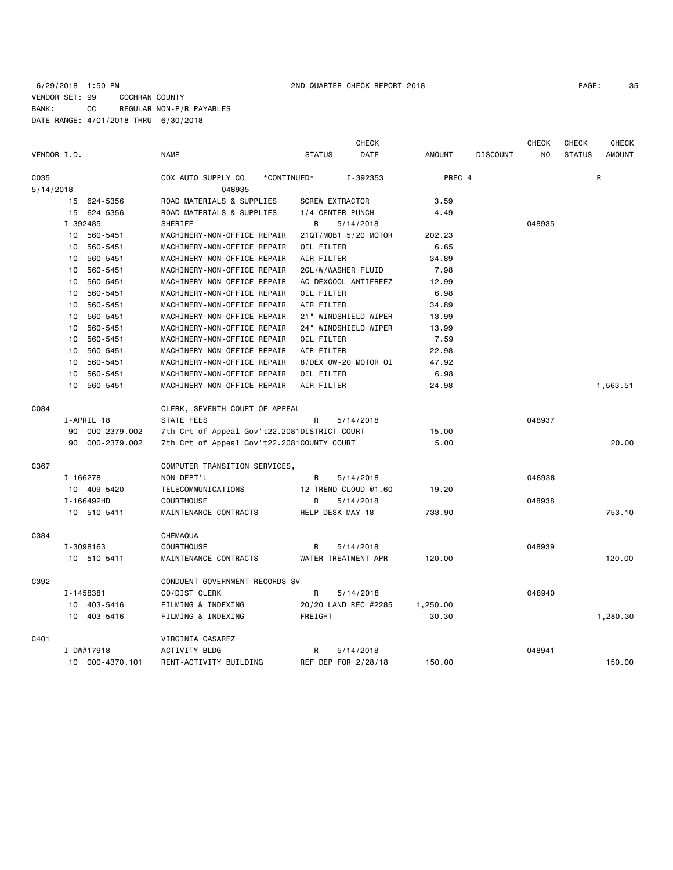## 6/29/2018 1:50 PM 2ND QUARTER CHECK REPORT 2018 PAGE: 35 VENDOR SET: 99 COCHRAN COUNTY BANK: CC REGULAR NON-P/R PAYABLES DATE RANGE: 4/01/2018 THRU 6/30/2018

|             |                 |                                              | CHECK                  |               |                 | <b>CHECK</b> | <b>CHECK</b>  | <b>CHECK</b>  |
|-------------|-----------------|----------------------------------------------|------------------------|---------------|-----------------|--------------|---------------|---------------|
| VENDOR I.D. |                 | <b>NAME</b>                                  | DATE<br><b>STATUS</b>  | <b>AMOUNT</b> | <b>DISCOUNT</b> | NO           | <b>STATUS</b> | <b>AMOUNT</b> |
| C035        |                 | COX AUTO SUPPLY CO<br>*CONTINUED*            | I-392353               | PREC 4        |                 |              |               | $\mathsf{R}$  |
| 5/14/2018   |                 | 048935                                       |                        |               |                 |              |               |               |
|             | 15 624-5356     | ROAD MATERIALS & SUPPLIES                    | <b>SCREW EXTRACTOR</b> | 3.59          |                 |              |               |               |
|             | 15 624-5356     | ROAD MATERIALS & SUPPLIES                    | 1/4 CENTER PUNCH       | 4.49          |                 |              |               |               |
|             | I-392485        | SHERIFF                                      | R<br>5/14/2018         |               |                 | 048935       |               |               |
|             | 10 560-5451     | MACHINERY-NON-OFFICE REPAIR                  | 21QT/MOB1 5/20 MOTOR   | 202.23        |                 |              |               |               |
|             | 560-5451<br>10  | MACHINERY-NON-OFFICE REPAIR                  | OIL FILTER             | 6.65          |                 |              |               |               |
|             | 560-5451<br>10  | MACHINERY-NON-OFFICE REPAIR                  | AIR FILTER             | 34.89         |                 |              |               |               |
|             | 560-5451<br>10  | MACHINERY-NON-OFFICE REPAIR                  | 2GL/W/WASHER FLUID     | 7.98          |                 |              |               |               |
|             | 560-5451<br>10  | MACHINERY-NON-OFFICE REPAIR                  | AC DEXCOOL ANTIFREEZ   | 12.99         |                 |              |               |               |
|             | 560-5451<br>10  | MACHINERY-NON-OFFICE REPAIR                  | OIL FILTER             | 6.98          |                 |              |               |               |
|             | 10<br>560-5451  | MACHINERY-NON-OFFICE REPAIR                  | AIR FILTER             | 34.89         |                 |              |               |               |
|             | 560-5451<br>10  | MACHINERY-NON-OFFICE REPAIR                  | 21" WINDSHIELD WIPER   | 13.99         |                 |              |               |               |
|             | 560-5451<br>10  | MACHINERY-NON-OFFICE REPAIR                  | 24" WINDSHIELD WIPER   | 13.99         |                 |              |               |               |
|             | 560-5451<br>10  | MACHINERY-NON-OFFICE REPAIR                  | OIL FILTER             | 7.59          |                 |              |               |               |
|             | 10<br>560-5451  | MACHINERY-NON-OFFICE REPAIR                  | AIR FILTER             | 22.98         |                 |              |               |               |
|             | 560-5451<br>10  | MACHINERY-NON-OFFICE REPAIR                  | 8/DEX OW-20 MOTOR OI   | 47.92         |                 |              |               |               |
|             | 10<br>560-5451  | MACHINERY-NON-OFFICE REPAIR                  | OIL FILTER             | 6.98          |                 |              |               |               |
|             | 10 560-5451     | MACHINERY-NON-OFFICE REPAIR                  | AIR FILTER             | 24.98         |                 |              |               | 1,563.51      |
| C084        |                 | CLERK, SEVENTH COURT OF APPEAL               |                        |               |                 |              |               |               |
|             | I-APRIL 18      | STATE FEES                                   | R<br>5/14/2018         |               |                 | 048937       |               |               |
|             | 90 000-2379.002 | 7th Crt of Appeal Gov't22.2081DISTRICT COURT |                        | 15.00         |                 |              |               |               |
|             | 90 000-2379.002 | 7th Crt of Appeal Gov't22.2081COUNTY COURT   |                        | 5.00          |                 |              |               | 20,00         |
| C367        |                 | COMPUTER TRANSITION SERVICES,                |                        |               |                 |              |               |               |
|             | I-166278        | NON-DEPT'L                                   | R<br>5/14/2018         |               |                 | 048938       |               |               |
|             | 10 409-5420     | TELECOMMUNICATIONS                           | 12 TREND CLOUD @1.60   | 19.20         |                 |              |               |               |
|             | I-166492HD      | <b>COURTHOUSE</b>                            | R<br>5/14/2018         |               |                 | 048938       |               |               |
|             | 10 510-5411     | MAINTENANCE CONTRACTS                        | HELP DESK MAY 18       | 733.90        |                 |              |               | 753.10        |
| C384        |                 | CHEMAQUA                                     |                        |               |                 |              |               |               |
|             | I-3098163       | <b>COURTHOUSE</b>                            | R<br>5/14/2018         |               |                 | 048939       |               |               |
|             | 10 510-5411     | MAINTENANCE CONTRACTS                        | WATER TREATMENT APR    | 120.00        |                 |              |               | 120.00        |
| C392        |                 | CONDUENT GOVERNMENT RECORDS SV               |                        |               |                 |              |               |               |
|             | I-1458381       | CO/DIST CLERK                                | R<br>5/14/2018         |               |                 | 048940       |               |               |
|             | 10 403-5416     | FILMING & INDEXING                           | 20/20 LAND REC #2285   | 1,250.00      |                 |              |               |               |
|             | 10 403-5416     | FILMING & INDEXING                           | FREIGHT                | 30.30         |                 |              |               | 1,280.30      |
| C401        |                 | VIRGINIA CASAREZ                             |                        |               |                 |              |               |               |
|             | I-DW#17918      | <b>ACTIVITY BLDG</b>                         | R<br>5/14/2018         |               |                 | 048941       |               |               |
|             | 10 000-4370.101 | RENT-ACTIVITY BUILDING                       | REF DEP FOR 2/28/18    | 150.00        |                 |              |               | 150.00        |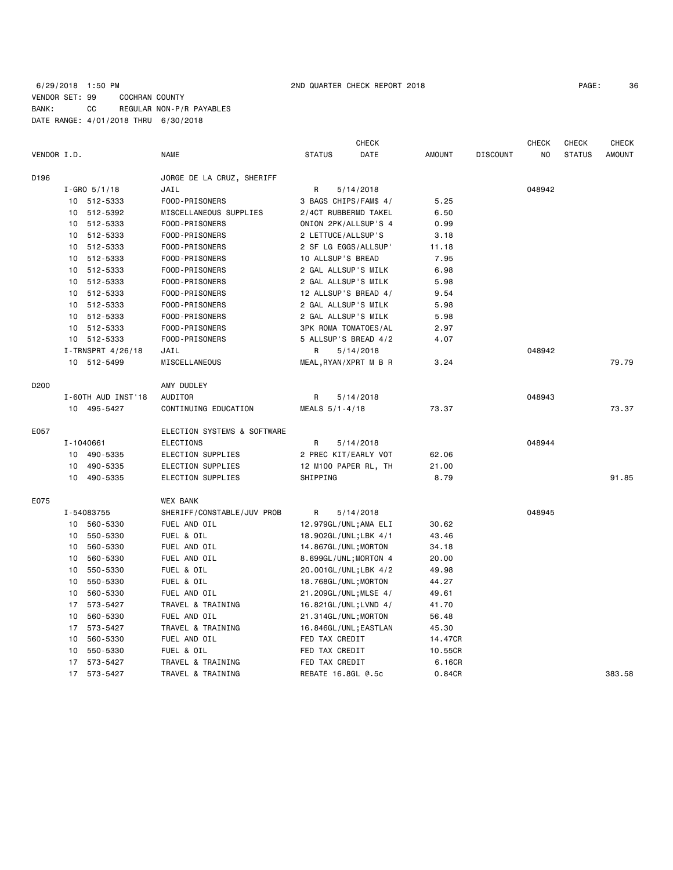|                  |                    |                   |                             |                             | <b>CHECK</b> |               |                 | <b>CHECK</b> | <b>CHECK</b>  | <b>CHECK</b>  |
|------------------|--------------------|-------------------|-----------------------------|-----------------------------|--------------|---------------|-----------------|--------------|---------------|---------------|
| VENDOR I.D.      |                    |                   | <b>NAME</b>                 | <b>STATUS</b>               | DATE         | <b>AMOUNT</b> | <b>DISCOUNT</b> | NO.          | <b>STATUS</b> | <b>AMOUNT</b> |
| D196             |                    |                   | JORGE DE LA CRUZ, SHERIFF   |                             |              |               |                 |              |               |               |
|                  |                    | $I - GRO$ 5/1/18  | JAIL                        | R                           | 5/14/2018    |               |                 | 048942       |               |               |
|                  |                    | 10 512-5333       | FOOD-PRISONERS              | 3 BAGS CHIPS/FAM\$ 4/       |              | 5.25          |                 |              |               |               |
|                  |                    | 10 512-5392       | MISCELLANEOUS SUPPLIES      | 2/4CT RUBBERMD TAKEL        |              | 6.50          |                 |              |               |               |
|                  | 10                 | 512-5333          | FOOD-PRISONERS              | ONION 2PK/ALLSUP'S 4        |              | 0.99          |                 |              |               |               |
|                  |                    | 10 512-5333       | FOOD-PRISONERS              | 2 LETTUCE/ALLSUP'S          |              | 3.18          |                 |              |               |               |
|                  | 10                 | 512-5333          | FOOD-PRISONERS              | 2 SF LG EGGS/ALLSUP'        |              | 11.18         |                 |              |               |               |
|                  | 10                 | 512-5333          | FOOD-PRISONERS              | 10 ALLSUP'S BREAD           |              | 7.95          |                 |              |               |               |
|                  |                    | 10 512-5333       | FOOD-PRISONERS              | 2 GAL ALLSUP'S MILK         |              | 6.98          |                 |              |               |               |
|                  | 10                 | 512-5333          | FOOD-PRISONERS              | 2 GAL ALLSUP'S MILK         |              | 5.98          |                 |              |               |               |
|                  |                    | 10 512-5333       | FOOD-PRISONERS              | 12 ALLSUP'S BREAD 4/        |              | 9.54          |                 |              |               |               |
|                  |                    | 10 512-5333       | FOOD-PRISONERS              | 2 GAL ALLSUP'S MILK         |              | 5.98          |                 |              |               |               |
|                  |                    | 10 512-5333       | FOOD-PRISONERS              | 2 GAL ALLSUP'S MILK         |              | 5.98          |                 |              |               |               |
|                  | 10                 | 512-5333          | FOOD-PRISONERS              | <b>3PK ROMA TOMATOES/AL</b> |              | 2.97          |                 |              |               |               |
|                  |                    | 10 512-5333       | FOOD-PRISONERS              | 5 ALLSUP'S BREAD 4/2        |              | 4.07          |                 |              |               |               |
|                  |                    | I-TRNSPRT 4/26/18 | JAIL                        | R                           | 5/14/2018    |               |                 | 048942       |               |               |
|                  |                    | 10 512-5499       | MISCELLANEOUS               | MEAL, RYAN/XPRT M B R       |              | 3.24          |                 |              |               | 79.79         |
| D <sub>200</sub> |                    |                   | AMY DUDLEY                  |                             |              |               |                 |              |               |               |
|                  | I-60TH AUD INST'18 |                   | AUDITOR                     | R<br>5/14/2018              |              |               |                 | 048943       |               |               |
|                  |                    | 10 495-5427       | CONTINUING EDUCATION        | MEALS 5/1-4/18              |              | 73.37         |                 |              |               | 73.37         |
| E057             |                    |                   | ELECTION SYSTEMS & SOFTWARE |                             |              |               |                 |              |               |               |
|                  |                    | I-1040661         | ELECTIONS                   | R                           | 5/14/2018    |               |                 | 048944       |               |               |
|                  | 10                 | 490-5335          | ELECTION SUPPLIES           | 2 PREC KIT/EARLY VOT        |              | 62.06         |                 |              |               |               |
|                  | 10                 | 490-5335          | ELECTION SUPPLIES           | 12 M100 PAPER RL, TH        |              | 21.00         |                 |              |               |               |
|                  | 10                 | 490-5335          | ELECTION SUPPLIES           | SHIPPING                    |              | 8.79          |                 |              |               | 91.85         |
| E075             |                    |                   | <b>WEX BANK</b>             |                             |              |               |                 |              |               |               |
|                  |                    | I-54083755        | SHERIFF/CONSTABLE/JUV PROB  | R                           | 5/14/2018    |               |                 | 048945       |               |               |
|                  |                    | 10 560-5330       | FUEL AND OIL                | 12.979GL/UNL;AMA ELI        |              | 30.62         |                 |              |               |               |
|                  | 10                 | 550-5330          | FUEL & OIL                  | 18.902GL/UNL;LBK 4/1        |              | 43.46         |                 |              |               |               |
|                  | 10                 | 560-5330          | FUEL AND OIL                | 14.867GL/UNL; MORTON        |              | 34.18         |                 |              |               |               |
|                  | 10                 | 560-5330          | FUEL AND OIL                | 8.699GL/UNL;MORTON 4        |              | 20.00         |                 |              |               |               |
|                  | 10                 | 550-5330          | FUEL & OIL                  | 20.001GL/UNL;LBK 4/2        |              | 49.98         |                 |              |               |               |
|                  | 10                 | 550-5330          | FUEL & OIL                  | 18.768GL/UNL; MORTON        |              | 44.27         |                 |              |               |               |
|                  | 10                 | 560-5330          | FUEL AND OIL                | 21.209GL/UNL; MLSE 4/       |              | 49.61         |                 |              |               |               |
|                  | 17                 | 573-5427          | TRAVEL & TRAINING           | 16.821GL/UNL; LVND 4/       |              | 41.70         |                 |              |               |               |
|                  | 10                 | 560-5330          | FUEL AND OIL                | 21.314GL/UNL; MORTON        |              | 56.48         |                 |              |               |               |
|                  | 17                 | 573-5427          | TRAVEL & TRAINING           | 16.846GL/UNL; EASTLAN       |              | 45.30         |                 |              |               |               |
|                  | 10                 | 560-5330          | FUEL AND OIL                | FED TAX CREDIT              |              | 14.47CR       |                 |              |               |               |
|                  | 10                 | 550-5330          | FUEL & OIL                  | FED TAX CREDIT              |              | 10.55CR       |                 |              |               |               |
|                  | 17                 | 573-5427          | TRAVEL & TRAINING           | FED TAX CREDIT              |              | 6.16CR        |                 |              |               |               |
|                  | 17                 | 573-5427          | TRAVEL & TRAINING           | REBATE 16.8GL @.5c          |              | 0.84CR        |                 |              |               | 383.58        |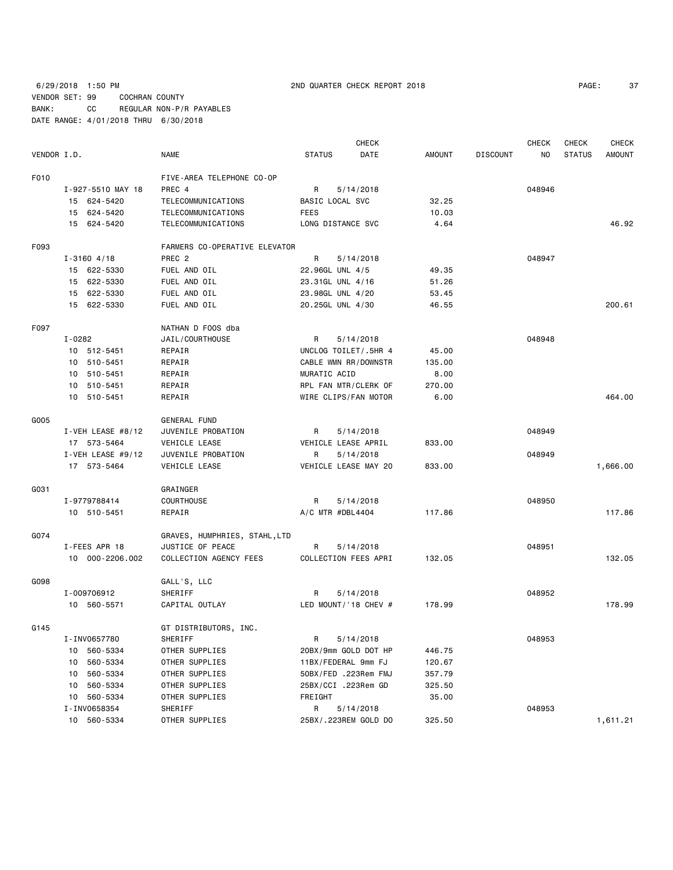6/29/2018 1:50 PM 2ND QUARTER CHECK REPORT 2018 PAGE: 37 VENDOR SET: 99 COCHRAN COUNTY BANK: CC REGULAR NON-P/R PAYABLES DATE RANGE: 4/01/2018 THRU 6/30/2018

| VENDOR I.D. |                     | <b>NAME</b>                   | <b>STATUS</b>       | DATE                 | <b>AMOUNT</b> | <b>DISCOUNT</b> | ΝO     | <b>STATUS</b> | <b>AMOUNT</b> |
|-------------|---------------------|-------------------------------|---------------------|----------------------|---------------|-----------------|--------|---------------|---------------|
| F010        |                     | FIVE-AREA TELEPHONE CO-OP     |                     |                      |               |                 |        |               |               |
|             | I-927-5510 MAY 18   | PREC 4                        | R                   | 5/14/2018            |               |                 | 048946 |               |               |
|             | 15 624-5420         | TELECOMMUNICATIONS            | BASIC LOCAL SVC     |                      | 32.25         |                 |        |               |               |
|             | 15 624-5420         | TELECOMMUNICATIONS            | <b>FEES</b>         |                      | 10.03         |                 |        |               |               |
|             | 15 624-5420         | TELECOMMUNICATIONS            | LONG DISTANCE SVC   |                      | 4.64          |                 |        |               | 46.92         |
| F093        |                     | FARMERS CO-OPERATIVE ELEVATOR |                     |                      |               |                 |        |               |               |
|             | $I - 3160$ 4/18     | PREC 2                        | R                   | 5/14/2018            |               |                 | 048947 |               |               |
|             | 15 622-5330         | FUEL AND OIL                  | 22.96GL UNL 4/5     |                      | 49.35         |                 |        |               |               |
|             | 15 622-5330         | FUEL AND OIL                  | 23.31GL UNL 4/16    |                      | 51.26         |                 |        |               |               |
|             | 15 622-5330         | FUEL AND OIL                  | 23.98GL UNL 4/20    |                      | 53.45         |                 |        |               |               |
|             | 15 622-5330         | FUEL AND OIL                  | 20.25GL UNL 4/30    |                      | 46.55         |                 |        |               | 200.61        |
| F097        |                     | NATHAN D FOOS dba             |                     |                      |               |                 |        |               |               |
|             | $I - 0282$          | JAIL/COURTHOUSE               | R                   | 5/14/2018            |               |                 | 048948 |               |               |
|             | 10 512-5451         | REPAIR                        |                     | UNCLOG TOILET/.5HR 4 | 45.00         |                 |        |               |               |
|             | 10 510-5451         | REPAIR                        |                     | CABLE WMN RR/DOWNSTR | 135.00        |                 |        |               |               |
|             | 10 510-5451         | REPAIR                        | MURATIC ACID        |                      | 8.00          |                 |        |               |               |
|             | 10 510-5451         | REPAIR                        |                     | RPL FAN MTR/CLERK OF | 270.00        |                 |        |               |               |
|             | 10 510-5451         | REPAIR                        |                     | WIRE CLIPS/FAN MOTOR | 6.00          |                 |        |               | 464.00        |
| G005        |                     | <b>GENERAL FUND</b>           |                     |                      |               |                 |        |               |               |
|             | I-VEH LEASE $#8/12$ | JUVENILE PROBATION            | R                   | 5/14/2018            |               |                 | 048949 |               |               |
|             | 17 573-5464         | VEHICLE LEASE                 | VEHICLE LEASE APRIL |                      | 833.00        |                 |        |               |               |
|             | I-VEH LEASE $#9/12$ | JUVENILE PROBATION            | R                   | 5/14/2018            |               |                 | 048949 |               |               |
|             | 17 573-5464         | VEHICLE LEASE                 |                     | VEHICLE LEASE MAY 20 | 833.00        |                 |        |               | 1,666.00      |
| G031        |                     | GRAINGER                      |                     |                      |               |                 |        |               |               |
|             | I-9779788414        | <b>COURTHOUSE</b>             | R                   | 5/14/2018            |               |                 | 048950 |               |               |
|             | 10 510-5451         | REPAIR                        | A/C MTR #DBL4404    |                      | 117.86        |                 |        |               | 117.86        |
| G074        |                     | GRAVES, HUMPHRIES, STAHL,LTD  |                     |                      |               |                 |        |               |               |
|             | I-FEES APR 18       | JUSTICE OF PEACE              | $\mathsf{R}$        | 5/14/2018            |               |                 | 048951 |               |               |
|             | 10 000-2206.002     | COLLECTION AGENCY FEES        |                     | COLLECTION FEES APRI | 132.05        |                 |        |               | 132.05        |
| G098        |                     | GALL'S, LLC                   |                     |                      |               |                 |        |               |               |
|             | I-009706912         | SHERIFF                       | R                   | 5/14/2018            |               |                 | 048952 |               |               |
|             | 10 560-5571         | CAPITAL OUTLAY                |                     | LED MOUNT/'18 CHEV # | 178.99        |                 |        |               | 178.99        |
| G145        |                     | GT DISTRIBUTORS, INC.         |                     |                      |               |                 |        |               |               |
|             | I-INV0657780        | SHERIFF                       | R                   | 5/14/2018            |               |                 | 048953 |               |               |
|             | 10 560-5334         | OTHER SUPPLIES                |                     | 20BX/9mm GOLD DOT HP | 446.75        |                 |        |               |               |
|             | 10 560-5334         | OTHER SUPPLIES                | 11BX/FEDERAL 9mm FJ |                      | 120.67        |                 |        |               |               |
|             | 10 560-5334         | OTHER SUPPLIES                |                     | 50BX/FED .223Rem FMJ | 357.79        |                 |        |               |               |
|             | 10 560-5334         | OTHER SUPPLIES                | 25BX/CCI .223Rem GD |                      | 325.50        |                 |        |               |               |
|             | 10 560-5334         | OTHER SUPPLIES                | FREIGHT             |                      | 35.00         |                 |        |               |               |
|             | I-INV0658354        | SHERIFF                       | R                   | 5/14/2018            |               |                 | 048953 |               |               |

10 560-5334 OTHER SUPPLIES 25BX/.223REM GOLD DO 325.50 1,611.21

CHECK CHECK CHECK CHECK CHECK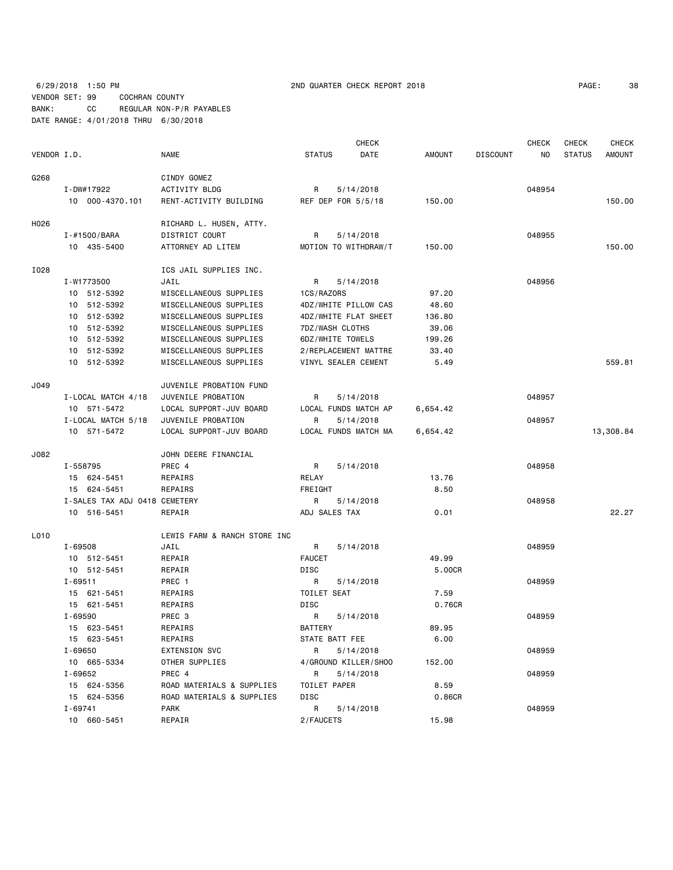6/29/2018 1:50 PM 2ND QUARTER CHECK REPORT 2018 PAGE: 38 VENDOR SET: 99 COCHRAN COUNTY BANK: CC REGULAR NON-P/R PAYABLES DATE RANGE: 4/01/2018 THRU 6/30/2018

CHECK CHECK CHECK CHECK

| VENDOR I.D. |                               | NAME                         | <b>STATUS</b><br>DATE     | AMOUNT   | <b>DISCOUNT</b><br>NO | <b>STATUS</b> | AMOUNT    |
|-------------|-------------------------------|------------------------------|---------------------------|----------|-----------------------|---------------|-----------|
| G268        |                               | CINDY GOMEZ                  |                           |          |                       |               |           |
|             | I-DW#17922                    | <b>ACTIVITY BLDG</b>         | R<br>5/14/2018            |          | 048954                |               |           |
|             | 10 000-4370.101               | RENT-ACTIVITY BUILDING       | REF DEP FOR 5/5/18        | 150.00   |                       |               | 150.00    |
| H026        |                               | RICHARD L. HUSEN, ATTY.      |                           |          |                       |               |           |
|             | I-#1500/BARA                  | DISTRICT COURT               | R<br>5/14/2018            |          | 048955                |               |           |
|             | 10 435-5400                   | ATTORNEY AD LITEM            | MOTION TO WITHDRAW/T      | 150.00   |                       |               | 150.00    |
| I028        |                               | ICS JAIL SUPPLIES INC.       |                           |          |                       |               |           |
|             | I-W1773500                    | JAIL                         | $\mathsf{R}$<br>5/14/2018 |          | 048956                |               |           |
|             | 10 512-5392                   | MISCELLANEOUS SUPPLIES       | 1CS/RAZORS                | 97.20    |                       |               |           |
|             | 10 512-5392                   | MISCELLANEOUS SUPPLIES       | 4DZ/WHITE PILLOW CAS      | 48.60    |                       |               |           |
|             | 10 512-5392                   | MISCELLANEOUS SUPPLIES       | 4DZ/WHITE FLAT SHEET      | 136.80   |                       |               |           |
|             | 10 512-5392                   | MISCELLANEOUS SUPPLIES       | 7DZ/WASH CLOTHS           | 39.06    |                       |               |           |
|             | 10 512-5392                   | MISCELLANEOUS SUPPLIES       | 6DZ/WHITE TOWELS          | 199.26   |                       |               |           |
|             | 10 512-5392                   | MISCELLANEOUS SUPPLIES       | 2/REPLACEMENT MATTRE      | 33.40    |                       |               |           |
|             | 10 512-5392                   | MISCELLANEOUS SUPPLIES       | VINYL SEALER CEMENT       | 5.49     |                       |               | 559.81    |
| J049        |                               | JUVENILE PROBATION FUND      |                           |          |                       |               |           |
|             | I-LOCAL MATCH 4/18            | JUVENILE PROBATION           | 5/14/2018<br>R            |          | 048957                |               |           |
|             | 10 571-5472                   | LOCAL SUPPORT-JUV BOARD      | LOCAL FUNDS MATCH AP      | 6,654.42 |                       |               |           |
|             | I-LOCAL MATCH 5/18            | JUVENILE PROBATION           | R<br>5/14/2018            |          | 048957                |               |           |
|             | 10 571-5472                   | LOCAL SUPPORT-JUV BOARD      | LOCAL FUNDS MATCH MA      | 6,654.42 |                       |               | 13,308.84 |
| J082        |                               | JOHN DEERE FINANCIAL         |                           |          |                       |               |           |
|             | I-558795                      | PREC 4                       | R<br>5/14/2018            |          | 048958                |               |           |
|             | 15 624-5451                   | REPAIRS                      | RELAY                     | 13.76    |                       |               |           |
|             | 15 624-5451                   | REPAIRS                      | FREIGHT                   | 8.50     |                       |               |           |
|             | I-SALES TAX ADJ 0418 CEMETERY |                              | 5/14/2018<br>R            |          | 048958                |               |           |
|             | 10 516-5451                   | REPAIR                       | ADJ SALES TAX             | 0.01     |                       |               | 22.27     |
| L010        |                               | LEWIS FARM & RANCH STORE INC |                           |          |                       |               |           |
|             | I-69508                       | JAIL                         | R<br>5/14/2018            |          | 048959                |               |           |
|             | 10 512-5451                   | REPAIR                       | <b>FAUCET</b>             | 49.99    |                       |               |           |
|             | 10 512-5451                   | REPAIR                       | <b>DISC</b>               | 5.00CR   |                       |               |           |
|             | $I - 69511$                   | PREC 1                       | 5/14/2018<br>R            |          | 048959                |               |           |
|             | 15 621-5451                   | REPAIRS                      | TOILET SEAT               | 7.59     |                       |               |           |
|             | 15 621-5451                   | REPAIRS                      | <b>DISC</b>               | 0.76CR   |                       |               |           |
|             | I-69590                       | PREC 3                       | R<br>5/14/2018            |          | 048959                |               |           |
|             | 15 623-5451                   | REPAIRS                      | <b>BATTERY</b>            | 89.95    |                       |               |           |
|             | 15 623-5451                   | REPAIRS                      | STATE BATT FEE            | 6.00     |                       |               |           |
|             | $I - 69650$                   | <b>EXTENSION SVC</b>         | R<br>5/14/2018            |          | 048959                |               |           |
|             | 10 665-5334                   | OTHER SUPPLIES               | 4/GROUND KILLER/SHOO      | 152.00   |                       |               |           |
|             | I-69652                       | PREC 4                       | 5/14/2018<br>R            |          | 048959                |               |           |
|             | 15 624-5356                   | ROAD MATERIALS & SUPPLIES    | TOILET PAPER              | 8.59     |                       |               |           |
|             | 15 624-5356                   | ROAD MATERIALS & SUPPLIES    | <b>DISC</b>               | 0.86CR   |                       |               |           |
|             | $I - 69741$                   | <b>PARK</b>                  | R<br>5/14/2018            |          | 048959                |               |           |
|             | 10 660-5451                   | REPAIR                       | 2/FAUCETS                 | 15.98    |                       |               |           |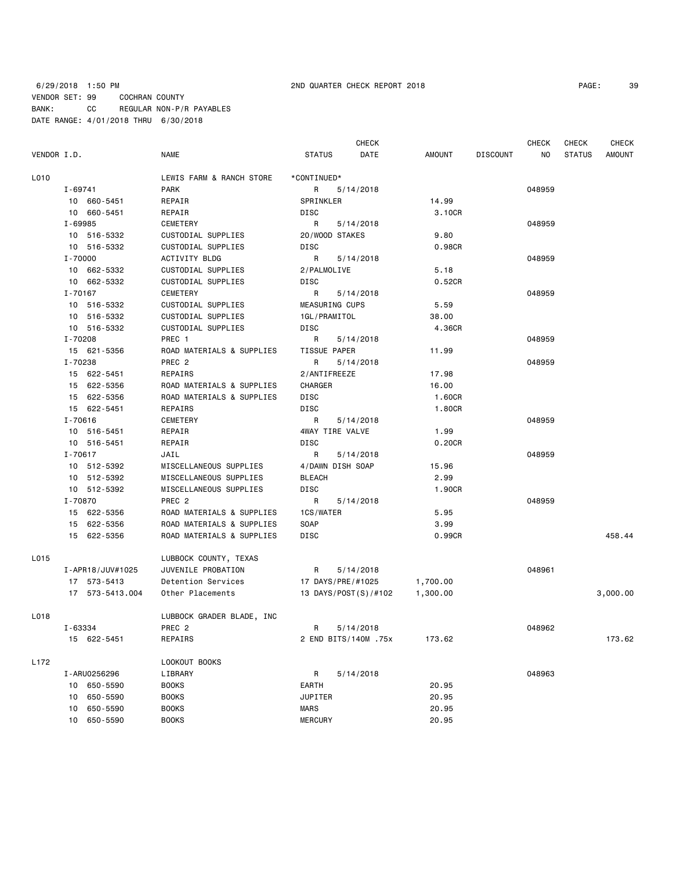CHECK CHECK CHECK CHECK

| VENDOR I.D. |         |             | NAME                      | STATUS        | DATE             | AMOUNT             | DISCOUNT |        | NO STATUS | AMOUNT |
|-------------|---------|-------------|---------------------------|---------------|------------------|--------------------|----------|--------|-----------|--------|
| L010        |         |             | LEWIS FARM & RANCH STORE  | *CONTINUED*   |                  |                    |          |        |           |        |
|             | I-69741 |             | PARK                      |               | R 5/14/2018      |                    |          | 048959 |           |        |
|             |         | 10 660-5451 | REPAIR                    | SPRINKLER     |                  | 14.99              |          |        |           |        |
|             |         | 10 660-5451 | REPAIR                    | DISC          |                  | 3.10CR             |          |        |           |        |
|             | I-69985 |             | CEMETERY                  |               | R 5/14/2018      |                    |          | 048959 |           |        |
|             |         | 10 516-5332 | CUSTODIAL SUPPLIES        |               | 20/WOOD STAKES   | 9.80               |          |        |           |        |
|             |         | 10 516-5332 | CUSTODIAL SUPPLIES        | DISC          |                  | 0.98 <sub>CR</sub> |          |        |           |        |
|             | I-70000 |             | ACTIVITY BLDG             |               | R 5/14/2018      |                    |          | 048959 |           |        |
|             |         | 10 662-5332 | CUSTODIAL SUPPLIES        | 2/PALMOLIVE   |                  | 5.18               |          |        |           |        |
|             |         | 10 662-5332 | CUSTODIAL SUPPLIES        | DISC          |                  | 0.52CR             |          |        |           |        |
|             |         | I-70167     | CEMETERY                  |               | R 5/14/2018      |                    |          | 048959 |           |        |
|             |         | 10 516-5332 | CUSTODIAL SUPPLIES        |               | MEASURING CUPS   | 5.59               |          |        |           |        |
|             |         | 10 516-5332 | CUSTODIAL SUPPLIES        | 1GL/PRAMITOL  |                  | 38.00              |          |        |           |        |
|             |         | 10 516-5332 | CUSTODIAL SUPPLIES        | DISC          |                  | 4.36CR             |          |        |           |        |
|             | I-70208 |             | PREC 1                    |               | R 5/14/2018      |                    |          | 048959 |           |        |
|             |         | 15 621-5356 | ROAD MATERIALS & SUPPLIES | TISSUE PAPER  |                  | 11.99              |          |        |           |        |
|             | I-70238 |             | PREC 2                    | R             | 5/14/2018        |                    |          | 048959 |           |        |
|             |         | 15 622-5451 | REPAIRS                   | 2/ANTIFREEZE  |                  | 17.98              |          |        |           |        |
|             |         | 15 622-5356 | ROAD MATERIALS & SUPPLIES | CHARGER       |                  | 16.00              |          |        |           |        |
|             |         | 15 622-5356 | ROAD MATERIALS & SUPPLIES | DISC          |                  | 1.60CR             |          |        |           |        |
|             |         | 15 622-5451 | REPAIRS                   | DISC          |                  | 1.80CR             |          |        |           |        |
|             | I-70616 |             | CEMETERY                  |               | R 5/14/2018      |                    |          | 048959 |           |        |
|             |         | 10 516-5451 | REPAIR                    |               | 4WAY TIRE VALVE  | 1.99               |          |        |           |        |
|             |         | 10 516-5451 | REPAIR                    | DISC          |                  | 0.20CR             |          |        |           |        |
|             | I-70617 |             | JAIL                      | R             | 5/14/2018        |                    |          | 048959 |           |        |
|             |         | 10 512-5392 | MISCELLANEOUS SUPPLIES    |               | 4/DAWN DISH SOAP | 15.96              |          |        |           |        |
|             |         | 10 512-5392 | MISCELLANEOUS SUPPLIES    | <b>BLEACH</b> |                  | 2.99               |          |        |           |        |
|             |         | 10 512-5392 | MISCELLANEOUS SUPPLIES    | DISC          |                  | 1,90CR             |          |        |           |        |
|             | I-70870 |             | PREC 2                    | R             | 5/14/2018        |                    |          | 048959 |           |        |
|             |         | 15 622-5356 | ROAD MATERIALS & SUPPLIES | 1CS/WATER     |                  | 5.95               |          |        |           |        |
|             |         | 15 622-5356 | ROAD MATERIALS & SUPPLIES | SOAP          |                  | 3.99               |          |        |           |        |
|             |         | 15 622-5356 | ROAD MATERIALS & SUPPLIES | DISC          |                  | 0.99CR             |          |        |           | 458.44 |

| L015 |                    | LUBBOCK COUNTY, TEXAS     |                      |          |        |          |
|------|--------------------|---------------------------|----------------------|----------|--------|----------|
|      | I-APR18/JUV#1025   | JUVENILE PROBATION        | R.<br>5/14/2018      |          | 048961 |          |
|      | 573-5413<br>17     | Detention Services        | 17 DAYS/PRE/#1025    | 1,700.00 |        |          |
|      | 573-5413.004<br>17 | Other Placements          | 13 DAYS/POST(S)/#102 | 1,300.00 |        | 3,000.00 |
| L018 |                    | LUBBOCK GRADER BLADE, INC |                      |          |        |          |
|      | I-63334            | PREC 2                    | R<br>5/14/2018       |          | 048962 |          |
|      | 15 622-5451        | REPAIRS                   | 2 END BITS/140M .75x | 173.62   |        | 173.62   |
| L172 |                    | LOOKOUT BOOKS             |                      |          |        |          |
|      | I-ARU0256296       | LIBRARY                   | R<br>5/14/2018       |          | 048963 |          |
|      | 650-5590<br>10     | <b>BOOKS</b>              | EARTH                | 20.95    |        |          |
|      | 650-5590<br>10     | <b>BOOKS</b>              | <b>JUPITER</b>       | 20.95    |        |          |
|      | 650-5590<br>10     | <b>BOOKS</b>              | MARS                 | 20.95    |        |          |
|      | 650-5590<br>10     | <b>BOOKS</b>              | <b>MERCURY</b>       | 20.95    |        |          |
|      |                    |                           |                      |          |        |          |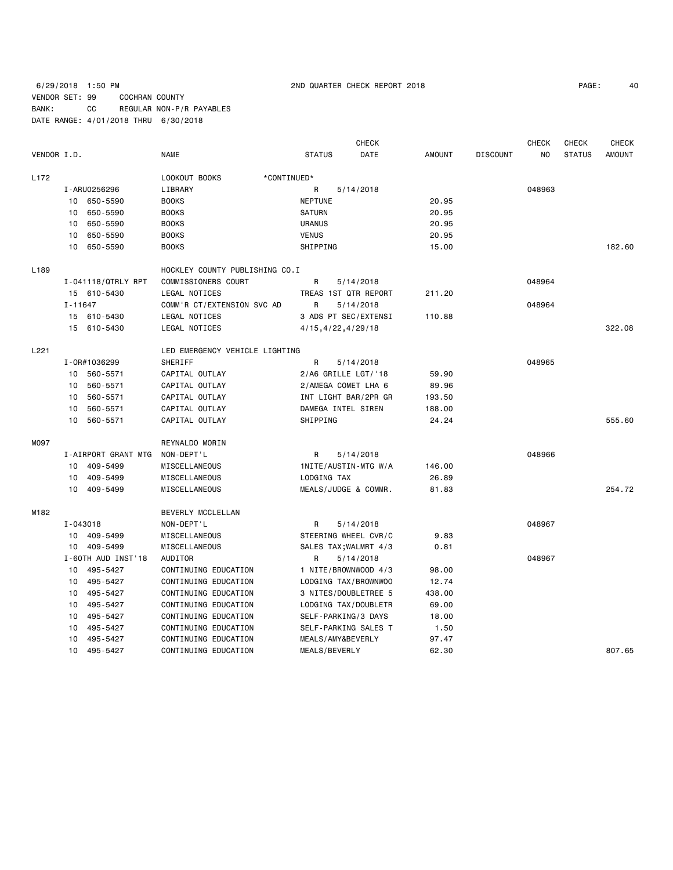## 6/29/2018 1:50 PM 2ND QUARTER CHECK REPORT 2018 PAGE: 40 VENDOR SET: 99 COCHRAN COUNTY BANK: CC REGULAR NON-P/R PAYABLES DATE RANGE: 4/01/2018 THRU 6/30/2018

| PAGE: |  |
|-------|--|
|       |  |

|                  |             |                     |                                |                      | <b>CHECK</b>          |               |                 | <b>CHECK</b> | <b>CHECK</b>  | <b>CHECK</b>  |
|------------------|-------------|---------------------|--------------------------------|----------------------|-----------------------|---------------|-----------------|--------------|---------------|---------------|
| VENDOR I.D.      |             |                     | <b>NAME</b>                    | <b>STATUS</b>        | DATE                  | <b>AMOUNT</b> | <b>DISCOUNT</b> | NO.          | <b>STATUS</b> | <b>AMOUNT</b> |
| L <sub>172</sub> |             |                     | LOOKOUT BOOKS<br>*CONTINUED*   |                      |                       |               |                 |              |               |               |
|                  |             | I-ARU0256296        | LIBRARY                        | R                    | 5/14/2018             |               |                 | 048963       |               |               |
|                  | 10          | 650-5590            | <b>BOOKS</b>                   | <b>NEPTUNE</b>       |                       | 20.95         |                 |              |               |               |
|                  | 10          | 650-5590            | <b>BOOKS</b>                   | <b>SATURN</b>        |                       | 20.95         |                 |              |               |               |
|                  | 10          | 650-5590            | <b>BOOKS</b>                   | <b>URANUS</b>        |                       | 20.95         |                 |              |               |               |
|                  | 10          | 650-5590            | <b>BOOKS</b>                   | <b>VENUS</b>         |                       | 20.95         |                 |              |               |               |
|                  | 10          | 650-5590            | <b>BOOKS</b>                   | SHIPPING             |                       | 15.00         |                 |              |               | 182.60        |
| L189             |             |                     | HOCKLEY COUNTY PUBLISHING CO.I |                      |                       |               |                 |              |               |               |
|                  |             | I-041118/QTRLY RPT  | COMMISSIONERS COURT            | R                    | 5/14/2018             |               |                 | 048964       |               |               |
|                  |             | 15 610-5430         | LEGAL NOTICES                  |                      | TREAS 1ST QTR REPORT  | 211.20        |                 |              |               |               |
|                  | $I - 11647$ |                     | COMM'R CT/EXTENSION SVC AD     | R                    | 5/14/2018             |               |                 | 048964       |               |               |
|                  |             | 15 610-5430         | LEGAL NOTICES                  |                      | 3 ADS PT SEC/EXTENSI  | 110.88        |                 |              |               |               |
|                  |             | 15 610-5430         | LEGAL NOTICES                  | 4/15, 4/22, 4/29/18  |                       |               |                 |              |               | 322.08        |
| L221             |             |                     | LED EMERGENCY VEHICLE LIGHTING |                      |                       |               |                 |              |               |               |
|                  |             | I-0R#1036299        | SHERIFF                        | R                    | 5/14/2018             |               |                 | 048965       |               |               |
|                  |             | 10 560-5571         | CAPITAL OUTLAY                 | 2/A6 GRILLE LGT/'18  |                       | 59.90         |                 |              |               |               |
|                  | 10          | 560-5571            | CAPITAL OUTLAY                 | 2/AMEGA COMET LHA 6  |                       | 89.96         |                 |              |               |               |
|                  | 10          | 560-5571            | CAPITAL OUTLAY                 |                      | INT LIGHT BAR/2PR GR  | 193.50        |                 |              |               |               |
|                  | 10          | 560-5571            | CAPITAL OUTLAY                 | DAMEGA INTEL SIREN   |                       | 188.00        |                 |              |               |               |
|                  | 10          | 560-5571            | CAPITAL OUTLAY                 | SHIPPING             |                       | 24.24         |                 |              |               | 555.60        |
| M097             |             |                     | REYNALDO MORIN                 |                      |                       |               |                 |              |               |               |
|                  |             | I-AIRPORT GRANT MTG | NON-DEPT'L                     | R                    | 5/14/2018             |               |                 | 048966       |               |               |
|                  |             | 10 409-5499         | MISCELLANEOUS                  |                      | 1NITE/AUSTIN-MTG W/A  | 146.00        |                 |              |               |               |
|                  |             | 10 409-5499         | MISCELLANEOUS                  | LODGING TAX          |                       | 26.89         |                 |              |               |               |
|                  | 10          | 409-5499            | MISCELLANEOUS                  | MEALS/JUDGE & COMMR. |                       | 81.83         |                 |              |               | 254.72        |
| M182             |             |                     | BEVERLY MCCLELLAN              |                      |                       |               |                 |              |               |               |
|                  |             | I-043018            | NON-DEPT'L                     | R                    | 5/14/2018             |               |                 | 048967       |               |               |
|                  |             | 10 409-5499         | MISCELLANEOUS                  |                      | STEERING WHEEL CVR/C  | 9.83          |                 |              |               |               |
|                  | 10          | 409-5499            | MISCELLANEOUS                  |                      | SALES TAX; WALMRT 4/3 | 0.81          |                 |              |               |               |
|                  |             | I-60TH AUD INST'18  | AUDITOR                        | R                    | 5/14/2018             |               |                 | 048967       |               |               |
|                  |             | 10 495-5427         | CONTINUING EDUCATION           |                      | 1 NITE/BROWNWOOD 4/3  | 98.00         |                 |              |               |               |
|                  | 10          | 495-5427            | CONTINUING EDUCATION           |                      | LODGING TAX/BROWNWOO  | 12.74         |                 |              |               |               |
|                  | 10          | 495-5427            | CONTINUING EDUCATION           |                      | 3 NITES/DOUBLETREE 5  | 438.00        |                 |              |               |               |
|                  | 10          | 495-5427            | CONTINUING EDUCATION           |                      | LODGING TAX/DOUBLETR  | 69.00         |                 |              |               |               |
|                  | 10          | 495-5427            | CONTINUING EDUCATION           | SELF-PARKING/3 DAYS  |                       | 18.00         |                 |              |               |               |
|                  | 10          | 495-5427            | CONTINUING EDUCATION           |                      | SELF-PARKING SALES T  | 1.50          |                 |              |               |               |
|                  | 10          | 495-5427            | CONTINUING EDUCATION           | MEALS/AMY&BEVERLY    |                       | 97.47         |                 |              |               |               |
|                  | 10          | 495-5427            | CONTINUING EDUCATION           | MEALS/BEVERLY        |                       | 62.30         |                 |              |               | 807.65        |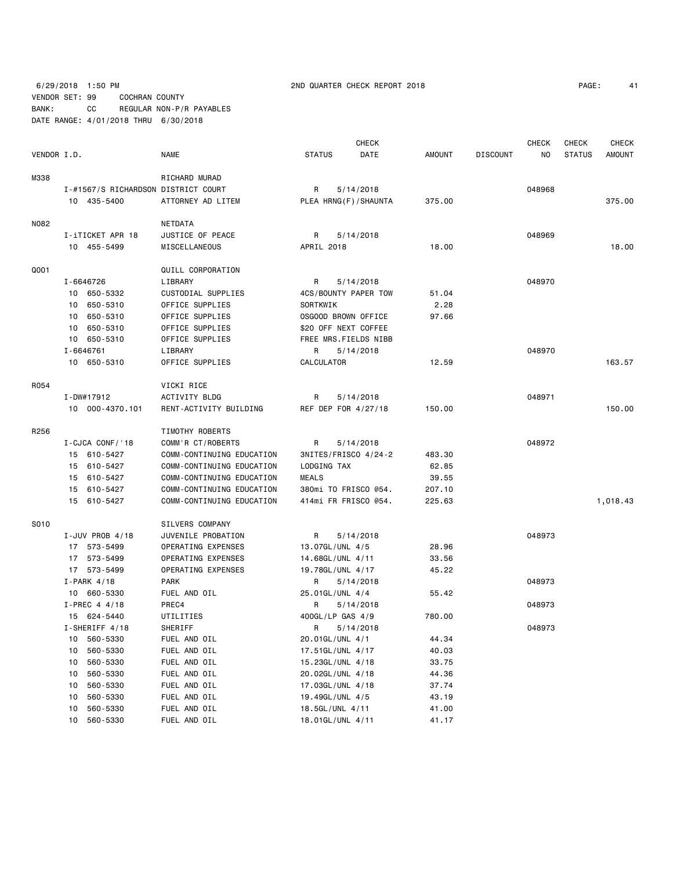6/29/2018 1:50 PM 2ND QUARTER CHECK REPORT 2018 PAGE: 41 VENDOR SET: 99 COCHRAN COUNTY BANK: CC REGULAR NON-P/R PAYABLES DATE RANGE: 4/01/2018 THRU 6/30/2018

| PAGE: |  |
|-------|--|

|             |    |                                     |                           |                         | <b>CHECK</b>         |               |                 | CHECK  | <b>CHECK</b>  | <b>CHECK</b>  |
|-------------|----|-------------------------------------|---------------------------|-------------------------|----------------------|---------------|-----------------|--------|---------------|---------------|
| VENDOR I.D. |    |                                     | NAME                      | <b>STATUS</b>           | DATE                 | <b>AMOUNT</b> | <b>DISCOUNT</b> | NO     | <b>STATUS</b> | <b>AMOUNT</b> |
| M338        |    |                                     | RICHARD MURAD             |                         |                      |               |                 |        |               |               |
|             |    | I-#1567/S RICHARDSON DISTRICT COURT |                           | R                       | 5/14/2018            |               |                 | 048968 |               |               |
|             |    | 10 435-5400                         | ATTORNEY AD LITEM         | PLEA HRNG (F) / SHAUNTA |                      | 375.00        |                 |        |               | 375.00        |
|             |    |                                     |                           |                         |                      |               |                 |        |               |               |
| N082        |    |                                     | NETDATA                   |                         |                      |               |                 |        |               |               |
|             |    | I-iTICKET APR 18                    | JUSTICE OF PEACE          | R                       | 5/14/2018            |               |                 | 048969 |               |               |
|             |    | 10 455-5499                         | MISCELLANEOUS             | APRIL 2018              |                      | 18.00         |                 |        |               | 18.00         |
| Q001        |    |                                     | QUILL CORPORATION         |                         |                      |               |                 |        |               |               |
|             |    | I-6646726                           | LIBRARY                   | R                       | 5/14/2018            |               |                 | 048970 |               |               |
|             |    | 10 650-5332                         | CUSTODIAL SUPPLIES        | 4CS/BOUNTY PAPER TOW    |                      | 51.04         |                 |        |               |               |
|             | 10 | 650-5310                            | OFFICE SUPPLIES           | SORTKWIK                |                      | 2.28          |                 |        |               |               |
|             |    | 10 650-5310                         | OFFICE SUPPLIES           | OSGOOD BROWN OFFICE     |                      | 97.66         |                 |        |               |               |
|             | 10 | 650-5310                            | OFFICE SUPPLIES           | \$20 OFF NEXT COFFEE    |                      |               |                 |        |               |               |
|             |    | 10 650-5310                         | OFFICE SUPPLIES           | FREE MRS.FIELDS NIBB    |                      |               |                 |        |               |               |
|             |    | I-6646761                           | LIBRARY                   | R                       | 5/14/2018            |               |                 | 048970 |               |               |
|             |    | 10 650-5310                         | OFFICE SUPPLIES           | CALCULATOR              |                      | 12.59         |                 |        |               | 163.57        |
|             |    |                                     |                           |                         |                      |               |                 |        |               |               |
| R054        |    |                                     | VICKI RICE                |                         |                      |               |                 |        |               |               |
|             |    | I-DW#17912                          | <b>ACTIVITY BLDG</b>      | R                       | 5/14/2018            |               |                 | 048971 |               |               |
|             |    | 10 000-4370.101                     | RENT-ACTIVITY BUILDING    | REF DEP FOR 4/27/18     |                      | 150.00        |                 |        |               | 150.00        |
| R256        |    |                                     | TIMOTHY ROBERTS           |                         |                      |               |                 |        |               |               |
|             |    | I-CJCA CONF/'18                     | COMM'R CT/ROBERTS         | R                       | 5/14/2018            |               |                 | 048972 |               |               |
|             |    | 15 610-5427                         | COMM-CONTINUING EDUCATION |                         | 3NITES/FRISCO 4/24-2 | 483.30        |                 |        |               |               |
|             |    | 15 610-5427                         | COMM-CONTINUING EDUCATION | LODGING TAX             |                      | 62.85         |                 |        |               |               |
|             |    | 15 610-5427                         | COMM-CONTINUING EDUCATION | <b>MEALS</b>            |                      | 39.55         |                 |        |               |               |
|             |    | 15 610-5427                         | COMM-CONTINUING EDUCATION | 380mi TO FRISCO @54.    |                      | 207.10        |                 |        |               |               |
|             |    | 15 610-5427                         | COMM-CONTINUING EDUCATION | 414mi FR FRISCO @54.    |                      | 225.63        |                 |        |               | 1,018.43      |
| S010        |    |                                     | SILVERS COMPANY           |                         |                      |               |                 |        |               |               |
|             |    | I-JUV PROB 4/18                     | JUVENILE PROBATION        | R                       | 5/14/2018            |               |                 | 048973 |               |               |
|             |    | 17 573-5499                         | OPERATING EXPENSES        | 13.07GL/UNL 4/5         |                      | 28.96         |                 |        |               |               |
|             |    | 17 573-5499                         | OPERATING EXPENSES        | 14.68GL/UNL 4/11        |                      | 33.56         |                 |        |               |               |
|             |    | 17 573-5499                         | OPERATING EXPENSES        |                         |                      | 45.22         |                 |        |               |               |
|             |    |                                     | <b>PARK</b>               | 19.78GL/UNL 4/17        |                      |               |                 | 048973 |               |               |
|             |    | $I-PARK$ 4/18<br>10 660-5330        | FUEL AND OIL              | R                       | 5/14/2018            | 55.42         |                 |        |               |               |
|             |    | $I-PREC$ 4 4/18                     | PREC4                     | 25.01GL/UNL 4/4<br>R    |                      |               |                 | 048973 |               |               |
|             |    |                                     |                           |                         | 5/14/2018            |               |                 |        |               |               |
|             |    | 15 624-5440                         | UTILITIES<br>SHERIFF      | 400GL/LP GAS 4/9<br>R   | 5/14/2018            | 780.00        |                 | 048973 |               |               |
|             |    | I-SHERIFF 4/18                      |                           |                         |                      |               |                 |        |               |               |
|             | 10 | 560-5330                            | FUEL AND OIL              | 20.01GL/UNL 4/1         |                      | 44.34         |                 |        |               |               |
|             | 10 | 560-5330                            | FUEL AND OIL              | 17.51GL/UNL 4/17        |                      | 40.03         |                 |        |               |               |
|             | 10 | 560-5330                            | FUEL AND OIL              | 15.23GL/UNL 4/18        |                      | 33.75         |                 |        |               |               |
|             | 10 | 560-5330                            | FUEL AND OIL              | 20.02GL/UNL 4/18        |                      | 44.36         |                 |        |               |               |
|             | 10 | 560-5330                            | FUEL AND OIL              | 17.03GL/UNL 4/18        |                      | 37.74         |                 |        |               |               |
|             | 10 | 560-5330                            | FUEL AND OIL              | 19.49GL/UNL 4/5         |                      | 43.19         |                 |        |               |               |
|             | 10 | 560-5330                            | FUEL AND OIL              | 18.5GL/UNL 4/11         |                      | 41.00         |                 |        |               |               |
|             | 10 | 560-5330                            | FUEL AND OIL              | 18.01GL/UNL 4/11        |                      | 41.17         |                 |        |               |               |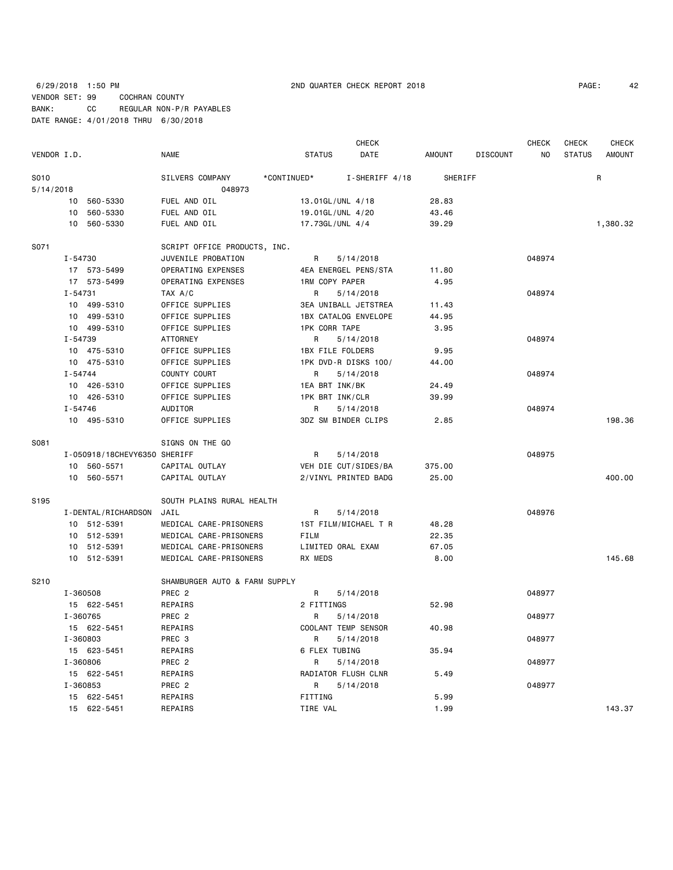## 6/29/2018 1:50 PM 2ND QUARTER CHECK REPORT 2018 PAGE: 42 VENDOR SET: 99 COCHRAN COUNTY BANK: CC REGULAR NON-P/R PAYABLES DATE RANGE: 4/01/2018 THRU 6/30/2018

|             |             |                              |                               |                      | <b>CHECK</b>         |         |                 | <b>CHECK</b> | CHECK         | <b>CHECK</b>  |
|-------------|-------------|------------------------------|-------------------------------|----------------------|----------------------|---------|-----------------|--------------|---------------|---------------|
| VENDOR I.D. |             |                              | <b>NAME</b>                   | <b>STATUS</b>        | DATE                 | AMOUNT  | <b>DISCOUNT</b> | NO           | <b>STATUS</b> | <b>AMOUNT</b> |
| S010        |             |                              | SILVERS COMPANY               | *CONTINUED*          | I-SHERIFF 4/18       | SHERIFF |                 |              |               | $\mathsf{R}$  |
| 5/14/2018   |             |                              | 048973                        |                      |                      |         |                 |              |               |               |
|             |             | 10 560-5330                  | FUEL AND OIL                  |                      | 13.01GL/UNL 4/18     | 28.83   |                 |              |               |               |
|             | 10          | 560-5330                     | FUEL AND OIL                  |                      | 19.01GL/UNL 4/20     | 43.46   |                 |              |               |               |
|             | 10          | 560-5330                     | FUEL AND OIL                  |                      | 17.73GL/UNL 4/4      | 39.29   |                 |              |               | 1,380.32      |
| S071        |             |                              | SCRIPT OFFICE PRODUCTS, INC.  |                      |                      |         |                 |              |               |               |
|             | I-54730     |                              | JUVENILE PROBATION            | R                    | 5/14/2018            |         |                 | 048974       |               |               |
|             |             | 17 573-5499                  | OPERATING EXPENSES            |                      | 4EA ENERGEL PENS/STA | 11.80   |                 |              |               |               |
|             |             | 17 573-5499                  | OPERATING EXPENSES            | 1RM COPY PAPER       |                      | 4.95    |                 |              |               |               |
|             | $I - 54731$ |                              | TAX A/C                       | R                    | 5/14/2018            |         |                 | 048974       |               |               |
|             |             | 10 499-5310                  | OFFICE SUPPLIES               |                      | 3EA UNIBALL JETSTREA | 11.43   |                 |              |               |               |
|             |             | 10 499-5310                  | OFFICE SUPPLIES               |                      | 1BX CATALOG ENVELOPE | 44.95   |                 |              |               |               |
|             |             | 10 499-5310                  | OFFICE SUPPLIES               | <b>1PK CORR TAPE</b> |                      | 3.95    |                 |              |               |               |
|             | I-54739     |                              | <b>ATTORNEY</b>               | R                    | 5/14/2018            |         |                 | 048974       |               |               |
|             |             | 10 475-5310                  | OFFICE SUPPLIES               |                      | 1BX FILE FOLDERS     | 9.95    |                 |              |               |               |
|             |             | 10 475-5310                  | OFFICE SUPPLIES               |                      | 1PK DVD-R DISKS 100/ | 44.00   |                 |              |               |               |
|             | I-54744     |                              | COUNTY COURT                  | R                    | 5/14/2018            |         |                 | 048974       |               |               |
|             |             | 10 426-5310                  | OFFICE SUPPLIES               |                      | 1EA BRT INK/BK       | 24.49   |                 |              |               |               |
|             |             | 10 426-5310                  | OFFICE SUPPLIES               |                      | 1PK BRT INK/CLR      | 39.99   |                 |              |               |               |
|             | I-54746     |                              | AUDITOR                       | R                    | 5/14/2018            |         |                 | 048974       |               |               |
|             |             | 10 495-5310                  | OFFICE SUPPLIES               |                      | 3DZ SM BINDER CLIPS  | 2.85    |                 |              |               | 198.36        |
| S081        |             |                              | SIGNS ON THE GO               |                      |                      |         |                 |              |               |               |
|             |             | I-050918/18CHEVY6350 SHERIFF |                               | R                    | 5/14/2018            |         |                 | 048975       |               |               |
|             |             | 10 560-5571                  | CAPITAL OUTLAY                |                      | VEH DIE CUT/SIDES/BA | 375.00  |                 |              |               |               |
|             |             | 10 560-5571                  | CAPITAL OUTLAY                |                      | 2/VINYL PRINTED BADG | 25.00   |                 |              |               | 400.00        |
| S195        |             |                              | SOUTH PLAINS RURAL HEALTH     |                      |                      |         |                 |              |               |               |
|             |             | I-DENTAL/RICHARDSON          | JAIL                          | R                    | 5/14/2018            |         |                 | 048976       |               |               |
|             |             | 10 512-5391                  | MEDICAL CARE-PRISONERS        |                      | 1ST FILM/MICHAEL T R | 48.28   |                 |              |               |               |
|             |             | 10 512-5391                  | MEDICAL CARE-PRISONERS        | FILM                 |                      | 22.35   |                 |              |               |               |
|             |             | 10 512-5391                  | MEDICAL CARE-PRISONERS        |                      | LIMITED ORAL EXAM    | 67.05   |                 |              |               |               |
|             |             | 10 512-5391                  | MEDICAL CARE-PRISONERS        | RX MEDS              |                      | 8.00    |                 |              |               | 145.68        |
| S210        |             |                              | SHAMBURGER AUTO & FARM SUPPLY |                      |                      |         |                 |              |               |               |
|             | I-360508    |                              | PREC <sub>2</sub>             | R                    | 5/14/2018            |         |                 | 048977       |               |               |
|             |             | 15 622-5451                  | REPAIRS                       | 2 FITTINGS           |                      | 52.98   |                 |              |               |               |
|             | I-360765    |                              | PREC <sub>2</sub>             | R                    | 5/14/2018            |         |                 | 048977       |               |               |
|             |             | 15 622-5451                  | REPAIRS                       |                      | COOLANT TEMP SENSOR  | 40.98   |                 |              |               |               |
|             | I-360803    |                              | PREC 3                        | R                    | 5/14/2018            |         |                 | 048977       |               |               |
|             |             | 15 623-5451                  | REPAIRS                       | 6 FLEX TUBING        |                      | 35.94   |                 |              |               |               |
|             | I-360806    |                              | PREC <sub>2</sub>             | R                    | 5/14/2018            |         |                 | 048977       |               |               |
|             |             | 15 622-5451                  | REPAIRS                       |                      | RADIATOR FLUSH CLNR  | 5.49    |                 |              |               |               |
|             |             | I-360853                     | PREC 2                        | R                    | 5/14/2018            |         |                 | 048977       |               |               |
|             |             | 15 622-5451                  | REPAIRS                       | FITTING              |                      | 5.99    |                 |              |               |               |
|             |             | 15 622-5451                  | REPAIRS                       | TIRE VAL             |                      | 1.99    |                 |              |               | 143.37        |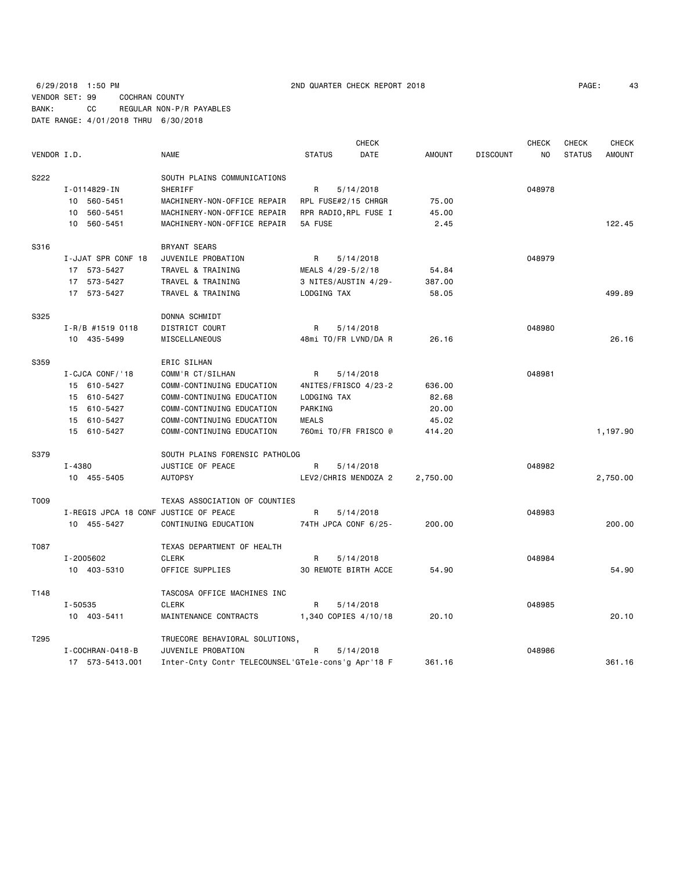## 6/29/2018 1:50 PM 2ND QUARTER CHECK REPORT 2018 VENDOR SET: 99 COCHRAN COUNTY BANK: CC REGULAR NON-P/R PAYABLES DATE RANGE: 4/01/2018 THRU 6/30/2018

| 43 |
|----|
|    |

|             |                                       |                                                    |                       | <b>CHECK</b> |               |                 | <b>CHECK</b> | <b>CHECK</b>  | <b>CHECK</b>  |
|-------------|---------------------------------------|----------------------------------------------------|-----------------------|--------------|---------------|-----------------|--------------|---------------|---------------|
| VENDOR I.D. |                                       | <b>NAME</b>                                        | <b>STATUS</b>         | DATE         | <b>AMOUNT</b> | <b>DISCOUNT</b> | <b>NO</b>    | <b>STATUS</b> | <b>AMOUNT</b> |
| S222        |                                       | SOUTH PLAINS COMMUNICATIONS                        |                       |              |               |                 |              |               |               |
|             | I-0114829-IN                          | <b>SHERIFF</b>                                     | R                     | 5/14/2018    |               |                 | 048978       |               |               |
|             | 10 560-5451                           | MACHINERY-NON-OFFICE REPAIR                        | RPL FUSE#2/15 CHRGR   |              | 75.00         |                 |              |               |               |
|             | 10 560-5451                           | MACHINERY-NON-OFFICE REPAIR                        | RPR RADIO, RPL FUSE I |              | 45.00         |                 |              |               |               |
|             | 10 560-5451                           | MACHINERY-NON-OFFICE REPAIR                        | 5A FUSE               |              | 2.45          |                 |              |               | 122.45        |
| S316        |                                       | BRYANT SEARS                                       |                       |              |               |                 |              |               |               |
|             | I-JJAT SPR CONF 18                    | JUVENILE PROBATION                                 | R                     | 5/14/2018    |               |                 | 048979       |               |               |
|             | 17 573-5427                           | TRAVEL & TRAINING                                  | MEALS 4/29-5/2/18     |              | 54.84         |                 |              |               |               |
|             | 17 573-5427                           | TRAVEL & TRAINING                                  | 3 NITES/AUSTIN 4/29-  |              | 387.00        |                 |              |               |               |
|             | 17 573-5427                           | TRAVEL & TRAINING                                  | LODGING TAX           |              | 58.05         |                 |              |               | 499.89        |
| S325        |                                       | DONNA SCHMIDT                                      |                       |              |               |                 |              |               |               |
|             | I-R/B #1519 0118                      | DISTRICT COURT                                     | R                     | 5/14/2018    |               |                 | 048980       |               |               |
|             | 10 435-5499                           | MISCELLANEOUS                                      | 48mi TO/FR LVND/DA R  |              | 26.16         |                 |              |               | 26.16         |
| S359        |                                       | ERIC SILHAN                                        |                       |              |               |                 |              |               |               |
|             | I-CJCA CONF/'18                       | COMM'R CT/SILHAN                                   | R                     | 5/14/2018    |               |                 | 048981       |               |               |
|             | 15 610-5427                           | COMM-CONTINUING EDUCATION                          | 4NITES/FRISCO 4/23-2  |              | 636.00        |                 |              |               |               |
|             | 15 610-5427                           | COMM-CONTINUING EDUCATION                          | LODGING TAX           |              | 82.68         |                 |              |               |               |
|             | 15 610-5427                           | COMM-CONTINUING EDUCATION                          | PARKING               |              | 20.00         |                 |              |               |               |
|             | 15 610-5427                           | COMM-CONTINUING EDUCATION                          | <b>MEALS</b>          |              | 45.02         |                 |              |               |               |
|             | 15 610-5427                           | COMM-CONTINUING EDUCATION                          | 760mi TO/FR FRISCO @  |              | 414.20        |                 |              |               | 1,197.90      |
| S379        |                                       | SOUTH PLAINS FORENSIC PATHOLOG                     |                       |              |               |                 |              |               |               |
|             | I-4380                                | JUSTICE OF PEACE                                   | R                     | 5/14/2018    |               |                 | 048982       |               |               |
|             | 10 455-5405                           | <b>AUTOPSY</b>                                     | LEV2/CHRIS MENDOZA 2  |              | 2,750.00      |                 |              |               | 2,750.00      |
| T009        |                                       | TEXAS ASSOCIATION OF COUNTIES                      |                       |              |               |                 |              |               |               |
|             | I-REGIS JPCA 18 CONF JUSTICE OF PEACE |                                                    | R                     | 5/14/2018    |               |                 | 048983       |               |               |
|             | 10 455-5427                           | CONTINUING EDUCATION                               | 74TH JPCA CONF 6/25-  |              | 200.00        |                 |              |               | 200.00        |
| T087        |                                       | TEXAS DEPARTMENT OF HEALTH                         |                       |              |               |                 |              |               |               |
|             | I-2005602                             | <b>CLERK</b>                                       | R                     | 5/14/2018    |               |                 | 048984       |               |               |
|             | 10 403-5310                           | OFFICE SUPPLIES                                    | 30 REMOTE BIRTH ACCE  |              | 54.90         |                 |              |               | 54.90         |
| T148        |                                       | TASCOSA OFFICE MACHINES INC                        |                       |              |               |                 |              |               |               |
|             | I-50535                               | <b>CLERK</b>                                       | R                     | 5/14/2018    |               |                 | 048985       |               |               |
|             | 10 403-5411                           | MAINTENANCE CONTRACTS                              | 1,340 COPIES 4/10/18  |              | 20.10         |                 |              |               | 20.10         |
| T295        |                                       | TRUECORE BEHAVIORAL SOLUTIONS,                     |                       |              |               |                 |              |               |               |
|             | I-COCHRAN-0418-B                      | JUVENILE PROBATION                                 | R                     | 5/14/2018    |               |                 | 048986       |               |               |
|             | 17 573-5413.001                       | Inter-Cnty Contr TELECOUNSEL'GTele-cons'g Apr'18 F |                       |              | 361.16        |                 |              |               | 361.16        |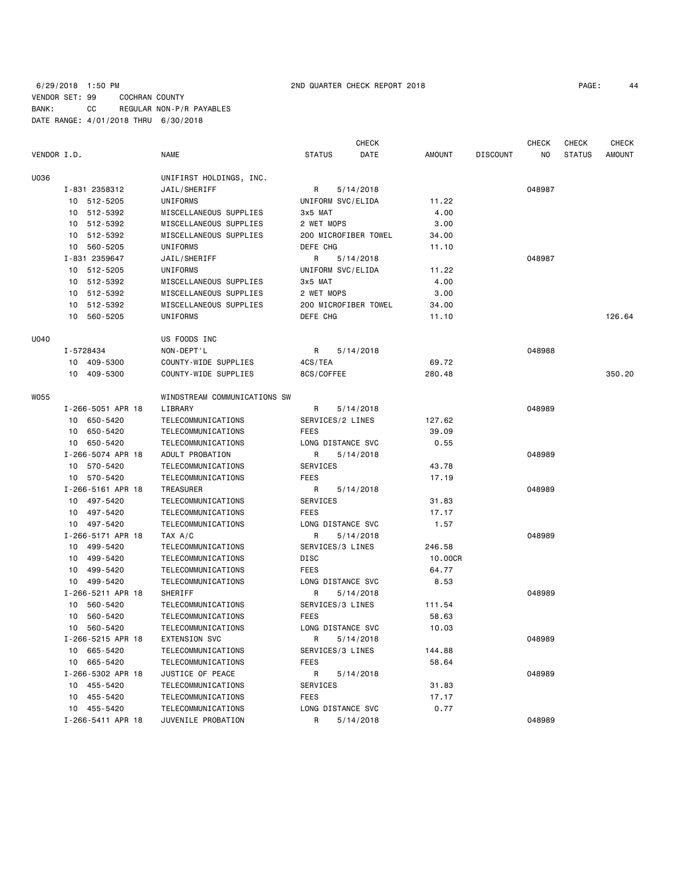|             |                   |                              |                      | <b>CHECK</b> |               |                 | <b>CHECK</b> | <b>CHECK</b>  | <b>CHECK</b>  |
|-------------|-------------------|------------------------------|----------------------|--------------|---------------|-----------------|--------------|---------------|---------------|
| VENDOR I.D. |                   | <b>NAME</b>                  | <b>STATUS</b>        | DATE         | <b>AMOUNT</b> | <b>DISCOUNT</b> | ΝO           | <b>STATUS</b> | <b>AMOUNT</b> |
| U036        |                   | UNIFIRST HOLDINGS, INC.      |                      |              |               |                 |              |               |               |
|             | I-831 2358312     | JAIL/SHERIFF                 | R                    | 5/14/2018    |               |                 | 048987       |               |               |
|             | 10 512-5205       | UNIFORMS                     | UNIFORM SVC/ELIDA    |              | 11.22         |                 |              |               |               |
|             | 10 512-5392       | MISCELLANEOUS SUPPLIES       | 3x5 MAT              |              | 4.00          |                 |              |               |               |
|             | 10 512-5392       | MISCELLANEOUS SUPPLIES       | 2 WET MOPS           |              | 3.00          |                 |              |               |               |
|             | 10 512-5392       | MISCELLANEOUS SUPPLIES       | 200 MICROFIBER TOWEL |              | 34.00         |                 |              |               |               |
|             | 10 560-5205       | UNIFORMS                     | DEFE CHG             |              | 11.10         |                 |              |               |               |
|             | I-831 2359647     | JAIL/SHERIFF                 | R                    | 5/14/2018    |               |                 | 048987       |               |               |
|             | 10 512-5205       | UNIFORMS                     | UNIFORM SVC/ELIDA    |              | 11.22         |                 |              |               |               |
|             | 10 512-5392       | MISCELLANEOUS SUPPLIES       | 3x5 MAT              |              | 4.00          |                 |              |               |               |
|             | 10 512-5392       | MISCELLANEOUS SUPPLIES       | 2 WET MOPS           |              | 3.00          |                 |              |               |               |
|             | 10 512-5392       | MISCELLANEOUS SUPPLIES       | 200 MICROFIBER TOWEL |              | 34.00         |                 |              |               |               |
|             | 10 560-5205       | UNIFORMS                     | DEFE CHG             |              | 11.10         |                 |              |               | 126.64        |
|             |                   |                              |                      |              |               |                 |              |               |               |
| U040        |                   | US FOODS INC                 |                      |              |               |                 |              |               |               |
|             | I-5728434         | NON-DEPT'L                   | R                    | 5/14/2018    |               |                 | 048988       |               |               |
|             | 10 409-5300       | COUNTY-WIDE SUPPLIES         | 4CS/TEA              |              | 69.72         |                 |              |               |               |
|             | 10 409-5300       | COUNTY-WIDE SUPPLIES         | 8CS/COFFEE           |              | 280.48        |                 |              |               | 350.20        |
| WO55        |                   | WINDSTREAM COMMUNICATIONS SW |                      |              |               |                 |              |               |               |
|             | I-266-5051 APR 18 | LIBRARY                      | R                    | 5/14/2018    |               |                 | 048989       |               |               |
|             | 10 650-5420       | TELECOMMUNICATIONS           | SERVICES/2 LINES     |              | 127.62        |                 |              |               |               |
|             | 10 650-5420       | TELECOMMUNICATIONS           | FEES                 |              | 39.09         |                 |              |               |               |
|             | 10 650-5420       | TELECOMMUNICATIONS           | LONG DISTANCE SVC    |              | 0.55          |                 |              |               |               |
|             | I-266-5074 APR 18 | ADULT PROBATION              | R                    | 5/14/2018    |               |                 | 048989       |               |               |
|             | 10 570-5420       | TELECOMMUNICATIONS           | SERVICES             |              | 43.78         |                 |              |               |               |
|             | 10 570-5420       | TELECOMMUNICATIONS           | <b>FEES</b>          |              | 17.19         |                 |              |               |               |
|             | I-266-5161 APR 18 | TREASURER                    | R                    | 5/14/2018    |               |                 | 048989       |               |               |
|             | 10 497-5420       | TELECOMMUNICATIONS           | SERVICES             |              | 31.83         |                 |              |               |               |
|             | 10 497-5420       | TELECOMMUNICATIONS           | FEES                 |              | 17.17         |                 |              |               |               |
|             | 10 497-5420       | TELECOMMUNICATIONS           | LONG DISTANCE SVC    |              | 1.57          |                 |              |               |               |
|             | I-266-5171 APR 18 | TAX A/C                      | R                    | 5/14/2018    |               |                 | 048989       |               |               |
|             | 10 499-5420       | TELECOMMUNICATIONS           | SERVICES/3 LINES     |              | 246.58        |                 |              |               |               |
|             | 10 499-5420       | TELECOMMUNICATIONS           | DISC                 |              | 10.00CR       |                 |              |               |               |
|             | 499-5420<br>10    | TELECOMMUNICATIONS           | FEES                 |              | 64.77         |                 |              |               |               |
|             | 10 499-5420       | TELECOMMUNICATIONS           | LONG DISTANCE SVC    |              | 8.53          |                 |              |               |               |
|             | I-266-5211 APR 18 | SHERIFF                      | R                    | 5/14/2018    |               |                 | 048989       |               |               |
|             | 10 560-5420       | TELECOMMUNICATIONS           | SERVICES/3 LINES     |              | 111.54        |                 |              |               |               |
|             | 560-5420<br>10    | TELECOMMUNICATIONS           | FEES                 |              | 58.63         |                 |              |               |               |
|             | 10 560-5420       | TELECOMMUNICATIONS           | LONG DISTANCE SVC    |              | 10.03         |                 |              |               |               |
|             | I-266-5215 APR 18 | EXTENSION SVC                | R                    | 5/14/2018    |               |                 | 048989       |               |               |
|             | 10 665-5420       | TELECOMMUNICATIONS           | SERVICES/3 LINES     |              | 144.88        |                 |              |               |               |
|             | 10 665-5420       | TELECOMMUNICATIONS           | FEES                 |              | 58.64         |                 |              |               |               |
|             | I-266-5302 APR 18 | JUSTICE OF PEACE             | R                    | 5/14/2018    |               |                 | 048989       |               |               |
|             | 10 455-5420       | TELECOMMUNICATIONS           | SERVICES             |              | 31.83         |                 |              |               |               |
|             | 10 455-5420       | TELECOMMUNICATIONS           | <b>FEES</b>          |              | 17.17         |                 |              |               |               |
|             | 10 455-5420       | TELECOMMUNICATIONS           | LONG DISTANCE SVC    |              | 0.77          |                 |              |               |               |
|             | I-266-5411 APR 18 | JUVENILE PROBATION           | R                    | 5/14/2018    |               |                 | 048989       |               |               |
|             |                   |                              |                      |              |               |                 |              |               |               |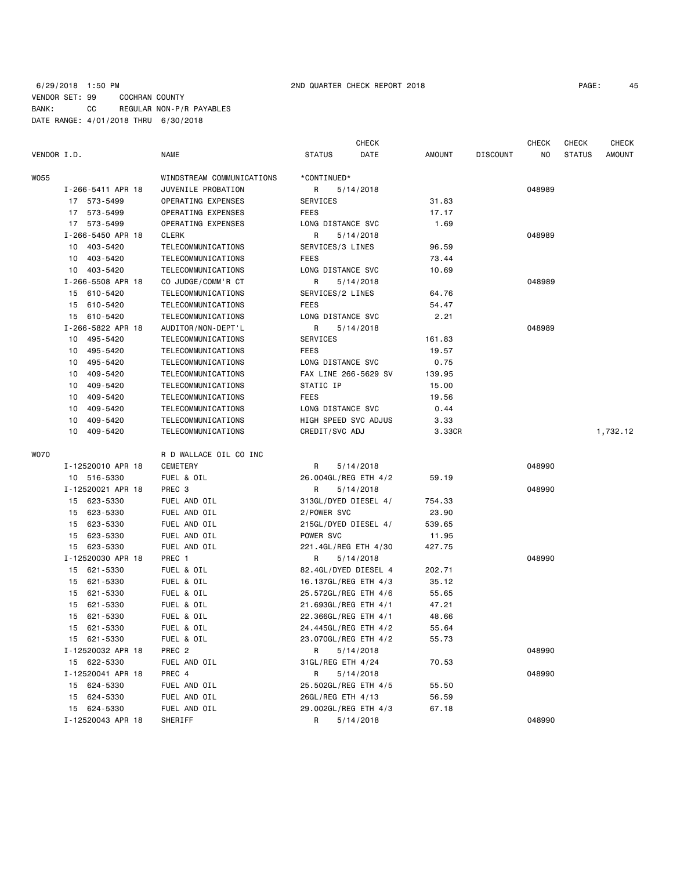## 6/29/2018 1:50 PM 2ND QUARTER CHECK REPORT 2018 PAGE: 45 VENDOR SET: 99 COCHRAN COUNTY BANK: CC REGULAR NON-P/R PAYABLES DATE RANGE: 4/01/2018 THRU 6/30/2018

| VENDOR I.D.       | <b>NAME</b>               | <b>CHECK</b><br><b>STATUS</b><br>DATE | AMOUNT | <b>DISCOUNT</b> | <b>CHECK</b><br>NO | <b>CHECK</b><br><b>STATUS</b> | <b>CHECK</b><br><b>AMOUNT</b> |
|-------------------|---------------------------|---------------------------------------|--------|-----------------|--------------------|-------------------------------|-------------------------------|
| W055              | WINDSTREAM COMMUNICATIONS | *CONTINUED*                           |        |                 |                    |                               |                               |
| I-266-5411 APR 18 | JUVENILE PROBATION        | 5/14/2018<br>R                        |        |                 | 048989             |                               |                               |
| 17 573-5499       | OPERATING EXPENSES        | SERVICES                              | 31.83  |                 |                    |                               |                               |
| 17 573-5499       | OPERATING EXPENSES        | FEES                                  | 17.17  |                 |                    |                               |                               |
| 17 573-5499       | OPERATING EXPENSES        | LONG DISTANCE SVC                     | 1.69   |                 |                    |                               |                               |
| I-266-5450 APR 18 | <b>CLERK</b>              | R<br>5/14/2018                        |        |                 | 048989             |                               |                               |
| 403-5420<br>10    | TELECOMMUNICATIONS        | SERVICES/3 LINES                      | 96.59  |                 |                    |                               |                               |
| 10 403-5420       | TELECOMMUNICATIONS        | FEES                                  | 73.44  |                 |                    |                               |                               |
| 10 403-5420       | TELECOMMUNICATIONS        | LONG DISTANCE SVC                     | 10.69  |                 |                    |                               |                               |
| I-266-5508 APR 18 | CO JUDGE/COMM'R CT        | 5/14/2018<br>R                        |        |                 | 048989             |                               |                               |
| 15 610-5420       | TELECOMMUNICATIONS        | SERVICES/2 LINES                      | 64.76  |                 |                    |                               |                               |
| 15 610-5420       | TELECOMMUNICATIONS        | FEES                                  | 54.47  |                 |                    |                               |                               |
| 15 610-5420       | TELECOMMUNICATIONS        | LONG DISTANCE SVC                     | 2.21   |                 |                    |                               |                               |
| I-266-5822 APR 18 | AUDITOR/NON-DEPT'L        | 5/14/2018<br>R                        |        |                 | 048989             |                               |                               |
| 10 495-5420       | TELECOMMUNICATIONS        | SERVICES                              | 161.83 |                 |                    |                               |                               |
| 10 495-5420       | TELECOMMUNICATIONS        | FEES                                  | 19.57  |                 |                    |                               |                               |
| 495-5420<br>10    | TELECOMMUNICATIONS        | LONG DISTANCE SVC                     | 0.75   |                 |                    |                               |                               |
| 409-5420<br>10    | TELECOMMUNICATIONS        | FAX LINE 266-5629 SV                  | 139.95 |                 |                    |                               |                               |
| 409-5420<br>10    | TELECOMMUNICATIONS        | STATIC IP                             | 15.00  |                 |                    |                               |                               |
| 409-5420<br>10    | TELECOMMUNICATIONS        | FEES                                  | 19.56  |                 |                    |                               |                               |
| 409-5420<br>10    | TELECOMMUNICATIONS        | LONG DISTANCE SVC                     | 0.44   |                 |                    |                               |                               |
| 409-5420<br>10    | TELECOMMUNICATIONS        | HIGH SPEED SVC ADJUS                  | 3.33   |                 |                    |                               |                               |
| 10 409-5420       | TELECOMMUNICATIONS        | CREDIT/SVC ADJ                        | 3.33CR |                 |                    |                               | 1,732.12                      |
| WO70              | R D WALLACE OIL CO INC    |                                       |        |                 |                    |                               |                               |
| I-12520010 APR 18 | <b>CEMETERY</b>           | 5/14/2018<br>R                        |        |                 | 048990             |                               |                               |
| 10 516-5330       | FUEL & OIL                | 26.004GL/REG ETH 4/2                  | 59.19  |                 |                    |                               |                               |
| I-12520021 APR 18 | PREC 3                    | 5/14/2018<br>R.                       |        |                 | 048990             |                               |                               |
| 15 623-5330       | FUEL AND OIL              | 313GL/DYED DIESEL 4/                  | 754.33 |                 |                    |                               |                               |
| 15 623-5330       | FUEL AND OIL              | 2/POWER SVC                           | 23.90  |                 |                    |                               |                               |
| 15 623-5330       | FUEL AND OIL              | 215GL/DYED DIESEL 4/                  | 539.65 |                 |                    |                               |                               |
| 15 623-5330       | FUEL AND OIL              | POWER SVC                             | 11.95  |                 |                    |                               |                               |
| 15 623-5330       | FUEL AND OIL              | 221.4GL/REG ETH 4/30                  | 427.75 |                 |                    |                               |                               |
| I-12520030 APR 18 | PREC 1                    | 5/14/2018<br>R                        |        |                 | 048990             |                               |                               |
| 15 621-5330       | FUEL & OIL                | 82.4GL/DYED DIESEL 4                  | 202.71 |                 |                    |                               |                               |
| 15 621-5330       | FUEL & OIL                | 16.137GL/REG ETH 4/3                  | 35.12  |                 |                    |                               |                               |
| 621-5330<br>15    | FUEL & OIL                | 25.572GL/REG ETH 4/6                  | 55.65  |                 |                    |                               |                               |
| 621-5330<br>15    | FUEL & OIL                | 21.693GL/REG ETH 4/1                  | 47.21  |                 |                    |                               |                               |
| 15 621-5330       | FUEL & OIL                | 22.366GL/REG ETH 4/1                  | 48.66  |                 |                    |                               |                               |
| 15 621-5330       | FUEL & OIL                | 24.445GL/REG ETH 4/2                  | 55.64  |                 |                    |                               |                               |
| 15 621-5330       | FUEL & OIL                | 23.070GL/REG ETH 4/2                  | 55.73  |                 |                    |                               |                               |
| I-12520032 APR 18 | PREC 2                    | R<br>5/14/2018                        |        |                 | 048990             |                               |                               |
| 15 622-5330       | FUEL AND OIL              | 31GL/REG ETH 4/24                     | 70.53  |                 |                    |                               |                               |
| I-12520041 APR 18 | PREC 4                    | R<br>5/14/2018                        |        |                 | 048990             |                               |                               |
| 15 624-5330       | FUEL AND OIL              | 25.502GL/REG ETH 4/5                  | 55.50  |                 |                    |                               |                               |
| 15 624-5330       | FUEL AND OIL              | 26GL/REG ETH 4/13                     | 56.59  |                 |                    |                               |                               |
| 15 624-5330       | FUEL AND OIL              | 29.002GL/REG ETH 4/3                  | 67.18  |                 |                    |                               |                               |
| I-12520043 APR 18 | SHERIFF                   | R 5/14/2018                           |        |                 | 048990             |                               |                               |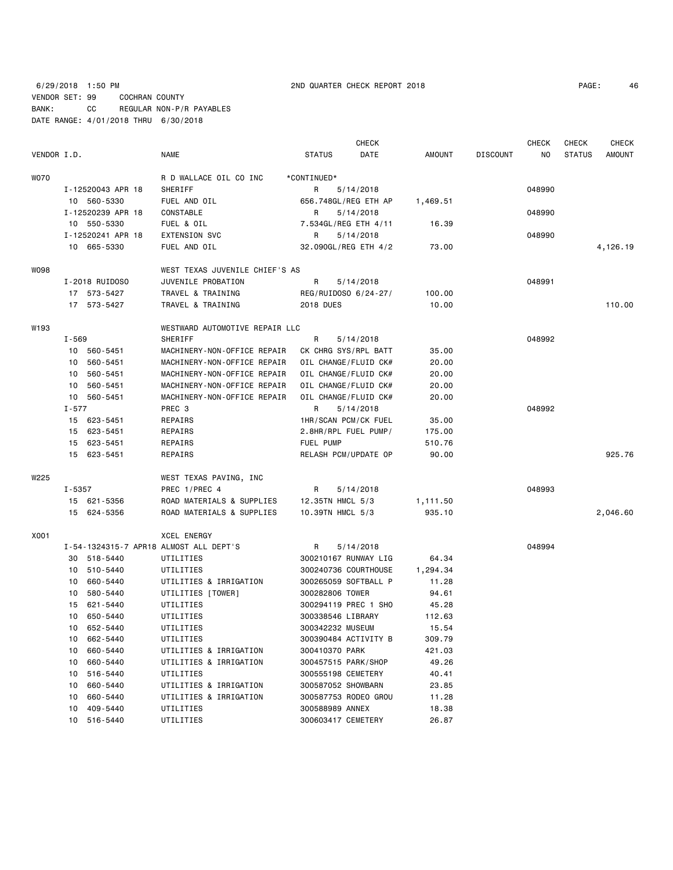## 6/29/2018 1:50 PM 2ND QUARTER CHECK REPORT 2018 PAGE: 46 VENDOR SET: 99 COCHRAN COUNTY BANK: CC REGULAR NON-P/R PAYABLES DATE RANGE: 4/01/2018 THRU 6/30/2018

|             |        |                   |                                        |                      | <b>CHECK</b> |          |                 | <b>CHECK</b> | <b>CHECK</b>  | <b>CHECK</b>  |
|-------------|--------|-------------------|----------------------------------------|----------------------|--------------|----------|-----------------|--------------|---------------|---------------|
| VENDOR I.D. |        |                   | NAME                                   | <b>STATUS</b>        | DATE         | AMOUNT   | <b>DISCOUNT</b> | NO.          | <b>STATUS</b> | <b>AMOUNT</b> |
| <b>WO70</b> |        |                   | R D WALLACE OIL CO INC                 | *CONTINUED*          |              |          |                 |              |               |               |
|             |        | I-12520043 APR 18 | SHERIFF                                | R                    | 5/14/2018    |          |                 | 048990       |               |               |
|             |        | 10 560-5330       | FUEL AND OIL                           | 656.748GL/REG ETH AP |              | 1,469.51 |                 |              |               |               |
|             |        | I-12520239 APR 18 | CONSTABLE                              | R                    | 5/14/2018    |          |                 | 048990       |               |               |
|             |        | 10 550-5330       | FUEL & OIL                             | 7.534GL/REG ETH 4/11 |              | 16.39    |                 |              |               |               |
|             |        | I-12520241 APR 18 | <b>EXTENSION SVC</b>                   | R                    | 5/14/2018    |          |                 | 048990       |               |               |
|             |        | 10 665-5330       | FUEL AND OIL                           | 32.090GL/REG ETH 4/2 |              | 73.00    |                 |              |               | 4,126.19      |
| <b>WO98</b> |        |                   | WEST TEXAS JUVENILE CHIEF'S AS         |                      |              |          |                 |              |               |               |
|             |        | I-2018 RUIDOSO    | JUVENILE PROBATION                     | R                    | 5/14/2018    |          |                 | 048991       |               |               |
|             |        | 17 573-5427       | TRAVEL & TRAINING                      | REG/RUIDOSO 6/24-27/ |              | 100.00   |                 |              |               |               |
|             |        | 17 573-5427       | TRAVEL & TRAINING                      | <b>2018 DUES</b>     |              | 10.00    |                 |              |               | 110.00        |
| W193        |        |                   | WESTWARD AUTOMOTIVE REPAIR LLC         |                      |              |          |                 |              |               |               |
|             | I-569  |                   | SHERIFF                                | R                    | 5/14/2018    |          |                 | 048992       |               |               |
|             |        | 10 560-5451       | MACHINERY-NON-OFFICE REPAIR            | CK CHRG SYS/RPL BATT |              | 35.00    |                 |              |               |               |
|             |        | 10 560-5451       | MACHINERY-NON-OFFICE REPAIR            | OIL CHANGE/FLUID CK# |              | 20.00    |                 |              |               |               |
|             | 10     | 560-5451          | MACHINERY-NON-OFFICE REPAIR            | OIL CHANGE/FLUID CK# |              | 20.00    |                 |              |               |               |
|             | 10     | 560-5451          | MACHINERY-NON-OFFICE REPAIR            | OIL CHANGE/FLUID CK# |              | 20.00    |                 |              |               |               |
|             |        | 10 560-5451       | MACHINERY-NON-OFFICE REPAIR            | OIL CHANGE/FLUID CK# |              | 20.00    |                 |              |               |               |
| $I - 577$   |        |                   | PREC <sub>3</sub>                      | R                    | 5/14/2018    |          |                 | 048992       |               |               |
|             |        | 15 623-5451       | REPAIRS                                | 1HR/SCAN PCM/CK FUEL |              | 35.00    |                 |              |               |               |
|             |        | 15 623-5451       | REPAIRS                                | 2.8HR/RPL FUEL PUMP/ |              | 175.00   |                 |              |               |               |
|             | 15     | 623-5451          | REPAIRS                                | FUEL PUMP            |              | 510.76   |                 |              |               |               |
|             |        | 15 623-5451       | REPAIRS                                | RELASH PCM/UPDATE OP |              | 90.00    |                 |              |               | 925.76        |
| W225        |        |                   | WEST TEXAS PAVING, INC                 |                      |              |          |                 |              |               |               |
|             | I-5357 |                   | PREC 1/PREC 4                          | R                    | 5/14/2018    |          |                 | 048993       |               |               |
|             |        | 15 621-5356       | ROAD MATERIALS & SUPPLIES              | 12.35TN HMCL 5/3     |              | 1,111.50 |                 |              |               |               |
|             |        | 15 624-5356       | ROAD MATERIALS & SUPPLIES              | 10.39TN HMCL 5/3     |              | 935.10   |                 |              |               | 2,046.60      |
| X001        |        |                   | XCEL ENERGY                            |                      |              |          |                 |              |               |               |
|             |        |                   | I-54-1324315-7 APR18 ALMOST ALL DEPT'S | R                    | 5/14/2018    |          |                 | 048994       |               |               |
|             |        | 30 518-5440       | UTILITIES                              | 300210167 RUNWAY LIG |              | 64.34    |                 |              |               |               |
|             |        | 10 510-5440       | UTILITIES                              | 300240736 COURTHOUSE |              | 1,294.34 |                 |              |               |               |
|             | 10     | 660-5440          | UTILITIES & IRRIGATION                 | 300265059 SOFTBALL P |              | 11.28    |                 |              |               |               |
|             | 10     | 580-5440          | UTILITIES [TOWER]                      | 300282806 TOWER      |              | 94.61    |                 |              |               |               |
|             | 15     | 621-5440          | UTILITIES                              | 300294119 PREC 1 SHO |              | 45.28    |                 |              |               |               |
|             | 10     | 650-5440          | UTILITIES                              | 300338546 LIBRARY    |              | 112.63   |                 |              |               |               |
|             |        | 10 652-5440       | UTILITIES                              | 300342232 MUSEUM     |              | 15.54    |                 |              |               |               |
|             |        | 10 662-5440       | UTILITIES                              | 300390484 ACTIVITY B |              | 309.79   |                 |              |               |               |
|             | 10     | 660-5440          | UTILITIES & IRRIGATION                 | 300410370 PARK       |              | 421.03   |                 |              |               |               |
|             | 10     | 660-5440          | UTILITIES & IRRIGATION                 | 300457515 PARK/SHOP  |              | 49.26    |                 |              |               |               |
|             | 10     | 516-5440          | UTILITIES                              | 300555198 CEMETERY   |              | 40.41    |                 |              |               |               |
|             | 10     | 660-5440          | UTILITIES & IRRIGATION                 | 300587052 SHOWBARN   |              | 23.85    |                 |              |               |               |
|             | 10     | 660-5440          | UTILITIES & IRRIGATION                 | 300587753 RODEO GROU |              | 11.28    |                 |              |               |               |
|             | 10     | 409-5440          | UTILITIES                              | 300588989 ANNEX      |              | 18.38    |                 |              |               |               |
|             | 10     | 516-5440          | UTILITIES                              | 300603417 CEMETERY   |              | 26.87    |                 |              |               |               |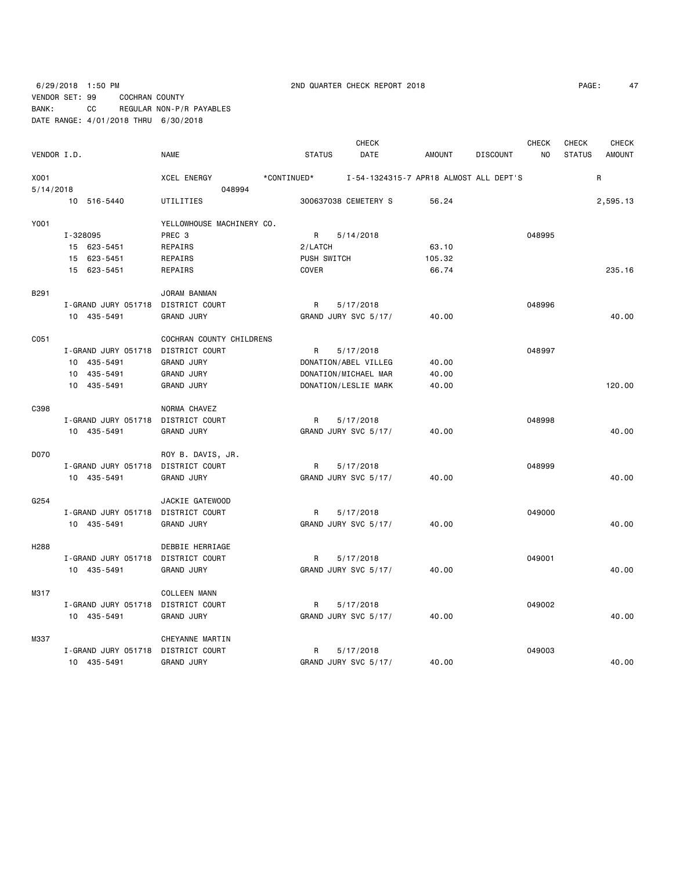# 6/29/2018 1:50 PM 2ND QUARTER CHECK REPORT 2018 PAGE: 47 VENDOR SET: 99 COCHRAN COUNTY BANK: CC REGULAR NON-P/R PAYABLES DATE RANGE: 4/01/2018 THRU 6/30/2018

| PAGE: | 47 |
|-------|----|
|-------|----|

| VENDOR I.D.      |                                    | <b>NAME</b>               | <b>STATUS</b> | <b>CHECK</b><br>DATE | <b>AMOUNT</b>                          | <b>DISCOUNT</b> | <b>CHECK</b><br>NO | <b>CHECK</b><br><b>STATUS</b> | <b>CHECK</b><br><b>AMOUNT</b> |
|------------------|------------------------------------|---------------------------|---------------|----------------------|----------------------------------------|-----------------|--------------------|-------------------------------|-------------------------------|
| X001             |                                    | <b>XCEL ENERGY</b>        | *CONTINUED*   |                      | I-54-1324315-7 APR18 ALMOST ALL DEPT'S |                 |                    |                               | R                             |
| 5/14/2018        |                                    | 048994                    |               |                      |                                        |                 |                    |                               |                               |
|                  | 10 516-5440                        | UTILITIES                 |               | 300637038 CEMETERY S | 56.24                                  |                 |                    |                               | 2,595.13                      |
| Y001             |                                    | YELLOWHOUSE MACHINERY CO. |               |                      |                                        |                 |                    |                               |                               |
|                  | I-328095                           | PREC 3                    | R             | 5/14/2018            |                                        |                 | 048995             |                               |                               |
|                  | 15 623-5451                        | REPAIRS                   | 2/LATCH       |                      | 63.10                                  |                 |                    |                               |                               |
|                  | 15 623-5451                        | <b>REPAIRS</b>            | PUSH SWITCH   |                      | 105.32                                 |                 |                    |                               |                               |
|                  | 15 623-5451                        | <b>REPAIRS</b>            | COVER         |                      | 66.74                                  |                 |                    |                               | 235.16                        |
| B291             |                                    | JORAM BANMAN              |               |                      |                                        |                 |                    |                               |                               |
|                  | I-GRAND JURY 051718                | DISTRICT COURT            | R             | 5/17/2018            |                                        |                 | 048996             |                               |                               |
|                  | 10 435-5491                        | <b>GRAND JURY</b>         |               | GRAND JURY SVC 5/17/ | 40.00                                  |                 |                    |                               | 40.00                         |
| C051             |                                    | COCHRAN COUNTY CHILDRENS  |               |                      |                                        |                 |                    |                               |                               |
|                  | I-GRAND JURY 051718                | DISTRICT COURT            | R             | 5/17/2018            |                                        |                 | 048997             |                               |                               |
|                  | 10 435-5491                        | <b>GRAND JURY</b>         |               | DONATION/ABEL VILLEG | 40.00                                  |                 |                    |                               |                               |
|                  | 10 435-5491                        | <b>GRAND JURY</b>         |               | DONATION/MICHAEL MAR | 40.00                                  |                 |                    |                               |                               |
|                  | 10 435-5491                        | <b>GRAND JURY</b>         |               | DONATION/LESLIE MARK | 40.00                                  |                 |                    |                               | 120,00                        |
| C398             |                                    | NORMA CHAVEZ              |               |                      |                                        |                 |                    |                               |                               |
|                  | I-GRAND JURY 051718                | DISTRICT COURT            | R             | 5/17/2018            |                                        |                 | 048998             |                               |                               |
|                  | 10 435-5491                        | <b>GRAND JURY</b>         |               | GRAND JURY SVC 5/17/ | 40.00                                  |                 |                    |                               | 40.00                         |
| D070             |                                    | ROY B. DAVIS, JR.         |               |                      |                                        |                 |                    |                               |                               |
|                  | I-GRAND JURY 051718 DISTRICT COURT |                           | R             | 5/17/2018            |                                        |                 | 048999             |                               |                               |
|                  | 10 435-5491                        | <b>GRAND JURY</b>         |               | GRAND JURY SVC 5/17/ | 40.00                                  |                 |                    |                               | 40.00                         |
| G254             |                                    | JACKIE GATEWOOD           |               |                      |                                        |                 |                    |                               |                               |
|                  | I-GRAND JURY 051718 DISTRICT COURT |                           | R             | 5/17/2018            |                                        |                 | 049000             |                               |                               |
|                  | 10 435-5491                        | <b>GRAND JURY</b>         |               | GRAND JURY SVC 5/17/ | 40.00                                  |                 |                    |                               | 40.00                         |
| H <sub>288</sub> |                                    | DEBBIE HERRIAGE           |               |                      |                                        |                 |                    |                               |                               |
|                  | I-GRAND JURY 051718 DISTRICT COURT |                           | R             | 5/17/2018            |                                        |                 | 049001             |                               |                               |
|                  | 10 435-5491                        | <b>GRAND JURY</b>         |               | GRAND JURY SVC 5/17/ | 40.00                                  |                 |                    |                               | 40.00                         |
| M317             |                                    | <b>COLLEEN MANN</b>       |               |                      |                                        |                 |                    |                               |                               |
|                  | I-GRAND JURY 051718                | DISTRICT COURT            | R             | 5/17/2018            |                                        |                 | 049002             |                               |                               |
|                  | 10 435-5491                        | <b>GRAND JURY</b>         |               | GRAND JURY SVC 5/17/ | 40.00                                  |                 |                    |                               | 40.00                         |
| M337             |                                    | CHEYANNE MARTIN           |               |                      |                                        |                 |                    |                               |                               |
|                  | I-GRAND JURY 051718                | DISTRICT COURT            | R             | 5/17/2018            |                                        |                 | 049003             |                               |                               |
|                  | 10 435-5491                        | <b>GRAND JURY</b>         |               | GRAND JURY SVC 5/17/ | 40.00                                  |                 |                    |                               | 40.00                         |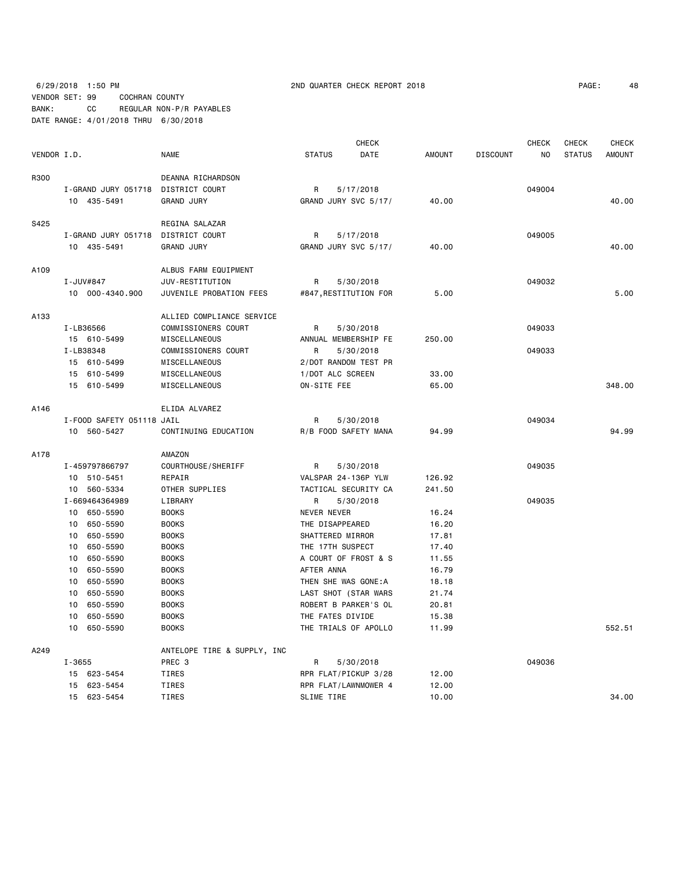6/29/2018 1:50 PM 2ND QUARTER CHECK REPORT 2018 PAGE: 48 VENDOR SET: 99 COCHRAN COUNTY BANK: CC REGULAR NON-P/R PAYABLES DATE RANGE: 4/01/2018 THRU 6/30/2018

| 4٤<br>PAGE : |
|--------------|
|--------------|

|             |                           |  | <b>CHECK</b>                |                  |  | <b>CHECK</b>          | <b>CHECK</b> | <b>CHECK</b>    |        |               |               |
|-------------|---------------------------|--|-----------------------------|------------------|--|-----------------------|--------------|-----------------|--------|---------------|---------------|
| VENDOR I.D. |                           |  | <b>NAME</b>                 | <b>STATUS</b>    |  | DATE                  | AMOUNT       | <b>DISCOUNT</b> | NO     | <b>STATUS</b> | <b>AMOUNT</b> |
| R300        |                           |  | DEANNA RICHARDSON           |                  |  |                       |              |                 |        |               |               |
|             | I-GRAND JURY 051718       |  | DISTRICT COURT              | R                |  | 5/17/2018             |              |                 | 049004 |               |               |
|             | 10 435-5491               |  | <b>GRAND JURY</b>           |                  |  | GRAND JURY SVC 5/17/  | 40.00        |                 |        |               | 40.00         |
| S425        |                           |  | REGINA SALAZAR              |                  |  |                       |              |                 |        |               |               |
|             | I-GRAND JURY 051718       |  | DISTRICT COURT              | R                |  | 5/17/2018             |              |                 | 049005 |               |               |
|             | 10 435-5491               |  | <b>GRAND JURY</b>           |                  |  | GRAND JURY SVC 5/17/  | 40.00        |                 |        |               | 40.00         |
| A109        |                           |  | ALBUS FARM EQUIPMENT        |                  |  |                       |              |                 |        |               |               |
|             | I-JUV#847                 |  | JUV-RESTITUTION             | R                |  | 5/30/2018             |              |                 | 049032 |               |               |
|             | 10 000-4340.900           |  | JUVENILE PROBATION FEES     |                  |  | #847, RESTITUTION FOR | 5.00         |                 |        |               | 5.00          |
| A133        |                           |  | ALLIED COMPLIANCE SERVICE   |                  |  |                       |              |                 |        |               |               |
|             | I-LB36566                 |  | COMMISSIONERS COURT         | R                |  | 5/30/2018             |              |                 | 049033 |               |               |
|             | 15 610-5499               |  | MISCELLANEOUS               |                  |  | ANNUAL MEMBERSHIP FE  | 250.00       |                 |        |               |               |
|             | I-LB38348                 |  | COMMISSIONERS COURT         | R                |  | 5/30/2018             |              |                 | 049033 |               |               |
|             | 15 610-5499               |  | MISCELLANEOUS               |                  |  | 2/DOT RANDOM TEST PR  |              |                 |        |               |               |
|             | 15 610-5499               |  | MISCELLANEOUS               | 1/DOT ALC SCREEN |  |                       | 33.00        |                 |        |               |               |
|             | 15 610-5499               |  | MISCELLANEOUS               | ON-SITE FEE      |  |                       | 65.00        |                 |        |               | 348.00        |
| A146        |                           |  | ELIDA ALVAREZ               |                  |  |                       |              |                 |        |               |               |
|             | I-FOOD SAFETY 051118 JAIL |  |                             | R                |  | 5/30/2018             |              |                 | 049034 |               |               |
|             | 10 560-5427               |  | CONTINUING EDUCATION        |                  |  | R/B FOOD SAFETY MANA  | 94.99        |                 |        |               | 94.99         |
| A178        |                           |  | AMAZON                      |                  |  |                       |              |                 |        |               |               |
|             | I-459797866797            |  | COURTHOUSE/SHERIFF          | R                |  | 5/30/2018             |              |                 | 049035 |               |               |
|             | 10 510-5451               |  | REPAIR                      |                  |  | VALSPAR 24-136P YLW   | 126.92       |                 |        |               |               |
|             | 10 560-5334               |  | OTHER SUPPLIES              |                  |  | TACTICAL SECURITY CA  | 241.50       |                 |        |               |               |
|             | I-669464364989            |  | LIBRARY                     | R                |  | 5/30/2018             |              |                 | 049035 |               |               |
|             | 650-5590<br>10            |  | <b>BOOKS</b>                | NEVER NEVER      |  |                       | 16.24        |                 |        |               |               |
|             | 650-5590<br>10            |  | <b>BOOKS</b>                | THE DISAPPEARED  |  |                       | 16.20        |                 |        |               |               |
|             | 10<br>650-5590            |  | <b>BOOKS</b>                | SHATTERED MIRROR |  |                       | 17.81        |                 |        |               |               |
|             | 10<br>650-5590            |  | <b>BOOKS</b>                | THE 17TH SUSPECT |  |                       | 17.40        |                 |        |               |               |
|             | 650-5590<br>10            |  | <b>BOOKS</b>                |                  |  | A COURT OF FROST & S  | 11.55        |                 |        |               |               |
|             | 10<br>650-5590            |  | <b>BOOKS</b>                | AFTER ANNA       |  |                       | 16.79        |                 |        |               |               |
|             | 650-5590<br>10            |  | <b>BOOKS</b>                |                  |  | THEN SHE WAS GONE: A  | 18.18        |                 |        |               |               |
|             | 650-5590<br>10            |  | <b>BOOKS</b>                |                  |  | LAST SHOT (STAR WARS  | 21.74        |                 |        |               |               |
|             | 650-5590<br>10            |  | <b>BOOKS</b>                |                  |  | ROBERT B PARKER'S OL  | 20.81        |                 |        |               |               |
|             | 650-5590<br>10            |  | <b>BOOKS</b>                | THE FATES DIVIDE |  |                       | 15.38        |                 |        |               |               |
|             | 10<br>650-5590            |  | <b>BOOKS</b>                |                  |  | THE TRIALS OF APOLLO  | 11.99        |                 |        |               | 552.51        |
| A249        |                           |  | ANTELOPE TIRE & SUPPLY, INC |                  |  |                       |              |                 |        |               |               |
|             | $I - 3655$                |  | PREC 3                      | R                |  | 5/30/2018             |              |                 | 049036 |               |               |
|             | 15 623-5454               |  | <b>TIRES</b>                |                  |  | RPR FLAT/PICKUP 3/28  | 12.00        |                 |        |               |               |
|             | 15 623-5454               |  | <b>TIRES</b>                |                  |  | RPR FLAT/LAWNMOWER 4  | 12.00        |                 |        |               |               |
|             | 623-5454<br>15            |  | <b>TIRES</b>                | SLIME TIRE       |  |                       | 10.00        |                 |        |               | 34.00         |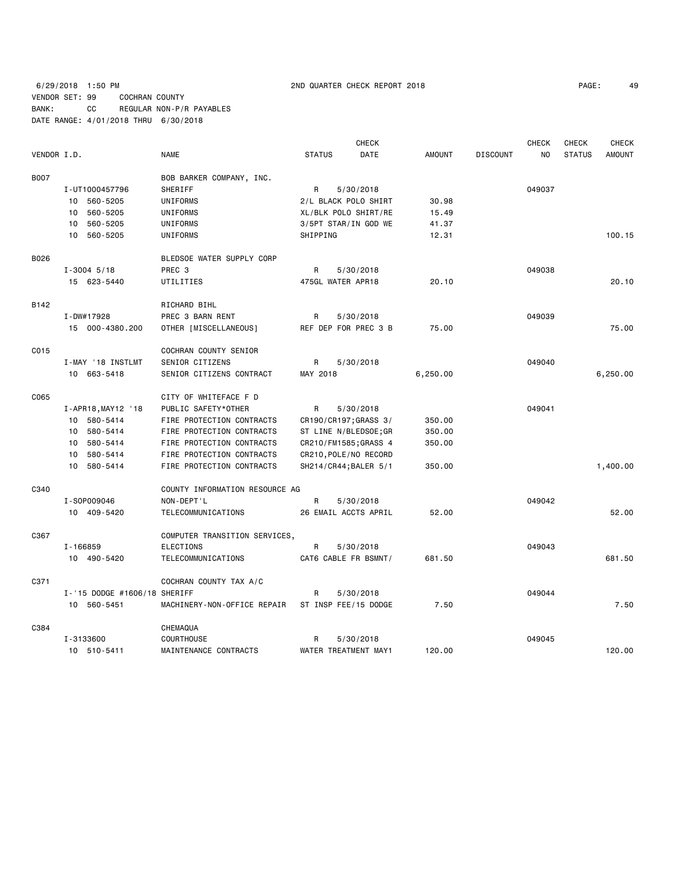## 6/29/2018 1:50 PM 2ND QUARTER CHECK REPORT 2018 PAGE: 49 VENDOR SET: 99 COCHRAN COUNTY BANK: CC REGULAR NON-P/R PAYABLES DATE RANGE: 4/01/2018 THRU 6/30/2018

| PAGE: | 49 |  |
|-------|----|--|
|-------|----|--|

|             |                              |                                |                       | <b>CHECK</b> |               |                 | <b>CHECK</b> | <b>CHECK</b>  | <b>CHECK</b>  |
|-------------|------------------------------|--------------------------------|-----------------------|--------------|---------------|-----------------|--------------|---------------|---------------|
| VENDOR I.D. |                              | <b>NAME</b>                    | <b>STATUS</b>         | DATE         | <b>AMOUNT</b> | <b>DISCOUNT</b> | NO.          | <b>STATUS</b> | <b>AMOUNT</b> |
| <b>B007</b> |                              | BOB BARKER COMPANY, INC.       |                       |              |               |                 |              |               |               |
|             | I-UT1000457796               | SHERIFF                        | R                     | 5/30/2018    |               |                 | 049037       |               |               |
|             | 10 560-5205                  | UNIFORMS                       | 2/L BLACK POLO SHIRT  |              | 30.98         |                 |              |               |               |
|             | 560-5205<br>10               | UNIFORMS                       | XL/BLK POLO SHIRT/RE  |              | 15.49         |                 |              |               |               |
|             | 560-5205<br>10               | UNIFORMS                       | 3/5PT STAR/IN GOD WE  |              | 41.37         |                 |              |               |               |
|             | 10 560-5205                  | UNIFORMS                       | SHIPPING              |              | 12.31         |                 |              |               | 100.15        |
| B026        |                              | BLEDSOE WATER SUPPLY CORP      |                       |              |               |                 |              |               |               |
|             | $I - 3004$ 5/18              | PREC <sub>3</sub>              | R                     | 5/30/2018    |               |                 | 049038       |               |               |
|             | 15 623-5440                  | UTILITIES                      | 475GL WATER APR18     |              | 20.10         |                 |              |               | 20.10         |
| B142        |                              | RICHARD BIHL                   |                       |              |               |                 |              |               |               |
|             | I-DW#17928                   | PREC 3 BARN RENT               | R                     | 5/30/2018    |               |                 | 049039       |               |               |
|             | 15 000-4380.200              | OTHER [MISCELLANEOUS]          | REF DEP FOR PREC 3 B  |              | 75.00         |                 |              |               | 75.00         |
| C015        |                              | COCHRAN COUNTY SENIOR          |                       |              |               |                 |              |               |               |
|             | I-MAY '18 INSTLMT            | SENIOR CITIZENS                | R                     | 5/30/2018    |               |                 | 049040       |               |               |
|             | 10 663-5418                  | SENIOR CITIZENS CONTRACT       | MAY 2018              |              | 6,250.00      |                 |              |               | 6,250.00      |
| C065        |                              | CITY OF WHITEFACE F D          |                       |              |               |                 |              |               |               |
|             | I-APR18, MAY12 '18           | PUBLIC SAFETY*OTHER            | R                     | 5/30/2018    |               |                 | 049041       |               |               |
|             | 10 580-5414                  | FIRE PROTECTION CONTRACTS      | CR190/CR197; GRASS 3/ |              | 350.00        |                 |              |               |               |
|             | 10 580-5414                  | FIRE PROTECTION CONTRACTS      | ST LINE N/BLEDSOE; GR |              | 350.00        |                 |              |               |               |
|             | 10 580-5414                  | FIRE PROTECTION CONTRACTS      | CR210/FM1585;GRASS 4  |              | 350.00        |                 |              |               |               |
|             | 10 580-5414                  | FIRE PROTECTION CONTRACTS      | CR210, POLE/NO RECORD |              |               |                 |              |               |               |
|             | 10 580-5414                  | FIRE PROTECTION CONTRACTS      | SH214/CR44; BALER 5/1 |              | 350.00        |                 |              |               | 1,400.00      |
| C340        |                              | COUNTY INFORMATION RESOURCE AG |                       |              |               |                 |              |               |               |
|             | I-S0P009046                  | NON-DEPT'L                     | R                     | 5/30/2018    |               |                 | 049042       |               |               |
|             | 10 409-5420                  | TELECOMMUNICATIONS             | 26 EMAIL ACCTS APRIL  |              | 52.00         |                 |              |               | 52.00         |
| C367        |                              | COMPUTER TRANSITION SERVICES,  |                       |              |               |                 |              |               |               |
|             | I-166859                     | <b>ELECTIONS</b>               | R                     | 5/30/2018    |               |                 | 049043       |               |               |
|             | 10 490-5420                  | TELECOMMUNICATIONS             | CAT6 CABLE FR BSMNT/  |              | 681.50        |                 |              |               | 681.50        |
| C371        |                              | COCHRAN COUNTY TAX A/C         |                       |              |               |                 |              |               |               |
|             | I-'15 DODGE #1606/18 SHERIFF |                                | R                     | 5/30/2018    |               |                 | 049044       |               |               |
|             | 10 560-5451                  | MACHINERY-NON-OFFICE REPAIR    | ST INSP FEE/15 DODGE  |              | 7.50          |                 |              |               | 7.50          |
| C384        |                              | CHEMAQUA                       |                       |              |               |                 |              |               |               |
|             | I-3133600                    | <b>COURTHOUSE</b>              | R                     | 5/30/2018    |               |                 | 049045       |               |               |
|             | 10 510-5411                  | MAINTENANCE CONTRACTS          | WATER TREATMENT MAY1  |              | 120.00        |                 |              |               | 120.00        |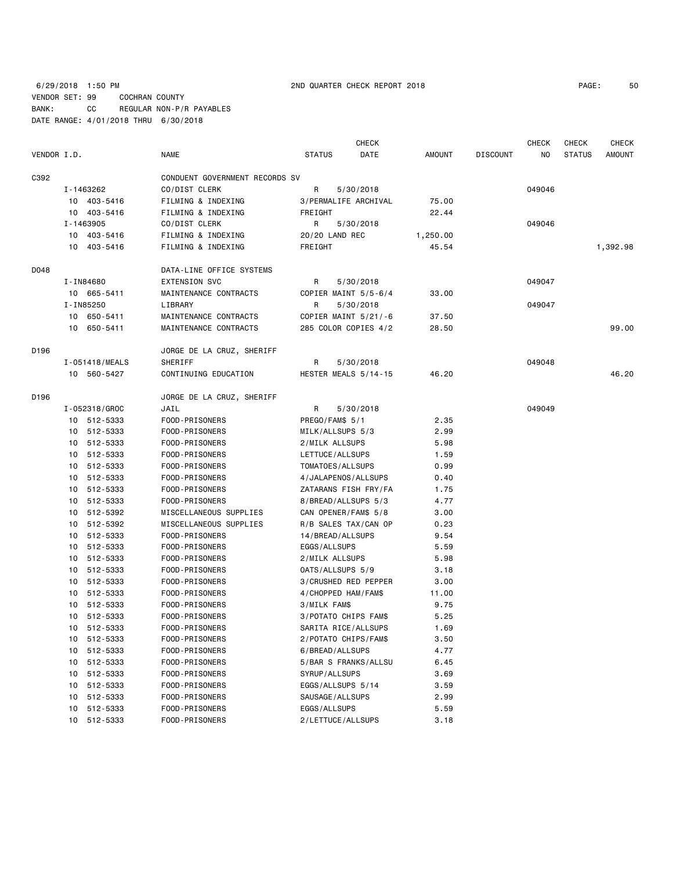6/29/2018 1:50 PM 2ND QUARTER CHECK REPORT 2018 PAGE: 50 VENDOR SET: 99 COCHRAN COUNTY BANK: CC REGULAR NON-P/R PAYABLES DATE RANGE: 4/01/2018 THRU 6/30/2018

|             |                |                                |                        | CHECK                |          |                 | <b>CHECK</b> | <b>CHECK</b>  | <b>CHECK</b>  |
|-------------|----------------|--------------------------------|------------------------|----------------------|----------|-----------------|--------------|---------------|---------------|
| VENDOR I.D. |                | <b>NAME</b>                    | <b>STATUS</b>          | DATE                 | AMOUNT   | <b>DISCOUNT</b> | NO.          | <b>STATUS</b> | <b>AMOUNT</b> |
| C392        |                | CONDUENT GOVERNMENT RECORDS SV |                        |                      |          |                 |              |               |               |
|             | I-1463262      | CO/DIST CLERK                  | R                      | 5/30/2018            |          |                 | 049046       |               |               |
|             | 10 403-5416    | FILMING & INDEXING             |                        | 3/PERMALIFE ARCHIVAL |          |                 |              |               |               |
|             | 10 403-5416    | FILMING & INDEXING             | FREIGHT                |                      | 22.44    |                 |              |               |               |
|             | I-1463905      | CO/DIST CLERK                  | R                      | 5/30/2018            |          |                 | 049046       |               |               |
|             | 10 403-5416    | FILMING & INDEXING             | 20/20 LAND REC         |                      | 1,250.00 |                 |              |               |               |
|             | 10 403-5416    | FILMING & INDEXING             | FREIGHT                |                      | 45.54    |                 |              |               | 1,392.98      |
| D048        |                | DATA-LINE OFFICE SYSTEMS       |                        |                      |          |                 |              |               |               |
|             | I-IN84680      | <b>EXTENSION SVC</b>           | R                      | 5/30/2018            |          |                 | 049047       |               |               |
|             | 10 665-5411    | MAINTENANCE CONTRACTS          | COPIER MAINT 5/5-6/4   |                      | 33.00    |                 |              |               |               |
|             | I-IN85250      | LIBRARY                        | R                      | 5/30/2018            |          |                 | 049047       |               |               |
|             | 10 650-5411    | MAINTENANCE CONTRACTS          | COPIER MAINT $5/21/-6$ |                      | 37.50    |                 |              |               |               |
|             | 10 650-5411    | MAINTENANCE CONTRACTS          | 285 COLOR COPIES 4/2   |                      | 28.50    |                 |              |               | 99.00         |
|             |                |                                |                        |                      |          |                 |              |               |               |
| D196        |                | JORGE DE LA CRUZ, SHERIFF      |                        |                      |          |                 |              |               |               |
|             | I-051418/MEALS | SHERIFF                        | R                      | 5/30/2018            |          |                 | 049048       |               |               |
|             | 10 560-5427    | CONTINUING EDUCATION           | HESTER MEALS 5/14-15   |                      | 46.20    |                 |              |               | 46.20         |
| D196        |                | JORGE DE LA CRUZ, SHERIFF      |                        |                      |          |                 |              |               |               |
|             | I-052318/GROC  | JAIL                           | R                      | 5/30/2018            |          |                 | 049049       |               |               |
|             | 10 512-5333    | FOOD-PRISONERS                 | PREGO/FAM\$ 5/1        |                      | 2.35     |                 |              |               |               |
|             | 10 512-5333    | FOOD-PRISONERS                 | MILK/ALLSUPS 5/3       |                      | 2.99     |                 |              |               |               |
|             | 10 512-5333    | FOOD-PRISONERS                 | 2/MILK ALLSUPS         |                      | 5.98     |                 |              |               |               |
|             | 10 512-5333    | FOOD-PRISONERS                 | LETTUCE/ALLSUPS        |                      | 1.59     |                 |              |               |               |
|             | 10 512-5333    | FOOD-PRISONERS                 | TOMATOES/ALLSUPS       |                      | 0.99     |                 |              |               |               |
|             | 10 512-5333    | FOOD-PRISONERS                 | 4/JALAPENOS/ALLSUPS    |                      | 0.40     |                 |              |               |               |
|             | 10 512-5333    | FOOD-PRISONERS                 | ZATARANS FISH FRY/FA   |                      | 1.75     |                 |              |               |               |
|             | 10 512-5333    | FOOD-PRISONERS                 | 8/BREAD/ALLSUPS 5/3    |                      | 4.77     |                 |              |               |               |
|             | 10 512-5392    | MISCELLANEOUS SUPPLIES         | CAN OPENER/FAM\$ 5/8   |                      | 3.00     |                 |              |               |               |
|             | 512-5392<br>10 | MISCELLANEOUS SUPPLIES         | R/B SALES TAX/CAN OP   |                      | 0.23     |                 |              |               |               |
|             | 10 512-5333    | FOOD-PRISONERS                 | 14/BREAD/ALLSUPS       |                      | 9.54     |                 |              |               |               |
|             | 512-5333<br>10 | FOOD-PRISONERS                 | EGGS/ALLSUPS           |                      | 5.59     |                 |              |               |               |
|             | 512-5333<br>10 | FOOD-PRISONERS                 | 2/MILK ALLSUPS         |                      | 5.98     |                 |              |               |               |
|             | 10 512-5333    | FOOD-PRISONERS                 | 0ATS/ALLSUPS 5/9       |                      | 3.18     |                 |              |               |               |
|             | 10 512-5333    | FOOD-PRISONERS                 | 3/CRUSHED RED PEPPER   |                      | 3.00     |                 |              |               |               |
|             | 10 512-5333    | FOOD-PRISONERS                 | 4/CHOPPED HAM/FAM\$    |                      | 11.00    |                 |              |               |               |
|             | 512-5333<br>10 | FOOD-PRISONERS                 | 3/MILK FAM\$           |                      | 9.75     |                 |              |               |               |
|             | 512-5333<br>10 | FOOD-PRISONERS                 | 3/POTATO CHIPS FAM\$   |                      | 5.25     |                 |              |               |               |
|             | 10 512-5333    | FOOD-PRISONERS                 | SARITA RICE/ALLSUPS    |                      | 1.69     |                 |              |               |               |
|             | 512-5333<br>10 | FOOD-PRISONERS                 | 2/POTATO CHIPS/FAM\$   |                      | 3.50     |                 |              |               |               |
|             | 512-5333<br>10 | FOOD-PRISONERS                 | 6/BREAD/ALLSUPS        |                      | 4.77     |                 |              |               |               |
|             | 512-5333<br>10 | FOOD-PRISONERS                 | 5/BAR S FRANKS/ALLSU   |                      | 6.45     |                 |              |               |               |
|             | 512-5333<br>10 | FOOD-PRISONERS                 | SYRUP/ALLSUPS          |                      | 3.69     |                 |              |               |               |
|             | 512-5333<br>10 | FOOD-PRISONERS                 | EGGS/ALLSUPS 5/14      |                      | 3.59     |                 |              |               |               |
|             | 512-5333<br>10 | FOOD-PRISONERS                 | SAUSAGE/ALLSUPS        |                      | 2.99     |                 |              |               |               |
|             | 512-5333<br>10 | FOOD-PRISONERS                 | EGGS/ALLSUPS           |                      | 5.59     |                 |              |               |               |
|             | 10 512-5333    | FOOD-PRISONERS                 | 2/LETTUCE/ALLSUPS      |                      | 3.18     |                 |              |               |               |
|             |                |                                |                        |                      |          |                 |              |               |               |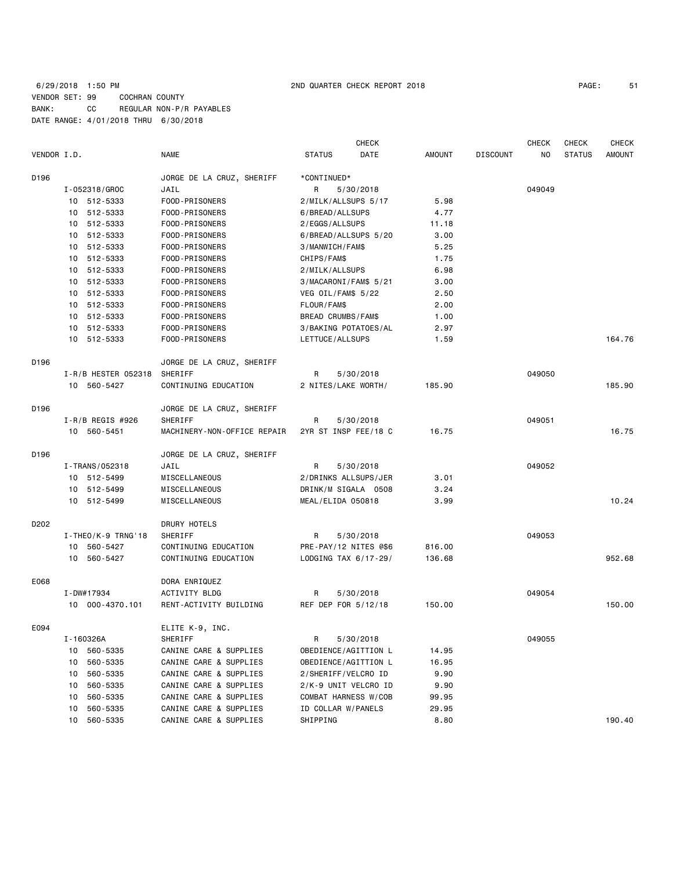|             |                                  |                                                  | <b>CHECK</b>                   |               |                 | <b>CHECK</b> | CHECK         | <b>CHECK</b>  |
|-------------|----------------------------------|--------------------------------------------------|--------------------------------|---------------|-----------------|--------------|---------------|---------------|
| VENDOR I.D. |                                  | NAME                                             | <b>STATUS</b><br>DATE          | AMOUNT        | <b>DISCOUNT</b> | NO           | <b>STATUS</b> | <b>AMOUNT</b> |
| D196        |                                  | JORGE DE LA CRUZ, SHERIFF                        | *CONTINUED*                    |               |                 |              |               |               |
|             | I-052318/GROC                    | JAIL                                             | 5/30/2018<br>R                 |               |                 | 049049       |               |               |
|             | 10 512-5333                      | FOOD-PRISONERS                                   | 2/MILK/ALLSUPS 5/17            | 5.98          |                 |              |               |               |
|             | 10 512-5333                      | FOOD-PRISONERS                                   | 6/BREAD/ALLSUPS                | 4.77          |                 |              |               |               |
|             | 10 512-5333                      | FOOD-PRISONERS                                   | 2/EGGS/ALLSUPS                 | 11.18         |                 |              |               |               |
|             | 10 512-5333                      | FOOD-PRISONERS                                   | 6/BREAD/ALLSUPS 5/20           | 3.00          |                 |              |               |               |
|             | 10 512-5333                      | FOOD-PRISONERS                                   | 3/MANWICH/FAM\$                | 5.25          |                 |              |               |               |
|             | 10 512-5333                      | FOOD-PRISONERS                                   | CHIPS/FAM\$                    | 1.75          |                 |              |               |               |
|             | 10 512-5333                      | FOOD-PRISONERS                                   | 2/MILK/ALLSUPS                 | 6.98          |                 |              |               |               |
|             | 10 512-5333                      | FOOD-PRISONERS                                   | 3/MACARONI/FAM\$ 5/21          | 3.00          |                 |              |               |               |
|             | 10 512-5333                      | FOOD-PRISONERS                                   | VEG OIL/FAM\$ 5/22             | 2.50          |                 |              |               |               |
|             | 10 512-5333                      | FOOD-PRISONERS                                   | FLOUR/FAM\$                    | 2.00          |                 |              |               |               |
|             | 10 512-5333                      | FOOD-PRISONERS                                   | BREAD CRUMBS/FAM\$             | 1.00          |                 |              |               |               |
|             | 10 512-5333                      | FOOD-PRISONERS                                   | 3/BAKING POTATOES/AL           | 2.97          |                 |              |               |               |
|             | 10 512-5333                      | FOOD-PRISONERS                                   | LETTUCE/ALLSUPS                | 1.59          |                 |              |               | 164.76        |
| D196        |                                  | JORGE DE LA CRUZ, SHERIFF                        |                                |               |                 |              |               |               |
|             | I-R/B HESTER 052318              | SHERIFF                                          | R<br>5/30/2018                 |               |                 | 049050       |               |               |
|             | 10 560-5427                      | CONTINUING EDUCATION                             | 2 NITES/LAKE WORTH/            | 185.90        |                 |              |               | 185.90        |
| D196        |                                  | JORGE DE LA CRUZ, SHERIFF                        |                                |               |                 |              |               |               |
|             | $I-R/B$ REGIS #926               | SHERIFF                                          | R<br>5/30/2018                 |               |                 | 049051       |               |               |
|             | 10 560-5451                      | MACHINERY-NON-OFFICE REPAIR                      | 2YR ST INSP FEE/18 C           | 16.75         |                 |              |               | 16.75         |
| D196        |                                  | JORGE DE LA CRUZ, SHERIFF                        |                                |               |                 |              |               |               |
|             | I-TRANS/052318                   | JAIL                                             | R<br>5/30/2018                 |               |                 | 049052       |               |               |
|             | 10 512-5499                      | MISCELLANEOUS                                    | 2/DRINKS ALLSUPS/JER           | 3.01          |                 |              |               |               |
|             | 10 512-5499                      | MISCELLANEOUS                                    | DRINK/M SIGALA 0508            | 3.24          |                 |              |               |               |
|             | 10 512-5499                      | MISCELLANEOUS                                    | MEAL/ELIDA 050818              | 3.99          |                 |              |               | 10.24         |
| D202        |                                  | DRURY HOTELS                                     |                                |               |                 |              |               |               |
|             | $I - THEO/K - 9$ TRNG'18         | SHERIFF                                          | R<br>5/30/2018                 |               |                 | 049053       |               |               |
|             | 10 560-5427                      | CONTINUING EDUCATION                             | PRE-PAY/12 NITES @\$6          | 816.00        |                 |              |               |               |
|             | 10 560-5427                      | CONTINUING EDUCATION                             | LODGING TAX 6/17-29/           | 136.68        |                 |              |               | 952.68        |
| E068        |                                  | DORA ENRIQUEZ                                    |                                |               |                 |              |               |               |
|             | I-DW#17934                       | ACTIVITY BLDG                                    | 5/30/2018<br>R                 |               |                 | 049054       |               |               |
|             | 10 000-4370.101                  | RENT-ACTIVITY BUILDING                           | REF DEP FOR 5/12/18            | 150.00        |                 |              |               | 150.00        |
| E094        |                                  | ELITE K-9, INC.                                  |                                |               |                 |              |               |               |
|             | I-160326A                        | SHERIFF                                          | R<br>5/30/2018                 |               |                 | 049055       |               |               |
|             | 560-5335<br>10                   | CANINE CARE & SUPPLIES                           | OBEDIENCE/AGITTION L           | 14.95         |                 |              |               |               |
|             | 560-5335<br>10                   | CANINE CARE & SUPPLIES                           | OBEDIENCE/AGITTION L           | 16.95         |                 |              |               |               |
|             | 560-5335<br>10                   | CANINE CARE & SUPPLIES                           | 2/SHERIFF/VELCRO ID            | 9.90          |                 |              |               |               |
|             | 560-5335<br>10                   | CANINE CARE & SUPPLIES                           | 2/K-9 UNIT VELCRO ID           | 9.90          |                 |              |               |               |
|             | 560-5335<br>10                   | CANINE CARE & SUPPLIES<br>CANINE CARE & SUPPLIES | COMBAT HARNESS W/COB           | 99.95         |                 |              |               |               |
|             | 560-5335<br>10<br>560-5335<br>10 | CANINE CARE & SUPPLIES                           | ID COLLAR W/PANELS<br>SHIPPING | 29.95<br>8.80 |                 |              |               | 190.40        |
|             |                                  |                                                  |                                |               |                 |              |               |               |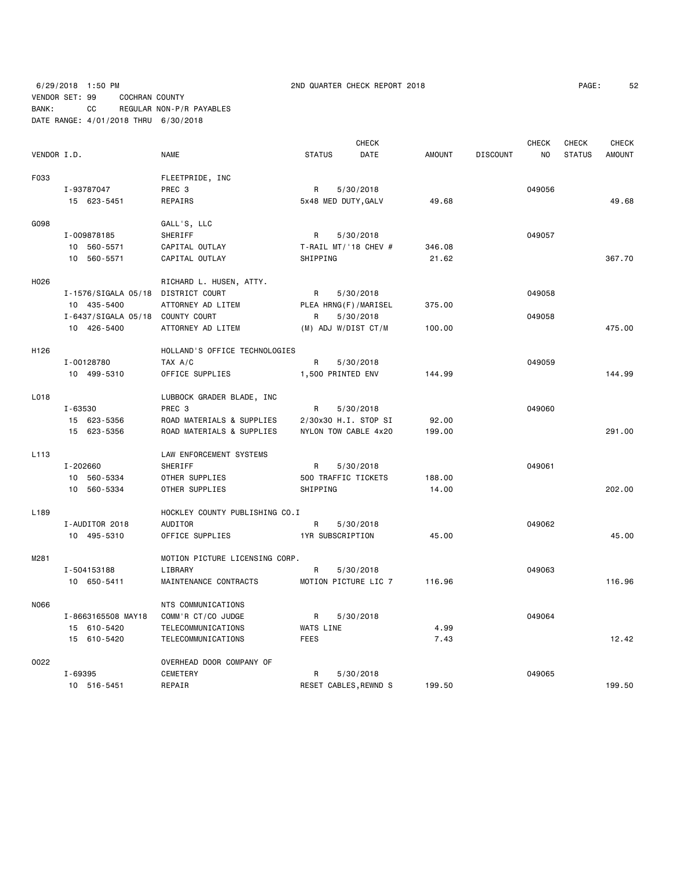6/29/2018 1:50 PM 2ND QUARTER CHECK REPORT 2018 PAGE: 52 VENDOR SET: 99 COCHRAN COUNTY BANK: CC REGULAR NON-P/R PAYABLES DATE RANGE: 4/01/2018 THRU 6/30/2018

| PAGE: | 52 |
|-------|----|
|-------|----|

| VENDOR I.D.      |                                    | <b>NAME</b>                    | <b>STATUS</b>         | <b>CHECK</b><br>DATE | <b>AMOUNT</b> | <b>DISCOUNT</b> | <b>CHECK</b><br>NO | CHECK<br><b>STATUS</b> | <b>CHECK</b><br><b>AMOUNT</b> |
|------------------|------------------------------------|--------------------------------|-----------------------|----------------------|---------------|-----------------|--------------------|------------------------|-------------------------------|
| F033             |                                    | FLEETPRIDE, INC                |                       |                      |               |                 |                    |                        |                               |
|                  | I-93787047                         | PREC 3                         | R                     | 5/30/2018            |               |                 | 049056             |                        |                               |
|                  | 15 623-5451                        | REPAIRS                        | 5x48 MED DUTY, GALV   |                      | 49.68         |                 |                    |                        | 49.68                         |
| G098             |                                    | GALL'S, LLC                    |                       |                      |               |                 |                    |                        |                               |
|                  | I-009878185                        | SHERIFF                        | R                     | 5/30/2018            |               |                 | 049057             |                        |                               |
|                  | 10 560-5571                        | CAPITAL OUTLAY                 | T-RAIL MT/'18 CHEV #  |                      | 346.08        |                 |                    |                        |                               |
|                  | 10 560-5571                        | CAPITAL OUTLAY                 | SHIPPING              |                      | 21.62         |                 |                    |                        | 367.70                        |
|                  |                                    |                                |                       |                      |               |                 |                    |                        |                               |
| H026             |                                    | RICHARD L. HUSEN, ATTY.        |                       |                      |               |                 |                    |                        |                               |
|                  | I-1576/SIGALA 05/18 DISTRICT COURT |                                | R                     | 5/30/2018            |               |                 | 049058             |                        |                               |
|                  | 10 435-5400                        | ATTORNEY AD LITEM              | PLEA HRNG(F)/MARISEL  |                      | 375.00        |                 |                    |                        |                               |
|                  | I-6437/SIGALA 05/18 COUNTY COURT   |                                | R                     | 5/30/2018            |               |                 | 049058             |                        |                               |
|                  | 10 426-5400                        | ATTORNEY AD LITEM              | (M) ADJ W/DIST CT/M   |                      | 100.00        |                 |                    |                        | 475.00                        |
| H <sub>126</sub> |                                    | HOLLAND'S OFFICE TECHNOLOGIES  |                       |                      |               |                 |                    |                        |                               |
|                  | I-00128780                         | TAX A/C                        | R                     | 5/30/2018            |               |                 | 049059             |                        |                               |
|                  | 10 499-5310                        | OFFICE SUPPLIES                | 1,500 PRINTED ENV     |                      | 144.99        |                 |                    |                        | 144.99                        |
|                  |                                    |                                |                       |                      |               |                 |                    |                        |                               |
| L018             |                                    | LUBBOCK GRADER BLADE, INC      |                       |                      |               |                 |                    |                        |                               |
|                  | I-63530                            | PREC <sub>3</sub>              | R                     | 5/30/2018            |               |                 | 049060             |                        |                               |
|                  | 15 623-5356                        | ROAD MATERIALS & SUPPLIES      | 2/30x30 H.I. STOP SI  |                      | 92.00         |                 |                    |                        |                               |
|                  | 15 623-5356                        | ROAD MATERIALS & SUPPLIES      | NYLON TOW CABLE 4x20  |                      | 199.00        |                 |                    |                        | 291.00                        |
| L <sub>113</sub> |                                    | LAW ENFORCEMENT SYSTEMS        |                       |                      |               |                 |                    |                        |                               |
|                  | I-202660                           | SHERIFF                        | R                     | 5/30/2018            |               |                 | 049061             |                        |                               |
|                  | 10 560-5334                        | OTHER SUPPLIES                 | 500 TRAFFIC TICKETS   |                      | 188.00        |                 |                    |                        |                               |
|                  | 10 560-5334                        | OTHER SUPPLIES                 | SHIPPING              |                      | 14.00         |                 |                    |                        | 202.00                        |
| L <sub>189</sub> |                                    | HOCKLEY COUNTY PUBLISHING CO.I |                       |                      |               |                 |                    |                        |                               |
|                  | I-AUDITOR 2018                     | AUDITOR                        | R                     | 5/30/2018            |               |                 | 049062             |                        |                               |
|                  | 10 495-5310                        | OFFICE SUPPLIES                | 1YR SUBSCRIPTION      |                      | 45.00         |                 |                    |                        | 45.00                         |
|                  |                                    |                                |                       |                      |               |                 |                    |                        |                               |
| M281             |                                    | MOTION PICTURE LICENSING CORP. |                       |                      |               |                 |                    |                        |                               |
|                  | I-504153188                        | LIBRARY                        | R                     | 5/30/2018            |               |                 | 049063             |                        |                               |
|                  | 10 650-5411                        | MAINTENANCE CONTRACTS          | MOTION PICTURE LIC 7  |                      | 116.96        |                 |                    |                        | 116.96                        |
| N066             |                                    | NTS COMMUNICATIONS             |                       |                      |               |                 |                    |                        |                               |
|                  | I-8663165508 MAY18                 | COMM'R CT/CO JUDGE             | R                     | 5/30/2018            |               |                 | 049064             |                        |                               |
|                  | 15 610-5420                        | TELECOMMUNICATIONS             | WATS LINE             |                      | 4.99          |                 |                    |                        |                               |
|                  | 15 610-5420                        | TELECOMMUNICATIONS             | <b>FEES</b>           |                      | 7.43          |                 |                    |                        | 12.42                         |
|                  |                                    |                                |                       |                      |               |                 |                    |                        |                               |
| 0022             |                                    | OVERHEAD DOOR COMPANY OF       |                       |                      |               |                 |                    |                        |                               |
|                  | I-69395                            | <b>CEMETERY</b>                | R                     | 5/30/2018            |               |                 | 049065             |                        |                               |
|                  | 10 516-5451                        | REPAIR                         | RESET CABLES, REWND S |                      | 199.50        |                 |                    |                        | 199.50                        |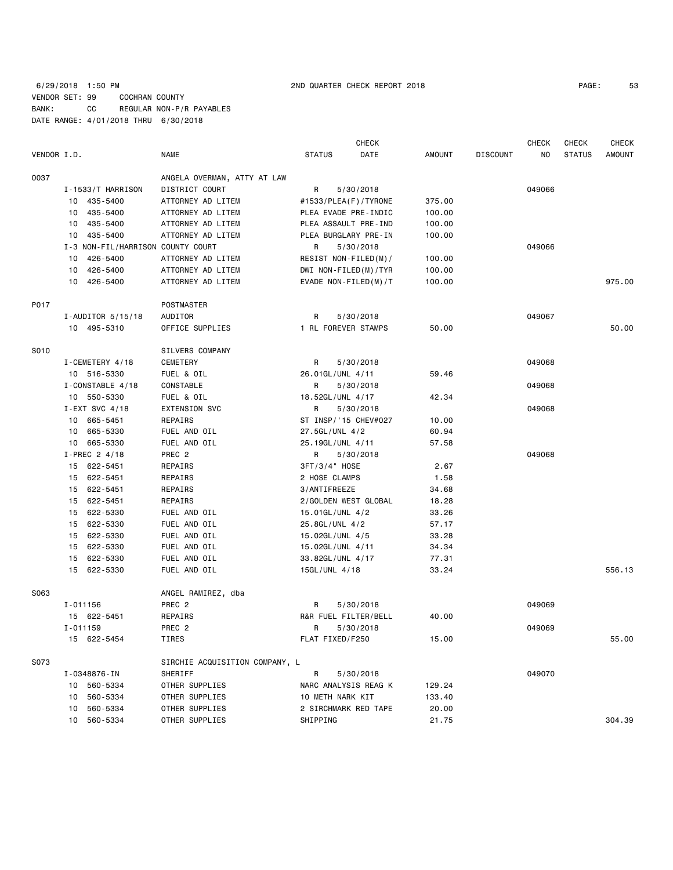| 53<br>PAGE: |
|-------------|
|-------------|

|             |                                   |                                |                      | <b>CHECK</b> |               |                 | <b>CHECK</b> | <b>CHECK</b>  | <b>CHECK</b>  |
|-------------|-----------------------------------|--------------------------------|----------------------|--------------|---------------|-----------------|--------------|---------------|---------------|
| VENDOR I.D. |                                   | NAME                           | <b>STATUS</b>        | DATE         | <b>AMOUNT</b> | <b>DISCOUNT</b> | NO           | <b>STATUS</b> | <b>AMOUNT</b> |
| 0037        |                                   | ANGELA OVERMAN, ATTY AT LAW    |                      |              |               |                 |              |               |               |
|             | I-1533/T HARRISON                 | DISTRICT COURT                 | R                    | 5/30/2018    |               |                 | 049066       |               |               |
|             | 10 435-5400                       | ATTORNEY AD LITEM              | #1533/PLEA(F)/TYRONE |              | 375.00        |                 |              |               |               |
|             | 10 435-5400                       | ATTORNEY AD LITEM              | PLEA EVADE PRE-INDIC |              | 100.00        |                 |              |               |               |
|             | 10 435-5400                       | ATTORNEY AD LITEM              | PLEA ASSAULT PRE-IND |              | 100.00        |                 |              |               |               |
|             | 10 435-5400                       | ATTORNEY AD LITEM              | PLEA BURGLARY PRE-IN |              | 100.00        |                 |              |               |               |
|             | I-3 NON-FIL/HARRISON COUNTY COURT |                                | R                    | 5/30/2018    |               |                 | 049066       |               |               |
|             | 10 426-5400                       | ATTORNEY AD LITEM              | RESIST NON-FILED(M)/ |              | 100.00        |                 |              |               |               |
|             | 10 426-5400                       | ATTORNEY AD LITEM              | DWI NON-FILED(M)/TYR |              | 100.00        |                 |              |               |               |
|             | 10 426-5400                       | ATTORNEY AD LITEM              | EVADE NON-FILED(M)/T |              | 100.00        |                 |              |               | 975.00        |
| P017        |                                   | POSTMASTER                     |                      |              |               |                 |              |               |               |
|             | $I$ -AUDITOR 5/15/18              | AUDITOR                        | R                    | 5/30/2018    |               |                 | 049067       |               |               |
|             | 10 495-5310                       | OFFICE SUPPLIES                | 1 RL FOREVER STAMPS  |              | 50.00         |                 |              |               | 50.00         |
| S010        |                                   | SILVERS COMPANY                |                      |              |               |                 |              |               |               |
|             | I-CEMETERY 4/18                   | CEMETERY                       | R                    | 5/30/2018    |               |                 | 049068       |               |               |
|             | 10 516-5330                       | FUEL & OIL                     | 26.01GL/UNL 4/11     |              | 59.46         |                 |              |               |               |
|             | I-CONSTABLE 4/18                  | CONSTABLE                      | R                    | 5/30/2018    |               |                 | 049068       |               |               |
|             | 10 550-5330                       | FUEL & OIL                     | 18.52GL/UNL 4/17     |              | 42.34         |                 |              |               |               |
|             | $I$ -EXT SVC 4/18                 | <b>EXTENSION SVC</b>           | R                    | 5/30/2018    |               |                 | 049068       |               |               |
|             | 10 665-5451                       | REPAIRS                        | ST INSP/'15 CHEV#027 |              | 10.00         |                 |              |               |               |
|             | 10 665-5330                       | FUEL AND OIL                   | 27.5GL/UNL 4/2       |              | 60.94         |                 |              |               |               |
|             | 10 665-5330                       | FUEL AND OIL                   | 25.19GL/UNL 4/11     |              | 57.58         |                 |              |               |               |
|             | I-PREC 2 4/18                     | PREC 2                         | R                    | 5/30/2018    |               |                 | 049068       |               |               |
|             | 15 622-5451                       | REPAIRS                        | 3FT/3/4" HOSE        |              | 2.67          |                 |              |               |               |
|             | 15 622-5451                       | REPAIRS                        | 2 HOSE CLAMPS        |              | 1.58          |                 |              |               |               |
|             | 15 622-5451                       | REPAIRS                        | 3/ANTIFREEZE         |              | 34.68         |                 |              |               |               |
|             | 15 622-5451                       | REPAIRS                        | 2/GOLDEN WEST GLOBAL |              | 18.28         |                 |              |               |               |
|             | 15 622-5330                       | FUEL AND OIL                   | 15.01GL/UNL 4/2      |              | 33.26         |                 |              |               |               |
|             | 15 622-5330                       | FUEL AND OIL                   | 25.8GL/UNL 4/2       |              | 57.17         |                 |              |               |               |
|             | 15 622-5330                       | FUEL AND OIL                   | 15.02GL/UNL 4/5      |              | 33.28         |                 |              |               |               |
|             | 15 622-5330                       | FUEL AND OIL                   | 15.02GL/UNL 4/11     |              | 34.34         |                 |              |               |               |
|             | 15 622-5330                       | FUEL AND OIL                   | 33.82GL/UNL 4/17     |              | 77.31         |                 |              |               |               |
|             | 15 622-5330                       | FUEL AND OIL                   | 15GL/UNL 4/18        |              | 33.24         |                 |              |               | 556.13        |
| S063        |                                   | ANGEL RAMIREZ, dba             |                      |              |               |                 |              |               |               |
|             | I-011156                          | PREC <sub>2</sub>              | R                    | 5/30/2018    |               |                 | 049069       |               |               |
|             | 15 622-5451                       | REPAIRS                        | R&R FUEL FILTER/BELL |              | 40.00         |                 |              |               |               |
|             | I-011159                          | PREC 2                         | R                    | 5/30/2018    |               |                 | 049069       |               |               |
|             | 15 622-5454                       | TIRES                          | FLAT FIXED/F250      |              | 15.00         |                 |              |               | 55.00         |
| S073        |                                   | SIRCHIE ACQUISITION COMPANY, L |                      |              |               |                 |              |               |               |
|             | I-0348876-IN                      | SHERIFF                        | R                    | 5/30/2018    |               |                 | 049070       |               |               |
|             | 10 560-5334                       | OTHER SUPPLIES                 | NARC ANALYSIS REAG K |              | 129.24        |                 |              |               |               |
|             | 10 560-5334                       | OTHER SUPPLIES                 | 10 METH NARK KIT     |              | 133.40        |                 |              |               |               |
|             | 560-5334<br>10                    | OTHER SUPPLIES                 | 2 SIRCHMARK RED TAPE |              | 20.00         |                 |              |               |               |
|             | 10 560-5334                       | OTHER SUPPLIES                 | SHIPPING             |              | 21.75         |                 |              |               | 304.39        |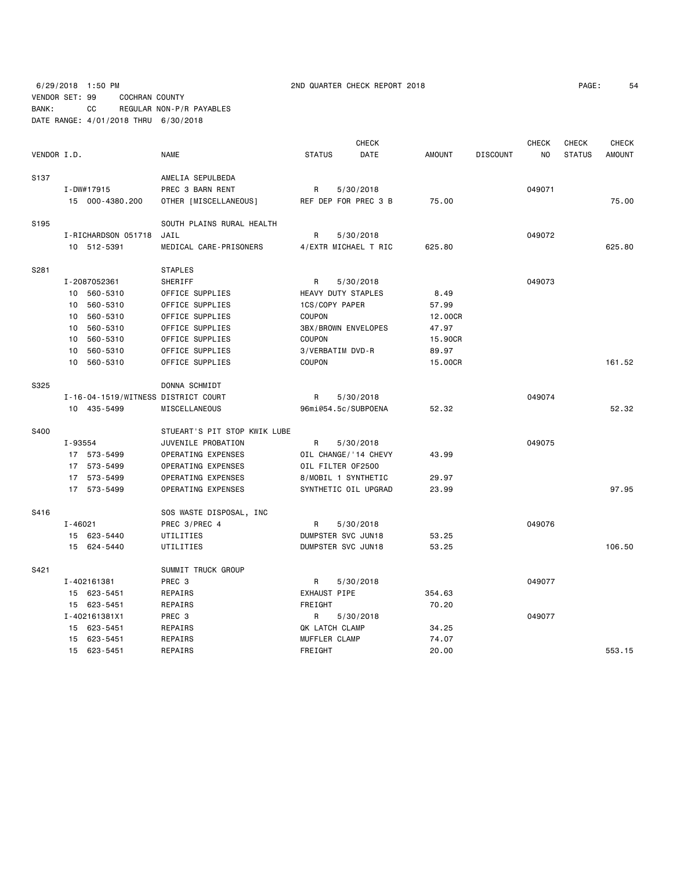6/29/2018 1:50 PM 2ND QUARTER CHECK REPORT 2018 PAGE: 54 VENDOR SET: 99 COCHRAN COUNTY BANK: CC REGULAR NON-P/R PAYABLES DATE RANGE: 4/01/2018 THRU 6/30/2018

| PAGE: | 54 |
|-------|----|
|-------|----|

|                  |                     |                                     | <b>CHECK</b>          |               | <b>CHECK</b>    | <b>CHECK</b>         | <b>CHECK</b>  |
|------------------|---------------------|-------------------------------------|-----------------------|---------------|-----------------|----------------------|---------------|
| VENDOR I.D.      |                     | <b>NAME</b>                         | <b>STATUS</b><br>DATE | <b>AMOUNT</b> | <b>DISCOUNT</b> | NO.<br><b>STATUS</b> | <b>AMOUNT</b> |
| S <sub>137</sub> |                     | AMELIA SEPULBEDA                    |                       |               |                 |                      |               |
|                  | I-DW#17915          | PREC 3 BARN RENT                    | 5/30/2018<br>R        |               |                 | 049071               |               |
|                  | 15 000-4380.200     | OTHER [MISCELLANEOUS]               | REF DEP FOR PREC 3 B  | 75.00         |                 |                      | 75.00         |
| S <sub>195</sub> |                     | SOUTH PLAINS RURAL HEALTH           |                       |               |                 |                      |               |
|                  | I-RICHARDSON 051718 | JAIL                                | R<br>5/30/2018        |               |                 | 049072               |               |
|                  | 10 512-5391         | MEDICAL CARE-PRISONERS              | 4/EXTR MICHAEL T RIC  | 625.80        |                 |                      | 625.80        |
| S281             |                     | <b>STAPLES</b>                      |                       |               |                 |                      |               |
|                  | I-2087052361        | SHERIFF                             | R<br>5/30/2018        |               |                 | 049073               |               |
|                  | 10 560-5310         | OFFICE SUPPLIES                     | HEAVY DUTY STAPLES    | 8.49          |                 |                      |               |
|                  | 10 560-5310         | OFFICE SUPPLIES                     | 1CS/COPY PAPER        | 57.99         |                 |                      |               |
|                  | 560-5310<br>10      | OFFICE SUPPLIES                     | COUPON                | 12.00CR       |                 |                      |               |
|                  | 560-5310<br>10      | OFFICE SUPPLIES                     | 3BX/BROWN ENVELOPES   | 47.97         |                 |                      |               |
|                  | 10 560-5310         | OFFICE SUPPLIES                     | COUPON                | 15.90CR       |                 |                      |               |
|                  | 560-5310<br>10      | OFFICE SUPPLIES                     | 3/VERBATIM DVD-R      | 89.97         |                 |                      |               |
|                  | 10 560-5310         | OFFICE SUPPLIES                     | COUPON                | 15.00CR       |                 |                      | 161.52        |
| S325             |                     | DONNA SCHMIDT                       |                       |               |                 |                      |               |
|                  |                     | I-16-04-1519/WITNESS DISTRICT COURT | 5/30/2018<br>R        |               |                 | 049074               |               |
|                  | 10 435-5499         | MISCELLANEOUS                       | 96mi@54.5c/SUBPOENA   | 52.32         |                 |                      | 52.32         |
| S400             |                     | STUEART'S PIT STOP KWIK LUBE        |                       |               |                 |                      |               |
|                  | I-93554             | JUVENILE PROBATION                  | R<br>5/30/2018        |               |                 | 049075               |               |
|                  | 17 573-5499         | OPERATING EXPENSES                  | OIL CHANGE/ '14 CHEVY | 43.99         |                 |                      |               |
|                  | 17 573-5499         | OPERATING EXPENSES                  | OIL FILTER OF2500     |               |                 |                      |               |
|                  | 17 573-5499         | OPERATING EXPENSES                  | 8/MOBIL 1 SYNTHETIC   | 29.97         |                 |                      |               |
|                  | 17 573-5499         | OPERATING EXPENSES                  | SYNTHETIC OIL UPGRAD  | 23.99         |                 |                      | 97.95         |
| S416             |                     | SOS WASTE DISPOSAL, INC             |                       |               |                 |                      |               |
|                  | $I - 46021$         | PREC 3/PREC 4                       | R<br>5/30/2018        |               |                 | 049076               |               |
|                  | 15 623-5440         | UTILITIES                           | DUMPSTER SVC JUN18    | 53.25         |                 |                      |               |
|                  | 15 624-5440         | UTILITIES                           | DUMPSTER SVC JUN18    | 53.25         |                 |                      | 106.50        |
| S421             |                     | SUMMIT TRUCK GROUP                  |                       |               |                 |                      |               |
|                  | I-402161381         | PREC 3                              | 5/30/2018<br>R        |               |                 | 049077               |               |
|                  | 15 623-5451         | REPAIRS                             | EXHAUST PIPE          | 354.63        |                 |                      |               |
|                  | 15 623-5451         | REPAIRS                             | FREIGHT               | 70.20         |                 |                      |               |
|                  | I-402161381X1       | PREC 3                              | R<br>5/30/2018        |               |                 | 049077               |               |
|                  | 15 623-5451         | REPAIRS                             | QK LATCH CLAMP        | 34.25         |                 |                      |               |
|                  | 15 623-5451         | REPAIRS                             | MUFFLER CLAMP         | 74.07         |                 |                      |               |
|                  | 15 623-5451         | REPAIRS                             | FREIGHT               | 20,00         |                 |                      | 553.15        |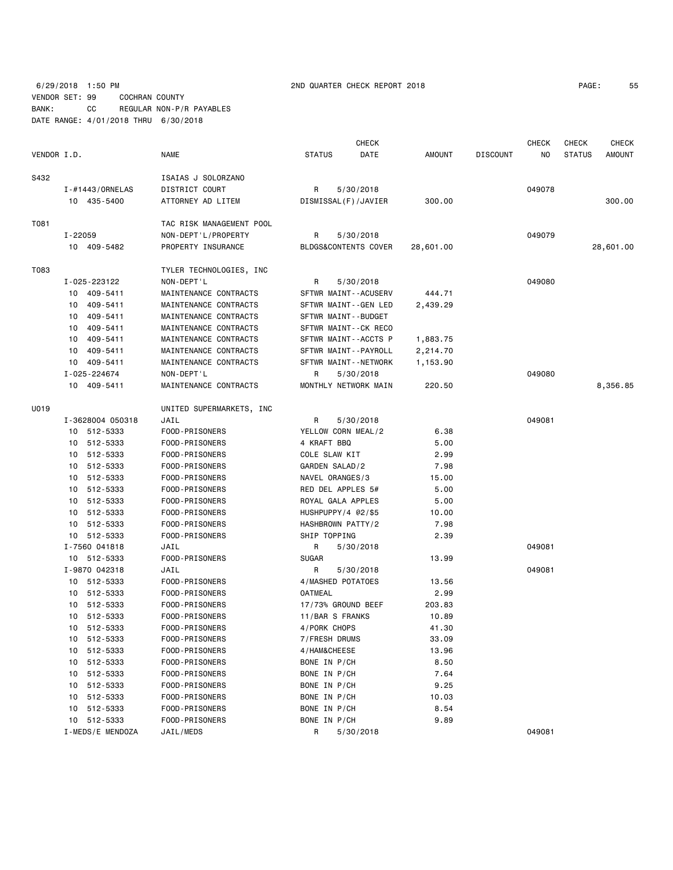6/29/2018 1:50 PM 2ND QUARTER CHECK REPORT 2018 PAGE: 55 VENDOR SET: 99 COCHRAN COUNTY BANK: CC REGULAR NON-P/R PAYABLES DATE RANGE: 4/01/2018 THRU 6/30/2018

| VENDOR I.D.     | <b>NAME</b>        | <b>CHECK</b><br><b>STATUS</b><br>DATE | AMOUNT | <b>DISCOUNT</b> | <b>CHECK</b><br>NO. | <b>CHECK</b><br><b>CHECK</b><br><b>AMOUNT</b><br><b>STATUS</b> |
|-----------------|--------------------|---------------------------------------|--------|-----------------|---------------------|----------------------------------------------------------------|
| S432            | ISAIAS J SOLORZANO |                                       |        |                 |                     |                                                                |
| I-#1443/ORNELAS | DISTRICT COURT     | 5/30/2018<br>R                        |        |                 | 049078              |                                                                |
| 435-5400<br>10  | ATTORNEY AD LITEM  | DISMISSAL(F)/JAVIER                   | 300.00 |                 |                     | 300.00                                                         |

| T081 |                  | TAC RISK MANAGEMENT POOL |                      |           |        |           |
|------|------------------|--------------------------|----------------------|-----------|--------|-----------|
|      | I-22059          | NON-DEPT'L/PROPERTY      | R<br>5/30/2018       |           | 049079 |           |
|      | 10 409-5482      | PROPERTY INSURANCE       | BLDGS&CONTENTS COVER | 28,601.00 |        | 28,601.00 |
| T083 |                  | TYLER TECHNOLOGIES, INC  |                      |           |        |           |
|      | I-025-223122     | NON-DEPT'L               | R<br>5/30/2018       |           | 049080 |           |
|      | 10 409-5411      | MAINTENANCE CONTRACTS    | SFTWR MAINT--ACUSERV | 444.71    |        |           |
|      | 409-5411<br>10   | MAINTENANCE CONTRACTS    | SFTWR MAINT--GEN LED | 2,439.29  |        |           |
|      | 409-5411<br>10   | MAINTENANCE CONTRACTS    | SFTWR MAINT--BUDGET  |           |        |           |
|      | 409-5411<br>10   | MAINTENANCE CONTRACTS    | SFTWR MAINT--CK RECO |           |        |           |
|      | 10<br>409-5411   | MAINTENANCE CONTRACTS    | SFTWR MAINT--ACCTS P | 1,883.75  |        |           |
|      | 409-5411<br>10   | MAINTENANCE CONTRACTS    | SFTWR MAINT--PAYROLL | 2,214.70  |        |           |
|      | 10 409-5411      | MAINTENANCE CONTRACTS    | SFTWR MAINT--NETWORK | 1,153.90  |        |           |
|      | I-025-224674     | NON-DEPT'L               | R<br>5/30/2018       |           | 049080 |           |
|      | 10 409-5411      | MAINTENANCE CONTRACTS    | MONTHLY NETWORK MAIN | 220.50    |        | 8,356.85  |
| U019 |                  | UNITED SUPERMARKETS, INC |                      |           |        |           |
|      | I-3628004 050318 | JAIL                     | R<br>5/30/2018       |           | 049081 |           |
|      | 10 512-5333      | FOOD-PRISONERS           | YELLOW CORN MEAL/2   | 6.38      |        |           |
|      | 512-5333<br>10   | FOOD-PRISONERS           | 4 KRAFT BBQ          | 5.00      |        |           |
|      | 10 512-5333      | FOOD-PRISONERS           | COLE SLAW KIT        | 2.99      |        |           |
|      | 10 512-5333      | FOOD-PRISONERS           | GARDEN SALAD/2       | 7.98      |        |           |
|      | 10 512-5333      | FOOD-PRISONERS           | NAVEL ORANGES/3      | 15.00     |        |           |
|      | 512-5333<br>10   | FOOD-PRISONERS           | RED DEL APPLES 5#    | 5.00      |        |           |
|      | 10 512-5333      | FOOD-PRISONERS           | ROYAL GALA APPLES    | 5.00      |        |           |
|      | 512-5333<br>10   | FOOD-PRISONERS           | HUSHPUPPY/4 @2/\$5   | 10.00     |        |           |
|      | 10 512-5333      | FOOD-PRISONERS           | HASHBROWN PATTY/2    | 7.98      |        |           |
|      | 512-5333<br>10   | FOOD-PRISONERS           | SHIP TOPPING         | 2.39      |        |           |
|      | I-7560 041818    | JAIL                     | R<br>5/30/2018       |           | 049081 |           |
|      | 10 512-5333      | FOOD-PRISONERS           | <b>SUGAR</b>         | 13.99     |        |           |
|      | I-9870 042318    | JAIL                     | R<br>5/30/2018       |           | 049081 |           |
|      | 10 512-5333      | FOOD-PRISONERS           | 4/MASHED POTATOES    | 13.56     |        |           |
|      | 10 512-5333      | FOOD-PRISONERS           | <b>OATMEAL</b>       | 2.99      |        |           |
|      | 10 512-5333      | FOOD-PRISONERS           | 17/73% GROUND BEEF   | 203.83    |        |           |
|      | 10 512-5333      | FOOD-PRISONERS           | 11/BAR S FRANKS      | 10.89     |        |           |
|      | 512-5333<br>10   | FOOD-PRISONERS           | 4/PORK CHOPS         | 41.30     |        |           |
|      | 10 512-5333      | FOOD-PRISONERS           | 7/FRESH DRUMS        | 33.09     |        |           |
|      | 512-5333<br>10   | FOOD-PRISONERS           | 4/HAM&CHEESE         | 13.96     |        |           |
|      | 10 512-5333      | FOOD-PRISONERS           | BONE IN P/CH         | 8.50      |        |           |
|      | 512-5333<br>10   | FOOD-PRISONERS           | BONE IN P/CH         | 7.64      |        |           |
|      | 512-5333<br>10   | FOOD-PRISONERS           | BONE IN P/CH         | 9.25      |        |           |
|      | 512-5333<br>10   | FOOD-PRISONERS           | BONE IN P/CH         | 10.03     |        |           |
|      | 512-5333<br>10   | FOOD-PRISONERS           | BONE IN P/CH         | 8.54      |        |           |
|      | 512-5333<br>10   | FOOD-PRISONERS           | BONE IN P/CH         | 9.89      |        |           |
|      | I-MEDS/E MENDOZA | JAIL/MEDS                | R<br>5/30/2018       |           | 049081 |           |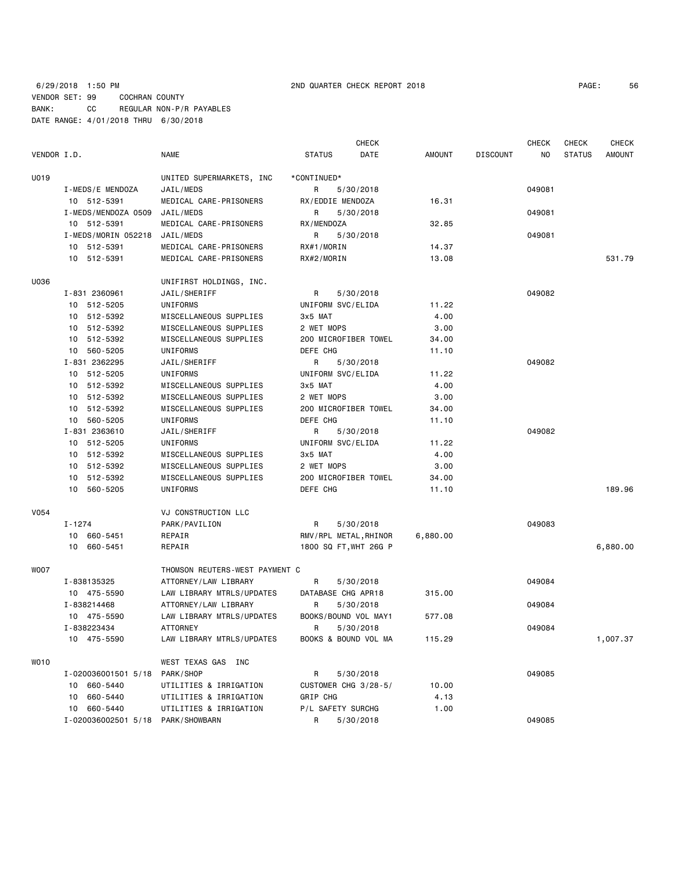## 6/29/2018 1:50 PM 2ND QUARTER CHECK REPORT 2018 PAGE: 56 VENDOR SET: 99 COCHRAN COUNTY BANK: CC REGULAR NON-P/R PAYABLES DATE RANGE: 4/01/2018 THRU 6/30/2018

|             |                                   |                                |                       | <b>CHECK</b> |               |                 | <b>CHECK</b> | CHECK         | <b>CHECK</b>  |
|-------------|-----------------------------------|--------------------------------|-----------------------|--------------|---------------|-----------------|--------------|---------------|---------------|
| VENDOR I.D. |                                   | <b>NAME</b>                    | <b>STATUS</b>         | DATE         | <b>AMOUNT</b> | <b>DISCOUNT</b> | NO.          | <b>STATUS</b> | <b>AMOUNT</b> |
| U019        |                                   | UNITED SUPERMARKETS, INC       | *CONTINUED*           |              |               |                 |              |               |               |
|             | I-MEDS/E MENDOZA                  | JAIL/MEDS                      | R                     | 5/30/2018    |               |                 | 049081       |               |               |
|             | 10 512-5391                       | MEDICAL CARE-PRISONERS         | RX/EDDIE MENDOZA      |              | 16.31         |                 |              |               |               |
|             | I-MEDS/MENDOZA 0509               | JAIL/MEDS                      | R                     | 5/30/2018    |               |                 | 049081       |               |               |
|             | 10 512-5391                       | MEDICAL CARE-PRISONERS         | RX/MENDOZA            |              | 32.85         |                 |              |               |               |
|             | I-MEDS/MORIN 052218               | JAIL/MEDS                      | R.                    | 5/30/2018    |               |                 | 049081       |               |               |
|             | 10 512-5391                       | MEDICAL CARE-PRISONERS         | RX#1/MORIN            |              | 14.37         |                 |              |               |               |
|             | 10 512-5391                       | MEDICAL CARE-PRISONERS         | RX#2/MORIN            |              | 13.08         |                 |              |               | 531.79        |
| U036        |                                   | UNIFIRST HOLDINGS, INC.        |                       |              |               |                 |              |               |               |
|             | I-831 2360961                     | JAIL/SHERIFF                   | R                     | 5/30/2018    |               |                 | 049082       |               |               |
|             | 10 512-5205                       | UNIFORMS                       | UNIFORM SVC/ELIDA     |              | 11.22         |                 |              |               |               |
|             | 10 512-5392                       | MISCELLANEOUS SUPPLIES         | 3x5 MAT               |              | 4.00          |                 |              |               |               |
|             | 10 512-5392                       | MISCELLANEOUS SUPPLIES         | 2 WET MOPS            |              | 3.00          |                 |              |               |               |
|             | 10 512-5392                       | MISCELLANEOUS SUPPLIES         | 200 MICROFIBER TOWEL  |              | 34.00         |                 |              |               |               |
|             | 10 560-5205                       | UNIFORMS                       | DEFE CHG              |              | 11.10         |                 |              |               |               |
|             | I-831 2362295                     | JAIL/SHERIFF                   | R                     | 5/30/2018    |               |                 | 049082       |               |               |
|             | 10 512-5205                       | UNIFORMS                       | UNIFORM SVC/ELIDA     |              | 11.22         |                 |              |               |               |
|             | 10 512-5392                       | MISCELLANEOUS SUPPLIES         | 3x5 MAT               |              | 4.00          |                 |              |               |               |
|             | 10 512-5392                       | MISCELLANEOUS SUPPLIES         | 2 WET MOPS            |              | 3.00          |                 |              |               |               |
|             | 10 512-5392                       | MISCELLANEOUS SUPPLIES         | 200 MICROFIBER TOWEL  |              | 34.00         |                 |              |               |               |
|             | 10 560-5205                       | UNIFORMS                       | DEFE CHG              |              | 11.10         |                 |              |               |               |
|             | I-831 2363610                     | JAIL/SHERIFF                   | R                     | 5/30/2018    |               |                 | 049082       |               |               |
|             | 10 512-5205                       | UNIFORMS                       | UNIFORM SVC/ELIDA     |              | 11.22         |                 |              |               |               |
|             | 10 512-5392                       | MISCELLANEOUS SUPPLIES         | 3x5 MAT               |              | 4.00          |                 |              |               |               |
|             | 10 512-5392                       | MISCELLANEOUS SUPPLIES         | 2 WET MOPS            |              | 3.00          |                 |              |               |               |
|             | 10 512-5392                       | MISCELLANEOUS SUPPLIES         | 200 MICROFIBER TOWEL  |              | 34.00         |                 |              |               |               |
|             | 10 560-5205                       | UNIFORMS                       | DEFE CHG              |              | 11.10         |                 |              |               | 189.96        |
| V054        |                                   | VJ CONSTRUCTION LLC            |                       |              |               |                 |              |               |               |
|             | I-1274                            | PARK/PAVILION                  | R                     | 5/30/2018    |               |                 | 049083       |               |               |
|             | 10 660-5451                       | REPAIR                         | RMV/RPL METAL, RHINOR |              | 6,880.00      |                 |              |               |               |
|             | 10 660-5451                       | REPAIR                         | 1800 SQ FT, WHT 26G P |              |               |                 |              |               | 6,880.00      |
| WO07        |                                   | THOMSON REUTERS-WEST PAYMENT C |                       |              |               |                 |              |               |               |
|             | I-838135325                       | ATTORNEY/LAW LIBRARY           | R                     | 5/30/2018    |               |                 | 049084       |               |               |
|             | 10 475-5590                       | LAW LIBRARY MTRLS/UPDATES      | DATABASE CHG APR18    |              | 315.00        |                 |              |               |               |
|             | I-838214468                       | ATTORNEY/LAW LIBRARY           | R                     | 5/30/2018    |               |                 | 049084       |               |               |
|             | 10 475-5590                       | LAW LIBRARY MTRLS/UPDATES      | BOOKS/BOUND VOL MAY1  |              | 577.08        |                 |              |               |               |
|             | I-838223434                       | ATTORNEY                       | R 5/30/2018           |              |               |                 | 049084       |               |               |
|             | 10 475-5590                       | LAW LIBRARY MTRLS/UPDATES      | BOOKS & BOUND VOL MA  |              | 115.29        |                 |              |               | 1,007.37      |
| <b>WO10</b> |                                   | WEST TEXAS GAS INC             |                       |              |               |                 |              |               |               |
|             | I-020036001501 5/18               | PARK/SHOP                      | R                     | 5/30/2018    |               |                 | 049085       |               |               |
|             | 10 660-5440                       | UTILITIES & IRRIGATION         | CUSTOMER CHG 3/28-5/  |              | 10.00         |                 |              |               |               |
|             | 10 660-5440                       | UTILITIES & IRRIGATION         | GRIP CHG              |              | 4.13          |                 |              |               |               |
|             | 10 660-5440                       | UTILITIES & IRRIGATION         | P/L SAFETY SURCHG     |              | 1.00          |                 |              |               |               |
|             | I-020036002501 5/18 PARK/SHOWBARN |                                | R                     | 5/30/2018    |               |                 | 049085       |               |               |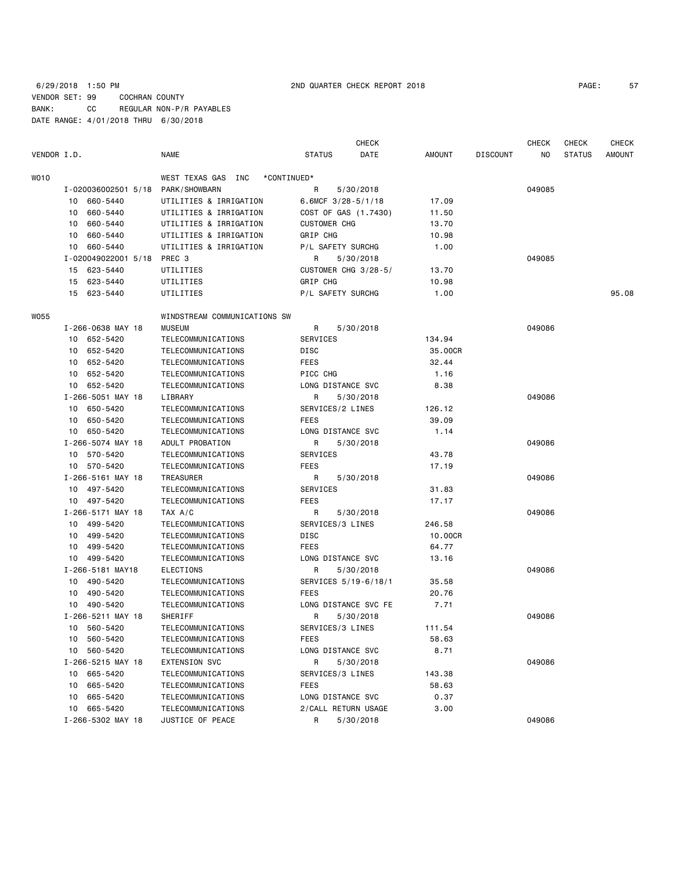## 6/29/2018 1:50 PM 2ND QUARTER CHECK REPORT 2018 PAGE: 57 VENDOR SET: 99 COCHRAN COUNTY BANK: CC REGULAR NON-P/R PAYABLES DATE RANGE: 4/01/2018 THRU 6/30/2018

|             |                     |                              |                        | <b>CHECK</b> |               |                 | <b>CHECK</b> | <b>CHECK</b>  | <b>CHECK</b>  |
|-------------|---------------------|------------------------------|------------------------|--------------|---------------|-----------------|--------------|---------------|---------------|
| VENDOR I.D. |                     | NAME                         | <b>STATUS</b>          | DATE         | <b>AMOUNT</b> | <b>DISCOUNT</b> | NO           | <b>STATUS</b> | <b>AMOUNT</b> |
| WO10        |                     | WEST TEXAS GAS INC           | *CONTINUED*            |              |               |                 |              |               |               |
|             | I-020036002501 5/18 | PARK/SHOWBARN                | R                      | 5/30/2018    |               |                 | 049085       |               |               |
|             | 660-5440<br>10      | UTILITIES & IRRIGATION       | 6.6MCF $3/28 - 5/1/18$ |              | 17.09         |                 |              |               |               |
|             | 660-5440<br>10      | UTILITIES & IRRIGATION       | COST OF GAS (1.7430)   |              | 11.50         |                 |              |               |               |
|             | 660-5440<br>10      | UTILITIES & IRRIGATION       | <b>CUSTOMER CHG</b>    |              | 13.70         |                 |              |               |               |
|             | 660-5440<br>10      | UTILITIES & IRRIGATION       | GRIP CHG               |              | 10.98         |                 |              |               |               |
|             | 660-5440<br>10      | UTILITIES & IRRIGATION       | P/L SAFETY SURCHG      |              | 1.00          |                 |              |               |               |
|             | I-020049022001 5/18 | PREC 3                       | R                      | 5/30/2018    |               |                 | 049085       |               |               |
|             | 623-5440<br>15      | UTILITIES                    | CUSTOMER CHG 3/28-5/   |              | 13.70         |                 |              |               |               |
|             | 623-5440<br>15      | UTILITIES                    | <b>GRIP CHG</b>        |              | 10.98         |                 |              |               |               |
|             | 15<br>623-5440      | UTILITIES                    | P/L SAFETY SURCHG      |              | 1.00          |                 |              |               | 95.08         |
| <b>W055</b> |                     | WINDSTREAM COMMUNICATIONS SW |                        |              |               |                 |              |               |               |
|             | I-266-0638 MAY 18   | <b>MUSEUM</b>                | R                      | 5/30/2018    |               |                 | 049086       |               |               |
|             | 652-5420<br>10      | TELECOMMUNICATIONS           | SERVICES               |              | 134.94        |                 |              |               |               |
|             | 652-5420<br>10      | TELECOMMUNICATIONS           | DISC                   |              | 35.00CR       |                 |              |               |               |
|             | 652-5420<br>10      | TELECOMMUNICATIONS           | <b>FEES</b>            |              | 32.44         |                 |              |               |               |
|             | 652-5420<br>10      | TELECOMMUNICATIONS           | PICC CHG               |              | 1.16          |                 |              |               |               |
|             | 652-5420<br>10      | TELECOMMUNICATIONS           | LONG DISTANCE SVC      |              | 8.38          |                 |              |               |               |
|             | I-266-5051 MAY 18   | LIBRARY                      | R                      | 5/30/2018    |               |                 | 049086       |               |               |
|             | 10 650-5420         | TELECOMMUNICATIONS           | SERVICES/2 LINES       |              | 126.12        |                 |              |               |               |
|             | 650-5420<br>10      | TELECOMMUNICATIONS           | <b>FEES</b>            |              | 39.09         |                 |              |               |               |
|             | 650-5420<br>10      | TELECOMMUNICATIONS           | LONG DISTANCE SVC      |              | 1.14          |                 |              |               |               |
|             | I-266-5074 MAY 18   | ADULT PROBATION              | R                      | 5/30/2018    |               |                 | 049086       |               |               |
|             | 570-5420<br>10      | TELECOMMUNICATIONS           | SERVICES               |              | 43.78         |                 |              |               |               |
|             | 570-5420<br>10      | TELECOMMUNICATIONS           | <b>FEES</b>            |              | 17.19         |                 |              |               |               |
|             | I-266-5161 MAY 18   | TREASURER                    | R                      | 5/30/2018    |               |                 | 049086       |               |               |
|             | 10 497-5420         | TELECOMMUNICATIONS           | SERVICES               |              | 31.83         |                 |              |               |               |
|             | 497-5420<br>10      | TELECOMMUNICATIONS           | <b>FEES</b>            |              | 17.17         |                 |              |               |               |
|             | I-266-5171 MAY 18   | TAX A/C                      | R                      | 5/30/2018    |               |                 | 049086       |               |               |
|             | 10<br>499-5420      | TELECOMMUNICATIONS           | SERVICES/3 LINES       |              | 246.58        |                 |              |               |               |
|             | 499-5420<br>10      | TELECOMMUNICATIONS           | <b>DISC</b>            |              | 10.00CR       |                 |              |               |               |
|             | 499-5420<br>10      | TELECOMMUNICATIONS           | FEES                   |              | 64.77         |                 |              |               |               |
|             | 499-5420<br>10      | TELECOMMUNICATIONS           | LONG DISTANCE SVC      |              | 13.16         |                 |              |               |               |
|             | I-266-5181 MAY18    | ELECTIONS                    | R                      | 5/30/2018    |               |                 | 049086       |               |               |
|             | 10 490-5420         | TELECOMMUNICATIONS           | SERVICES 5/19-6/18/1   |              | 35.58         |                 |              |               |               |
|             | 490-5420<br>10      | TELECOMMUNICATIONS           | FEES                   |              | 20.76         |                 |              |               |               |
|             | 10 490-5420         | TELECOMMUNICATIONS           | LONG DISTANCE SVC FE   |              | 7.71          |                 |              |               |               |
|             | I-266-5211 MAY 18   | SHERIFF                      | R                      | 5/30/2018    |               |                 | 049086       |               |               |
|             | 10 560-5420         | TELECOMMUNICATIONS           | SERVICES/3 LINES       |              | 111.54        |                 |              |               |               |
|             | 560-5420<br>10      | TELECOMMUNICATIONS           | FEES                   |              | 58.63         |                 |              |               |               |
|             | 560-5420<br>10      | TELECOMMUNICATIONS           | LONG DISTANCE SVC      |              | 8.71          |                 |              |               |               |
|             | I-266-5215 MAY 18   | <b>EXTENSION SVC</b>         | R                      | 5/30/2018    |               |                 | 049086       |               |               |
|             | 10 665-5420         | TELECOMMUNICATIONS           | SERVICES/3 LINES       |              | 143.38        |                 |              |               |               |
|             | 665-5420<br>10      | TELECOMMUNICATIONS           | <b>FEES</b>            |              | 58.63         |                 |              |               |               |
|             | 665-5420<br>10      | TELECOMMUNICATIONS           | LONG DISTANCE SVC      |              | 0.37          |                 |              |               |               |
|             | 665-5420<br>10      | TELECOMMUNICATIONS           | 2/CALL RETURN USAGE    |              | 3.00          |                 |              |               |               |
|             | I-266-5302 MAY 18   | JUSTICE OF PEACE             | R                      | 5/30/2018    |               |                 | 049086       |               |               |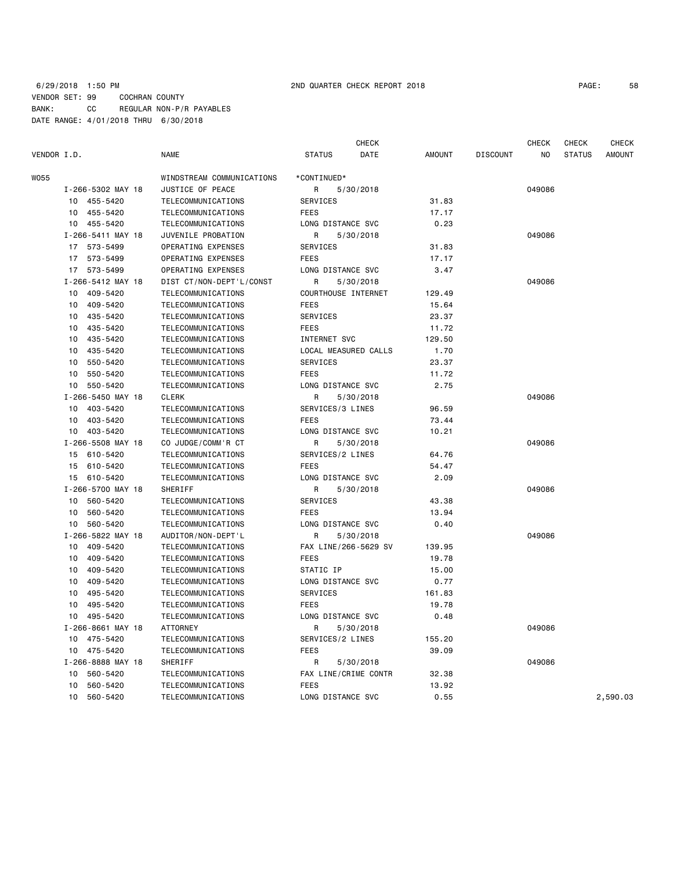## 6/29/2018 1:50 PM 2ND QUARTER CHECK REPORT 2018 PAGE: 58 VENDOR SET: 99 COCHRAN COUNTY BANK: CC REGULAR NON-P/R PAYABLES DATE RANGE: 4/01/2018 THRU 6/30/2018

 CHECK CHECK CHECK CHECK VENDOR I.D. NAME STATUS DATE AMOUNT DISCOUNT NO STATUS AMOUNT

| WO55 |                             | WINDSTREAM COMMUNICATIONS | *CONTINUED*          |        |        |          |
|------|-----------------------------|---------------------------|----------------------|--------|--------|----------|
|      | I-266-5302 MAY 18           | JUSTICE OF PEACE          | 5/30/2018<br>R       |        | 049086 |          |
|      | 10 455-5420                 | TELECOMMUNICATIONS        | SERVICES             | 31.83  |        |          |
|      | 455-5420<br>10              | TELECOMMUNICATIONS        | <b>FEES</b>          | 17.17  |        |          |
|      | 10<br>455-5420              | TELECOMMUNICATIONS        | LONG DISTANCE SVC    | 0.23   |        |          |
|      | I-266-5411 MAY 18           | JUVENILE PROBATION        | R<br>5/30/2018       |        | 049086 |          |
|      | 17 573-5499                 | <b>OPERATING EXPENSES</b> | <b>SERVICES</b>      | 31.83  |        |          |
|      | 573-5499<br>17              | <b>OPERATING EXPENSES</b> | <b>FEES</b>          | 17.17  |        |          |
|      | 573-5499<br>17              | <b>OPERATING EXPENSES</b> | LONG DISTANCE SVC    | 3.47   |        |          |
|      | I-266-5412 MAY 18           | DIST CT/NON-DEPT'L/CONST  | R<br>5/30/2018       |        | 049086 |          |
|      | 10 <sup>1</sup><br>409-5420 | TELECOMMUNICATIONS        | COURTHOUSE INTERNET  | 129.49 |        |          |
|      | 409-5420<br>10              | TELECOMMUNICATIONS        | <b>FEES</b>          | 15.64  |        |          |
|      | 435-5420<br>10              | TELECOMMUNICATIONS        | <b>SERVICES</b>      | 23.37  |        |          |
|      | 435-5420<br>10              | TELECOMMUNICATIONS        | <b>FEES</b>          | 11.72  |        |          |
|      | 435-5420<br>10              | TELECOMMUNICATIONS        | INTERNET SVC         | 129.50 |        |          |
|      | 435-5420<br>10              | TELECOMMUNICATIONS        | LOCAL MEASURED CALLS | 1.70   |        |          |
|      | 550-5420<br>10              | TELECOMMUNICATIONS        | SERVICES             | 23.37  |        |          |
|      | 550-5420<br>10              | TELECOMMUNICATIONS        | <b>FEES</b>          | 11.72  |        |          |
|      | 550-5420<br>10              | TELECOMMUNICATIONS        | LONG DISTANCE SVC    | 2.75   |        |          |
|      | I-266-5450 MAY 18           | <b>CLERK</b>              | R<br>5/30/2018       |        | 049086 |          |
|      | 10 403-5420                 | TELECOMMUNICATIONS        | SERVICES/3 LINES     | 96.59  |        |          |
|      | 403-5420<br>10              | TELECOMMUNICATIONS        | <b>FEES</b>          | 73.44  |        |          |
|      | 10 403-5420                 | TELECOMMUNICATIONS        | LONG DISTANCE SVC    | 10.21  |        |          |
|      | I-266-5508 MAY 18           | CO JUDGE/COMM'R CT        | R<br>5/30/2018       |        | 049086 |          |
|      | 15 610-5420                 | TELECOMMUNICATIONS        | SERVICES/2 LINES     | 64.76  |        |          |
|      | 610-5420<br>15              | TELECOMMUNICATIONS        | <b>FEES</b>          | 54.47  |        |          |
|      | 15<br>610-5420              | TELECOMMUNICATIONS        | LONG DISTANCE SVC    | 2.09   |        |          |
|      | I-266-5700 MAY 18           | <b>SHERIFF</b>            | R<br>5/30/2018       |        | 049086 |          |
|      | 10 560-5420                 | TELECOMMUNICATIONS        | SERVICES             | 43.38  |        |          |
|      | 560-5420<br>10              | TELECOMMUNICATIONS        | <b>FEES</b>          | 13.94  |        |          |
|      | 10 560-5420                 | TELECOMMUNICATIONS        | LONG DISTANCE SVC    | 0.40   |        |          |
|      | I-266-5822 MAY 18           | AUDITOR/NON-DEPT'L        | R<br>5/30/2018       |        | 049086 |          |
|      | 10<br>409-5420              | TELECOMMUNICATIONS        | FAX LINE/266-5629 SV | 139.95 |        |          |
|      | 409-5420<br>10              | TELECOMMUNICATIONS        | <b>FEES</b>          | 19.78  |        |          |
|      | 409-5420<br>10              | TELECOMMUNICATIONS        | STATIC IP            | 15.00  |        |          |
|      | 409-5420<br>10              | TELECOMMUNICATIONS        | LONG DISTANCE SVC    | 0.77   |        |          |
|      | 495-5420<br>10              | TELECOMMUNICATIONS        | SERVICES             | 161.83 |        |          |
|      | 495-5420<br>10              | TELECOMMUNICATIONS        | <b>FEES</b>          | 19.78  |        |          |
|      | 495-5420<br>10              | TELECOMMUNICATIONS        | LONG DISTANCE SVC    | 0.48   |        |          |
|      | I-266-8661 MAY 18           | <b>ATTORNEY</b>           | 5/30/2018<br>R       |        | 049086 |          |
|      | 475-5420<br>10              | TELECOMMUNICATIONS        | SERVICES/2 LINES     | 155.20 |        |          |
|      | 10 475-5420                 | TELECOMMUNICATIONS        | <b>FEES</b>          | 39.09  |        |          |
|      | I-266-8888 MAY 18           | SHERIFF                   | R<br>5/30/2018       |        | 049086 |          |
|      | 560-5420<br>10              | TELECOMMUNICATIONS        | FAX LINE/CRIME CONTR | 32.38  |        |          |
|      | 560-5420<br>10              | TELECOMMUNICATIONS        | <b>FEES</b>          | 13.92  |        |          |
|      | 10<br>560-5420              | TELECOMMUNICATIONS        | LONG DISTANCE SVC    | 0.55   |        | 2,590.03 |
|      |                             |                           |                      |        |        |          |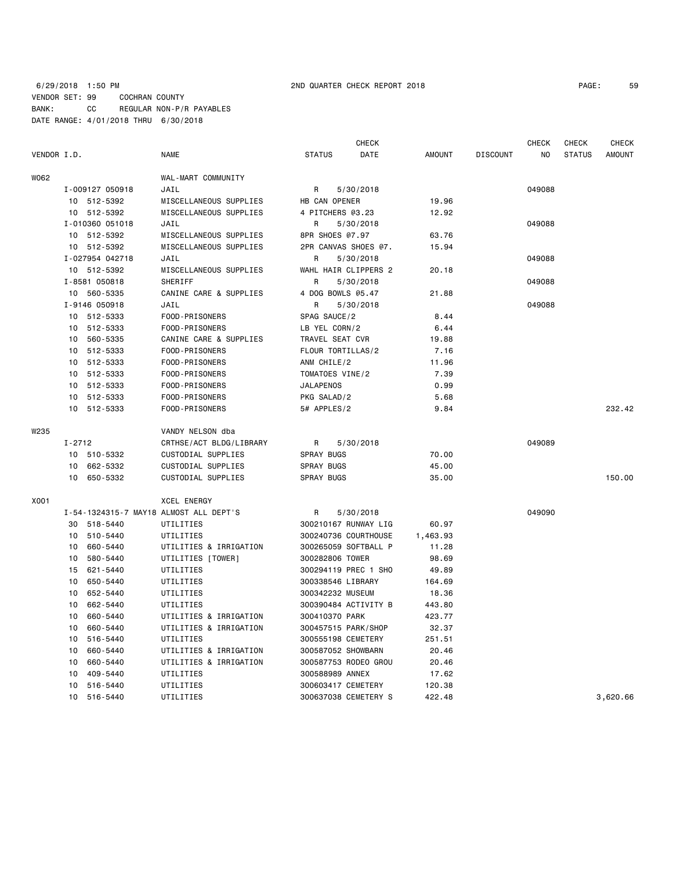## 6/29/2018 1:50 PM 2ND QUARTER CHECK REPORT 2018 PAGE: 59 VENDOR SET: 99 COCHRAN COUNTY BANK: CC REGULAR NON-P/R PAYABLES DATE RANGE: 4/01/2018 THRU 6/30/2018

| PAGE: | 59 |
|-------|----|
|-------|----|

|             |                 |                                        | <b>CHECK</b>          |               |                 | <b>CHECK</b> | CHECK         | <b>CHECK</b>  |
|-------------|-----------------|----------------------------------------|-----------------------|---------------|-----------------|--------------|---------------|---------------|
| VENDOR I.D. |                 | NAME                                   | <b>STATUS</b><br>DATE | <b>AMOUNT</b> | <b>DISCOUNT</b> | ΝO           | <b>STATUS</b> | <b>AMOUNT</b> |
| W062        |                 | WAL-MART COMMUNITY                     |                       |               |                 |              |               |               |
|             | I-009127 050918 | JAIL                                   | R<br>5/30/2018        |               |                 | 049088       |               |               |
|             | 10 512-5392     | MISCELLANEOUS SUPPLIES                 | HB CAN OPENER         | 19.96         |                 |              |               |               |
|             | 10 512-5392     | MISCELLANEOUS SUPPLIES                 | 4 PITCHERS @3.23      | 12.92         |                 |              |               |               |
|             | I-010360 051018 | JAIL                                   | R<br>5/30/2018        |               |                 | 049088       |               |               |
|             | 10 512-5392     | MISCELLANEOUS SUPPLIES                 | 8PR SHOES @7.97       | 63.76         |                 |              |               |               |
|             | 10 512-5392     | MISCELLANEOUS SUPPLIES                 | 2PR CANVAS SHOES @7.  | 15.94         |                 |              |               |               |
|             | I-027954 042718 | JAIL                                   | R<br>5/30/2018        |               |                 | 049088       |               |               |
|             | 10 512-5392     | MISCELLANEOUS SUPPLIES                 | WAHL HAIR CLIPPERS 2  | 20.18         |                 |              |               |               |
|             | I-8581 050818   | <b>SHERIFF</b>                         | R<br>5/30/2018        |               |                 | 049088       |               |               |
|             | 10 560-5335     | CANINE CARE & SUPPLIES                 | 4 DOG BOWLS @5.47     | 21.88         |                 |              |               |               |
|             | I-9146 050918   | JAIL                                   | R<br>5/30/2018        |               |                 | 049088       |               |               |
|             | 10 512-5333     | FOOD-PRISONERS                         | SPAG SAUCE/2          | 8.44          |                 |              |               |               |
|             | 10 512-5333     | FOOD-PRISONERS                         | LB YEL CORN/2         | 6.44          |                 |              |               |               |
|             | 560-5335<br>10  | CANINE CARE & SUPPLIES                 | TRAVEL SEAT CVR       | 19.88         |                 |              |               |               |
|             | 10<br>512-5333  | FOOD-PRISONERS                         | FLOUR TORTILLAS/2     | 7.16          |                 |              |               |               |
|             | 512-5333<br>10  | FOOD-PRISONERS                         | ANM CHILE/2           | 11.96         |                 |              |               |               |
|             | 512-5333<br>10  | FOOD-PRISONERS                         | TOMATOES VINE/2       | 7.39          |                 |              |               |               |
|             | 10 512-5333     | FOOD-PRISONERS                         | <b>JALAPENOS</b>      | 0.99          |                 |              |               |               |
|             | 512-5333<br>10  | FOOD-PRISONERS                         | PKG SALAD/2           | 5.68          |                 |              |               |               |
|             | 10 512-5333     | FOOD-PRISONERS                         | 5# APPLES/2           | 9.84          |                 |              |               | 232.42        |
| W235        |                 | VANDY NELSON dba                       |                       |               |                 |              |               |               |
|             | $I - 2712$      | CRTHSE/ACT BLDG/LIBRARY                | R<br>5/30/2018        |               |                 | 049089       |               |               |
|             | 10 510-5332     | CUSTODIAL SUPPLIES                     | <b>SPRAY BUGS</b>     | 70.00         |                 |              |               |               |
|             | 662-5332<br>10  | CUSTODIAL SUPPLIES                     | SPRAY BUGS            | 45.00         |                 |              |               |               |
|             | 10<br>650-5332  | CUSTODIAL SUPPLIES                     | <b>SPRAY BUGS</b>     | 35.00         |                 |              |               | 150.00        |
| X001        |                 | <b>XCEL ENERGY</b>                     |                       |               |                 |              |               |               |
|             |                 | I-54-1324315-7 MAY18 ALMOST ALL DEPT'S | R<br>5/30/2018        |               |                 | 049090       |               |               |
|             | 30 518-5440     | UTILITIES                              | 300210167 RUNWAY LIG  | 60.97         |                 |              |               |               |
|             | 510-5440<br>10  | UTILITIES                              | 300240736 COURTHOUSE  | 1,463.93      |                 |              |               |               |
|             | 660-5440<br>10  | UTILITIES & IRRIGATION                 | 300265059 SOFTBALL P  | 11.28         |                 |              |               |               |
|             | 580-5440<br>10  | UTILITIES [TOWER]                      | 300282806 TOWER       | 98.69         |                 |              |               |               |
|             | 621-5440<br>15  | UTILITIES                              | 300294119 PREC 1 SHO  | 49.89         |                 |              |               |               |
|             | 650-5440<br>10  | UTILITIES                              | 300338546 LIBRARY     | 164.69        |                 |              |               |               |
|             | 652-5440<br>10  | UTILITIES                              | 300342232 MUSEUM      | 18.36         |                 |              |               |               |
|             | 662-5440<br>10  | UTILITIES                              | 300390484 ACTIVITY B  | 443.80        |                 |              |               |               |
|             | 660-5440<br>10  | UTILITIES & IRRIGATION                 | 300410370 PARK        | 423.77        |                 |              |               |               |
|             | 10<br>660-5440  | UTILITIES & IRRIGATION                 | 300457515 PARK/SHOP   | 32.37         |                 |              |               |               |
|             | 516-5440<br>10  | UTILITIES                              | 300555198 CEMETERY    | 251.51        |                 |              |               |               |
|             | 10<br>660-5440  | UTILITIES & IRRIGATION                 | 300587052 SHOWBARN    | 20.46         |                 |              |               |               |
|             | 660-5440<br>10  | UTILITIES & IRRIGATION                 | 300587753 RODEO GROU  | 20.46         |                 |              |               |               |
|             | 409-5440<br>10  | UTILITIES                              | 300588989 ANNEX       | 17.62         |                 |              |               |               |
|             | 516-5440<br>10  | UTILITIES                              | 300603417 CEMETERY    | 120.38        |                 |              |               |               |
|             | 10<br>516-5440  | UTILITIES                              | 300637038 CEMETERY S  | 422.48        |                 |              |               | 3,620.66      |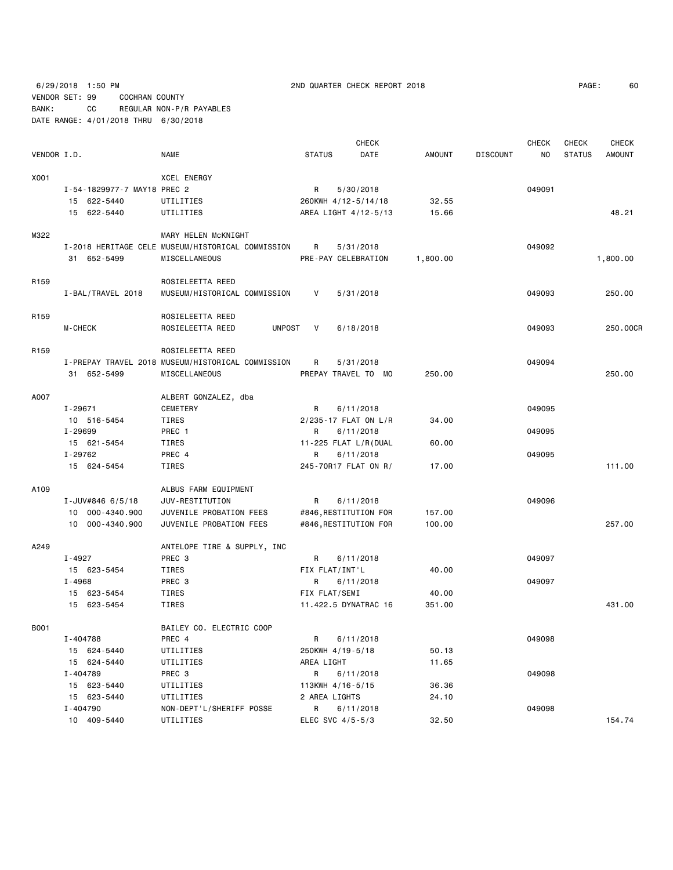6/29/2018 1:50 PM 2ND QUARTER CHECK REPORT 2018 PAGE: 60 VENDOR SET: 99 COCHRAN COUNTY BANK: CC REGULAR NON-P/R PAYABLES DATE RANGE: 4/01/2018 THRU 6/30/2018

| PAGE: | 60 |
|-------|----|
|-------|----|

|                  |                             |                                                   |               | CHECK                 |                 |                 | <b>CHECK</b> | <b>CHECK</b>  | <b>CHECK</b>  |
|------------------|-----------------------------|---------------------------------------------------|---------------|-----------------------|-----------------|-----------------|--------------|---------------|---------------|
| VENDOR I.D.      |                             | NAME                                              | <b>STATUS</b> | DATE                  | AMOUNT          | <b>DISCOUNT</b> | NO           | <b>STATUS</b> | <b>AMOUNT</b> |
| X001             |                             | <b>XCEL ENERGY</b>                                |               |                       |                 |                 |              |               |               |
|                  | I-54-1829977-7 MAY18 PREC 2 |                                                   | R             | 5/30/2018             |                 |                 | 049091       |               |               |
|                  | 15 622-5440                 | UTILITIES                                         |               | 260KWH 4/12-5/14/18   | 32.55           |                 |              |               |               |
|                  | 15 622-5440                 | UTILITIES                                         |               | AREA LIGHT 4/12-5/13  | 15.66           |                 |              |               | 48.21         |
|                  |                             |                                                   |               |                       |                 |                 |              |               |               |
| M322             |                             | MARY HELEN MCKNIGHT                               |               |                       |                 |                 |              |               |               |
|                  |                             | I-2018 HERITAGE CELE MUSEUM/HISTORICAL COMMISSION | R             | 5/31/2018             |                 |                 | 049092       |               |               |
|                  | 31 652-5499                 | MISCELLANEOUS                                     |               | PRE-PAY CELEBRATION   | 1,800.00        |                 |              |               | 1,800.00      |
| R <sub>159</sub> |                             | ROSIELEETTA REED                                  |               |                       |                 |                 |              |               |               |
|                  | I-BAL/TRAVEL 2018           | MUSEUM/HISTORICAL COMMISSION                      | V             | 5/31/2018             |                 |                 | 049093       |               | 250.00        |
| R <sub>159</sub> |                             | ROSIELEETTA REED                                  |               |                       |                 |                 |              |               |               |
|                  | M-CHECK                     | ROSIELEETTA REED<br>UNPOST                        | V             | 6/18/2018             |                 |                 | 049093       |               | 250.00CR      |
|                  |                             |                                                   |               |                       |                 |                 |              |               |               |
| R <sub>159</sub> |                             | ROSIELEETTA REED                                  |               |                       |                 |                 |              |               |               |
|                  |                             | I-PREPAY TRAVEL 2018 MUSEUM/HISTORICAL COMMISSION | R             | 5/31/2018             |                 |                 | 049094       |               |               |
|                  | 31 652-5499                 | MISCELLANEOUS                                     |               | PREPAY TRAVEL TO MO   | 250.00          |                 |              |               | 250.00        |
| A007             |                             | ALBERT GONZALEZ, dba                              |               |                       |                 |                 |              |               |               |
|                  | I-29671                     | CEMETERY                                          | R             | 6/11/2018             |                 |                 | 049095       |               |               |
|                  | 10 516-5454                 | TIRES                                             |               | 2/235-17 FLAT ON L/R  | 34.00           |                 |              |               |               |
|                  | I-29699                     | PREC 1                                            | R             | 6/11/2018             |                 |                 | 049095       |               |               |
|                  | 15 621-5454                 | TIRES                                             |               | 11-225 FLAT L/R(DUAL  | 60.00           |                 |              |               |               |
|                  | I-29762                     | PREC 4                                            | R             | 6/11/2018             |                 |                 | 049095       |               |               |
|                  | 15 624-5454                 | TIRES                                             |               | 245-70R17 FLAT ON R/  | 17.00           |                 |              |               | 111.00        |
| A109             |                             | ALBUS FARM EQUIPMENT                              |               |                       |                 |                 |              |               |               |
|                  | I-JUV#846 $6/5/18$          | JUV-RESTITUTION                                   | R             | 6/11/2018             |                 |                 | 049096       |               |               |
|                  | 10 000-4340.900             | JUVENILE PROBATION FEES                           |               | #846, RESTITUTION FOR | 157.00          |                 |              |               |               |
|                  | 10 000-4340.900             | JUVENILE PROBATION FEES                           |               | #846, RESTITUTION FOR | 100.00          |                 |              |               | 257.00        |
|                  |                             |                                                   |               |                       |                 |                 |              |               |               |
| A249             |                             | ANTELOPE TIRE & SUPPLY, INC                       |               |                       |                 |                 |              |               |               |
|                  | I-4927                      | PREC <sub>3</sub>                                 | R             | 6/11/2018             |                 |                 | 049097       |               |               |
|                  | 15 623-5454                 | TIRES                                             |               | FIX FLAT/INT'L        | 40.00           |                 |              |               |               |
|                  | I-4968                      | PREC 3                                            | R             | 6/11/2018             |                 |                 | 049097       |               |               |
|                  | 15 623-5454                 | TIRES                                             | FIX FLAT/SEMI |                       | 40.00<br>351.00 |                 |              |               | 431.00        |
|                  | 15 623-5454                 | TIRES                                             |               | 11.422.5 DYNATRAC 16  |                 |                 |              |               |               |
| B001             |                             | BAILEY CO. ELECTRIC COOP                          |               |                       |                 |                 |              |               |               |
|                  | I-404788                    | PREC 4                                            | R             | 6/11/2018             |                 |                 | 049098       |               |               |
|                  | 15 624-5440                 | UTILITIES                                         |               | 250KWH 4/19-5/18      | 50.13           |                 |              |               |               |
|                  | 15 624-5440                 | UTILITIES                                         | AREA LIGHT    |                       | 11.65           |                 |              |               |               |
|                  | I-404789                    | PREC 3                                            | R             | 6/11/2018             |                 |                 | 049098       |               |               |
|                  | 15 623-5440                 | UTILITIES                                         |               | 113KWH 4/16-5/15      | 36.36           |                 |              |               |               |
|                  | 15 623-5440                 | UTILITIES                                         | 2 AREA LIGHTS |                       | 24.10           |                 |              |               |               |
|                  | I-404790                    | NON-DEPT'L/SHERIFF POSSE                          | R             | 6/11/2018             |                 |                 | 049098       |               |               |
|                  | 10 409-5440                 | UTILITIES                                         |               | ELEC SVC 4/5-5/3      | 32.50           |                 |              |               | 154.74        |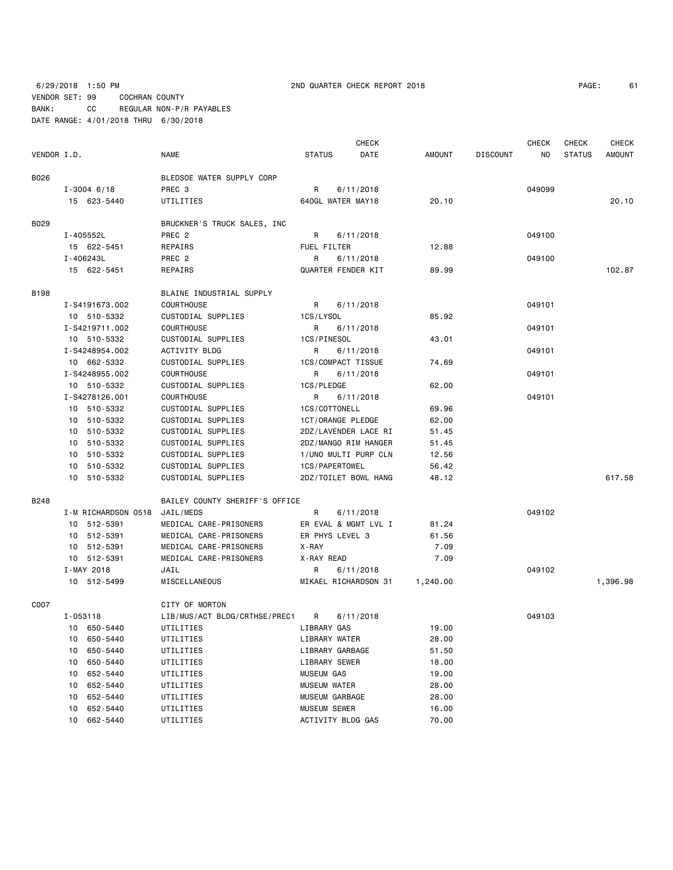6/29/2018 1:50 PM 2ND QUARTER CHECK REPORT 2018 PAGE: 61 VENDOR SET: 99 COCHRAN COUNTY BANK: CC REGULAR NON-P/R PAYABLES DATE RANGE: 4/01/2018 THRU 6/30/2018

| VENDOR I.D. |                 | <b>NAME</b>                  | <b>STATUS</b> | <b>DATE</b>          | AMOUNT | DISCOUNT | NO.    | STATUS | <b>AMOUNT</b> |
|-------------|-----------------|------------------------------|---------------|----------------------|--------|----------|--------|--------|---------------|
| B026        |                 | BLEDSOE WATER SUPPLY CORP    |               |                      |        |          |        |        |               |
|             | $I - 3004$ 6/18 | PREC 3                       | $\mathsf{R}$  | 6/11/2018            |        |          | 049099 |        |               |
|             | 15 623-5440     | UTILITIES                    |               | 640GL WATER MAY18    | 20.10  |          |        |        | 20.10         |
| B029        |                 | BRUCKNER'S TRUCK SALES, INC. |               |                      |        |          |        |        |               |
|             | I-405552L       | PREC 2                       |               | R 6/11/2018          |        |          | 049100 |        |               |
|             | 15 622-5451     | REPAIRS                      |               | FUEL FILTER          | 12.88  |          |        |        |               |
|             | I-406243L       | PREC 2                       | R.            | 6/11/2018            |        |          | 049100 |        |               |
|             | 15 622-5451     | REPAIRS                      |               | QUARTER FENDER KIT   | 89.99  |          |        |        | 102.87        |
| B198        |                 | BLAINE INDUSTRIAL SUPPLY     |               |                      |        |          |        |        |               |
|             | I-S4191673.002  | COURTHOUSE                   | R             | 6/11/2018            |        |          | 049101 |        |               |
|             | 10 510-5332     | CUSTODIAL SUPPLIES           | 1CS/LYSOL     |                      | 85.92  |          |        |        |               |
|             | I-S4219711.002  | <b>COURTHOUSE</b>            |               | R 6/11/2018          |        |          | 049101 |        |               |
|             | 10 510-5332     | CUSTODIAL SUPPLIES           | 1CS/PINESOL   |                      | 43.01  |          |        |        |               |
|             | I-S4248954.002  | <b>ACTIVITY BLDG</b>         | $\mathsf{R}$  | 6/11/2018            |        |          | 049101 |        |               |
|             | 10 662-5332     | CUSTODIAL SUPPLIES           |               | 1CS/COMPACT TISSUE   | 74.69  |          |        |        |               |
|             | I-S4248955.002  | COURTHOUSE                   |               | R 6/11/2018          |        |          | 049101 |        |               |
|             | 10 510-5332     | CUSTODIAL SUPPLIES           | 1CS/PLEDGE    |                      | 62.00  |          |        |        |               |
|             | I-S4278126.001  | COURTHOUSE                   |               | R 6/11/2018          |        |          | 049101 |        |               |
|             | 10 510-5332     | CUSTODIAL SUPPLIES           |               | 1CS/COTTONELL        | 69.96  |          |        |        |               |
|             | 10 510-5332     | CUSTODIAL SUPPLIES           |               | 1CT/ORANGE PLEDGE    | 62.00  |          |        |        |               |
|             | 10 510-5332     | CUSTODIAL SUPPLIES           |               | 2DZ/LAVENDER LACE RI | 51.45  |          |        |        |               |
|             | 10 510-5332     | CUSTODIAL SUPPLIES           |               | 2DZ/MANGO RIM HANGER | 51.45  |          |        |        |               |
|             |                 |                              |               |                      |        |          |        |        |               |

 10 510-5332 CUSTODIAL SUPPLIES 1/UNO MULTI PURP CLN 12.56 10 510-5332 CUSTODIAL SUPPLIES 1CS/PAPERTOWEL 56.42

 10 512-5391 MEDICAL CARE-PRISONERS ER EVAL & MGMT LVL I 81.24 10 512-5391 MEDICAL CARE-PRISONERS ER PHYS LEVEL 3 61.56

B248 BAILEY COUNTY SHERIFF'S OFFICE

CHECK CHECK CHECK CHECK

|      |          | 10 512-5391 | MEDICAL CARE-PRISONERS        | X - RAY             |                       | 7.09     |        |          |
|------|----------|-------------|-------------------------------|---------------------|-----------------------|----------|--------|----------|
|      |          | 10 512-5391 | MEDICAL CARE-PRISONERS        | X-RAY READ          |                       | 7.09     |        |          |
|      |          | I-MAY 2018  | JAIL                          | R                   | 6/11/2018             |          | 049102 |          |
|      |          | 10 512-5499 | MISCELLANEOUS                 |                     | MIKAEL RICHARDSON 31  | 1,240.00 |        | 1,396.98 |
| C007 |          |             | CITY OF MORTON                |                     |                       |          |        |          |
|      | I-053118 |             | LIB/MUS/ACT BLDG/CRTHSE/PREC1 | R                   | 6/11/2018             |          | 049103 |          |
|      | 10       | 650-5440    | UTILITIES                     | LIBRARY GAS         |                       | 19.00    |        |          |
|      | 10       | 650-5440    | UTILITIES                     |                     | LIBRARY WATER         | 28.00    |        |          |
|      | 10       | 650-5440    | UTILITIES                     |                     | LIBRARY GARBAGE       | 51.50    |        |          |
|      | 10       | 650-5440    | UTILITIES                     |                     | LIBRARY SEWER         | 18.00    |        |          |
|      | 10       | 652-5440    | UTILITIES                     | MUSEUM GAS          |                       | 19.00    |        |          |
|      | 10       | 652-5440    | UTILITIES                     | <b>MUSEUM WATER</b> |                       | 28.00    |        |          |
|      | 10       | 652-5440    | UTILITIES                     |                     | <b>MUSEUM GARBAGE</b> | 28.00    |        |          |
|      | 10       | 652-5440    | UTILITIES                     | <b>MUSEUM SEWER</b> |                       | 16.00    |        |          |
|      | 10       | 662-5440    | UTILITIES                     |                     | ACTIVITY BLDG GAS     | 70.00    |        |          |

10 510-5332 CUSTODIAL SUPPLIES 2DZ/TOILET BOWL HANG 48.12 617.58

I-M RICHARDSON 0518 JAIL/MEDS R 6/11/2018 049102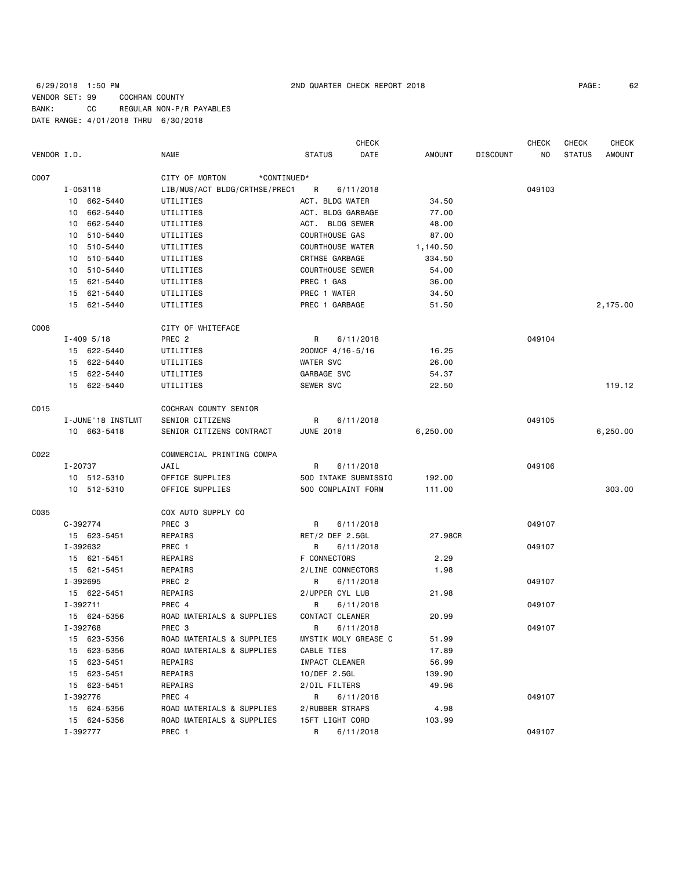6/29/2018 1:50 PM 2ND QUARTER CHECK REPORT 2018 PAGE: 62 VENDOR SET: 99 COCHRAN COUNTY BANK: CC REGULAR NON-P/R PAYABLES DATE RANGE: 4/01/2018 THRU 6/30/2018

CHECK CHECK CHECK CHECK CHECK VENDOR I.D. NAME STATUS DATE AMOUNT DISCOUNT NO STATUS AMOUNT

| C007             |                   | CITY OF MORTON<br>*CONTINUED* |                           |          |        |          |
|------------------|-------------------|-------------------------------|---------------------------|----------|--------|----------|
|                  | $I - 053118$      | LIB/MUS/ACT BLDG/CRTHSE/PREC1 | $\mathsf{R}$<br>6/11/2018 |          | 049103 |          |
|                  | 10 662-5440       | UTILITIES                     | ACT. BLDG WATER           | 34.50    |        |          |
|                  | 10 662-5440       | UTILITIES                     | ACT. BLDG GARBAGE         | 77.00    |        |          |
|                  | 10 662-5440       | UTILITIES                     | ACT. BLDG SEWER           | 48.00    |        |          |
|                  | 10 510-5440       | UTILITIES                     | <b>COURTHOUSE GAS</b>     | 87.00    |        |          |
|                  | 10 510-5440       | UTILITIES                     | <b>COURTHOUSE WATER</b>   | 1,140.50 |        |          |
|                  | 10 510-5440       | UTILITIES                     | CRTHSE GARBAGE            | 334.50   |        |          |
|                  | 10 510-5440       | UTILITIES                     | <b>COURTHOUSE SEWER</b>   | 54.00    |        |          |
|                  | 15 621-5440       | UTILITIES                     | PREC 1 GAS                | 36.00    |        |          |
|                  | 15 621-5440       | UTILITIES                     | PREC 1 WATER              | 34.50    |        |          |
|                  | 15 621-5440       | UTILITIES                     | PREC 1 GARBAGE            | 51.50    |        | 2,175.00 |
| C <sub>008</sub> |                   | CITY OF WHITEFACE             |                           |          |        |          |
|                  | $I - 409$ 5/18    | PREC <sub>2</sub>             | R<br>6/11/2018            |          | 049104 |          |
|                  | 15 622-5440       | UTILITIES                     | 200MCF 4/16-5/16          | 16.25    |        |          |
|                  | 15 622-5440       | UTILITIES                     | WATER SVC                 | 26.00    |        |          |
|                  | 15 622-5440       |                               | GARBAGE SVC               |          |        |          |
|                  |                   | UTILITIES                     |                           | 54.37    |        | 119.12   |
|                  | 15 622-5440       | UTILITIES                     | SEWER SVC                 | 22.50    |        |          |
| C015             |                   | COCHRAN COUNTY SENIOR         |                           |          |        |          |
|                  | I-JUNE'18 INSTLMT | SENIOR CITIZENS               | R<br>6/11/2018            |          | 049105 |          |
|                  | 10 663-5418       | SENIOR CITIZENS CONTRACT      | <b>JUNE 2018</b>          | 6,250.00 |        | 6,250.00 |
| C022             |                   | COMMERCIAL PRINTING COMPA     |                           |          |        |          |
|                  | I-20737           | JAIL                          | R<br>6/11/2018            |          | 049106 |          |
|                  | 10 512-5310       | OFFICE SUPPLIES               | 500 INTAKE SUBMISSIO      | 192.00   |        |          |
|                  | 10 512-5310       | OFFICE SUPPLIES               | 500 COMPLAINT FORM        | 111.00   |        | 303.00   |
| C035             |                   | COX AUTO SUPPLY CO            |                           |          |        |          |
|                  | C-392774          | PREC 3                        | R<br>6/11/2018            |          | 049107 |          |
|                  | 15 623-5451       | REPAIRS                       | RET/2 DEF 2.5GL           | 27.98CR  |        |          |
|                  | I-392632          | PREC 1                        | R<br>6/11/2018            |          | 049107 |          |
|                  | 15 621-5451       | REPAIRS                       | F CONNECTORS              | 2.29     |        |          |
|                  | 15 621-5451       | REPAIRS                       | 2/LINE CONNECTORS         | 1.98     |        |          |
|                  | I-392695          | PREC <sub>2</sub>             | R<br>6/11/2018            |          | 049107 |          |
|                  | 15 622-5451       | REPAIRS                       | 2/UPPER CYL LUB           | 21.98    |        |          |
|                  | I-392711          | PREC 4                        | R<br>6/11/2018            |          | 049107 |          |
|                  | 15 624-5356       | ROAD MATERIALS & SUPPLIES     | CONTACT CLEANER           | 20.99    |        |          |
|                  | I-392768          | PREC 3                        | R<br>6/11/2018            |          | 049107 |          |
|                  | 15 623-5356       | ROAD MATERIALS & SUPPLIES     | MYSTIK MOLY GREASE C      | 51.99    |        |          |
|                  | 15 623-5356       | ROAD MATERIALS & SUPPLIES     | CABLE TIES                | 17.89    |        |          |
|                  | 15 623-5451       | REPAIRS                       | IMPACT CLEANER            | 56.99    |        |          |
|                  | 15 623-5451       | REPAIRS                       | 10/DEF 2.5GL              | 139.90   |        |          |
|                  | 15 623-5451       | REPAIRS                       | 2/OIL FILTERS             | 49.96    |        |          |
|                  | I-392776          | PREC 4                        | 6/11/2018<br>R            |          | 049107 |          |
|                  | 15 624-5356       | ROAD MATERIALS & SUPPLIES     | 2/RUBBER STRAPS           | 4.98     |        |          |
|                  | 15 624-5356       | ROAD MATERIALS & SUPPLIES     | 15FT LIGHT CORD           | 103.99   |        |          |
|                  | I-392777          | PREC 1                        | R 6/11/2018               |          | 049107 |          |
|                  |                   |                               |                           |          |        |          |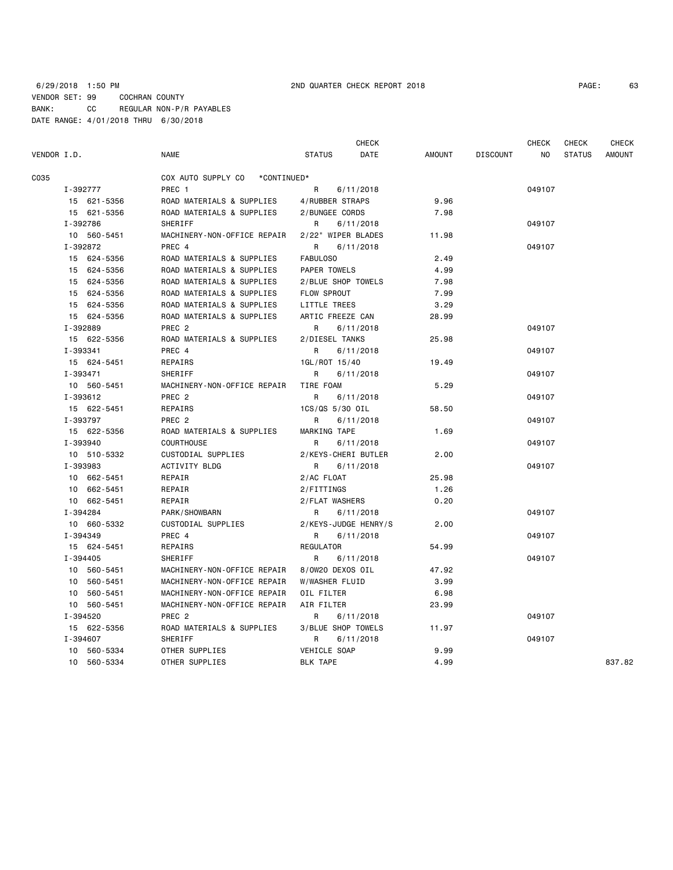|             |             |                                   | <b>CHECK</b>          |        |                 | <b>CHECK</b> | <b>CHECK</b>  | <b>CHECK</b>  |
|-------------|-------------|-----------------------------------|-----------------------|--------|-----------------|--------------|---------------|---------------|
| VENDOR I.D. |             | NAME                              | <b>STATUS</b><br>DATE | AMOUNT | <b>DISCOUNT</b> | NO           | <b>STATUS</b> | <b>AMOUNT</b> |
| C035        |             | COX AUTO SUPPLY CO<br>*CONTINUED* |                       |        |                 |              |               |               |
|             | I-392777    | PREC 1                            | R<br>6/11/2018        |        |                 | 049107       |               |               |
|             | 15 621-5356 | ROAD MATERIALS & SUPPLIES         | 4/RUBBER STRAPS       | 9.96   |                 |              |               |               |
|             | 15 621-5356 | ROAD MATERIALS & SUPPLIES         | 2/BUNGEE CORDS        | 7.98   |                 |              |               |               |
|             | I-392786    | <b>SHERIFF</b>                    | R<br>6/11/2018        |        |                 | 049107       |               |               |
|             | 10 560-5451 | MACHINERY-NON-OFFICE REPAIR       | 2/22" WIPER BLADES    | 11.98  |                 |              |               |               |
|             | I-392872    | PREC 4                            | R<br>6/11/2018        |        |                 | 049107       |               |               |
|             | 15 624-5356 | ROAD MATERIALS & SUPPLIES         | FABULOS0              | 2.49   |                 |              |               |               |
|             | 15 624-5356 | ROAD MATERIALS & SUPPLIES         | PAPER TOWELS          | 4.99   |                 |              |               |               |
|             | 15 624-5356 | ROAD MATERIALS & SUPPLIES         | 2/BLUE SHOP TOWELS    | 7.98   |                 |              |               |               |
|             | 15 624-5356 | ROAD MATERIALS & SUPPLIES         | <b>FLOW SPROUT</b>    | 7.99   |                 |              |               |               |
|             | 15 624-5356 | ROAD MATERIALS & SUPPLIES         | LITTLE TREES          | 3.29   |                 |              |               |               |
|             | 15 624-5356 | ROAD MATERIALS & SUPPLIES         | ARTIC FREEZE CAN      | 28.99  |                 |              |               |               |
|             | I-392889    | PREC 2                            | R<br>6/11/2018        |        |                 | 049107       |               |               |
|             | 15 622-5356 | ROAD MATERIALS & SUPPLIES         | 2/DIESEL TANKS        | 25.98  |                 |              |               |               |
|             | I-393341    | PREC 4                            | 6/11/2018<br>R        |        |                 | 049107       |               |               |
|             | 15 624-5451 | REPAIRS                           | 1GL/ROT 15/40         | 19.49  |                 |              |               |               |
|             | I-393471    | SHERIFF                           | R<br>6/11/2018        |        |                 | 049107       |               |               |
|             | 10 560-5451 | MACHINERY-NON-OFFICE REPAIR       | TIRE FOAM             | 5.29   |                 |              |               |               |
|             | I-393612    | PREC <sub>2</sub>                 | R<br>6/11/2018        |        |                 | 049107       |               |               |
|             | 15 622-5451 | REPAIRS                           | 1CS/QS 5/30 OIL       | 58.50  |                 |              |               |               |
|             | I-393797    | PREC <sub>2</sub>                 | R<br>6/11/2018        |        |                 | 049107       |               |               |
|             | 15 622-5356 | ROAD MATERIALS & SUPPLIES         | MARKING TAPE          | 1.69   |                 |              |               |               |
|             | I-393940    | <b>COURTHOUSE</b>                 | R<br>6/11/2018        |        |                 | 049107       |               |               |
|             | 10 510-5332 | CUSTODIAL SUPPLIES                | 2/KEYS-CHERI BUTLER   | 2.00   |                 |              |               |               |
|             | I-393983    | <b>ACTIVITY BLDG</b>              | R<br>6/11/2018        |        |                 | 049107       |               |               |
|             | 10 662-5451 | REPAIR                            | 2/AC FLOAT            | 25.98  |                 |              |               |               |
|             | 10 662-5451 | REPAIR                            | 2/FITTINGS            | 1.26   |                 |              |               |               |
|             | 10 662-5451 | REPAIR                            | 2/FLAT WASHERS        | 0.20   |                 |              |               |               |
|             | I-394284    | PARK/SHOWBARN                     | R<br>6/11/2018        |        |                 | 049107       |               |               |
|             | 10 660-5332 | <b>CUSTODIAL SUPPLIES</b>         | 2/KEYS-JUDGE HENRY/S  | 2.00   |                 |              |               |               |
|             | I-394349    | PREC 4                            | 6/11/2018<br>R        |        |                 | 049107       |               |               |
|             | 15 624-5451 | REPAIRS                           | <b>REGULATOR</b>      | 54.99  |                 |              |               |               |
|             | I-394405    | SHERIFF                           | R<br>6/11/2018        |        |                 | 049107       |               |               |
|             | 10 560-5451 | MACHINERY-NON-OFFICE REPAIR       | 8/0W20 DEXOS OIL      | 47.92  |                 |              |               |               |
|             | 10 560-5451 | MACHINERY-NON-OFFICE REPAIR       | W/WASHER FLUID        | 3.99   |                 |              |               |               |
|             | 10 560-5451 | MACHINERY-NON-OFFICE REPAIR       | OIL FILTER            | 6.98   |                 |              |               |               |
|             | 10 560-5451 | MACHINERY-NON-OFFICE REPAIR       | AIR FILTER            | 23.99  |                 |              |               |               |
|             | I-394520    | PREC 2                            | R<br>6/11/2018        |        |                 | 049107       |               |               |
|             | 15 622-5356 | ROAD MATERIALS & SUPPLIES         | 3/BLUE SHOP TOWELS    | 11.97  |                 |              |               |               |
|             | I-394607    | SHERIFF                           | R<br>6/11/2018        |        |                 | 049107       |               |               |
|             | 10 560-5334 | OTHER SUPPLIES                    | VEHICLE SOAP          | 9.99   |                 |              |               |               |
|             | 10 560-5334 | OTHER SUPPLIES                    | <b>BLK TAPE</b>       | 4.99   |                 |              |               | 837.82        |
|             |             |                                   |                       |        |                 |              |               |               |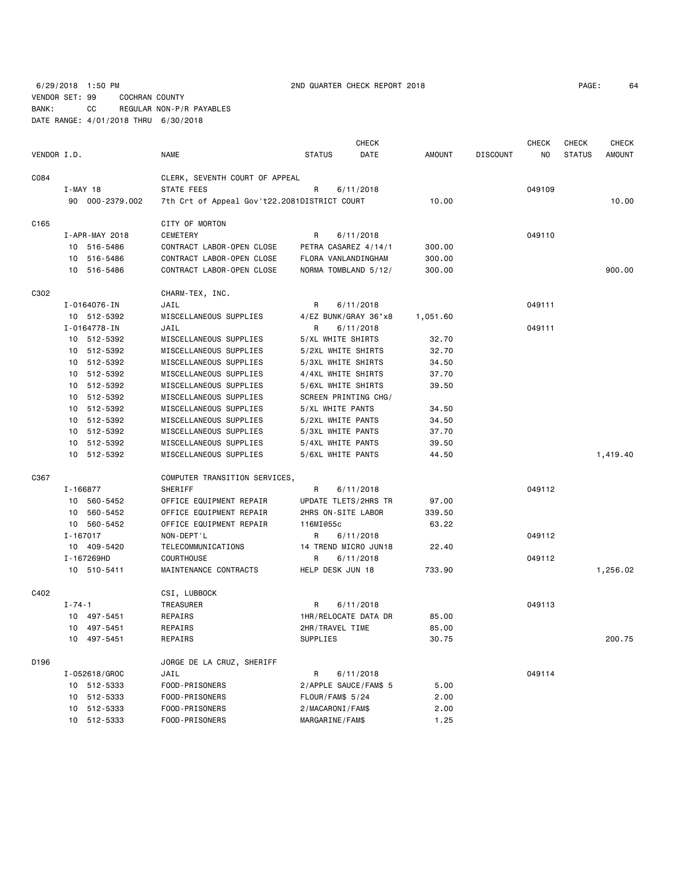6/29/2018 1:50 PM 2ND QUARTER CHECK REPORT 2018 PAGE: 64 VENDOR SET: 99 COCHRAN COUNTY BANK: CC REGULAR NON-P/R PAYABLES DATE RANGE: 4/01/2018 THRU 6/30/2018

| VENDOR I.D. |                 | <b>NAME</b>                                  | <b>STATUS</b>         | <b>CHECK</b><br>DATE | AMOUNT   | <b>DISCOUNT</b> | <b>CHECK</b><br>ΝO | <b>CHECK</b><br><b>STATUS</b> | <b>CHECK</b><br><b>AMOUNT</b> |
|-------------|-----------------|----------------------------------------------|-----------------------|----------------------|----------|-----------------|--------------------|-------------------------------|-------------------------------|
|             |                 |                                              |                       |                      |          |                 |                    |                               |                               |
| C084        |                 | CLERK, SEVENTH COURT OF APPEAL               |                       |                      |          |                 |                    |                               |                               |
|             | $I-MAY$ 18      | STATE FEES                                   | R                     | 6/11/2018            |          |                 | 049109             |                               |                               |
|             | 90 000-2379.002 | 7th Crt of Appeal Gov't22.2081DISTRICT COURT |                       |                      | 10.00    |                 |                    |                               | 10.00                         |
| C165        |                 | CITY OF MORTON                               |                       |                      |          |                 |                    |                               |                               |
|             | I-APR-MAY 2018  | <b>CEMETERY</b>                              | R                     | 6/11/2018            |          |                 | 049110             |                               |                               |
|             | 10 516-5486     | CONTRACT LABOR-OPEN CLOSE                    | PETRA CASAREZ 4/14/1  |                      | 300.00   |                 |                    |                               |                               |
|             | 10 516-5486     | CONTRACT LABOR-OPEN CLOSE                    | FLORA VANLANDINGHAM   |                      | 300.00   |                 |                    |                               |                               |
|             | 10 516-5486     | CONTRACT LABOR-OPEN CLOSE                    | NORMA TOMBLAND 5/12/  |                      | 300.00   |                 |                    |                               | 900.00                        |
| C302        |                 | CHARM-TEX, INC.                              |                       |                      |          |                 |                    |                               |                               |
|             | I-0164076-IN    | JAIL                                         | R                     | 6/11/2018            |          |                 | 049111             |                               |                               |
|             | 10 512-5392     | MISCELLANEOUS SUPPLIES                       | 4/EZ BUNK/GRAY 36"x8  |                      | 1,051.60 |                 |                    |                               |                               |
|             | I-0164778-IN    | JAIL                                         | R                     | 6/11/2018            |          |                 | 049111             |                               |                               |
|             | 10 512-5392     | MISCELLANEOUS SUPPLIES                       | 5/XL WHITE SHIRTS     |                      | 32.70    |                 |                    |                               |                               |
|             | 10 512-5392     | MISCELLANEOUS SUPPLIES                       | 5/2XL WHITE SHIRTS    |                      | 32.70    |                 |                    |                               |                               |
|             | 10 512-5392     | MISCELLANEOUS SUPPLIES                       | 5/3XL WHITE SHIRTS    |                      | 34.50    |                 |                    |                               |                               |
|             | 10 512-5392     | MISCELLANEOUS SUPPLIES                       | 4/4XL WHITE SHIRTS    |                      | 37.70    |                 |                    |                               |                               |
|             | 10 512-5392     | MISCELLANEOUS SUPPLIES                       | 5/6XL WHITE SHIRTS    |                      | 39.50    |                 |                    |                               |                               |
|             | 10 512-5392     | MISCELLANEOUS SUPPLIES                       | SCREEN PRINTING CHG/  |                      |          |                 |                    |                               |                               |
|             | 10 512-5392     | MISCELLANEOUS SUPPLIES                       | 5/XL WHITE PANTS      |                      | 34.50    |                 |                    |                               |                               |
|             | 10 512-5392     | MISCELLANEOUS SUPPLIES                       | 5/2XL WHITE PANTS     |                      | 34.50    |                 |                    |                               |                               |
|             | 10 512-5392     | MISCELLANEOUS SUPPLIES                       | 5/3XL WHITE PANTS     |                      | 37.70    |                 |                    |                               |                               |
|             | 10 512-5392     | MISCELLANEOUS SUPPLIES                       | 5/4XL WHITE PANTS     |                      | 39.50    |                 |                    |                               |                               |
|             | 10 512-5392     | MISCELLANEOUS SUPPLIES                       | 5/6XL WHITE PANTS     |                      | 44.50    |                 |                    |                               | 1,419.40                      |
| C367        |                 | COMPUTER TRANSITION SERVICES,                |                       |                      |          |                 |                    |                               |                               |
|             | I-166877        | SHERIFF                                      | R                     | 6/11/2018            |          |                 | 049112             |                               |                               |
|             | 10 560-5452     | OFFICE EQUIPMENT REPAIR                      | UPDATE TLETS/2HRS TR  |                      | 97.00    |                 |                    |                               |                               |
|             | 10 560-5452     | OFFICE EQUIPMENT REPAIR                      | 2HRS ON-SITE LABOR    |                      | 339.50   |                 |                    |                               |                               |
|             | 10 560-5452     | OFFICE EQUIPMENT REPAIR                      | 116MI@55c             |                      | 63.22    |                 |                    |                               |                               |
|             | I-167017        | NON-DEPT'L                                   | R                     | 6/11/2018            |          |                 | 049112             |                               |                               |
|             | 10 409-5420     | TELECOMMUNICATIONS                           | 14 TREND MICRO JUN18  |                      | 22.40    |                 |                    |                               |                               |
|             | I-167269HD      | <b>COURTHOUSE</b>                            | R                     | 6/11/2018            |          |                 | 049112             |                               |                               |
|             | 10 510-5411     | MAINTENANCE CONTRACTS                        | HELP DESK JUN 18      |                      | 733.90   |                 |                    |                               | 1,256.02                      |
| C402        |                 | CSI, LUBBOCK                                 |                       |                      |          |                 |                    |                               |                               |
|             | I-74-1          | TREASURER                                    | R.                    | 6/11/2018            |          |                 | 049113             |                               |                               |
|             | 10 497-5451     | REPAIRS                                      | 1HR/RELOCATE DATA DR  |                      | 85.00    |                 |                    |                               |                               |
|             | 10 497-5451     | REPAIRS                                      | 2HR/TRAVEL TIME       |                      | 85.00    |                 |                    |                               |                               |
|             | 10 497-5451     | REPAIRS                                      | SUPPLIES              |                      | 30.75    |                 |                    |                               | 200.75                        |
| D196        |                 | JORGE DE LA CRUZ, SHERIFF                    |                       |                      |          |                 |                    |                               |                               |
|             | I-052618/GROC   | JAIL                                         | R                     | 6/11/2018            |          |                 | 049114             |                               |                               |
|             | 10 512-5333     | FOOD-PRISONERS                               | 2/APPLE SAUCE/FAM\$ 5 |                      | 5.00     |                 |                    |                               |                               |
|             | 10 512-5333     | FOOD-PRISONERS                               | FLOUR/FAM\$ 5/24      |                      | 2.00     |                 |                    |                               |                               |
|             | 10 512-5333     | FOOD-PRISONERS                               | 2/MACARONI/FAM\$      |                      | 2.00     |                 |                    |                               |                               |
|             | 10 512-5333     | FOOD-PRISONERS                               | MARGARINE/FAM\$       |                      | 1.25     |                 |                    |                               |                               |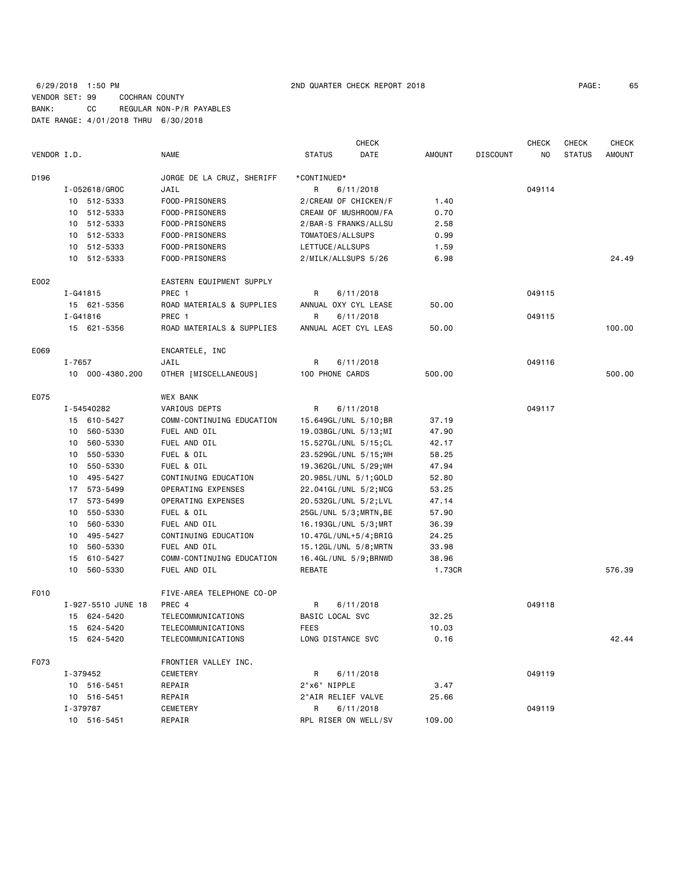## 6/29/2018 1:50 PM 2ND QUARTER CHECK REPORT 2018 PAGE: 65 VENDOR SET: 99 COCHRAN COUNTY BANK: CC REGULAR NON-P/R PAYABLES DATE RANGE: 4/01/2018 THRU 6/30/2018

| PAGE: | 65 |
|-------|----|
|-------|----|

|             | <b>CHECK</b>                  |  |                           |                       | <b>CHECK</b>         | <b>CHECK</b>  | <b>CHECK</b>    |        |               |               |
|-------------|-------------------------------|--|---------------------------|-----------------------|----------------------|---------------|-----------------|--------|---------------|---------------|
| VENDOR I.D. |                               |  | NAME                      | <b>STATUS</b>         | DATE                 | <b>AMOUNT</b> | <b>DISCOUNT</b> | NO     | <b>STATUS</b> | <b>AMOUNT</b> |
| D196        |                               |  | JORGE DE LA CRUZ, SHERIFF | *CONTINUED*           |                      |               |                 |        |               |               |
|             | I-052618/GROC                 |  | JAIL                      | R.                    | 6/11/2018            |               |                 | 049114 |               |               |
|             | 10 512-5333                   |  | FOOD-PRISONERS            | 2/CREAM OF CHICKEN/F  |                      | 1.40          |                 |        |               |               |
|             | 10 512-5333                   |  | FOOD-PRISONERS            |                       | CREAM OF MUSHROOM/FA | 0.70          |                 |        |               |               |
|             | 10 512-5333<br>FOOD-PRISONERS |  |                           | 2/BAR-S FRANKS/ALLSU  |                      | 2.58          |                 |        |               |               |
|             | 10 512-5333                   |  | FOOD-PRISONERS            | TOMATOES/ALLSUPS      |                      | 0.99          |                 |        |               |               |
|             | 10 512-5333                   |  | FOOD-PRISONERS            | LETTUCE/ALLSUPS       |                      | 1.59          |                 |        |               |               |
|             | 10 512-5333                   |  | FOOD-PRISONERS            | 2/MILK/ALLSUPS 5/26   |                      | 6.98          |                 |        |               | 24.49         |
| E002        |                               |  | EASTERN EQUIPMENT SUPPLY  |                       |                      |               |                 |        |               |               |
|             | I-G41815                      |  | PREC 1                    | R                     | 6/11/2018            |               |                 | 049115 |               |               |
|             | 15 621-5356                   |  | ROAD MATERIALS & SUPPLIES | ANNUAL OXY CYL LEASE  |                      | 50.00         |                 |        |               |               |
|             | I-G41816                      |  | PREC 1                    | R                     | 6/11/2018            |               |                 | 049115 |               |               |
|             | 15 621-5356                   |  | ROAD MATERIALS & SUPPLIES | ANNUAL ACET CYL LEAS  |                      | 50.00         |                 |        |               | 100.00        |
| E069        |                               |  | ENCARTELE, INC            |                       |                      |               |                 |        |               |               |
|             | I-7657                        |  | JAIL                      | R                     | 6/11/2018            |               |                 | 049116 |               |               |
|             | 10 000-4380.200               |  | OTHER [MISCELLANEOUS]     | 100 PHONE CARDS       |                      | 500.00        |                 |        |               | 500.00        |
| E075        |                               |  | <b>WEX BANK</b>           |                       |                      |               |                 |        |               |               |
|             | I-54540282                    |  | VARIOUS DEPTS             | R                     | 6/11/2018            |               |                 | 049117 |               |               |
|             | 15 610-5427                   |  | COMM-CONTINUING EDUCATION | 15.649GL/UNL 5/10;BR  |                      | 37.19         |                 |        |               |               |
|             | 560-5330<br>10                |  | FUEL AND OIL              | 19.038GL/UNL 5/13;MI  |                      | 47.90         |                 |        |               |               |
|             | 560-5330<br>10                |  | FUEL AND OIL              | 15.527GL/UNL 5/15;CL  |                      | 42.17         |                 |        |               |               |
|             | 550-5330<br>10                |  | FUEL & OIL                | 23.529GL/UNL 5/15; WH |                      | 58.25         |                 |        |               |               |
|             | 550-5330<br>10                |  | FUEL & OIL                | 19.362GL/UNL 5/29; WH |                      | 47.94         |                 |        |               |               |
|             | 495-5427<br>10                |  | CONTINUING EDUCATION      | 20.985L/UNL 5/1;GOLD  |                      | 52.80         |                 |        |               |               |
|             | 17 573-5499                   |  | OPERATING EXPENSES        | 22.041GL/UNL 5/2; MCG |                      | 53.25         |                 |        |               |               |
|             | 17 573-5499                   |  | OPERATING EXPENSES        | 20.532GL/UNL 5/2;LVL  |                      | 47.14         |                 |        |               |               |
|             | 10<br>550-5330                |  | FUEL & OIL                | 25GL/UNL 5/3;MRTN,BE  |                      | 57.90         |                 |        |               |               |
|             | 560-5330<br>10                |  | FUEL AND OIL              | 16.193GL/UNL 5/3;MRT  |                      | 36.39         |                 |        |               |               |
|             | 495-5427<br>10                |  | CONTINUING EDUCATION      | 10.47GL/UNL+5/4;BRIG  |                      | 24.25         |                 |        |               |               |
|             | 560-5330<br>10                |  | FUEL AND OIL              | 15.12GL/UNL 5/8;MRTN  |                      | 33.98         |                 |        |               |               |
|             | 15<br>610-5427                |  | COMM-CONTINUING EDUCATION | 16.4GL/UNL 5/9;BRNWD  |                      | 38.96         |                 |        |               |               |
|             | 10<br>560-5330                |  | FUEL AND OIL              | REBATE                |                      | 1.73CR        |                 |        |               | 576.39        |
| F010        |                               |  | FIVE-AREA TELEPHONE CO-OP |                       |                      |               |                 |        |               |               |
|             | I-927-5510 JUNE 18            |  | PREC 4                    | R                     | 6/11/2018            |               |                 | 049118 |               |               |
|             | 624-5420<br>15                |  | TELECOMMUNICATIONS        | BASIC LOCAL SVC       |                      | 32.25         |                 |        |               |               |
|             | 15 624-5420                   |  | TELECOMMUNICATIONS        | FEES                  |                      | 10.03         |                 |        |               |               |
|             | 15 624-5420                   |  | TELECOMMUNICATIONS        | LONG DISTANCE SVC     |                      | 0.16          |                 |        |               | 42.44         |
| F073        |                               |  | FRONTIER VALLEY INC.      |                       |                      |               |                 |        |               |               |
|             | I-379452                      |  | CEMETERY                  | R                     | 6/11/2018            |               |                 | 049119 |               |               |
|             | 10 516-5451                   |  | REPAIR                    | 2"x6" NIPPLE          |                      | 3.47          |                 |        |               |               |
|             | 10 516-5451                   |  | REPAIR                    | 2"AIR RELIEF VALVE    |                      | 25.66         |                 |        |               |               |
|             | I-379787                      |  | CEMETERY                  | R                     | 6/11/2018            |               |                 | 049119 |               |               |
|             | 10 516-5451                   |  | REPAIR                    | RPL RISER ON WELL/SV  |                      | 109.00        |                 |        |               |               |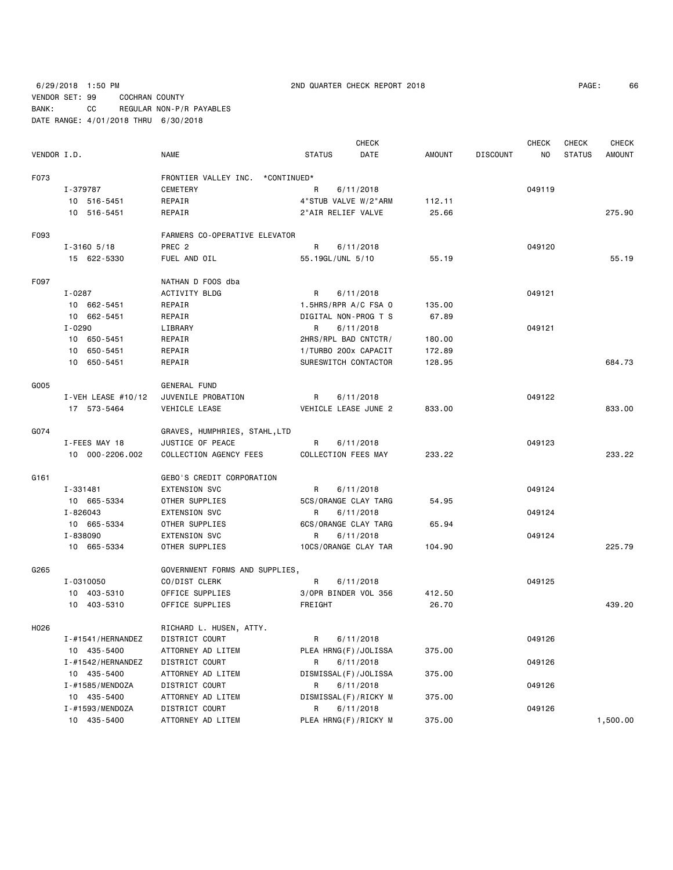6/29/2018 1:50 PM 2ND QUARTER CHECK REPORT 2018 PAGE: 66 VENDOR SET: 99 COCHRAN COUNTY BANK: CC REGULAR NON-P/R PAYABLES DATE RANGE: 4/01/2018 THRU 6/30/2018

|             |                        |                                  |                      | <b>CHECK</b>         |               |                 | <b>CHECK</b>   | CHECK         | <b>CHECK</b>  |
|-------------|------------------------|----------------------------------|----------------------|----------------------|---------------|-----------------|----------------|---------------|---------------|
| VENDOR I.D. |                        | <b>NAME</b>                      | <b>STATUS</b>        | DATE                 | <b>AMOUNT</b> | <b>DISCOUNT</b> | N <sub>0</sub> | <b>STATUS</b> | <b>AMOUNT</b> |
| F073        |                        | FRONTIER VALLEY INC. *CONTINUED* |                      |                      |               |                 |                |               |               |
|             | I-379787               | <b>CEMETERY</b>                  | R                    | 6/11/2018            |               |                 | 049119         |               |               |
|             | 10 516-5451            | REPAIR                           |                      | 4"STUB VALVE W/2"ARM | 112.11        |                 |                |               |               |
|             | 10 516-5451            | REPAIR                           | 2"AIR RELIEF VALVE   |                      | 25.66         |                 |                |               | 275.90        |
|             |                        |                                  |                      |                      |               |                 |                |               |               |
| F093        |                        | FARMERS CO-OPERATIVE ELEVATOR    |                      |                      |               |                 |                |               |               |
|             | $I - 3160$ 5/18        | PREC <sub>2</sub>                | R                    | 6/11/2018            |               |                 | 049120         |               |               |
|             | 15 622-5330            | FUEL AND OIL                     | 55.19GL/UNL 5/10     |                      | 55.19         |                 |                |               | 55.19         |
| F097        |                        | NATHAN D FOOS dba                |                      |                      |               |                 |                |               |               |
|             | I-0287                 | ACTIVITY BLDG                    | R                    | 6/11/2018            |               |                 | 049121         |               |               |
|             | 10 662-5451            | REPAIR                           | 1.5HRS/RPR A/C FSA 0 |                      | 135.00        |                 |                |               |               |
|             | 10 662-5451            | REPAIR                           |                      | DIGITAL NON-PROG T S | 67.89         |                 |                |               |               |
|             | I-0290                 | LIBRARY                          | R                    | 6/11/2018            |               |                 | 049121         |               |               |
|             | 10 650-5451            | REPAIR                           |                      | 2HRS/RPL BAD CNTCTR/ | 180.00        |                 |                |               |               |
|             | 10 650-5451            | REPAIR                           |                      | 1/TURBO 200x CAPACIT | 172.89        |                 |                |               |               |
|             | 10 650-5451            | REPAIR                           |                      | SURESWITCH CONTACTOR | 128.95        |                 |                |               | 684.73        |
|             |                        |                                  |                      |                      |               |                 |                |               |               |
| G005        |                        | GENERAL FUND                     |                      |                      |               |                 |                |               |               |
|             | $I - VEH$ LEASE #10/12 | JUVENILE PROBATION               | R                    | 6/11/2018            |               |                 | 049122         |               |               |
|             | 17 573-5464            | VEHICLE LEASE                    |                      | VEHICLE LEASE JUNE 2 | 833.00        |                 |                |               | 833,00        |
| G074        |                        | GRAVES, HUMPHRIES, STAHL,LTD     |                      |                      |               |                 |                |               |               |
|             | I-FEES MAY 18          | JUSTICE OF PEACE                 | R                    | 6/11/2018            |               |                 | 049123         |               |               |
|             | 10 000-2206.002        | COLLECTION AGENCY FEES           | COLLECTION FEES MAY  |                      | 233.22        |                 |                |               | 233.22        |
|             |                        |                                  |                      |                      |               |                 |                |               |               |
| G161        |                        | GEBO'S CREDIT CORPORATION        |                      |                      |               |                 |                |               |               |
|             | I-331481               | <b>EXTENSION SVC</b>             | R                    | 6/11/2018            |               |                 | 049124         |               |               |
|             | 10 665-5334            | OTHER SUPPLIES                   |                      | 5CS/ORANGE CLAY TARG | 54.95         |                 |                |               |               |
|             | I-826043               | <b>EXTENSION SVC</b>             | R                    | 6/11/2018            |               |                 | 049124         |               |               |
|             | 10 665-5334            | OTHER SUPPLIES                   |                      | 6CS/ORANGE CLAY TARG | 65.94         |                 |                |               |               |
|             | I-838090               | <b>EXTENSION SVC</b>             | R                    | 6/11/2018            |               |                 | 049124         |               |               |
|             | 10 665-5334            | OTHER SUPPLIES                   |                      | 10CS/ORANGE CLAY TAR | 104.90        |                 |                |               | 225.79        |
| G265        |                        | GOVERNMENT FORMS AND SUPPLIES,   |                      |                      |               |                 |                |               |               |
|             | I-0310050              | CO/DIST CLERK                    | R                    | 6/11/2018            |               |                 | 049125         |               |               |
|             | 10 403-5310            | OFFICE SUPPLIES                  |                      | 3/OPR BINDER VOL 356 | 412.50        |                 |                |               |               |
|             | 10 403-5310            | OFFICE SUPPLIES                  | FREIGHT              |                      | 26.70         |                 |                |               | 439.20        |
| H026        |                        | RICHARD L. HUSEN, ATTY.          |                      |                      |               |                 |                |               |               |
|             | I-#1541/HERNANDEZ      | DISTRICT COURT                   | R                    | 6/11/2018            |               |                 | 049126         |               |               |
|             | 10 435-5400            | ATTORNEY AD LITEM                |                      | PLEA HRNG(F)/JOLISSA | 375.00        |                 |                |               |               |
|             | $I - #1542$ /HERNANDEZ | DISTRICT COURT                   | R                    | 6/11/2018            |               |                 | 049126         |               |               |
|             | 10 435-5400            | ATTORNEY AD LITEM                |                      | DISMISSAL(F)/JOLISSA | 375.00        |                 |                |               |               |
|             | I-#1585/MENDOZA        | DISTRICT COURT                   | R                    | 6/11/2018            |               |                 | 049126         |               |               |
|             | 10 435-5400            | ATTORNEY AD LITEM                |                      | DISMISSAL(F)/RICKY M | 375.00        |                 |                |               |               |
|             | I-#1593/MENDOZA        | DISTRICT COURT                   | R                    | 6/11/2018            |               |                 | 049126         |               |               |
|             | 10 435-5400            | ATTORNEY AD LITEM                |                      | PLEA HRNG(F)/RICKY M | 375.00        |                 |                |               | 1,500.00      |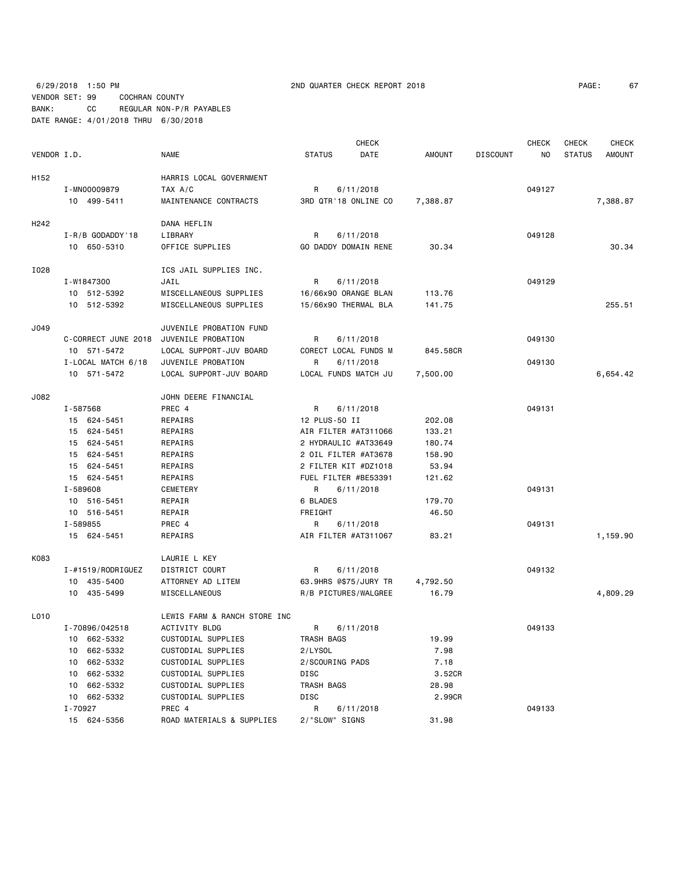|             |                        |                              |                       | <b>CHECK</b>         |               |                 | <b>CHECK</b> | <b>CHECK</b>  | <b>CHECK</b>  |
|-------------|------------------------|------------------------------|-----------------------|----------------------|---------------|-----------------|--------------|---------------|---------------|
| VENDOR I.D. |                        | <b>NAME</b>                  | <b>STATUS</b>         | DATE                 | <b>AMOUNT</b> | <b>DISCOUNT</b> | NO           | <b>STATUS</b> | <b>AMOUNT</b> |
| H152        |                        | HARRIS LOCAL GOVERNMENT      |                       |                      |               |                 |              |               |               |
|             | I-MN00009879           | TAX A/C                      | R                     | 6/11/2018            |               |                 | 049127       |               |               |
|             | 10 499-5411            | MAINTENANCE CONTRACTS        |                       | 3RD QTR'18 ONLINE CO | 7,388.87      |                 |              |               | 7,388.87      |
| H242        |                        | DANA HEFLIN                  |                       |                      |               |                 |              |               |               |
|             | $I - R / B$ GODADDY'18 | LIBRARY                      | R                     | 6/11/2018            |               |                 | 049128       |               |               |
|             | 10 650-5310            | OFFICE SUPPLIES              | GO DADDY DOMAIN RENE  |                      | 30.34         |                 |              |               | 30.34         |
| I028        |                        | ICS JAIL SUPPLIES INC.       |                       |                      |               |                 |              |               |               |
|             | I-W1847300             | JAIL                         | R                     | 6/11/2018            |               |                 | 049129       |               |               |
|             | 10 512-5392            | MISCELLANEOUS SUPPLIES       | 16/66x90 ORANGE BLAN  |                      | 113.76        |                 |              |               |               |
|             | 10 512-5392            | MISCELLANEOUS SUPPLIES       | 15/66x90 THERMAL BLA  |                      | 141.75        |                 |              |               | 255.51        |
| J049        |                        | JUVENILE PROBATION FUND      |                       |                      |               |                 |              |               |               |
|             | C-CORRECT JUNE 2018    | JUVENILE PROBATION           | R                     | 6/11/2018            |               |                 | 049130       |               |               |
|             | 10 571-5472            | LOCAL SUPPORT-JUV BOARD      |                       | CORECT LOCAL FUNDS M | 845.58CR      |                 |              |               |               |
|             | I-LOCAL MATCH 6/18     | JUVENILE PROBATION           | R                     | 6/11/2018            |               |                 | 049130       |               |               |
|             | 10 571-5472            | LOCAL SUPPORT-JUV BOARD      |                       | LOCAL FUNDS MATCH JU | 7,500.00      |                 |              |               | 6,654.42      |
| J082        |                        | JOHN DEERE FINANCIAL         |                       |                      |               |                 |              |               |               |
|             | I-587568               | PREC 4                       | R                     | 6/11/2018            |               |                 | 049131       |               |               |
|             | 15 624-5451            | REPAIRS                      | 12 PLUS-50 II         |                      | 202.08        |                 |              |               |               |
|             | 15 624-5451            | REPAIRS                      | AIR FILTER #AT311066  |                      | 133.21        |                 |              |               |               |
|             | 15 624-5451            | REPAIRS                      | 2 HYDRAULIC #AT33649  |                      | 180.74        |                 |              |               |               |
|             | 15 624-5451            | REPAIRS                      | 2 OIL FILTER #AT3678  |                      | 158.90        |                 |              |               |               |
|             | 15 624-5451            | REPAIRS                      | 2 FILTER KIT #DZ1018  |                      | 53.94         |                 |              |               |               |
|             | 15 624-5451            | REPAIRS                      | FUEL FILTER #BE53391  |                      | 121.62        |                 |              |               |               |
|             | I-589608               | <b>CEMETERY</b>              | R                     | 6/11/2018            |               |                 | 049131       |               |               |
|             | 10 516-5451            | REPAIR                       | 6 BLADES              |                      | 179.70        |                 |              |               |               |
|             | 10 516-5451            | REPAIR                       | FREIGHT               |                      | 46.50         |                 |              |               |               |
|             | I-589855               | PREC 4                       | R                     | 6/11/2018            |               |                 | 049131       |               |               |
|             | 15 624-5451            | REPAIRS                      | AIR FILTER #AT311067  |                      | 83.21         |                 |              |               | 1,159.90      |
| K083        |                        | LAURIE L KEY                 |                       |                      |               |                 |              |               |               |
|             | $I - #1519/RODRIGUEZ$  | DISTRICT COURT               | R                     | 6/11/2018            |               |                 | 049132       |               |               |
|             | 10 435-5400            | ATTORNEY AD LITEM            | 63.9HRS @\$75/JURY TR |                      | 4,792.50      |                 |              |               |               |
|             | 10 435-5499            | MISCELLANEOUS                |                       | R/B PICTURES/WALGREE | 16.79         |                 |              |               | 4,809.29      |
| L010        |                        | LEWIS FARM & RANCH STORE INC |                       |                      |               |                 |              |               |               |
|             | I-70896/042518         | ACTIVITY BLDG                | R                     | 6/11/2018            |               |                 | 049133       |               |               |
|             | 662-5332<br>10         | CUSTODIAL SUPPLIES           | TRASH BAGS            |                      | 19.99         |                 |              |               |               |
|             | 662-5332<br>10         | CUSTODIAL SUPPLIES           | 2/LYSOL               |                      | 7.98          |                 |              |               |               |
|             | 662-5332<br>10         | CUSTODIAL SUPPLIES           | 2/SCOURING PADS       |                      | 7.18          |                 |              |               |               |
|             | 662-5332<br>10         | CUSTODIAL SUPPLIES           | DISC                  |                      | 3.52CR        |                 |              |               |               |
|             | 10 662-5332            | CUSTODIAL SUPPLIES           | TRASH BAGS            |                      | 28.98         |                 |              |               |               |
|             | 10 662-5332            | CUSTODIAL SUPPLIES           | DISC                  |                      | 2.99CR        |                 |              |               |               |
|             | I-70927                | PREC 4                       | R                     | 6/11/2018            |               |                 | 049133       |               |               |
|             | 15 624-5356            | ROAD MATERIALS & SUPPLIES    | 2/"SLOW" SIGNS        |                      | 31.98         |                 |              |               |               |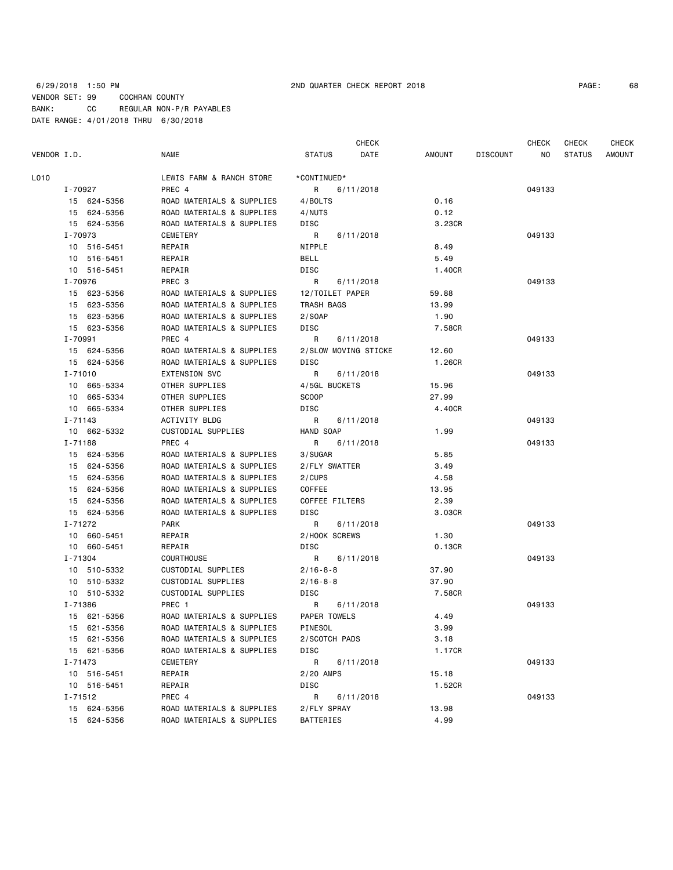|             |             |                           |                      | <b>CHECK</b> |        |          | CHECK  | CHECK         | <b>CHECK</b> |
|-------------|-------------|---------------------------|----------------------|--------------|--------|----------|--------|---------------|--------------|
| VENDOR I.D. |             | NAME                      | <b>STATUS</b>        | DATE         | AMOUNT | DISCOUNT | NO.    | <b>STATUS</b> | AMOUNT       |
| L010        |             | LEWIS FARM & RANCH STORE  | *CONTINUED*          |              |        |          |        |               |              |
|             | I-70927     | PREC 4                    | $R \Box$             | 6/11/2018    |        |          | 049133 |               |              |
|             | 15 624-5356 | ROAD MATERIALS & SUPPLIES | 4/BOLTS              |              | 0.16   |          |        |               |              |
|             | 15 624-5356 | ROAD MATERIALS & SUPPLIES | 4/NUTS               |              | 0.12   |          |        |               |              |
|             | 15 624-5356 | ROAD MATERIALS & SUPPLIES | DISC                 |              | 3.23CR |          |        |               |              |
|             | I-70973     | CEMETERY                  | R                    | 6/11/2018    |        |          | 049133 |               |              |
|             | 10 516-5451 | REPAIR                    | NIPPLE               |              | 8.49   |          |        |               |              |
|             | 10 516-5451 | REPAIR                    | BELL                 |              | 5.49   |          |        |               |              |
|             | 10 516-5451 | REPAIR                    | DISC                 |              | 1.40CR |          |        |               |              |
|             | I-70976     | PREC 3                    | R                    | 6/11/2018    |        |          | 049133 |               |              |
|             | 15 623-5356 | ROAD MATERIALS & SUPPLIES | 12/TOILET PAPER      |              | 59.88  |          |        |               |              |
|             | 15 623-5356 | ROAD MATERIALS & SUPPLIES | TRASH BAGS           |              | 13.99  |          |        |               |              |
|             | 15 623-5356 | ROAD MATERIALS & SUPPLIES | 2/SOAP               |              | 1.90   |          |        |               |              |
|             | 15 623-5356 | ROAD MATERIALS & SUPPLIES | DISC                 |              | 7.58CR |          |        |               |              |
|             | I-70991     | PREC 4                    | R                    | 6/11/2018    |        |          | 049133 |               |              |
|             | 15 624-5356 | ROAD MATERIALS & SUPPLIES | 2/SLOW MOVING STICKE |              | 12.60  |          |        |               |              |
|             | 15 624-5356 | ROAD MATERIALS & SUPPLIES | DISC                 |              | 1.26CR |          |        |               |              |
|             | $I - 71010$ | <b>EXTENSION SVC</b>      | R                    | 6/11/2018    |        |          | 049133 |               |              |
|             | 10 665-5334 | OTHER SUPPLIES            | 4/5GL BUCKETS        |              | 15.96  |          |        |               |              |
|             | 10 665-5334 | OTHER SUPPLIES            | <b>SCOOP</b>         |              | 27.99  |          |        |               |              |
|             | 10 665-5334 | OTHER SUPPLIES            | DISC                 |              | 4.40CR |          |        |               |              |
|             | $I - 71143$ | ACTIVITY BLDG             | R                    | 6/11/2018    |        |          | 049133 |               |              |
|             | 10 662-5332 | CUSTODIAL SUPPLIES        | HAND SOAP            |              | 1.99   |          |        |               |              |
|             | I-71188     | PREC 4                    | R                    | 6/11/2018    |        |          | 049133 |               |              |
|             | 15 624-5356 | ROAD MATERIALS & SUPPLIES | 3/SUGAR              |              | 5.85   |          |        |               |              |
|             | 15 624-5356 | ROAD MATERIALS & SUPPLIES | 2/FLY SWATTER        |              | 3.49   |          |        |               |              |
|             | 15 624-5356 | ROAD MATERIALS & SUPPLIES | 2/CUPS               |              | 4.58   |          |        |               |              |
|             | 15 624-5356 | ROAD MATERIALS & SUPPLIES | COFFEE               |              | 13.95  |          |        |               |              |
|             | 15 624-5356 | ROAD MATERIALS & SUPPLIES | COFFEE FILTERS       |              | 2.39   |          |        |               |              |
|             | 15 624-5356 | ROAD MATERIALS & SUPPLIES | DISC                 |              | 3.03CR |          |        |               |              |
|             | I-71272     | PARK                      | R                    | 6/11/2018    |        |          | 049133 |               |              |
|             | 10 660-5451 | REPAIR                    | 2/HOOK SCREWS        |              | 1.30   |          |        |               |              |
|             | 10 660-5451 | REPAIR                    | DISC                 |              | 0.13CR |          |        |               |              |
|             | I-71304     | <b>COURTHOUSE</b>         | R                    | 6/11/2018    |        |          | 049133 |               |              |
|             | 10 510-5332 | CUSTODIAL SUPPLIES        | $2/16 - 8 - 8$       |              | 37.90  |          |        |               |              |
|             | 10 510-5332 | CUSTODIAL SUPPLIES        | $2/16 - 8 - 8$       |              | 37.90  |          |        |               |              |
|             | 10 510-5332 | CUSTODIAL SUPPLIES        | DISC                 |              | 7.58CR |          |        |               |              |
|             | I-71386     | PREC 1                    | R                    | 6/11/2018    |        |          | 049133 |               |              |
|             | 15 621-5356 | ROAD MATERIALS & SUPPLIES | PAPER TOWELS         |              | 4.49   |          |        |               |              |
|             | 15 621-5356 | ROAD MATERIALS & SUPPLIES | PINESOL              |              | 3.99   |          |        |               |              |
|             | 15 621-5356 | ROAD MATERIALS & SUPPLIES | 2/SCOTCH PADS        |              | 3.18   |          |        |               |              |
|             | 15 621-5356 | ROAD MATERIALS & SUPPLIES | DISC                 |              | 1.17CR |          |        |               |              |
|             | I-71473     | CEMETERY                  | R                    | 6/11/2018    |        |          | 049133 |               |              |
|             | 10 516-5451 | REPAIR                    | 2/20 AMPS            |              | 15.18  |          |        |               |              |
|             | 10 516-5451 | REPAIR                    | DISC                 |              | 1.52CR |          |        |               |              |
|             | I-71512     | PREC 4                    | R                    | 6/11/2018    |        |          | 049133 |               |              |
|             | 15 624-5356 | ROAD MATERIALS & SUPPLIES | 2/FLY SPRAY          |              | 13.98  |          |        |               |              |
|             | 15 624-5356 | ROAD MATERIALS & SUPPLIES | BATTERIES            |              | 4.99   |          |        |               |              |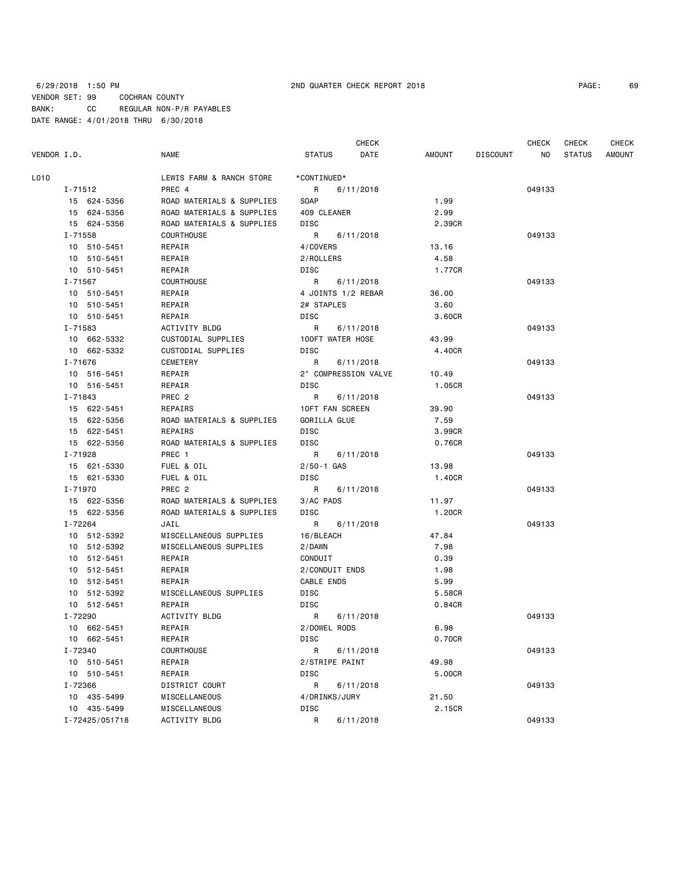|             |                |                           |                      | <b>CHECK</b> |        |                 | CHECK  | <b>CHECK</b>  | <b>CHECK</b>  |
|-------------|----------------|---------------------------|----------------------|--------------|--------|-----------------|--------|---------------|---------------|
| VENDOR I.D. |                | NAME                      | <b>STATUS</b>        | DATE         | AMOUNT | <b>DISCOUNT</b> | NO.    | <b>STATUS</b> | <b>AMOUNT</b> |
| L010        |                | LEWIS FARM & RANCH STORE  | *CONTINUED*          |              |        |                 |        |               |               |
|             | I-71512        | PREC 4                    | R                    | 6/11/2018    |        |                 | 049133 |               |               |
|             | 15 624-5356    | ROAD MATERIALS & SUPPLIES | SOAP                 |              | 1.99   |                 |        |               |               |
|             | 15 624-5356    | ROAD MATERIALS & SUPPLIES | 409 CLEANER          |              | 2.99   |                 |        |               |               |
|             | 15 624-5356    | ROAD MATERIALS & SUPPLIES | DISC                 |              | 2.39CR |                 |        |               |               |
|             | I-71558        | <b>COURTHOUSE</b>         | R                    | 6/11/2018    |        |                 | 049133 |               |               |
|             | 10 510-5451    | REPAIR                    | 4/COVERS             |              | 13.16  |                 |        |               |               |
|             | 10 510-5451    | REPAIR                    | 2/ROLLERS            |              | 4.58   |                 |        |               |               |
|             | 10 510-5451    | REPAIR                    | DISC                 |              | 1.77CR |                 |        |               |               |
|             | I-71567        | <b>COURTHOUSE</b>         | R                    | 6/11/2018    |        |                 | 049133 |               |               |
|             | 10 510-5451    | REPAIR                    | 4 JOINTS 1/2 REBAR   |              | 36.00  |                 |        |               |               |
|             | 10 510-5451    | REPAIR                    | 2# STAPLES           |              | 3.60   |                 |        |               |               |
|             | 10 510-5451    | REPAIR                    | <b>DISC</b>          |              | 3.60CR |                 |        |               |               |
|             | I-71583        | ACTIVITY BLDG             | R                    | 6/11/2018    |        |                 | 049133 |               |               |
|             | 10 662-5332    | CUSTODIAL SUPPLIES        | 100FT WATER HOSE     |              | 43.99  |                 |        |               |               |
|             | 10 662-5332    | CUSTODIAL SUPPLIES        | DISC                 |              | 4.40CR |                 |        |               |               |
|             | I-71676        | CEMETERY                  | R                    | 6/11/2018    |        |                 | 049133 |               |               |
|             | 10 516-5451    | REPAIR                    | 2" COMPRESSION VALVE |              | 10.49  |                 |        |               |               |
|             | 10 516-5451    | REPAIR                    | DISC                 |              | 1.05CR |                 |        |               |               |
|             | $I - 71843$    | PREC 2                    | R                    | 6/11/2018    |        |                 | 049133 |               |               |
|             | 15 622-5451    | REPAIRS                   | 10FT FAN SCREEN      |              | 39.90  |                 |        |               |               |
|             | 15 622-5356    | ROAD MATERIALS & SUPPLIES | GORILLA GLUE         |              | 7.59   |                 |        |               |               |
|             | 15 622-5451    | <b>REPAIRS</b>            | <b>DISC</b>          |              | 3.99CR |                 |        |               |               |
|             | 15 622-5356    | ROAD MATERIALS & SUPPLIES | DISC                 |              | 0.76CR |                 |        |               |               |
|             | I-71928        | PREC 1                    | R                    | 6/11/2018    |        |                 | 049133 |               |               |
|             | 15 621-5330    | FUEL & OIL                | $2/50 - 1$ GAS       |              | 13.98  |                 |        |               |               |
|             | 15 621-5330    | FUEL & OIL                | DISC                 |              | 1.40CR |                 |        |               |               |
|             | I-71970        | PREC <sub>2</sub>         | R                    | 6/11/2018    |        |                 | 049133 |               |               |
|             | 15 622-5356    | ROAD MATERIALS & SUPPLIES | 3/AC PADS            |              | 11.97  |                 |        |               |               |
|             | 15 622-5356    | ROAD MATERIALS & SUPPLIES | <b>DISC</b>          |              | 1.20CR |                 |        |               |               |
|             | I-72264        | JAIL                      | R                    | 6/11/2018    |        |                 | 049133 |               |               |
|             | 10 512-5392    | MISCELLANEOUS SUPPLIES    | 16/BLEACH            |              | 47.84  |                 |        |               |               |
|             | 10 512-5392    | MISCELLANEOUS SUPPLIES    | 2/DAWN               |              | 7.98   |                 |        |               |               |
|             | 10 512-5451    | REPAIR                    | CONDUIT              |              | 0.39   |                 |        |               |               |
|             | 10 512-5451    | REPAIR                    | 2/CONDUIT ENDS       |              | 1.98   |                 |        |               |               |
|             | 10 512-5451    | REPAIR                    | CABLE ENDS           |              | 5.99   |                 |        |               |               |
|             | 10 512-5392    | MISCELLANEOUS SUPPLIES    | DISC                 |              | 5.58CR |                 |        |               |               |
|             | 10 512-5451    | REPAIR                    | DISC                 |              | 0.84CR |                 |        |               |               |
|             | I-72290        | <b>ACTIVITY BLDG</b>      | R                    | 6/11/2018    |        |                 | 049133 |               |               |
|             | 10 662-5451    | REPAIR                    | 2/DOWEL RODS         |              | 6.98   |                 |        |               |               |
|             | 10 662-5451    | REPAIR                    | <b>DISC</b>          |              | 0.70CR |                 |        |               |               |
|             | I-72340        | COURTHOUSE                | R                    | 6/11/2018    |        |                 | 049133 |               |               |
|             | 10 510-5451    | REPAIR                    | 2/STRIPE PAINT       |              | 49.98  |                 |        |               |               |
|             | 10 510-5451    | REPAIR                    | <b>DISC</b>          |              | 5.00CR |                 |        |               |               |
|             | I-72366        | DISTRICT COURT            | R                    | 6/11/2018    |        |                 | 049133 |               |               |
|             | 10 435-5499    | MISCELLANEOUS             | 4/DRINKS/JURY        |              | 21.50  |                 |        |               |               |
|             | 10 435-5499    | MISCELLANEOUS             | <b>DISC</b>          |              | 2.15CR |                 |        |               |               |
|             | I-72425/051718 | ACTIVITY BLDG             | R                    | 6/11/2018    |        |                 | 049133 |               |               |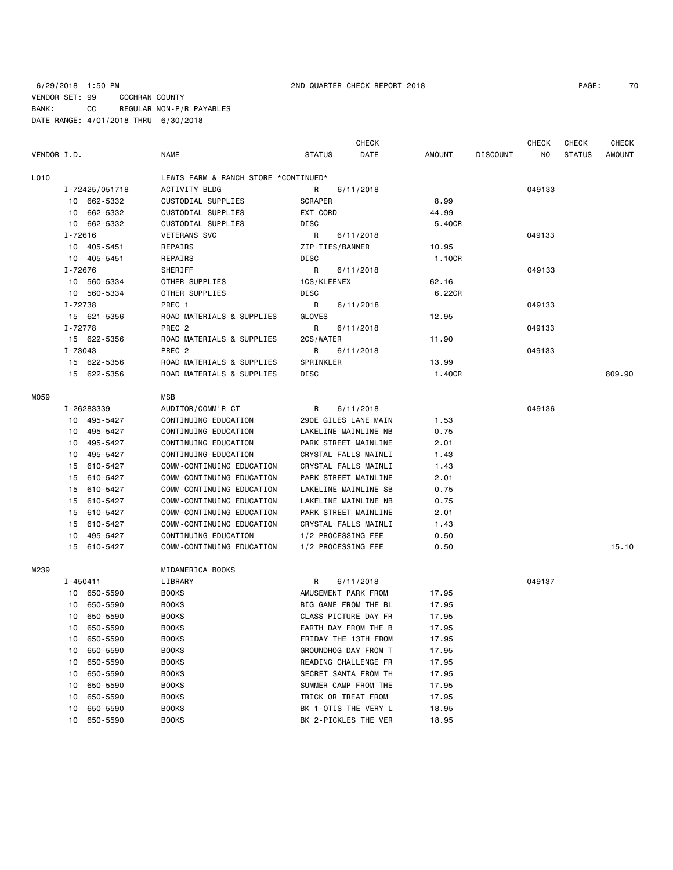**CHECK CHECK CHECK CHECK CHECK CHECK CHECK** 

| VENDOR I.D. |              |                | NAME                                 | STATUS          | DATE                 | AMOUNT | <b>DISCOUNT</b> | NO.    | STATUS | AMOUNT |
|-------------|--------------|----------------|--------------------------------------|-----------------|----------------------|--------|-----------------|--------|--------|--------|
| L010        |              |                | LEWIS FARM & RANCH STORE *CONTINUED* |                 |                      |        |                 |        |        |        |
|             |              | I-72425/051718 | <b>ACTIVITY BLDG</b>                 | R               | 6/11/2018            |        |                 | 049133 |        |        |
|             |              | 10 662-5332    | CUSTODIAL SUPPLIES                   | <b>SCRAPER</b>  |                      | 8.99   |                 |        |        |        |
|             |              | 10 662-5332    | CUSTODIAL SUPPLIES                   | EXT CORD        |                      | 44.99  |                 |        |        |        |
|             |              | 10 662-5332    | CUSTODIAL SUPPLIES                   | DISC            |                      | 5.40CR |                 |        |        |        |
|             | $I - 72616$  |                | <b>VETERANS SVC</b>                  | R               | 6/11/2018            |        |                 | 049133 |        |        |
|             |              | 10 405-5451    | REPAIRS                              | ZIP TIES/BANNER |                      | 10.95  |                 |        |        |        |
|             |              | 10 405-5451    | REPAIRS                              | <b>DISC</b>     |                      | 1.10CR |                 |        |        |        |
|             | I-72676      |                | SHERIFF                              | R               | 6/11/2018            |        |                 | 049133 |        |        |
|             |              | 10 560-5334    | OTHER SUPPLIES                       | 1CS/KLEENEX     |                      | 62.16  |                 |        |        |        |
|             |              | 10 560-5334    | OTHER SUPPLIES                       | <b>DISC</b>     |                      | 6.22CR |                 |        |        |        |
|             | I-72738      |                | PREC 1                               | R               | 6/11/2018            |        |                 | 049133 |        |        |
|             |              | 15 621-5356    | ROAD MATERIALS & SUPPLIES            | GLOVES          |                      | 12.95  |                 |        |        |        |
|             | I-72778      |                | PREC <sub>2</sub>                    | R               | 6/11/2018            |        |                 | 049133 |        |        |
|             |              | 15 622-5356    | ROAD MATERIALS & SUPPLIES            | 2CS/WATER       |                      | 11.90  |                 |        |        |        |
|             | I-73043      |                | PREC <sub>2</sub>                    | R               | 6/11/2018            |        |                 | 049133 |        |        |
|             |              | 15 622-5356    | ROAD MATERIALS & SUPPLIES            | SPRINKLER       |                      | 13.99  |                 |        |        |        |
|             |              | 15 622-5356    | ROAD MATERIALS & SUPPLIES            | <b>DISC</b>     |                      | 1.40CR |                 |        |        | 809.90 |
| MO59        |              |                | MSB                                  |                 |                      |        |                 |        |        |        |
|             |              | I-26283339     | AUDITOR/COMM'R CT                    | R.              | 6/11/2018            |        |                 | 049136 |        |        |
|             |              | 10 495-5427    | CONTINUING EDUCATION                 |                 | 290E GILES LANE MAIN | 1.53   |                 |        |        |        |
|             |              | 10 495-5427    | CONTINUING EDUCATION                 |                 | LAKELINE MAINLINE NB | 0.75   |                 |        |        |        |
|             |              | 10 495-5427    | CONTINUING EDUCATION                 |                 | PARK STREET MAINLINE | 2.01   |                 |        |        |        |
|             |              | 10 495-5427    | CONTINUING EDUCATION                 |                 | CRYSTAL FALLS MAINLI | 1.43   |                 |        |        |        |
|             |              | 15 610-5427    | COMM-CONTINUING EDUCATION            |                 | CRYSTAL FALLS MAINLI | 1.43   |                 |        |        |        |
|             |              | 15 610-5427    | COMM-CONTINUING EDUCATION            |                 | PARK STREET MAINLINE | 2.01   |                 |        |        |        |
|             |              | 15 610-5427    | COMM-CONTINUING EDUCATION            |                 | LAKELINE MAINLINE SB | 0.75   |                 |        |        |        |
|             | 15           | 610-5427       | COMM-CONTINUING EDUCATION            |                 | LAKELINE MAINLINE NB | 0.75   |                 |        |        |        |
|             |              | 15 610-5427    | COMM-CONTINUING EDUCATION            |                 | PARK STREET MAINLINE | 2.01   |                 |        |        |        |
|             |              | 15 610-5427    | COMM-CONTINUING EDUCATION            |                 | CRYSTAL FALLS MAINLI | 1.43   |                 |        |        |        |
|             |              | 10 495-5427    | CONTINUING EDUCATION                 |                 | 1/2 PROCESSING FEE   | 0.50   |                 |        |        |        |
|             |              | 15 610-5427    | COMM-CONTINUING EDUCATION            |                 | 1/2 PROCESSING FEE   | 0.50   |                 |        |        | 15.10  |
| M239        |              |                | MIDAMERICA BOOKS                     |                 |                      |        |                 |        |        |        |
|             | $I - 450411$ |                | LIBRARY                              | R               | 6/11/2018            |        |                 | 049137 |        |        |
|             |              | 10 650-5590    | <b>BOOKS</b>                         |                 | AMUSEMENT PARK FROM  | 17.95  |                 |        |        |        |
|             |              | 10 650-5590    | <b>BOOKS</b>                         |                 | BIG GAME FROM THE BL | 17.95  |                 |        |        |        |
|             | 10           | 650-5590       | <b>BOOKS</b>                         |                 | CLASS PICTURE DAY FR | 17.95  |                 |        |        |        |
|             | 10           | 650-5590       | <b>BOOKS</b>                         |                 | EARTH DAY FROM THE B | 17.95  |                 |        |        |        |
|             | 10           | 650-5590       | <b>BOOKS</b>                         |                 | FRIDAY THE 13TH FROM | 17.95  |                 |        |        |        |
|             |              |                |                                      |                 |                      |        |                 |        |        |        |
|             | 10           | 650-5590       | <b>BOOKS</b>                         |                 | GROUNDHOG DAY FROM T | 17.95  |                 |        |        |        |
|             | 10           | 650-5590       | <b>BOOKS</b>                         |                 | READING CHALLENGE FR | 17.95  |                 |        |        |        |
|             | 10           | 650-5590       | <b>BOOKS</b>                         |                 | SECRET SANTA FROM TH | 17.95  |                 |        |        |        |

10 650-5590 BOOKS SUMMER CAMP FROM THE 17.95 10 650-5590 BOOKS TRICK OR TREAT FROM 17.95 10 650-5590 BOOKS BK 1-OTIS THE VERY L 18.95 10 650-5590 BOOKS BK 2-PICKLES THE VER 18.95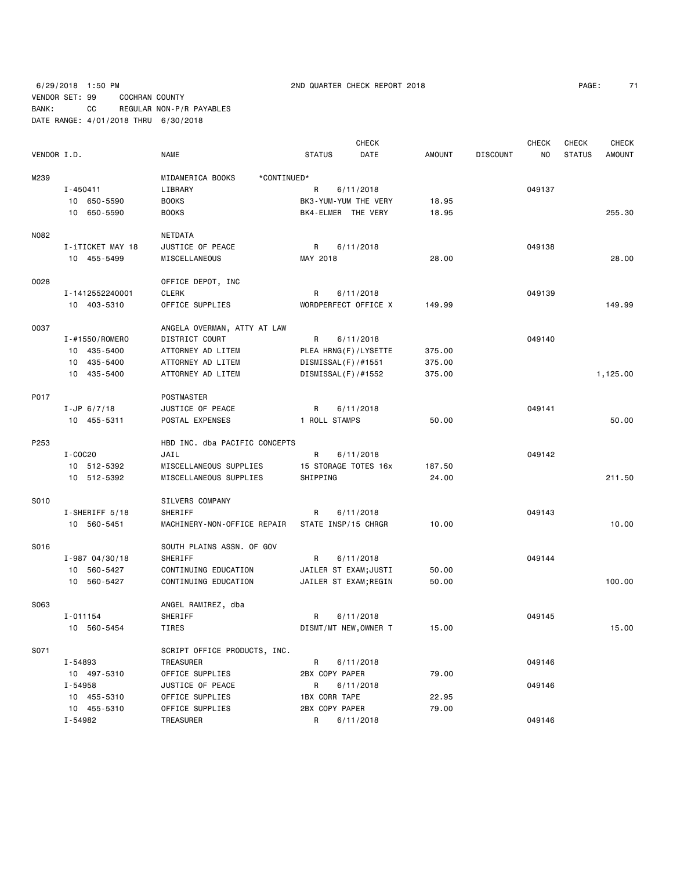6/29/2018 1:50 PM 2ND QUARTER CHECK REPORT 2018 PAGE: 71 VENDOR SET: 99 COCHRAN COUNTY BANK: CC REGULAR NON-P/R PAYABLES DATE RANGE: 4/01/2018 THRU 6/30/2018

|             |                    |                                 |                      | <b>CHECK</b>          |               |                 | CHECK  | <b>CHECK</b>  | <b>CHECK</b>  |
|-------------|--------------------|---------------------------------|----------------------|-----------------------|---------------|-----------------|--------|---------------|---------------|
| VENDOR I.D. |                    | NAME                            | <b>STATUS</b>        | DATE                  | <b>AMOUNT</b> | <b>DISCOUNT</b> | NO     | <b>STATUS</b> | <b>AMOUNT</b> |
| M239        |                    | MIDAMERICA BOOKS<br>*CONTINUED* |                      |                       |               |                 |        |               |               |
|             | I-450411           | LIBRARY                         | R                    | 6/11/2018             |               |                 | 049137 |               |               |
|             | 10 650-5590        | <b>BOOKS</b>                    |                      | BK3-YUM-YUM THE VERY  | 18.95         |                 |        |               |               |
|             | 10 650-5590        | <b>BOOKS</b>                    | BK4-ELMER THE VERY   |                       | 18.95         |                 |        |               | 255.30        |
| N082        |                    | NETDATA                         |                      |                       |               |                 |        |               |               |
|             | I-iTICKET MAY 18   | JUSTICE OF PEACE                | R                    | 6/11/2018             |               |                 | 049138 |               |               |
|             | 10 455-5499        | MISCELLANEOUS                   | MAY 2018             |                       | 28.00         |                 |        |               | 28.00         |
| 0028        |                    | OFFICE DEPOT, INC               |                      |                       |               |                 |        |               |               |
|             | I-1412552240001    | <b>CLERK</b>                    | R                    | 6/11/2018             |               |                 | 049139 |               |               |
|             | 10 403-5310        | OFFICE SUPPLIES                 |                      | WORDPERFECT OFFICE X  | 149.99        |                 |        |               | 149.99        |
| 0037        |                    | ANGELA OVERMAN, ATTY AT LAW     |                      |                       |               |                 |        |               |               |
|             | I-#1550/ROMERO     | DISTRICT COURT                  | R                    | 6/11/2018             |               |                 | 049140 |               |               |
|             | 10 435-5400        | ATTORNEY AD LITEM               |                      | PLEA HRNG(F)/LYSETTE  | 375.00        |                 |        |               |               |
|             | 10 435-5400        | ATTORNEY AD LITEM               | DISMISSAL(F)/#1551   |                       | 375.00        |                 |        |               |               |
|             | 10 435-5400        | ATTORNEY AD LITEM               | DISMISSAL(F)/#1552   |                       | 375.00        |                 |        |               | 1,125.00      |
| P017        |                    | POSTMASTER                      |                      |                       |               |                 |        |               |               |
|             | $I-JP$ 6/7/18      | JUSTICE OF PEACE                | R                    | 6/11/2018             |               |                 | 049141 |               |               |
|             | 10 455-5311        | POSTAL EXPENSES                 | 1 ROLL STAMPS        |                       | 50.00         |                 |        |               | 50.00         |
| P253        |                    | HBD INC. dba PACIFIC CONCEPTS   |                      |                       |               |                 |        |               |               |
|             | I-COC20            | JAIL                            | R                    | 6/11/2018             |               |                 | 049142 |               |               |
|             | 10 512-5392        | MISCELLANEOUS SUPPLIES          |                      | 15 STORAGE TOTES 16x  | 187.50        |                 |        |               |               |
|             | 10 512-5392        | MISCELLANEOUS SUPPLIES          | SHIPPING             |                       | 24.00         |                 |        |               | 211.50        |
| S010        |                    | SILVERS COMPANY                 |                      |                       |               |                 |        |               |               |
|             | I-SHERIFF 5/18     | SHERIFF                         | R                    | 6/11/2018             |               |                 | 049143 |               |               |
|             | 10 560-5451        | MACHINERY-NON-OFFICE REPAIR     | STATE INSP/15 CHRGR  |                       | 10.00         |                 |        |               | 10.00         |
| S016        |                    | SOUTH PLAINS ASSN. OF GOV       |                      |                       |               |                 |        |               |               |
|             | $I - 987 04/30/18$ | SHERIFF                         | R                    | 6/11/2018             |               |                 | 049144 |               |               |
|             | 10 560-5427        | CONTINUING EDUCATION            |                      | JAILER ST EXAM;JUSTI  | 50.00         |                 |        |               |               |
|             | 10 560-5427        | CONTINUING EDUCATION            |                      | JAILER ST EXAM; REGIN | 50.00         |                 |        |               | 100.00        |
| S063        |                    | ANGEL RAMIREZ, dba              |                      |                       |               |                 |        |               |               |
|             | I-011154           | SHERIFF                         | R                    | 6/11/2018             |               |                 | 049145 |               |               |
|             | 10 560-5454        | TIRES                           |                      | DISMT/MT NEW, OWNER T | 15.00         |                 |        |               | 15.00         |
| S071        |                    | SCRIPT OFFICE PRODUCTS, INC.    |                      |                       |               |                 |        |               |               |
|             | I-54893            | TREASURER                       | R                    | 6/11/2018             |               |                 | 049146 |               |               |
|             | 10 497-5310        | OFFICE SUPPLIES                 | 2BX COPY PAPER       |                       | 79.00         |                 |        |               |               |
|             | I-54958            | JUSTICE OF PEACE                | R                    | 6/11/2018             |               |                 | 049146 |               |               |
|             | 10 455-5310        | OFFICE SUPPLIES                 | <b>1BX CORR TAPE</b> |                       | 22.95         |                 |        |               |               |
|             | 10 455-5310        | OFFICE SUPPLIES                 | 2BX COPY PAPER       |                       | 79.00         |                 |        |               |               |
|             | I-54982            | TREASURER                       | R                    | 6/11/2018             |               |                 | 049146 |               |               |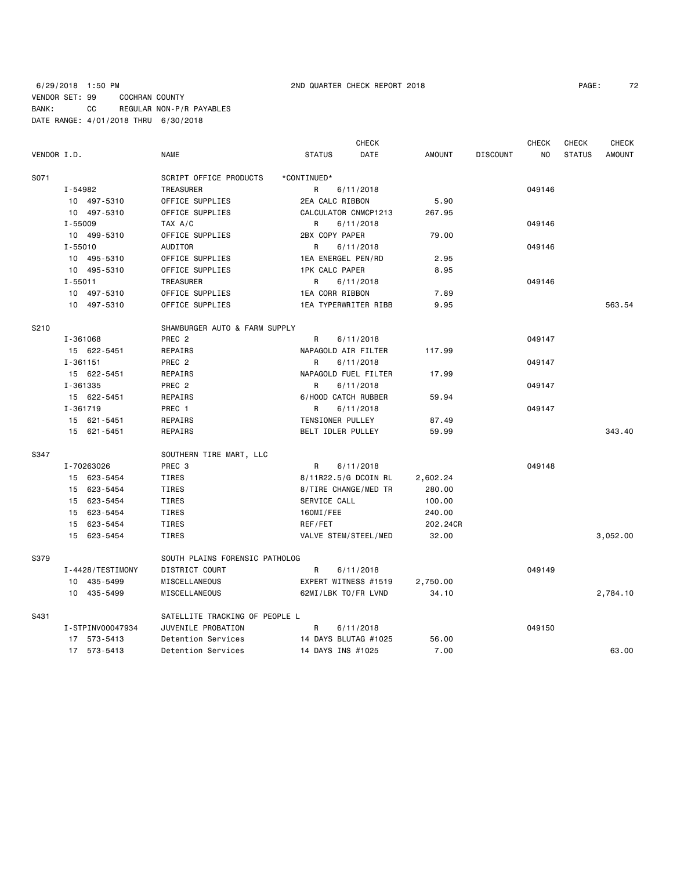| PAGE: | 72 |
|-------|----|
|-------|----|

|             |                                    |                                | <b>CHECK</b>          |               |                 | <b>CHECK</b> | <b>CHECK</b>  | <b>CHECK</b>  |
|-------------|------------------------------------|--------------------------------|-----------------------|---------------|-----------------|--------------|---------------|---------------|
| VENDOR I.D. |                                    | <b>NAME</b>                    | <b>STATUS</b><br>DATE | <b>AMOUNT</b> | <b>DISCOUNT</b> | NO           | <b>STATUS</b> | <b>AMOUNT</b> |
| S071        |                                    | SCRIPT OFFICE PRODUCTS         | *CONTINUED*           |               |                 |              |               |               |
|             | I-54982<br>TREASURER               |                                | 6/11/2018<br>R        |               |                 | 049146       |               |               |
|             | 10 497-5310                        | OFFICE SUPPLIES                | 2EA CALC RIBBON       | 5.90          |                 |              |               |               |
|             | 10 497-5310                        | OFFICE SUPPLIES                | CALCULATOR CNMCP1213  | 267.95        |                 |              |               |               |
|             | $I - 55009$                        | TAX A/C                        | R<br>6/11/2018        |               |                 | 049146       |               |               |
|             | 10 499-5310                        | OFFICE SUPPLIES                | 2BX COPY PAPER        | 79.00         |                 |              |               |               |
|             | $I - 55010$                        | AUDITOR                        | R<br>6/11/2018        |               |                 | 049146       |               |               |
|             | 10 495-5310                        | OFFICE SUPPLIES                | 1EA ENERGEL PEN/RD    | 2.95          |                 |              |               |               |
|             | 10 495-5310                        | OFFICE SUPPLIES                | <b>1PK CALC PAPER</b> | 8.95          |                 |              |               |               |
|             | $I - 55011$                        | TREASURER                      | 6/11/2018<br>R        |               |                 | 049146       |               |               |
|             | 10 497-5310                        | OFFICE SUPPLIES                | 1EA CORR RIBBON       | 7.89          |                 |              |               |               |
|             | 10 497-5310                        | OFFICE SUPPLIES                | 1EA TYPERWRITER RIBB  | 9.95          |                 |              |               | 563.54        |
| S210        |                                    | SHAMBURGER AUTO & FARM SUPPLY  |                       |               |                 |              |               |               |
|             | I-361068                           | PREC <sub>2</sub>              | R<br>6/11/2018        |               |                 | 049147       |               |               |
|             | 15 622-5451                        | REPAIRS                        | NAPAGOLD AIR FILTER   | 117.99        |                 |              |               |               |
|             | $I - 361151$                       | PREC <sub>2</sub>              | R<br>6/11/2018        |               |                 | 049147       |               |               |
|             | 15 622-5451                        | REPAIRS                        | NAPAGOLD FUEL FILTER  | 17.99         |                 |              |               |               |
|             | I-361335                           | PREC <sub>2</sub>              | 6/11/2018<br>R        |               |                 | 049147       |               |               |
|             | 15 622-5451                        | REPAIRS                        | 6/HOOD CATCH RUBBER   | 59.94         |                 |              |               |               |
|             | I-361719                           | PREC 1                         | 6/11/2018<br>R        |               |                 | 049147       |               |               |
|             | 15 621-5451                        | REPAIRS                        | TENSIONER PULLEY      | 87.49         |                 |              |               |               |
|             | 15 621-5451                        | REPAIRS                        | BELT IDLER PULLEY     | 59.99         |                 |              |               | 343.40        |
| S347        |                                    | SOUTHERN TIRE MART, LLC        |                       |               |                 |              |               |               |
|             | I-70263026                         | PREC <sub>3</sub>              | R<br>6/11/2018        |               |                 | 049148       |               |               |
|             | 15 623-5454                        | TIRES                          | 8/11R22.5/G DCOIN RL  | 2,602.24      |                 |              |               |               |
|             | 15 623-5454                        | TIRES                          | 8/TIRE CHANGE/MED TR  | 280.00        |                 |              |               |               |
|             | 15 623-5454                        | TIRES                          | SERVICE CALL          | 100.00        |                 |              |               |               |
|             | 15 623-5454                        | TIRES                          | 160MI/FEE             | 240.00        |                 |              |               |               |
|             | 15 623-5454                        | TIRES                          | REF/FET               | 202.24CR      |                 |              |               |               |
|             | 15 623-5454                        | TIRES                          | VALVE STEM/STEEL/MED  | 32.00         |                 |              |               | 3,052.00      |
| S379        |                                    | SOUTH PLAINS FORENSIC PATHOLOG |                       |               |                 |              |               |               |
|             | DISTRICT COURT<br>I-4428/TESTIMONY |                                | R<br>6/11/2018        |               |                 | 049149       |               |               |
|             | 10 435-5499                        | MISCELLANEOUS                  | EXPERT WITNESS #1519  | 2,750.00      |                 |              |               |               |
|             | 10 435-5499                        | MISCELLANEOUS                  | 62MI/LBK TO/FR LVND   | 34.10         |                 |              |               | 2,784.10      |
| S431        |                                    | SATELLITE TRACKING OF PEOPLE L |                       |               |                 |              |               |               |
|             | I-STPINV00047934                   | JUVENILE PROBATION             | R<br>6/11/2018        |               |                 | 049150       |               |               |
|             | 17 573-5413                        | Detention Services             | 14 DAYS BLUTAG #1025  | 56.00         |                 |              |               |               |
|             | 17 573-5413                        | Detention Services             | 14 DAYS INS #1025     | 7.00          |                 |              |               | 63.00         |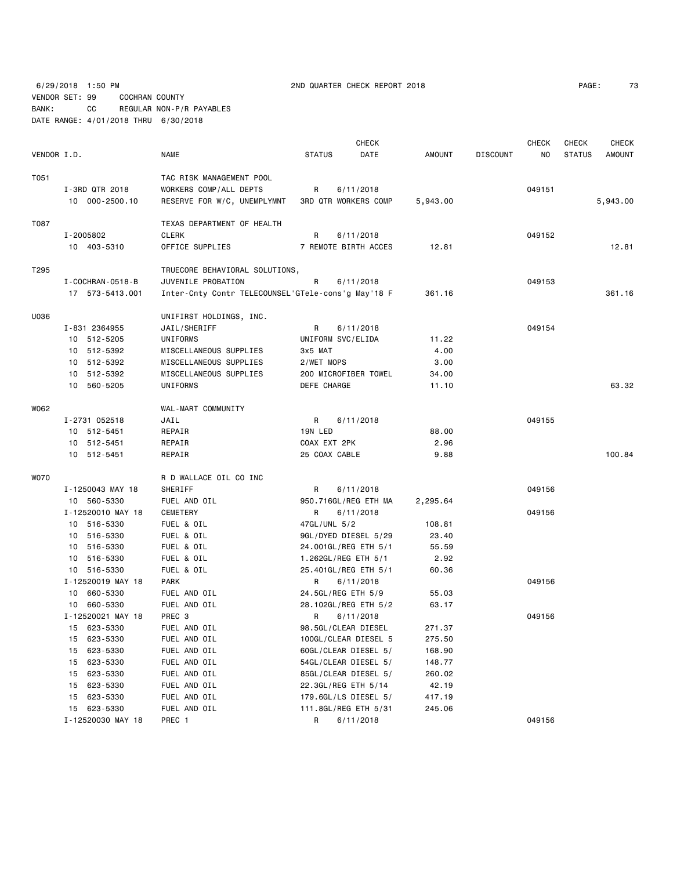6/29/2018 1:50 PM 2ND QUARTER CHECK REPORT 2018 VENDOR SET: 99 COCHRAN COUNTY BANK: CC REGULAR NON-P/R PAYABLES DATE RANGE: 4/01/2018 THRU 6/30/2018

|             |                        |                                                    |                     | <b>CHECK</b>                |          |                 | <b>CHECK</b> | <b>CHECK</b>  | <b>CHECK</b>  |
|-------------|------------------------|----------------------------------------------------|---------------------|-----------------------------|----------|-----------------|--------------|---------------|---------------|
| VENDOR I.D. |                        | <b>NAME</b>                                        | <b>STATUS</b>       | DATE                        | AMOUNT   | <b>DISCOUNT</b> | ΝO           | <b>STATUS</b> | <b>AMOUNT</b> |
| T051        |                        | TAC RISK MANAGEMENT POOL                           |                     |                             |          |                 |              |               |               |
|             | I-3RD QTR 2018         | WORKERS COMP/ALL DEPTS                             | R                   | 6/11/2018                   |          |                 | 049151       |               |               |
|             | 10 000-2500.10         | RESERVE FOR W/C, UNEMPLYMNT                        |                     | <b>3RD QTR WORKERS COMP</b> | 5,943.00 |                 |              |               | 5,943.00      |
| T087        |                        | TEXAS DEPARTMENT OF HEALTH                         |                     |                             |          |                 |              |               |               |
|             | I-2005802              | <b>CLERK</b>                                       | R                   | 6/11/2018                   |          |                 | 049152       |               |               |
|             | 10 403-5310            | OFFICE SUPPLIES                                    |                     | 7 REMOTE BIRTH ACCES        | 12.81    |                 |              |               | 12.81         |
| T295        |                        | TRUECORE BEHAVIORAL SOLUTIONS,                     |                     |                             |          |                 |              |               |               |
|             | I - COCHRAN - 0518 - B | JUVENILE PROBATION                                 | R                   | 6/11/2018                   |          |                 | 049153       |               |               |
|             | 17 573-5413.001        | Inter-Cnty Contr TELECOUNSEL'GTele-cons'g May'18 F |                     |                             | 361.16   |                 |              |               | 361.16        |
| U036        |                        | UNIFIRST HOLDINGS, INC.                            |                     |                             |          |                 |              |               |               |
|             | I-831 2364955          | JAIL/SHERIFF                                       | R                   | 6/11/2018                   |          |                 | 049154       |               |               |
|             | 10 512-5205            | UNIFORMS                                           | UNIFORM SVC/ELIDA   |                             | 11.22    |                 |              |               |               |
|             | 10 512-5392            | MISCELLANEOUS SUPPLIES                             | 3x5 MAT             |                             | 4.00     |                 |              |               |               |
|             | 10 512-5392            | MISCELLANEOUS SUPPLIES                             | 2/WET MOPS          |                             | 3.00     |                 |              |               |               |
|             | 10 512-5392            | MISCELLANEOUS SUPPLIES                             |                     | 200 MICROFIBER TOWEL        | 34.00    |                 |              |               |               |
|             | 10 560-5205            | UNIFORMS                                           | DEFE CHARGE         |                             | 11.10    |                 |              |               | 63.32         |
| W062        |                        | WAL-MART COMMUNITY                                 |                     |                             |          |                 |              |               |               |
|             | I-2731 052518          | JAIL                                               | R                   | 6/11/2018                   |          |                 | 049155       |               |               |
|             | 10 512-5451            | REPAIR                                             | 19N LED             |                             | 88.00    |                 |              |               |               |
|             | 10 512-5451            | REPAIR                                             | COAX EXT 2PK        |                             | 2.96     |                 |              |               |               |
|             | 10 512-5451            | REPAIR                                             | 25 COAX CABLE       |                             | 9.88     |                 |              |               | 100.84        |
| W070        |                        | R D WALLACE OIL CO INC                             |                     |                             |          |                 |              |               |               |
|             | I-1250043 MAY 18       | SHERIFF                                            | R                   | 6/11/2018                   |          |                 | 049156       |               |               |
|             | 10 560-5330            | FUEL AND OIL                                       |                     | 950.716GL/REG ETH MA        | 2,295.64 |                 |              |               |               |
|             | I-12520010 MAY 18      | CEMETERY                                           | R                   | 6/11/2018                   |          |                 | 049156       |               |               |
|             | 10 516-5330            | FUEL & OIL                                         | 47GL/UNL 5/2        |                             | 108.81   |                 |              |               |               |
|             | 10 516-5330            | FUEL & OIL                                         |                     | 9GL/DYED DIESEL 5/29        | 23.40    |                 |              |               |               |
|             | 10 516-5330            | FUEL & OIL                                         |                     | 24.001GL/REG ETH 5/1        | 55.59    |                 |              |               |               |
|             | 10 516-5330            | FUEL & OIL                                         | 1.262GL/REG ETH 5/1 |                             | 2.92     |                 |              |               |               |
|             | 10 516-5330            | FUEL & OIL                                         |                     | 25.401GL/REG ETH 5/1        | 60.36    |                 |              |               |               |
|             | I-12520019 MAY 18      | <b>PARK</b>                                        | R                   | 6/11/2018                   |          |                 | 049156       |               |               |
|             | 10 660-5330            | FUEL AND OIL                                       | 24.5GL/REG ETH 5/9  |                             | 55.03    |                 |              |               |               |
|             | 10 660-5330            | FUEL AND OIL                                       |                     | 28.102GL/REG ETH 5/2        | 63.17    |                 |              |               |               |
|             | I-12520021 MAY 18      | PREC 3                                             | R                   | 6/11/2018                   |          |                 | 049156       |               |               |
|             | 15 623-5330            | FUEL AND OIL                                       | 98.5GL/CLEAR DIESEL |                             | 271.37   |                 |              |               |               |
|             | 15 623-5330            | FUEL AND OIL                                       |                     | 100GL/CLEAR DIESEL 5        | 275.50   |                 |              |               |               |
|             | 623-5330<br>15         | FUEL AND OIL                                       |                     | 60GL/CLEAR DIESEL 5/        | 168.90   |                 |              |               |               |
|             | 623-5330<br>15         | FUEL AND OIL                                       |                     | 54GL/CLEAR DIESEL 5/        | 148.77   |                 |              |               |               |
|             | 623-5330<br>15         | FUEL AND OIL                                       |                     | 85GL/CLEAR DIESEL 5/        | 260.02   |                 |              |               |               |
|             | 623-5330<br>15         | FUEL AND OIL                                       | 22.3GL/REG ETH 5/14 |                             | 42.19    |                 |              |               |               |
|             | 623-5330<br>15         | FUEL AND OIL                                       |                     | 179.6GL/LS DIESEL 5/        | 417.19   |                 |              |               |               |
|             | 15 623-5330            | FUEL AND OIL                                       |                     | 111.8GL/REG ETH 5/31        | 245.06   |                 |              |               |               |
|             | I-12520030 MAY 18      | PREC 1                                             | R <sub>a</sub>      | 6/11/2018                   |          |                 | 049156       |               |               |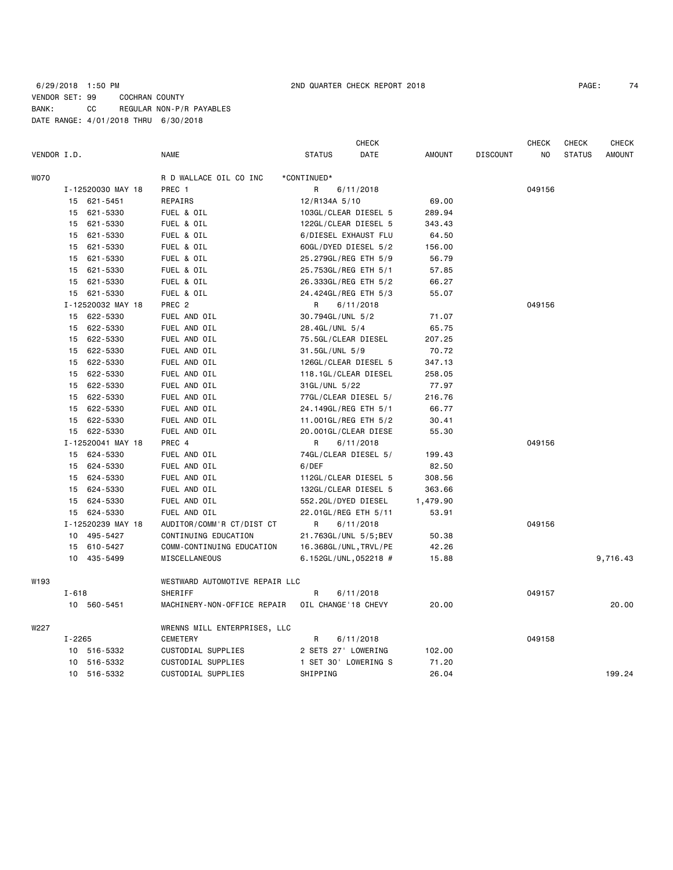|             |                 |                   |                                |                       | <b>CHECK</b> |               |                 | <b>CHECK</b> | CHECK         | <b>CHECK</b>  |
|-------------|-----------------|-------------------|--------------------------------|-----------------------|--------------|---------------|-----------------|--------------|---------------|---------------|
| VENDOR I.D. |                 |                   | <b>NAME</b>                    | <b>STATUS</b>         | DATE         | <b>AMOUNT</b> | <b>DISCOUNT</b> | NO.          | <b>STATUS</b> | <b>AMOUNT</b> |
| W070        |                 |                   | R D WALLACE OIL CO INC         | *CONTINUED*           |              |               |                 |              |               |               |
|             |                 | I-12520030 MAY 18 | PREC 1                         | R                     | 6/11/2018    |               |                 | 049156       |               |               |
|             |                 | 15 621-5451       | REPAIRS                        | 12/R134A 5/10         |              | 69.00         |                 |              |               |               |
|             | 15              | 621 - 5330        | FUEL & OIL                     | 103GL/CLEAR DIESEL 5  |              | 289.94        |                 |              |               |               |
|             | 15              | 621-5330          | FUEL & OIL                     | 122GL/CLEAR DIESEL 5  |              | 343.43        |                 |              |               |               |
|             |                 | 15 621-5330       | FUEL & OIL                     | 6/DIESEL EXHAUST FLU  |              | 64.50         |                 |              |               |               |
|             |                 | 15 621-5330       | FUEL & OIL                     | 60GL/DYED DIESEL 5/2  |              | 156.00        |                 |              |               |               |
|             |                 | 15 621-5330       | FUEL & OIL                     | 25.279GL/REG ETH 5/9  |              | 56.79         |                 |              |               |               |
|             | 15              | 621-5330          | FUEL & OIL                     | 25.753GL/REG ETH 5/1  |              | 57.85         |                 |              |               |               |
|             |                 | 15 621-5330       | FUEL & OIL                     | 26.333GL/REG ETH 5/2  |              | 66.27         |                 |              |               |               |
|             |                 | 15 621-5330       | FUEL & OIL                     | 24.424GL/REG ETH 5/3  |              | 55.07         |                 |              |               |               |
|             |                 | I-12520032 MAY 18 | PREC <sub>2</sub>              | R                     | 6/11/2018    |               |                 | 049156       |               |               |
|             |                 | 15 622-5330       | FUEL AND OIL                   | 30.794GL/UNL 5/2      |              | 71.07         |                 |              |               |               |
|             | 15              | 622-5330          | FUEL AND OIL                   | 28.4GL/UNL 5/4        |              | 65.75         |                 |              |               |               |
|             |                 | 15 622-5330       | FUEL AND OIL                   | 75.5GL/CLEAR DIESEL   |              | 207.25        |                 |              |               |               |
|             |                 | 15 622-5330       | FUEL AND OIL                   | 31.5GL/UNL 5/9        |              | 70.72         |                 |              |               |               |
|             |                 | 15 622-5330       | FUEL AND OIL                   | 126GL/CLEAR DIESEL 5  |              | 347.13        |                 |              |               |               |
|             | 15              | 622-5330          | FUEL AND OIL                   | 118.1GL/CLEAR DIESEL  |              | 258.05        |                 |              |               |               |
|             | 15              | 622-5330          | FUEL AND OIL                   | 31GL/UNL 5/22         |              | 77.97         |                 |              |               |               |
|             |                 | 15 622-5330       | FUEL AND OIL                   | 77GL/CLEAR DIESEL 5/  |              | 216.76        |                 |              |               |               |
|             | 15              | 622-5330          | FUEL AND OIL                   | 24.149GL/REG ETH 5/1  |              | 66.77         |                 |              |               |               |
|             |                 | 15 622-5330       | FUEL AND OIL                   | 11.001GL/REG ETH 5/2  |              | 30.41         |                 |              |               |               |
|             |                 | 15 622-5330       | FUEL AND OIL                   | 20.001GL/CLEAR DIESE  |              | 55.30         |                 |              |               |               |
|             |                 | I-12520041 MAY 18 | PREC 4                         | R                     | 6/11/2018    |               |                 | 049156       |               |               |
|             |                 | 15 624-5330       | FUEL AND OIL                   | 74GL/CLEAR DIESEL 5/  |              | 199.43        |                 |              |               |               |
|             | 15              | 624-5330          | FUEL AND OIL                   | 6/DEF                 |              | 82.50         |                 |              |               |               |
|             |                 | 15 624-5330       | FUEL AND OIL                   | 112GL/CLEAR DIESEL 5  |              | 308.56        |                 |              |               |               |
|             | 15              | 624-5330          | FUEL AND OIL                   | 132GL/CLEAR DIESEL 5  |              | 363.66        |                 |              |               |               |
|             |                 | 15 624-5330       | FUEL AND OIL                   | 552.2GL/DYED DIESEL   |              | 1,479.90      |                 |              |               |               |
|             |                 | 15 624-5330       | FUEL AND OIL                   | 22.01GL/REG ETH 5/11  |              | 53.91         |                 |              |               |               |
|             |                 | I-12520239 MAY 18 | AUDITOR/COMM'R CT/DIST CT      | R                     | 6/11/2018    |               |                 | 049156       |               |               |
|             |                 | 10 495-5427       | CONTINUING EDUCATION           | 21.763GL/UNL 5/5;BEV  |              | 50.38         |                 |              |               |               |
|             | 15              | 610-5427          | COMM-CONTINUING EDUCATION      | 16.368GL/UNL, TRVL/PE |              | 42.26         |                 |              |               |               |
|             | 10              | 435-5499          | MISCELLANEOUS                  | 6.152GL/UNL,052218 #  |              | 15.88         |                 |              |               | 9,716.43      |
| W193        |                 |                   | WESTWARD AUTOMOTIVE REPAIR LLC |                       |              |               |                 |              |               |               |
|             | $I - 618$       |                   | SHERIFF                        | R                     | 6/11/2018    |               |                 | 049157       |               |               |
|             |                 | 10 560-5451       | MACHINERY-NON-OFFICE REPAIR    | OIL CHANGE'18 CHEVY   |              | 20.00         |                 |              |               | 20.00         |
| W227        |                 |                   | WRENNS MILL ENTERPRISES, LLC   |                       |              |               |                 |              |               |               |
|             | $I - 2265$      |                   | <b>CEMETERY</b>                | R                     | 6/11/2018    |               |                 | 049158       |               |               |
|             |                 | 10 516-5332       | CUSTODIAL SUPPLIES             | 2 SETS 27' LOWERING   |              | 102.00        |                 |              |               |               |
|             | 10              | 516-5332          | CUSTODIAL SUPPLIES             | 1 SET 30' LOWERING S  |              | 71.20         |                 |              |               |               |
|             | 10 <sup>1</sup> | 516-5332          | CUSTODIAL SUPPLIES             | SHIPPING              |              | 26.04         |                 |              |               | 199.24        |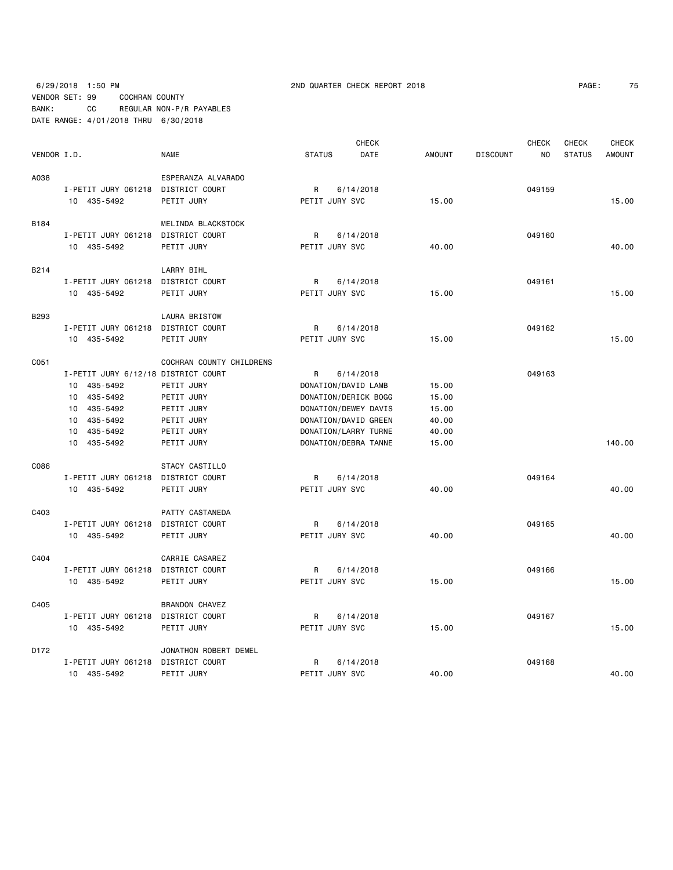6/29/2018 1:50 PM 2ND QUARTER CHECK REPORT 2018 PAGE: 75 VENDOR SET: 99 COCHRAN COUNTY BANK: CC REGULAR NON-P/R PAYABLES DATE RANGE: 4/01/2018 THRU 6/30/2018

| PAGE: | 75 |
|-------|----|
|-------|----|

|             |                                     |                          |                | <b>CHECK</b>         |        |                 | <b>CHECK</b>   | <b>CHECK</b>  | <b>CHECK</b>  |
|-------------|-------------------------------------|--------------------------|----------------|----------------------|--------|-----------------|----------------|---------------|---------------|
| VENDOR I.D. |                                     | <b>NAME</b>              | <b>STATUS</b>  | <b>DATE</b>          | AMOUNT | <b>DISCOUNT</b> | N <sub>0</sub> | <b>STATUS</b> | <b>AMOUNT</b> |
| A038        |                                     | ESPERANZA ALVARADO       |                |                      |        |                 |                |               |               |
|             | I-PETIT JURY 061218 DISTRICT COURT  |                          | R              | 6/14/2018            |        |                 | 049159         |               |               |
|             | 10 435-5492                         | PETIT JURY               | PETIT JURY SVC |                      | 15.00  |                 |                |               | 15.00         |
| B184        |                                     | MELINDA BLACKSTOCK       |                |                      |        |                 |                |               |               |
|             | I-PETIT JURY 061218                 | DISTRICT COURT           | R              | 6/14/2018            |        |                 | 049160         |               |               |
|             | 10 435-5492                         | PETIT JURY               | PETIT JURY SVC |                      | 40.00  |                 |                |               | 40.00         |
| B214        |                                     | LARRY BIHL               |                |                      |        |                 |                |               |               |
|             | I-PETIT JURY 061218                 | DISTRICT COURT           | R              | 6/14/2018            |        |                 | 049161         |               |               |
|             | 10 435-5492                         | PETIT JURY               | PETIT JURY SVC |                      | 15.00  |                 |                |               | 15.00         |
| <b>B293</b> |                                     | <b>LAURA BRISTOW</b>     |                |                      |        |                 |                |               |               |
|             | I-PETIT JURY 061218                 | DISTRICT COURT           | R              | 6/14/2018            |        |                 | 049162         |               |               |
|             | 10 435-5492                         | PETIT JURY               | PETIT JURY SVC |                      | 15.00  |                 |                |               | 15.00         |
| C051        |                                     | COCHRAN COUNTY CHILDRENS |                |                      |        |                 |                |               |               |
|             | I-PETIT JURY 6/12/18 DISTRICT COURT |                          | R              | 6/14/2018            |        |                 | 049163         |               |               |
|             | 10 435-5492                         | PETIT JURY               |                | DONATION/DAVID LAMB  | 15.00  |                 |                |               |               |
|             | 10 435-5492                         | PETIT JURY               |                | DONATION/DERICK BOGG | 15.00  |                 |                |               |               |
|             | 10 435-5492                         | PETIT JURY               |                | DONATION/DEWEY DAVIS | 15.00  |                 |                |               |               |
|             | 10 435-5492                         | PETIT JURY               |                | DONATION/DAVID GREEN | 40.00  |                 |                |               |               |
|             | 10 435-5492                         | PETIT JURY               |                | DONATION/LARRY TURNE | 40.00  |                 |                |               |               |
|             | 10 435-5492                         | PETIT JURY               |                | DONATION/DEBRA TANNE | 15.00  |                 |                |               | 140.00        |
| C086        |                                     | STACY CASTILLO           |                |                      |        |                 |                |               |               |
|             | I-PETIT JURY 061218                 | DISTRICT COURT           | R              | 6/14/2018            |        |                 | 049164         |               |               |
|             | 10 435-5492                         | PETIT JURY               | PETIT JURY SVC |                      | 40.00  |                 |                |               | 40.00         |
| C403        |                                     | PATTY CASTANEDA          |                |                      |        |                 |                |               |               |
|             | I-PETIT JURY 061218 DISTRICT COURT  |                          | R              | 6/14/2018            |        |                 | 049165         |               |               |
|             | 10 435-5492                         | PETIT JURY               | PETIT JURY SVC |                      | 40.00  |                 |                |               | 40.00         |
| C404        |                                     | CARRIE CASAREZ           |                |                      |        |                 |                |               |               |
|             | I-PETIT JURY 061218                 | DISTRICT COURT           | R              | 6/14/2018            |        |                 | 049166         |               |               |
|             | 10 435-5492                         | PETIT JURY               | PETIT JURY SVC |                      | 15.00  |                 |                |               | 15.00         |
| C405        |                                     | <b>BRANDON CHAVEZ</b>    |                |                      |        |                 |                |               |               |
|             | I-PETIT JURY 061218                 | DISTRICT COURT           | R              | 6/14/2018            |        |                 | 049167         |               |               |
|             | 10 435-5492                         | PETIT JURY               | PETIT JURY SVC |                      | 15.00  |                 |                |               | 15.00         |
| D172        |                                     | JONATHON ROBERT DEMEL    |                |                      |        |                 |                |               |               |
|             | I-PETIT JURY 061218 DISTRICT COURT  |                          | R              | 6/14/2018            |        |                 | 049168         |               |               |
|             | 10 435-5492                         | PETIT JURY               | PETIT JURY SVC |                      | 40.00  |                 |                |               | 40.00         |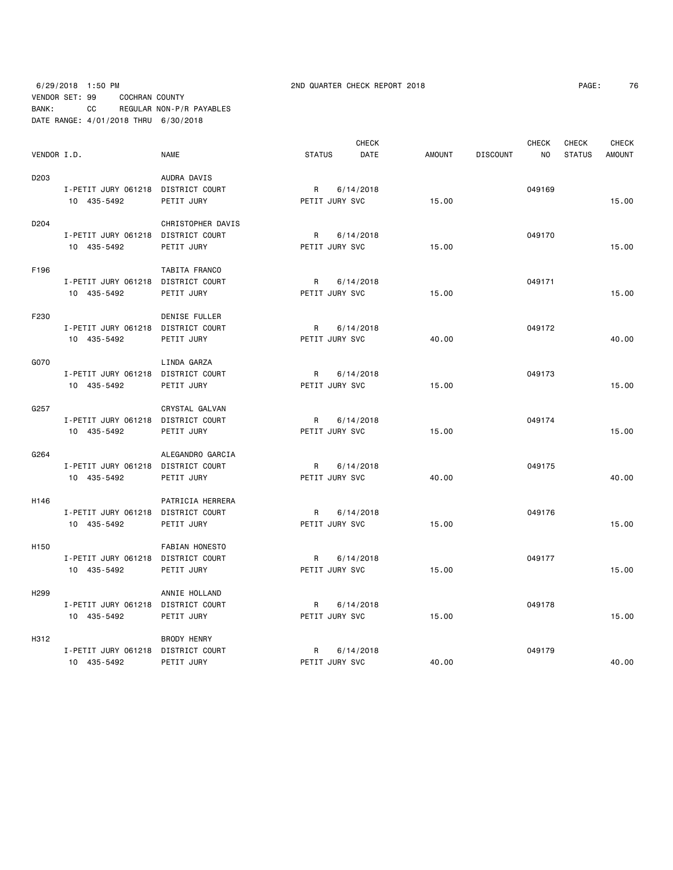## 6/29/2018 1:50 PM 2ND QUARTER CHECK REPORT 2018 PAGE: 76 VENDOR SET: 99 COCHRAN COUNTY BANK: CC REGULAR NON-P/R PAYABLES DATE RANGE: 4/01/2018 THRU 6/30/2018

|                  |                                    |                      |                | <b>CHECK</b> |               |                 | <b>CHECK</b>   | <b>CHECK</b>  | <b>CHECK</b>  |
|------------------|------------------------------------|----------------------|----------------|--------------|---------------|-----------------|----------------|---------------|---------------|
| VENDOR I.D.      |                                    | <b>NAME</b>          | <b>STATUS</b>  | DATE         | <b>AMOUNT</b> | <b>DISCOUNT</b> | N <sub>O</sub> | <b>STATUS</b> | <b>AMOUNT</b> |
| D203             |                                    | AUDRA DAVIS          |                |              |               |                 |                |               |               |
|                  | I-PETIT JURY 061218 DISTRICT COURT |                      | $R_{\perp}$    | 6/14/2018    |               |                 | 049169         |               |               |
|                  | 10 435-5492                        | PETIT JURY           | PETIT JURY SVC |              | 15.00         |                 |                |               | 15.00         |
| D204             |                                    | CHRISTOPHER DAVIS    |                |              |               |                 |                |               |               |
|                  | I-PETIT JURY 061218 DISTRICT COURT |                      | R              | 6/14/2018    |               |                 | 049170         |               |               |
|                  | 10 435-5492                        | PETIT JURY           | PETIT JURY SVC |              | 15.00         |                 |                |               | 15.00         |
| F196             |                                    | TABITA FRANCO        |                |              |               |                 |                |               |               |
|                  | I-PETIT JURY 061218 DISTRICT COURT |                      | R              | 6/14/2018    |               |                 | 049171         |               |               |
|                  | 10 435-5492                        | PETIT JURY           | PETIT JURY SVC |              | 15.00         |                 |                |               | 15.00         |
| F230             |                                    | <b>DENISE FULLER</b> |                |              |               |                 |                |               |               |
|                  | I-PETIT JURY 061218 DISTRICT COURT |                      | $\mathsf{R}$   | 6/14/2018    |               |                 | 049172         |               |               |
|                  | 10 435-5492                        | PETIT JURY           | PETIT JURY SVC |              | 40.00         |                 |                |               | 40.00         |
| G070             |                                    | LINDA GARZA          |                |              |               |                 |                |               |               |
|                  | I-PETIT JURY 061218 DISTRICT COURT |                      | R              | 6/14/2018    |               |                 | 049173         |               |               |
|                  | 10 435-5492                        | PETIT JURY           | PETIT JURY SVC |              | 15.00         |                 |                |               | 15.00         |
| G257             |                                    | CRYSTAL GALVAN       |                |              |               |                 |                |               |               |
|                  | I-PETIT JURY 061218 DISTRICT COURT |                      | R              | 6/14/2018    |               |                 | 049174         |               |               |
|                  | 10 435-5492                        | PETIT JURY           | PETIT JURY SVC |              | 15.00         |                 |                |               | 15.00         |
| G264             |                                    | ALEGANDRO GARCIA     |                |              |               |                 |                |               |               |
|                  | I-PETIT JURY 061218 DISTRICT COURT |                      | $\mathsf{R}$   | 6/14/2018    |               |                 | 049175         |               |               |
|                  | 10 435-5492                        | PETIT JURY           | PETIT JURY SVC |              | 40.00         |                 |                |               | 40.00         |
| H146             |                                    | PATRICIA HERRERA     |                |              |               |                 |                |               |               |
|                  | I-PETIT JURY 061218 DISTRICT COURT |                      | $\mathsf{R}$   | 6/14/2018    |               |                 | 049176         |               |               |
|                  | 10 435-5492                        | PETIT JURY           | PETIT JURY SVC |              | 15.00         |                 |                |               | 15.00         |
| H <sub>150</sub> |                                    | FABIAN HONESTO       |                |              |               |                 |                |               |               |
|                  | I-PETIT JURY 061218 DISTRICT COURT |                      | $\mathsf{R}$   | 6/14/2018    |               |                 | 049177         |               |               |
|                  | 10 435-5492                        | PETIT JURY           | PETIT JURY SVC |              | 15.00         |                 |                |               | 15.00         |
| H <sub>299</sub> |                                    | ANNIE HOLLAND        |                |              |               |                 |                |               |               |
|                  | I-PETIT JURY 061218 DISTRICT COURT |                      | R              | 6/14/2018    |               |                 | 049178         |               |               |
|                  | 10 435-5492                        | PETIT JURY           | PETIT JURY SVC |              | 15.00         |                 |                |               | 15.00         |
| H312             |                                    | <b>BRODY HENRY</b>   |                |              |               |                 |                |               |               |
|                  | I-PETIT JURY 061218 DISTRICT COURT |                      | R              | 6/14/2018    |               |                 | 049179         |               |               |
|                  | 10 435-5492                        | PETIT JURY           | PETIT JURY SVC |              | 40.00         |                 |                |               | 40.00         |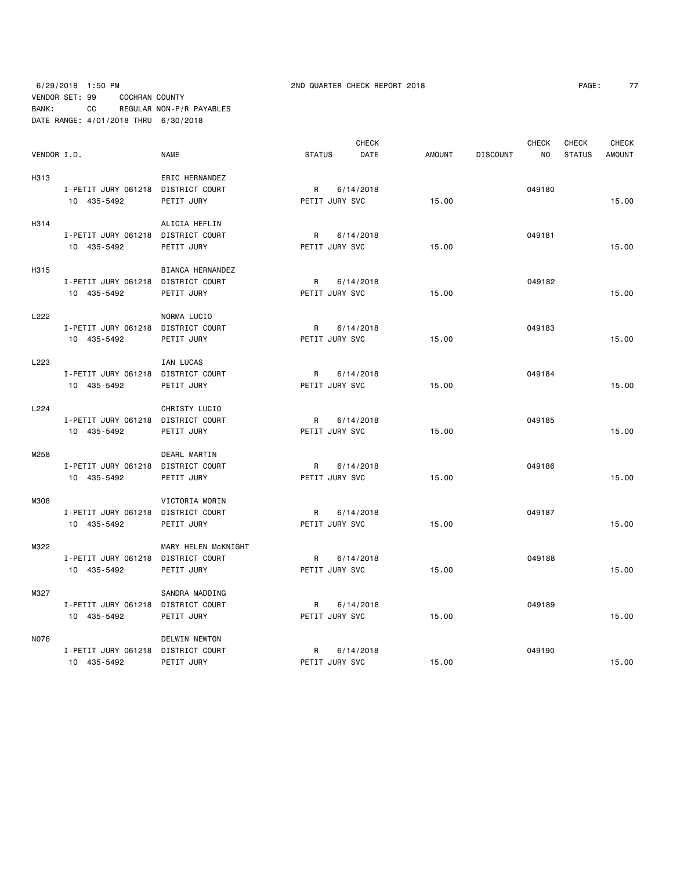| PAGE: |  |
|-------|--|
|-------|--|

|             |                                    |                     |                | <b>CHECK</b> |        |                 | <b>CHECK</b> | <b>CHECK</b>  | <b>CHECK</b>  |
|-------------|------------------------------------|---------------------|----------------|--------------|--------|-----------------|--------------|---------------|---------------|
| VENDOR I.D. |                                    | NAME                | <b>STATUS</b>  | DATE         | AMOUNT | <b>DISCOUNT</b> | NO.          | <b>STATUS</b> | <b>AMOUNT</b> |
| H313        |                                    | ERIC HERNANDEZ      |                |              |        |                 |              |               |               |
|             | I-PETIT JURY 061218 DISTRICT COURT |                     | R              | 6/14/2018    |        |                 | 049180       |               |               |
|             | 10 435-5492                        | PETIT JURY          | PETIT JURY SVC |              | 15.00  |                 |              |               | 15.00         |
| H314        |                                    | ALICIA HEFLIN       |                |              |        |                 |              |               |               |
|             | I-PETIT JURY 061218 DISTRICT COURT |                     | R              | 6/14/2018    |        |                 | 049181       |               |               |
|             | 10 435-5492                        | PETIT JURY          | PETIT JURY SVC |              | 15.00  |                 |              |               | 15.00         |
| H315        |                                    | BIANCA HERNANDEZ    |                |              |        |                 |              |               |               |
|             | I-PETIT JURY 061218 DISTRICT COURT |                     | R              | 6/14/2018    |        |                 | 049182       |               |               |
|             | 10 435-5492                        | PETIT JURY          | PETIT JURY SVC |              | 15.00  |                 |              |               | 15.00         |
| L222        |                                    | NORMA LUCIO         |                |              |        |                 |              |               |               |
|             | I-PETIT JURY 061218 DISTRICT COURT |                     | R              | 6/14/2018    |        |                 | 049183       |               |               |
|             | 10 435-5492                        | PETIT JURY          | PETIT JURY SVC |              | 15.00  |                 |              |               | 15.00         |
| L223        |                                    | IAN LUCAS           |                |              |        |                 |              |               |               |
|             | I-PETIT JURY 061218 DISTRICT COURT |                     | R              | 6/14/2018    |        |                 | 049184       |               |               |
|             | 10 435-5492                        | PETIT JURY          | PETIT JURY SVC |              | 15.00  |                 |              |               | 15.00         |
| L224        |                                    | CHRISTY LUCIO       |                |              |        |                 |              |               |               |
|             | I-PETIT JURY 061218 DISTRICT COURT |                     | R              | 6/14/2018    |        |                 | 049185       |               |               |
|             | 10 435-5492                        | PETIT JURY          | PETIT JURY SVC |              | 15.00  |                 |              |               | 15.00         |
| M258        |                                    | DEARL MARTIN        |                |              |        |                 |              |               |               |
|             | I-PETIT JURY 061218 DISTRICT COURT |                     | R              | 6/14/2018    |        |                 | 049186       |               |               |
|             | 10 435-5492                        | PETIT JURY          | PETIT JURY SVC |              | 15.00  |                 |              |               | 15.00         |
| M308        |                                    | VICTORIA MORIN      |                |              |        |                 |              |               |               |
|             | I-PETIT JURY 061218 DISTRICT COURT |                     | R              | 6/14/2018    |        |                 | 049187       |               |               |
|             | 10 435-5492                        | PETIT JURY          | PETIT JURY SVC |              | 15.00  |                 |              |               | 15.00         |
| M322        |                                    | MARY HELEN McKNIGHT |                |              |        |                 |              |               |               |
|             | I-PETIT JURY 061218 DISTRICT COURT |                     | R              | 6/14/2018    |        |                 | 049188       |               |               |
|             | 10 435-5492                        | PETIT JURY          | PETIT JURY SVC |              | 15.00  |                 |              |               | 15.00         |
| M327        |                                    | SANDRA MADDING      |                |              |        |                 |              |               |               |
|             | I-PETIT JURY 061218 DISTRICT COURT |                     | R              | 6/14/2018    |        |                 | 049189       |               |               |
|             | 10 435-5492                        | PETIT JURY          | PETIT JURY SVC |              | 15.00  |                 |              |               | 15.00         |
| N076        |                                    | DELWIN NEWTON       |                |              |        |                 |              |               |               |
|             | I-PETIT JURY 061218 DISTRICT COURT |                     | R              | 6/14/2018    |        |                 | 049190       |               |               |
|             | 10 435-5492                        | PETIT JURY          | PETIT JURY SVC |              | 15.00  |                 |              |               | 15.00         |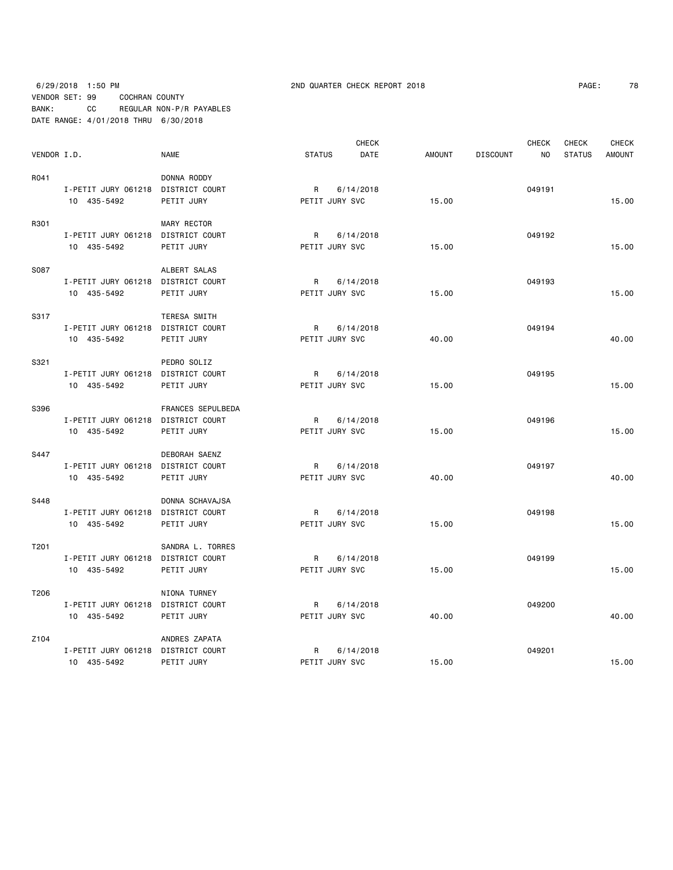## 6/29/2018 1:50 PM 2ND QUARTER CHECK REPORT 2018 PAGE: 78 VENDOR SET: 99 COCHRAN COUNTY BANK: CC REGULAR NON-P/R PAYABLES DATE RANGE: 4/01/2018 THRU 6/30/2018

| 7 g |
|-----|
|     |
|     |

|             |                                    |                     |                | <b>CHECK</b> |               |                 | <b>CHECK</b> | CHECK         | <b>CHECK</b>  |
|-------------|------------------------------------|---------------------|----------------|--------------|---------------|-----------------|--------------|---------------|---------------|
| VENDOR I.D. |                                    | <b>NAME</b>         | <b>STATUS</b>  | DATE         | <b>AMOUNT</b> | <b>DISCOUNT</b> | NO           | <b>STATUS</b> | <b>AMOUNT</b> |
| R041        |                                    | DONNA RODDY         |                |              |               |                 |              |               |               |
|             | I-PETIT JURY 061218 DISTRICT COURT |                     | R              | 6/14/2018    |               |                 | 049191       |               |               |
|             | 10 435-5492                        | PETIT JURY          | PETIT JURY SVC |              | 15.00         |                 |              |               | 15.00         |
|             |                                    |                     |                |              |               |                 |              |               |               |
| R301        |                                    | <b>MARY RECTOR</b>  |                |              |               |                 |              |               |               |
|             | I-PETIT JURY 061218 DISTRICT COURT |                     | R              | 6/14/2018    |               |                 | 049192       |               |               |
|             | 10 435-5492                        | PETIT JURY          | PETIT JURY SVC |              | 15.00         |                 |              |               | 15.00         |
| S087        |                                    | ALBERT SALAS        |                |              |               |                 |              |               |               |
|             | I-PETIT JURY 061218 DISTRICT COURT |                     | R              | 6/14/2018    |               |                 | 049193       |               |               |
|             | 10 435-5492                        | PETIT JURY          | PETIT JURY SVC |              | 15.00         |                 |              |               | 15.00         |
|             |                                    |                     |                |              |               |                 |              |               |               |
| S317        |                                    | <b>TERESA SMITH</b> |                |              |               |                 |              |               |               |
|             | I-PETIT JURY 061218 DISTRICT COURT |                     | R              | 6/14/2018    |               |                 | 049194       |               |               |
|             | 10 435-5492                        | PETIT JURY          | PETIT JURY SVC |              | 40.00         |                 |              |               | 40.00         |
|             |                                    |                     |                |              |               |                 |              |               |               |
| S321        |                                    | PEDRO SOLIZ         |                |              |               |                 |              |               |               |
|             | I-PETIT JURY 061218 DISTRICT COURT |                     | R              | 6/14/2018    |               |                 | 049195       |               |               |
|             | 10 435-5492                        | PETIT JURY          | PETIT JURY SVC |              | 15.00         |                 |              |               | 15.00         |
| S396        |                                    | FRANCES SEPULBEDA   |                |              |               |                 |              |               |               |
|             | I-PETIT JURY 061218 DISTRICT COURT |                     | $\mathsf{R}$   | 6/14/2018    |               |                 | 049196       |               |               |
|             | 10 435-5492                        | PETIT JURY          | PETIT JURY SVC |              | 15.00         |                 |              |               | 15.00         |
|             |                                    |                     |                |              |               |                 |              |               |               |
| S447        |                                    | DEBORAH SAENZ       |                |              |               |                 |              |               |               |
|             | I-PETIT JURY 061218 DISTRICT COURT |                     | R              | 6/14/2018    |               |                 | 049197       |               |               |
|             | 10 435-5492                        | PETIT JURY          | PETIT JURY SVC |              | 40.00         |                 |              |               | 40.00         |
| S448        |                                    | DONNA SCHAVAJSA     |                |              |               |                 |              |               |               |
|             | I-PETIT JURY 061218 DISTRICT COURT |                     | R              | 6/14/2018    |               |                 | 049198       |               |               |
|             | 10 435-5492                        | PETIT JURY          | PETIT JURY SVC |              | 15.00         |                 |              |               | 15.00         |
|             |                                    |                     |                |              |               |                 |              |               |               |
| T201        |                                    | SANDRA L. TORRES    |                |              |               |                 |              |               |               |
|             | I-PETIT JURY 061218 DISTRICT COURT |                     | R              | 6/14/2018    |               |                 | 049199       |               |               |
|             | 10 435-5492                        | PETIT JURY          | PETIT JURY SVC |              | 15.00         |                 |              |               | 15.00         |
|             |                                    |                     |                |              |               |                 |              |               |               |
| T206        |                                    | NIONA TURNEY        |                |              |               |                 |              |               |               |
|             | I-PETIT JURY 061218 DISTRICT COURT |                     | R              | 6/14/2018    |               |                 | 049200       |               |               |
|             | 10 435-5492                        | PETIT JURY          | PETIT JURY SVC |              | 40.00         |                 |              |               | 40.00         |
| Z104        |                                    | ANDRES ZAPATA       |                |              |               |                 |              |               |               |
|             | I-PETIT JURY 061218 DISTRICT COURT |                     | R              | 6/14/2018    |               |                 | 049201       |               |               |
|             | 10 435-5492                        | PETIT JURY          | PETIT JURY SVC |              | 15.00         |                 |              |               | 15.00         |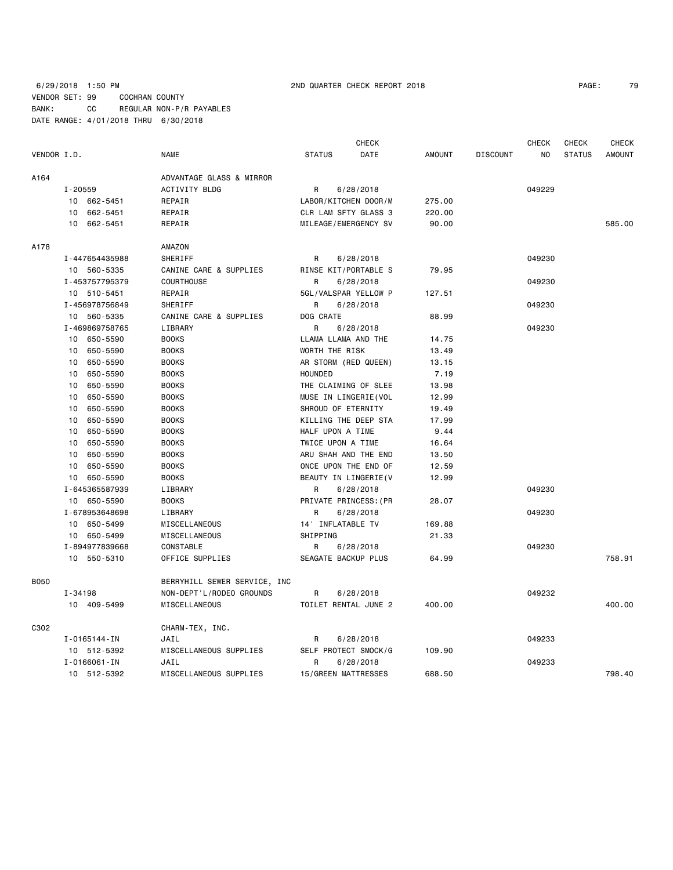## 6/29/2018 1:50 PM 2ND QUARTER CHECK REPORT 2018 PAGE: 79 VENDOR SET: 99 COCHRAN COUNTY BANK: CC REGULAR NON-P/R PAYABLES DATE RANGE: 4/01/2018 THRU 6/30/2018

|             |                |                              |                       | <b>CHECK</b>          |               |                 | <b>CHECK</b> | <b>CHECK</b>  | <b>CHECK</b>  |
|-------------|----------------|------------------------------|-----------------------|-----------------------|---------------|-----------------|--------------|---------------|---------------|
| VENDOR I.D. |                | <b>NAME</b>                  | <b>STATUS</b>         | DATE                  | <b>AMOUNT</b> | <b>DISCOUNT</b> | NO           | <b>STATUS</b> | <b>AMOUNT</b> |
| A164        |                | ADVANTAGE GLASS & MIRROR     |                       |                       |               |                 |              |               |               |
|             | I-20559        | <b>ACTIVITY BLDG</b>         | R                     | 6/28/2018             |               |                 | 049229       |               |               |
|             | 10 662-5451    | REPAIR                       |                       | LABOR/KITCHEN DOOR/M  | 275.00        |                 |              |               |               |
|             | 10 662-5451    | REPAIR                       |                       | CLR LAM SFTY GLASS 3  | 220.00        |                 |              |               |               |
|             | 10<br>662-5451 | REPAIR                       |                       | MILEAGE/EMERGENCY SV  | 90.00         |                 |              |               | 585.00        |
| A178        |                | AMAZON                       |                       |                       |               |                 |              |               |               |
|             | I-447654435988 | SHERIFF                      | R                     | 6/28/2018             |               |                 | 049230       |               |               |
|             | 10 560-5335    | CANINE CARE & SUPPLIES       |                       | RINSE KIT/PORTABLE S  | 79.95         |                 |              |               |               |
|             | I-453757795379 | COURTHOUSE                   | R                     | 6/28/2018             |               |                 | 049230       |               |               |
|             | 10 510-5451    | REPAIR                       |                       | 5GL/VALSPAR YELLOW P  | 127.51        |                 |              |               |               |
|             | I-456978756849 | SHERIFF                      | R                     | 6/28/2018             |               |                 | 049230       |               |               |
|             | 10 560-5335    | CANINE CARE & SUPPLIES       | DOG CRATE             |                       | 88.99         |                 |              |               |               |
|             | I-469869758765 | LIBRARY                      | R                     | 6/28/2018             |               |                 | 049230       |               |               |
|             | 10 650-5590    | <b>BOOKS</b>                 | LLAMA LLAMA AND THE   |                       | 14.75         |                 |              |               |               |
|             | 650-5590<br>10 | <b>BOOKS</b>                 | WORTH THE RISK        |                       | 13.49         |                 |              |               |               |
|             | 650-5590<br>10 | <b>BOOKS</b>                 | AR STORM (RED QUEEN)  |                       | 13.15         |                 |              |               |               |
|             | 650-5590<br>10 | <b>BOOKS</b>                 | HOUNDED               |                       | 7.19          |                 |              |               |               |
|             | 10<br>650-5590 | <b>BOOKS</b>                 |                       | THE CLAIMING OF SLEE  | 13.98         |                 |              |               |               |
|             | 10<br>650-5590 | <b>BOOKS</b>                 |                       | MUSE IN LINGERIE (VOL | 12.99         |                 |              |               |               |
|             | 650-5590<br>10 | <b>BOOKS</b>                 | SHROUD OF ETERNITY    |                       | 19.49         |                 |              |               |               |
|             | 10<br>650-5590 | <b>BOOKS</b>                 |                       | KILLING THE DEEP STA  | 17.99         |                 |              |               |               |
|             | 650-5590<br>10 | <b>BOOKS</b>                 | HALF UPON A TIME      |                       | 9.44          |                 |              |               |               |
|             | 650-5590<br>10 | <b>BOOKS</b>                 | TWICE UPON A TIME     |                       | 16.64         |                 |              |               |               |
|             | 10<br>650-5590 | <b>BOOKS</b>                 |                       | ARU SHAH AND THE END  | 13.50         |                 |              |               |               |
|             | 650-5590<br>10 | <b>BOOKS</b>                 |                       | ONCE UPON THE END OF  | 12.59         |                 |              |               |               |
|             | 10 650-5590    | <b>BOOKS</b>                 |                       | BEAUTY IN LINGERIE (V | 12.99         |                 |              |               |               |
|             | I-645365587939 | LIBRARY                      | R                     | 6/28/2018             |               |                 | 049230       |               |               |
|             | 10 650-5590    | <b>BOOKS</b>                 | PRIVATE PRINCESS: (PR |                       | 28.07         |                 |              |               |               |
|             | I-678953648698 | LIBRARY                      | R                     | 6/28/2018             |               |                 | 049230       |               |               |
|             | 10 650-5499    | MISCELLANEOUS                | 14 ' INFLATABLE TV    |                       | 169.88        |                 |              |               |               |
|             | 10 650-5499    | MISCELLANEOUS                | SHIPPING              |                       | 21.33         |                 |              |               |               |
|             | I-894977839668 | CONSTABLE                    | R                     | 6/28/2018             |               |                 | 049230       |               |               |
|             | 10 550-5310    | OFFICE SUPPLIES              | SEAGATE BACKUP PLUS   |                       | 64.99         |                 |              |               | 758.91        |
| <b>B050</b> |                | BERRYHILL SEWER SERVICE, INC |                       |                       |               |                 |              |               |               |
|             | I-34198        | NON-DEPT'L/RODEO GROUNDS     | R                     | 6/28/2018             |               |                 | 049232       |               |               |
|             | 10 409-5499    | MISCELLANEOUS                |                       | TOILET RENTAL JUNE 2  | 400.00        |                 |              |               | 400.00        |
| C302        |                | CHARM-TEX, INC.              |                       |                       |               |                 |              |               |               |
|             | I-0165144-IN   | JAIL                         | R                     | 6/28/2018             |               |                 | 049233       |               |               |
|             | 10 512-5392    | MISCELLANEOUS SUPPLIES       |                       | SELF PROTECT SMOCK/G  | 109.90        |                 |              |               |               |
|             | I-0166061-IN   | JAIL                         | R                     | 6/28/2018             |               |                 | 049233       |               |               |
|             | 10 512-5392    | MISCELLANEOUS SUPPLIES       | 15/GREEN MATTRESSES   |                       | 688.50        |                 |              |               | 798.40        |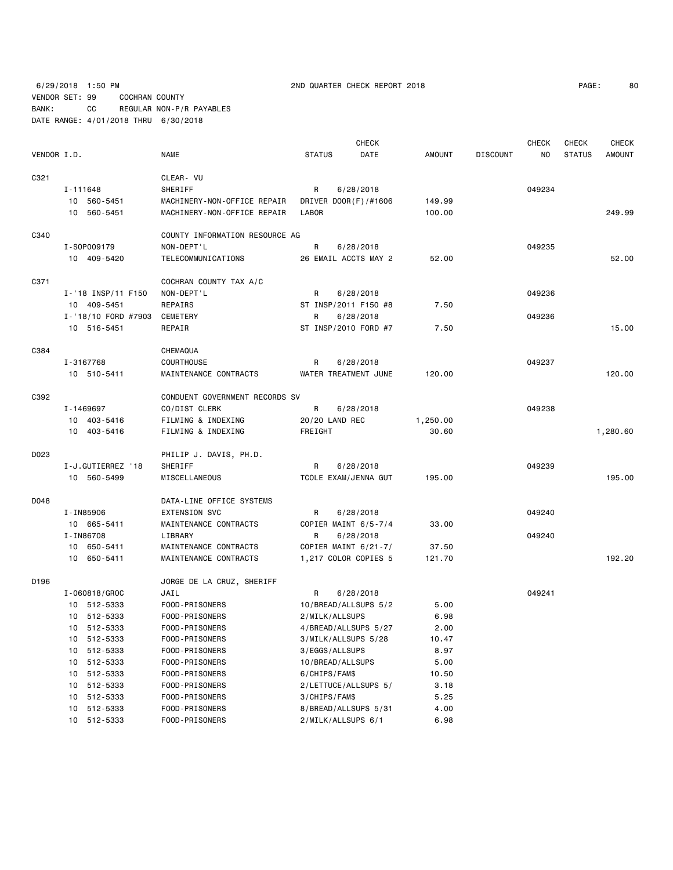6/29/2018 1:50 PM 2ND QUARTER CHECK REPORT 2018 PAGE: 80 VENDOR SET: 99 COCHRAN COUNTY BANK: CC REGULAR NON-P/R PAYABLES DATE RANGE: 4/01/2018 THRU 6/30/2018

|             |          |                     |                                | <b>CHECK</b>         |                      |               |                 | <b>CHECK</b> | <b>CHECK</b>  | <b>CHECK</b>  |
|-------------|----------|---------------------|--------------------------------|----------------------|----------------------|---------------|-----------------|--------------|---------------|---------------|
| VENDOR I.D. |          |                     | <b>NAME</b>                    | <b>STATUS</b>        | DATE                 | <b>AMOUNT</b> | <b>DISCOUNT</b> | NO           | <b>STATUS</b> | <b>AMOUNT</b> |
| C321        |          |                     | CLEAR- VU                      |                      |                      |               |                 |              |               |               |
|             | I-111648 |                     | SHERIFF                        | R                    | 6/28/2018            |               |                 | 049234       |               |               |
|             |          | 10 560-5451         | MACHINERY-NON-OFFICE REPAIR    | DRIVER DOOR(F)/#1606 |                      | 149.99        |                 |              |               |               |
|             |          | 10 560-5451         | MACHINERY-NON-OFFICE REPAIR    | LABOR                |                      | 100.00        |                 |              |               | 249.99        |
| C340        |          |                     | COUNTY INFORMATION RESOURCE AG |                      |                      |               |                 |              |               |               |
|             |          | I-S0P009179         | NON-DEPT'L                     | R<br>6/28/2018       |                      |               |                 | 049235       |               |               |
|             |          | 10 409-5420         | TELECOMMUNICATIONS             | 26 EMAIL ACCTS MAY 2 |                      | 52.00         |                 |              |               | 52.00         |
| C371        |          |                     | COCHRAN COUNTY TAX A/C         |                      |                      |               |                 |              |               |               |
|             |          | I-'18 INSP/11 F150  | NON-DEPT'L                     | R                    | 6/28/2018            |               |                 | 049236       |               |               |
|             |          | 10 409-5451         | REPAIRS                        | ST INSP/2011 F150 #8 |                      | 7.50          |                 |              |               |               |
|             |          | I-'18/10 FORD #7903 | CEMETERY                       | R                    | 6/28/2018            |               |                 | 049236       |               |               |
|             |          | 10 516-5451         | REPAIR                         | ST INSP/2010 FORD #7 |                      | 7.50          |                 |              |               | 15.00         |
| C384        |          |                     | CHEMAQUA                       |                      |                      |               |                 |              |               |               |
|             |          | I-3167768           | <b>COURTHOUSE</b>              | R                    | 6/28/2018            |               |                 | 049237       |               |               |
|             |          | 10 510-5411         | MAINTENANCE CONTRACTS          | WATER TREATMENT JUNE |                      | 120.00        |                 |              |               | 120.00        |
| C392        |          |                     | CONDUENT GOVERNMENT RECORDS SV |                      |                      |               |                 |              |               |               |
|             |          | I-1469697           | CO/DIST CLERK                  | R                    | 6/28/2018            |               |                 | 049238       |               |               |
|             |          | 10 403-5416         | FILMING & INDEXING             | 20/20 LAND REC       |                      | 1,250.00      |                 |              |               |               |
|             |          | 10 403-5416         | FILMING & INDEXING             | FREIGHT              |                      | 30.60         |                 |              |               | 1,280.60      |
| D023        |          |                     | PHILIP J. DAVIS, PH.D.         |                      |                      |               |                 |              |               |               |
|             |          | I-J.GUTIERREZ '18   | SHERIFF                        | R                    | 6/28/2018            |               |                 | 049239       |               |               |
|             |          | 10 560-5499         | MISCELLANEOUS                  | TCOLE EXAM/JENNA GUT |                      | 195.00        |                 |              |               | 195.00        |
| D048        |          |                     | DATA-LINE OFFICE SYSTEMS       |                      |                      |               |                 |              |               |               |
|             |          | I-IN85906           | <b>EXTENSION SVC</b>           | R                    | 6/28/2018            |               |                 | 049240       |               |               |
|             |          | 10 665-5411         | MAINTENANCE CONTRACTS          | COPIER MAINT 6/5-7/4 |                      | 33.00         |                 |              |               |               |
|             |          | I-IN86708           | LIBRARY                        | R                    | 6/28/2018            |               |                 | 049240       |               |               |
|             |          | 10 650-5411         | MAINTENANCE CONTRACTS          | COPIER MAINT 6/21-7/ |                      | 37.50         |                 |              |               |               |
|             |          | 10 650-5411         | MAINTENANCE CONTRACTS          | 1,217 COLOR COPIES 5 |                      | 121.70        |                 |              |               | 192.20        |
| D196        |          |                     | JORGE DE LA CRUZ, SHERIFF      |                      |                      |               |                 |              |               |               |
|             |          | I-060818/GROC       | JAIL                           | R                    | 6/28/2018            |               |                 | 049241       |               |               |
|             |          | 10 512-5333         | FOOD-PRISONERS                 | 10/BREAD/ALLSUPS 5/2 |                      | 5.00          |                 |              |               |               |
|             |          | 10 512-5333         | FOOD-PRISONERS                 | 2/MILK/ALLSUPS       |                      | 6.98          |                 |              |               |               |
|             |          | 10 512-5333         | FOOD-PRISONERS                 |                      | 4/BREAD/ALLSUPS 5/27 | 2.00          |                 |              |               |               |
|             | 10       | 512-5333            | FOOD-PRISONERS                 | 3/MILK/ALLSUPS 5/28  |                      | 10.47         |                 |              |               |               |
|             | 10       | 512-5333            | FOOD-PRISONERS                 | 3/EGGS/ALLSUPS       |                      | 8.97          |                 |              |               |               |
|             | 10       | 512-5333            | FOOD-PRISONERS                 | 10/BREAD/ALLSUPS     |                      | 5.00          |                 |              |               |               |
|             | 10       | 512-5333            | FOOD-PRISONERS                 | 6/CHIPS/FAM\$        |                      | 10.50         |                 |              |               |               |
|             | 10       | 512-5333            | FOOD-PRISONERS                 | 2/LETTUCE/ALLSUPS 5/ |                      | 3.18          |                 |              |               |               |
|             | 10       | 512-5333            | FOOD-PRISONERS                 | 3/CHIPS/FAM\$        |                      | 5.25          |                 |              |               |               |
|             | 10       | 512-5333            | FOOD-PRISONERS                 | 8/BREAD/ALLSUPS 5/31 |                      | 4.00          |                 |              |               |               |
|             |          | 10 512-5333         | FOOD-PRISONERS                 | 2/MILK/ALLSUPS 6/1   |                      | 6.98          |                 |              |               |               |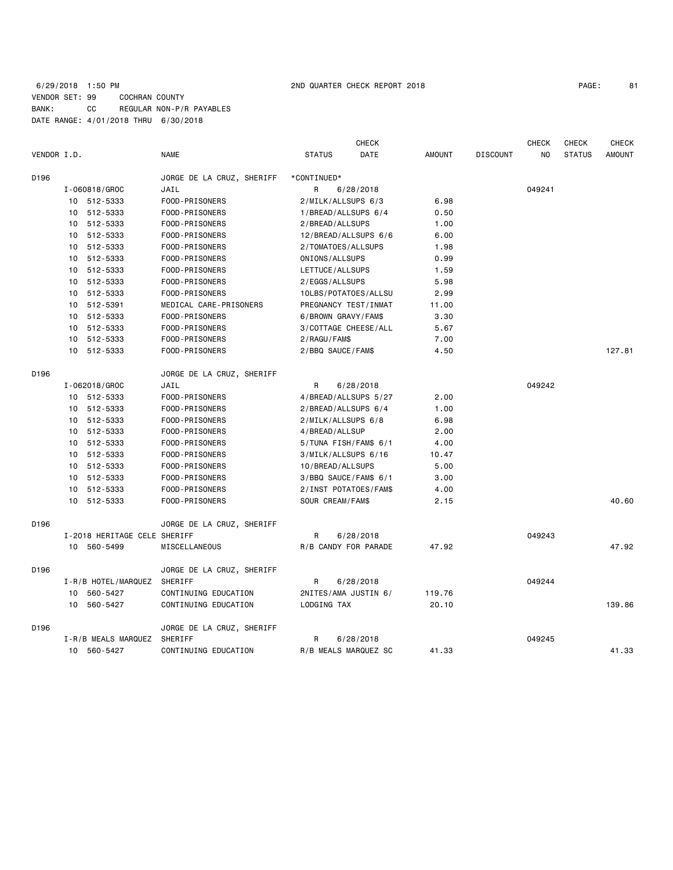## 6/29/2018 1:50 PM 2ND QUARTER CHECK REPORT 2018 PAGE: 81 VENDOR SET: 99 COCHRAN COUNTY BANK: CC REGULAR NON-P/R PAYABLES DATE RANGE: 4/01/2018 THRU 6/30/2018

|             |                              |                           |                       | <b>CHECK</b> |               |                 | <b>CHECK</b> | <b>CHECK</b>  | <b>CHECK</b>  |
|-------------|------------------------------|---------------------------|-----------------------|--------------|---------------|-----------------|--------------|---------------|---------------|
| VENDOR I.D. |                              | <b>NAME</b>               | <b>STATUS</b>         | DATE         | <b>AMOUNT</b> | <b>DISCOUNT</b> | NO.          | <b>STATUS</b> | <b>AMOUNT</b> |
| D196        |                              | JORGE DE LA CRUZ, SHERIFF | *CONTINUED*           |              |               |                 |              |               |               |
|             | I-060818/GROC                | JAIL                      | R.                    | 6/28/2018    |               |                 | 049241       |               |               |
|             | 10 512-5333                  | FOOD-PRISONERS            | 2/MILK/ALLSUPS 6/3    |              | 6.98          |                 |              |               |               |
|             | 10 512-5333                  | FOOD-PRISONERS            | 1/BREAD/ALLSUPS 6/4   |              | 0.50          |                 |              |               |               |
|             | 10 512-5333                  | FOOD-PRISONERS            | 2/BREAD/ALLSUPS       |              | 1.00          |                 |              |               |               |
|             | 10 512-5333                  | FOOD-PRISONERS            | 12/BREAD/ALLSUPS 6/6  |              | 6.00          |                 |              |               |               |
|             | 10 512-5333                  | FOOD-PRISONERS            | 2/TOMATOES/ALLSUPS    |              | 1.98          |                 |              |               |               |
|             | 10 512-5333                  | FOOD-PRISONERS            | ONIONS/ALLSUPS        |              | 0.99          |                 |              |               |               |
|             | 10 512-5333                  | FOOD-PRISONERS            | LETTUCE/ALLSUPS       |              | 1.59          |                 |              |               |               |
|             | 10 512-5333                  | FOOD-PRISONERS            | 2/EGGS/ALLSUPS        |              | 5.98          |                 |              |               |               |
|             | 10 512-5333                  | FOOD-PRISONERS            | 10LBS/POTATOES/ALLSU  |              | 2.99          |                 |              |               |               |
|             | 10 512-5391                  | MEDICAL CARE-PRISONERS    | PREGNANCY TEST/INMAT  |              | 11.00         |                 |              |               |               |
|             | 10 512-5333                  | FOOD-PRISONERS            | 6/BROWN GRAVY/FAM\$   |              | 3.30          |                 |              |               |               |
|             | 10 512-5333                  | FOOD-PRISONERS            | 3/COTTAGE CHEESE/ALL  |              | 5.67          |                 |              |               |               |
|             | 10 512-5333                  | FOOD-PRISONERS            | 2/RAGU/FAM\$          |              | 7.00          |                 |              |               |               |
|             | 10 512-5333                  | FOOD-PRISONERS            | 2/BBQ SAUCE/FAM\$     |              | 4.50          |                 |              |               | 127.81        |
| D196        |                              | JORGE DE LA CRUZ, SHERIFF |                       |              |               |                 |              |               |               |
|             | I-062018/GROC                | JAIL                      | R                     | 6/28/2018    |               |                 | 049242       |               |               |
|             | 10 512-5333                  | FOOD-PRISONERS            | 4/BREAD/ALLSUPS 5/27  |              | 2.00          |                 |              |               |               |
|             | 10 512-5333                  | FOOD-PRISONERS            | 2/BREAD/ALLSUPS 6/4   |              | 1.00          |                 |              |               |               |
|             | 10 512-5333                  | FOOD-PRISONERS            | 2/MILK/ALLSUPS 6/8    |              | 6.98          |                 |              |               |               |
|             | 10 512-5333                  | FOOD-PRISONERS            | 4/BREAD/ALLSUP        |              | 2.00          |                 |              |               |               |
|             | 10 512-5333                  | FOOD-PRISONERS            | 5/TUNA FISH/FAM\$ 6/1 |              | 4.00          |                 |              |               |               |
|             | 10 512-5333                  | FOOD-PRISONERS            | 3/MILK/ALLSUPS 6/16   |              | 10.47         |                 |              |               |               |
|             | 10 512-5333                  | FOOD-PRISONERS            | 10/BREAD/ALLSUPS      |              | 5.00          |                 |              |               |               |
|             | 10 512-5333                  | FOOD-PRISONERS            | 3/BBQ SAUCE/FAM\$ 6/1 |              | 3.00          |                 |              |               |               |
|             | 10 512-5333                  | FOOD-PRISONERS            | 2/INST POTATOES/FAM\$ |              | 4.00          |                 |              |               |               |
|             | 10 512-5333                  | FOOD-PRISONERS            | SOUR CREAM/FAM\$      |              | 2.15          |                 |              |               | 40.60         |
| D196        |                              | JORGE DE LA CRUZ, SHERIFF |                       |              |               |                 |              |               |               |
|             | I-2018 HERITAGE CELE SHERIFF |                           | R                     | 6/28/2018    |               |                 | 049243       |               |               |
|             | 10 560-5499                  | MISCELLANEOUS             | R/B CANDY FOR PARADE  |              | 47.92         |                 |              |               | 47.92         |
| D196        |                              | JORGE DE LA CRUZ, SHERIFF |                       |              |               |                 |              |               |               |
|             | I-R/B HOTEL/MARQUEZ          | SHERIFF                   | R                     | 6/28/2018    |               |                 | 049244       |               |               |
|             | 10 560-5427                  | CONTINUING EDUCATION      | 2NITES/AMA JUSTIN 6/  |              | 119.76        |                 |              |               |               |
|             | 10 560-5427                  | CONTINUING EDUCATION      | LODGING TAX           |              | 20.10         |                 |              |               | 139.86        |
| D196        |                              | JORGE DE LA CRUZ, SHERIFF |                       |              |               |                 |              |               |               |
|             | I-R/B MEALS MARQUEZ          | SHERIFF                   | R                     | 6/28/2018    |               |                 | 049245       |               |               |
|             | 10 560-5427                  | CONTINUING EDUCATION      | R/B MEALS MARQUEZ SC  |              | 41.33         |                 |              |               | 41.33         |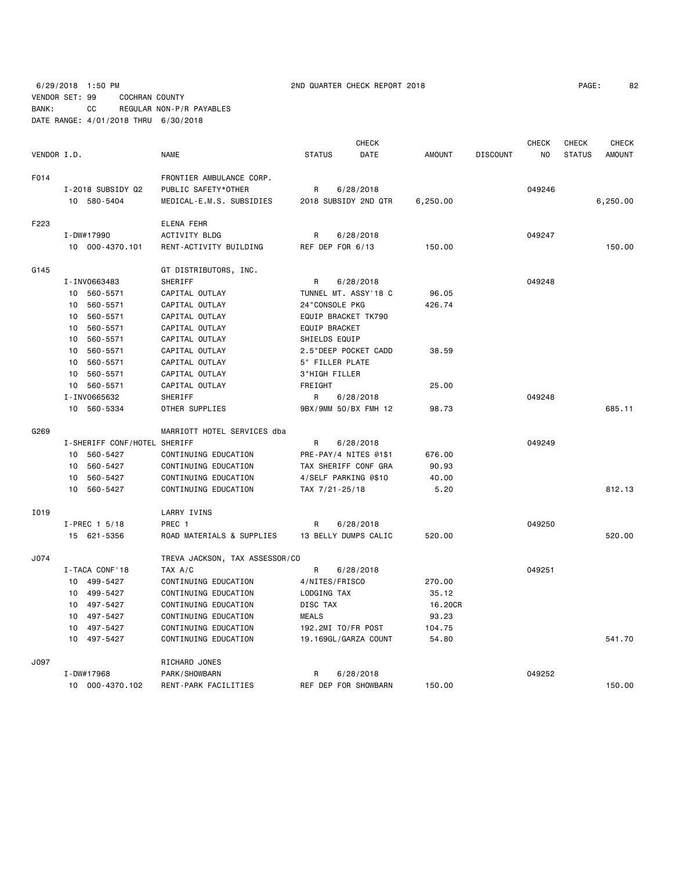6/29/2018 1:50 PM 2ND QUARTER CHECK REPORT 2018 PAGE: 82 VENDOR SET: 99 COCHRAN COUNTY BANK: CC REGULAR NON-P/R PAYABLES DATE RANGE: 4/01/2018 THRU 6/30/2018

| PAGE: | 82 |
|-------|----|
|-------|----|

|             |                              |                                |                      | <b>CHECK</b>          |               |                 |        | <b>CHECK</b>  | <b>CHECK</b>  |
|-------------|------------------------------|--------------------------------|----------------------|-----------------------|---------------|-----------------|--------|---------------|---------------|
| VENDOR I.D. |                              | <b>NAME</b>                    | <b>STATUS</b>        | <b>DATE</b>           | <b>AMOUNT</b> | <b>DISCOUNT</b> | NO.    | <b>STATUS</b> | <b>AMOUNT</b> |
| F014        |                              | FRONTIER AMBULANCE CORP.       |                      |                       |               |                 |        |               |               |
|             | I-2018 SUBSIDY Q2            | PUBLIC SAFETY*OTHER            | R                    | 6/28/2018             |               |                 | 049246 |               |               |
|             | 10 580-5404                  | MEDICAL-E.M.S. SUBSIDIES       |                      | 2018 SUBSIDY 2ND QTR  | 6,250.00      |                 |        |               | 6,250.00      |
| F223        |                              | <b>ELENA FEHR</b>              |                      |                       |               |                 |        |               |               |
|             | I-DW#17990                   | <b>ACTIVITY BLDG</b>           | R                    | 6/28/2018             |               |                 | 049247 |               |               |
|             | 10 000-4370.101              | RENT-ACTIVITY BUILDING         | REF DEP FOR 6/13     |                       | 150.00        |                 |        |               | 150.00        |
| G145        |                              | GT DISTRIBUTORS, INC.          |                      |                       |               |                 |        |               |               |
|             | I-INV0663483                 | SHERIFF                        | R                    | 6/28/2018             |               |                 | 049248 |               |               |
|             | 10 560-5571                  | CAPITAL OUTLAY                 |                      | TUNNEL MT. ASSY'18 C  | 96.05         |                 |        |               |               |
|             | 560-5571<br>10               | CAPITAL OUTLAY                 | 24"CONSOLE PKG       |                       | 426.74        |                 |        |               |               |
|             | 560-5571<br>10               | CAPITAL OUTLAY                 | EQUIP BRACKET TK790  |                       |               |                 |        |               |               |
|             | 560-5571<br>10               | CAPITAL OUTLAY                 | <b>EQUIP BRACKET</b> |                       |               |                 |        |               |               |
|             | 10<br>560-5571               | CAPITAL OUTLAY                 | SHIELDS EQUIP        |                       |               |                 |        |               |               |
|             | 10<br>560-5571               | CAPITAL OUTLAY                 |                      | 2.5"DEEP POCKET CADD  | 38.59         |                 |        |               |               |
|             | 10 560-5571                  | CAPITAL OUTLAY                 | 5" FILLER PLATE      |                       |               |                 |        |               |               |
|             | 10 560-5571                  | CAPITAL OUTLAY                 | 3"HIGH FILLER        |                       |               |                 |        |               |               |
|             | 10 560-5571                  | CAPITAL OUTLAY                 | FREIGHT              |                       | 25.00         |                 |        |               |               |
|             | I-INV0665632                 | SHERIFF                        | R                    | 6/28/2018             |               |                 | 049248 |               |               |
|             | 10 560-5334                  | OTHER SUPPLIES                 |                      | 9BX/9MM 50/BX FMH 12  | 98.73         |                 |        |               | 685.11        |
| G269        |                              | MARRIOTT HOTEL SERVICES dba    |                      |                       |               |                 |        |               |               |
|             | I-SHERIFF CONF/HOTEL SHERIFF |                                | R                    | 6/28/2018             |               |                 | 049249 |               |               |
|             | 10 560-5427                  | CONTINUING EDUCATION           |                      | PRE-PAY/4 NITES @1\$1 | 676.00        |                 |        |               |               |
|             | 560-5427<br>10               | CONTINUING EDUCATION           |                      | TAX SHERIFF CONF GRA  | 90.93         |                 |        |               |               |
|             | 10<br>560-5427               | CONTINUING EDUCATION           | 4/SELF PARKING @\$10 |                       | 40.00         |                 |        |               |               |
|             | 10 560-5427                  | CONTINUING EDUCATION           | TAX 7/21-25/18       |                       | 5.20          |                 |        |               | 812.13        |
| I019        |                              | LARRY IVINS                    |                      |                       |               |                 |        |               |               |
|             | I-PREC 1 5/18                | PREC 1                         | R                    | 6/28/2018             |               |                 | 049250 |               |               |
|             | 15 621-5356                  | ROAD MATERIALS & SUPPLIES      |                      | 13 BELLY DUMPS CALIC  | 520.00        |                 |        |               | 520.00        |
| J074        |                              | TREVA JACKSON, TAX ASSESSOR/CO |                      |                       |               |                 |        |               |               |
|             | I-TACA CONF'18               | TAX A/C                        | R                    | 6/28/2018             |               |                 | 049251 |               |               |
|             | 10 499-5427                  | CONTINUING EDUCATION           | 4/NITES/FRISCO       |                       | 270.00        |                 |        |               |               |
|             | 10 499-5427                  | CONTINUING EDUCATION           | LODGING TAX          |                       | 35.12         |                 |        |               |               |
|             | 10<br>497-5427               | CONTINUING EDUCATION           | DISC TAX             |                       | 16.20CR       |                 |        |               |               |
|             | 10 497-5427                  | CONTINUING EDUCATION           | <b>MEALS</b>         |                       | 93.23         |                 |        |               |               |
|             | 10 497-5427                  | CONTINUING EDUCATION           | 192.2MI TO/FR POST   |                       | 104.75        |                 |        |               |               |
|             | 497-5427<br>10               | CONTINUING EDUCATION           |                      | 19.169GL/GARZA COUNT  | 54.80         |                 |        |               | 541.70        |
| J097        |                              | RICHARD JONES                  |                      |                       |               |                 |        |               |               |
|             | I-DW#17968                   | PARK/SHOWBARN                  | R                    | 6/28/2018             |               |                 | 049252 |               |               |
|             | 10 000-4370.102              | RENT-PARK FACILITIES           |                      | REF DEP FOR SHOWBARN  | 150.00        |                 |        |               | 150.00        |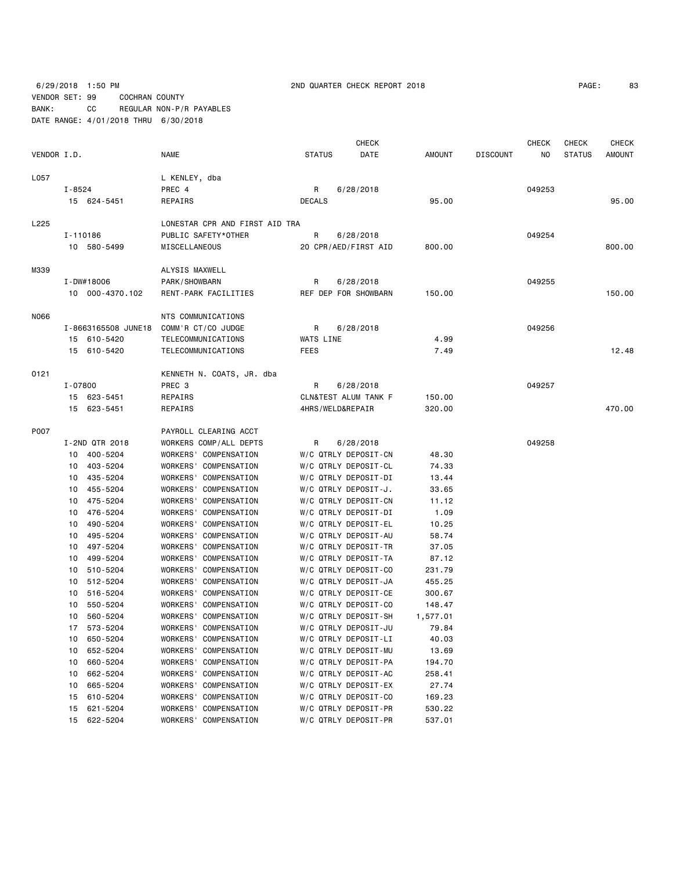## 6/29/2018 1:50 PM 2ND QUARTER CHECK REPORT 2018 PAGE: 83 VENDOR SET: 99 COCHRAN COUNTY BANK: CC REGULAR NON-P/R PAYABLES DATE RANGE: 4/01/2018 THRU 6/30/2018

| PAGE: | 83 |
|-------|----|
|-------|----|

|             |             |                     |                                |                | <b>CHECK</b>         |               |                 | <b>CHECK</b> | <b>CHECK</b>  | <b>CHECK</b>  |
|-------------|-------------|---------------------|--------------------------------|----------------|----------------------|---------------|-----------------|--------------|---------------|---------------|
| VENDOR I.D. |             |                     | <b>NAME</b>                    | <b>STATUS</b>  | DATE                 | <b>AMOUNT</b> | <b>DISCOUNT</b> | NO.          | <b>STATUS</b> | <b>AMOUNT</b> |
| L057        |             |                     | L KENLEY, dba                  |                |                      |               |                 |              |               |               |
|             | I-8524      |                     | PREC 4                         | R<br>6/28/2018 |                      |               |                 | 049253       |               |               |
|             |             | 15 624-5451         | REPAIRS                        | <b>DECALS</b>  |                      | 95.00         |                 |              |               | 95.00         |
| L225        |             |                     | LONESTAR CPR AND FIRST AID TRA |                |                      |               |                 |              |               |               |
|             | I-110186    |                     | PUBLIC SAFETY*OTHER            | R              | 6/28/2018            |               |                 | 049254       |               |               |
|             | 10 580-5499 |                     | MISCELLANEOUS                  |                | 20 CPR/AED/FIRST AID | 800.00        |                 |              |               | 800.00        |
| M339        |             |                     | ALYSIS MAXWELL                 |                |                      |               |                 |              |               |               |
|             |             | I-DW#18006          | PARK/SHOWBARN                  | R              | 6/28/2018            |               |                 | 049255       |               |               |
|             |             | 10 000-4370.102     | RENT-PARK FACILITIES           |                | REF DEP FOR SHOWBARN | 150.00        |                 |              |               | 150.00        |
|             |             |                     |                                |                |                      |               |                 |              |               |               |
| N066        |             |                     | NTS COMMUNICATIONS             |                |                      |               |                 |              |               |               |
|             |             | I-8663165508 JUNE18 | COMM'R CT/CO JUDGE             | R              | 6/28/2018            |               |                 | 049256       |               |               |
|             |             | 15 610-5420         | TELECOMMUNICATIONS             | WATS LINE      |                      | 4.99          |                 |              |               |               |
|             |             | 15 610-5420         | TELECOMMUNICATIONS             | FEES           |                      | 7.49          |                 |              |               | 12.48         |
| 0121        |             |                     | KENNETH N. COATS, JR. dba      |                |                      |               |                 |              |               |               |
|             | I-07800     |                     | PREC 3                         | R              | 6/28/2018            |               |                 | 049257       |               |               |
|             |             | 15 623-5451         | REPAIRS                        |                | CLN&TEST ALUM TANK F | 150.00        |                 |              |               |               |
|             |             | 15 623-5451         | REPAIRS                        |                | 4HRS/WELD&REPAIR     | 320.00        |                 |              |               | 470.00        |
| P007        |             |                     | PAYROLL CLEARING ACCT          |                |                      |               |                 |              |               |               |
|             |             | I-2ND QTR 2018      | WORKERS COMP/ALL DEPTS         | R              | 6/28/2018            |               |                 | 049258       |               |               |
|             |             | 10 400-5204         | WORKERS' COMPENSATION          |                | W/C QTRLY DEPOSIT-CN | 48.30         |                 |              |               |               |
|             |             | 10 403-5204         | WORKERS' COMPENSATION          |                | W/C QTRLY DEPOSIT-CL | 74.33         |                 |              |               |               |
|             | 10          | 435-5204            | WORKERS' COMPENSATION          |                | W/C QTRLY DEPOSIT-DI | 13.44         |                 |              |               |               |
|             | 10          | 455-5204            | WORKERS' COMPENSATION          |                | W/C QTRLY DEPOSIT-J. | 33.65         |                 |              |               |               |
|             | 10          | 475-5204            | WORKERS' COMPENSATION          |                | W/C QTRLY DEPOSIT-CN | 11.12         |                 |              |               |               |
|             | 10          | 476-5204            | WORKERS' COMPENSATION          |                | W/C QTRLY DEPOSIT-DI | 1.09          |                 |              |               |               |
|             | 10          | 490-5204            | WORKERS' COMPENSATION          |                | W/C QTRLY DEPOSIT-EL | 10.25         |                 |              |               |               |
|             | 10          | 495-5204            | WORKERS' COMPENSATION          |                | W/C QTRLY DEPOSIT-AU | 58.74         |                 |              |               |               |
|             | 10          | 497-5204            | WORKERS' COMPENSATION          |                | W/C QTRLY DEPOSIT-TR | 37.05         |                 |              |               |               |
|             | 10          | 499-5204            | WORKERS' COMPENSATION          |                | W/C QTRLY DEPOSIT-TA | 87.12         |                 |              |               |               |
|             | 10          | 510-5204            | WORKERS' COMPENSATION          |                | W/C QTRLY DEPOSIT-CO | 231.79        |                 |              |               |               |
|             | 10          | 512-5204            | WORKERS' COMPENSATION          |                | W/C QTRLY DEPOSIT-JA | 455.25        |                 |              |               |               |
|             | 10          | 516-5204            | WORKERS' COMPENSATION          |                | W/C QTRLY DEPOSIT-CE | 300.67        |                 |              |               |               |
|             | 10          | 550-5204            | WORKERS' COMPENSATION          |                | W/C QTRLY DEPOSIT-CO | 148.47        |                 |              |               |               |
|             | 10          | 560-5204            | WORKERS' COMPENSATION          |                | W/C QTRLY DEPOSIT-SH | 1,577.01      |                 |              |               |               |
|             |             | 17 573-5204         | WORKERS' COMPENSATION          |                | W/C QTRLY DEPOSIT-JU | 79.84         |                 |              |               |               |
|             | 10          | 650-5204            | WORKERS' COMPENSATION          |                | W/C QTRLY DEPOSIT-LI | 40.03         |                 |              |               |               |
|             | 10          | 652-5204            | WORKERS' COMPENSATION          |                | W/C QTRLY DEPOSIT-MU | 13.69         |                 |              |               |               |
|             | 10          | 660-5204            | WORKERS' COMPENSATION          |                | W/C QTRLY DEPOSIT-PA | 194.70        |                 |              |               |               |
|             | 10          | 662-5204            | WORKERS' COMPENSATION          |                | W/C QTRLY DEPOSIT-AC | 258.41        |                 |              |               |               |
|             | 10          | 665-5204            | WORKERS' COMPENSATION          |                | W/C QTRLY DEPOSIT-EX | 27.74         |                 |              |               |               |
|             | 15          | 610-5204            | WORKERS' COMPENSATION          |                | W/C QTRLY DEPOSIT-CO | 169.23        |                 |              |               |               |
|             | 15          | 621-5204            | WORKERS' COMPENSATION          |                | W/C QTRLY DEPOSIT-PR | 530.22        |                 |              |               |               |
|             | 15          | 622-5204            | WORKERS' COMPENSATION          |                | W/C QTRLY DEPOSIT-PR | 537.01        |                 |              |               |               |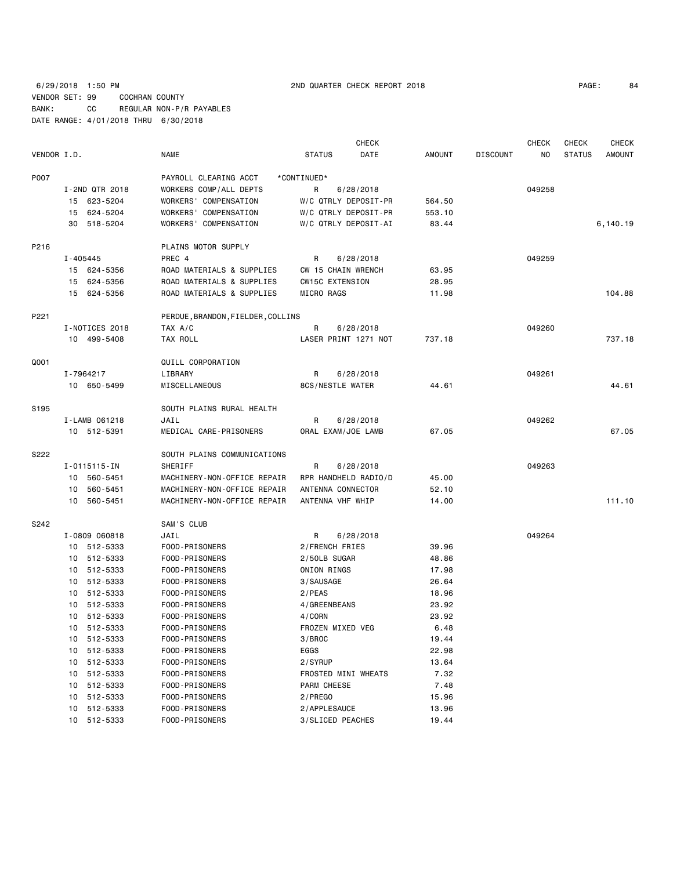6/29/2018 1:50 PM 2ND QUARTER CHECK REPORT 2018 PAGE: 84 VENDOR SET: 99 COCHRAN COUNTY BANK: CC REGULAR NON-P/R PAYABLES DATE RANGE: 4/01/2018 THRU 6/30/2018

|                  |               |                |                                   |                      | <b>CHECK</b> |               |                 | <b>CHECK</b> | <b>CHECK</b>  | <b>CHECK</b>  |
|------------------|---------------|----------------|-----------------------------------|----------------------|--------------|---------------|-----------------|--------------|---------------|---------------|
| VENDOR I.D.      |               |                | NAME                              | <b>STATUS</b>        | DATE         | <b>AMOUNT</b> | <b>DISCOUNT</b> | NO.          | <b>STATUS</b> | <b>AMOUNT</b> |
| P007             |               |                | PAYROLL CLEARING ACCT             | *CONTINUED*          |              |               |                 |              |               |               |
|                  |               | I-2ND QTR 2018 | WORKERS COMP/ALL DEPTS            | R                    | 6/28/2018    |               |                 | 049258       |               |               |
|                  | 15            | 623-5204       | WORKERS' COMPENSATION             | W/C QTRLY DEPOSIT-PR |              | 564.50        |                 |              |               |               |
|                  |               | 15 624-5204    | WORKERS' COMPENSATION             | W/C QTRLY DEPOSIT-PR |              | 553.10        |                 |              |               |               |
|                  |               | 30 518-5204    | WORKERS' COMPENSATION             | W/C QTRLY DEPOSIT-AI |              | 83.44         |                 |              |               | 6,140.19      |
| P216             |               |                | PLAINS MOTOR SUPPLY               |                      |              |               |                 |              |               |               |
|                  | I-405445      |                | PREC 4                            | R                    | 6/28/2018    |               |                 | 049259       |               |               |
|                  |               | 15 624-5356    | ROAD MATERIALS & SUPPLIES         | CW 15 CHAIN WRENCH   |              | 63.95         |                 |              |               |               |
|                  |               | 15 624-5356    | ROAD MATERIALS & SUPPLIES         | CW15C EXTENSION      |              | 28.95         |                 |              |               |               |
|                  |               | 15 624-5356    | ROAD MATERIALS & SUPPLIES         | MICRO RAGS           |              | 11.98         |                 |              |               | 104.88        |
| P221             |               |                | PERDUE, BRANDON, FIELDER, COLLINS |                      |              |               |                 |              |               |               |
|                  |               | I-NOTICES 2018 | TAX A/C                           | R                    | 6/28/2018    |               |                 | 049260       |               |               |
|                  |               | 10 499-5408    | TAX ROLL                          | LASER PRINT 1271 NOT |              | 737.18        |                 |              |               | 737.18        |
| Q001             |               |                | QUILL CORPORATION                 |                      |              |               |                 |              |               |               |
|                  | I-7964217     |                | LIBRARY                           | R                    | 6/28/2018    |               |                 | 049261       |               |               |
|                  |               | 10 650-5499    | MISCELLANEOUS                     | 8CS/NESTLE WATER     |              | 44.61         |                 |              |               | 44.61         |
| S <sub>195</sub> |               |                | SOUTH PLAINS RURAL HEALTH         |                      |              |               |                 |              |               |               |
|                  | I-LAMB 061218 |                | JAIL                              | R                    | 6/28/2018    |               |                 | 049262       |               |               |
|                  |               | 10 512-5391    | MEDICAL CARE-PRISONERS            | ORAL EXAM/JOE LAMB   |              | 67.05         |                 |              |               | 67.05         |
| S222             |               |                | SOUTH PLAINS COMMUNICATIONS       |                      |              |               |                 |              |               |               |
|                  |               | I-0115115-IN   | SHERIFF                           | R                    | 6/28/2018    |               |                 | 049263       |               |               |
|                  |               | 10 560-5451    | MACHINERY-NON-OFFICE REPAIR       | RPR HANDHELD RADIO/D |              | 45.00         |                 |              |               |               |
|                  |               | 10 560-5451    | MACHINERY-NON-OFFICE REPAIR       | ANTENNA CONNECTOR    |              | 52.10         |                 |              |               |               |
|                  |               | 10 560-5451    | MACHINERY-NON-OFFICE REPAIR       | ANTENNA VHF WHIP     |              | 14.00         |                 |              |               | 111.10        |
| S242             |               |                | SAM'S CLUB                        |                      |              |               |                 |              |               |               |
|                  |               | I-0809 060818  | JAIL                              | R                    | 6/28/2018    |               |                 | 049264       |               |               |
|                  |               | 10 512-5333    | FOOD-PRISONERS                    | 2/FRENCH FRIES       |              | 39.96         |                 |              |               |               |
|                  |               | 10 512-5333    | FOOD-PRISONERS                    | 2/50LB SUGAR         |              | 48.86         |                 |              |               |               |
|                  |               | 10 512-5333    | FOOD-PRISONERS                    | ONION RINGS          |              | 17.98         |                 |              |               |               |
|                  |               | 10 512-5333    | FOOD-PRISONERS                    | 3/SAUSAGE            |              | 26.64         |                 |              |               |               |
|                  |               | 10 512-5333    | FOOD-PRISONERS                    | $2$ /PEAS            |              | 18.96         |                 |              |               |               |
|                  |               | 10 512-5333    | FOOD-PRISONERS                    | 4/GREENBEANS         |              | 23.92         |                 |              |               |               |
|                  |               | 10 512-5333    | FOOD-PRISONERS                    | 4/CORN               |              | 23.92         |                 |              |               |               |
|                  |               | 10 512-5333    | FOOD-PRISONERS                    | FROZEN MIXED VEG     |              | 6.48          |                 |              |               |               |
|                  | 10            | 512-5333       | FOOD-PRISONERS                    | 3/BROC               |              | 19.44         |                 |              |               |               |
|                  | 10            | 512-5333       | FOOD-PRISONERS                    | EGGS                 |              | 22.98         |                 |              |               |               |
|                  | 10            | 512-5333       | FOOD-PRISONERS                    | 2/SYRUP              |              | 13.64         |                 |              |               |               |
|                  | 10            | 512-5333       | FOOD-PRISONERS                    | FROSTED MINI WHEATS  |              | 7.32          |                 |              |               |               |
|                  | 10            | 512-5333       | FOOD-PRISONERS                    | PARM CHEESE          |              | 7.48          |                 |              |               |               |
|                  | 10            | 512-5333       | FOOD-PRISONERS                    | 2/PREGO              |              | 15.96         |                 |              |               |               |
|                  | 10            | 512-5333       | FOOD-PRISONERS                    | 2/APPLESAUCE         |              | 13.96         |                 |              |               |               |
|                  |               | 10 512-5333    | FOOD-PRISONERS                    | 3/SLICED PEACHES     |              | 19.44         |                 |              |               |               |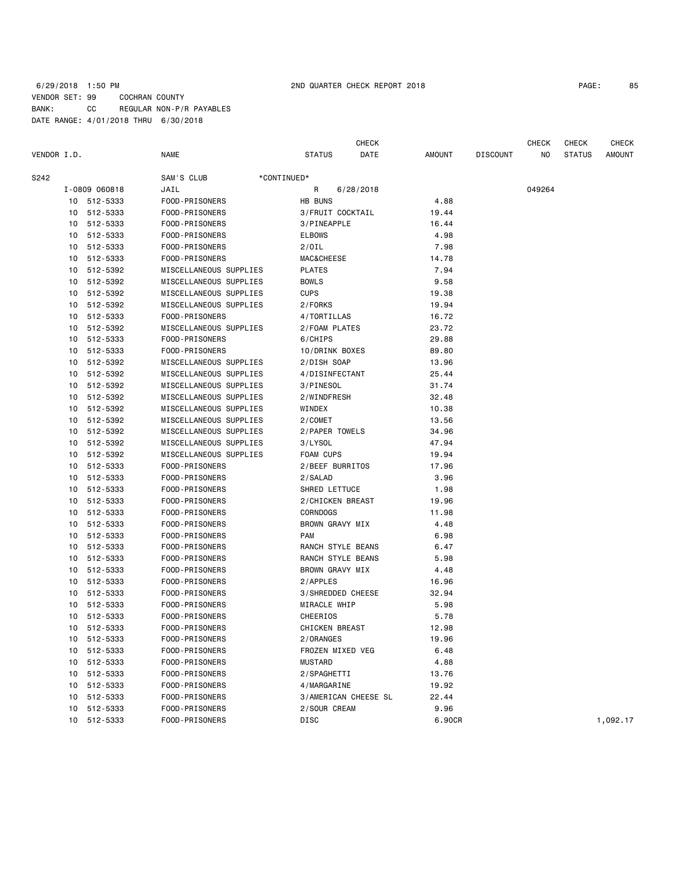## 6/29/2018 1:50 PM 2ND QUARTER CHECK REPORT 2018 PAGE: 85 VENDOR SET: 99 COCHRAN COUNTY BANK: CC REGULAR NON-P/R PAYABLES DATE RANGE: 4/01/2018 THRU 6/30/2018

| VENDOR I.D. |    |               | <b>NAME</b>                      | <b>STATUS</b>         | CHECK<br>DATE | <b>AMOUNT</b> | <b>DISCOUNT</b> | <b>CHECK</b><br>NO. | <b>CHECK</b><br><b>STATUS</b> | <b>CHECK</b><br><b>AMOUNT</b> |
|-------------|----|---------------|----------------------------------|-----------------------|---------------|---------------|-----------------|---------------------|-------------------------------|-------------------------------|
| S242        |    |               | SAM'S CLUB<br>*CONTINUED*        |                       |               |               |                 |                     |                               |                               |
|             |    | I-0809 060818 | JAIL                             | R                     | 6/28/2018     |               |                 | 049264              |                               |                               |
|             |    | 10 512-5333   | FOOD-PRISONERS                   | HB BUNS               |               | 4.88          |                 |                     |                               |                               |
|             |    | 10 512-5333   | FOOD-PRISONERS                   | 3/FRUIT COCKTAIL      |               | 19.44         |                 |                     |                               |                               |
|             | 10 | 512-5333      | FOOD-PRISONERS                   | 3/PINEAPPLE           |               | 16.44         |                 |                     |                               |                               |
|             |    | 10 512-5333   | FOOD-PRISONERS                   | <b>ELBOWS</b>         |               | 4.98          |                 |                     |                               |                               |
|             | 10 | 512-5333      | FOOD-PRISONERS                   | $2/0$ IL              |               | 7.98          |                 |                     |                               |                               |
|             |    | 10 512-5333   | FOOD-PRISONERS                   | <b>MAC&amp;CHEESE</b> |               | 14.78         |                 |                     |                               |                               |
|             | 10 | 512-5392      | MISCELLANEOUS SUPPLIES           | <b>PLATES</b>         |               | 7.94          |                 |                     |                               |                               |
|             | 10 | 512-5392      | MISCELLANEOUS SUPPLIES           | <b>BOWLS</b>          |               | 9.58          |                 |                     |                               |                               |
|             | 10 | 512-5392      | MISCELLANEOUS SUPPLIES           | <b>CUPS</b>           |               | 19.38         |                 |                     |                               |                               |
|             | 10 | 512-5392      | MISCELLANEOUS SUPPLIES           | 2/FORKS               |               | 19.94         |                 |                     |                               |                               |
|             | 10 | 512-5333      | FOOD-PRISONERS                   | 4/TORTILLAS           |               | 16.72         |                 |                     |                               |                               |
|             | 10 | 512-5392      | MISCELLANEOUS SUPPLIES           | 2/FOAM PLATES         |               | 23.72         |                 |                     |                               |                               |
|             | 10 | 512-5333      | FOOD-PRISONERS                   | 6/CHIPS               |               | 29.88         |                 |                     |                               |                               |
|             |    | 10 512-5333   | FOOD-PRISONERS                   | 10/DRINK BOXES        |               | 89.80         |                 |                     |                               |                               |
|             | 10 | 512-5392      | MISCELLANEOUS SUPPLIES           | 2/DISH SOAP           |               | 13.96         |                 |                     |                               |                               |
|             | 10 | 512-5392      | MISCELLANEOUS SUPPLIES           | 4/DISINFECTANT        |               | 25.44         |                 |                     |                               |                               |
|             | 10 | 512-5392      | MISCELLANEOUS SUPPLIES           | 3/PINESOL             |               | 31.74         |                 |                     |                               |                               |
|             | 10 | 512-5392      | MISCELLANEOUS SUPPLIES           | 2/WINDFRESH           |               | 32.48         |                 |                     |                               |                               |
|             | 10 | 512-5392      | MISCELLANEOUS SUPPLIES           | WINDEX                |               | 10.38         |                 |                     |                               |                               |
|             | 10 | 512-5392      | MISCELLANEOUS SUPPLIES           | 2/COMET               |               | 13.56         |                 |                     |                               |                               |
|             | 10 | 512-5392      | MISCELLANEOUS SUPPLIES           | 2/PAPER TOWELS        |               | 34.96         |                 |                     |                               |                               |
|             |    | 10 512-5392   | MISCELLANEOUS SUPPLIES           | 3/LYSOL               |               | 47.94         |                 |                     |                               |                               |
|             | 10 | 512-5392      | MISCELLANEOUS SUPPLIES           | FOAM CUPS             |               | 19.94         |                 |                     |                               |                               |
|             | 10 | 512-5333      | FOOD-PRISONERS                   | 2/BEEF BURRITOS       |               | 17.96         |                 |                     |                               |                               |
|             | 10 | 512-5333      | FOOD-PRISONERS                   | 2/SALAD               |               | 3.96          |                 |                     |                               |                               |
|             | 10 | 512-5333      | FOOD-PRISONERS                   | SHRED LETTUCE         |               | 1.98          |                 |                     |                               |                               |
|             | 10 | 512-5333      | FOOD-PRISONERS                   | 2/CHICKEN BREAST      |               | 19.96         |                 |                     |                               |                               |
|             | 10 | 512-5333      | FOOD-PRISONERS                   | CORNDOGS              |               | 11.98         |                 |                     |                               |                               |
|             | 10 | 512-5333      | FOOD-PRISONERS                   | BROWN GRAVY MIX       |               | 4.48          |                 |                     |                               |                               |
|             |    | 10 512-5333   | FOOD-PRISONERS                   | <b>PAM</b>            |               | 6.98          |                 |                     |                               |                               |
|             | 10 | 512-5333      | FOOD-PRISONERS                   | RANCH STYLE BEANS     |               | 6.47          |                 |                     |                               |                               |
|             | 10 | 512-5333      | FOOD-PRISONERS                   | RANCH STYLE BEANS     |               | 5.98          |                 |                     |                               |                               |
|             | 10 | 512-5333      | FOOD-PRISONERS                   | BROWN GRAVY MIX       |               | 4.48          |                 |                     |                               |                               |
|             | 10 | 512-5333      | FOOD-PRISONERS                   | 2/APPLES              |               | 16.96         |                 |                     |                               |                               |
|             | 10 | 512-5333      | FOOD-PRISONERS                   | 3/SHREDDED CHEESE     |               | 32.94         |                 |                     |                               |                               |
|             | 10 | 512-5333      | FOOD-PRISONERS                   | MIRACLE WHIP          |               | 5.98          |                 |                     |                               |                               |
|             |    | 10 512-5333   | FOOD-PRISONERS                   | CHEERIOS              |               | 5.78          |                 |                     |                               |                               |
|             |    | 10 512-5333   | FOOD-PRISONERS                   | CHICKEN BREAST        |               | 12.98         |                 |                     |                               |                               |
|             | 10 | 512-5333      | FOOD-PRISONERS                   | 2/ORANGES             |               | 19.96         |                 |                     |                               |                               |
|             | 10 | 512-5333      | FOOD-PRISONERS                   | FROZEN MIXED VEG      |               | 6.48          |                 |                     |                               |                               |
|             | 10 | 512-5333      | FOOD-PRISONERS                   | <b>MUSTARD</b>        |               | 4.88          |                 |                     |                               |                               |
|             |    | 10 512-5333   | FOOD-PRISONERS                   | 2/SPAGHETTI           |               | 13.76         |                 |                     |                               |                               |
|             | 10 | 512-5333      | FOOD-PRISONERS                   | 4/MARGARINE           |               | 19.92         |                 |                     |                               |                               |
|             | 10 | 512-5333      | FOOD-PRISONERS                   | 3/AMERICAN CHEESE SL  |               | 22.44         |                 |                     |                               |                               |
|             | 10 | 512-5333      | FOOD-PRISONERS<br>FOOD-PRISONERS | 2/SOUR CREAM          |               | 9.96          |                 |                     |                               |                               |
|             |    | 10 512-5333   |                                  | DISC                  |               | 6.90CR        |                 |                     |                               | 1,092.17                      |
|             |    |               |                                  |                       |               |               |                 |                     |                               |                               |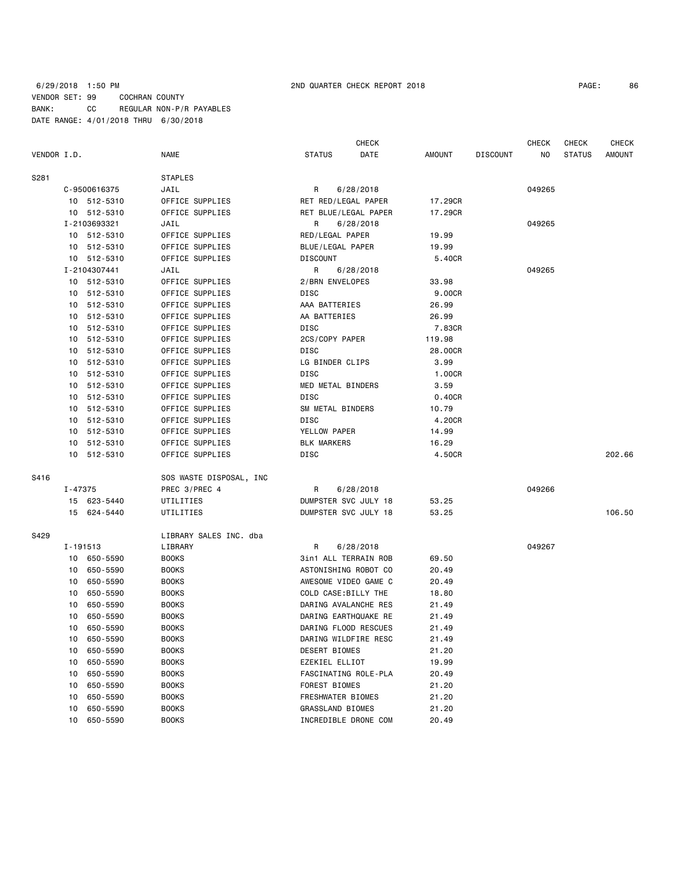6/29/2018 1:50 PM 2ND QUARTER CHECK REPORT 2018 PAGE: 86 VENDOR SET: 99 COCHRAN COUNTY BANK: CC REGULAR NON-P/R PAYABLES DATE RANGE: 4/01/2018 THRU 6/30/2018

| 86 |
|----|
|    |

|             |                      |                         |                         | CHECK                |                                  |        | <b>CHECK</b>  | <b>CHECK</b>  |
|-------------|----------------------|-------------------------|-------------------------|----------------------|----------------------------------|--------|---------------|---------------|
| VENDOR I.D. |                      | <b>NAME</b>             | <b>STATUS</b>           | DATE                 | <b>AMOUNT</b><br><b>DISCOUNT</b> | ΝO     | <b>STATUS</b> | <b>AMOUNT</b> |
| S281        |                      | <b>STAPLES</b>          |                         |                      |                                  |        |               |               |
|             | C-9500616375         | JAIL                    | R                       | 6/28/2018            |                                  |        |               |               |
|             | 10 512-5310          | OFFICE SUPPLIES         | RET RED/LEGAL PAPER     |                      | 17.29CR                          |        |               |               |
|             | 10 512-5310          | OFFICE SUPPLIES         |                         | RET BLUE/LEGAL PAPER | 17.29CR                          |        |               |               |
|             | I-2103693321<br>JAIL |                         | R                       | 6/28/2018            |                                  | 049265 |               |               |
|             | 10 512-5310          | OFFICE SUPPLIES         | RED/LEGAL PAPER         |                      | 19.99                            |        |               |               |
|             | 10 512-5310          | OFFICE SUPPLIES         | BLUE/LEGAL PAPER        |                      | 19.99                            |        |               |               |
|             | 10 512-5310          | OFFICE SUPPLIES         | DISCOUNT                |                      | 5.40CR                           |        |               |               |
|             | I-2104307441         | JAIL                    | R                       | 6/28/2018            |                                  | 049265 |               |               |
|             | 10 512-5310          | OFFICE SUPPLIES         | 2/BRN ENVELOPES         |                      | 33.98                            |        |               |               |
|             | 10 512-5310          | OFFICE SUPPLIES         | DISC                    |                      | 9.00CR                           |        |               |               |
|             | 10 512-5310          | OFFICE SUPPLIES         | AAA BATTERIES           |                      | 26.99                            |        |               |               |
|             | 10 512-5310          | OFFICE SUPPLIES         | AA BATTERIES            |                      | 26.99                            |        |               |               |
|             | 10 512-5310          | OFFICE SUPPLIES         | DISC                    |                      | 7.83CR                           |        |               |               |
|             | 10 512-5310          | OFFICE SUPPLIES         | 2CS/COPY PAPER          |                      | 119.98                           |        |               |               |
|             | 10 512-5310          | OFFICE SUPPLIES         | DISC                    |                      | 28.00CR                          |        |               |               |
|             | 10 512-5310          | OFFICE SUPPLIES         | LG BINDER CLIPS         |                      | 3.99                             |        |               |               |
|             | 10 512-5310          | OFFICE SUPPLIES         | DISC                    |                      | 1.00CR                           |        |               |               |
|             | 10 512-5310          | OFFICE SUPPLIES         | MED METAL BINDERS       |                      | 3.59                             |        |               |               |
|             | 10 512-5310          | OFFICE SUPPLIES         | DISC                    |                      | 0.40CR                           |        |               |               |
|             | 10 512-5310          | OFFICE SUPPLIES         | SM METAL BINDERS        |                      | 10.79                            |        |               |               |
|             | 10 512-5310          | OFFICE SUPPLIES         | DISC                    |                      | 4.20CR                           |        |               |               |
|             | 10 512-5310          | OFFICE SUPPLIES         | YELLOW PAPER            |                      | 14.99                            |        |               |               |
|             | 10 512-5310          | OFFICE SUPPLIES         | <b>BLK MARKERS</b>      |                      | 16.29                            |        |               |               |
|             | 10 512-5310          | OFFICE SUPPLIES         | DISC                    |                      | 4.50CR                           |        |               | 202.66        |
| S416        |                      | SOS WASTE DISPOSAL, INC |                         |                      |                                  |        |               |               |
|             | I-47375              | PREC 3/PREC 4           | R                       | 6/28/2018            |                                  | 049266 |               |               |
|             | 15 623-5440          | UTILITIES               |                         | DUMPSTER SVC JULY 18 | 53.25                            |        |               |               |
|             | 15 624-5440          | UTILITIES               |                         | DUMPSTER SVC JULY 18 | 53.25                            |        |               | 106.50        |
| S429        |                      | LIBRARY SALES INC. dba  |                         |                      |                                  |        |               |               |
|             | I-191513             | LIBRARY                 | R                       | 6/28/2018            |                                  | 049267 |               |               |
|             | 10 650-5590          | <b>BOOKS</b>            |                         | 3in1 ALL TERRAIN ROB | 69.50                            |        |               |               |
|             | 650-5590<br>10       | <b>BOOKS</b>            |                         | ASTONISHING ROBOT CO | 20.49                            |        |               |               |
|             | 650-5590<br>10       | <b>BOOKS</b>            |                         | AWESOME VIDEO GAME C | 20.49                            |        |               |               |
|             | 650-5590<br>10       | <b>BOOKS</b>            | COLD CASE:BILLY THE     |                      | 18.80                            |        |               |               |
|             | 650-5590<br>10       | <b>BOOKS</b>            |                         | DARING AVALANCHE RES | 21.49                            |        |               |               |
|             | 650-5590<br>10       | <b>BOOKS</b>            |                         | DARING EARTHQUAKE RE | 21.49                            |        |               |               |
|             | 10<br>650-5590       | <b>BOOKS</b>            |                         | DARING FLOOD RESCUES | 21.49                            |        |               |               |
|             | 650-5590<br>10       | <b>BOOKS</b>            |                         | DARING WILDFIRE RESC | 21.49                            |        |               |               |
|             | 650-5590<br>10       | <b>BOOKS</b>            | DESERT BIOMES           |                      | 21.20                            |        |               |               |
|             | 650-5590<br>10       | <b>BOOKS</b>            | EZEKIEL ELLIOT          |                      | 19.99                            |        |               |               |
|             | 650-5590<br>10       | <b>BOOKS</b>            |                         | FASCINATING ROLE-PLA | 20.49                            |        |               |               |
|             | 650-5590<br>10       | <b>BOOKS</b>            | FOREST BIOMES           |                      | 21.20                            |        |               |               |
|             | 650-5590<br>10       | <b>BOOKS</b>            | FRESHWATER BIOMES       |                      | 21.20                            |        |               |               |
|             | 650-5590<br>10       | <b>BOOKS</b>            | <b>GRASSLAND BIOMES</b> |                      | 21.20                            |        |               |               |
|             | 10<br>650-5590       | <b>BOOKS</b>            |                         | INCREDIBLE DRONE COM | 20.49                            |        |               |               |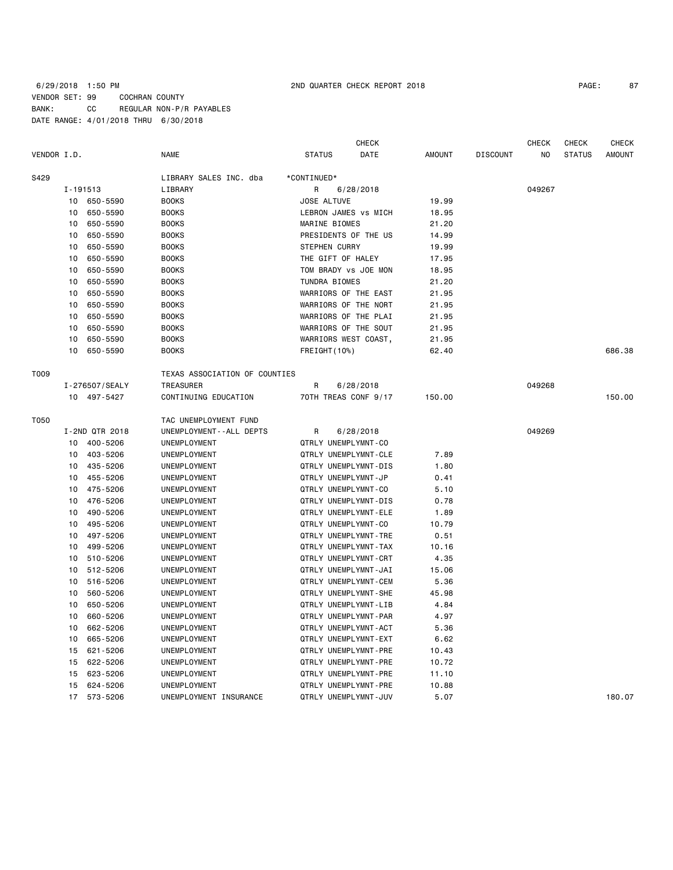## 6/29/2018 1:50 PM 2ND QUARTER CHECK REPORT 2018 PAGE: 87 VENDOR SET: 99 COCHRAN COUNTY BANK: CC REGULAR NON-P/R PAYABLES DATE RANGE: 4/01/2018 THRU 6/30/2018

|             |                |                |                               |                      | <b>CHECK</b> |               |                 | <b>CHECK</b> | <b>CHECK</b>  | <b>CHECK</b>  |
|-------------|----------------|----------------|-------------------------------|----------------------|--------------|---------------|-----------------|--------------|---------------|---------------|
| VENDOR I.D. |                |                | <b>NAME</b>                   | <b>STATUS</b>        | DATE         | <b>AMOUNT</b> | <b>DISCOUNT</b> | NO.          | <b>STATUS</b> | <b>AMOUNT</b> |
| S429        |                |                | LIBRARY SALES INC. dba        | *CONTINUED*          |              |               |                 |              |               |               |
|             | I-191513       |                | LIBRARY                       | R                    | 6/28/2018    |               |                 | 049267       |               |               |
|             | 10             | 650-5590       | <b>BOOKS</b>                  | JOSE ALTUVE          |              | 19.99         |                 |              |               |               |
|             | 10             | 650-5590       | <b>BOOKS</b>                  | LEBRON JAMES VS MICH |              | 18.95         |                 |              |               |               |
|             | 10             | 650-5590       | <b>BOOKS</b>                  | MARINE BIOMES        |              | 21.20         |                 |              |               |               |
|             | 10             | 650-5590       | <b>BOOKS</b>                  | PRESIDENTS OF THE US |              | 14.99         |                 |              |               |               |
|             | 10             | 650-5590       | <b>BOOKS</b>                  | <b>STEPHEN CURRY</b> |              | 19.99         |                 |              |               |               |
|             | 10             | 650-5590       | <b>BOOKS</b>                  | THE GIFT OF HALEY    |              | 17.95         |                 |              |               |               |
|             | 10             | 650-5590       | <b>BOOKS</b>                  | TOM BRADY vs JOE MON |              | 18.95         |                 |              |               |               |
|             | 10             | 650-5590       | <b>BOOKS</b>                  | <b>TUNDRA BIOMES</b> |              | 21.20         |                 |              |               |               |
|             | 10             | 650-5590       | <b>BOOKS</b>                  | WARRIORS OF THE EAST |              | 21.95         |                 |              |               |               |
|             | 10             | 650-5590       | <b>BOOKS</b>                  | WARRIORS OF THE NORT |              | 21.95         |                 |              |               |               |
|             | 10             | 650-5590       | <b>BOOKS</b>                  | WARRIORS OF THE PLAI |              | 21.95         |                 |              |               |               |
|             | 10             | 650-5590       | <b>BOOKS</b>                  | WARRIORS OF THE SOUT |              | 21.95         |                 |              |               |               |
|             | 10             | 650-5590       | <b>BOOKS</b>                  | WARRIORS WEST COAST, |              | 21.95         |                 |              |               |               |
|             | 10             | 650-5590       | <b>BOOKS</b>                  | FREIGHT (10%)        |              | 62.40         |                 |              |               | 686.38        |
| T009        |                |                | TEXAS ASSOCIATION OF COUNTIES |                      |              |               |                 |              |               |               |
|             | I-276507/SEALY |                | <b>TREASURER</b>              | R                    | 6/28/2018    |               |                 | 049268       |               |               |
|             |                | 10 497-5427    | CONTINUING EDUCATION          | 70TH TREAS CONF 9/17 |              | 150.00        |                 |              |               | 150.00        |
| T050        |                |                | TAC UNEMPLOYMENT FUND         |                      |              |               |                 |              |               |               |
|             |                | I-2ND QTR 2018 | UNEMPLOYMENT - - ALL DEPTS    | R                    | 6/28/2018    |               |                 | 049269       |               |               |
|             | 10             | 400-5206       | UNEMPLOYMENT                  | QTRLY UNEMPLYMNT-CO  |              |               |                 |              |               |               |
|             | 10             | 403-5206       | UNEMPLOYMENT                  | QTRLY UNEMPLYMNT-CLE |              | 7.89          |                 |              |               |               |
|             | 10             | 435-5206       | UNEMPLOYMENT                  | QTRLY UNEMPLYMNT-DIS |              | 1.80          |                 |              |               |               |
|             | 10             | 455-5206       | UNEMPLOYMENT                  | QTRLY UNEMPLYMNT-JP  |              | 0.41          |                 |              |               |               |
|             | 10             | 475-5206       | UNEMPLOYMENT                  | QTRLY UNEMPLYMNT-CO  |              | 5.10          |                 |              |               |               |
|             | 10             | 476-5206       | UNEMPLOYMENT                  | QTRLY UNEMPLYMNT-DIS |              | 0.78          |                 |              |               |               |
|             | 10             | 490-5206       | UNEMPLOYMENT                  | QTRLY UNEMPLYMNT-ELE |              | 1.89          |                 |              |               |               |
|             | 10             | 495-5206       | UNEMPLOYMENT                  | QTRLY UNEMPLYMNT-CO  |              | 10.79         |                 |              |               |               |
|             | 10             | 497-5206       | UNEMPLOYMENT                  | QTRLY UNEMPLYMNT-TRE |              | 0.51          |                 |              |               |               |
|             | 10             | 499-5206       | UNEMPLOYMENT                  | QTRLY UNEMPLYMNT-TAX |              | 10.16         |                 |              |               |               |
|             | 10             | 510-5206       | UNEMPLOYMENT                  | QTRLY UNEMPLYMNT-CRT |              | 4.35          |                 |              |               |               |
|             | 10             | 512-5206       | UNEMPLOYMENT                  | QTRLY UNEMPLYMNT-JAI |              | 15.06         |                 |              |               |               |
|             | 10             | 516-5206       | UNEMPLOYMENT                  | QTRLY UNEMPLYMNT-CEM |              | 5.36          |                 |              |               |               |
|             | 10             | 560-5206       | UNEMPLOYMENT                  | QTRLY UNEMPLYMNT-SHE |              | 45.98         |                 |              |               |               |
|             | 10             | 650-5206       | UNEMPLOYMENT                  | QTRLY UNEMPLYMNT-LIB |              | 4.84          |                 |              |               |               |
|             | 10             | 660-5206       | UNEMPLOYMENT                  | QTRLY UNEMPLYMNT-PAR |              | 4.97          |                 |              |               |               |
|             | 10             | 662-5206       | UNEMPLOYMENT                  | QTRLY UNEMPLYMNT-ACT |              | 5.36          |                 |              |               |               |
|             | 10             | 665-5206       | UNEMPLOYMENT                  | QTRLY UNEMPLYMNT-EXT |              | 6.62          |                 |              |               |               |
|             | 15             | 621-5206       | UNEMPLOYMENT                  | QTRLY UNEMPLYMNT-PRE |              | 10.43         |                 |              |               |               |
|             | 15             | 622-5206       | UNEMPLOYMENT                  | QTRLY UNEMPLYMNT-PRE |              | 10.72         |                 |              |               |               |
|             | 15             | 623-5206       | UNEMPLOYMENT                  | QTRLY UNEMPLYMNT-PRE |              | 11.10         |                 |              |               |               |
|             | 15             | 624-5206       | UNEMPLOYMENT                  | QTRLY UNEMPLYMNT-PRE |              | 10.88         |                 |              |               |               |
|             | 17             | 573-5206       | UNEMPLOYMENT INSURANCE        | QTRLY UNEMPLYMNT-JUV |              | 5.07          |                 |              |               | 180.07        |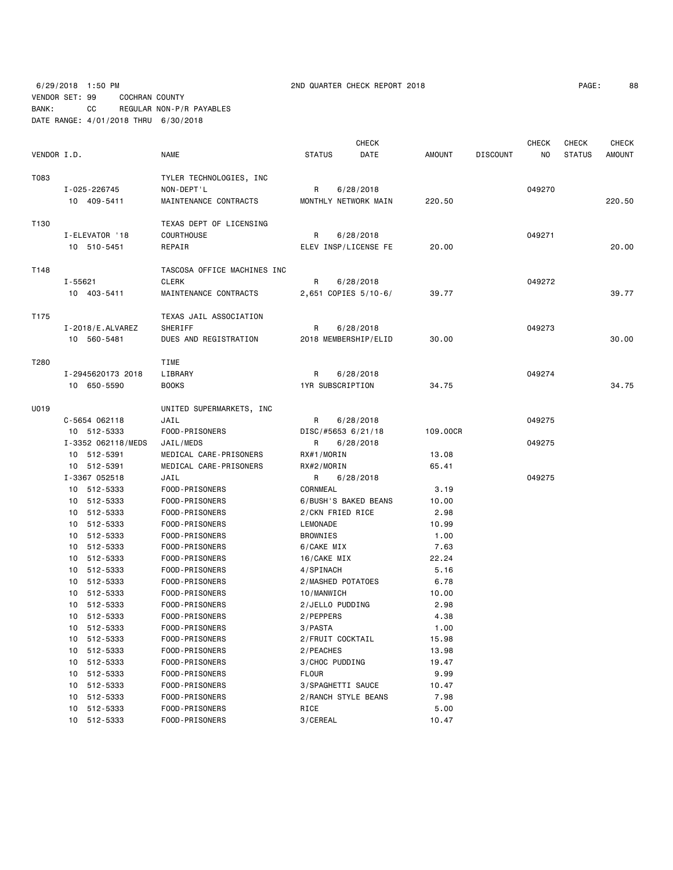6/29/2018 1:50 PM 2ND QUARTER CHECK REPORT 2018 PAGE: 88 VENDOR SET: 99 COCHRAN COUNTY BANK: CC REGULAR NON-P/R PAYABLES DATE RANGE: 4/01/2018 THRU 6/30/2018

| PAGE : | 88 |
|--------|----|
|--------|----|

|             |                                                    |                                                                      | <b>CHECK</b>                                             |                       |                 | <b>CHECK</b> | CHECK         | <b>CHECK</b>  |
|-------------|----------------------------------------------------|----------------------------------------------------------------------|----------------------------------------------------------|-----------------------|-----------------|--------------|---------------|---------------|
| VENDOR I.D. |                                                    | <b>NAME</b>                                                          | <b>STATUS</b><br>DATE                                    | <b>AMOUNT</b>         | <b>DISCOUNT</b> | ΝO           | <b>STATUS</b> | <b>AMOUNT</b> |
| T083        | I-025-226745<br>10 409-5411                        | TYLER TECHNOLOGIES, INC<br>NON-DEPT'L<br>MAINTENANCE CONTRACTS       | R<br>6/28/2018<br>MONTHLY NETWORK MAIN                   | 220.50                |                 | 049270       |               | 220.50        |
| T130        | I-ELEVATOR '18<br>10 510-5451                      | TEXAS DEPT OF LICENSING<br>COURTHOUSE<br>REPAIR                      | R<br>6/28/2018<br>ELEV INSP/LICENSE FE                   | 20.00                 |                 | 049271       |               | 20.00         |
| T148        | $I - 55621$<br>10 403-5411                         | TASCOSA OFFICE MACHINES INC<br><b>CLERK</b><br>MAINTENANCE CONTRACTS | R<br>6/28/2018<br>2,651 COPIES 5/10-6/                   | 39.77                 |                 | 049272       |               | 39.77         |
| T175        | $I - 2018 / E$ . ALVAREZ<br>10 560-5481            | TEXAS JAIL ASSOCIATION<br>SHERIFF<br>DUES AND REGISTRATION           | R<br>6/28/2018<br>2018 MEMBERSHIP/ELID                   | 30.00                 |                 | 049273       |               | 30.00         |
| T280        | I-2945620173 2018<br>10 650-5590                   | TIME<br>LIBRARY<br><b>BOOKS</b>                                      | R<br>6/28/2018<br>1YR SUBSCRIPTION                       | 34.75                 |                 | 049274       |               | 34.75         |
| U019        | C-5654 062118<br>10 512-5333                       | UNITED SUPERMARKETS, INC<br>JAIL<br>FOOD-PRISONERS                   | R<br>6/28/2018<br>DISC/#5653 6/21/18                     | 109.00CR              |                 | 049275       |               |               |
|             | I-3352 062118/MEDS<br>10 512-5391                  | JAIL/MEDS<br>MEDICAL CARE-PRISONERS                                  | R<br>6/28/2018<br>RX#1/MORIN                             | 13.08                 |                 | 049275       |               |               |
|             | 10 512-5391<br>I-3367 052518<br>10 512-5333        | MEDICAL CARE-PRISONERS<br>JAIL<br>FOOD-PRISONERS                     | RX#2/MORIN<br>6/28/2018<br>R<br>CORNMEAL                 | 65.41<br>3.19         |                 | 049275       |               |               |
|             | 10 512-5333<br>10 512-5333                         | FOOD-PRISONERS<br>FOOD-PRISONERS                                     | 6/BUSH'S BAKED BEANS<br>2/CKN FRIED RICE                 | 10.00<br>2.98         |                 |              |               |               |
|             | 10 512-5333<br>10 512-5333<br>10 512-5333          | FOOD-PRISONERS<br>FOOD-PRISONERS<br>FOOD-PRISONERS                   | LEMONADE<br>BROWNIES<br>6/CAKE MIX                       | 10.99<br>1.00<br>7.63 |                 |              |               |               |
|             | 10 512-5333<br>10 512-5333<br>10 512-5333          | FOOD-PRISONERS<br>FOOD-PRISONERS<br>FOOD-PRISONERS                   | 16/CAKE MIX<br>4/SPINACH<br>2/MASHED POTATOES            | 22.24<br>5.16<br>6.78 |                 |              |               |               |
|             | 10 512-5333<br>512-5333<br>10                      | FOOD-PRISONERS<br>FOOD-PRISONERS                                     | 10/MANWICH<br>2/JELLO PUDDING                            | 10.00<br>2.98         |                 |              |               |               |
|             | 512-5333<br>10<br>10 512-5333<br>10 512-5333       | FOOD-PRISONERS<br>FOOD-PRISONERS<br>FOOD-PRISONERS                   | 2/PEPPERS<br>3/PASTA<br>2/FRUIT COCKTAIL                 | 4.38<br>1.00<br>15.98 |                 |              |               |               |
|             | 512-5333<br>10<br>512-5333<br>10                   | FOOD-PRISONERS<br>FOOD-PRISONERS                                     | 2/PEACHES<br>3/CHOC PUDDING                              | 13.98<br>19.47        |                 |              |               |               |
|             | 512-5333<br>10<br>512-5333<br>10<br>512-5333<br>10 | FOOD-PRISONERS<br>FOOD-PRISONERS<br>FOOD-PRISONERS                   | <b>FLOUR</b><br>3/SPAGHETTI SAUCE<br>2/RANCH STYLE BEANS | 9.99<br>10.47<br>7.98 |                 |              |               |               |
|             | 512-5333<br>10<br>10 512-5333                      | FOOD-PRISONERS<br>FOOD-PRISONERS                                     | RICE<br>3/CEREAL                                         | 5.00<br>10.47         |                 |              |               |               |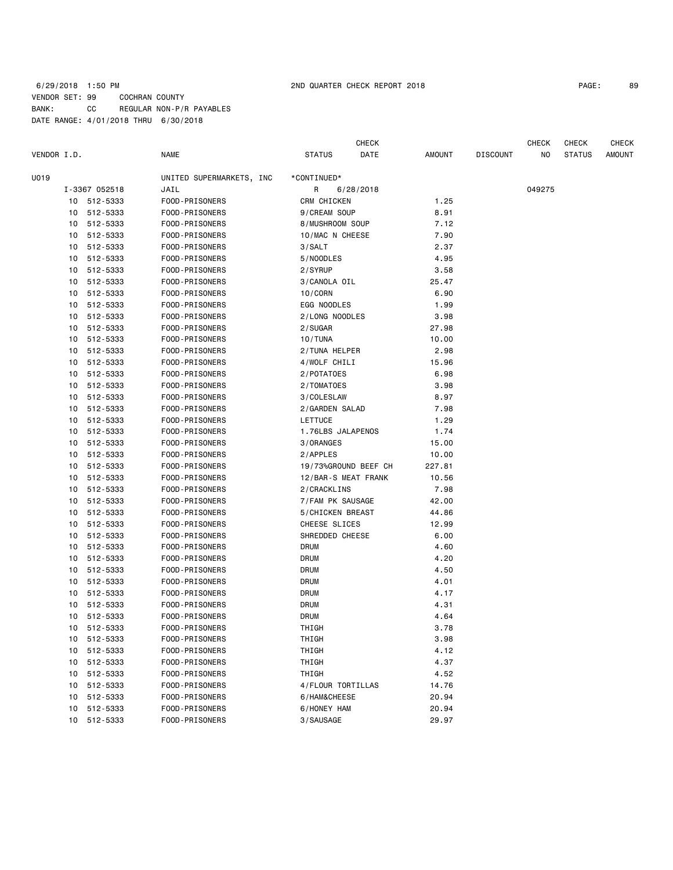## 6/29/2018 1:50 PM 2ND QUARTER CHECK REPORT 2018 PAGE: 89 VENDOR SET: 99 COCHRAN COUNTY BANK: CC REGULAR NON-P/R PAYABLES DATE RANGE: 4/01/2018 THRU 6/30/2018

|             |    |               |                          |                     | CHECK                |        |                 | CHECK  | CHECK         | <b>CHECK</b>  |
|-------------|----|---------------|--------------------------|---------------------|----------------------|--------|-----------------|--------|---------------|---------------|
| VENDOR I.D. |    |               | <b>NAME</b>              | <b>STATUS</b>       | DATE                 | AMOUNT | <b>DISCOUNT</b> | NO     | <b>STATUS</b> | <b>AMOUNT</b> |
| U019        |    |               | UNITED SUPERMARKETS, INC | *CONTINUED*         |                      |        |                 |        |               |               |
|             |    | I-3367 052518 | JAIL                     | R                   | 6/28/2018            |        |                 | 049275 |               |               |
|             |    | 10 512-5333   | FOOD-PRISONERS           | CRM CHICKEN         |                      | 1.25   |                 |        |               |               |
|             | 10 | 512-5333      | FOOD-PRISONERS           | 9/CREAM SOUP        |                      | 8.91   |                 |        |               |               |
|             | 10 | 512-5333      | FOOD-PRISONERS           | 8/MUSHROOM SOUP     |                      | 7.12   |                 |        |               |               |
|             | 10 | 512-5333      | FOOD-PRISONERS           | 10/MAC N CHEESE     |                      | 7.90   |                 |        |               |               |
|             | 10 | 512-5333      | FOOD-PRISONERS           | 3/SALT              |                      | 2.37   |                 |        |               |               |
|             | 10 | 512-5333      | FOOD-PRISONERS           | 5/NOODLES           |                      | 4.95   |                 |        |               |               |
|             | 10 | 512-5333      | FOOD-PRISONERS           | 2/SYRUP             |                      | 3.58   |                 |        |               |               |
|             | 10 | 512-5333      | FOOD-PRISONERS           | 3/CANOLA OIL        |                      | 25.47  |                 |        |               |               |
|             | 10 | 512-5333      | FOOD-PRISONERS           | 10/CORN             |                      | 6.90   |                 |        |               |               |
|             | 10 | 512-5333      | FOOD-PRISONERS           | EGG NOODLES         |                      | 1.99   |                 |        |               |               |
|             | 10 | 512-5333      | FOOD-PRISONERS           | 2/LONG NOODLES      |                      | 3.98   |                 |        |               |               |
|             | 10 | 512-5333      | FOOD-PRISONERS           | 2/SUGAR             |                      | 27.98  |                 |        |               |               |
|             | 10 | 512-5333      | FOOD-PRISONERS           | 10/TUNA             |                      | 10.00  |                 |        |               |               |
|             | 10 | 512-5333      | FOOD-PRISONERS           | 2/TUNA HELPER       |                      | 2.98   |                 |        |               |               |
|             | 10 | 512-5333      | FOOD-PRISONERS           | 4/WOLF CHILI        |                      | 15.96  |                 |        |               |               |
|             | 10 | 512-5333      | FOOD-PRISONERS           | 2/POTATOES          |                      | 6.98   |                 |        |               |               |
|             | 10 | 512-5333      | FOOD-PRISONERS           | 2/TOMATOES          |                      | 3.98   |                 |        |               |               |
|             | 10 | 512-5333      | FOOD-PRISONERS           | 3/COLESLAW          |                      | 8.97   |                 |        |               |               |
|             | 10 | 512-5333      | FOOD-PRISONERS           | 2/GARDEN SALAD      |                      | 7.98   |                 |        |               |               |
|             | 10 | 512-5333      | FOOD-PRISONERS           | LETTUCE             |                      | 1.29   |                 |        |               |               |
|             | 10 | 512-5333      | FOOD-PRISONERS           | 1.76LBS JALAPENOS   |                      | 1.74   |                 |        |               |               |
|             | 10 | 512-5333      | FOOD-PRISONERS           | 3/ORANGES           |                      | 15.00  |                 |        |               |               |
|             | 10 | 512-5333      | FOOD-PRISONERS           | 2/APPLES            |                      | 10.00  |                 |        |               |               |
|             | 10 | 512-5333      | FOOD-PRISONERS           |                     | 19/73%GROUND BEEF CH | 227.81 |                 |        |               |               |
|             | 10 | 512-5333      | FOOD-PRISONERS           | 12/BAR-S MEAT FRANK |                      | 10.56  |                 |        |               |               |
|             | 10 | 512-5333      | FOOD-PRISONERS           | 2/CRACKLINS         |                      | 7.98   |                 |        |               |               |
|             | 10 | 512-5333      | FOOD-PRISONERS           | 7/FAM PK SAUSAGE    |                      | 42.00  |                 |        |               |               |
|             | 10 | 512-5333      | FOOD-PRISONERS           | 5/CHICKEN BREAST    |                      | 44.86  |                 |        |               |               |
|             | 10 | 512-5333      | FOOD-PRISONERS           | CHEESE SLICES       |                      | 12.99  |                 |        |               |               |
|             | 10 | 512-5333      | FOOD-PRISONERS           | SHREDDED CHEESE     |                      | 6.00   |                 |        |               |               |
|             | 10 | 512-5333      | FOOD-PRISONERS           | DRUM                |                      | 4.60   |                 |        |               |               |
|             | 10 | 512-5333      | FOOD-PRISONERS           | <b>DRUM</b>         |                      | 4.20   |                 |        |               |               |
|             | 10 | 512-5333      | FOOD-PRISONERS           | <b>DRUM</b>         |                      | 4.50   |                 |        |               |               |
|             | 10 | 512-5333      | FOOD-PRISONERS           | <b>DRUM</b>         |                      | 4.01   |                 |        |               |               |
|             | 10 | 512-5333      | FOOD-PRISONERS           | <b>DRUM</b>         |                      | 4.17   |                 |        |               |               |
|             | 10 | 512-5333      | FOOD-PRISONERS           | <b>DRUM</b>         |                      | 4.31   |                 |        |               |               |
|             | 10 | 512-5333      | FOOD-PRISONERS           | DRUM                |                      | 4.64   |                 |        |               |               |
|             | 10 | 512-5333      | FOOD-PRISONERS           | THIGH               |                      | 3.78   |                 |        |               |               |
|             | 10 | 512-5333      | FOOD-PRISONERS           | THIGH               |                      | 3.98   |                 |        |               |               |
|             | 10 | 512-5333      | FOOD-PRISONERS           | THIGH               |                      | 4.12   |                 |        |               |               |
|             | 10 | 512-5333      | FOOD-PRISONERS           | THIGH               |                      | 4.37   |                 |        |               |               |
|             | 10 | 512-5333      | FOOD-PRISONERS           | THIGH               |                      | 4.52   |                 |        |               |               |
|             | 10 | 512-5333      | FOOD-PRISONERS           | 4/FLOUR TORTILLAS   |                      | 14.76  |                 |        |               |               |
|             | 10 | 512-5333      | FOOD-PRISONERS           | 6/HAM&CHEESE        |                      | 20.94  |                 |        |               |               |
|             | 10 | 512-5333      | FOOD-PRISONERS           | 6/HONEY HAM         |                      | 20.94  |                 |        |               |               |
|             | 10 | 512-5333      | FOOD-PRISONERS           | 3/SAUSAGE           |                      | 29.97  |                 |        |               |               |
|             |    |               |                          |                     |                      |        |                 |        |               |               |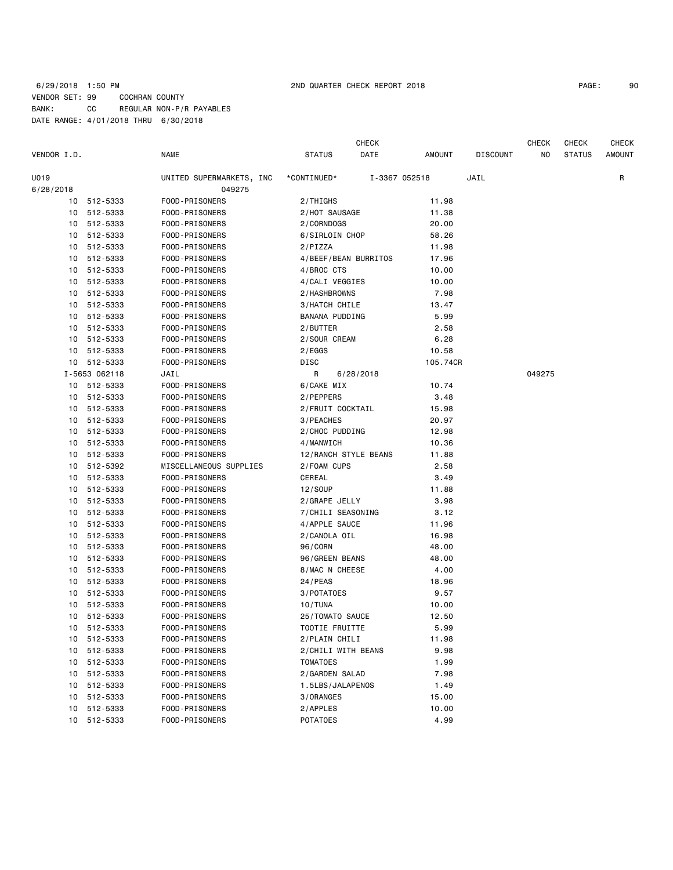## 6/29/2018 1:50 PM 2ND QUARTER CHECK REPORT 2018 PAGE: 90 VENDOR SET: 99 COCHRAN COUNTY BANK: CC REGULAR NON-P/R PAYABLES DATE RANGE: 4/01/2018 THRU 6/30/2018

CHECK CHECK CHECK CHECK

| VENDOR I.D. |               | <b>NAME</b>              | <b>STATUS</b><br>DATE | AMOUNT        | DISCOUNT | NO.    | <b>STATUS</b> | AMOUNT |
|-------------|---------------|--------------------------|-----------------------|---------------|----------|--------|---------------|--------|
| U019        |               | UNITED SUPERMARKETS, INC | *CONTINUED*           | I-3367 052518 | JAIL     |        |               | R      |
| 6/28/2018   |               | 049275                   |                       |               |          |        |               |        |
|             | 10 512-5333   | FOOD-PRISONERS           | 2/THIGHS              | 11.98         |          |        |               |        |
|             | 10 512-5333   | FOOD-PRISONERS           | 2/HOT SAUSAGE         | 11.38         |          |        |               |        |
| 10          | 512-5333      | FOOD-PRISONERS           | 2/CORNDOGS            | 20.00         |          |        |               |        |
|             | 10 512-5333   | FOOD-PRISONERS           | 6/SIRLOIN CHOP        | 58.26         |          |        |               |        |
| 10          | 512-5333      | FOOD-PRISONERS           | 2/PIZZA               | 11.98         |          |        |               |        |
|             | 10 512-5333   | FOOD-PRISONERS           | 4/BEEF/BEAN BURRITOS  | 17.96         |          |        |               |        |
| 10          | 512-5333      | FOOD-PRISONERS           | 4/BROC CTS            | 10.00         |          |        |               |        |
|             | 10 512-5333   | FOOD-PRISONERS           | 4/CALI VEGGIES        | 10.00         |          |        |               |        |
| 10          | 512-5333      | FOOD-PRISONERS           | 2/HASHBROWNS          | 7.98          |          |        |               |        |
| 10          | 512-5333      | FOOD-PRISONERS           | 3/HATCH CHILE         | 13.47         |          |        |               |        |
| 10          | 512-5333      | FOOD-PRISONERS           | BANANA PUDDING        | 5.99          |          |        |               |        |
|             | 10 512-5333   | FOOD-PRISONERS           | 2/BUTTER              | 2.58          |          |        |               |        |
|             | 10 512-5333   | FOOD-PRISONERS           | 2/SOUR CREAM          | 6.28          |          |        |               |        |
|             | 10 512-5333   | FOOD-PRISONERS           | 2/EGGS                | 10.58         |          |        |               |        |
|             | 10 512-5333   | FOOD-PRISONERS           | DISC                  | 105.74CR      |          |        |               |        |
|             | I-5653 062118 | JAIL                     | R<br>6/28/2018        |               |          | 049275 |               |        |
|             | 10 512-5333   | FOOD-PRISONERS           | 6/CAKE MIX            | 10.74         |          |        |               |        |
|             | 10 512-5333   | FOOD-PRISONERS           | 2/PEPPERS             | 3.48          |          |        |               |        |
|             | 10 512-5333   | FOOD-PRISONERS           | 2/FRUIT COCKTAIL      | 15.98         |          |        |               |        |
|             | 10 512-5333   | FOOD-PRISONERS           | 3/PEACHES             | 20.97         |          |        |               |        |
|             | 10 512-5333   | FOOD-PRISONERS           | 2/CHOC PUDDING        | 12.98         |          |        |               |        |
|             | 10 512-5333   | FOOD-PRISONERS           | 4/MANWICH             | 10.36         |          |        |               |        |
| 10          | 512-5333      | FOOD-PRISONERS           | 12/RANCH STYLE BEANS  | 11.88         |          |        |               |        |
| 10          | 512-5392      | MISCELLANEOUS SUPPLIES   | 2/FOAM CUPS           | 2.58          |          |        |               |        |
| 10          | 512-5333      | FOOD-PRISONERS           | CEREAL                | 3.49          |          |        |               |        |
| 10          | 512-5333      | FOOD-PRISONERS           | 12/SOUP               | 11.88         |          |        |               |        |
| 10          | 512-5333      | FOOD-PRISONERS           | 2/GRAPE JELLY         | 3.98          |          |        |               |        |
|             | 10 512-5333   | FOOD-PRISONERS           | 7/CHILI SEASONING     | 3.12          |          |        |               |        |
| 10          | 512-5333      | FOOD-PRISONERS           | 4/APPLE SAUCE         | 11.96         |          |        |               |        |
| 10          | 512-5333      | FOOD-PRISONERS           | 2/CANOLA OIL          | 16.98         |          |        |               |        |
| 10          | 512-5333      | FOOD-PRISONERS           | 96/CORN               | 48.00         |          |        |               |        |
| 10          | 512-5333      | FOOD-PRISONERS           | 96/GREEN BEANS        | 48.00         |          |        |               |        |
| 10          | 512-5333      | FOOD-PRISONERS           | 8/MAC N CHEESE        | 4.00          |          |        |               |        |
| 10          | 512-5333      | FOOD-PRISONERS           | $24$ /PEAS            | 18.96         |          |        |               |        |
| 10          | 512-5333      | FOOD-PRISONERS           | 3/POTATOES            | 9.57          |          |        |               |        |
|             | 10 512-5333   | FOOD-PRISONERS           | 10/TUNA               | 10.00         |          |        |               |        |
| 10          | 512-5333      | FOOD-PRISONERS           | 25/TOMATO SAUCE       | 12.50         |          |        |               |        |
| 10          | 512-5333      | FOOD-PRISONERS           | TOOTIE FRUITTE        | 5.99          |          |        |               |        |
|             | 10 512-5333   | FOOD-PRISONERS           | 2/PLAIN CHILI         | 11.98         |          |        |               |        |
|             | 10 512-5333   | FOOD-PRISONERS           | 2/CHILI WITH BEANS    | 9.98          |          |        |               |        |
| 10          | 512-5333      | FOOD-PRISONERS           | <b>TOMATOES</b>       | 1.99          |          |        |               |        |
| 10          | 512-5333      | FOOD-PRISONERS           | 2/GARDEN SALAD        | 7.98          |          |        |               |        |
| 10          | 512-5333      | FOOD-PRISONERS           | 1.5LBS/JALAPENOS      | 1.49          |          |        |               |        |
| 10          | 512-5333      | FOOD-PRISONERS           | 3/ORANGES             | 15.00         |          |        |               |        |
| 10          | 512-5333      | FOOD-PRISONERS           | 2/APPLES              | 10.00         |          |        |               |        |
| 10          | 512-5333      | FOOD-PRISONERS           | <b>POTATOES</b>       | 4.99          |          |        |               |        |
|             |               |                          |                       |               |          |        |               |        |
|             |               |                          |                       |               |          |        |               |        |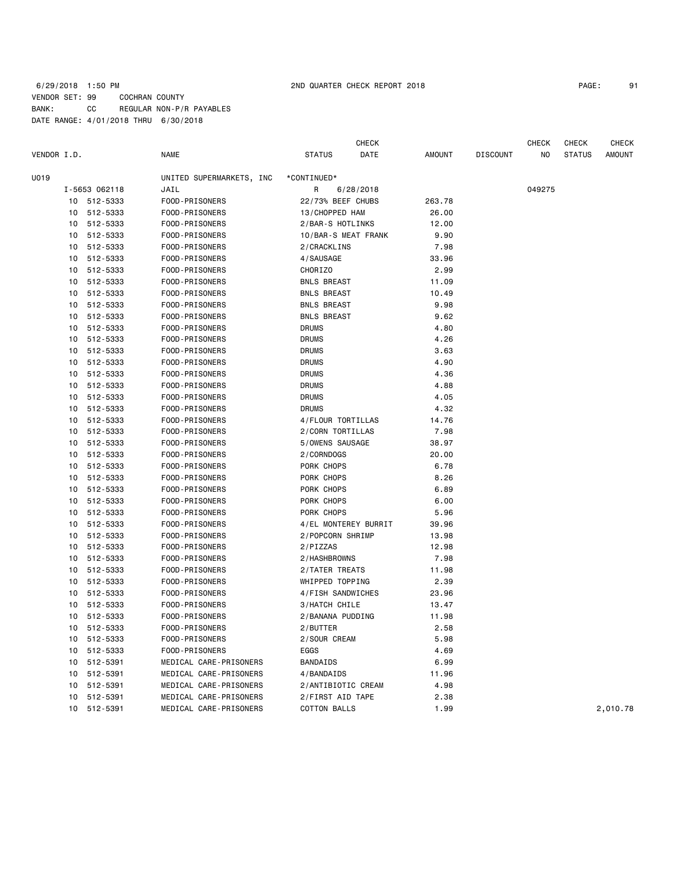## 6/29/2018 1:50 PM 2ND QUARTER CHECK REPORT 2018 PAGE: 91 VENDOR SET: 99 COCHRAN COUNTY BANK: CC REGULAR NON-P/R PAYABLES DATE RANGE: 4/01/2018 THRU 6/30/2018

| VENDOR I.D. |    |               | <b>NAME</b>              | <b>STATUS</b>        | CHECK<br>DATE | AMOUNT | <b>DISCOUNT</b> | <b>CHECK</b><br>NO. | <b>CHECK</b><br><b>STATUS</b> | <b>CHECK</b><br>AMOUNT |
|-------------|----|---------------|--------------------------|----------------------|---------------|--------|-----------------|---------------------|-------------------------------|------------------------|
| U019        |    |               | UNITED SUPERMARKETS, INC | *CONTINUED*          |               |        |                 |                     |                               |                        |
|             |    | I-5653 062118 | JAIL                     | R                    | 6/28/2018     |        |                 | 049275              |                               |                        |
|             |    | 10 512-5333   | FOOD-PRISONERS           | 22/73% BEEF CHUBS    |               | 263.78 |                 |                     |                               |                        |
|             | 10 | 512-5333      | FOOD-PRISONERS           | 13/CHOPPED HAM       |               | 26.00  |                 |                     |                               |                        |
|             | 10 | 512-5333      | FOOD-PRISONERS           | 2/BAR-S HOTLINKS     |               | 12.00  |                 |                     |                               |                        |
|             | 10 | 512-5333      | FOOD-PRISONERS           | 10/BAR-S MEAT FRANK  |               | 9.90   |                 |                     |                               |                        |
|             | 10 | 512-5333      | FOOD-PRISONERS           | 2/CRACKLINS          |               | 7.98   |                 |                     |                               |                        |
|             | 10 | 512-5333      | FOOD-PRISONERS           | 4/SAUSAGE            |               | 33.96  |                 |                     |                               |                        |
|             | 10 | 512-5333      | FOOD-PRISONERS           | <b>CHORIZO</b>       |               | 2.99   |                 |                     |                               |                        |
|             | 10 | 512-5333      | FOOD-PRISONERS           | <b>BNLS BREAST</b>   |               | 11.09  |                 |                     |                               |                        |
|             | 10 | 512-5333      | FOOD-PRISONERS           | <b>BNLS BREAST</b>   |               | 10.49  |                 |                     |                               |                        |
|             | 10 | 512-5333      | FOOD-PRISONERS           | <b>BNLS BREAST</b>   |               | 9.98   |                 |                     |                               |                        |
|             | 10 | 512-5333      | FOOD-PRISONERS           | <b>BNLS BREAST</b>   |               | 9.62   |                 |                     |                               |                        |
|             | 10 | 512-5333      | FOOD-PRISONERS           | <b>DRUMS</b>         |               | 4.80   |                 |                     |                               |                        |
|             | 10 | 512-5333      | FOOD-PRISONERS           | <b>DRUMS</b>         |               | 4.26   |                 |                     |                               |                        |
|             | 10 | 512-5333      | FOOD-PRISONERS           | <b>DRUMS</b>         |               | 3.63   |                 |                     |                               |                        |
|             | 10 | 512-5333      | FOOD-PRISONERS           | <b>DRUMS</b>         |               | 4.90   |                 |                     |                               |                        |
|             | 10 | 512-5333      | FOOD-PRISONERS           | <b>DRUMS</b>         |               | 4.36   |                 |                     |                               |                        |
|             | 10 | 512-5333      | FOOD-PRISONERS           | <b>DRUMS</b>         |               | 4.88   |                 |                     |                               |                        |
|             | 10 | 512-5333      | FOOD-PRISONERS           | <b>DRUMS</b>         |               | 4.05   |                 |                     |                               |                        |
|             | 10 | 512-5333      | FOOD-PRISONERS           | <b>DRUMS</b>         |               | 4.32   |                 |                     |                               |                        |
|             | 10 | 512-5333      | FOOD-PRISONERS           | 4/FLOUR TORTILLAS    |               | 14.76  |                 |                     |                               |                        |
|             | 10 | 512-5333      | FOOD-PRISONERS           | 2/CORN TORTILLAS     |               | 7.98   |                 |                     |                               |                        |
|             | 10 | 512-5333      | FOOD-PRISONERS           | 5/OWENS SAUSAGE      |               | 38.97  |                 |                     |                               |                        |
|             | 10 | 512-5333      | FOOD-PRISONERS           | 2/CORNDOGS           |               | 20.00  |                 |                     |                               |                        |
|             | 10 | 512-5333      | FOOD-PRISONERS           | PORK CHOPS           |               | 6.78   |                 |                     |                               |                        |
|             | 10 | 512-5333      | FOOD-PRISONERS           | PORK CHOPS           |               | 8.26   |                 |                     |                               |                        |
|             | 10 | 512-5333      | FOOD-PRISONERS           | PORK CHOPS           |               | 6.89   |                 |                     |                               |                        |
|             | 10 | 512-5333      | FOOD-PRISONERS           | PORK CHOPS           |               | 6.00   |                 |                     |                               |                        |
|             | 10 | 512-5333      | FOOD-PRISONERS           | PORK CHOPS           |               | 5.96   |                 |                     |                               |                        |
|             | 10 | 512-5333      | FOOD-PRISONERS           | 4/EL MONTEREY BURRIT |               | 39.96  |                 |                     |                               |                        |
|             | 10 | 512-5333      | FOOD-PRISONERS           | 2/POPCORN SHRIMP     |               | 13.98  |                 |                     |                               |                        |
|             | 10 | 512-5333      | FOOD-PRISONERS           | 2/PIZZAS             |               | 12.98  |                 |                     |                               |                        |
|             | 10 | 512-5333      | FOOD-PRISONERS           | 2/HASHBROWNS         |               | 7.98   |                 |                     |                               |                        |
|             | 10 | 512-5333      | FOOD-PRISONERS           | 2/TATER TREATS       |               | 11.98  |                 |                     |                               |                        |
|             | 10 | 512-5333      | FOOD-PRISONERS           | WHIPPED TOPPING      |               | 2.39   |                 |                     |                               |                        |
|             | 10 | 512-5333      | FOOD-PRISONERS           | 4/FISH SANDWICHES    |               | 23.96  |                 |                     |                               |                        |
|             | 10 | 512-5333      | FOOD-PRISONERS           | 3/HATCH CHILE        |               | 13.47  |                 |                     |                               |                        |
|             | 10 | 512-5333      | FOOD-PRISONERS           | 2/BANANA PUDDING     |               | 11.98  |                 |                     |                               |                        |
|             |    | 10 512-5333   | FOOD-PRISONERS           | 2/BUTTER             |               | 2.58   |                 |                     |                               |                        |
|             |    | 10 512-5333   | FOOD-PRISONERS           | 2/SOUR CREAM         |               | 5.98   |                 |                     |                               |                        |
|             |    | 10 512-5333   | FOOD-PRISONERS           | EGGS                 |               | 4.69   |                 |                     |                               |                        |
|             | 10 | 512-5391      | MEDICAL CARE-PRISONERS   | BANDAIDS             |               | 6.99   |                 |                     |                               |                        |
|             |    | 10 512-5391   | MEDICAL CARE-PRISONERS   | 4/BANDAIDS           |               | 11.96  |                 |                     |                               |                        |
|             | 10 | 512-5391      | MEDICAL CARE-PRISONERS   | 2/ANTIBIOTIC CREAM   |               | 4.98   |                 |                     |                               |                        |
|             |    | 10 512-5391   | MEDICAL CARE-PRISONERS   | 2/FIRST AID TAPE     |               | 2.38   |                 |                     |                               |                        |
|             |    | 10 512-5391   | MEDICAL CARE-PRISONERS   | <b>COTTON BALLS</b>  |               | 1.99   |                 |                     |                               | 2,010.78               |
|             |    |               |                          |                      |               |        |                 |                     |                               |                        |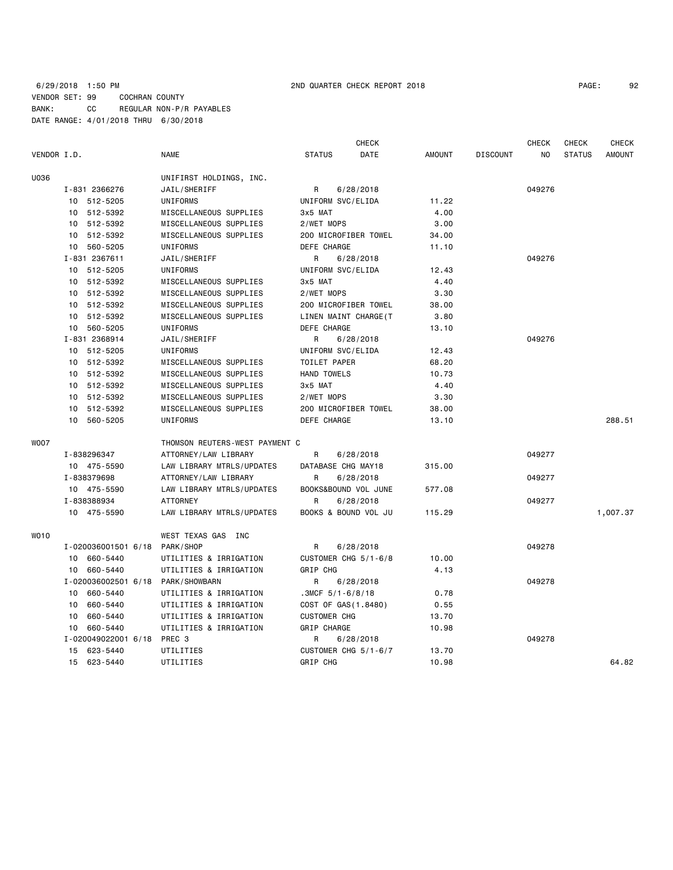|             |                                |                     |                           |                      | <b>CHECK</b>          |               |                 | <b>CHECK</b> | <b>CHECK</b>  | <b>CHECK</b>  |
|-------------|--------------------------------|---------------------|---------------------------|----------------------|-----------------------|---------------|-----------------|--------------|---------------|---------------|
| VENDOR I.D. |                                |                     | <b>NAME</b>               | <b>STATUS</b>        | DATE                  | <b>AMOUNT</b> | <b>DISCOUNT</b> | NO           | <b>STATUS</b> | <b>AMOUNT</b> |
| U036        |                                |                     | UNIFIRST HOLDINGS, INC.   |                      |                       |               |                 |              |               |               |
|             |                                | I-831 2366276       | JAIL/SHERIFF              | R                    | 6/28/2018             |               |                 | 049276       |               |               |
|             |                                | 10 512-5205         | UNIFORMS                  | UNIFORM SVC/ELIDA    |                       | 11.22         |                 |              |               |               |
|             |                                | 10 512-5392         | MISCELLANEOUS SUPPLIES    | 3x5 MAT              |                       | 4.00          |                 |              |               |               |
|             | 10                             | 512-5392            | MISCELLANEOUS SUPPLIES    | 2/WET MOPS           |                       | 3.00          |                 |              |               |               |
|             |                                | 10 512-5392         | MISCELLANEOUS SUPPLIES    |                      | 200 MICROFIBER TOWEL  | 34.00         |                 |              |               |               |
|             | 10                             | 560-5205            | UNIFORMS                  | DEFE CHARGE          |                       | 11.10         |                 |              |               |               |
|             |                                | I-831 2367611       | JAIL/SHERIFF              | R                    | 6/28/2018             |               |                 | 049276       |               |               |
|             |                                | 10 512-5205         | UNIFORMS                  | UNIFORM SVC/ELIDA    |                       | 12.43         |                 |              |               |               |
|             |                                | 10 512-5392         | MISCELLANEOUS SUPPLIES    | 3x5 MAT              |                       | 4.40          |                 |              |               |               |
|             | 10                             | 512-5392            | MISCELLANEOUS SUPPLIES    | 2/WET MOPS           |                       | 3.30          |                 |              |               |               |
|             |                                | 10 512-5392         | MISCELLANEOUS SUPPLIES    |                      | 200 MICROFIBER TOWEL  | 38.00         |                 |              |               |               |
|             | 10                             | 512-5392            | MISCELLANEOUS SUPPLIES    |                      | LINEN MAINT CHARGE (T | 3.80          |                 |              |               |               |
|             |                                | 10 560-5205         | UNIFORMS                  | DEFE CHARGE          |                       | 13.10         |                 |              |               |               |
|             |                                | I-831 2368914       | JAIL/SHERIFF              | R                    | 6/28/2018             |               |                 | 049276       |               |               |
|             |                                | 10 512-5205         | UNIFORMS                  | UNIFORM SVC/ELIDA    |                       | 12.43         |                 |              |               |               |
|             | 10                             | 512-5392            | MISCELLANEOUS SUPPLIES    | TOILET PAPER         |                       | 68.20         |                 |              |               |               |
|             | 10                             | 512-5392            | MISCELLANEOUS SUPPLIES    | <b>HAND TOWELS</b>   |                       | 10.73         |                 |              |               |               |
|             |                                | 10 512-5392         | MISCELLANEOUS SUPPLIES    | 3x5 MAT              |                       | 4.40          |                 |              |               |               |
|             | 10                             | 512-5392            | MISCELLANEOUS SUPPLIES    | 2/WET MOPS           |                       | 3.30          |                 |              |               |               |
|             | 10                             | 512-5392            | MISCELLANEOUS SUPPLIES    |                      | 200 MICROFIBER TOWEL  | 38.00         |                 |              |               |               |
|             | 10                             | 560-5205            | UNIFORMS                  | DEFE CHARGE          |                       | 13.10         |                 |              |               | 288.51        |
| <b>WOO7</b> | THOMSON REUTERS-WEST PAYMENT C |                     |                           |                      |                       |               |                 |              |               |               |
|             |                                | I-838296347         | ATTORNEY/LAW LIBRARY      | R                    | 6/28/2018             |               |                 | 049277       |               |               |
|             |                                | 10 475-5590         | LAW LIBRARY MTRLS/UPDATES | DATABASE CHG MAY18   |                       | 315.00        |                 |              |               |               |
|             |                                | I-838379698         | ATTORNEY/LAW LIBRARY      | R                    | 6/28/2018             |               |                 | 049277       |               |               |
|             |                                | 10 475-5590         | LAW LIBRARY MTRLS/UPDATES |                      | BOOKS&BOUND VOL JUNE  | 577.08        |                 |              |               |               |
|             |                                | I-838388934         | <b>ATTORNEY</b>           | R                    | 6/28/2018             |               |                 | 049277       |               |               |
|             |                                | 10 475-5590         | LAW LIBRARY MTRLS/UPDATES |                      | BOOKS & BOUND VOL JU  | 115.29        |                 |              |               | 1,007.37      |
| WO10        |                                |                     | WEST TEXAS GAS INC        |                      |                       |               |                 |              |               |               |
|             |                                | I-020036001501 6/18 | PARK/SHOP                 | R                    | 6/28/2018             |               |                 | 049278       |               |               |
|             |                                | 10 660-5440         | UTILITIES & IRRIGATION    |                      | CUSTOMER CHG 5/1-6/8  | 10.00         |                 |              |               |               |
|             |                                | 10 660-5440         | UTILITIES & IRRIGATION    | <b>GRIP CHG</b>      |                       | 4.13          |                 |              |               |               |
|             |                                | I-020036002501 6/18 | PARK/SHOWBARN             | R                    | 6/28/2018             |               |                 | 049278       |               |               |
|             |                                | 10 660-5440         | UTILITIES & IRRIGATION    | $.3MCF$ 5/1-6/8/18   |                       | 0.78          |                 |              |               |               |
|             | 10                             | 660-5440            | UTILITIES & IRRIGATION    | COST OF GAS (1.8480) |                       | 0.55          |                 |              |               |               |
|             | 10                             | 660-5440            | UTILITIES & IRRIGATION    | <b>CUSTOMER CHG</b>  |                       | 13.70         |                 |              |               |               |
|             | 10                             | 660-5440            | UTILITIES & IRRIGATION    | GRIP CHARGE          |                       | 10.98         |                 |              |               |               |
|             |                                | I-020049022001 6/18 | PREC 3                    | R                    | 6/28/2018             |               |                 | 049278       |               |               |
|             | 15                             | 623-5440            | UTILITIES                 |                      | CUSTOMER CHG 5/1-6/7  | 13.70         |                 |              |               |               |
|             | 15                             | 623-5440            | UTILITIES                 | <b>GRIP CHG</b>      |                       | 10.98         |                 |              |               | 64.82         |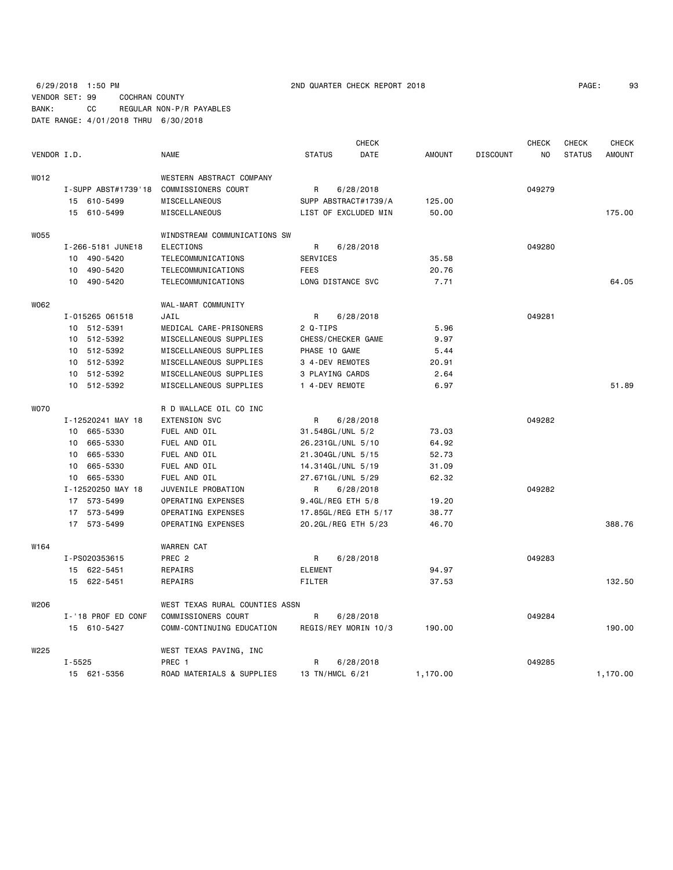6/29/2018 1:50 PM 2ND QUARTER CHECK REPORT 2018 VENDOR SET: 99 COCHRAN COUNTY BANK: CC REGULAR NON-P/R PAYABLES DATE RANGE: 4/01/2018 THRU 6/30/2018

| PAGE: | 93 |
|-------|----|
|-------|----|

|                  |                     |                                |                      | <b>CHECK</b> |               |                 | <b>CHECK</b> | <b>CHECK</b>  | <b>CHECK</b>  |  |
|------------------|---------------------|--------------------------------|----------------------|--------------|---------------|-----------------|--------------|---------------|---------------|--|
| VENDOR I.D.      |                     | <b>NAME</b>                    | <b>STATUS</b>        | DATE         | <b>AMOUNT</b> | <b>DISCOUNT</b> | NO.          | <b>STATUS</b> | <b>AMOUNT</b> |  |
| WO12             |                     | WESTERN ABSTRACT COMPANY       |                      |              |               |                 |              |               |               |  |
|                  | I-SUPP ABST#1739'18 | COMMISSIONERS COURT            | R                    | 6/28/2018    |               |                 | 049279       |               |               |  |
|                  | 15 610-5499         | MISCELLANEOUS                  | SUPP ABSTRACT#1739/A |              | 125.00        |                 |              |               |               |  |
|                  | 15 610-5499         | MISCELLANEOUS                  | LIST OF EXCLUDED MIN |              | 50.00         |                 |              |               | 175.00        |  |
| <b>WO55</b>      |                     | WINDSTREAM COMMUNICATIONS SW   |                      |              |               |                 |              |               |               |  |
|                  | I-266-5181 JUNE18   | ELECTIONS                      | R                    | 6/28/2018    |               |                 | 049280       |               |               |  |
|                  | 10 490-5420         | TELECOMMUNICATIONS             | SERVICES             |              | 35.58         |                 |              |               |               |  |
|                  | 10 490-5420         | TELECOMMUNICATIONS             | <b>FEES</b>          |              | 20.76         |                 |              |               |               |  |
|                  | 10 490-5420         | TELECOMMUNICATIONS             | LONG DISTANCE SVC    |              | 7.71          |                 |              |               | 64.05         |  |
| W062             |                     | WAL-MART COMMUNITY             |                      |              |               |                 |              |               |               |  |
|                  | I-015265 061518     | JAIL                           | R                    | 6/28/2018    |               |                 | 049281       |               |               |  |
|                  | 10 512-5391         | MEDICAL CARE-PRISONERS         | 2 Q-TIPS             |              | 5.96          |                 |              |               |               |  |
|                  | 10<br>512-5392      | MISCELLANEOUS SUPPLIES         | CHESS/CHECKER GAME   |              | 9.97          |                 |              |               |               |  |
|                  | 10 512-5392         | MISCELLANEOUS SUPPLIES         | PHASE 10 GAME        |              | 5.44          |                 |              |               |               |  |
|                  | 512-5392<br>10      | MISCELLANEOUS SUPPLIES         | 3 4-DEV REMOTES      |              | 20.91         |                 |              |               |               |  |
|                  | 10 512-5392         | MISCELLANEOUS SUPPLIES         | 3 PLAYING CARDS      |              | 2.64          |                 |              |               |               |  |
|                  | 10 512-5392         | MISCELLANEOUS SUPPLIES         | 1 4-DEV REMOTE       |              | 6.97          |                 |              |               | 51.89         |  |
| <b>WO70</b>      |                     | R D WALLACE OIL CO INC         |                      |              |               |                 |              |               |               |  |
|                  | I-12520241 MAY 18   | <b>EXTENSION SVC</b>           | R                    | 6/28/2018    |               |                 | 049282       |               |               |  |
|                  | 665-5330<br>10      | FUEL AND OIL                   | 31.548GL/UNL 5/2     |              | 73.03         |                 |              |               |               |  |
|                  | 665-5330<br>10      | FUEL AND OIL                   | 26.231GL/UNL 5/10    |              | 64.92         |                 |              |               |               |  |
|                  | 665-5330<br>10      | FUEL AND OIL                   | 21.304GL/UNL 5/15    |              | 52.73         |                 |              |               |               |  |
|                  | 665-5330<br>10      | FUEL AND OIL                   | 14.314GL/UNL 5/19    |              | 31.09         |                 |              |               |               |  |
|                  | 665-5330<br>10      | FUEL AND OIL                   | 27.671GL/UNL 5/29    |              | 62.32         |                 |              |               |               |  |
|                  | I-12520250 MAY 18   | JUVENILE PROBATION             | R                    | 6/28/2018    |               |                 | 049282       |               |               |  |
|                  | 17 573-5499         | OPERATING EXPENSES             | 9.4GL/REG ETH 5/8    |              | 19.20         |                 |              |               |               |  |
|                  | 17 573-5499         | OPERATING EXPENSES             | 17.85GL/REG ETH 5/17 |              | 38.77         |                 |              |               |               |  |
|                  | 17 573-5499         | OPERATING EXPENSES             | 20.2GL/REG ETH 5/23  |              | 46.70         |                 |              |               | 388.76        |  |
| W <sub>164</sub> |                     | <b>WARREN CAT</b>              |                      |              |               |                 |              |               |               |  |
|                  | I-PS020353615       | PREC <sub>2</sub>              | R                    | 6/28/2018    |               |                 | 049283       |               |               |  |
|                  | 15 622-5451         | REPAIRS                        | <b>ELEMENT</b>       |              | 94.97         |                 |              |               |               |  |
|                  | 15 622-5451         | REPAIRS                        | <b>FILTER</b>        |              | 37.53         |                 |              |               | 132.50        |  |
| W206             |                     | WEST TEXAS RURAL COUNTIES ASSN |                      |              |               |                 |              |               |               |  |
|                  | I-'18 PROF ED CONF  | COMMISSIONERS COURT            | R                    | 6/28/2018    |               |                 | 049284       |               |               |  |
|                  | 15 610-5427         | COMM-CONTINUING EDUCATION      | REGIS/REY MORIN 10/3 |              | 190.00        |                 |              |               | 190.00        |  |
| W225             |                     | WEST TEXAS PAVING, INC         |                      |              |               |                 |              |               |               |  |
|                  | $I - 5525$          | PREC 1                         | R                    | 6/28/2018    |               |                 | 049285       |               |               |  |
|                  | 15 621-5356         | ROAD MATERIALS & SUPPLIES      | 13 TN/HMCL 6/21      |              | 1,170.00      |                 |              |               | 1,170.00      |  |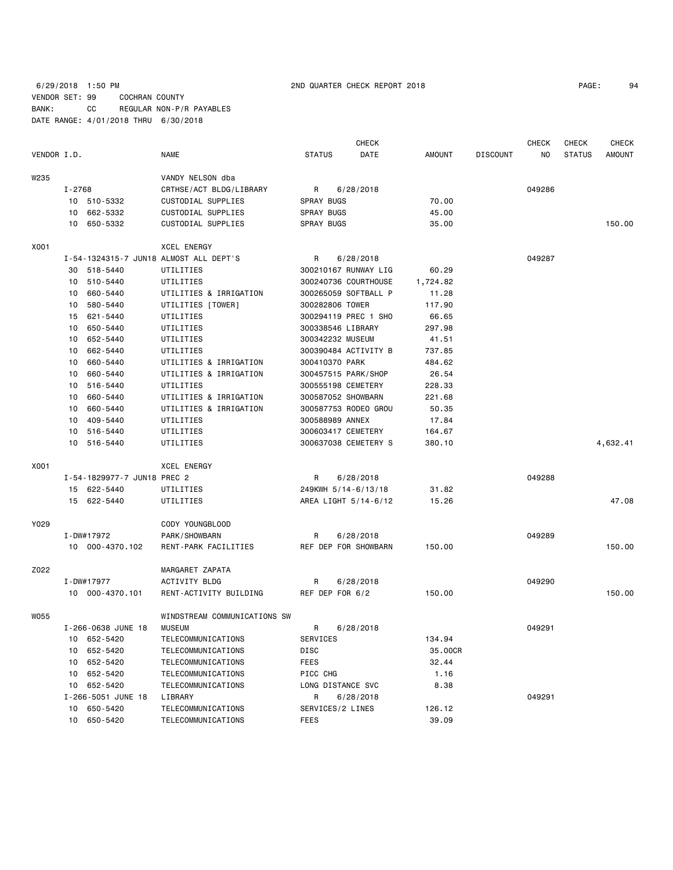| 94 |
|----|
|    |

|             |        |                             |                                        |                     | <b>CHECK</b>         |               |                 | <b>CHECK</b> | <b>CHECK</b>  | <b>CHECK</b>  |
|-------------|--------|-----------------------------|----------------------------------------|---------------------|----------------------|---------------|-----------------|--------------|---------------|---------------|
| VENDOR I.D. |        |                             | <b>NAME</b>                            | <b>STATUS</b>       | DATE                 | <b>AMOUNT</b> | <b>DISCOUNT</b> | NO           | <b>STATUS</b> | <b>AMOUNT</b> |
| W235        |        |                             | VANDY NELSON dba                       |                     |                      |               |                 |              |               |               |
|             | I-2768 |                             | CRTHSE/ACT BLDG/LIBRARY                | R                   | 6/28/2018            |               |                 | 049286       |               |               |
|             |        | 10 510-5332                 | CUSTODIAL SUPPLIES                     | <b>SPRAY BUGS</b>   |                      | 70.00         |                 |              |               |               |
|             | 10     | 662-5332                    | CUSTODIAL SUPPLIES                     | SPRAY BUGS          |                      | 45.00         |                 |              |               |               |
|             | 10     | 650-5332                    | CUSTODIAL SUPPLIES                     | SPRAY BUGS          |                      | 35.00         |                 |              |               | 150.00        |
| X001        |        |                             | XCEL ENERGY                            |                     |                      |               |                 |              |               |               |
|             |        |                             | I-54-1324315-7 JUN18 ALMOST ALL DEPT'S | R                   | 6/28/2018            |               |                 | 049287       |               |               |
|             | 30     | 518-5440                    | UTILITIES                              |                     | 300210167 RUNWAY LIG | 60.29         |                 |              |               |               |
|             | 10     | 510-5440                    | UTILITIES                              |                     | 300240736 COURTHOUSE | 1,724.82      |                 |              |               |               |
|             | 10     | 660-5440                    | UTILITIES & IRRIGATION                 |                     | 300265059 SOFTBALL P | 11.28         |                 |              |               |               |
|             | 10     | 580-5440                    | UTILITIES [TOWER]                      | 300282806 TOWER     |                      | 117.90        |                 |              |               |               |
|             | 15     | 621-5440                    | UTILITIES                              |                     | 300294119 PREC 1 SHO | 66.65         |                 |              |               |               |
|             | 10     | 650-5440                    | UTILITIES                              | 300338546 LIBRARY   |                      | 297.98        |                 |              |               |               |
|             | 10     | 652-5440                    | UTILITIES                              | 300342232 MUSEUM    |                      | 41.51         |                 |              |               |               |
|             | 10     | 662-5440                    | UTILITIES                              |                     | 300390484 ACTIVITY B | 737.85        |                 |              |               |               |
|             | 10     | 660-5440                    | UTILITIES & IRRIGATION                 | 300410370 PARK      |                      | 484.62        |                 |              |               |               |
|             | 10     | 660-5440                    | UTILITIES & IRRIGATION                 | 300457515 PARK/SHOP |                      | 26.54         |                 |              |               |               |
|             | 10     | 516-5440                    | UTILITIES                              | 300555198 CEMETERY  |                      | 228.33        |                 |              |               |               |
|             | 10     | 660-5440                    | UTILITIES & IRRIGATION                 | 300587052 SHOWBARN  |                      | 221.68        |                 |              |               |               |
|             | 10     | 660-5440                    | UTILITIES & IRRIGATION                 |                     | 300587753 RODEO GROU | 50.35         |                 |              |               |               |
|             | 10     | 409-5440                    | UTILITIES                              | 300588989 ANNEX     |                      | 17.84         |                 |              |               |               |
|             | 10     | 516-5440                    | UTILITIES                              | 300603417 CEMETERY  |                      | 164.67        |                 |              |               |               |
|             | 10     | 516-5440                    | UTILITIES                              |                     | 300637038 CEMETERY S | 380.10        |                 |              |               | 4,632.41      |
| X001        |        |                             | <b>XCEL ENERGY</b>                     |                     |                      |               |                 |              |               |               |
|             |        | I-54-1829977-7 JUN18 PREC 2 |                                        | R                   | 6/28/2018            |               |                 | 049288       |               |               |
|             |        | 15 622-5440                 | UTILITIES                              | 249KWH 5/14-6/13/18 |                      | 31.82         |                 |              |               |               |
|             |        | 15 622-5440                 | UTILITIES                              |                     | AREA LIGHT 5/14-6/12 | 15.26         |                 |              |               | 47.08         |
| Y029        |        |                             | CODY YOUNGBLOOD                        |                     |                      |               |                 |              |               |               |
|             |        | I-DW#17972                  | PARK/SHOWBARN                          | R                   | 6/28/2018            |               |                 | 049289       |               |               |
|             |        | 10 000-4370.102             | RENT-PARK FACILITIES                   |                     | REF DEP FOR SHOWBARN | 150.00        |                 |              |               | 150.00        |
| Z022        |        |                             | MARGARET ZAPATA                        |                     |                      |               |                 |              |               |               |
|             |        | I-DW#17977                  | <b>ACTIVITY BLDG</b>                   | R                   | 6/28/2018            |               |                 | 049290       |               |               |
|             |        | 10 000-4370.101             | RENT-ACTIVITY BUILDING                 | REF DEP FOR 6/2     |                      | 150.00        |                 |              |               | 150.00        |
| W055        |        |                             | WINDSTREAM COMMUNICATIONS SW           |                     |                      |               |                 |              |               |               |
|             |        | I-266-0638 JUNE 18          | <b>MUSEUM</b>                          | R                   | 6/28/2018            |               |                 | 049291       |               |               |
|             | 10     | 652-5420                    | TELECOMMUNICATIONS                     | SERVICES            |                      | 134.94        |                 |              |               |               |
|             | 10     | 652-5420                    | TELECOMMUNICATIONS                     | DISC                |                      | 35.00CR       |                 |              |               |               |
|             | 10     | 652-5420                    | TELECOMMUNICATIONS                     | FEES                |                      | 32.44         |                 |              |               |               |
|             | 10     | 652-5420                    | TELECOMMUNICATIONS                     | PICC CHG            |                      | 1.16          |                 |              |               |               |
|             |        | 10 652-5420                 | TELECOMMUNICATIONS                     | LONG DISTANCE SVC   |                      | 8.38          |                 |              |               |               |
|             |        | I-266-5051 JUNE 18          | LIBRARY                                | R                   | 6/28/2018            |               |                 | 049291       |               |               |
|             | 10     | 650-5420                    | TELECOMMUNICATIONS                     | SERVICES/2 LINES    |                      | 126.12        |                 |              |               |               |
|             |        | 10 650-5420                 | TELECOMMUNICATIONS                     | FEES                |                      | 39.09         |                 |              |               |               |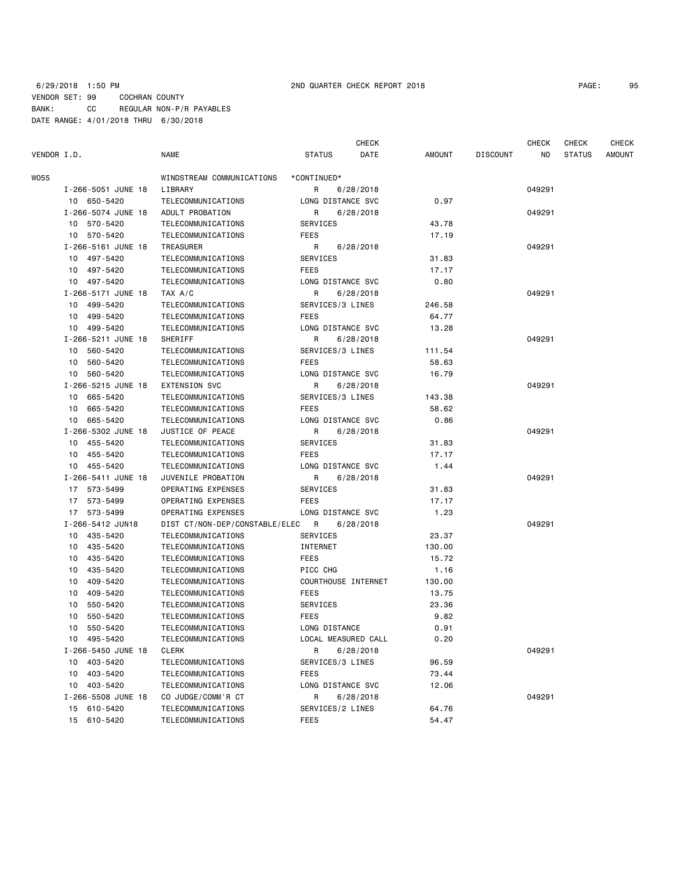## 6/29/2018 1:50 PM 2ND QUARTER CHECK REPORT 2018 PAGE: 95 VENDOR SET: 99 COCHRAN COUNTY BANK: CC REGULAR NON-P/R PAYABLES DATE RANGE: 4/01/2018 THRU 6/30/2018

| VENDOR I.D. |                    | <b>NAME</b>                    | <b>STATUS</b>       | DATE      | AMOUNT | <b>DISCOUNT</b> | NO.    | <b>STATUS</b> | <b>AMOUNT</b> |
|-------------|--------------------|--------------------------------|---------------------|-----------|--------|-----------------|--------|---------------|---------------|
| W055        |                    | WINDSTREAM COMMUNICATIONS      | *CONTINUED*         |           |        |                 |        |               |               |
|             | I-266-5051 JUNE 18 | LIBRARY                        | R                   | 6/28/2018 |        |                 | 049291 |               |               |
|             | 10 650-5420        | TELECOMMUNICATIONS             | LONG DISTANCE SVC   |           | 0.97   |                 |        |               |               |
|             | I-266-5074 JUNE 18 | ADULT PROBATION                | R                   | 6/28/2018 |        |                 | 049291 |               |               |
|             | 10 570-5420        | TELECOMMUNICATIONS             | SERVICES            |           | 43.78  |                 |        |               |               |
|             | 10 570-5420        | TELECOMMUNICATIONS             | <b>FEES</b>         |           | 17.19  |                 |        |               |               |
|             | I-266-5161 JUNE 18 | TREASURER                      | R                   | 6/28/2018 |        |                 | 049291 |               |               |
|             | 10 497-5420        | TELECOMMUNICATIONS             | SERVICES            |           | 31.83  |                 |        |               |               |
|             | 10 497-5420        | TELECOMMUNICATIONS             | <b>FEES</b>         |           | 17.17  |                 |        |               |               |
|             | 10 497-5420        | TELECOMMUNICATIONS             | LONG DISTANCE SVC   |           | 0.80   |                 |        |               |               |
|             | I-266-5171 JUNE 18 | TAX A/C                        | R                   | 6/28/2018 |        |                 | 049291 |               |               |
|             | 10 499-5420        | TELECOMMUNICATIONS             | SERVICES/3 LINES    |           | 246.58 |                 |        |               |               |
|             | 10<br>499-5420     | TELECOMMUNICATIONS             | <b>FEES</b>         |           | 64.77  |                 |        |               |               |
|             | 10 499-5420        | TELECOMMUNICATIONS             | LONG DISTANCE SVC   |           | 13.28  |                 |        |               |               |
|             | I-266-5211 JUNE 18 | SHERIFF                        | R                   | 6/28/2018 |        |                 | 049291 |               |               |
|             | 10 560-5420        | TELECOMMUNICATIONS             | SERVICES/3 LINES    |           | 111.54 |                 |        |               |               |
|             | 10 560-5420        | TELECOMMUNICATIONS             | <b>FEES</b>         |           | 58.63  |                 |        |               |               |
|             | 10 560-5420        | TELECOMMUNICATIONS             | LONG DISTANCE SVC   |           | 16.79  |                 |        |               |               |
|             | I-266-5215 JUNE 18 | EXTENSION SVC                  | R                   | 6/28/2018 |        |                 | 049291 |               |               |
|             | 10 665-5420        | TELECOMMUNICATIONS             | SERVICES/3 LINES    |           | 143.38 |                 |        |               |               |
|             | 10<br>665-5420     | TELECOMMUNICATIONS             | FEES                |           | 58.62  |                 |        |               |               |
|             | 10 665-5420        | TELECOMMUNICATIONS             | LONG DISTANCE SVC   |           | 0.86   |                 |        |               |               |
|             | I-266-5302 JUNE 18 | JUSTICE OF PEACE               | R                   | 6/28/2018 |        |                 | 049291 |               |               |
|             | 10<br>455-5420     | TELECOMMUNICATIONS             | <b>SERVICES</b>     |           | 31.83  |                 |        |               |               |
|             | 455-5420<br>10     | TELECOMMUNICATIONS             | <b>FEES</b>         |           | 17.17  |                 |        |               |               |
|             | 10 455-5420        | TELECOMMUNICATIONS             | LONG DISTANCE SVC   |           | 1.44   |                 |        |               |               |
|             | I-266-5411 JUNE 18 | JUVENILE PROBATION             | R                   | 6/28/2018 |        |                 | 049291 |               |               |
|             | 17 573-5499        | OPERATING EXPENSES             | SERVICES            |           | 31.83  |                 |        |               |               |
|             | 17 573-5499        | OPERATING EXPENSES             | <b>FEES</b>         |           | 17.17  |                 |        |               |               |
|             | 17 573-5499        | OPERATING EXPENSES             | LONG DISTANCE SVC   |           | 1.23   |                 |        |               |               |
|             | I-266-5412 JUN18   | DIST CT/NON-DEP/CONSTABLE/ELEC | R                   | 6/28/2018 |        |                 | 049291 |               |               |
|             | 10 435-5420        | TELECOMMUNICATIONS             | SERVICES            |           | 23.37  |                 |        |               |               |
|             | 435-5420<br>10     | TELECOMMUNICATIONS             | INTERNET            |           | 130.00 |                 |        |               |               |
|             | 435-5420<br>10     | TELECOMMUNICATIONS             | <b>FEES</b>         |           | 15.72  |                 |        |               |               |
|             | 435-5420<br>10     | TELECOMMUNICATIONS             | PICC CHG            |           | 1.16   |                 |        |               |               |
|             | 10<br>409-5420     | TELECOMMUNICATIONS             | COURTHOUSE INTERNET |           | 130.00 |                 |        |               |               |
|             | 409-5420<br>10     | TELECOMMUNICATIONS             | <b>FEES</b>         |           | 13.75  |                 |        |               |               |
|             | 550-5420<br>10     | TELECOMMUNICATIONS             | SERVICES            |           | 23.36  |                 |        |               |               |
|             | 550-5420<br>10     | TELECOMMUNICATIONS             | <b>FEES</b>         |           | 9.82   |                 |        |               |               |
|             | 10<br>550-5420     | TELECOMMUNICATIONS             | LONG DISTANCE       |           | 0.91   |                 |        |               |               |
|             | 495-5420<br>10     | TELECOMMUNICATIONS             | LOCAL MEASURED CALL |           | 0.20   |                 |        |               |               |
|             | I-266-5450 JUNE 18 | <b>CLERK</b>                   | R                   | 6/28/2018 |        |                 | 049291 |               |               |
|             | 10<br>403-5420     | TELECOMMUNICATIONS             | SERVICES/3 LINES    |           | 96.59  |                 |        |               |               |
|             | 403-5420<br>10     | TELECOMMUNICATIONS             | <b>FEES</b>         |           | 73.44  |                 |        |               |               |
|             | 10 403-5420        | TELECOMMUNICATIONS             | LONG DISTANCE SVC   |           | 12.06  |                 |        |               |               |
|             | I-266-5508 JUNE 18 | CO JUDGE/COMM'R CT             | R                   | 6/28/2018 |        |                 | 049291 |               |               |
|             | 15 610-5420        | TELECOMMUNICATIONS             | SERVICES/2 LINES    |           | 64.76  |                 |        |               |               |
|             |                    |                                |                     |           |        |                 |        |               |               |

 15 610-5420 TELECOMMUNICATIONS SERVICES/2 LINES 64.76 15 610-5420 TELECOMMUNICATIONS FEES 54.47

CHECK CHECK CHECK CHECK CHECK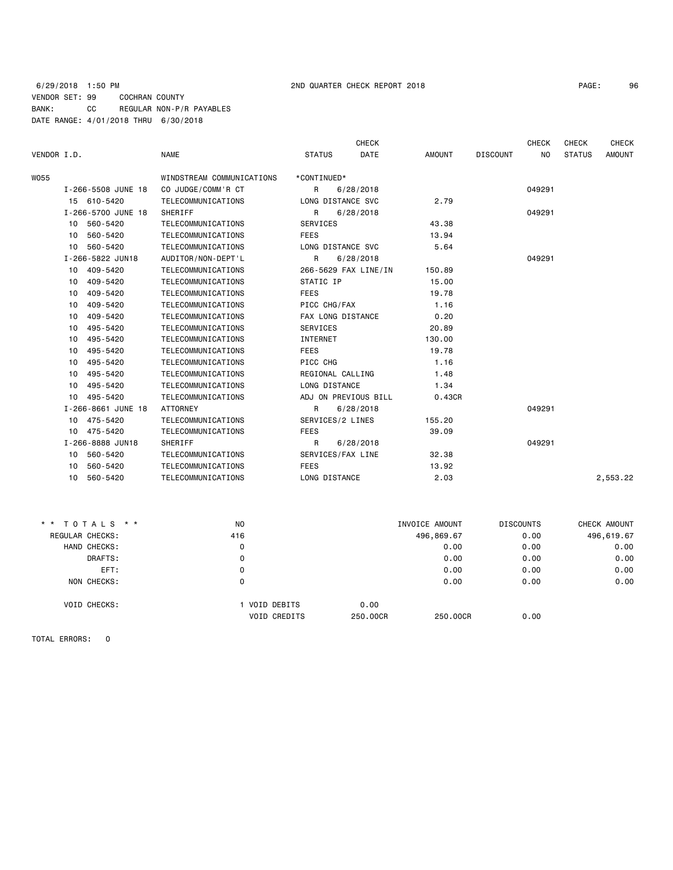## 6/29/2018 1:50 PM 2ND QUARTER CHECK REPORT 2018 PAGE: 96 VENDOR SET: 99 COCHRAN COUNTY BANK: CC REGULAR NON-P/R PAYABLES DATE RANGE: 4/01/2018 THRU 6/30/2018

| VENDOR I.D. |                    | <b>NAME</b>               | <b>STATUS</b>     | <b>CHECK</b><br>DATE | <b>AMOUNT</b> | <b>DISCOUNT</b> | <b>CHECK</b><br>N <sub>O</sub> | <b>CHECK</b><br><b>STATUS</b> | <b>CHECK</b><br><b>AMOUNT</b> |
|-------------|--------------------|---------------------------|-------------------|----------------------|---------------|-----------------|--------------------------------|-------------------------------|-------------------------------|
| W055        |                    | WINDSTREAM COMMUNICATIONS | *CONTINUED*       |                      |               |                 |                                |                               |                               |
|             | I-266-5508 JUNE 18 | CO JUDGE/COMM'R CT        | $\mathsf{R}$      | 6/28/2018            |               |                 | 049291                         |                               |                               |
|             | 15 610-5420        | TELECOMMUNICATIONS        | LONG DISTANCE SVC |                      | 2.79          |                 |                                |                               |                               |
|             | I-266-5700 JUNE 18 | SHERIFF                   | R                 | 6/28/2018            |               |                 | 049291                         |                               |                               |
|             | 10 560-5420        | TELECOMMUNICATIONS        | <b>SERVICES</b>   |                      | 43.38         |                 |                                |                               |                               |
|             | 560-5420<br>10     | TELECOMMUNICATIONS        | <b>FEES</b>       |                      | 13.94         |                 |                                |                               |                               |
|             | 10 560-5420        | TELECOMMUNICATIONS        | LONG DISTANCE SVC |                      | 5.64          |                 |                                |                               |                               |
|             | I-266-5822 JUN18   | AUDITOR/NON-DEPT'L        | R                 | 6/28/2018            |               |                 | 049291                         |                               |                               |
|             | 10 409-5420        | TELECOMMUNICATIONS        |                   | 266-5629 FAX LINE/IN | 150.89        |                 |                                |                               |                               |
|             | 409-5420<br>10     | TELECOMMUNICATIONS        | STATIC IP         |                      | 15.00         |                 |                                |                               |                               |
|             | 409-5420<br>10     | TELECOMMUNICATIONS        | <b>FEES</b>       |                      | 19.78         |                 |                                |                               |                               |
|             | 409-5420<br>10     | TELECOMMUNICATIONS        | PICC CHG/FAX      |                      | 1.16          |                 |                                |                               |                               |
|             | 409-5420<br>10     | TELECOMMUNICATIONS        | FAX LONG DISTANCE |                      | 0.20          |                 |                                |                               |                               |
|             | 495-5420<br>10     | TELECOMMUNICATIONS        | SERVICES          |                      | 20.89         |                 |                                |                               |                               |
|             | 495-5420<br>10     | TELECOMMUNICATIONS        | <b>INTERNET</b>   |                      | 130.00        |                 |                                |                               |                               |
|             | 495-5420<br>10     | TELECOMMUNICATIONS        | <b>FEES</b>       |                      | 19.78         |                 |                                |                               |                               |
|             | 495-5420<br>10     | TELECOMMUNICATIONS        | PICC CHG          |                      | 1.16          |                 |                                |                               |                               |
|             | 495-5420<br>10     | TELECOMMUNICATIONS        | REGIONAL CALLING  |                      | 1.48          |                 |                                |                               |                               |
|             | 495-5420<br>10     | TELECOMMUNICATIONS        | LONG DISTANCE     |                      | 1.34          |                 |                                |                               |                               |
|             | 10 495-5420        | TELECOMMUNICATIONS        |                   | ADJ ON PREVIOUS BILL | 0.43CR        |                 |                                |                               |                               |
|             | I-266-8661 JUNE 18 | <b>ATTORNEY</b>           | R                 | 6/28/2018            |               |                 | 049291                         |                               |                               |
|             | 10 475-5420        | TELECOMMUNICATIONS        | SERVICES/2 LINES  |                      | 155.20        |                 |                                |                               |                               |
|             | 10 475-5420        | TELECOMMUNICATIONS        | <b>FEES</b>       |                      | 39.09         |                 |                                |                               |                               |
|             | I-266-8888 JUN18   | SHERIFF                   | $\mathsf{R}$      | 6/28/2018            |               |                 | 049291                         |                               |                               |
|             | 560-5420<br>10     | TELECOMMUNICATIONS        | SERVICES/FAX LINE |                      | 32.38         |                 |                                |                               |                               |
|             | 560-5420<br>10     | TELECOMMUNICATIONS        | <b>FEES</b>       |                      | 13.92         |                 |                                |                               |                               |
|             | 10 560-5420        | TELECOMMUNICATIONS        | LONG DISTANCE     |                      | 2.03          |                 |                                |                               | 2,553.22                      |
|             |                    |                           |                   |                      |               |                 |                                |                               |                               |

| N <sub>O</sub>                     | INVOICE AMOUNT   | <b>DISCOUNTS</b> | CHECK AMOUNT |
|------------------------------------|------------------|------------------|--------------|
| 416                                | 496,869.67       | 0.00             | 496,619.67   |
| 0                                  | 0.00             | 0.00             | 0.00         |
| 0                                  | 0.00             | 0.00             | 0.00         |
| 0                                  | 0.00             | 0.00             | 0.00         |
| 0                                  | 0.00             | 0.00             | 0.00         |
| VOID DEBITS<br><b>VOID CREDITS</b> | 0.00<br>250,00CR | 0.00             |              |
|                                    |                  |                  | 250,00CR     |

TOTAL ERRORS: 0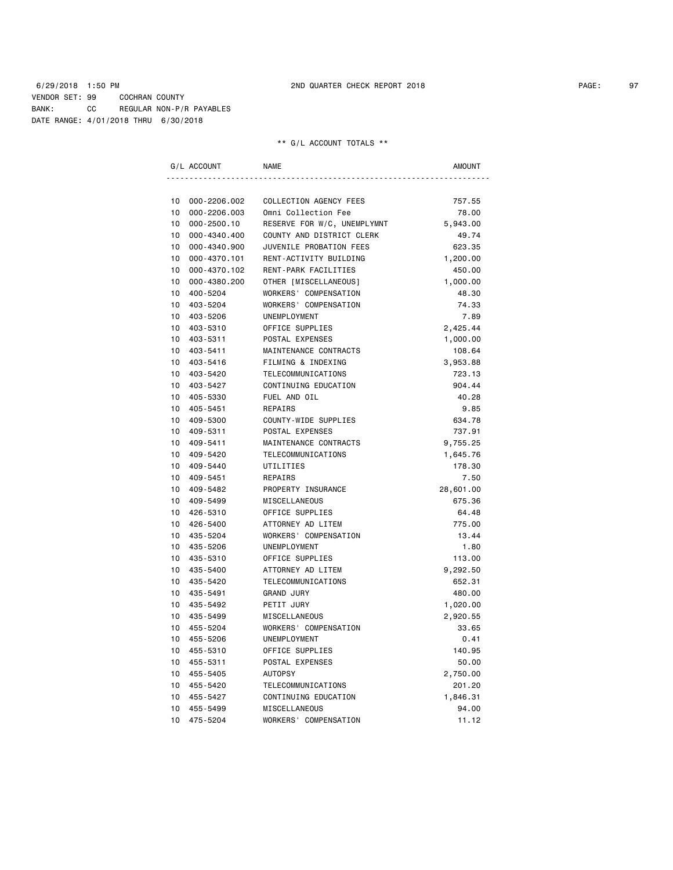|                 | G/L ACCOUNT  | <b>NAME</b>                 | AMOUNT    |
|-----------------|--------------|-----------------------------|-----------|
|                 |              |                             |           |
| 10              | 000-2206.002 | COLLECTION AGENCY FEES      | 757.55    |
| 10              | 000-2206.003 | Omni Collection Fee         | 78.00     |
| 10              | 000-2500.10  | RESERVE FOR W/C, UNEMPLYMNT | 5,943.00  |
| 10              | 000-4340.400 | COUNTY AND DISTRICT CLERK   | 49.74     |
| 10 <sup>1</sup> | 000-4340.900 | JUVENILE PROBATION FEES     | 623.35    |
| 10 <sup>1</sup> | 000-4370.101 | RENT-ACTIVITY BUILDING      | 1,200.00  |
| 10              | 000-4370.102 | RENT-PARK FACILITIES        | 450.00    |
| 10 <sup>1</sup> | 000-4380.200 | OTHER [MISCELLANEOUS]       | 1,000.00  |
| 10 <sup>1</sup> | 400-5204     | WORKERS' COMPENSATION       | 48.30     |
| 10 <sub>1</sub> | 403-5204     | WORKERS' COMPENSATION       | 74.33     |
| 10              | 403-5206     | UNEMPLOYMENT                | 7.89      |
| 10              | 403-5310     | OFFICE SUPPLIES             | 2,425.44  |
| 10              | 403-5311     | POSTAL EXPENSES             | 1,000.00  |
| 10              | 403-5411     | MAINTENANCE CONTRACTS       | 108.64    |
| 10 <sup>1</sup> | 403-5416     | FILMING & INDEXING          | 3,953.88  |
| 10 <sup>1</sup> | 403-5420     | <b>TELECOMMUNICATIONS</b>   | 723.13    |
| 10 <sup>1</sup> | 403-5427     | CONTINUING EDUCATION        | 904.44    |
| 10 <sup>1</sup> | 405-5330     | FUEL AND OIL                | 40.28     |
| 10 <sup>1</sup> | 405-5451     | REPAIRS                     | 9.85      |
| 10              | 409-5300     | COUNTY-WIDE SUPPLIES        | 634.78    |
| 10              | 409-5311     | POSTAL EXPENSES             | 737.91    |
| 10              | 409-5411     | MAINTENANCE CONTRACTS       | 9,755.25  |
| 10              | 409-5420     | TELECOMMUNICATIONS          | 1,645.76  |
| 10              | 409-5440     | UTILITIES                   | 178.30    |
| 10 <sup>1</sup> | 409-5451     | REPAIRS                     | 7.50      |
| 10 <sup>1</sup> | 409-5482     | PROPERTY INSURANCE          | 28,601.00 |
|                 | 10 409-5499  | MISCELLANEOUS               | 675.36    |
| 10 <sup>1</sup> | 426-5310     | OFFICE SUPPLIES             | 64.48     |
| 10              | 426-5400     | ATTORNEY AD LITEM           | 775.00    |
| 10 <sup>1</sup> | 435-5204     | WORKERS' COMPENSATION       | 13.44     |
| $10-10$         | 435-5206     | UNEMPLOYMENT                | 1.80      |
| 10              | 435-5310     | OFFICE SUPPLIES             | 113.00    |
| 10              | 435-5400     | ATTORNEY AD LITEM           | 9,292.50  |
| 10 <sup>1</sup> | 435-5420     | TELECOMMUNICATIONS          | 652.31    |
| 10              | 435-5491     | <b>GRAND JURY</b>           | 480.00    |
| $10-10$         | 435-5492     | PETIT JURY                  | 1,020.00  |
| 10 <sup>1</sup> | 435-5499     | MISCELLANEOUS               | 2,920.55  |
| 10 <sup>1</sup> | 455-5204     | WORKERS' COMPENSATION       | 33.65     |
| 10              | 455-5206     | UNEMPLOYMENT                | 0.41      |
| 10 <sup>1</sup> | 455-5310     | OFFICE SUPPLIES             | 140.95    |
| 10 <sup>1</sup> | 455-5311     | POSTAL EXPENSES             | 50.00     |
| 10              | 455-5405     | <b>AUTOPSY</b>              | 2,750.00  |
| 10              | 455-5420     | TELECOMMUNICATIONS          | 201.20    |
| 10              | 455-5427     | CONTINUING EDUCATION        | 1,846.31  |
| 10              | 455-5499     | MISCELLANEOUS               | 94.00     |
| 10              | 475-5204     | WORKERS' COMPENSATION       | 11.12     |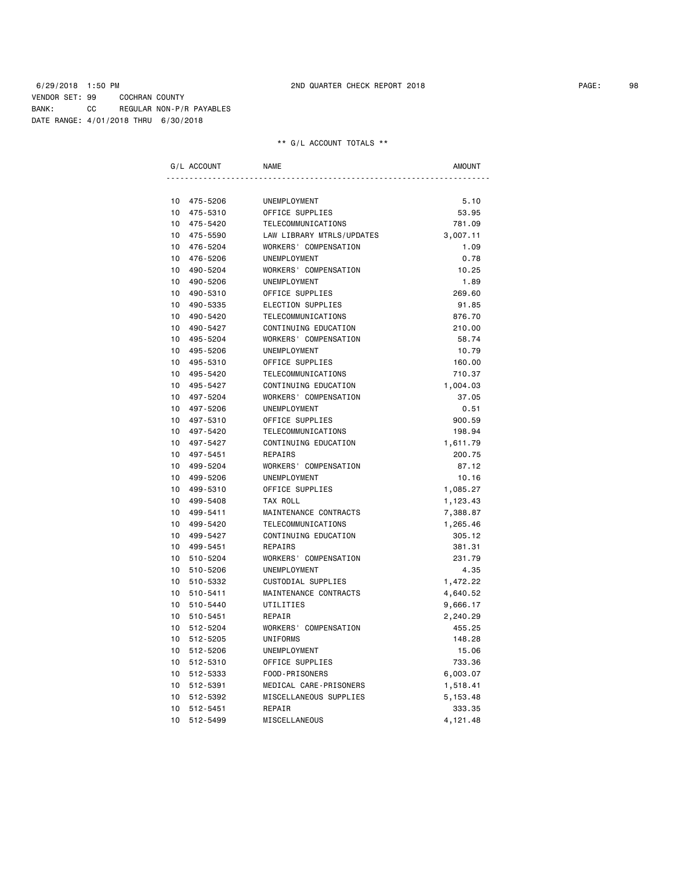|                 | G/L ACCOUNT | <b>NAME</b>               | <b>AMOUNT</b> |
|-----------------|-------------|---------------------------|---------------|
|                 |             |                           |               |
| 10              | 475-5206    | UNEMPLOYMENT              | 5.10          |
| 10 <sup>1</sup> | 475-5310    | OFFICE SUPPLIES           | 53.95         |
| 10              | 475-5420    | TELECOMMUNICATIONS        | 781.09        |
| 10 <sup>1</sup> | 475-5590    | LAW LIBRARY MTRLS/UPDATES | 3,007.11      |
| 10              | 476-5204    | WORKERS' COMPENSATION     | 1.09          |
| 10 <sup>1</sup> | 476-5206    | UNEMPLOYMENT              | 0.78          |
| 10              | 490-5204    | WORKERS' COMPENSATION     | 10.25         |
| 10 <sup>1</sup> | 490-5206    | UNEMPLOYMENT              | 1.89          |
| 10              | 490-5310    | OFFICE SUPPLIES           | 269.60        |
| 10 <sup>1</sup> | 490-5335    | ELECTION SUPPLIES         | 91.85         |
| 10              | 490-5420    | TELECOMMUNICATIONS        | 876.70        |
| 10              | 490-5427    | CONTINUING EDUCATION      | 210.00        |
| 10              | 495-5204    | WORKERS' COMPENSATION     | 58.74         |
| 10              | 495-5206    | UNEMPLOYMENT              | 10.79         |
| 10              | 495-5310    | OFFICE SUPPLIES           | 160.00        |
| 10              | 495-5420    | TELECOMMUNICATIONS        | 710.37        |
| 10              | 495-5427    | CONTINUING EDUCATION      | 1,004.03      |
| 10 <sup>1</sup> | 497-5204    | WORKERS' COMPENSATION     | 37.05         |
| 10              | 497-5206    | <b>UNEMPLOYMENT</b>       | 0.51          |
| 10              | 497-5310    | OFFICE SUPPLIES           | 900.59        |
| 10              | 497-5420    | TELECOMMUNICATIONS        | 198.94        |
| 10              | 497-5427    | CONTINUING EDUCATION      | 1,611.79      |
| 10              | 497-5451    | REPAIRS                   | 200.75        |
| 10 <sup>1</sup> | 499-5204    | WORKERS' COMPENSATION     | 87.12         |
| 10              | 499-5206    | UNEMPLOYMENT              | 10.16         |
| 10              | 499-5310    | OFFICE SUPPLIES           | 1,085.27      |
| 10              | 499-5408    | TAX ROLL                  | 1,123.43      |
|                 | 10 499-5411 | MAINTENANCE CONTRACTS     | 7,388.87      |
| 10 <sup>1</sup> | 499-5420    | TELECOMMUNICATIONS        | 1,265.46      |
| 10 <sup>1</sup> | 499-5427    | CONTINUING EDUCATION      | 305.12        |
| 10 <sup>1</sup> | 499-5451    | REPAIRS                   | 381.31        |
| 10              | 510-5204    | WORKERS' COMPENSATION     | 231.79        |
| 10              | 510-5206    | UNEMPLOYMENT              | 4.35          |
| 10              | 510-5332    | CUSTODIAL SUPPLIES        | 1,472.22      |
| 10              | 510-5411    | MAINTENANCE CONTRACTS     | 4,640.52      |
| 10 <sup>1</sup> | 510-5440    | UTILITIES                 | 9,666.17      |
| 10              | 510-5451    | REPAIR                    | 2,240.29      |
| 10              | 512-5204    | WORKERS' COMPENSATION     | 455.25        |
| 10              | 512-5205    | UNIFORMS                  | 148.28        |
| 10              | 512-5206    | <b>UNEMPLOYMENT</b>       | 15.06         |
| 10 <sup>1</sup> | 512-5310    | OFFICE SUPPLIES           | 733.36        |
| 10              | 512-5333    | FOOD-PRISONERS            | 6,003.07      |
| 10 <sup>1</sup> | 512-5391    | MEDICAL CARE-PRISONERS    | 1,518.41      |
| 10              | 512-5392    | MISCELLANEOUS SUPPLIES    | 5, 153.48     |
| 10              | 512-5451    | REPAIR                    | 333.35        |
| 10              | 512-5499    | MISCELLANEOUS             | 4,121.48      |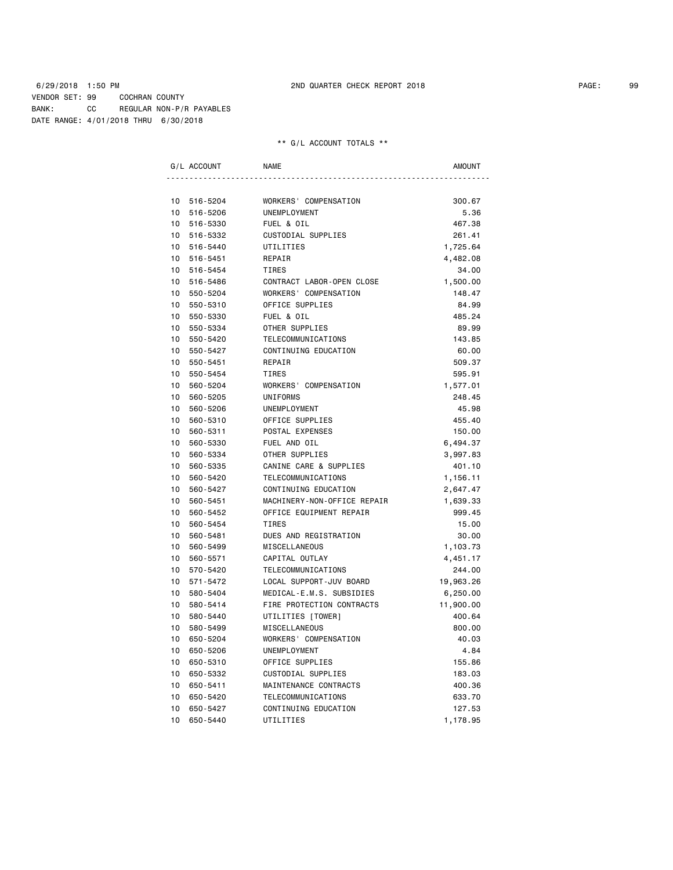|                 | G/L ACCOUNT | <b>NAME</b>                 | <b>AMOUNT</b> |
|-----------------|-------------|-----------------------------|---------------|
|                 |             |                             |               |
|                 | 10 516-5204 | WORKERS' COMPENSATION       | 300.67        |
|                 | 10 516-5206 | UNEMPLOYMENT                | 5.36          |
|                 | 10 516-5330 | FUEL & OIL                  | 467.38        |
| $10-10$         | 516-5332    | CUSTODIAL SUPPLIES          | 261.41        |
|                 | 10 516-5440 | UTILITIES                   | 1,725.64      |
|                 | 10 516-5451 | REPAIR                      | 4,482.08      |
| 10              | 516-5454    | TIRES                       | 34.00         |
| 10              | 516-5486    | CONTRACT LABOR-OPEN CLOSE   | 1,500.00      |
| 10              | 550-5204    | WORKERS' COMPENSATION       | 148.47        |
| 10              | 550-5310    | OFFICE SUPPLIES             | 84.99         |
| 10 <sup>1</sup> | 550-5330    | FUEL & OIL                  | 485.24        |
| $10-10$         | 550-5334    | OTHER SUPPLIES              | 89.99         |
| 10              | 550-5420    | TELECOMMUNICATIONS          | 143.85        |
| 10 <sup>1</sup> | 550-5427    | CONTINUING EDUCATION        | 60.00         |
| 10 <sup>1</sup> | 550-5451    | REPAIR                      | 509.37        |
| 10              | 550-5454    | TIRES                       | 595.91        |
| 10              | 560-5204    | WORKERS' COMPENSATION       | 1,577.01      |
| 10              | 560-5205    | UNIFORMS                    | 248.45        |
| 10              | 560-5206    | UNEMPLOYMENT                | 45.98         |
| 10              | 560-5310    | OFFICE SUPPLIES             | 455.40        |
| 10              | 560-5311    | POSTAL EXPENSES             | 150.00        |
| 10 <sup>1</sup> | 560-5330    | FUEL AND OIL                | 6,494.37      |
| 10 <sup>1</sup> | 560-5334    | OTHER SUPPLIES              | 3,997.83      |
| $10-10$         | 560-5335    | CANINE CARE & SUPPLIES      | 401.10        |
| 10 <sup>1</sup> | 560-5420    | TELECOMMUNICATIONS          | 1,156.11      |
| 10 <sup>1</sup> | 560-5427    | CONTINUING EDUCATION        | 2,647.47      |
| 10              | 560-5451    | MACHINERY-NON-OFFICE REPAIR | 1,639.33      |
| 10              | 560-5452    | OFFICE EQUIPMENT REPAIR     | 999.45        |
| 10              | 560-5454    | TIRES                       | 15.00         |
| 10              | 560-5481    | DUES AND REGISTRATION       | 30.00         |
| 10              | 560-5499    | <b>MISCELLANEOUS</b>        | 1,103.73      |
| 10              | 560-5571    | CAPITAL OUTLAY              | 4,451.17      |
| 10              | 570-5420    | TELECOMMUNICATIONS          | 244.00        |
| 10 <sup>1</sup> | 571-5472    | LOCAL SUPPORT-JUV BOARD     | 19,963.26     |
| 10 <sup>1</sup> | 580-5404    | MEDICAL-E.M.S. SUBSIDIES    | 6,250.00      |
| 10              | 580-5414    | FIRE PROTECTION CONTRACTS   | 11,900.00     |
| 10 <sup>1</sup> | 580-5440    | UTILITIES [TOWER]           | 400.64        |
| 10              | 580-5499    | MISCELLANEOUS               | 800.00        |
| 10              | 650-5204    | WORKERS' COMPENSATION       | 40.03         |
| 10              | 650-5206    | UNEMPLOYMENT                | 4.84          |
| 10              | 650-5310    | OFFICE SUPPLIES             | 155.86        |
| 10              | 650-5332    | CUSTODIAL SUPPLIES          | 183.03        |
| 10              | 650-5411    | MAINTENANCE CONTRACTS       | 400.36        |
| 10              | 650-5420    | TELECOMMUNICATIONS          | 633.70        |
| 10              | 650-5427    | CONTINUING EDUCATION        | 127.53        |
| 10              | 650-5440    | UTILITIES                   | 1,178.95      |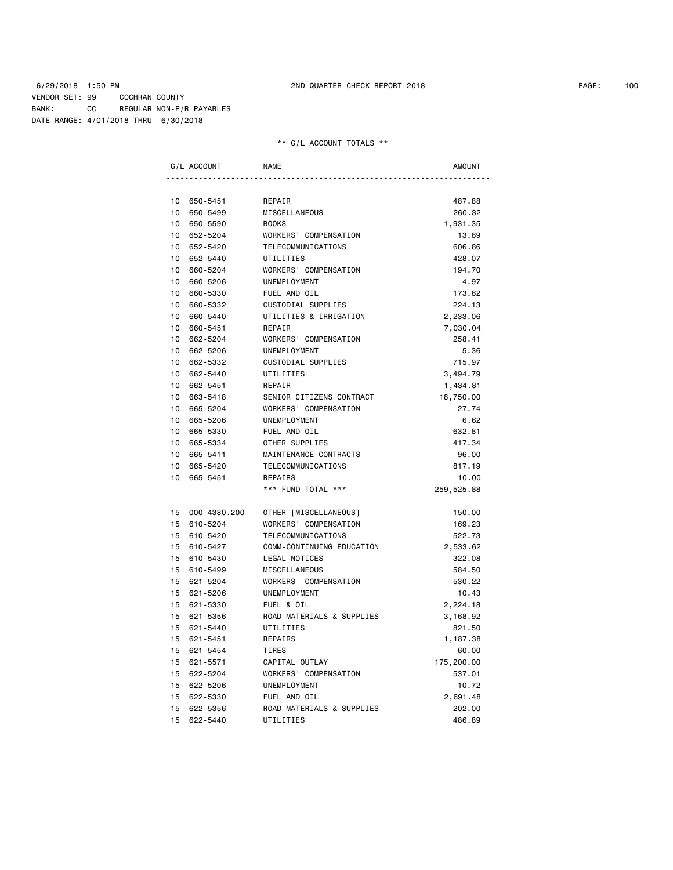| G/L ACCOUNT                 | <b>NAME</b>               | AMOUNT     |
|-----------------------------|---------------------------|------------|
|                             |                           |            |
| 10 650-5451                 | REPAIR                    | 487.88     |
| 10 650-5499                 | MISCELLANEOUS             | 260.32     |
| 10 650-5590                 | <b>BOOKS</b>              | 1,931.35   |
| 10 652-5204                 | WORKERS' COMPENSATION     | 13.69      |
| 10 652-5420                 | TELECOMMUNICATIONS        | 606.86     |
| 10 652-5440                 | UTILITIES                 | 428.07     |
| 10 660-5204                 | WORKERS' COMPENSATION     | 194.70     |
| 10 660-5206                 | UNEMPLOYMENT              | 4.97       |
| 10 660-5330                 | FUEL AND OIL              | 173.62     |
| 10 660-5332                 | CUSTODIAL SUPPLIES        | 224.13     |
| 10<br>660-5440              | UTILITIES & IRRIGATION    | 2,233.06   |
| 10 660-5451                 | REPAIR                    | 7,030.04   |
| 10 662-5204                 | WORKERS' COMPENSATION     | 258.41     |
| 10 662-5206                 | UNEMPLOYMENT              | 5.36       |
| 10 662-5332                 | CUSTODIAL SUPPLIES        | 715.97     |
| 10 662-5440                 | UTILITIES                 | 3,494.79   |
| 10 662-5451                 | REPAIR                    | 1,434.81   |
| 10 663-5418                 | SENIOR CITIZENS CONTRACT  | 18,750.00  |
| 10 665-5204                 | WORKERS' COMPENSATION     | 27.74      |
| 10 665-5206                 | UNEMPLOYMENT              | 6.62       |
| 10 665-5330                 | FUEL AND OIL              | 632.81     |
| 10 665-5334                 | OTHER SUPPLIES            | 417.34     |
| 10 665-5411                 | MAINTENANCE CONTRACTS     | 96.00      |
| 10 665-5420                 | TELECOMMUNICATIONS        | 817.19     |
| 10 665-5451                 | REPAIRS                   | 10.00      |
|                             | *** FUND TOTAL ***        | 259,525.88 |
| 15 000-4380.200             | OTHER [MISCELLANEOUS]     | 150.00     |
| 15 610-5204                 | WORKERS' COMPENSATION     | 169.23     |
| 15 610-5420                 | TELECOMMUNICATIONS        | 522.73     |
| 15 610-5427                 | COMM-CONTINUING EDUCATION | 2,533.62   |
| 15 610-5430                 | LEGAL NOTICES             | 322.08     |
| 15 610-5499                 | MISCELLANEOUS             | 584.50     |
| 15 621-5204                 | WORKERS' COMPENSATION     | 530.22     |
| 15 621-5206                 | UNEMPLOYMENT              | 10.43      |
| 15 621-5330                 | FUEL & OIL                | 2,224.18   |
| 15 621-5356                 | ROAD MATERIALS & SUPPLIES | 3,168.92   |
| 15 621-5440                 | UTILITIES                 | 821.50     |
| 15 621-5451                 | REPAIRS                   | 1,187.38   |
| 15 621-5454                 | TIRES                     | 60.00      |
| 15 621-5571                 | CAPITAL OUTLAY            | 175,200.00 |
| 15 622-5204                 | WORKERS' COMPENSATION     | 537.01     |
| 15 622-5206                 | UNEMPLOYMENT              | 10.72      |
| 15 622-5330                 | FUEL AND OIL              | 2,691.48   |
| 15 622-5356                 | ROAD MATERIALS & SUPPLIES | 202.00     |
| 15 <sub>1</sub><br>622-5440 | UTILITIES                 | 486.89     |
|                             |                           |            |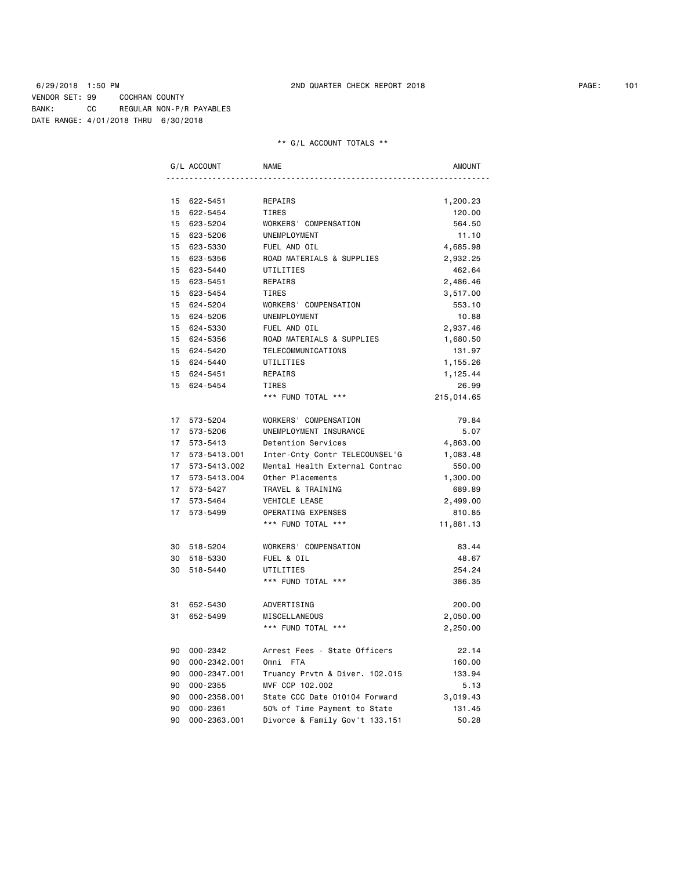|    | G/L ACCOUNT                 | <b>NAME</b>                    | <b>AMOUNT</b> |
|----|-----------------------------|--------------------------------|---------------|
|    |                             |                                |               |
|    | 15 622-5451                 | REPAIRS                        | 1,200.23      |
|    | 15 622-5454                 | TIRES                          | 120.00        |
|    | 15 623-5204                 | WORKERS' COMPENSATION          | 564.50        |
|    | 15 623-5206                 | UNEMPLOYMENT                   | 11.10         |
|    | 15 623-5330                 | FUEL AND OIL                   | 4,685.98      |
|    | 15 623-5356                 | ROAD MATERIALS & SUPPLIES      | 2,932.25      |
|    | 15 623-5440                 | UTILITIES                      | 462.64        |
|    | 15 623-5451                 | REPAIRS                        | 2,486.46      |
|    | 15 623-5454                 | TIRES                          | 3,517.00      |
|    | 15<br>624-5204              | WORKERS' COMPENSATION          | 553.10        |
|    | 15 624-5206                 | UNEMPLOYMENT                   | 10.88         |
|    | 15 624-5330                 | FUEL AND OIL                   | 2,937.46      |
|    | 15 624-5356                 | ROAD MATERIALS & SUPPLIES      | 1,680.50      |
|    | 15 624-5420                 | TELECOMMUNICATIONS             | 131.97        |
|    | 15 624-5440                 | UTILITIES                      | 1,155.26      |
|    | 15 624-5451                 | REPAIRS                        | 1,125.44      |
|    | 15 624-5454                 | <b>TIRES</b>                   | 26.99         |
|    |                             | *** FUND TOTAL ***             | 215,014.65    |
|    | 17 573-5204                 | WORKERS' COMPENSATION          | 79.84         |
|    | 17<br>573-5206              | UNEMPLOYMENT INSURANCE         | 5.07          |
|    | 17<br>573-5413              | Detention Services             | 4,863.00      |
|    | 17 573-5413.001             | Inter-Cnty Contr TELECOUNSEL'G | 1,083.48      |
|    | 17 573-5413.002             | Mental Health External Contrac | 550.00        |
|    | 17 573-5413.004             | Other Placements               | 1,300.00      |
|    | 17 573-5427                 | TRAVEL & TRAINING              | 689.89        |
|    | 17<br>573-5464              | VEHICLE LEASE                  | 2,499.00      |
|    | 17 <sup>7</sup><br>573-5499 | OPERATING EXPENSES             | 810.85        |
|    |                             | *** FUND TOTAL ***             | 11,881.13     |
|    | 30 518-5204                 | WORKERS' COMPENSATION          | 83.44         |
|    | 30 518-5330                 | FUEL & OIL                     | 48.67         |
|    | 30<br>518-5440              | UTILITIES                      | 254.24        |
|    |                             | *** FUND TOTAL ***             | 386.35        |
| 31 | 652-5430                    | ADVERTISING                    | 200.00        |
| 31 | 652-5499                    | MISCELLANEOUS                  | 2,050.00      |
|    |                             | *** FUND TOTAL ***             | 2,250.00      |
|    | 90 000-2342                 | Arrest Fees - State Officers   | 22.14         |
|    | 90 000-2342.001             | Omni FTA                       | 160.00        |
|    | 90<br>000-2347.001          | Truancy Prvtn & Diver. 102.015 | 133.94        |
|    | 90<br>000-2355              | MVF CCP 102.002                | 5.13          |
| 90 | 000-2358.001                | State CCC Date 010104 Forward  | 3,019.43      |
| 90 | $000 - 2361$                | 50% of Time Payment to State   | 131.45        |
| 90 | 000-2363.001                | Divorce & Family Gov't 133.151 | 50.28         |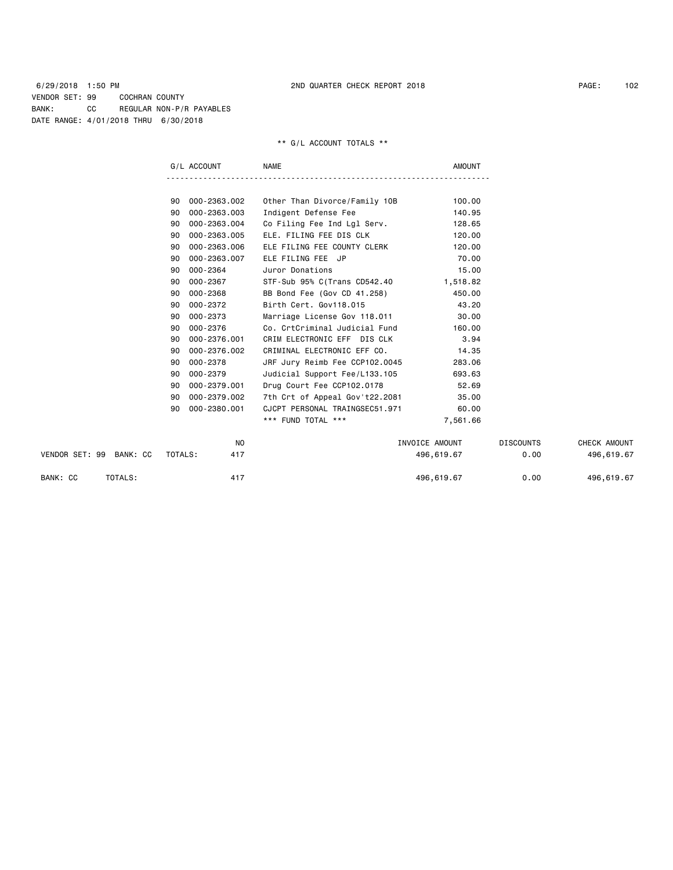|                         | G/L ACCOUNT        | <b>NAME</b>                    | <b>AMOUNT</b>  |                  |              |
|-------------------------|--------------------|--------------------------------|----------------|------------------|--------------|
|                         |                    |                                |                |                  |              |
|                         | 000-2363.002<br>90 | Other Than Divorce/Family 10B  | 100.00         |                  |              |
|                         | 000-2363.003<br>90 | Indigent Defense Fee           | 140.95         |                  |              |
|                         | 000-2363.004<br>90 | Co Filing Fee Ind Lgl Serv.    | 128.65         |                  |              |
|                         | 000-2363.005<br>90 | ELE. FILING FEE DIS CLK        | 120.00         |                  |              |
|                         | 000-2363.006<br>90 | ELE FILING FEE COUNTY CLERK    | 120.00         |                  |              |
|                         | 000-2363.007<br>90 | ELE FILING FEE JP              | 70.00          |                  |              |
|                         | 000-2364<br>90     | Juror Donations                | 15.00          |                  |              |
|                         | 000-2367<br>90     | STF-Sub 95% C(Trans CD542.40   | 1,518.82       |                  |              |
|                         | 000-2368<br>90     | BB Bond Fee (Gov CD 41.258)    | 450.00         |                  |              |
|                         | 000-2372<br>90     | Birth Cert, Gov118.015         | 43.20          |                  |              |
|                         | 000-2373<br>90     | Marriage License Gov 118.011   | 30.00          |                  |              |
|                         | 000-2376<br>90     | Co. CrtCriminal Judicial Fund  | 160.00         |                  |              |
|                         | 000-2376.001<br>90 | CRIM ELECTRONIC EFF DIS CLK    | 3.94           |                  |              |
|                         | 000-2376.002<br>90 | CRIMINAL ELECTRONIC EFF CO.    | 14.35          |                  |              |
|                         | 000-2378<br>90     | JRF Jury Reimb Fee CCP102.0045 | 283.06         |                  |              |
|                         | 90<br>000-2379     | Judicial Support Fee/L133.105  | 693.63         |                  |              |
|                         | 000-2379.001<br>90 | Drug Court Fee CCP102.0178     | 52.69          |                  |              |
|                         | 000-2379.002<br>90 | 7th Crt of Appeal Gov't22.2081 | 35.00          |                  |              |
|                         | 000-2380.001<br>90 | CJCPT PERSONAL TRAINGSEC51.971 | 60.00          |                  |              |
|                         |                    | *** FUND TOTAL ***             | 7,561.66       |                  |              |
|                         |                    | NO                             | INVOICE AMOUNT | <b>DISCOUNTS</b> | CHECK AMOUNT |
| VENDOR SET: 99 BANK: CC | TOTALS:            | 417                            | 496,619.67     | 0.00             | 496,619.67   |
| BANK: CC<br>TOTALS:     |                    | 417                            | 496,619.67     | 0.00             | 496,619.67   |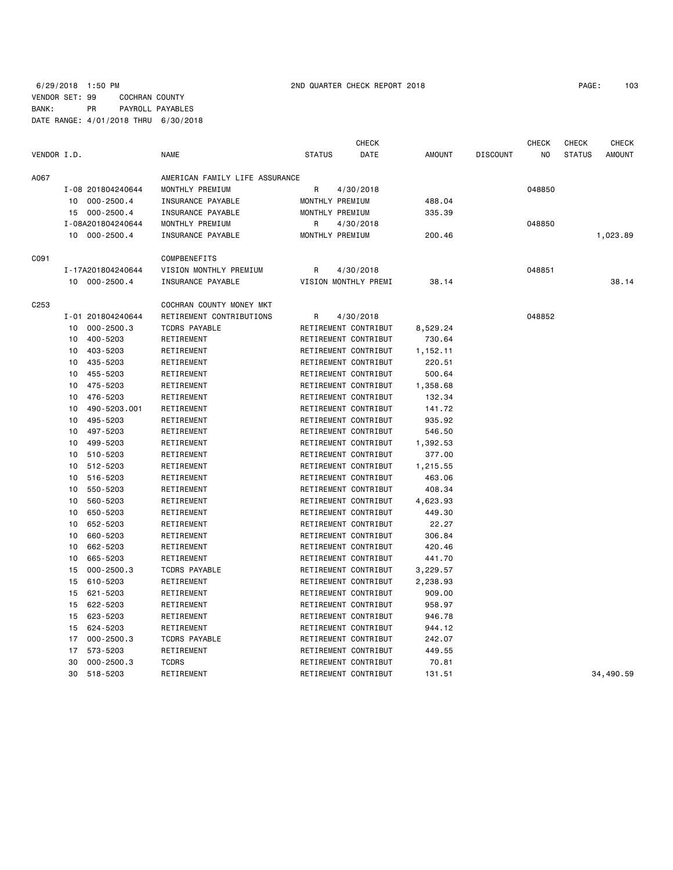## 6/29/2018 1:50 PM 2ND QUARTER CHECK REPORT 2018 PAGE: 103 VENDOR SET: 99 COCHRAN COUNTY BANK: PR PAYROLL PAYABLES DATE RANGE: 4/01/2018 THRU 6/30/2018

|                  |    |                   |                                |               | CHECK                |               |                 | <b>CHECK</b> | <b>CHECK</b>  | <b>CHECK</b>  |
|------------------|----|-------------------|--------------------------------|---------------|----------------------|---------------|-----------------|--------------|---------------|---------------|
| VENDOR I.D.      |    |                   | <b>NAME</b>                    | <b>STATUS</b> | DATE                 | <b>AMOUNT</b> | <b>DISCOUNT</b> | NO.          | <b>STATUS</b> | <b>AMOUNT</b> |
| A067             |    |                   | AMERICAN FAMILY LIFE ASSURANCE |               |                      |               |                 |              |               |               |
|                  |    | I-08 201804240644 | MONTHLY PREMIUM                | R             | 4/30/2018            |               |                 | 048850       |               |               |
|                  |    | 10 000-2500.4     | INSURANCE PAYABLE              |               | MONTHLY PREMIUM      | 488.04        |                 |              |               |               |
|                  |    | 15 000-2500.4     | INSURANCE PAYABLE              |               | MONTHLY PREMIUM      | 335.39        |                 |              |               |               |
|                  |    | I-08A201804240644 | MONTHLY PREMIUM                | R             | 4/30/2018            |               |                 | 048850       |               |               |
|                  |    | 10 000-2500.4     | INSURANCE PAYABLE              |               | MONTHLY PREMIUM      | 200.46        |                 |              |               | 1,023.89      |
| C091             |    |                   | <b>COMPBENEFITS</b>            |               |                      |               |                 |              |               |               |
|                  |    | I-17A201804240644 | VISION MONTHLY PREMIUM         | R             | 4/30/2018            |               |                 | 048851       |               |               |
|                  |    | 10 000-2500.4     | INSURANCE PAYABLE              |               | VISION MONTHLY PREMI | 38.14         |                 |              |               | 38.14         |
| C <sub>253</sub> |    |                   | COCHRAN COUNTY MONEY MKT       |               |                      |               |                 |              |               |               |
|                  |    | I-01 201804240644 | RETIREMENT CONTRIBUTIONS       | R             | 4/30/2018            |               |                 | 048852       |               |               |
|                  | 10 | $000 - 2500.3$    | <b>TCDRS PAYABLE</b>           |               | RETIREMENT CONTRIBUT | 8,529.24      |                 |              |               |               |
|                  | 10 | 400-5203          | RETIREMENT                     |               | RETIREMENT CONTRIBUT | 730.64        |                 |              |               |               |
|                  | 10 | 403-5203          | RETIREMENT                     |               | RETIREMENT CONTRIBUT | 1,152.11      |                 |              |               |               |
|                  | 10 | 435-5203          | RETIREMENT                     |               | RETIREMENT CONTRIBUT | 220.51        |                 |              |               |               |
|                  | 10 | 455-5203          | RETIREMENT                     |               | RETIREMENT CONTRIBUT | 500.64        |                 |              |               |               |
|                  | 10 | 475-5203          | RETIREMENT                     |               | RETIREMENT CONTRIBUT | 1,358.68      |                 |              |               |               |
|                  | 10 | 476-5203          | RETIREMENT                     |               | RETIREMENT CONTRIBUT | 132.34        |                 |              |               |               |
|                  | 10 | 490-5203.001      | RETIREMENT                     |               | RETIREMENT CONTRIBUT | 141.72        |                 |              |               |               |
|                  | 10 | 495-5203          | RETIREMENT                     |               | RETIREMENT CONTRIBUT | 935.92        |                 |              |               |               |
|                  | 10 | 497-5203          | RETIREMENT                     |               | RETIREMENT CONTRIBUT | 546.50        |                 |              |               |               |
|                  | 10 | 499-5203          | RETIREMENT                     |               | RETIREMENT CONTRIBUT | 1,392.53      |                 |              |               |               |
|                  | 10 | 510-5203          | RETIREMENT                     |               | RETIREMENT CONTRIBUT | 377.00        |                 |              |               |               |
|                  | 10 | 512-5203          | RETIREMENT                     |               | RETIREMENT CONTRIBUT | 1,215.55      |                 |              |               |               |
|                  | 10 | 516-5203          | RETIREMENT                     |               | RETIREMENT CONTRIBUT | 463.06        |                 |              |               |               |
|                  | 10 | 550-5203          | RETIREMENT                     |               | RETIREMENT CONTRIBUT | 408.34        |                 |              |               |               |
|                  | 10 | 560-5203          | RETIREMENT                     |               | RETIREMENT CONTRIBUT | 4,623.93      |                 |              |               |               |
|                  | 10 | 650-5203          | RETIREMENT                     |               | RETIREMENT CONTRIBUT | 449.30        |                 |              |               |               |
|                  | 10 | 652-5203          | RETIREMENT                     |               | RETIREMENT CONTRIBUT | 22.27         |                 |              |               |               |
|                  | 10 | 660-5203          | RETIREMENT                     |               | RETIREMENT CONTRIBUT | 306.84        |                 |              |               |               |
|                  | 10 | 662-5203          | RETIREMENT                     |               | RETIREMENT CONTRIBUT | 420.46        |                 |              |               |               |
|                  | 10 | 665-5203          | RETIREMENT                     |               | RETIREMENT CONTRIBUT | 441.70        |                 |              |               |               |
|                  | 15 | $000 - 2500.3$    | <b>TCDRS PAYABLE</b>           |               | RETIREMENT CONTRIBUT | 3,229.57      |                 |              |               |               |
|                  | 15 | 610-5203          | RETIREMENT                     |               | RETIREMENT CONTRIBUT | 2,238.93      |                 |              |               |               |
|                  | 15 | 621-5203          | RETIREMENT                     |               | RETIREMENT CONTRIBUT | 909.00        |                 |              |               |               |
|                  | 15 | 622-5203          | RETIREMENT                     |               | RETIREMENT CONTRIBUT | 958.97        |                 |              |               |               |
|                  | 15 | 623-5203          | RETIREMENT                     |               | RETIREMENT CONTRIBUT | 946.78        |                 |              |               |               |
|                  | 15 | 624-5203          | RETIREMENT                     |               | RETIREMENT CONTRIBUT | 944.12        |                 |              |               |               |
|                  | 17 | $000 - 2500.3$    | <b>TCDRS PAYABLE</b>           |               | RETIREMENT CONTRIBUT | 242.07        |                 |              |               |               |
|                  | 17 | 573-5203          | RETIREMENT                     |               | RETIREMENT CONTRIBUT | 449.55        |                 |              |               |               |
|                  | 30 | $000 - 2500.3$    | <b>TCDRS</b>                   |               | RETIREMENT CONTRIBUT | 70.81         |                 |              |               |               |
|                  | 30 | 518-5203          | RETIREMENT                     |               | RETIREMENT CONTRIBUT | 131.51        |                 |              |               | 34,490.59     |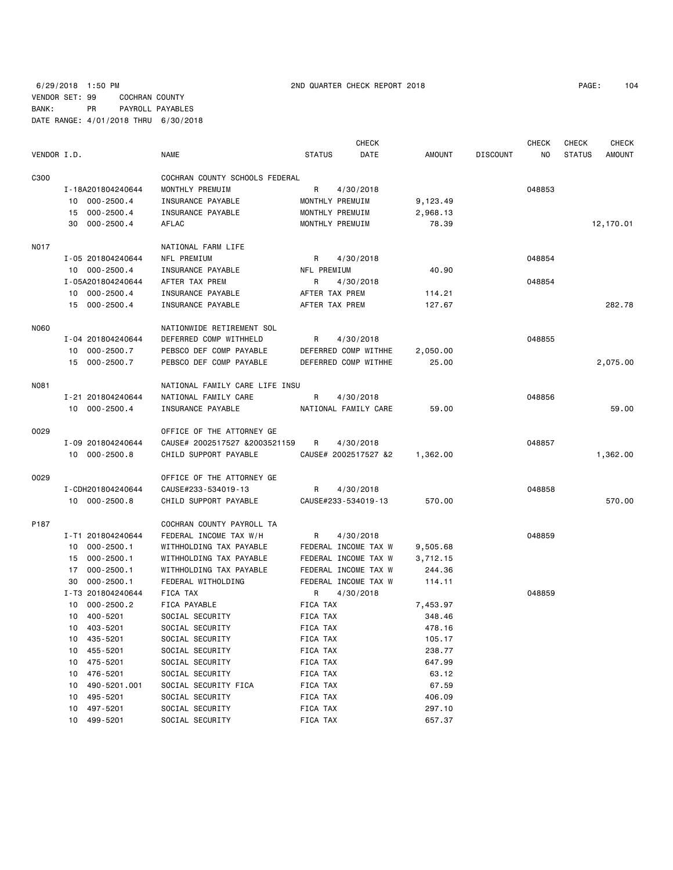## 6/29/2018 1:50 PM 2ND QUARTER CHECK REPORT 2018 PAGE: 104 VENDOR SET: 99 COCHRAN COUNTY BANK: PR PAYROLL PAYABLES DATE RANGE: 4/01/2018 THRU 6/30/2018

|             |                      |                                                     |                | CHECK                |               |          | <b>CHECK</b> | <b>CHECK</b>  | <b>CHECK</b>  |
|-------------|----------------------|-----------------------------------------------------|----------------|----------------------|---------------|----------|--------------|---------------|---------------|
| VENDOR I.D. |                      | <b>NAME</b>                                         | <b>STATUS</b>  | DATE                 | <b>AMOUNT</b> | DISCOUNT | NO           | <b>STATUS</b> | <b>AMOUNT</b> |
| C300        |                      | COCHRAN COUNTY SCHOOLS FEDERAL                      |                |                      |               |          |              |               |               |
|             | I-18A201804240644    | MONTHLY PREMUIM                                     | R              | 4/30/2018            |               |          | 048853       |               |               |
|             | 10 000-2500.4        | INSURANCE PAYABLE                                   |                | MONTHLY PREMUIM      | 9,123.49      |          |              |               |               |
|             | 15 000-2500.4        | INSURANCE PAYABLE                                   |                | MONTHLY PREMUIM      | 2,968.13      |          |              |               |               |
|             | $000 - 2500.4$<br>30 | AFLAC                                               |                | MONTHLY PREMUIM      | 78.39         |          |              |               | 12,170.01     |
| N017        |                      | NATIONAL FARM LIFE                                  |                |                      |               |          |              |               |               |
|             | I-05 201804240644    | NFL PREMIUM                                         | R              | 4/30/2018            |               |          | 048854       |               |               |
|             | 10 000-2500.4        | INSURANCE PAYABLE                                   | NFL PREMIUM    |                      | 40.90         |          |              |               |               |
|             | I-05A201804240644    | AFTER TAX PREM                                      | R              | 4/30/2018            |               |          | 048854       |               |               |
|             | 10 000-2500.4        | INSURANCE PAYABLE                                   | AFTER TAX PREM |                      | 114.21        |          |              |               |               |
|             | 15 000-2500.4        | INSURANCE PAYABLE                                   | AFTER TAX PREM |                      | 127.67        |          |              |               | 282.78        |
| N060        |                      | NATIONWIDE RETIREMENT SOL                           |                |                      |               |          |              |               |               |
|             | I-04 201804240644    | DEFERRED COMP WITHHELD                              | R              | 4/30/2018            |               |          | 048855       |               |               |
|             | 10 000-2500.7        | PEBSCO DEF COMP PAYABLE                             |                | DEFERRED COMP WITHHE | 2,050.00      |          |              |               |               |
|             | 15 000-2500.7        | PEBSCO DEF COMP PAYABLE                             |                | DEFERRED COMP WITHHE | 25.00         |          |              |               | 2,075.00      |
|             |                      |                                                     |                |                      |               |          |              |               |               |
| N081        |                      | NATIONAL FAMILY CARE LIFE INSU                      |                |                      |               |          |              |               |               |
|             | I-21 201804240644    | NATIONAL FAMILY CARE                                | R              | 4/30/2018            |               |          | 048856       |               |               |
|             | 10 000-2500.4        | INSURANCE PAYABLE                                   |                | NATIONAL FAMILY CARE | 59.00         |          |              |               | 59.00         |
| 0029        |                      | OFFICE OF THE ATTORNEY GE                           |                |                      |               |          |              |               |               |
|             | I-09 201804240644    | CAUSE# 2002517527 &2003521159                       | R              | 4/30/2018            |               |          | 048857       |               |               |
|             | 10 000-2500.8        | CHILD SUPPORT PAYABLE                               |                | CAUSE# 2002517527 &2 | 1,362.00      |          |              |               | 1,362.00      |
| 0029        |                      | OFFICE OF THE ATTORNEY GE                           |                |                      |               |          |              |               |               |
|             | I-CDH201804240644    | CAUSE#233-534019-13                                 | R              | 4/30/2018            |               |          | 048858       |               |               |
|             | 10 000-2500.8        | CHILD SUPPORT PAYABLE                               |                | CAUSE#233-534019-13  | 570.00        |          |              |               | 570.00        |
|             |                      |                                                     |                |                      |               |          |              |               |               |
| P187        | I-T1 201804240644    | COCHRAN COUNTY PAYROLL TA<br>FEDERAL INCOME TAX W/H | R              | 4/30/2018            |               |          | 048859       |               |               |
|             | $000 - 2500.1$<br>10 | WITHHOLDING TAX PAYABLE                             |                | FEDERAL INCOME TAX W | 9,505.68      |          |              |               |               |
|             | 15 000-2500.1        | WITHHOLDING TAX PAYABLE                             |                | FEDERAL INCOME TAX W | 3,712.15      |          |              |               |               |
|             | $000 - 2500.1$<br>17 | WITHHOLDING TAX PAYABLE                             |                | FEDERAL INCOME TAX W | 244.36        |          |              |               |               |
|             | $000 - 2500.1$<br>30 | FEDERAL WITHOLDING                                  |                | FEDERAL INCOME TAX W | 114.11        |          |              |               |               |
|             | I-T3 201804240644    | FICA TAX                                            | R              | 4/30/2018            |               |          | 048859       |               |               |
|             | 10 000-2500.2        | FICA PAYABLE                                        | FICA TAX       |                      | 7,453.97      |          |              |               |               |
|             | 10 400-5201          | SOCIAL SECURITY                                     | FICA TAX       |                      | 348.46        |          |              |               |               |
|             | 10 403-5201          | SOCIAL SECURITY                                     | FICA TAX       |                      | 478.16        |          |              |               |               |
|             | 435-5201<br>10       | SOCIAL SECURITY                                     | FICA TAX       |                      | 105.17        |          |              |               |               |
|             | 455-5201<br>10       | SOCIAL SECURITY                                     | FICA TAX       |                      | 238.77        |          |              |               |               |
|             | 475-5201<br>10       | SOCIAL SECURITY                                     | FICA TAX       |                      | 647.99        |          |              |               |               |
|             | 476-5201<br>10       | SOCIAL SECURITY                                     | FICA TAX       |                      | 63.12         |          |              |               |               |
|             | 490-5201.001<br>10   | SOCIAL SECURITY FICA                                | FICA TAX       |                      | 67.59         |          |              |               |               |
|             | 495-5201<br>10       | SOCIAL SECURITY                                     | FICA TAX       |                      | 406.09        |          |              |               |               |
|             | 497-5201<br>10       | SOCIAL SECURITY                                     | FICA TAX       |                      | 297.10        |          |              |               |               |
|             | 10 499-5201          | SOCIAL SECURITY                                     | FICA TAX       |                      | 657.37        |          |              |               |               |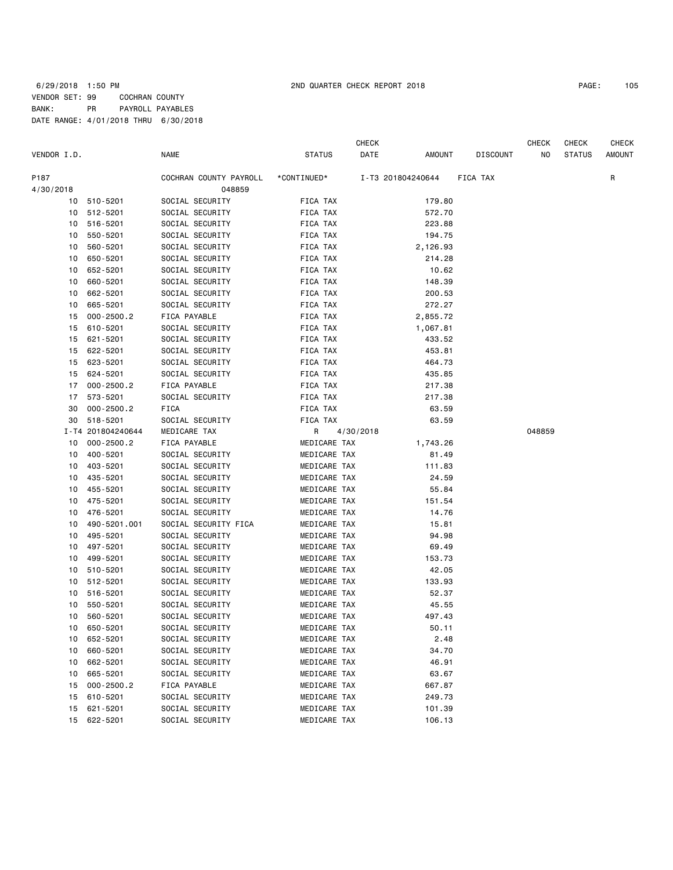## 6/29/2018 1:50 PM 2ND QUARTER CHECK REPORT 2018 PAGE: 105 VENDOR SET: 99 COCHRAN COUNTY BANK: PR PAYROLL PAYABLES DATE RANGE: 4/01/2018 THRU 6/30/2018

|             |                            |                         |               | CHECK     |                   |                 | CHECK  | CHECK         | CHECK         |
|-------------|----------------------------|-------------------------|---------------|-----------|-------------------|-----------------|--------|---------------|---------------|
| VENDOR I.D. |                            | <b>NAME</b>             | <b>STATUS</b> | DATE      | AMOUNT            | <b>DISCOUNT</b> | NO     | <b>STATUS</b> | <b>AMOUNT</b> |
| P187        |                            | COCHRAN COUNTY PAYROLL  | *CONTINUED*   |           | I-T3 201804240644 | <b>FICA TAX</b> |        |               | R             |
| 4/30/2018   |                            | 048859                  |               |           |                   |                 |        |               |               |
| 10          | 510-5201                   | SOCIAL SECURITY         | FICA TAX      |           | 179.80            |                 |        |               |               |
|             | 10 512-5201                | SOCIAL SECURITY         | FICA TAX      |           | 572.70            |                 |        |               |               |
| 10          | 516-5201                   | SOCIAL SECURITY         | FICA TAX      |           | 223.88            |                 |        |               |               |
| 10          | 550-5201                   | SOCIAL SECURITY         | FICA TAX      |           | 194.75            |                 |        |               |               |
| 10          | 560-5201                   | SOCIAL SECURITY         | FICA TAX      |           | 2,126.93          |                 |        |               |               |
| 10          | 650-5201                   | SOCIAL SECURITY         | FICA TAX      |           | 214.28            |                 |        |               |               |
| 10          | 652-5201                   | SOCIAL SECURITY         | FICA TAX      |           | 10.62             |                 |        |               |               |
| 10          | 660-5201                   | SOCIAL SECURITY         | FICA TAX      |           | 148.39            |                 |        |               |               |
| 10          | 662-5201                   | SOCIAL SECURITY         | FICA TAX      |           | 200.53            |                 |        |               |               |
| 10          | 665-5201                   | SOCIAL SECURITY         | FICA TAX      |           | 272.27            |                 |        |               |               |
| 15          | $000 - 2500.2$             | FICA PAYABLE            | FICA TAX      |           | 2,855.72          |                 |        |               |               |
| 15          | 610-5201                   | SOCIAL SECURITY         | FICA TAX      |           | 1,067.81          |                 |        |               |               |
| 15          | 621-5201                   | SOCIAL SECURITY         | FICA TAX      |           | 433.52            |                 |        |               |               |
| 15          | 622-5201                   | SOCIAL SECURITY         | FICA TAX      |           | 453.81            |                 |        |               |               |
| 15          | 623-5201                   | SOCIAL SECURITY         | FICA TAX      |           | 464.73            |                 |        |               |               |
| 15          | 624-5201                   | SOCIAL SECURITY         | FICA TAX      |           | 435.85            |                 |        |               |               |
| 17          | $000 - 2500.2$             | FICA PAYABLE            | FICA TAX      |           | 217.38            |                 |        |               |               |
| 17          | 573-5201                   | SOCIAL SECURITY         | FICA TAX      |           | 217.38            |                 |        |               |               |
| 30          |                            |                         | FICA TAX      |           |                   |                 |        |               |               |
|             | $000 - 2500.2$<br>518-5201 | FICA<br>SOCIAL SECURITY |               |           | 63.59             |                 |        |               |               |
| 30          | I-T4 201804240644          |                         | FICA TAX      |           | 63.59             |                 |        |               |               |
|             |                            | MEDICARE TAX            | R             | 4/30/2018 |                   |                 | 048859 |               |               |
| 10          | $000 - 2500.2$             | FICA PAYABLE            | MEDICARE TAX  |           | 1,743.26          |                 |        |               |               |
| 10          | 400-5201                   | SOCIAL SECURITY         | MEDICARE TAX  |           | 81.49             |                 |        |               |               |
| 10          | 403-5201                   | SOCIAL SECURITY         | MEDICARE TAX  |           | 111.83            |                 |        |               |               |
| 10          | 435-5201                   | SOCIAL SECURITY         | MEDICARE TAX  |           | 24.59             |                 |        |               |               |
| 10          | 455-5201                   | SOCIAL SECURITY         | MEDICARE TAX  |           | 55.84             |                 |        |               |               |
| 10          | 475-5201                   | SOCIAL SECURITY         | MEDICARE TAX  |           | 151.54            |                 |        |               |               |
| 10          | 476-5201                   | SOCIAL SECURITY         | MEDICARE TAX  |           | 14.76             |                 |        |               |               |
| 10          | 490-5201.001               | SOCIAL SECURITY FICA    | MEDICARE TAX  |           | 15.81             |                 |        |               |               |
| 10          | 495-5201                   | SOCIAL SECURITY         | MEDICARE TAX  |           | 94.98             |                 |        |               |               |
| 10          | 497-5201                   | SOCIAL SECURITY         | MEDICARE TAX  |           | 69.49             |                 |        |               |               |
| 10          | 499-5201                   | SOCIAL SECURITY         | MEDICARE TAX  |           | 153.73            |                 |        |               |               |
| 10          | 510-5201                   | SOCIAL SECURITY         | MEDICARE TAX  |           | 42.05             |                 |        |               |               |
| 10          | 512-5201                   | SOCIAL SECURITY         | MEDICARE TAX  |           | 133.93            |                 |        |               |               |
| 10          | 516-5201                   | SOCIAL SECURITY         | MEDICARE TAX  |           | 52.37             |                 |        |               |               |
| 10          | 550-5201                   | SOCIAL SECURITY         | MEDICARE TAX  |           | 45.55             |                 |        |               |               |
| 10          | 560-5201                   | SOCIAL SECURITY         | MEDICARE TAX  |           | 497.43            |                 |        |               |               |
| 10          | 650-5201                   | SOCIAL SECURITY         | MEDICARE TAX  |           | 50.11             |                 |        |               |               |
| 10          | 652-5201                   | SOCIAL SECURITY         | MEDICARE TAX  |           | 2.48              |                 |        |               |               |
| 10          | 660-5201                   | SOCIAL SECURITY         | MEDICARE TAX  |           | 34.70             |                 |        |               |               |
| 10          | 662-5201                   | SOCIAL SECURITY         | MEDICARE TAX  |           | 46.91             |                 |        |               |               |
| 10          | 665-5201                   | SOCIAL SECURITY         | MEDICARE TAX  |           | 63.67             |                 |        |               |               |
| 15          | $000 - 2500.2$             | FICA PAYABLE            | MEDICARE TAX  |           | 667.87            |                 |        |               |               |
| 15          | 610-5201                   | SOCIAL SECURITY         | MEDICARE TAX  |           | 249.73            |                 |        |               |               |
| 15          | 621-5201                   | SOCIAL SECURITY         | MEDICARE TAX  |           | 101.39            |                 |        |               |               |
| 15          | 622-5201                   | SOCIAL SECURITY         | MEDICARE TAX  |           | 106.13            |                 |        |               |               |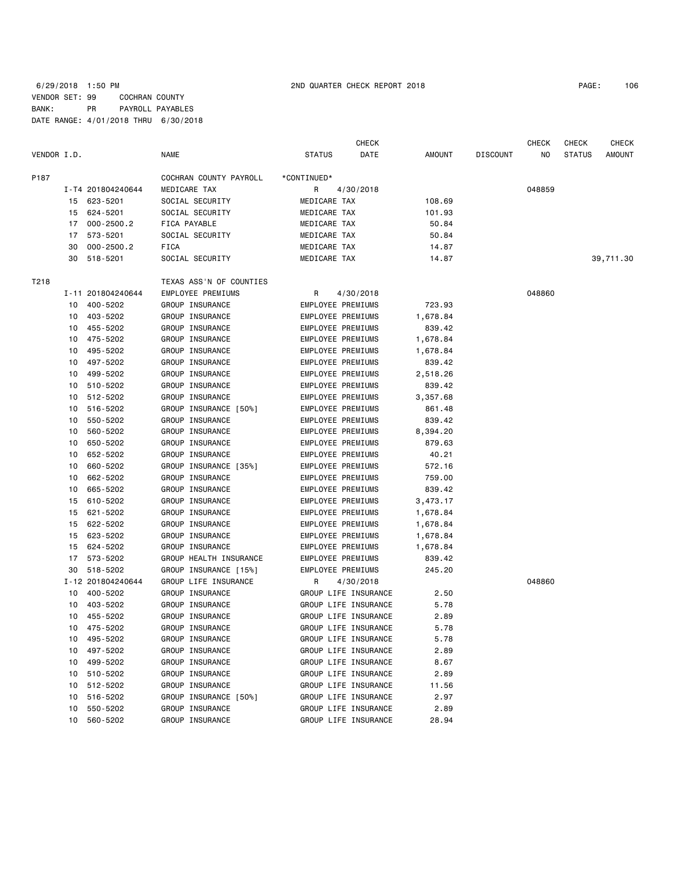## 6/29/2018 1:50 PM 2ND QUARTER CHECK REPORT 2018 PAGE: 106 VENDOR SET: 99 COCHRAN COUNTY BANK: PR PAYROLL PAYABLES DATE RANGE: 4/01/2018 THRU 6/30/2018

| VENDOR I.D. |    |                   | <b>NAME</b>             | <b>STATUS</b>            | <b>CHECK</b><br>DATE | <b>AMOUNT</b> | <b>DISCOUNT</b> | <b>CHECK</b><br>NO. | <b>CHECK</b><br><b>STATUS</b> | <b>CHECK</b><br><b>AMOUNT</b> |
|-------------|----|-------------------|-------------------------|--------------------------|----------------------|---------------|-----------------|---------------------|-------------------------------|-------------------------------|
| P187        |    |                   | COCHRAN COUNTY PAYROLL  | *CONTINUED*              |                      |               |                 |                     |                               |                               |
|             |    | I-T4 201804240644 | MEDICARE TAX            | R                        | 4/30/2018            |               |                 | 048859              |                               |                               |
|             |    | 15 623-5201       | SOCIAL SECURITY         | MEDICARE TAX             |                      | 108.69        |                 |                     |                               |                               |
|             |    | 15 624-5201       | SOCIAL SECURITY         | MEDICARE TAX             |                      | 101.93        |                 |                     |                               |                               |
|             | 17 | $000 - 2500.2$    | FICA PAYABLE            | MEDICARE TAX             |                      | 50.84         |                 |                     |                               |                               |
|             | 17 | 573-5201          | SOCIAL SECURITY         | MEDICARE TAX             |                      | 50.84         |                 |                     |                               |                               |
|             | 30 | $000 - 2500.2$    | <b>FICA</b>             | MEDICARE TAX             |                      | 14.87         |                 |                     |                               |                               |
|             | 30 | 518-5201          | SOCIAL SECURITY         | MEDICARE TAX             |                      | 14.87         |                 |                     |                               | 39,711.30                     |
| T218        |    |                   | TEXAS ASS'N OF COUNTIES |                          |                      |               |                 |                     |                               |                               |
|             |    | I-11 201804240644 | EMPLOYEE PREMIUMS       | R                        | 4/30/2018            |               |                 | 048860              |                               |                               |
|             | 10 | 400-5202          | GROUP INSURANCE         | EMPLOYEE PREMIUMS        |                      | 723.93        |                 |                     |                               |                               |
|             | 10 | 403-5202          | GROUP INSURANCE         | EMPLOYEE PREMIUMS        |                      | 1,678.84      |                 |                     |                               |                               |
|             | 10 | 455-5202          | GROUP INSURANCE         | EMPLOYEE PREMIUMS        |                      | 839.42        |                 |                     |                               |                               |
|             | 10 | 475-5202          | GROUP INSURANCE         | EMPLOYEE PREMIUMS        |                      | 1,678.84      |                 |                     |                               |                               |
|             | 10 | 495-5202          | GROUP INSURANCE         | EMPLOYEE PREMIUMS        |                      | 1,678.84      |                 |                     |                               |                               |
|             | 10 | 497-5202          | GROUP INSURANCE         | EMPLOYEE PREMIUMS        |                      | 839.42        |                 |                     |                               |                               |
|             | 10 | 499-5202          | GROUP INSURANCE         | EMPLOYEE PREMIUMS        |                      | 2,518.26      |                 |                     |                               |                               |
|             | 10 | 510-5202          | GROUP INSURANCE         | EMPLOYEE PREMIUMS        |                      | 839.42        |                 |                     |                               |                               |
|             | 10 | 512-5202          | GROUP INSURANCE         | EMPLOYEE PREMIUMS        |                      | 3,357.68      |                 |                     |                               |                               |
|             | 10 | 516-5202          | GROUP INSURANCE [50%]   | EMPLOYEE PREMIUMS        |                      | 861.48        |                 |                     |                               |                               |
|             | 10 | 550-5202          | GROUP INSURANCE         | EMPLOYEE PREMIUMS        |                      | 839.42        |                 |                     |                               |                               |
|             | 10 | 560-5202          | GROUP INSURANCE         | <b>EMPLOYEE PREMIUMS</b> |                      | 8,394.20      |                 |                     |                               |                               |
|             | 10 | 650-5202          | GROUP INSURANCE         | EMPLOYEE PREMIUMS        |                      | 879.63        |                 |                     |                               |                               |
|             | 10 | 652-5202          | GROUP INSURANCE         | EMPLOYEE PREMIUMS        |                      | 40.21         |                 |                     |                               |                               |
|             | 10 | 660-5202          | GROUP INSURANCE [35%]   | EMPLOYEE PREMIUMS        |                      | 572.16        |                 |                     |                               |                               |
|             | 10 | 662-5202          | GROUP INSURANCE         | EMPLOYEE PREMIUMS        |                      | 759.00        |                 |                     |                               |                               |
|             | 10 | 665-5202          | GROUP INSURANCE         | EMPLOYEE PREMIUMS        |                      | 839.42        |                 |                     |                               |                               |
|             | 15 | 610-5202          | GROUP INSURANCE         | EMPLOYEE PREMIUMS        |                      | 3,473.17      |                 |                     |                               |                               |
|             | 15 | 621-5202          | GROUP INSURANCE         | EMPLOYEE PREMIUMS        |                      | 1,678.84      |                 |                     |                               |                               |
|             | 15 | 622-5202          | GROUP INSURANCE         | EMPLOYEE PREMIUMS        |                      | 1,678.84      |                 |                     |                               |                               |
|             | 15 | 623-5202          | GROUP INSURANCE         | EMPLOYEE PREMIUMS        |                      | 1,678.84      |                 |                     |                               |                               |
|             | 15 | 624-5202          | GROUP INSURANCE         | EMPLOYEE PREMIUMS        |                      | 1,678.84      |                 |                     |                               |                               |
|             | 17 | 573-5202          | GROUP HEALTH INSURANCE  | EMPLOYEE PREMIUMS        |                      | 839.42        |                 |                     |                               |                               |
|             | 30 | 518-5202          | GROUP INSURANCE [15%]   | EMPLOYEE PREMIUMS        |                      | 245.20        |                 |                     |                               |                               |
|             |    | I-12 201804240644 | GROUP LIFE INSURANCE    | R                        | 4/30/2018            |               |                 | 048860              |                               |                               |
|             | 10 | 400-5202          | GROUP INSURANCE         |                          | GROUP LIFE INSURANCE | 2.50          |                 |                     |                               |                               |
|             | 10 | 403-5202          | GROUP INSURANCE         |                          | GROUP LIFE INSURANCE | 5.78          |                 |                     |                               |                               |
|             |    | 10 455-5202       | GROUP INSURANCE         |                          | GROUP LIFE INSURANCE | 2.89          |                 |                     |                               |                               |
|             |    | 10 475-5202       | GROUP INSURANCE         |                          | GROUP LIFE INSURANCE | 5.78          |                 |                     |                               |                               |
|             | 10 | 495-5202          | GROUP INSURANCE         |                          | GROUP LIFE INSURANCE | 5.78          |                 |                     |                               |                               |
|             | 10 | 497-5202          | GROUP INSURANCE         |                          | GROUP LIFE INSURANCE | 2.89          |                 |                     |                               |                               |
|             | 10 | 499-5202          | GROUP INSURANCE         |                          | GROUP LIFE INSURANCE | 8.67          |                 |                     |                               |                               |
|             | 10 | 510-5202          | GROUP INSURANCE         |                          | GROUP LIFE INSURANCE | 2.89          |                 |                     |                               |                               |
|             | 10 | 512-5202          | GROUP INSURANCE         |                          | GROUP LIFE INSURANCE | 11.56         |                 |                     |                               |                               |
|             | 10 | 516-5202          | GROUP INSURANCE [50%]   |                          | GROUP LIFE INSURANCE | 2.97          |                 |                     |                               |                               |
|             | 10 | 550-5202          | GROUP INSURANCE         |                          | GROUP LIFE INSURANCE | 2.89          |                 |                     |                               |                               |
|             |    | 10 560-5202       | GROUP INSURANCE         |                          | GROUP LIFE INSURANCE | 28.94         |                 |                     |                               |                               |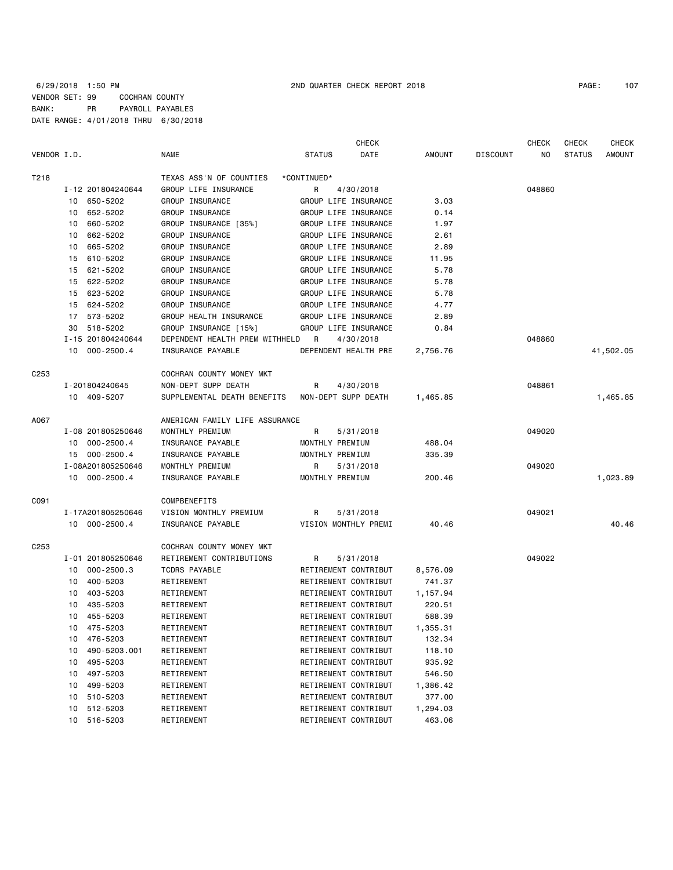|                  |    |                   |                                |                      | <b>CHECK</b>         |          |                 | <b>CHECK</b> | <b>CHECK</b>  | <b>CHECK</b>  |
|------------------|----|-------------------|--------------------------------|----------------------|----------------------|----------|-----------------|--------------|---------------|---------------|
| VENDOR I.D.      |    |                   | <b>NAME</b>                    | <b>STATUS</b>        | DATE                 | AMOUNT   | <b>DISCOUNT</b> | NO           | <b>STATUS</b> | <b>AMOUNT</b> |
| T218             |    |                   | TEXAS ASS'N OF COUNTIES        | *CONTINUED*          |                      |          |                 |              |               |               |
|                  |    | I-12 201804240644 | GROUP LIFE INSURANCE           | R                    | 4/30/2018            |          |                 | 048860       |               |               |
|                  | 10 | 650-5202          | GROUP INSURANCE                |                      | GROUP LIFE INSURANCE | 3.03     |                 |              |               |               |
|                  | 10 | 652-5202          | GROUP INSURANCE                | GROUP LIFE INSURANCE |                      | 0.14     |                 |              |               |               |
|                  | 10 | 660-5202          | GROUP INSURANCE [35%]          | GROUP LIFE INSURANCE |                      | 1.97     |                 |              |               |               |
|                  | 10 | 662-5202          | GROUP INSURANCE                |                      | GROUP LIFE INSURANCE | 2.61     |                 |              |               |               |
|                  | 10 | 665-5202          | GROUP INSURANCE                |                      | GROUP LIFE INSURANCE | 2.89     |                 |              |               |               |
|                  | 15 | 610-5202          | GROUP INSURANCE                | GROUP LIFE INSURANCE |                      | 11.95    |                 |              |               |               |
|                  | 15 | 621-5202          | GROUP INSURANCE                | GROUP LIFE INSURANCE |                      | 5.78     |                 |              |               |               |
|                  | 15 | 622-5202          | GROUP INSURANCE                | GROUP LIFE INSURANCE |                      | 5.78     |                 |              |               |               |
|                  | 15 | 623-5202          | GROUP INSURANCE                |                      | GROUP LIFE INSURANCE | 5.78     |                 |              |               |               |
|                  | 15 | 624-5202          | GROUP INSURANCE                | GROUP LIFE INSURANCE |                      | 4.77     |                 |              |               |               |
|                  |    | 17 573-5202       | GROUP HEALTH INSURANCE         | GROUP LIFE INSURANCE |                      | 2.89     |                 |              |               |               |
|                  | 30 | 518-5202          | GROUP INSURANCE [15%]          |                      | GROUP LIFE INSURANCE | 0.84     |                 |              |               |               |
|                  |    | I-15 201804240644 | DEPENDENT HEALTH PREM WITHHELD | $\overline{R}$       | 4/30/2018            |          |                 | 048860       |               |               |
|                  |    | 10 000-2500.4     | INSURANCE PAYABLE              |                      | DEPENDENT HEALTH PRE | 2,756.76 |                 |              |               | 41,502.05     |
| C <sub>253</sub> |    |                   | COCHRAN COUNTY MONEY MKT       |                      |                      |          |                 |              |               |               |
|                  |    | I-201804240645    | NON-DEPT SUPP DEATH            | R                    | 4/30/2018            |          |                 | 048861       |               |               |
|                  |    | 10 409-5207       | SUPPLEMENTAL DEATH BENEFITS    | NON-DEPT SUPP DEATH  |                      | 1,465.85 |                 |              |               | 1,465.85      |
| A067             |    |                   | AMERICAN FAMILY LIFE ASSURANCE |                      |                      |          |                 |              |               |               |
|                  |    | I-08 201805250646 | MONTHLY PREMIUM                | R                    | 5/31/2018            |          |                 | 049020       |               |               |
|                  |    | 10 000-2500.4     | INSURANCE PAYABLE              | MONTHLY PREMIUM      |                      | 488.04   |                 |              |               |               |
|                  |    | 15 000-2500.4     | INSURANCE PAYABLE              | MONTHLY PREMIUM      |                      | 335.39   |                 |              |               |               |
|                  |    | I-08A201805250646 | MONTHLY PREMIUM                | R                    | 5/31/2018            |          |                 | 049020       |               |               |
|                  |    | 10 000-2500.4     | INSURANCE PAYABLE              | MONTHLY PREMIUM      |                      | 200.46   |                 |              |               | 1,023.89      |
| C091             |    |                   | COMPBENEFITS                   |                      |                      |          |                 |              |               |               |
|                  |    |                   | VISION MONTHLY PREMIUM         |                      |                      |          |                 | 049021       |               |               |
|                  |    | I-17A201805250646 |                                | R                    | 5/31/2018            |          |                 |              |               | 40.46         |
|                  |    | 10 000-2500.4     | INSURANCE PAYABLE              |                      | VISION MONTHLY PREMI | 40.46    |                 |              |               |               |
| C <sub>253</sub> |    |                   | COCHRAN COUNTY MONEY MKT       |                      |                      |          |                 |              |               |               |
|                  |    | I-01 201805250646 | RETIREMENT CONTRIBUTIONS       | R                    | 5/31/2018            |          |                 | 049022       |               |               |
|                  | 10 | $000 - 2500.3$    | <b>TCDRS PAYABLE</b>           |                      | RETIREMENT CONTRIBUT | 8,576.09 |                 |              |               |               |
|                  | 10 | 400-5203          | RETIREMENT                     |                      | RETIREMENT CONTRIBUT | 741.37   |                 |              |               |               |
|                  | 10 | 403-5203          | RETIREMENT                     |                      | RETIREMENT CONTRIBUT | 1,157.94 |                 |              |               |               |
|                  | 10 | 435-5203          | RETIREMENT                     |                      | RETIREMENT CONTRIBUT | 220.51   |                 |              |               |               |
|                  | 10 | 455-5203          | RETIREMENT                     |                      | RETIREMENT CONTRIBUT | 588.39   |                 |              |               |               |
|                  |    | 10 475-5203       | RETIREMENT                     |                      | RETIREMENT CONTRIBUT | 1,355.31 |                 |              |               |               |
|                  | 10 | 476-5203          | RETIREMENT                     |                      | RETIREMENT CONTRIBUT | 132.34   |                 |              |               |               |
|                  | 10 | 490-5203.001      | RETIREMENT                     |                      | RETIREMENT CONTRIBUT | 118.10   |                 |              |               |               |
|                  | 10 | 495-5203          | RETIREMENT                     |                      | RETIREMENT CONTRIBUT | 935.92   |                 |              |               |               |
|                  | 10 | 497-5203          | RETIREMENT                     |                      | RETIREMENT CONTRIBUT | 546.50   |                 |              |               |               |
|                  | 10 | 499-5203          | RETIREMENT                     |                      | RETIREMENT CONTRIBUT | 1,386.42 |                 |              |               |               |
|                  | 10 | 510-5203          | RETIREMENT                     |                      | RETIREMENT CONTRIBUT | 377.00   |                 |              |               |               |
|                  | 10 | 512-5203          | RETIREMENT                     |                      | RETIREMENT CONTRIBUT | 1,294.03 |                 |              |               |               |
|                  |    | 10 516-5203       | RETIREMENT                     |                      | RETIREMENT CONTRIBUT | 463.06   |                 |              |               |               |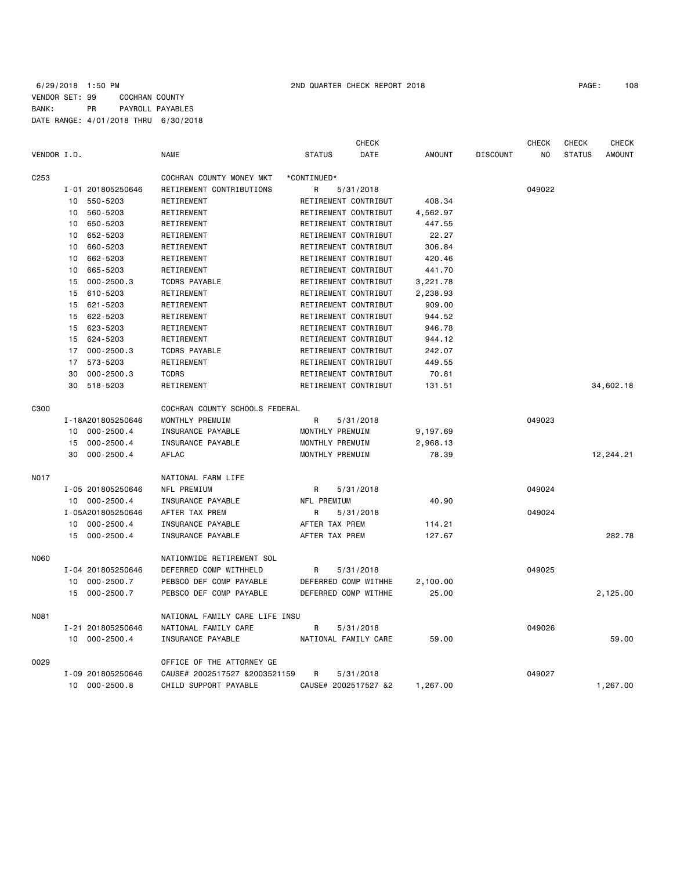## 6/29/2018 1:50 PM 2ND QUARTER CHECK REPORT 2018 PAGE: 108 VENDOR SET: 99 COCHRAN COUNTY BANK: PR PAYROLL PAYABLES DATE RANGE: 4/01/2018 THRU 6/30/2018

|             |    |                                |                                |                 | <b>CHECK</b>         |               |                 | <b>CHECK</b> | <b>CHECK</b>  | <b>CHECK</b>  |
|-------------|----|--------------------------------|--------------------------------|-----------------|----------------------|---------------|-----------------|--------------|---------------|---------------|
| VENDOR I.D. |    |                                | <b>NAME</b>                    | <b>STATUS</b>   | <b>DATE</b>          | <b>AMOUNT</b> | <b>DISCOUNT</b> | NO.          | <b>STATUS</b> | <b>AMOUNT</b> |
| C253        |    |                                | COCHRAN COUNTY MONEY MKT       | *CONTINUED*     |                      |               |                 |              |               |               |
|             |    | I-01 201805250646              | RETIREMENT CONTRIBUTIONS       | R               | 5/31/2018            |               |                 | 049022       |               |               |
|             | 10 | 550-5203                       | RETIREMENT                     |                 | RETIREMENT CONTRIBUT | 408.34        |                 |              |               |               |
|             | 10 | 560-5203                       | RETIREMENT                     |                 | RETIREMENT CONTRIBUT | 4,562.97      |                 |              |               |               |
|             | 10 | 650-5203                       | RETIREMENT                     |                 | RETIREMENT CONTRIBUT | 447.55        |                 |              |               |               |
|             | 10 | 652-5203                       | RETIREMENT                     |                 | RETIREMENT CONTRIBUT | 22.27         |                 |              |               |               |
|             | 10 | 660-5203                       | RETIREMENT                     |                 | RETIREMENT CONTRIBUT | 306.84        |                 |              |               |               |
|             | 10 | 662-5203                       | RETIREMENT                     |                 | RETIREMENT CONTRIBUT | 420.46        |                 |              |               |               |
|             | 10 | 665-5203                       | RETIREMENT                     |                 | RETIREMENT CONTRIBUT | 441.70        |                 |              |               |               |
|             | 15 | $000 - 2500.3$                 | <b>TCDRS PAYABLE</b>           |                 | RETIREMENT CONTRIBUT | 3,221.78      |                 |              |               |               |
|             | 15 | 610-5203                       | RETIREMENT                     |                 | RETIREMENT CONTRIBUT | 2,238.93      |                 |              |               |               |
|             | 15 | 621-5203                       | RETIREMENT                     |                 | RETIREMENT CONTRIBUT | 909.00        |                 |              |               |               |
|             | 15 | 622-5203                       | RETIREMENT                     |                 | RETIREMENT CONTRIBUT | 944.52        |                 |              |               |               |
|             | 15 | 623-5203                       | RETIREMENT                     |                 | RETIREMENT CONTRIBUT | 946.78        |                 |              |               |               |
|             | 15 | 624-5203                       | RETIREMENT                     |                 | RETIREMENT CONTRIBUT | 944.12        |                 |              |               |               |
|             | 17 | $000 - 2500.3$                 | <b>TCDRS PAYABLE</b>           |                 | RETIREMENT CONTRIBUT | 242.07        |                 |              |               |               |
|             | 17 | 573-5203                       | RETIREMENT                     |                 | RETIREMENT CONTRIBUT | 449.55        |                 |              |               |               |
|             | 30 | $000 - 2500.3$                 | <b>TCDRS</b>                   |                 | RETIREMENT CONTRIBUT | 70.81         |                 |              |               |               |
|             | 30 | 518-5203                       | RETIREMENT                     |                 | RETIREMENT CONTRIBUT | 131.51        |                 |              |               | 34,602.18     |
| C300        |    |                                | COCHRAN COUNTY SCHOOLS FEDERAL |                 |                      |               |                 |              |               |               |
|             |    | I-18A201805250646              | MONTHLY PREMUIM                | R               | 5/31/2018            |               |                 | 049023       |               |               |
|             | 10 | $000 - 2500.4$                 | INSURANCE PAYABLE              | MONTHLY PREMUIM |                      | 9,197.69      |                 |              |               |               |
|             | 15 | $000 - 2500.4$                 | INSURANCE PAYABLE              | MONTHLY PREMUIM |                      | 2,968.13      |                 |              |               |               |
|             | 30 | $000 - 2500.4$                 | <b>AFLAC</b>                   | MONTHLY PREMUIM |                      | 78.39         |                 |              |               | 12,244.21     |
| <b>NO17</b> |    |                                | NATIONAL FARM LIFE             |                 |                      |               |                 |              |               |               |
|             |    | I-05 201805250646              | NFL PREMIUM                    | R               | 5/31/2018            |               |                 | 049024       |               |               |
|             |    | 10 000-2500.4                  | INSURANCE PAYABLE              | NFL PREMIUM     |                      | 40.90         |                 |              |               |               |
|             |    | I-05A201805250646              | AFTER TAX PREM                 | R               | 5/31/2018            |               |                 | 049024       |               |               |
|             | 10 | $000 - 2500.4$                 | INSURANCE PAYABLE              | AFTER TAX PREM  |                      | 114.21        |                 |              |               |               |
|             | 15 | $000 - 2500.4$                 | INSURANCE PAYABLE              | AFTER TAX PREM  |                      | 127.67        |                 |              |               | 282.78        |
| <b>N060</b> |    |                                | NATIONWIDE RETIREMENT SOL      |                 |                      |               |                 |              |               |               |
|             |    | I-04 201805250646              | DEFERRED COMP WITHHELD         | R               | 5/31/2018            |               |                 | 049025       |               |               |
|             | 10 | $000 - 2500.7$                 | PEBSCO DEF COMP PAYABLE        |                 | DEFERRED COMP WITHHE | 2,100.00      |                 |              |               |               |
|             | 15 | $000 - 2500.7$                 | PEBSCO DEF COMP PAYABLE        |                 | DEFERRED COMP WITHHE | 25,00         |                 |              |               | 2,125.00      |
| N081        |    | NATIONAL FAMILY CARE LIFE INSU |                                |                 |                      |               |                 |              |               |               |
|             |    | I-21 201805250646              | NATIONAL FAMILY CARE           | R               | 5/31/2018            |               |                 | 049026       |               |               |
|             |    | 10 000-2500.4                  | INSURANCE PAYABLE              |                 | NATIONAL FAMILY CARE | 59.00         |                 |              |               | 59.00         |
| 0029        |    |                                | OFFICE OF THE ATTORNEY GE      |                 |                      |               |                 |              |               |               |
|             |    | I-09 201805250646              | CAUSE# 2002517527 &2003521159  | R               | 5/31/2018            |               |                 | 049027       |               |               |
|             | 10 | $000 - 2500.8$                 | CHILD SUPPORT PAYABLE          |                 | CAUSE# 2002517527 &2 | 1,267.00      |                 |              |               | 1,267.00      |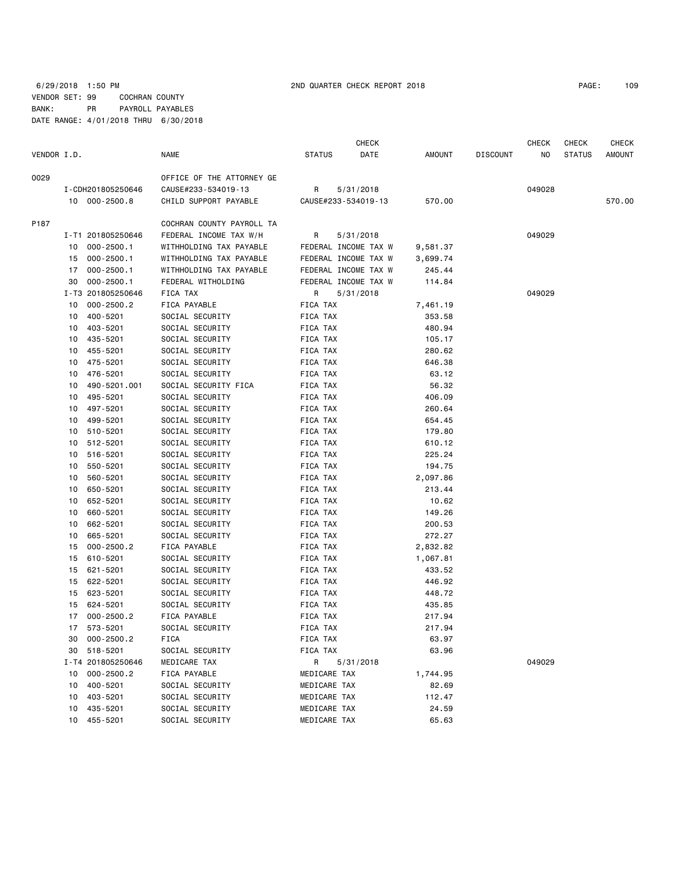### 6/29/2018 1:50 PM 2ND QUARTER CHECK REPORT 2018 PAGE: 109 VENDOR SET: 99 COCHRAN COUNTY BANK: PR PAYROLL PAYABLES DATE RANGE: 4/01/2018 THRU 6/30/2018

|             |    |                   |                                 |                     | CHECK                |          |                 | CHECK  | CHECK         | CHECK         |
|-------------|----|-------------------|---------------------------------|---------------------|----------------------|----------|-----------------|--------|---------------|---------------|
| VENDOR I.D. |    |                   | NAME                            | <b>STATUS</b>       | DATE                 | AMOUNT   | <b>DISCOUNT</b> | NO     | <b>STATUS</b> | <b>AMOUNT</b> |
| 0029        |    |                   | OFFICE OF THE ATTORNEY GE       |                     |                      |          |                 |        |               |               |
|             |    | I-CDH201805250646 | CAUSE#233-534019-13             | R.                  | 5/31/2018            |          |                 | 049028 |               |               |
|             |    | 10 000-2500.8     | CHILD SUPPORT PAYABLE           | CAUSE#233-534019-13 |                      | 570.00   |                 |        |               | 570.00        |
|             |    |                   |                                 |                     |                      |          |                 |        |               |               |
| P187        |    |                   | COCHRAN COUNTY PAYROLL TA       |                     |                      |          |                 |        |               |               |
|             |    | I-T1 201805250646 | FEDERAL INCOME TAX W/H          | R                   | 5/31/2018            |          |                 | 049029 |               |               |
|             | 10 | 000-2500.1        | WITHHOLDING TAX PAYABLE         |                     | FEDERAL INCOME TAX W | 9,581.37 |                 |        |               |               |
|             |    | 15 000-2500.1     | WITHHOLDING TAX PAYABLE         |                     | FEDERAL INCOME TAX W | 3,699.74 |                 |        |               |               |
|             | 17 | $000 - 2500.1$    | WITHHOLDING TAX PAYABLE         |                     | FEDERAL INCOME TAX W | 245.44   |                 |        |               |               |
|             | 30 | $000 - 2500.1$    | FEDERAL WITHOLDING              |                     | FEDERAL INCOME TAX W | 114.84   |                 |        |               |               |
|             | 10 | I-T3 201805250646 | FICA TAX                        | R                   | 5/31/2018            |          |                 | 049029 |               |               |
|             |    | $000 - 2500.2$    | FICA PAYABLE                    | FICA TAX            |                      | 7,461.19 |                 |        |               |               |
|             | 10 | 400-5201          | SOCIAL SECURITY                 | FICA TAX            |                      | 353.58   |                 |        |               |               |
|             | 10 | 403-5201          | SOCIAL SECURITY                 | FICA TAX            |                      | 480.94   |                 |        |               |               |
|             | 10 | 435-5201          | SOCIAL SECURITY                 | FICA TAX            |                      | 105.17   |                 |        |               |               |
|             | 10 | 455-5201          | SOCIAL SECURITY                 | FICA TAX            |                      | 280.62   |                 |        |               |               |
|             | 10 | 475-5201          | SOCIAL SECURITY                 | FICA TAX            |                      | 646.38   |                 |        |               |               |
|             | 10 | 476-5201          | SOCIAL SECURITY                 | FICA TAX            |                      | 63.12    |                 |        |               |               |
|             | 10 | 490-5201.001      | SOCIAL SECURITY FICA            | FICA TAX            |                      | 56.32    |                 |        |               |               |
|             | 10 | 495-5201          | SOCIAL SECURITY                 | FICA TAX            |                      | 406.09   |                 |        |               |               |
|             | 10 | 497-5201          | SOCIAL SECURITY                 | FICA TAX            |                      | 260.64   |                 |        |               |               |
|             | 10 | 499-5201          | SOCIAL SECURITY                 | FICA TAX            |                      | 654.45   |                 |        |               |               |
|             | 10 | 510-5201          | SOCIAL SECURITY                 | FICA TAX            |                      | 179.80   |                 |        |               |               |
|             | 10 | 512-5201          | SOCIAL SECURITY                 | FICA TAX            |                      | 610.12   |                 |        |               |               |
|             | 10 | 516-5201          | SOCIAL SECURITY                 | FICA TAX            |                      | 225.24   |                 |        |               |               |
|             | 10 | 550-5201          | SOCIAL SECURITY                 | FICA TAX            |                      | 194.75   |                 |        |               |               |
|             | 10 | 560-5201          | SOCIAL SECURITY                 | FICA TAX            |                      | 2,097.86 |                 |        |               |               |
|             | 10 | 650-5201          | SOCIAL SECURITY                 | FICA TAX            |                      | 213.44   |                 |        |               |               |
|             | 10 | 652-5201          | SOCIAL SECURITY                 | FICA TAX            |                      | 10.62    |                 |        |               |               |
|             | 10 | 660-5201          | SOCIAL SECURITY                 | FICA TAX            |                      | 149.26   |                 |        |               |               |
|             | 10 | 662-5201          | SOCIAL SECURITY                 | FICA TAX            |                      | 200.53   |                 |        |               |               |
|             | 10 | 665-5201          | SOCIAL SECURITY                 | FICA TAX            |                      | 272.27   |                 |        |               |               |
|             | 15 | $000 - 2500.2$    | FICA PAYABLE                    | FICA TAX            |                      | 2,832.82 |                 |        |               |               |
|             | 15 | 610-5201          | SOCIAL SECURITY                 | FICA TAX            |                      | 1,067.81 |                 |        |               |               |
|             | 15 | 621-5201          | SOCIAL SECURITY                 | FICA TAX            |                      | 433.52   |                 |        |               |               |
|             | 15 | 622-5201          | SOCIAL SECURITY                 | FICA TAX            |                      | 446.92   |                 |        |               |               |
|             | 15 | 623-5201          | SOCIAL SECURITY                 | FICA TAX            |                      | 448.72   |                 |        |               |               |
|             | 15 | 624-5201          | SOCIAL SECURITY                 | FICA TAX            |                      | 435.85   |                 |        |               |               |
|             | 17 | $000 - 2500.2$    | FICA PAYABLE<br>SOCIAL SECURITY | FICA TAX            |                      | 217.94   |                 |        |               |               |
|             | 17 | 573-5201          |                                 | FICA TAX            |                      | 217.94   |                 |        |               |               |
|             | 30 | $000 - 2500.2$    | FICA                            | FICA TAX            |                      | 63.97    |                 |        |               |               |
|             | 30 | 518-5201          | SOCIAL SECURITY                 | FICA TAX            |                      | 63.96    |                 |        |               |               |
|             |    | I-T4 201805250646 | MEDICARE TAX                    | R                   | 5/31/2018            |          |                 | 049029 |               |               |
|             | 10 | $000 - 2500.2$    | FICA PAYABLE                    | MEDICARE TAX        |                      | 1,744.95 |                 |        |               |               |
|             | 10 | 400-5201          | SOCIAL SECURITY                 | MEDICARE TAX        |                      | 82.69    |                 |        |               |               |
|             | 10 | 403-5201          | SOCIAL SECURITY                 | MEDICARE TAX        |                      | 112.47   |                 |        |               |               |
|             | 10 | 435-5201          | SOCIAL SECURITY                 | MEDICARE TAX        |                      | 24.59    |                 |        |               |               |
|             |    | 10 455-5201       | SOCIAL SECURITY                 | MEDICARE TAX        |                      | 65.63    |                 |        |               |               |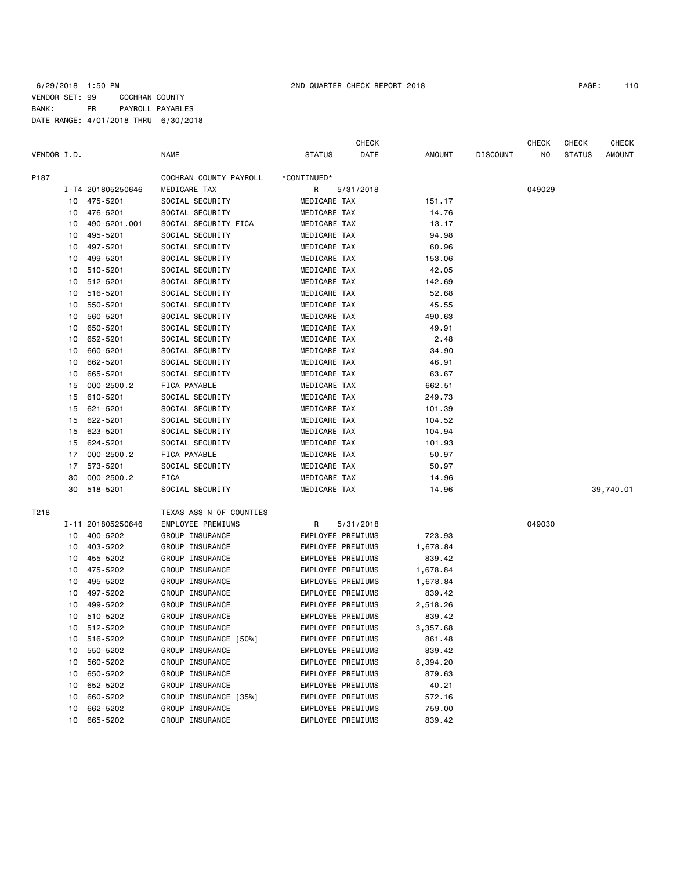### 6/29/2018 1:50 PM 2ND QUARTER CHECK REPORT 2018 PAGE: 110 VENDOR SET: 99 COCHRAN COUNTY BANK: PR PAYROLL PAYABLES DATE RANGE: 4/01/2018 THRU 6/30/2018

|             |    |                   |                         |                   | <b>CHECK</b> |               |                 | <b>CHECK</b> | <b>CHECK</b>  | <b>CHECK</b> |
|-------------|----|-------------------|-------------------------|-------------------|--------------|---------------|-----------------|--------------|---------------|--------------|
| VENDOR I.D. |    |                   | <b>NAME</b>             | <b>STATUS</b>     | DATE         | <b>AMOUNT</b> | <b>DISCOUNT</b> | NO           | <b>STATUS</b> | AMOUNT       |
| P187        |    |                   | COCHRAN COUNTY PAYROLL  | *CONTINUED*       |              |               |                 |              |               |              |
|             |    | I-T4 201805250646 | MEDICARE TAX            | R                 | 5/31/2018    |               |                 | 049029       |               |              |
|             | 10 | 475-5201          | SOCIAL SECURITY         | MEDICARE TAX      |              | 151.17        |                 |              |               |              |
|             | 10 | 476-5201          | SOCIAL SECURITY         | MEDICARE TAX      |              | 14.76         |                 |              |               |              |
|             | 10 | 490-5201.001      | SOCIAL SECURITY FICA    | MEDICARE TAX      |              | 13.17         |                 |              |               |              |
|             | 10 | 495-5201          | SOCIAL SECURITY         | MEDICARE TAX      |              | 94.98         |                 |              |               |              |
|             | 10 | 497-5201          | SOCIAL SECURITY         | MEDICARE TAX      |              | 60.96         |                 |              |               |              |
|             | 10 | 499-5201          | SOCIAL SECURITY         | MEDICARE TAX      |              | 153.06        |                 |              |               |              |
|             | 10 | 510-5201          | SOCIAL SECURITY         | MEDICARE TAX      |              | 42.05         |                 |              |               |              |
|             | 10 | 512-5201          | SOCIAL SECURITY         | MEDICARE TAX      |              | 142.69        |                 |              |               |              |
|             | 10 | 516-5201          | SOCIAL SECURITY         | MEDICARE TAX      |              | 52.68         |                 |              |               |              |
|             | 10 | 550-5201          | SOCIAL SECURITY         | MEDICARE TAX      |              | 45.55         |                 |              |               |              |
|             | 10 | 560-5201          | SOCIAL SECURITY         | MEDICARE TAX      |              | 490.63        |                 |              |               |              |
|             | 10 | 650-5201          | SOCIAL SECURITY         | MEDICARE TAX      |              | 49.91         |                 |              |               |              |
|             | 10 | 652-5201          | SOCIAL SECURITY         | MEDICARE TAX      |              | 2.48          |                 |              |               |              |
|             | 10 | 660-5201          | SOCIAL SECURITY         | MEDICARE TAX      |              | 34.90         |                 |              |               |              |
|             | 10 | 662-5201          | SOCIAL SECURITY         | MEDICARE TAX      |              | 46.91         |                 |              |               |              |
|             | 10 | 665-5201          | SOCIAL SECURITY         | MEDICARE TAX      |              | 63.67         |                 |              |               |              |
|             | 15 | $000 - 2500.2$    | FICA PAYABLE            | MEDICARE TAX      |              | 662.51        |                 |              |               |              |
|             | 15 | 610-5201          | SOCIAL SECURITY         | MEDICARE TAX      |              | 249.73        |                 |              |               |              |
|             | 15 | 621-5201          | SOCIAL SECURITY         | MEDICARE TAX      |              | 101.39        |                 |              |               |              |
|             | 15 | 622-5201          | SOCIAL SECURITY         | MEDICARE TAX      |              | 104.52        |                 |              |               |              |
|             | 15 | 623-5201          | SOCIAL SECURITY         | MEDICARE TAX      |              | 104.94        |                 |              |               |              |
|             | 15 | 624-5201          | SOCIAL SECURITY         | MEDICARE TAX      |              | 101.93        |                 |              |               |              |
|             | 17 | $000 - 2500.2$    | FICA PAYABLE            | MEDICARE TAX      |              | 50.97         |                 |              |               |              |
|             | 17 | 573-5201          | SOCIAL SECURITY         | MEDICARE TAX      |              | 50.97         |                 |              |               |              |
|             | 30 | $000 - 2500.2$    | FICA                    | MEDICARE TAX      |              | 14.96         |                 |              |               |              |
|             | 30 | 518-5201          | SOCIAL SECURITY         | MEDICARE TAX      |              | 14.96         |                 |              |               | 39,740.01    |
| T218        |    |                   | TEXAS ASS'N OF COUNTIES |                   |              |               |                 |              |               |              |
|             |    | I-11 201805250646 | EMPLOYEE PREMIUMS       | R                 | 5/31/2018    |               |                 | 049030       |               |              |
|             |    | 10 400-5202       | GROUP INSURANCE         | EMPLOYEE PREMIUMS |              | 723.93        |                 |              |               |              |
|             | 10 | 403-5202          | GROUP INSURANCE         | EMPLOYEE PREMIUMS |              | 1,678.84      |                 |              |               |              |
|             | 10 | 455-5202          | GROUP INSURANCE         | EMPLOYEE PREMIUMS |              | 839.42        |                 |              |               |              |
|             | 10 | 475-5202          | GROUP INSURANCE         | EMPLOYEE PREMIUMS |              | 1,678.84      |                 |              |               |              |
|             | 10 | 495-5202          | GROUP INSURANCE         | EMPLOYEE PREMIUMS |              | 1,678.84      |                 |              |               |              |
|             | 10 | 497-5202          | GROUP INSURANCE         | EMPLOYEE PREMIUMS |              | 839.42        |                 |              |               |              |
|             | 10 | 499-5202          | GROUP INSURANCE         | EMPLOYEE PREMIUMS |              | 2,518.26      |                 |              |               |              |
|             |    | 10 510-5202       | GROUP INSURANCE         | EMPLOYEE PREMIUMS |              | 839.42        |                 |              |               |              |
|             |    | 10 512-5202       | GROUP INSURANCE         | EMPLOYEE PREMIUMS |              | 3,357.68      |                 |              |               |              |
|             | 10 | 516-5202          | GROUP INSURANCE [50%]   | EMPLOYEE PREMIUMS |              | 861.48        |                 |              |               |              |
|             | 10 | 550-5202          | GROUP INSURANCE         | EMPLOYEE PREMIUMS |              | 839.42        |                 |              |               |              |
|             | 10 | 560-5202          | GROUP INSURANCE         | EMPLOYEE PREMIUMS |              | 8,394.20      |                 |              |               |              |
|             | 10 | 650-5202          | GROUP INSURANCE         | EMPLOYEE PREMIUMS |              | 879.63        |                 |              |               |              |
|             | 10 | 652-5202          | GROUP INSURANCE         | EMPLOYEE PREMIUMS |              | 40.21         |                 |              |               |              |
|             | 10 | 660-5202          | GROUP INSURANCE [35%]   | EMPLOYEE PREMIUMS |              | 572.16        |                 |              |               |              |
|             | 10 | 662-5202          | GROUP INSURANCE         | EMPLOYEE PREMIUMS |              | 759.00        |                 |              |               |              |
|             | 10 | 665-5202          | GROUP INSURANCE         | EMPLOYEE PREMIUMS |              | 839.42        |                 |              |               |              |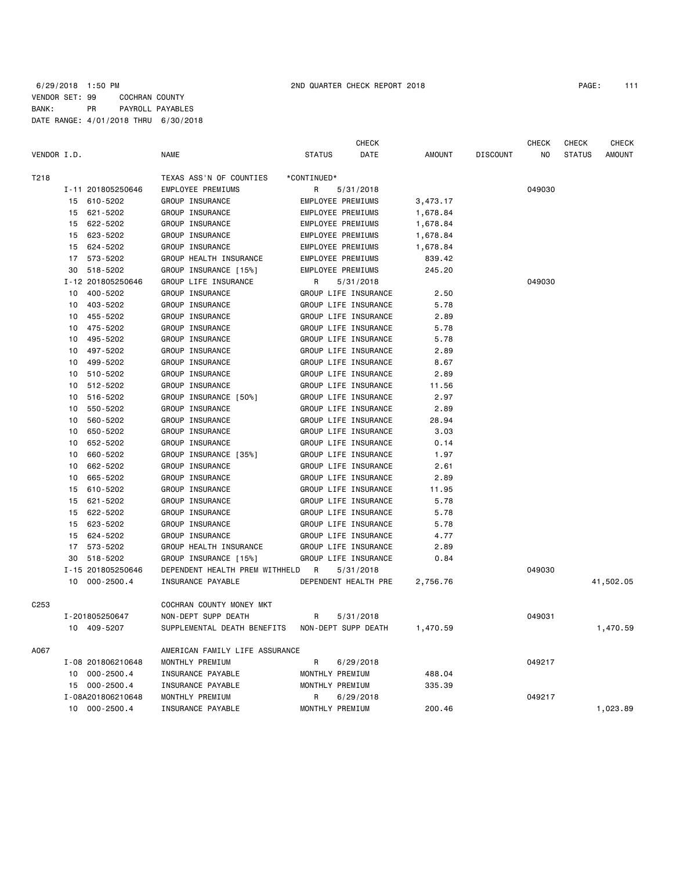|             |    |                   |                                | <b>CHECK</b>              |          |                 | <b>CHECK</b> | <b>CHECK</b>  | <b>CHECK</b>  |
|-------------|----|-------------------|--------------------------------|---------------------------|----------|-----------------|--------------|---------------|---------------|
| VENDOR I.D. |    |                   | <b>NAME</b>                    | <b>STATUS</b><br>DATE     | AMOUNT   | <b>DISCOUNT</b> | NO           | <b>STATUS</b> | <b>AMOUNT</b> |
| T218        |    |                   | TEXAS ASS'N OF COUNTIES        | *CONTINUED*               |          |                 |              |               |               |
|             |    | I-11 201805250646 | <b>EMPLOYEE PREMIUMS</b>       | 5/31/2018<br>R            |          |                 | 049030       |               |               |
|             | 15 | 610-5202          | GROUP INSURANCE                | <b>EMPLOYEE PREMIUMS</b>  | 3,473.17 |                 |              |               |               |
|             | 15 | 621-5202          | GROUP INSURANCE                | <b>EMPLOYEE PREMIUMS</b>  | 1,678.84 |                 |              |               |               |
|             | 15 | 622-5202          | GROUP INSURANCE                | <b>EMPLOYEE PREMIUMS</b>  | 1,678.84 |                 |              |               |               |
|             | 15 | 623-5202          | GROUP INSURANCE                | <b>EMPLOYEE PREMIUMS</b>  | 1,678.84 |                 |              |               |               |
|             | 15 | 624-5202          | GROUP INSURANCE                | EMPLOYEE PREMIUMS         | 1,678.84 |                 |              |               |               |
|             | 17 | 573-5202          | GROUP HEALTH INSURANCE         | EMPLOYEE PREMIUMS         | 839.42   |                 |              |               |               |
|             | 30 | 518-5202          | GROUP INSURANCE [15%]          | EMPLOYEE PREMIUMS         | 245.20   |                 |              |               |               |
|             |    | I-12 201805250646 | GROUP LIFE INSURANCE           | 5/31/2018<br>$\mathsf{R}$ |          |                 | 049030       |               |               |
|             | 10 | 400-5202          | GROUP INSURANCE                | GROUP LIFE INSURANCE      | 2.50     |                 |              |               |               |
|             | 10 | 403-5202          | GROUP INSURANCE                | GROUP LIFE INSURANCE      | 5.78     |                 |              |               |               |
|             | 10 | 455-5202          | GROUP INSURANCE                | GROUP LIFE INSURANCE      | 2.89     |                 |              |               |               |
|             | 10 | 475-5202          | GROUP INSURANCE                | GROUP LIFE INSURANCE      | 5.78     |                 |              |               |               |
|             | 10 | 495-5202          | GROUP INSURANCE                | GROUP LIFE INSURANCE      | 5.78     |                 |              |               |               |
|             | 10 | 497-5202          | GROUP INSURANCE                | GROUP LIFE INSURANCE      | 2.89     |                 |              |               |               |
|             | 10 | 499-5202          | GROUP INSURANCE                | GROUP LIFE INSURANCE      | 8.67     |                 |              |               |               |
|             | 10 | 510-5202          | GROUP INSURANCE                | GROUP LIFE INSURANCE      | 2.89     |                 |              |               |               |
|             | 10 | 512-5202          | GROUP INSURANCE                | GROUP LIFE INSURANCE      | 11.56    |                 |              |               |               |
|             | 10 | 516-5202          | GROUP INSURANCE [50%]          | GROUP LIFE INSURANCE      | 2.97     |                 |              |               |               |
|             | 10 | 550-5202          | GROUP INSURANCE                | GROUP LIFE INSURANCE      | 2.89     |                 |              |               |               |
|             | 10 | 560-5202          | GROUP INSURANCE                | GROUP LIFE INSURANCE      | 28.94    |                 |              |               |               |
|             | 10 | 650-5202          | GROUP INSURANCE                | GROUP LIFE INSURANCE      | 3.03     |                 |              |               |               |
|             | 10 | 652-5202          | GROUP INSURANCE                | GROUP LIFE INSURANCE      | 0.14     |                 |              |               |               |
|             | 10 | 660-5202          | GROUP INSURANCE [35%]          | GROUP LIFE INSURANCE      | 1.97     |                 |              |               |               |
|             | 10 | 662-5202          | GROUP INSURANCE                | GROUP LIFE INSURANCE      | 2.61     |                 |              |               |               |
|             | 10 | 665-5202          | GROUP INSURANCE                | GROUP LIFE INSURANCE      | 2.89     |                 |              |               |               |
|             | 15 | 610-5202          | GROUP INSURANCE                | GROUP LIFE INSURANCE      | 11.95    |                 |              |               |               |
|             | 15 | 621-5202          | GROUP INSURANCE                | GROUP LIFE INSURANCE      | 5.78     |                 |              |               |               |
|             | 15 | 622-5202          | GROUP INSURANCE                | GROUP LIFE INSURANCE      | 5.78     |                 |              |               |               |
|             | 15 | 623-5202          | GROUP INSURANCE                | GROUP LIFE INSURANCE      | 5.78     |                 |              |               |               |
|             | 15 | 624-5202          | GROUP INSURANCE                | GROUP LIFE INSURANCE      | 4.77     |                 |              |               |               |
|             | 17 | 573-5202          | GROUP HEALTH INSURANCE         | GROUP LIFE INSURANCE      | 2.89     |                 |              |               |               |
|             | 30 | 518-5202          | GROUP INSURANCE [15%]          | GROUP LIFE INSURANCE      | 0.84     |                 |              |               |               |
|             |    | I-15 201805250646 | DEPENDENT HEALTH PREM WITHHELD | <b>R</b><br>5/31/2018     |          |                 | 049030       |               |               |
|             |    | 10 000-2500.4     | INSURANCE PAYABLE              | DEPENDENT HEALTH PRE      | 2,756.76 |                 |              |               | 41,502.05     |
| C253        |    |                   | COCHRAN COUNTY MONEY MKT       |                           |          |                 |              |               |               |
|             |    | I-201805250647    | NON-DEPT SUPP DEATH            | R<br>5/31/2018            |          |                 | 049031       |               |               |
|             |    | 10 409-5207       | SUPPLEMENTAL DEATH BENEFITS    | NON-DEPT SUPP DEATH       | 1,470.59 |                 |              |               | 1,470.59      |
| A067        |    |                   | AMERICAN FAMILY LIFE ASSURANCE |                           |          |                 |              |               |               |
|             |    | I-08 201806210648 | MONTHLY PREMIUM                | R<br>6/29/2018            |          |                 | 049217       |               |               |
|             |    | 10 000-2500.4     | INSURANCE PAYABLE              | MONTHLY PREMIUM           | 488.04   |                 |              |               |               |
|             |    | 15 000-2500.4     | INSURANCE PAYABLE              | MONTHLY PREMIUM           | 335.39   |                 |              |               |               |
|             |    | I-08A201806210648 | MONTHLY PREMIUM                | $\mathsf{R}$<br>6/29/2018 |          |                 | 049217       |               |               |
|             |    | 10 000-2500.4     | INSURANCE PAYABLE              | MONTHLY PREMIUM           | 200.46   |                 |              |               | 1,023.89      |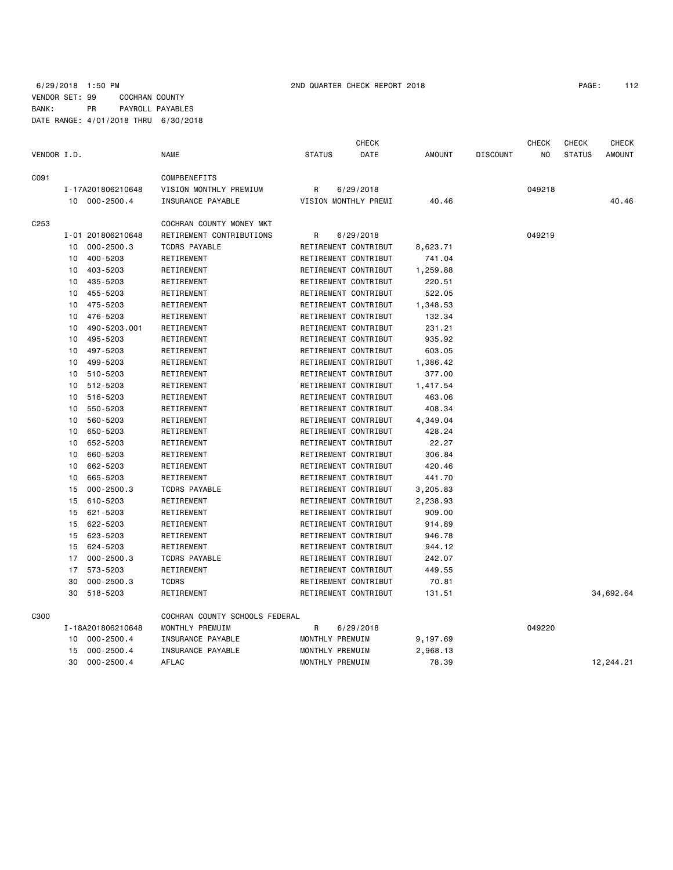### 6/29/2018 1:50 PM 2ND QUARTER CHECK REPORT 2018 PAGE: 112 VENDOR SET: 99 COCHRAN COUNTY BANK: PR PAYROLL PAYABLES DATE RANGE: 4/01/2018 THRU 6/30/2018

|             |    |                   |                                |                 | <b>CHECK</b>         |          |                 | <b>CHECK</b> | <b>CHECK</b>  | <b>CHECK</b> |
|-------------|----|-------------------|--------------------------------|-----------------|----------------------|----------|-----------------|--------------|---------------|--------------|
| VENDOR I.D. |    |                   | NAME                           | <b>STATUS</b>   | DATE                 | AMOUNT   | <b>DISCOUNT</b> | NO           | <b>STATUS</b> | AMOUNT       |
| C091        |    |                   | COMPBENEFITS                   |                 |                      |          |                 |              |               |              |
|             |    | I-17A201806210648 | VISION MONTHLY PREMIUM         | R               | 6/29/2018            |          |                 | 049218       |               |              |
|             |    | 10 000-2500.4     | INSURANCE PAYABLE              |                 | VISION MONTHLY PREMI | 40.46    |                 |              |               | 40.46        |
| C253        |    |                   | COCHRAN COUNTY MONEY MKT       |                 |                      |          |                 |              |               |              |
|             |    | I-01 201806210648 | RETIREMENT CONTRIBUTIONS       | R               | 6/29/2018            |          |                 | 049219       |               |              |
|             | 10 | $000 - 2500.3$    | <b>TCDRS PAYABLE</b>           |                 | RETIREMENT CONTRIBUT | 8,623.71 |                 |              |               |              |
|             | 10 | 400-5203          | RETIREMENT                     |                 | RETIREMENT CONTRIBUT | 741.04   |                 |              |               |              |
|             | 10 | 403-5203          | RETIREMENT                     |                 | RETIREMENT CONTRIBUT | 1,259.88 |                 |              |               |              |
|             | 10 | 435-5203          | RETIREMENT                     |                 | RETIREMENT CONTRIBUT | 220.51   |                 |              |               |              |
|             | 10 | 455-5203          | RETIREMENT                     |                 | RETIREMENT CONTRIBUT | 522.05   |                 |              |               |              |
|             | 10 | 475-5203          | RETIREMENT                     |                 | RETIREMENT CONTRIBUT | 1,348.53 |                 |              |               |              |
|             | 10 | 476-5203          | RETIREMENT                     |                 | RETIREMENT CONTRIBUT | 132.34   |                 |              |               |              |
|             | 10 | 490-5203.001      | RETIREMENT                     |                 | RETIREMENT CONTRIBUT | 231.21   |                 |              |               |              |
|             | 10 | 495-5203          | RETIREMENT                     |                 | RETIREMENT CONTRIBUT | 935.92   |                 |              |               |              |
|             | 10 | 497-5203          | RETIREMENT                     |                 | RETIREMENT CONTRIBUT | 603.05   |                 |              |               |              |
|             | 10 | 499-5203          | RETIREMENT                     |                 | RETIREMENT CONTRIBUT | 1,386.42 |                 |              |               |              |
|             | 10 | 510-5203          | RETIREMENT                     |                 | RETIREMENT CONTRIBUT | 377.00   |                 |              |               |              |
|             | 10 | 512-5203          | RETIREMENT                     |                 | RETIREMENT CONTRIBUT | 1,417.54 |                 |              |               |              |
|             | 10 | 516-5203          | RETIREMENT                     |                 | RETIREMENT CONTRIBUT | 463.06   |                 |              |               |              |
|             | 10 | 550-5203          | RETIREMENT                     |                 | RETIREMENT CONTRIBUT | 408.34   |                 |              |               |              |
|             | 10 | 560-5203          | RETIREMENT                     |                 | RETIREMENT CONTRIBUT | 4,349.04 |                 |              |               |              |
|             | 10 | 650-5203          | RETIREMENT                     |                 | RETIREMENT CONTRIBUT | 428.24   |                 |              |               |              |
|             | 10 | 652-5203          | RETIREMENT                     |                 | RETIREMENT CONTRIBUT | 22.27    |                 |              |               |              |
|             | 10 | 660-5203          | RETIREMENT                     |                 | RETIREMENT CONTRIBUT | 306.84   |                 |              |               |              |
|             | 10 | 662-5203          | RETIREMENT                     |                 | RETIREMENT CONTRIBUT | 420.46   |                 |              |               |              |
|             | 10 | 665-5203          | RETIREMENT                     |                 | RETIREMENT CONTRIBUT | 441.70   |                 |              |               |              |
|             | 15 | $000 - 2500.3$    | <b>TCDRS PAYABLE</b>           |                 | RETIREMENT CONTRIBUT | 3,205.83 |                 |              |               |              |
|             | 15 | 610-5203          | RETIREMENT                     |                 | RETIREMENT CONTRIBUT | 2,238.93 |                 |              |               |              |
|             | 15 | 621-5203          | RETIREMENT                     |                 | RETIREMENT CONTRIBUT | 909.00   |                 |              |               |              |
|             | 15 | 622-5203          | RETIREMENT                     |                 | RETIREMENT CONTRIBUT | 914.89   |                 |              |               |              |
|             | 15 | 623-5203          | RETIREMENT                     |                 | RETIREMENT CONTRIBUT | 946.78   |                 |              |               |              |
|             | 15 | 624-5203          | RETIREMENT                     |                 | RETIREMENT CONTRIBUT | 944.12   |                 |              |               |              |
|             | 17 | $000 - 2500.3$    | <b>TCDRS PAYABLE</b>           |                 | RETIREMENT CONTRIBUT | 242.07   |                 |              |               |              |
|             | 17 | 573-5203          | RETIREMENT                     |                 | RETIREMENT CONTRIBUT | 449.55   |                 |              |               |              |
|             | 30 | $000 - 2500.3$    | <b>TCDRS</b>                   |                 | RETIREMENT CONTRIBUT | 70.81    |                 |              |               |              |
|             | 30 | 518-5203          | RETIREMENT                     |                 | RETIREMENT CONTRIBUT | 131.51   |                 |              |               | 34,692.64    |
|             |    |                   |                                |                 |                      |          |                 |              |               |              |
| C300        |    |                   | COCHRAN COUNTY SCHOOLS FEDERAL |                 |                      |          |                 |              |               |              |
|             |    | I-18A201806210648 | MONTHLY PREMUIM                | R               | 6/29/2018            |          |                 | 049220       |               |              |
|             | 10 | $000 - 2500.4$    | INSURANCE PAYABLE              | MONTHLY PREMUIM |                      | 9,197.69 |                 |              |               |              |
|             | 15 | $000 - 2500.4$    | <b>INSURANCE PAYABLE</b>       | MONTHLY PREMUIM |                      | 2,968.13 |                 |              |               |              |
|             | 30 | $000 - 2500.4$    | <b>AFLAC</b>                   | MONTHLY PREMUIM |                      | 78.39    |                 |              |               | 12,244.21    |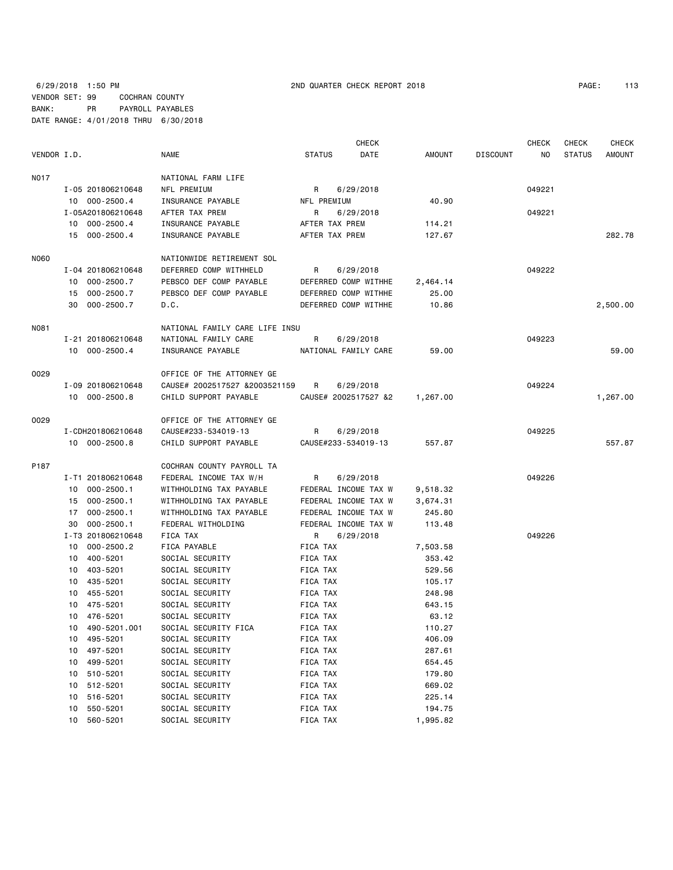### 6/29/2018 1:50 PM 2ND QUARTER CHECK REPORT 2018 PAGE: 113 VENDOR SET: 99 COCHRAN COUNTY BANK: PR PAYROLL PAYABLES DATE RANGE: 4/01/2018 THRU 6/30/2018

| PAGE: | 113 |  |
|-------|-----|--|
|-------|-----|--|

|             |                      |                                |                      | <b>CHECK</b> |               |                 | <b>CHECK</b> | <b>CHECK</b>  | <b>CHECK</b>  |
|-------------|----------------------|--------------------------------|----------------------|--------------|---------------|-----------------|--------------|---------------|---------------|
| VENDOR I.D. |                      | NAME                           | <b>STATUS</b>        | DATE         | <b>AMOUNT</b> | <b>DISCOUNT</b> | ΝO           | <b>STATUS</b> | <b>AMOUNT</b> |
| N017        |                      | NATIONAL FARM LIFE             |                      |              |               |                 |              |               |               |
|             | I-05 201806210648    | NFL PREMIUM                    | R                    | 6/29/2018    |               |                 | 049221       |               |               |
|             | 10 000-2500.4        | INSURANCE PAYABLE              | NFL PREMIUM          |              | 40.90         |                 |              |               |               |
|             | I-05A201806210648    | AFTER TAX PREM                 | R                    | 6/29/2018    |               |                 | 049221       |               |               |
|             | 10 000-2500.4        | INSURANCE PAYABLE              | AFTER TAX PREM       |              | 114.21        |                 |              |               |               |
|             | 15 000-2500.4        | INSURANCE PAYABLE              | AFTER TAX PREM       |              | 127.67        |                 |              |               | 282.78        |
| N060        |                      | NATIONWIDE RETIREMENT SOL      |                      |              |               |                 |              |               |               |
|             | I-04 201806210648    | DEFERRED COMP WITHHELD         | R                    | 6/29/2018    |               |                 | 049222       |               |               |
|             | 10 000-2500.7        | PEBSCO DEF COMP PAYABLE        | DEFERRED COMP WITHHE |              | 2,464.14      |                 |              |               |               |
|             | 15 000-2500.7        | PEBSCO DEF COMP PAYABLE        | DEFERRED COMP WITHHE |              | 25.00         |                 |              |               |               |
|             | 30<br>000-2500.7     | D.C.                           | DEFERRED COMP WITHHE |              | 10.86         |                 |              |               | 2,500.00      |
| N081        |                      | NATIONAL FAMILY CARE LIFE INSU |                      |              |               |                 |              |               |               |
|             | I-21 201806210648    | NATIONAL FAMILY CARE           | R                    | 6/29/2018    |               |                 | 049223       |               |               |
|             | 10 000-2500.4        | INSURANCE PAYABLE              | NATIONAL FAMILY CARE |              | 59.00         |                 |              |               | 59.00         |
| 0029        |                      | OFFICE OF THE ATTORNEY GE      |                      |              |               |                 |              |               |               |
|             | I-09 201806210648    | CAUSE# 2002517527 &2003521159  | R                    | 6/29/2018    |               |                 | 049224       |               |               |
|             | 10 000-2500.8        | CHILD SUPPORT PAYABLE          | CAUSE# 2002517527 &2 |              | 1,267.00      |                 |              |               | 1,267.00      |
| 0029        |                      | OFFICE OF THE ATTORNEY GE      |                      |              |               |                 |              |               |               |
|             | I-CDH201806210648    | CAUSE#233-534019-13            | R                    | 6/29/2018    |               |                 | 049225       |               |               |
|             | 10 000-2500.8        | CHILD SUPPORT PAYABLE          | CAUSE#233-534019-13  |              | 557.87        |                 |              |               | 557.87        |
| P187        |                      | COCHRAN COUNTY PAYROLL TA      |                      |              |               |                 |              |               |               |
|             | I-T1 201806210648    | FEDERAL INCOME TAX W/H         | R                    | 6/29/2018    |               |                 | 049226       |               |               |
|             | 10 000-2500.1        | WITHHOLDING TAX PAYABLE        | FEDERAL INCOME TAX W |              | 9,518.32      |                 |              |               |               |
|             | 15 000-2500.1        | WITHHOLDING TAX PAYABLE        | FEDERAL INCOME TAX W |              | 3,674.31      |                 |              |               |               |
|             | 000-2500.1<br>17     | WITHHOLDING TAX PAYABLE        | FEDERAL INCOME TAX W |              | 245.80        |                 |              |               |               |
|             | $000 - 2500.1$<br>30 | FEDERAL WITHOLDING             | FEDERAL INCOME TAX W |              | 113.48        |                 |              |               |               |
|             | I-T3 201806210648    | FICA TAX                       | R                    | 6/29/2018    |               |                 | 049226       |               |               |
|             | 10 000-2500.2        | FICA PAYABLE                   | FICA TAX             |              | 7,503.58      |                 |              |               |               |
|             | 400-5201<br>10       | SOCIAL SECURITY                | FICA TAX             |              | 353.42        |                 |              |               |               |
|             | 10 403-5201          | SOCIAL SECURITY                | FICA TAX             |              | 529.56        |                 |              |               |               |
|             | 435-5201<br>10       | SOCIAL SECURITY                | FICA TAX             |              | 105.17        |                 |              |               |               |
|             | 10 455-5201          | SOCIAL SECURITY                | FICA TAX             |              | 248.98        |                 |              |               |               |
|             | 10 475-5201          | SOCIAL SECURITY                | FICA TAX             |              | 643.15        |                 |              |               |               |
|             | 10 476-5201          | SOCIAL SECURITY                | FICA TAX             |              | 63.12         |                 |              |               |               |
|             | 10 490-5201.001      | SOCIAL SECURITY FICA           | FICA TAX             |              | 110.27        |                 |              |               |               |
|             | 495-5201<br>10       | SOCIAL SECURITY                | FICA TAX             |              | 406.09        |                 |              |               |               |
|             | 497-5201<br>10       | SOCIAL SECURITY                | FICA TAX             |              | 287.61        |                 |              |               |               |
|             | 499-5201<br>10       | SOCIAL SECURITY                | FICA TAX             |              | 654.45        |                 |              |               |               |
|             | 510-5201<br>10       | SOCIAL SECURITY                | FICA TAX             |              | 179.80        |                 |              |               |               |
|             | 512-5201<br>10       | SOCIAL SECURITY                | FICA TAX             |              | 669.02        |                 |              |               |               |
|             | 516-5201<br>10       | SOCIAL SECURITY                | FICA TAX             |              | 225.14        |                 |              |               |               |
|             | 550-5201<br>10       | SOCIAL SECURITY                | FICA TAX             |              | 194.75        |                 |              |               |               |
|             | 10<br>560-5201       | SOCIAL SECURITY                | FICA TAX             |              | 1,995.82      |                 |              |               |               |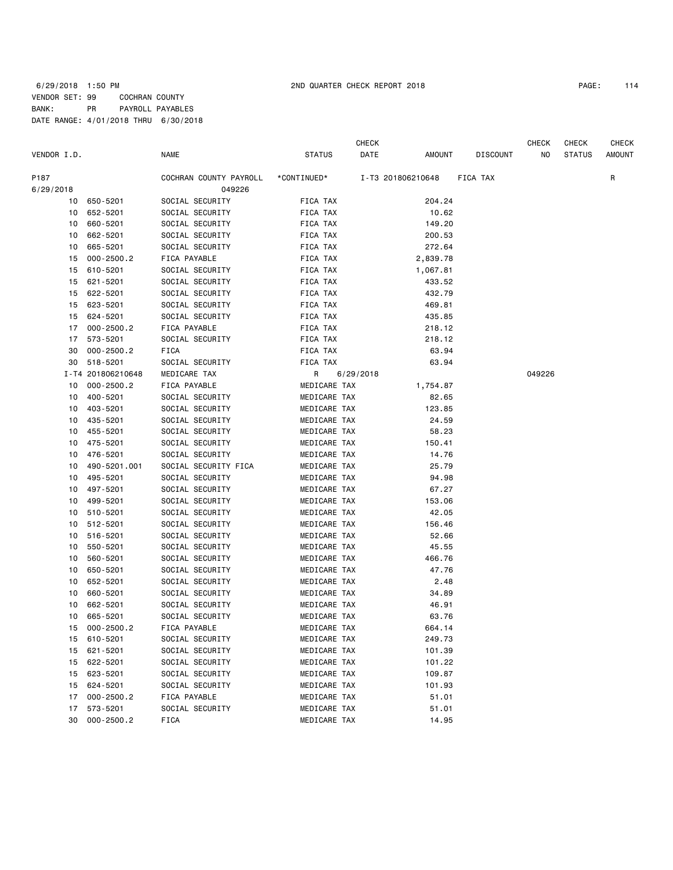### 6/29/2018 1:50 PM 2ND QUARTER CHECK REPORT 2018 PAGE: 114 VENDOR SET: 99 COCHRAN COUNTY BANK: PR PAYROLL PAYABLES DATE RANGE: 4/01/2018 THRU 6/30/2018

|             |                   |                        |               | CHECK     |                   |          | CHECK  | CHECK         | CHECK         |
|-------------|-------------------|------------------------|---------------|-----------|-------------------|----------|--------|---------------|---------------|
| VENDOR I.D. |                   | <b>NAME</b>            | <b>STATUS</b> | DATE      | AMOUNT            | DISCOUNT | NO     | <b>STATUS</b> | <b>AMOUNT</b> |
| P187        |                   | COCHRAN COUNTY PAYROLL | *CONTINUED*   |           | I-T3 201806210648 | FICA TAX |        |               | R             |
| 6/29/2018   |                   | 049226                 |               |           |                   |          |        |               |               |
| 10          | 650-5201          | SOCIAL SECURITY        | FICA TAX      |           | 204.24            |          |        |               |               |
|             | 10 652-5201       | SOCIAL SECURITY        | FICA TAX      |           | 10.62             |          |        |               |               |
| 10          | 660-5201          | SOCIAL SECURITY        | FICA TAX      |           | 149.20            |          |        |               |               |
| 10          | 662-5201          | SOCIAL SECURITY        | FICA TAX      |           | 200.53            |          |        |               |               |
| 10          | 665-5201          | SOCIAL SECURITY        | FICA TAX      |           | 272.64            |          |        |               |               |
| 15          | $000 - 2500.2$    | FICA PAYABLE           | FICA TAX      |           | 2,839.78          |          |        |               |               |
| 15          | 610-5201          | SOCIAL SECURITY        | FICA TAX      |           | 1,067.81          |          |        |               |               |
| 15          | 621-5201          | SOCIAL SECURITY        | FICA TAX      |           | 433.52            |          |        |               |               |
| 15          | 622-5201          | SOCIAL SECURITY        | FICA TAX      |           | 432.79            |          |        |               |               |
| 15          | 623-5201          | SOCIAL SECURITY        | FICA TAX      |           | 469.81            |          |        |               |               |
| 15          | 624-5201          | SOCIAL SECURITY        | FICA TAX      |           | 435.85            |          |        |               |               |
| 17          | $000 - 2500.2$    | FICA PAYABLE           | FICA TAX      |           | 218.12            |          |        |               |               |
| 17          | 573-5201          | SOCIAL SECURITY        | FICA TAX      |           | 218.12            |          |        |               |               |
| 30          | $000 - 2500.2$    | FICA                   | FICA TAX      |           | 63.94             |          |        |               |               |
| 30          | 518-5201          | SOCIAL SECURITY        | FICA TAX      |           | 63.94             |          |        |               |               |
|             | I-T4 201806210648 | MEDICARE TAX           | R             | 6/29/2018 |                   |          | 049226 |               |               |
| 10          | $000 - 2500.2$    | FICA PAYABLE           | MEDICARE TAX  |           | 1,754.87          |          |        |               |               |
| 10          | 400-5201          | SOCIAL SECURITY        | MEDICARE TAX  |           | 82.65             |          |        |               |               |
| 10          | 403-5201          | SOCIAL SECURITY        | MEDICARE TAX  |           | 123.85            |          |        |               |               |
| 10          | 435-5201          | SOCIAL SECURITY        | MEDICARE TAX  |           | 24.59             |          |        |               |               |
| 10          | 455-5201          | SOCIAL SECURITY        | MEDICARE TAX  |           | 58.23             |          |        |               |               |
| 10          | 475-5201          | SOCIAL SECURITY        | MEDICARE TAX  |           | 150.41            |          |        |               |               |
| 10          | 476-5201          | SOCIAL SECURITY        | MEDICARE TAX  |           | 14.76             |          |        |               |               |
| 10          | 490-5201.001      | SOCIAL SECURITY FICA   | MEDICARE TAX  |           | 25.79             |          |        |               |               |
| 10          | 495-5201          | SOCIAL SECURITY        | MEDICARE TAX  |           | 94.98             |          |        |               |               |
| 10          | 497-5201          | SOCIAL SECURITY        | MEDICARE TAX  |           | 67.27             |          |        |               |               |
| 10          | 499-5201          | SOCIAL SECURITY        | MEDICARE TAX  |           | 153.06            |          |        |               |               |
| 10          | 510-5201          | SOCIAL SECURITY        | MEDICARE TAX  |           | 42.05             |          |        |               |               |
| 10          | 512-5201          | SOCIAL SECURITY        | MEDICARE TAX  |           | 156.46            |          |        |               |               |
| 10          | 516-5201          | SOCIAL SECURITY        | MEDICARE TAX  |           | 52.66             |          |        |               |               |
| 10          | 550-5201          | SOCIAL SECURITY        | MEDICARE TAX  |           | 45.55             |          |        |               |               |
| 10          | 560-5201          | SOCIAL SECURITY        | MEDICARE TAX  |           | 466.76            |          |        |               |               |
| 10          | 650-5201          | SOCIAL SECURITY        | MEDICARE TAX  |           | 47.76             |          |        |               |               |
| 10          | 652-5201          | SOCIAL SECURITY        | MEDICARE TAX  |           | 2.48              |          |        |               |               |
| 10          | 660-5201          | SOCIAL SECURITY        | MEDICARE TAX  |           | 34.89             |          |        |               |               |
| 10          | 662-5201          | SOCIAL SECURITY        | MEDICARE TAX  |           | 46.91             |          |        |               |               |
| 10          | 665-5201          | SOCIAL SECURITY        | MEDICARE TAX  |           | 63.76             |          |        |               |               |
| 15          | $000 - 2500.2$    | FICA PAYABLE           | MEDICARE TAX  |           | 664.14            |          |        |               |               |
| 15          | 610-5201          | SOCIAL SECURITY        | MEDICARE TAX  |           | 249.73            |          |        |               |               |
| 15          | 621-5201          | SOCIAL SECURITY        | MEDICARE TAX  |           | 101.39            |          |        |               |               |
| 15          | 622-5201          | SOCIAL SECURITY        | MEDICARE TAX  |           | 101.22            |          |        |               |               |
| 15          | 623-5201          | SOCIAL SECURITY        | MEDICARE TAX  |           | 109.87            |          |        |               |               |
| 15          | 624-5201          | SOCIAL SECURITY        | MEDICARE TAX  |           | 101.93            |          |        |               |               |
| 17          | $000 - 2500.2$    | FICA PAYABLE           | MEDICARE TAX  |           | 51.01             |          |        |               |               |
| 17          | 573-5201          | SOCIAL SECURITY        | MEDICARE TAX  |           | 51.01             |          |        |               |               |
| 30          | $000 - 2500.2$    | FICA                   | MEDICARE TAX  |           | 14.95             |          |        |               |               |
|             |                   |                        |               |           |                   |          |        |               |               |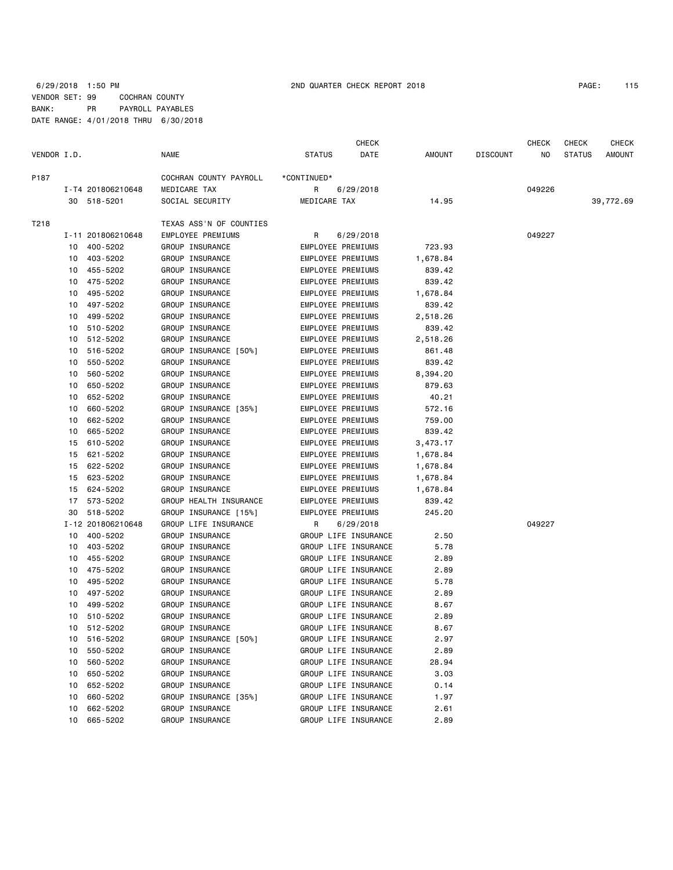### 6/29/2018 1:50 PM 2ND QUARTER CHECK REPORT 2018 PAGE: 115 VENDOR SET: 99 COCHRAN COUNTY BANK: PR PAYROLL PAYABLES DATE RANGE: 4/01/2018 THRU 6/30/2018

|             |    |                   |                          |                      | CHECK |          |                 | <b>CHECK</b> | <b>CHECK</b>  | CHECK         |
|-------------|----|-------------------|--------------------------|----------------------|-------|----------|-----------------|--------------|---------------|---------------|
| VENDOR I.D. |    |                   | NAME                     | <b>STATUS</b>        | DATE  | AMOUNT   | <b>DISCOUNT</b> | NO           | <b>STATUS</b> | <b>AMOUNT</b> |
| P187        |    |                   | COCHRAN COUNTY PAYROLL   | *CONTINUED*          |       |          |                 |              |               |               |
|             |    | I-T4 201806210648 | MEDICARE TAX             | R<br>6/29/2018       |       |          |                 | 049226       |               |               |
|             |    | 30 518-5201       | SOCIAL SECURITY          | MEDICARE TAX         |       | 14.95    |                 |              |               | 39,772.69     |
| T218        |    |                   | TEXAS ASS'N OF COUNTIES  |                      |       |          |                 |              |               |               |
|             |    | I-11 201806210648 | <b>EMPLOYEE PREMIUMS</b> | R<br>6/29/2018       |       |          |                 | 049227       |               |               |
|             | 10 | 400-5202          | GROUP INSURANCE          | EMPLOYEE PREMIUMS    |       | 723.93   |                 |              |               |               |
|             | 10 | 403-5202          | GROUP INSURANCE          | EMPLOYEE PREMIUMS    |       | 1,678.84 |                 |              |               |               |
|             | 10 | 455-5202          | GROUP INSURANCE          | EMPLOYEE PREMIUMS    |       | 839.42   |                 |              |               |               |
|             | 10 | 475-5202          | GROUP INSURANCE          | EMPLOYEE PREMIUMS    |       | 839.42   |                 |              |               |               |
|             | 10 | 495-5202          | GROUP INSURANCE          | EMPLOYEE PREMIUMS    |       | 1,678.84 |                 |              |               |               |
|             | 10 | 497-5202          | GROUP INSURANCE          | EMPLOYEE PREMIUMS    |       | 839.42   |                 |              |               |               |
|             | 10 | 499-5202          | GROUP INSURANCE          | EMPLOYEE PREMIUMS    |       | 2,518.26 |                 |              |               |               |
|             | 10 | 510-5202          | GROUP INSURANCE          | EMPLOYEE PREMIUMS    |       | 839.42   |                 |              |               |               |
|             | 10 | 512-5202          | GROUP INSURANCE          | EMPLOYEE PREMIUMS    |       | 2,518.26 |                 |              |               |               |
|             | 10 | 516-5202          | GROUP INSURANCE [50%]    | EMPLOYEE PREMIUMS    |       | 861.48   |                 |              |               |               |
|             | 10 | 550-5202          | GROUP INSURANCE          | EMPLOYEE PREMIUMS    |       | 839.42   |                 |              |               |               |
|             | 10 | 560-5202          | GROUP INSURANCE          | EMPLOYEE PREMIUMS    |       | 8,394.20 |                 |              |               |               |
|             | 10 | 650-5202          | GROUP INSURANCE          | EMPLOYEE PREMIUMS    |       | 879.63   |                 |              |               |               |
|             | 10 | 652-5202          | GROUP INSURANCE          | EMPLOYEE PREMIUMS    |       | 40.21    |                 |              |               |               |
|             | 10 | 660-5202          | GROUP INSURANCE [35%]    | EMPLOYEE PREMIUMS    |       | 572.16   |                 |              |               |               |
|             | 10 | 662-5202          | GROUP INSURANCE          | EMPLOYEE PREMIUMS    |       | 759.00   |                 |              |               |               |
|             | 10 | 665-5202          | GROUP INSURANCE          | EMPLOYEE PREMIUMS    |       | 839.42   |                 |              |               |               |
|             | 15 | 610-5202          | GROUP INSURANCE          | EMPLOYEE PREMIUMS    |       | 3,473.17 |                 |              |               |               |
|             | 15 | 621-5202          | GROUP INSURANCE          | EMPLOYEE PREMIUMS    |       | 1,678.84 |                 |              |               |               |
|             | 15 | 622-5202          | GROUP INSURANCE          | EMPLOYEE PREMIUMS    |       | 1,678.84 |                 |              |               |               |
|             | 15 | 623-5202          | GROUP INSURANCE          | EMPLOYEE PREMIUMS    |       | 1,678.84 |                 |              |               |               |
|             | 15 | 624-5202          | GROUP INSURANCE          | EMPLOYEE PREMIUMS    |       | 1,678.84 |                 |              |               |               |
|             | 17 | 573-5202          | GROUP HEALTH INSURANCE   | EMPLOYEE PREMIUMS    |       | 839.42   |                 |              |               |               |
|             | 30 | 518-5202          | GROUP INSURANCE [15%]    | EMPLOYEE PREMIUMS    |       | 245.20   |                 |              |               |               |
|             |    | I-12 201806210648 | GROUP LIFE INSURANCE     | R<br>6/29/2018       |       |          |                 | 049227       |               |               |
|             | 10 | 400-5202          | GROUP INSURANCE          | GROUP LIFE INSURANCE |       | 2.50     |                 |              |               |               |
|             | 10 | 403-5202          | GROUP INSURANCE          | GROUP LIFE INSURANCE |       | 5.78     |                 |              |               |               |
|             | 10 | 455-5202          | GROUP INSURANCE          | GROUP LIFE INSURANCE |       | 2.89     |                 |              |               |               |
|             | 10 | 475-5202          | GROUP INSURANCE          | GROUP LIFE INSURANCE |       | 2.89     |                 |              |               |               |
|             | 10 | 495-5202          | GROUP INSURANCE          | GROUP LIFE INSURANCE |       | 5.78     |                 |              |               |               |
|             | 10 | 497-5202          | GROUP INSURANCE          | GROUP LIFE INSURANCE |       | 2.89     |                 |              |               |               |
|             | 10 | 499-5202          | GROUP INSURANCE          | GROUP LIFE INSURANCE |       | 8.67     |                 |              |               |               |
|             | 10 | 510-5202          | GROUP INSURANCE          | GROUP LIFE INSURANCE |       | 2.89     |                 |              |               |               |
|             | 10 | 512-5202          | GROUP INSURANCE          | GROUP LIFE INSURANCE |       | 8.67     |                 |              |               |               |
|             | 10 | 516-5202          | GROUP INSURANCE [50%]    | GROUP LIFE INSURANCE |       | 2.97     |                 |              |               |               |
|             | 10 | 550-5202          | GROUP INSURANCE          | GROUP LIFE INSURANCE |       | 2.89     |                 |              |               |               |
|             | 10 | 560-5202          | GROUP INSURANCE          | GROUP LIFE INSURANCE |       | 28.94    |                 |              |               |               |
|             | 10 | 650-5202          | GROUP INSURANCE          | GROUP LIFE INSURANCE |       | 3.03     |                 |              |               |               |
|             | 10 | 652-5202          | GROUP INSURANCE          | GROUP LIFE INSURANCE |       | 0.14     |                 |              |               |               |
|             | 10 | 660-5202          | GROUP INSURANCE [35%]    | GROUP LIFE INSURANCE |       | 1.97     |                 |              |               |               |
|             | 10 | 662-5202          | GROUP INSURANCE          | GROUP LIFE INSURANCE |       | 2.61     |                 |              |               |               |
|             | 10 | 665-5202          | GROUP INSURANCE          | GROUP LIFE INSURANCE |       | 2.89     |                 |              |               |               |
|             |    |                   |                          |                      |       |          |                 |              |               |               |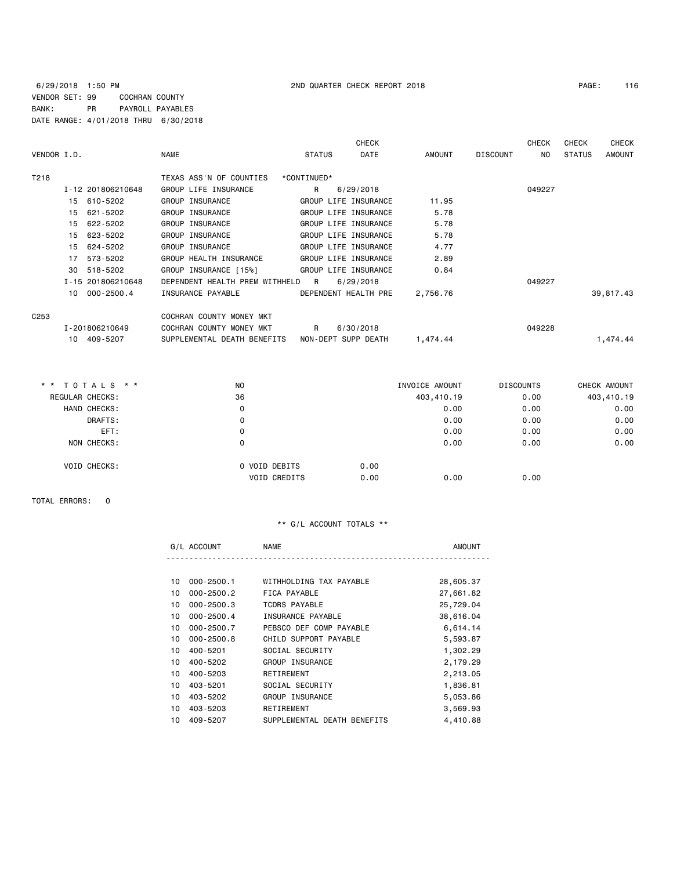### 6/29/2018 1:50 PM 2ND QUARTER CHECK REPORT 2018 PAGE: 116 VENDOR SET: 99 COCHRAN COUNTY BANK: PR PAYROLL PAYABLES DATE RANGE: 4/01/2018 THRU 6/30/2018

| VENDOR I.D.      |                   | <b>NAME</b>                    | <b>STATUS</b>        | <b>CHECK</b><br>DATE | AMOUNT   | <b>DISCOUNT</b> | <b>CHECK</b><br>NO. | <b>CHECK</b><br><b>STATUS</b> | <b>CHECK</b><br><b>AMOUNT</b> |
|------------------|-------------------|--------------------------------|----------------------|----------------------|----------|-----------------|---------------------|-------------------------------|-------------------------------|
| T218             |                   | TEXAS ASS'N OF COUNTIES        | *CONTINUED*          |                      |          |                 |                     |                               |                               |
|                  | I-12 201806210648 | GROUP LIFE INSURANCE           | R                    | 6/29/2018            |          |                 | 049227              |                               |                               |
|                  | 610-5202<br>15    | GROUP INSURANCE                | GROUP LIFE INSURANCE |                      | 11.95    |                 |                     |                               |                               |
|                  | 15<br>621-5202    | GROUP INSURANCE                | GROUP LIFE INSURANCE |                      | 5.78     |                 |                     |                               |                               |
|                  | 15<br>622-5202    | GROUP INSURANCE                | GROUP LIFE INSURANCE |                      | 5.78     |                 |                     |                               |                               |
|                  | 623-5202<br>15    | GROUP INSURANCE                | GROUP LIFE INSURANCE |                      | 5.78     |                 |                     |                               |                               |
|                  | 624-5202<br>15    | GROUP INSURANCE                | GROUP LIFE INSURANCE |                      | 4.77     |                 |                     |                               |                               |
|                  | 573-5202<br>17    | GROUP HEALTH INSURANCE         | GROUP LIFE INSURANCE |                      | 2.89     |                 |                     |                               |                               |
|                  | 518-5202<br>30    | GROUP INSURANCE [15%]          | GROUP LIFE INSURANCE |                      | 0.84     |                 |                     |                               |                               |
|                  | I-15 201806210648 | DEPENDENT HEALTH PREM WITHHELD | R                    | 6/29/2018            |          |                 | 049227              |                               |                               |
|                  | 10 000-2500.4     | INSURANCE PAYABLE              | DEPENDENT HEALTH PRE |                      | 2,756.76 |                 |                     |                               | 39,817.43                     |
| C <sub>253</sub> |                   | COCHRAN COUNTY MONEY MKT       |                      |                      |          |                 |                     |                               |                               |
|                  | I-201806210649    | COCHRAN COUNTY MONEY MKT       | $\mathsf{R}$         | 6/30/2018            |          |                 | 049228              |                               |                               |
|                  | 10 409-5207       | SUPPLEMENTAL DEATH BENEFITS    | NON-DEPT SUPP DEATH  |                      | 1,474.44 |                 |                     |                               | 1,474.44                      |
|                  |                   |                                |                      |                      |          |                 |                     |                               |                               |

| ** TOTALS **        | N <sub>O</sub> |                     | INVOICE AMOUNT | <b>DISCOUNTS</b> | CHECK AMOUNT |
|---------------------|----------------|---------------------|----------------|------------------|--------------|
| REGULAR CHECKS:     | 36             |                     | 403,410.19     | 0.00             | 403,410.19   |
| HAND CHECKS:        |                | 0                   | 0.00           | 0.00             | 0.00         |
|                     | DRAFTS:        | 0                   | 0.00           | 0.00             | 0.00         |
|                     | EFT:           | 0                   | 0.00           | 0.00             | 0.00         |
| NON CHECKS:         |                | 0                   | 0.00           | 0.00             | 0.00         |
| <b>VOID CHECKS:</b> |                | 0 VOID DEBITS       | 0.00           |                  |              |
|                     |                | <b>VOID CREDITS</b> | 0.00<br>0.00   | 0.00             |              |

TOTAL ERRORS: 0

## \*\* G/L ACCOUNT TOTALS \*\*

|    | G/L ACCOUNT    | <b>NAME</b>                 | <b>AMOUNT</b> |
|----|----------------|-----------------------------|---------------|
|    |                |                             |               |
| 10 | $000 - 2500.1$ | WITHHOLDING TAX PAYABLE     | 28,605.37     |
| 10 | $000 - 2500.2$ | FICA PAYABLE                | 27,661.82     |
| 10 | $000 - 2500.3$ | <b>TCDRS PAYABLE</b>        | 25,729.04     |
| 10 | $000 - 2500.4$ | INSURANCE PAYABLE           | 38,616.04     |
| 10 | $000 - 2500.7$ | PEBSCO DEF COMP PAYABLE     | 6,614.14      |
| 10 | $000 - 2500.8$ | CHILD SUPPORT PAYABLE       | 5,593.87      |
| 10 | 400-5201       | SOCIAL SECURITY             | 1,302.29      |
| 10 | 400-5202       | GROUP INSURANCE             | 2,179.29      |
| 10 | 400-5203       | RETIREMENT                  | 2,213.05      |
| 10 | 403-5201       | SOCIAL SECURITY             | 1,836.81      |
| 10 | 403-5202       | GROUP INSURANCE             | 5,053.86      |
| 10 | 403-5203       | RETIREMENT                  | 3,569.93      |
| 10 | 409-5207       | SUPPLEMENTAL DEATH BENEFITS | 4,410.88      |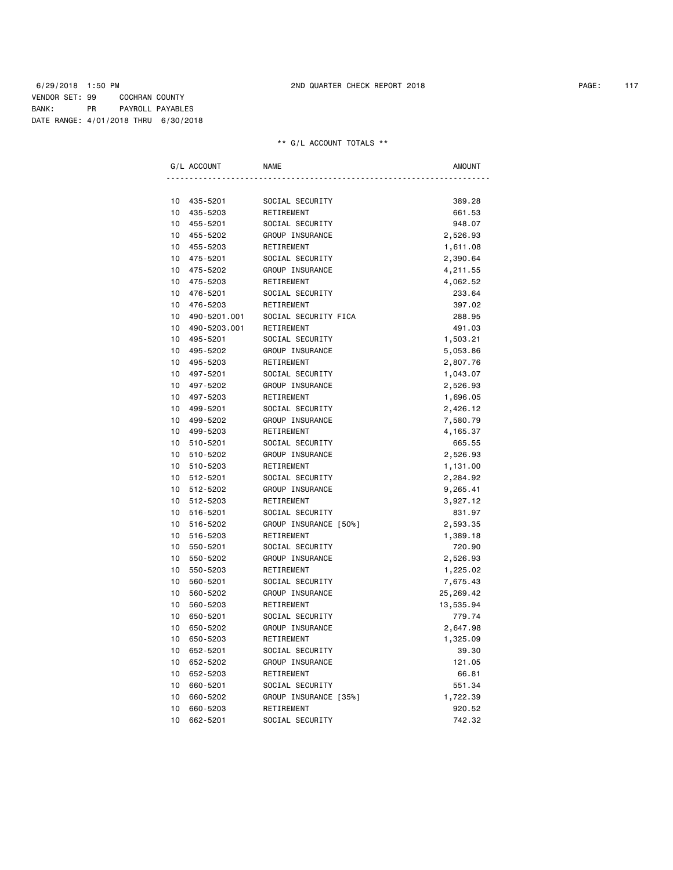# \*\* G/L ACCOUNT TOTALS \*\*

|    | G/L ACCOUNT  | <b>NAME</b>           | <b>AMOUNT</b> |
|----|--------------|-----------------------|---------------|
|    |              |                       |               |
| 10 | 435-5201     | SOCIAL SECURITY       | 389.28        |
| 10 | 435-5203     | RETIREMENT            | 661.53        |
| 10 | 455-5201     | SOCIAL SECURITY       | 948.07        |
| 10 | 455-5202     | GROUP INSURANCE       | 2,526.93      |
| 10 | 455-5203     | RETIREMENT            | 1,611.08      |
| 10 | 475-5201     | SOCIAL SECURITY       | 2,390.64      |
| 10 | 475-5202     | GROUP INSURANCE       | 4,211.55      |
| 10 | 475-5203     | RETIREMENT            | 4,062.52      |
| 10 | 476-5201     | SOCIAL SECURITY       | 233.64        |
| 10 | 476-5203     | RETIREMENT            | 397.02        |
| 10 | 490-5201.001 | SOCIAL SECURITY FICA  | 288.95        |
| 10 | 490-5203.001 | RETIREMENT            | 491.03        |
| 10 | 495-5201     | SOCIAL SECURITY       | 1,503.21      |
| 10 | 495-5202     | GROUP INSURANCE       | 5,053.86      |
| 10 | 495-5203     | RETIREMENT            | 2,807.76      |
| 10 | 497-5201     | SOCIAL SECURITY       | 1,043.07      |
| 10 | 497-5202     | GROUP INSURANCE       | 2,526.93      |
| 10 | 497-5203     | RETIREMENT            | 1,696.05      |
| 10 | 499-5201     | SOCIAL SECURITY       | 2,426.12      |
| 10 | 499-5202     | GROUP INSURANCE       | 7,580.79      |
| 10 | 499-5203     | RETIREMENT            | 4,165.37      |
| 10 | 510-5201     | SOCIAL SECURITY       | 665.55        |
| 10 | 510-5202     | GROUP INSURANCE       | 2,526.93      |
| 10 | 510-5203     | RETIREMENT            | 1,131.00      |
| 10 | 512-5201     | SOCIAL SECURITY       | 2,284.92      |
| 10 | 512-5202     | GROUP INSURANCE       | 9,265.41      |
| 10 | 512-5203     | RETIREMENT            | 3,927.12      |
| 10 | 516-5201     | SOCIAL SECURITY       | 831.97        |
| 10 | 516-5202     | GROUP INSURANCE [50%] | 2,593.35      |
| 10 | 516-5203     | RETIREMENT            | 1,389.18      |
| 10 | 550-5201     | SOCIAL SECURITY       | 720.90        |
| 10 | 550-5202     | GROUP INSURANCE       | 2,526.93      |
| 10 | 550-5203     | RETIREMENT            | 1,225.02      |
| 10 | 560-5201     | SOCIAL SECURITY       | 7,675.43      |
| 10 | 560-5202     | GROUP INSURANCE       | 25,269.42     |
| 10 | 560-5203     | RETIREMENT            | 13,535.94     |
| 10 | 650-5201     | SOCIAL SECURITY       | 779.74        |
| 10 | 650-5202     | GROUP INSURANCE       | 2,647.98      |
| 10 | 650-5203     | RETIREMENT            | 1,325.09      |
| 10 | 652-5201     | SOCIAL SECURITY       | 39.30         |
| 10 | 652-5202     | GROUP INSURANCE       | 121.05        |
| 10 | 652-5203     | RETIREMENT            | 66.81         |
| 10 | 660-5201     | SOCIAL SECURITY       | 551.34        |
| 10 | 660-5202     | GROUP INSURANCE [35%] | 1,722.39      |
| 10 | 660-5203     | RETIREMENT            | 920.52        |
| 10 | 662-5201     | SOCIAL SECURITY       | 742.32        |
|    |              |                       |               |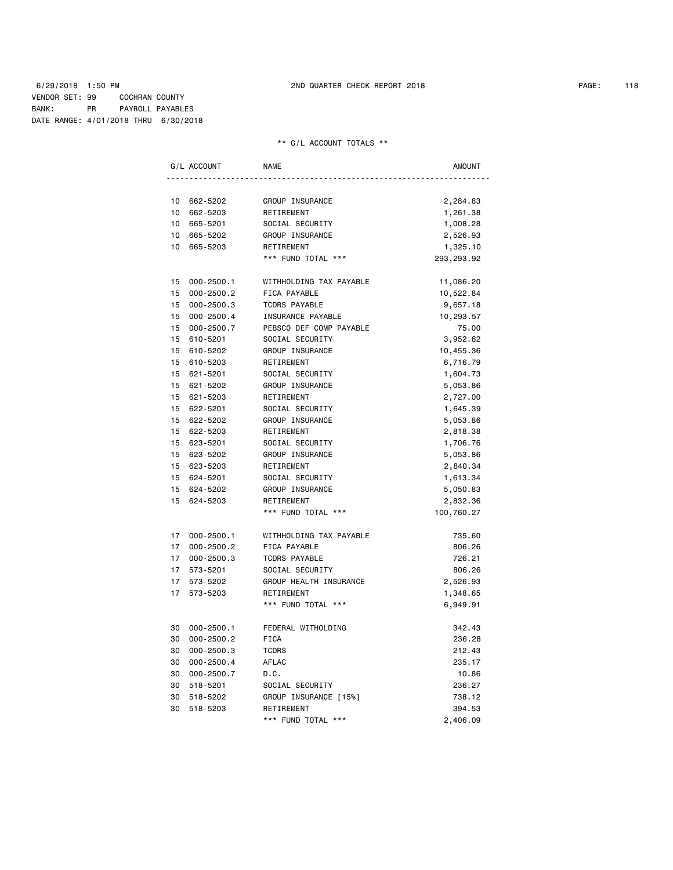# \*\* G/L ACCOUNT TOTALS \*\*

|                 | G/L ACCOUNT    | <b>NAME</b>             | <b>AMOUNT</b> |
|-----------------|----------------|-------------------------|---------------|
|                 |                |                         |               |
| 10              | 662-5202       | GROUP INSURANCE         | 2,284.83      |
| 10              | 662-5203       | RETIREMENT              | 1,261.38      |
| 10              | 665-5201       | SOCIAL SECURITY         | 1,008.28      |
| 10              | 665-5202       | GROUP INSURANCE         | 2,526.93      |
| 10              | 665-5203       | RETIREMENT              | 1,325.10      |
|                 |                | *** FUND TOTAL ***      | 293, 293.92   |
| 15              | 000-2500.1     | WITHHOLDING TAX PAYABLE | 11,086.20     |
| 15              | $000 - 2500.2$ | FICA PAYABLE            | 10,522.84     |
| 15              | $000 - 2500.3$ | <b>TCDRS PAYABLE</b>    | 9,657.18      |
| 15 <sub>1</sub> | $000 - 2500.4$ | INSURANCE PAYABLE       | 10,293.57     |
| 15              | $000 - 2500.7$ | PEBSCO DEF COMP PAYABLE | 75.00         |
| 15              | 610-5201       | SOCIAL SECURITY         | 3,952.62      |
| 15              | 610-5202       | GROUP INSURANCE         | 10,455.36     |
| 15              | 610-5203       | RETIREMENT              | 6,716.79      |
| 15              | 621-5201       | SOCIAL SECURITY         | 1,604.73      |
| 15              | 621-5202       | GROUP INSURANCE         | 5,053.86      |
| 15 <sub>1</sub> | 621-5203       | RETIREMENT              | 2,727.00      |
| 15              | 622-5201       | SOCIAL SECURITY         | 1,645.39      |
| 15              | 622-5202       | GROUP INSURANCE         | 5,053.86      |
| 15              | 622-5203       | RETIREMENT              | 2,818.38      |
| 15              | 623-5201       | SOCIAL SECURITY         | 1,706.76      |
| 15              | 623-5202       | GROUP INSURANCE         | 5,053.86      |
| 15              | 623-5203       | RETIREMENT              | 2,840.34      |
| 15              | 624-5201       | SOCIAL SECURITY         | 1,613.34      |
| 15              | 624-5202       | GROUP INSURANCE         | 5,050.83      |
| 15              | 624-5203       | RETIREMENT              | 2,832.36      |
|                 |                | *** FUND TOTAL ***      | 100,760.27    |
| 17              | $000 - 2500.1$ | WITHHOLDING TAX PAYABLE | 735.60        |
| 17              | $000 - 2500.2$ | FICA PAYABLE            | 806.26        |
| 17              | $000 - 2500.3$ | <b>TCDRS PAYABLE</b>    | 726.21        |
| 17              | 573-5201       | SOCIAL SECURITY         | 806.26        |
| 17              | 573-5202       | GROUP HEALTH INSURANCE  | 2,526.93      |
| 17              | 573-5203       | RETIREMENT              | 1,348.65      |
|                 |                | *** FUND TOTAL ***      | 6,949.91      |
| 30              | 000-2500.1     | FEDERAL WITHOLDING      | 342.43        |
| 30              | $000 - 2500.2$ | <b>FICA</b>             | 236.28        |
| 30              | $000 - 2500.3$ | <b>TCDRS</b>            | 212.43        |
| 30              | $000 - 2500.4$ | AFLAC                   | 235.17        |
| 30              | $000 - 2500.7$ | D.C.                    | 10.86         |
| 30              | 518-5201       | SOCIAL SECURITY         | 236.27        |
| 30              | 518-5202       | GROUP INSURANCE [15%]   | 738.12        |
| 30              | 518-5203       | RETIREMENT              | 394.53        |
|                 |                | *** FUND TOTAL ***      | 2,406.09      |